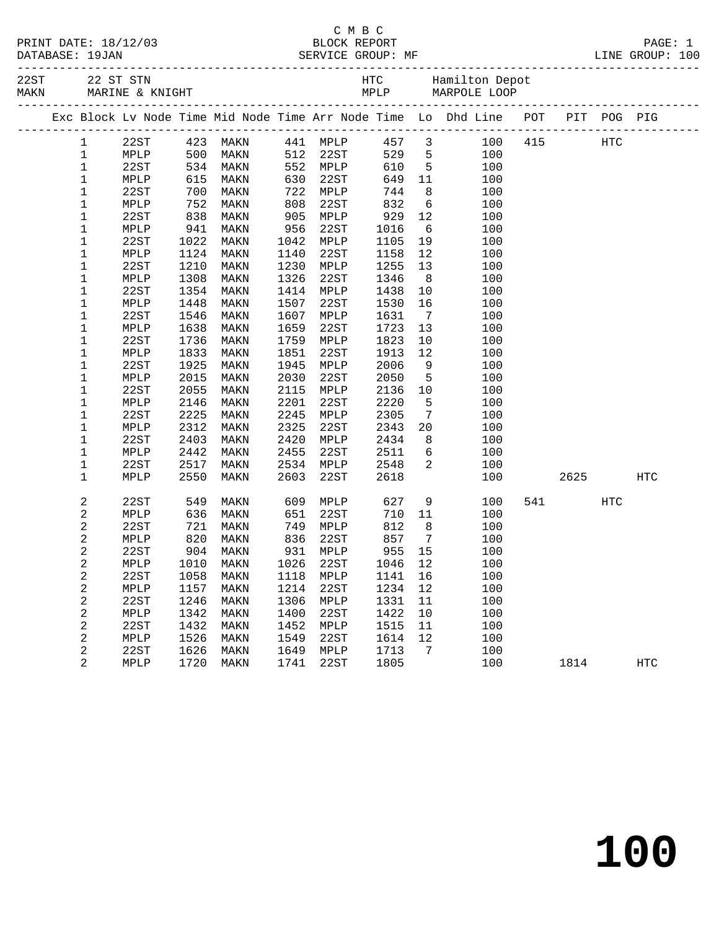|  | PRINT DATE: 18/12/03 |  |
|--|----------------------|--|
|  | $\cdots$             |  |

#### C M B C PRINT DATE: 18/12/03 BLOCK REPORT PAGE: 1 DATABASE: 19JAN SERVICE GROUP: MF LINE GROUP: 100

|  |                         |                                  |                                                  |      |            |      |             |                 | 22 ST STN MARINE & KNIGHT HTC Hamilton Depot<br>MARINE & KNIGHT MARINE MARPOLE LOOP MELP MARPOLE COOP |      |     |            |
|--|-------------------------|----------------------------------|--------------------------------------------------|------|------------|------|-------------|-----------------|-------------------------------------------------------------------------------------------------------|------|-----|------------|
|  |                         |                                  |                                                  |      |            |      |             |                 |                                                                                                       |      |     |            |
|  | 1                       |                                  |                                                  |      |            |      |             |                 | 22ST 423 MAKN 441 MPLP 457 3 100 415 HTC                                                              |      |     |            |
|  | $\mathbf{1}$            |                                  |                                                  | MAKN |            |      |             |                 |                                                                                                       |      |     |            |
|  | $\mathbf{1}$            |                                  |                                                  | MAKN |            |      |             |                 |                                                                                                       |      |     |            |
|  | $\mathbf 1$             | MPLP 500<br>22ST 534<br>MPLP 615 |                                                  | MAKN |            |      |             |                 | 512 22ST 529 5 100<br>552 MPLP 610 5 100<br>630 22ST 649 11 100                                       |      |     |            |
|  | $1\,$                   | 22ST                             | $\begin{array}{c} 700 \\ 752 \\ 838 \end{array}$ | MAKN | 722        | MPLP | 744<br>832  | 8 <sup>8</sup>  | 100                                                                                                   |      |     |            |
|  | 1                       | MPLP                             |                                                  | MAKN | 808        | 22ST |             | 6               | 100                                                                                                   |      |     |            |
|  | $\mathbf 1$             | 22ST                             |                                                  | MAKN | 905        | MPLP | 929<br>1016 | 12              | 100                                                                                                   |      |     |            |
|  | $1\,$                   | MPLP                             | 941                                              | MAKN | 956        | 22ST |             | 6               | 100                                                                                                   |      |     |            |
|  | 1                       | 22ST                             | 1022                                             | MAKN | 1042       | MPLP | 1105        | 19              | 100                                                                                                   |      |     |            |
|  | $1\,$                   | MPLP                             | 1124                                             | MAKN | 1140       | 22ST | 1158        | 12              | 100                                                                                                   |      |     |            |
|  | $1\,$                   | 22ST                             | 1210                                             | MAKN | 1230       | MPLP | 1255        | 13              | 100                                                                                                   |      |     |            |
|  | $\mathbf 1$             | MPLP                             | 1308                                             | MAKN | 1326       | 22ST | 1346        | 8 <sup>8</sup>  | 100                                                                                                   |      |     |            |
|  | 1                       | 22ST                             | 1354                                             | MAKN | 1414       | MPLP | 1438        | 10              | 100                                                                                                   |      |     |            |
|  | $\mathbf 1$             | MPLP                             | 1448                                             | MAKN | 1507       | 22ST | 1530        | 16              | 100                                                                                                   |      |     |            |
|  | $1\,$                   | 22ST                             | 1546                                             | MAKN | 1607       | MPLP | 1631        | $7\overline{ }$ | 100                                                                                                   |      |     |            |
|  | 1                       | MPLP                             | 1638                                             | MAKN | 1659       | 22ST | 1723        | 13              | 100                                                                                                   |      |     |            |
|  | $\mathbf 1$             | 22ST                             | 1736                                             | MAKN | 1759       | MPLP | 1823        | 10              | 100                                                                                                   |      |     |            |
|  | $\mathbf 1$             | MPLP                             | 1833                                             | MAKN | 1851       | 22ST | 1913        | 12              | 100                                                                                                   |      |     |            |
|  | $\mathbf 1$             | 22ST                             | 1925                                             | MAKN | 1945       | MPLP | 2006        | 9               | 100                                                                                                   |      |     |            |
|  | $1\,$                   | MPLP                             | 2015                                             | MAKN | 2030       | 22ST | 2050        | $5^{\circ}$     | 100                                                                                                   |      |     |            |
|  | $\mathbf 1$             | 22ST                             | 2055                                             | MAKN | 2115       | MPLP | 2136        | 10              | 100                                                                                                   |      |     |            |
|  | 1                       | MPLP                             | 2146                                             | MAKN | 2201       | 22ST | 2220        | 5               | 100                                                                                                   |      |     |            |
|  | $\mathbf 1$             | 22ST                             | 2225                                             | MAKN | 2245       | MPLP | 2305        | $7\overline{ }$ | 100                                                                                                   |      |     |            |
|  | $\mathbf 1$             | MPLP                             | 2312                                             | MAKN | 2325       | 22ST | 2343        | 20              | 100                                                                                                   |      |     |            |
|  | 1                       | 22ST                             | 2403                                             | MAKN | 2420       | MPLP | 2434        | 8 <sup>8</sup>  | 100                                                                                                   |      |     |            |
|  | 1                       | MPLP                             | 2442                                             | MAKN | 2455       | 22ST | 2511        | 6               | 100                                                                                                   |      |     |            |
|  | $\mathbf 1$             | 22ST                             | 2517                                             | MAKN | 2534       | MPLP | 2548        | $\overline{a}$  | 100                                                                                                   |      |     |            |
|  | $\mathbf 1$             | MPLP                             | 2550                                             | MAKN | 2603       | 22ST | 2618        |                 | 100                                                                                                   | 2625 |     | <b>HTC</b> |
|  | $\overline{c}$          | 22ST                             | 549<br>636                                       | MAKN | 609<br>651 | MPLP | 627         |                 | $\frac{9}{11}$<br>100                                                                                 | 541  | HTC |            |
|  | $\overline{c}$          | MPLP                             |                                                  | MAKN | 651        | 22ST | 710 11      |                 | 100                                                                                                   |      |     |            |
|  | $\overline{c}$          | 22ST                             | 721<br>820                                       | MAKN | 749        | MPLP | 812         | 8 <sup>8</sup>  | 100                                                                                                   |      |     |            |
|  | $\overline{a}$          | MPLP                             | 820                                              | MAKN | 836        | 22ST | 857         | $7\overline{ }$ | 100                                                                                                   |      |     |            |
|  | $\overline{a}$          | 22ST                             | 904                                              | MAKN | 931        | MPLP | 955         | 15              | 100                                                                                                   |      |     |            |
|  | $\overline{a}$          | MPLP                             | 1010                                             | MAKN | 1026       | 22ST | 1046        | 12              | 100                                                                                                   |      |     |            |
|  | $\overline{\mathbf{c}}$ | 22ST                             | 1058                                             | MAKN | 1118       | MPLP | 1141        | 16              | 100                                                                                                   |      |     |            |
|  | $\overline{a}$          | MPLP                             | 1157                                             | MAKN | 1214       | 22ST | 1234        | 12              | 100                                                                                                   |      |     |            |
|  | $\sqrt{2}$              | 22ST                             | 1246                                             | MAKN | 1306       | MPLP | 1331        | 11              | 100                                                                                                   |      |     |            |
|  | $\sqrt{2}$              | MPLP                             | 1342                                             | MAKN | 1400       | 22ST | 1422        | 10              | 100                                                                                                   |      |     |            |
|  | $\sqrt{2}$              | 22ST                             | 1432                                             | MAKN | 1452       | MPLP | 1515        | 11              | 100                                                                                                   |      |     |            |
|  | $\sqrt{2}$              | MPLP                             | 1526                                             | MAKN | 1549       | 22ST | 1614        | 12              | 100                                                                                                   |      |     |            |
|  | $\overline{a}$          | 22ST                             | 1626                                             | MAKN | 1649       | MPLP | 1713        | $\overline{7}$  | 100                                                                                                   |      |     |            |
|  | $\overline{2}$          | MPLP                             | 1720                                             | MAKN | 1741       | 22ST | 1805        |                 | 100                                                                                                   | 1814 |     | <b>HTC</b> |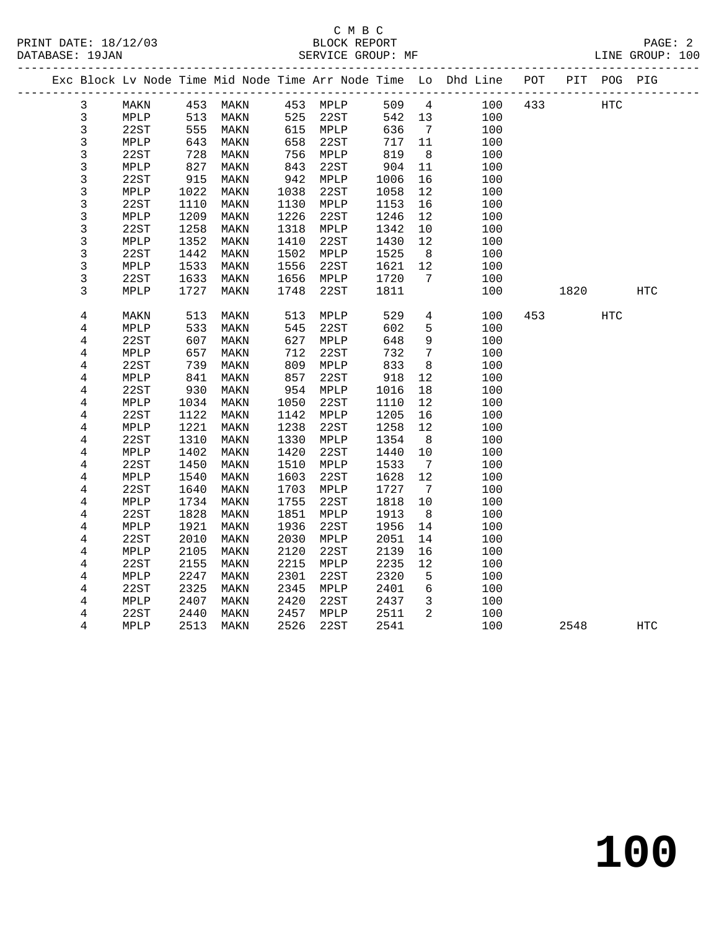### C M B C<br>BLOCK REPORT SERVICE GROUP: MF

**100**

|  |                |      |      |          |      |                 |      |                 | Exc Block Lv Node Time Mid Node Time Arr Node Time Lo Dhd Line POT |     |      | PIT POG PIG |     |
|--|----------------|------|------|----------|------|-----------------|------|-----------------|--------------------------------------------------------------------|-----|------|-------------|-----|
|  | 3              | MAKN |      | 453 MAKN |      | 453 MPLP        | 509  | $4\overline{4}$ | 100                                                                | 433 |      | HTC         |     |
|  | 3              | MPLP | 513  | MAKN     | 525  | 22ST            | 542  | 13              | 100                                                                |     |      |             |     |
|  | $\mathsf 3$    | 22ST | 555  | MAKN     |      | 615 MPLP        | 636  | $7\overline{ }$ | 100                                                                |     |      |             |     |
|  | 3              | MPLP | 643  | MAKN     | 658  | 22ST            | 717  | 11              | 100                                                                |     |      |             |     |
|  | 3              | 22ST | 728  | MAKN     | 756  | MPLP            | 819  | 8 <sup>8</sup>  | 100                                                                |     |      |             |     |
|  | 3              | MPLP | 827  | MAKN     | 843  | 22ST            | 904  | 11              | 100                                                                |     |      |             |     |
|  | 3              | 22ST | 915  | MAKN     | 942  | MPLP            | 1006 | 16              | 100                                                                |     |      |             |     |
|  | 3              | MPLP | 1022 | MAKN     | 1038 | 22ST            | 1058 | 12              | 100                                                                |     |      |             |     |
|  | 3              | 22ST | 1110 | MAKN     | 1130 | MPLP            | 1153 | 16              | 100                                                                |     |      |             |     |
|  | $\mathfrak{Z}$ | MPLP | 1209 | MAKN     | 1226 | 22ST            | 1246 | 12              | 100                                                                |     |      |             |     |
|  | $\mathfrak{Z}$ | 22ST | 1258 | MAKN     | 1318 | MPLP            | 1342 | 10              | 100                                                                |     |      |             |     |
|  | 3              | MPLP | 1352 | MAKN     | 1410 | 22ST            | 1430 | 12              | 100                                                                |     |      |             |     |
|  | $\mathfrak{Z}$ | 22ST | 1442 | MAKN     | 1502 | MPLP            | 1525 | 8 <sup>8</sup>  | 100                                                                |     |      |             |     |
|  | 3              | MPLP | 1533 | MAKN     | 1556 | 22ST            | 1621 | 12              | 100                                                                |     |      |             |     |
|  | 3              | 22ST | 1633 | MAKN     | 1656 | MPLP            | 1720 | $7\overline{ }$ | 100                                                                |     |      |             |     |
|  | 3              | MPLP | 1727 | MAKN     | 1748 | 22ST            | 1811 |                 | 100                                                                |     | 1820 |             | HTC |
|  |                |      |      |          |      |                 |      |                 |                                                                    |     |      |             |     |
|  | $\overline{4}$ | MAKN | 513  | MAKN     | 513  | MPLP            | 529  | $\overline{4}$  | 100                                                                | 453 |      | <b>HTC</b>  |     |
|  | 4              | MPLP | 533  | MAKN     | 545  | 22ST            | 602  | 5               | 100                                                                |     |      |             |     |
|  | 4              | 22ST | 607  | MAKN     | 627  | MPLP            | 648  | 9               | 100                                                                |     |      |             |     |
|  | 4              | MPLP | 657  | MAKN     | 712  | 22ST            | 732  | 7               | 100                                                                |     |      |             |     |
|  | 4              | 22ST | 739  | MAKN     | 809  | MPLP            | 833  | 8               | 100                                                                |     |      |             |     |
|  | 4              | MPLP | 841  | MAKN     | 857  | 22ST            | 918  | 12              | 100                                                                |     |      |             |     |
|  | $\overline{4}$ | 22ST | 930  | MAKN     | 954  | MPLP            | 1016 | 18              | 100                                                                |     |      |             |     |
|  | 4              | MPLP | 1034 | MAKN     | 1050 | 22ST            | 1110 | 12              | 100                                                                |     |      |             |     |
|  | 4              | 22ST | 1122 | MAKN     | 1142 | MPLP            | 1205 | 16              | 100                                                                |     |      |             |     |
|  | $\overline{4}$ | MPLP | 1221 | MAKN     | 1238 | 22ST            | 1258 | 12              | 100                                                                |     |      |             |     |
|  | 4              | 22ST | 1310 | MAKN     | 1330 | MPLP            | 1354 | 8               | 100                                                                |     |      |             |     |
|  | 4              | MPLP | 1402 | MAKN     | 1420 | 22ST            | 1440 | 10              | 100                                                                |     |      |             |     |
|  | $\overline{4}$ | 22ST | 1450 | MAKN     | 1510 | MPLP            | 1533 | $7\overline{ }$ | 100                                                                |     |      |             |     |
|  | 4              | MPLP | 1540 | MAKN     | 1603 | 22ST            | 1628 | 12              | 100                                                                |     |      |             |     |
|  | $\overline{4}$ | 22ST | 1640 | MAKN     | 1703 | $\texttt{MPLP}$ | 1727 | $\overline{7}$  | 100                                                                |     |      |             |     |
|  | 4              | MPLP | 1734 | MAKN     | 1755 | 22ST            | 1818 | $10 \,$         | 100                                                                |     |      |             |     |
|  | 4              | 22ST | 1828 | MAKN     | 1851 | MPLP            | 1913 | 8 <sup>8</sup>  | 100                                                                |     |      |             |     |
|  | 4              | MPLP | 1921 | MAKN     | 1936 | 22ST            | 1956 | 14              | 100                                                                |     |      |             |     |
|  | 4              | 22ST | 2010 | MAKN     | 2030 | MPLP            | 2051 | 14              | 100                                                                |     |      |             |     |
|  | 4              | MPLP | 2105 | MAKN     | 2120 | 22ST            | 2139 | 16              | 100                                                                |     |      |             |     |
|  | 4              | 22ST | 2155 | MAKN     | 2215 | MPLP            | 2235 | 12              | 100                                                                |     |      |             |     |
|  | 4              | MPLP | 2247 | MAKN     | 2301 | 22ST            | 2320 | 5               | 100                                                                |     |      |             |     |
|  | 4              | 22ST | 2325 | MAKN     | 2345 | MPLP            | 2401 | $6\overline{6}$ | 100                                                                |     |      |             |     |
|  | 4              | MPLP | 2407 | MAKN     | 2420 | 22ST            | 2437 | $\overline{3}$  | 100                                                                |     |      |             |     |
|  | 4              | 22ST | 2440 | MAKN     | 2457 | MPLP            | 2511 | 2               | 100                                                                |     |      |             |     |
|  | 4              | MPLP | 2513 | MAKN     | 2526 | 22ST            | 2541 |                 | 100                                                                |     | 2548 |             | HTC |
|  |                |      |      |          |      |                 |      |                 |                                                                    |     |      |             |     |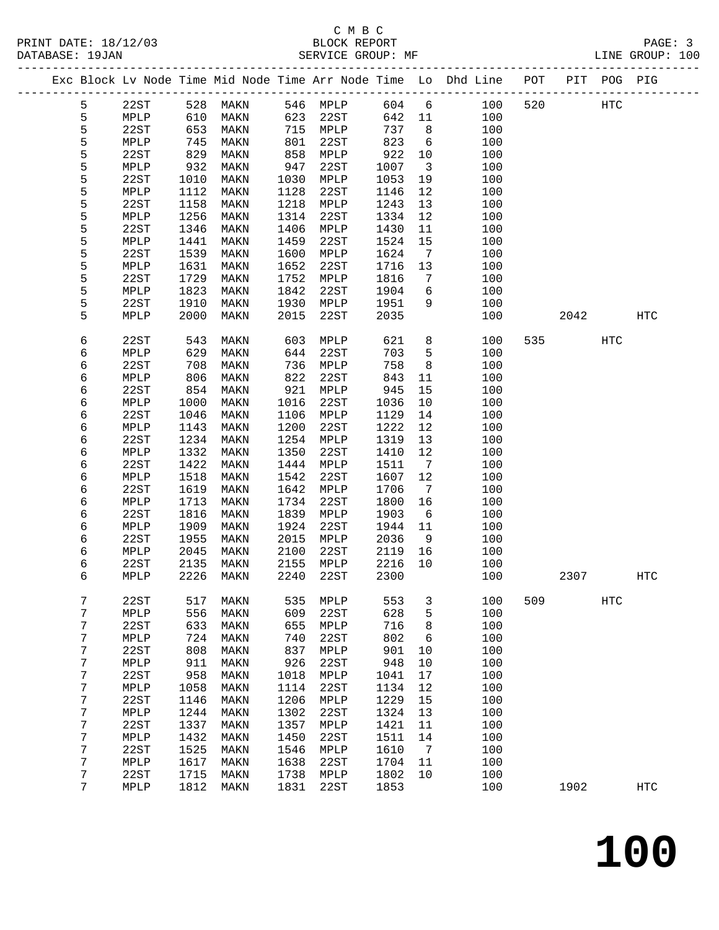|  |        |                 |              |                 |              |                 |              |                         | Exc Block Lv Node Time Mid Node Time Arr Node Time Lo Dhd Line POT |     | PIT  | POG PIG |                   |
|--|--------|-----------------|--------------|-----------------|--------------|-----------------|--------------|-------------------------|--------------------------------------------------------------------|-----|------|---------|-------------------|
|  | 5      | 22ST            | 528          | MAKN            |              | 546 MPLP        | 604          | $6\overline{6}$         | 100                                                                | 520 |      | HTC     |                   |
|  | 5      | MPLP            | 610          | MAKN            | 623          | 22ST            | 642          | 11                      | 100                                                                |     |      |         |                   |
|  | 5      | 22ST            | 653          | MAKN            |              | 715 MPLP        | 737          | 8                       | 100                                                                |     |      |         |                   |
|  | 5      | MPLP            | 745          | MAKN            | 801          | 22ST            | 823          | $6\overline{6}$         | 100                                                                |     |      |         |                   |
|  | 5      | 22ST            | 829          | MAKN            | 858          | MPLP            | 922          | 10                      | 100                                                                |     |      |         |                   |
|  | 5      | MPLP            | 932          | MAKN            | 947          | 22ST            | 1007         | $\overline{\mathbf{3}}$ | 100                                                                |     |      |         |                   |
|  | 5      | 22ST            | 1010         | MAKN            | 1030         | MPLP            | 1053         | 19                      | 100                                                                |     |      |         |                   |
|  | 5      | MPLP            | 1112         | MAKN            | 1128         | 22ST            | 1146         | 12                      | 100                                                                |     |      |         |                   |
|  | 5      | 22ST            | 1158         | MAKN            | 1218         | MPLP            | 1243         | 13                      | 100                                                                |     |      |         |                   |
|  | 5      | MPLP            | 1256         | MAKN            | 1314         | 22ST            | 1334         | 12                      | 100                                                                |     |      |         |                   |
|  | 5      | 22ST            | 1346         | MAKN            | 1406         | MPLP            | 1430         | 11                      | 100                                                                |     |      |         |                   |
|  | 5      | MPLP            | 1441         | MAKN            | 1459         | 22ST            | 1524         | 15                      | 100                                                                |     |      |         |                   |
|  | 5      | 22ST            | 1539         | MAKN            | 1600         | MPLP            | 1624         | $\overline{7}$          | 100                                                                |     |      |         |                   |
|  | 5      | MPLP            | 1631         | $\texttt{MAXN}$ | 1652         | 22ST            | 1716         | 13                      | 100                                                                |     |      |         |                   |
|  | 5      | 22ST            | 1729         | MAKN            | 1752         | MPLP            | 1816         | 7                       | 100                                                                |     |      |         |                   |
|  | 5      | MPLP            | 1823         | MAKN            | 1842         | 22ST            | 1904         | 6                       | 100                                                                |     |      |         |                   |
|  | 5      | 22ST            | 1910         | MAKN            | 1930         | MPLP            | 1951         | 9                       | 100                                                                |     |      |         |                   |
|  | 5      | MPLP            | 2000         | MAKN            | 2015         | 22ST            | 2035         |                         | 100                                                                |     | 2042 |         | <b>HTC</b>        |
|  | 6      | 22ST            | 543          | MAKN            | 603          | MPLP            | 621          | 8                       | 100                                                                | 535 |      | HTC     |                   |
|  | 6      | MPLP            | 629          | MAKN            | 644          | 22ST            | 703          | 5                       | 100                                                                |     |      |         |                   |
|  | 6      | 22ST            | 708          | MAKN            | 736          | MPLP            | 758          | 8                       | 100                                                                |     |      |         |                   |
|  | 6      | MPLP            | 806          | MAKN            | 822          | 22ST            | 843          | 11                      | 100                                                                |     |      |         |                   |
|  | 6      | 22ST            | 854          | MAKN            | 921          | MPLP            | 945          | 15                      | 100                                                                |     |      |         |                   |
|  | 6      | MPLP            | 1000         | MAKN            | 1016         | 22ST            | 1036         | 10                      | 100                                                                |     |      |         |                   |
|  | 6      | 22ST            | 1046         | MAKN            | 1106         | MPLP            | 1129         | 14                      | 100                                                                |     |      |         |                   |
|  | б      | MPLP            | 1143         | MAKN            | 1200         | 22ST            | 1222         | 12                      | 100                                                                |     |      |         |                   |
|  | 6      | 22ST            | 1234         | MAKN            | 1254         | MPLP            | 1319         | 13                      | 100                                                                |     |      |         |                   |
|  | 6      | MPLP            | 1332         | MAKN            | 1350         | 22ST            | 1410         | 12                      | 100                                                                |     |      |         |                   |
|  | 6      | 22ST            | 1422         | MAKN            | 1444         | MPLP            | 1511         | $\overline{7}$          | 100                                                                |     |      |         |                   |
|  | 6      | MPLP            | 1518<br>1619 | MAKN            | 1542         | 22ST            | 1607         | 12                      | 100                                                                |     |      |         |                   |
|  | 6      | 22ST<br>MPLP    | 1713         | MAKN<br>MAKN    | 1642<br>1734 | MPLP<br>22ST    | 1706<br>1800 | $\overline{7}$<br>16    | 100<br>100                                                         |     |      |         |                   |
|  | 6<br>6 | 22ST            | 1816         | MAKN            | 1839         | MPLP            | 1903         | $6\overline{6}$         | 100                                                                |     |      |         |                   |
|  | 6      | MPLP            | 1909         | MAKN            | 1924         | 22ST            | 1944         | 11                      | 100                                                                |     |      |         |                   |
|  | 6      | 22ST            | 1955         | MAKN            | 2015         | MPLP            | 2036         | 9                       | 100                                                                |     |      |         |                   |
|  | 6      | MPLP            | 2045         | MAKN            | 2100         | 22ST            | 2119         | 16                      | 100                                                                |     |      |         |                   |
|  | 6      | 22ST            | 2135         | MAKN            | 2155         | MPLP            | 2216         | 10                      | 100                                                                |     |      |         |                   |
|  | 6      | MPLP            | 2226         | MAKN            | 2240         | 22ST            | 2300         |                         | 100                                                                |     | 2307 |         | HTC               |
|  |        |                 |              |                 |              |                 |              |                         |                                                                    |     |      |         |                   |
|  | 7      | 22ST            | 517          | MAKN            | 535          | MPLP            | 553          | 3                       | 100                                                                | 509 |      | HTC     |                   |
|  | 7      | MPLP            | 556          | MAKN            | 609          | 22ST            | 628          | 5                       | 100                                                                |     |      |         |                   |
|  | 7      | 22ST            | 633          | MAKN            | 655          | MPLP            | 716          | 8                       | 100                                                                |     |      |         |                   |
|  | 7      | MPLP            | 724          | MAKN            | 740          | 22ST            | 802          | 6                       | 100                                                                |     |      |         |                   |
|  | 7      | 22ST            | 808          | MAKN            | 837          | $\texttt{MPLP}$ | 901          | 10                      | 100                                                                |     |      |         |                   |
|  | 7      | MPLP            | 911          | MAKN            | 926          | 22ST            | 948          | 10                      | 100                                                                |     |      |         |                   |
|  | 7<br>7 | 22ST            | 958          | MAKN            | 1018         | MPLP<br>22ST    | 1041         | 17<br>12                | 100<br>100                                                         |     |      |         |                   |
|  | 7      | MPLP<br>22ST    | 1058<br>1146 | MAKN<br>MAKN    | 1114<br>1206 | MPLP            | 1134<br>1229 | 15                      | 100                                                                |     |      |         |                   |
|  | 7      | MPLP            | 1244         | MAKN            | 1302         | 22ST            | 1324         | 13                      | 100                                                                |     |      |         |                   |
|  | 7      | 22ST            | 1337         | MAKN            | 1357         | MPLP            | 1421         | 11                      | 100                                                                |     |      |         |                   |
|  | 7      | MPLP            | 1432         | MAKN            | 1450         | 22ST            | 1511         | 14                      | 100                                                                |     |      |         |                   |
|  | 7      | 22ST            | 1525         | MAKN            | 1546         | MPLP            | 1610         | 7                       | 100                                                                |     |      |         |                   |
|  | 7      | $\texttt{MPLP}$ | 1617         | MAKN            | 1638         | 22ST            | 1704         | 11                      | 100                                                                |     |      |         |                   |
|  | 7      | 22ST            | 1715         | MAKN            | 1738         | $\texttt{MPLP}$ | 1802         | 10                      | 100                                                                |     |      |         |                   |
|  | 7      | MPLP            | 1812         | MAKN            | 1831         | 22ST            | 1853         |                         | 100                                                                |     | 1902 |         | $_{\mathrm{HTC}}$ |
|  |        |                 |              |                 |              |                 |              |                         |                                                                    |     |      |         |                   |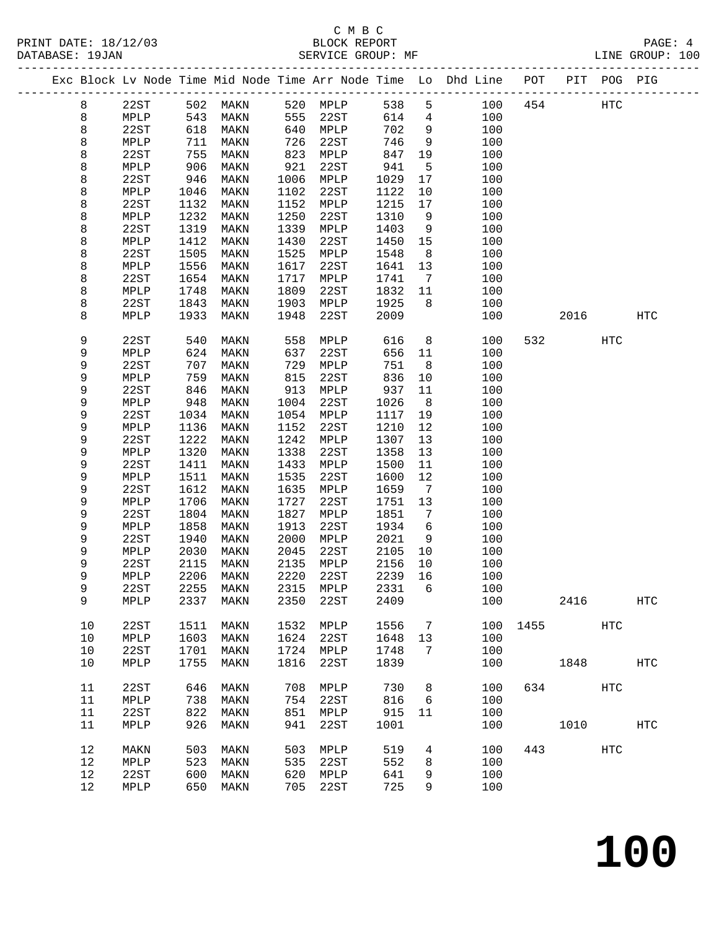|  |    |      |      |           |      |           |        |                   | Exc Block Lv Node Time Mid Node Time Arr Node Time Lo Dhd Line POT |      |      | PIT POG PIG |                   |
|--|----|------|------|-----------|------|-----------|--------|-------------------|--------------------------------------------------------------------|------|------|-------------|-------------------|
|  | 8  | 22ST | 502  | MAKN      | 520  | MPLP      | 538    | 5                 | 100                                                                | 454  |      | HTC         |                   |
|  | 8  | MPLP | 543  | MAKN      | 555  | 22ST      | 614    | $\overline{4}$    | 100                                                                |      |      |             |                   |
|  | 8  | 22ST | 618  | MAKN      | 640  | MPLP      | 702    | 9                 | 100                                                                |      |      |             |                   |
|  | 8  | MPLP | 711  | MAKN      | 726  | 22ST      | 746    | 9                 | 100                                                                |      |      |             |                   |
|  | 8  | 22ST | 755  | MAKN      | 823  | MPLP      | 847    | 19                | 100                                                                |      |      |             |                   |
|  | 8  | MPLP | 906  | MAKN      | 921  | 22ST      | 941    | 5                 | 100                                                                |      |      |             |                   |
|  | 8  | 22ST | 946  | MAKN      | 1006 | MPLP      | 1029   | 17                | 100                                                                |      |      |             |                   |
|  | 8  | MPLP | 1046 | MAKN      | 1102 | 22ST      | 1122   | 10                | 100                                                                |      |      |             |                   |
|  | 8  | 22ST | 1132 | MAKN      | 1152 | MPLP      | 1215   | 17                | 100                                                                |      |      |             |                   |
|  | 8  | MPLP | 1232 | MAKN      | 1250 | 22ST      | 1310   | 9                 | 100                                                                |      |      |             |                   |
|  | 8  | 22ST | 1319 | MAKN      | 1339 | MPLP      | 1403   | 9                 | 100                                                                |      |      |             |                   |
|  | 8  | MPLP | 1412 | MAKN      | 1430 | 22ST      | 1450   | 15                | 100                                                                |      |      |             |                   |
|  | 8  | 22ST | 1505 | MAKN      | 1525 | MPLP      | 1548   | 8                 | 100                                                                |      |      |             |                   |
|  | 8  | MPLP | 1556 | MAKN      | 1617 | 22ST      | 1641   | 13                | 100                                                                |      |      |             |                   |
|  | 8  | 22ST | 1654 | MAKN      | 1717 | MPLP      | 1741   | $7\phantom{.0}\,$ | 100                                                                |      |      |             |                   |
|  | 8  | MPLP | 1748 | MAKN      | 1809 | 22ST      | 1832   | 11                | 100                                                                |      |      |             |                   |
|  | 8  | 22ST | 1843 | MAKN      | 1903 | MPLP      | 1925   | 8                 | 100                                                                |      |      |             |                   |
|  | 8  | MPLP | 1933 | MAKN      | 1948 | 22ST      | 2009   |                   | 100                                                                |      | 2016 |             | HTC               |
|  | 9  | 22ST | 540  | MAKN      | 558  | MPLP      | 616    | 8                 | 100                                                                | 532  |      | HTC         |                   |
|  | 9  | MPLP | 624  | MAKN      | 637  | 22ST      | 656    | 11                | 100                                                                |      |      |             |                   |
|  | 9  | 22ST | 707  | MAKN      | 729  | MPLP      | 751    | 8                 | 100                                                                |      |      |             |                   |
|  | 9  | MPLP | 759  | MAKN      | 815  | 22ST      | 836    | 10                | 100                                                                |      |      |             |                   |
|  | 9  | 22ST | 846  | MAKN      | 913  | MPLP      | 937    | 11                | 100                                                                |      |      |             |                   |
|  | 9  | MPLP | 948  | MAKN      | 1004 | 22ST      | 1026   | 8                 | 100                                                                |      |      |             |                   |
|  | 9  | 22ST | 1034 | MAKN      | 1054 | MPLP      | 1117   | 19                | 100                                                                |      |      |             |                   |
|  | 9  | MPLP | 1136 | MAKN      | 1152 | 22ST      | 1210   | 12                | 100                                                                |      |      |             |                   |
|  | 9  | 22ST | 1222 | MAKN      | 1242 | MPLP      | 1307   | 13                | 100                                                                |      |      |             |                   |
|  | 9  | MPLP | 1320 | MAKN      | 1338 | 22ST      | 1358   | 13                | 100                                                                |      |      |             |                   |
|  | 9  | 22ST | 1411 | MAKN      | 1433 | MPLP      | 1500   | 11                | 100                                                                |      |      |             |                   |
|  | 9  | MPLP | 1511 | MAKN      | 1535 | 22ST      | 1600   | 12                | 100                                                                |      |      |             |                   |
|  | 9  | 22ST | 1612 | MAKN      | 1635 | MPLP      | 1659   | $7\phantom{.0}$   | 100                                                                |      |      |             |                   |
|  | 9  | MPLP | 1706 | MAKN      | 1727 | 22ST      | 1751   | 13                | 100                                                                |      |      |             |                   |
|  | 9  | 22ST | 1804 | MAKN      | 1827 | MPLP      | 1851   | 7                 | 100                                                                |      |      |             |                   |
|  | 9  | MPLP | 1858 | MAKN      | 1913 | 22ST      | 1934   | 6                 | 100                                                                |      |      |             |                   |
|  | 9  | 22ST | 1940 | MAKN      | 2000 | MPLP      | 2021   | 9                 | 100                                                                |      |      |             |                   |
|  | 9  | MPLP | 2030 | MAKN      | 2045 | 22ST      | 2105   | 10                | 100                                                                |      |      |             |                   |
|  | 9  | 22ST | 2115 | MAKN      | 2135 | MPLP      | 2156   | 10                | 100                                                                |      |      |             |                   |
|  | 9  | MPLP | 2206 | MAKN      | 2220 | 22ST      | 2239   | 16                | 100                                                                |      |      |             |                   |
|  | 9  | 22ST |      | 2255 MAKN |      | 2315 MPLP | 2331 6 |                   | 100                                                                |      |      |             |                   |
|  | 9  | MPLP | 2337 | MAKN      | 2350 | 22ST      | 2409   |                   | 100                                                                |      | 2416 |             | HTC               |
|  | 10 | 22ST | 1511 | MAKN      | 1532 | MPLP      | 1556   | 7                 | 100                                                                | 1455 |      | HTC         |                   |
|  | 10 | MPLP | 1603 | MAKN      | 1624 | 22ST      | 1648   | 13                | 100                                                                |      |      |             |                   |
|  | 10 | 22ST | 1701 | MAKN      | 1724 | MPLP      | 1748   | 7                 | 100                                                                |      |      |             |                   |
|  | 10 | MPLP | 1755 | MAKN      | 1816 | 22ST      | 1839   |                   | 100                                                                |      | 1848 |             | $_{\mathrm{HTC}}$ |
|  | 11 | 22ST | 646  | MAKN      | 708  | MPLP      | 730    | 8                 | 100                                                                | 634  |      | HTC         |                   |
|  | 11 | MPLP | 738  | MAKN      | 754  | 22ST      | 816    | 6                 | 100                                                                |      |      |             |                   |
|  | 11 | 22ST | 822  | MAKN      | 851  | MPLP      | 915    | 11                | 100                                                                |      |      |             |                   |
|  | 11 | MPLP | 926  | MAKN      | 941  | 22ST      | 1001   |                   | 100                                                                |      | 1010 |             | <b>HTC</b>        |
|  | 12 | MAKN | 503  | MAKN      | 503  | MPLP      | 519    | 4                 | 100                                                                | 443  |      | HTC         |                   |
|  | 12 | MPLP | 523  | MAKN      | 535  | 22ST      | 552    | 8                 | 100                                                                |      |      |             |                   |
|  | 12 | 22ST | 600  | MAKN      | 620  | MPLP      | 641    | 9                 | 100                                                                |      |      |             |                   |
|  | 12 | MPLP | 650  | MAKN      | 705  | 22ST      | 725    | 9                 | 100                                                                |      |      |             |                   |
|  |    |      |      |           |      |           |        |                   |                                                                    |      |      |             |                   |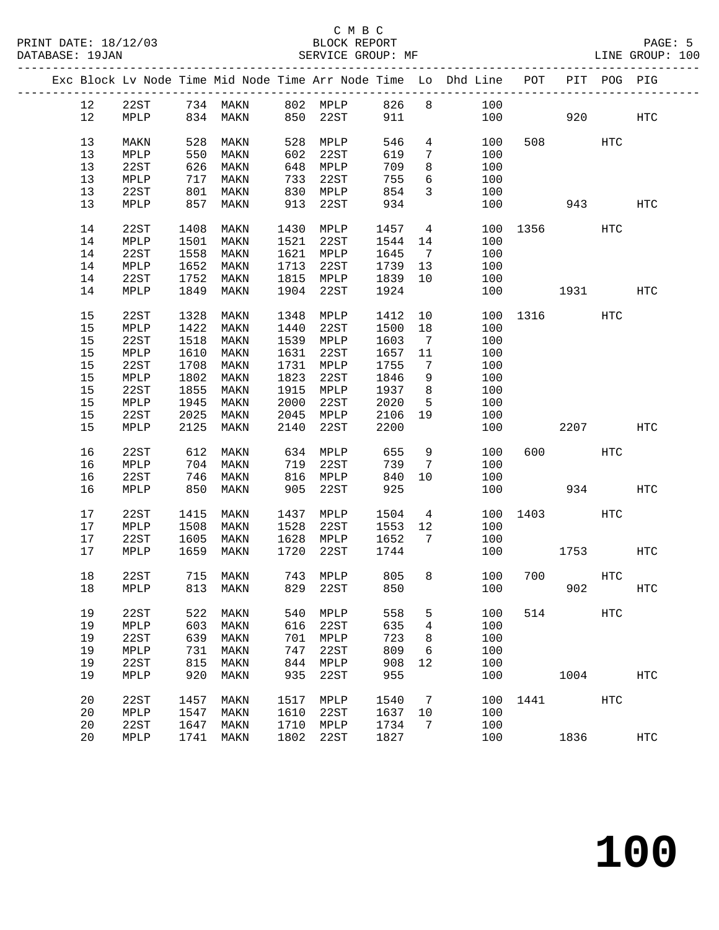|  |    |      |      |                               |      |          |      |                 | Exc Block Lv Node Time Mid Node Time Arr Node Time Lo Dhd Line POT |             |      | PIT POG PIG |                   |
|--|----|------|------|-------------------------------|------|----------|------|-----------------|--------------------------------------------------------------------|-------------|------|-------------|-------------------|
|  | 12 | 22ST |      | 734 MAKN                      | 802  | MPLP     | 826  | 8               | 100                                                                |             |      |             |                   |
|  | 12 | MPLP | 834  | MAKN                          | 850  | 22ST     | 911  |                 | 100                                                                |             | 920  |             | HTC               |
|  |    |      |      |                               |      |          |      |                 |                                                                    |             |      |             |                   |
|  | 13 | MAKN | 528  | MAKN                          | 528  | MPLP     | 546  | $4\overline{ }$ | 100                                                                | 508         |      | HTC         |                   |
|  | 13 | MPLP | 550  | MAKN                          | 602  | 22ST     | 619  | $7\phantom{.0}$ | 100                                                                |             |      |             |                   |
|  | 13 | 22ST | 626  | MAKN                          | 648  | MPLP     | 709  | 8               | 100                                                                |             |      |             |                   |
|  | 13 | MPLP | 717  | MAKN                          | 733  | 22ST     | 755  | 6               | 100                                                                |             |      |             |                   |
|  | 13 | 22ST | 801  | MAKN                          | 830  | MPLP     | 854  | $\mathbf{3}$    | 100                                                                |             |      |             |                   |
|  | 13 | MPLP | 857  | MAKN                          | 913  | 22ST     | 934  |                 | 100                                                                |             | 943  |             | <b>HTC</b>        |
|  |    |      |      |                               |      |          |      |                 |                                                                    |             |      |             |                   |
|  | 14 | 22ST | 1408 | MAKN                          | 1430 | MPLP     | 1457 | $\overline{4}$  | 100                                                                | 1356 139    |      | HTC         |                   |
|  | 14 | MPLP | 1501 | MAKN                          | 1521 | 22ST     | 1544 | 14              | 100                                                                |             |      |             |                   |
|  | 14 | 22ST | 1558 | MAKN                          | 1621 | MPLP     | 1645 | $\overline{7}$  | 100                                                                |             |      |             |                   |
|  | 14 | MPLP | 1652 | MAKN                          | 1713 | 22ST     | 1739 | 13              | 100                                                                |             |      |             |                   |
|  | 14 | 22ST | 1752 |                               | 1815 | MPLP     | 1839 | 10              |                                                                    |             |      |             |                   |
|  |    |      |      | MAKN                          |      |          |      |                 | 100                                                                |             |      |             |                   |
|  | 14 | MPLP | 1849 | MAKN                          | 1904 | 22ST     | 1924 |                 | 100                                                                |             | 1931 |             | HTC               |
|  |    |      |      |                               |      |          |      |                 |                                                                    |             |      |             |                   |
|  | 15 | 22ST | 1328 | MAKN                          | 1348 | MPLP     | 1412 | 10              | 100                                                                |             | 1316 | HTC         |                   |
|  | 15 | MPLP | 1422 | MAKN                          | 1440 | 22ST     | 1500 | 18              | 100                                                                |             |      |             |                   |
|  | 15 | 22ST | 1518 | MAKN                          | 1539 | MPLP     | 1603 | $\overline{7}$  | 100                                                                |             |      |             |                   |
|  | 15 | MPLP | 1610 | MAKN                          | 1631 | 22ST     | 1657 | 11              | 100                                                                |             |      |             |                   |
|  | 15 | 22ST | 1708 | MAKN                          | 1731 | MPLP     | 1755 | 7               | 100                                                                |             |      |             |                   |
|  | 15 | MPLP | 1802 | MAKN                          | 1823 | 22ST     | 1846 | 9               | 100                                                                |             |      |             |                   |
|  | 15 | 22ST | 1855 | MAKN                          | 1915 | MPLP     | 1937 | 8               | 100                                                                |             |      |             |                   |
|  | 15 | MPLP | 1945 | MAKN                          | 2000 | 22ST     | 2020 | 5               | 100                                                                |             |      |             |                   |
|  | 15 | 22ST | 2025 | MAKN                          | 2045 | MPLP     | 2106 | 19              | 100                                                                |             |      |             |                   |
|  | 15 | MPLP | 2125 | MAKN                          | 2140 | 22ST     | 2200 |                 | 100                                                                |             | 2207 |             | HTC               |
|  |    |      |      |                               |      |          |      |                 |                                                                    |             |      |             |                   |
|  | 16 | 22ST | 612  | MAKN                          | 634  | MPLP     | 655  | 9               | 100                                                                | 600         |      | HTC         |                   |
|  | 16 | MPLP | 704  | MAKN                          | 719  | 22ST     | 739  | 7               | 100                                                                |             |      |             |                   |
|  | 16 | 22ST | 746  | MAKN                          | 816  | MPLP     | 840  | 10              | 100                                                                |             |      |             |                   |
|  | 16 | MPLP | 850  | MAKN                          | 905  | 22ST     | 925  |                 | 100                                                                |             | 934  |             | <b>HTC</b>        |
|  |    |      |      |                               |      |          |      |                 |                                                                    |             |      |             |                   |
|  | 17 | 22ST | 1415 | MAKN                          | 1437 | MPLP     | 1504 | $4\overline{ }$ | 100                                                                |             | 1403 | HTC         |                   |
|  | 17 | MPLP | 1508 | MAKN                          | 1528 | 22ST     | 1553 | 12              | 100                                                                |             |      |             |                   |
|  | 17 | 22ST | 1605 | MAKN                          | 1628 | MPLP     | 1652 | $\overline{7}$  | 100                                                                |             |      |             |                   |
|  | 17 | MPLP | 1659 | MAKN                          | 1720 | 22ST     | 1744 |                 | 100                                                                |             | 1753 |             | HTC               |
|  |    |      |      |                               |      |          |      |                 |                                                                    |             |      |             |                   |
|  | 18 | 22ST |      | 715 MAKN                      |      | 743 MPLP | 805  |                 | 8<br>100                                                           |             | 700  | HTC         |                   |
|  |    |      |      | 18 MPLP 813 MAKN 829 22ST 850 |      |          |      |                 |                                                                    | 100 902 HTC |      |             |                   |
|  |    |      |      |                               |      |          |      |                 |                                                                    |             |      |             |                   |
|  | 19 | 22ST | 522  | MAKN                          | 540  | MPLP     | 558  | 5               | 100                                                                | 514         |      | <b>HTC</b>  |                   |
|  | 19 | MPLP | 603  | MAKN                          | 616  | 22ST     | 635  | 4               | 100                                                                |             |      |             |                   |
|  | 19 | 22ST | 639  | MAKN                          | 701  | MPLP     | 723  | 8               | 100                                                                |             |      |             |                   |
|  | 19 | MPLP | 731  | MAKN                          | 747  | 22ST     | 809  | 6               | 100                                                                |             |      |             |                   |
|  | 19 | 22ST | 815  | MAKN                          | 844  | MPLP     | 908  | 12              | 100                                                                |             |      |             |                   |
|  | 19 | MPLP | 920  | MAKN                          | 935  | 22ST     | 955  |                 | 100                                                                |             | 1004 |             | $_{\mathrm{HTC}}$ |
|  |    |      |      |                               |      |          |      |                 |                                                                    |             |      |             |                   |
|  | 20 | 22ST | 1457 | MAKN                          | 1517 | MPLP     | 1540 | 7               | 100                                                                | 1441        |      | HTC         |                   |
|  | 20 | MPLP | 1547 | MAKN                          | 1610 | 22ST     | 1637 | 10              | 100                                                                |             |      |             |                   |
|  | 20 | 22ST | 1647 | MAKN                          | 1710 | MPLP     | 1734 | 7               | 100                                                                |             |      |             |                   |
|  | 20 | MPLP | 1741 | MAKN                          | 1802 | 22ST     | 1827 |                 | 100                                                                |             | 1836 |             | <b>HTC</b>        |
|  |    |      |      |                               |      |          |      |                 |                                                                    |             |      |             |                   |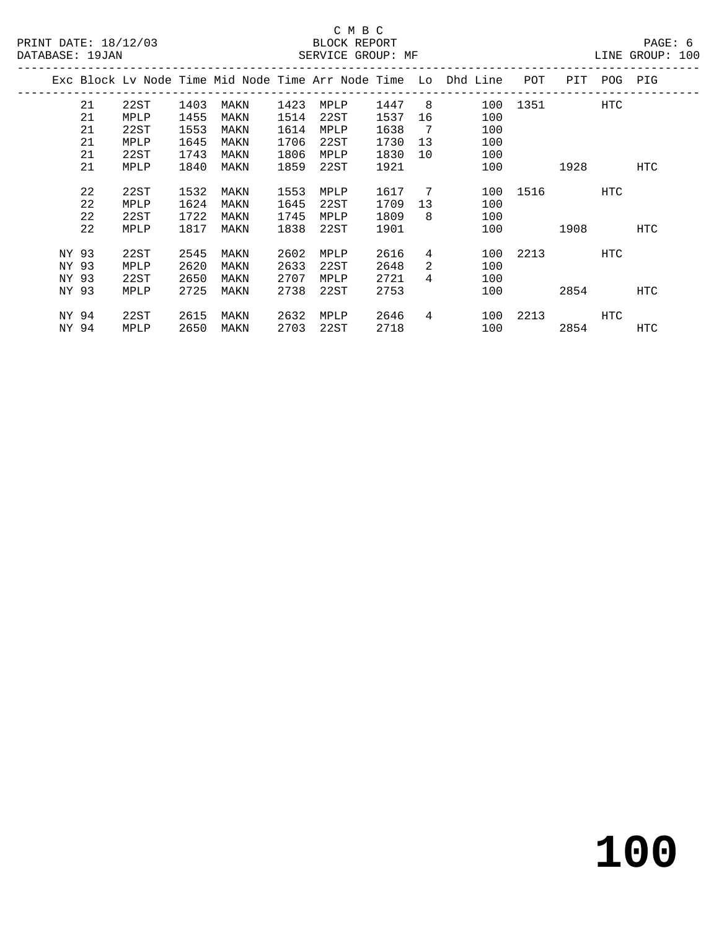|       |    |      |      |      |      |      |      |    | Exc Block Ly Node Time Mid Node Time Arr Node Time Lo Dhd Line | POT  | PIT  | POG | PIG        |
|-------|----|------|------|------|------|------|------|----|----------------------------------------------------------------|------|------|-----|------------|
|       | 21 | 22ST | 1403 | MAKN | 1423 | MPLP | 1447 | 8  | 100                                                            | 1351 |      | HTC |            |
|       | 21 | MPLP | 1455 | MAKN | 1514 | 22ST | 1537 | 16 | 100                                                            |      |      |     |            |
|       | 21 | 22ST | 1553 | MAKN | 1614 | MPLP | 1638 | 7  | 100                                                            |      |      |     |            |
|       | 21 | MPLP | 1645 | MAKN | 1706 | 22ST | 1730 | 13 | 100                                                            |      |      |     |            |
|       | 21 | 22ST | 1743 | MAKN | 1806 | MPLP | 1830 | 10 | 100                                                            |      |      |     |            |
|       | 21 | MPLP | 1840 | MAKN | 1859 | 22ST | 1921 |    | 100                                                            |      | 1928 |     | HTC        |
|       |    |      |      |      |      |      |      |    |                                                                |      |      |     |            |
|       | 22 | 22ST | 1532 | MAKN | 1553 | MPLP | 1617 | -7 | 100                                                            | 1516 |      | HTC |            |
|       | 22 | MPLP | 1624 | MAKN | 1645 | 22ST | 1709 | 13 | 100                                                            |      |      |     |            |
|       | 22 | 22ST | 1722 | MAKN | 1745 | MPLP | 1809 | 8  | 100                                                            |      |      |     |            |
|       | 22 | MPLP | 1817 | MAKN | 1838 | 22ST | 1901 |    | 100                                                            |      | 1908 |     | <b>HTC</b> |
|       |    |      |      |      |      |      |      |    |                                                                |      |      |     |            |
| NY 93 |    | 22ST | 2545 | MAKN | 2602 | MPLP | 2616 | 4  | 100                                                            | 2213 |      | HTC |            |
| NY 93 |    | MPLP | 2620 | MAKN | 2633 | 22ST | 2648 | 2  | 100                                                            |      |      |     |            |
| NY 93 |    | 22ST | 2650 | MAKN | 2707 | MPLP | 2721 | 4  | 100                                                            |      |      |     |            |
| NY 93 |    | MPLP | 2725 | MAKN | 2738 | 22ST | 2753 |    | 100                                                            |      | 2854 |     | HTC        |
|       |    |      |      |      |      |      |      |    |                                                                |      |      |     |            |
| NY 94 |    | 22ST | 2615 | MAKN | 2632 | MPLP | 2646 | 4  | 100                                                            | 2213 |      | HTC |            |
| NY 94 |    | MPLP | 2650 | MAKN | 2703 | 22ST | 2718 |    | 100                                                            |      | 2854 |     | HTC        |
|       |    |      |      |      |      |      |      |    |                                                                |      |      |     |            |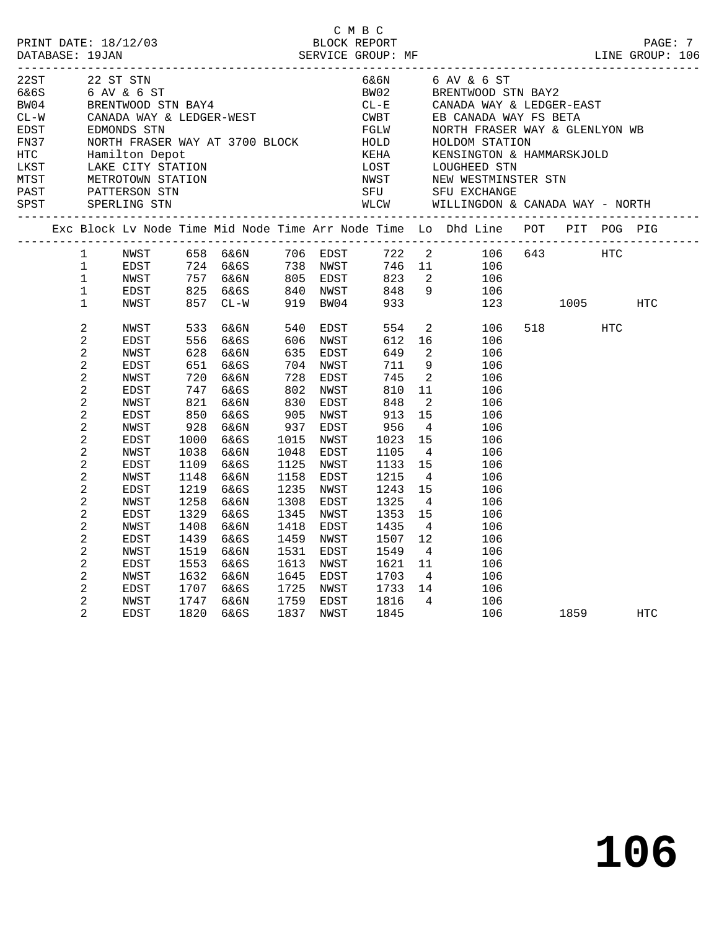| 22ST<br>$6\&6S$ 6 AV & 6 ST<br>BW04 BRENTWOOD STN BAY4<br>CL-W CANADA WAY & LEDGER-WEST<br>EDST EDMONDS STN<br>EDST<br>FN37 NORTH FRASER WAY AT<br>HTC Hamilton Depot<br>LKST LAKE CITY STATION<br>MTST METROTOWN STATION<br>PAST PATTERSON STN<br>SPST SPERLING STN |                                                                                                                                                                                                                            | 22 ST STN                                                                                                                                                                   |                                                                                                                                        |                                                                                                                                                                                       |                                                                                                                                        |                                                                                                                                                                                   |                                                                                                                                                              |                                                                                                                                                                                                                                               | 6&6N 6 AV & 6 ST<br>BW02 BRENTWOOD STN BAY2<br>CL-E CANADA WAY & LEDGER-EAST<br>CANADA WAY & LEDGER-WEST<br>CANADA WAY & LEDGER-WEST<br>EDMONDS STN<br>NORTH FRASER WAY AT 3700 BLOCK<br>Hamilton Depot<br>LAKE CITY STATION<br>LAKE CITY STATION<br>LAKE CITY STATION<br>LAKE CITY STATION<br>METROTOWN STATION<br>PATTERSON STN<br><br>WLCW WILLINGDON & CANADA WAY - NORTH |              |     |  |
|----------------------------------------------------------------------------------------------------------------------------------------------------------------------------------------------------------------------------------------------------------------------|----------------------------------------------------------------------------------------------------------------------------------------------------------------------------------------------------------------------------|-----------------------------------------------------------------------------------------------------------------------------------------------------------------------------|----------------------------------------------------------------------------------------------------------------------------------------|---------------------------------------------------------------------------------------------------------------------------------------------------------------------------------------|----------------------------------------------------------------------------------------------------------------------------------------|-----------------------------------------------------------------------------------------------------------------------------------------------------------------------------------|--------------------------------------------------------------------------------------------------------------------------------------------------------------|-----------------------------------------------------------------------------------------------------------------------------------------------------------------------------------------------------------------------------------------------|-------------------------------------------------------------------------------------------------------------------------------------------------------------------------------------------------------------------------------------------------------------------------------------------------------------------------------------------------------------------------------|--------------|-----|--|
|                                                                                                                                                                                                                                                                      |                                                                                                                                                                                                                            |                                                                                                                                                                             |                                                                                                                                        |                                                                                                                                                                                       |                                                                                                                                        |                                                                                                                                                                                   |                                                                                                                                                              |                                                                                                                                                                                                                                               | Exc Block Lv Node Time Mid Node Time Arr Node Time Lo Dhd Line POT PIT POG PIG                                                                                                                                                                                                                                                                                                |              |     |  |
|                                                                                                                                                                                                                                                                      | 1<br>$\mathbf{1}$<br>$\mathbf 1$<br>$\mathbf 1$                                                                                                                                                                            | EDST<br>NWST<br>EDST                                                                                                                                                        |                                                                                                                                        | 724 6&6S      738   NWST<br>757   6&6N       805   EDST<br>825   6&6S        840   NWST                                                                                               |                                                                                                                                        |                                                                                                                                                                                   | 823<br>848                                                                                                                                                   |                                                                                                                                                                                                                                               | NWST 658 6&6N 706 EDST 722 2 106 643 HTC<br>746 11 106<br>$\begin{array}{ccc} 2 & \hspace{1.5mm} 106 \\ 9 & \hspace{1.5mm} 106 \end{array}$                                                                                                                                                                                                                                   |              |     |  |
|                                                                                                                                                                                                                                                                      | 1<br>$\overline{c}$                                                                                                                                                                                                        | NWST                                                                                                                                                                        | 533                                                                                                                                    | 857 CL-W                                                                                                                                                                              |                                                                                                                                        | 919 BW04                                                                                                                                                                          | 933<br>554                                                                                                                                                   |                                                                                                                                                                                                                                               |                                                                                                                                                                                                                                                                                                                                                                               | 123 1005     | HTC |  |
|                                                                                                                                                                                                                                                                      | 2<br>2<br>$\overline{c}$<br>2<br>2<br>$\overline{a}$<br>2<br>$\overline{c}$<br>$\overline{c}$<br>2<br>2<br>2<br>2<br>$\overline{c}$<br>$\overline{c}$<br>2<br>2<br>2<br>$\overline{c}$<br>$\overline{c}$<br>$\overline{c}$ | EDST<br>NWST<br>EDST<br>NWST<br>EDST<br>NWST<br>EDST<br>NWST<br>EDST<br>NWST<br>EDST<br>NWST<br>EDST<br>NWST<br>EDST<br>NWST<br><b>EDST</b><br>NWST<br>EDST<br>NWST<br>EDST | 556<br>628<br>720<br>747<br>850<br>928<br>1000<br>1038<br>1109<br>1148<br>1219<br>1258<br>1329<br>1408<br>1439<br>1519<br>1553<br>1632 | 6&6S<br>6&6N<br>651 6&6S<br>6&6N<br>6&6S<br>$821$ $666N$<br>6&6S<br>6&6N<br>6&6S<br>6&6N<br>6&6S<br>6&6N<br>6&6S<br>6&6N<br>6&6S<br>6&6N<br>6&6S<br>6&6N<br>6&6S<br>6&6N<br>1707 6&6S | 635<br>728<br>802<br>830<br>905<br>937<br>1015<br>1048<br>1125<br>1158<br>1235<br>1308<br>1345<br>1418<br>1459<br>1531<br>1613<br>1645 | 606 NWST<br>EDST<br>704 NWST<br>EDST<br>NWST<br>EDST<br>NWST<br>EDST<br>NWST<br>EDST<br>NWST<br>EDST<br>NWST<br>EDST<br>NWST<br>EDST<br>NWST<br>EDST<br>NWST<br>EDST<br>1725 NWST | 612<br>649<br>711<br>745<br>810<br>848<br>913<br>956<br>1023<br>1105<br>1133<br>1215<br>1243<br>1325<br>1353<br>1435<br>1507<br>1549<br>1621<br>1703<br>1733 | $\overline{2}$<br>9<br>$\overline{2}$<br>11<br>$\overline{2}$<br>15<br>$\overline{4}$<br>15<br>$\overline{4}$<br>15<br>$\overline{4}$<br>15<br>$\overline{4}$<br>15<br>$\overline{4}$<br>12<br>$4\overline{4}$<br>11<br>$4\overline{4}$<br>14 | $\begin{array}{ccc} 2 & \hspace{1.5cm} 106 \\ 16 & \hspace{1.5cm} 106 \end{array}$<br>106<br>106<br>106<br>106<br>106<br>106<br>106<br>106<br>106<br>106<br>106<br>106<br>106<br>106<br>106<br>106<br>106<br>106<br>106<br>106                                                                                                                                                |              |     |  |
|                                                                                                                                                                                                                                                                      | 2<br>$\overline{a}$                                                                                                                                                                                                        | NWST<br>EDST                                                                                                                                                                | 1747<br>1820                                                                                                                           | 6&6N<br>6&6S                                                                                                                                                                          | 1837                                                                                                                                   | 1759 EDST<br>NWST                                                                                                                                                                 | 1816<br>1845                                                                                                                                                 | $\overline{4}$                                                                                                                                                                                                                                | 106                                                                                                                                                                                                                                                                                                                                                                           | 106 1859 HTC |     |  |

C M B C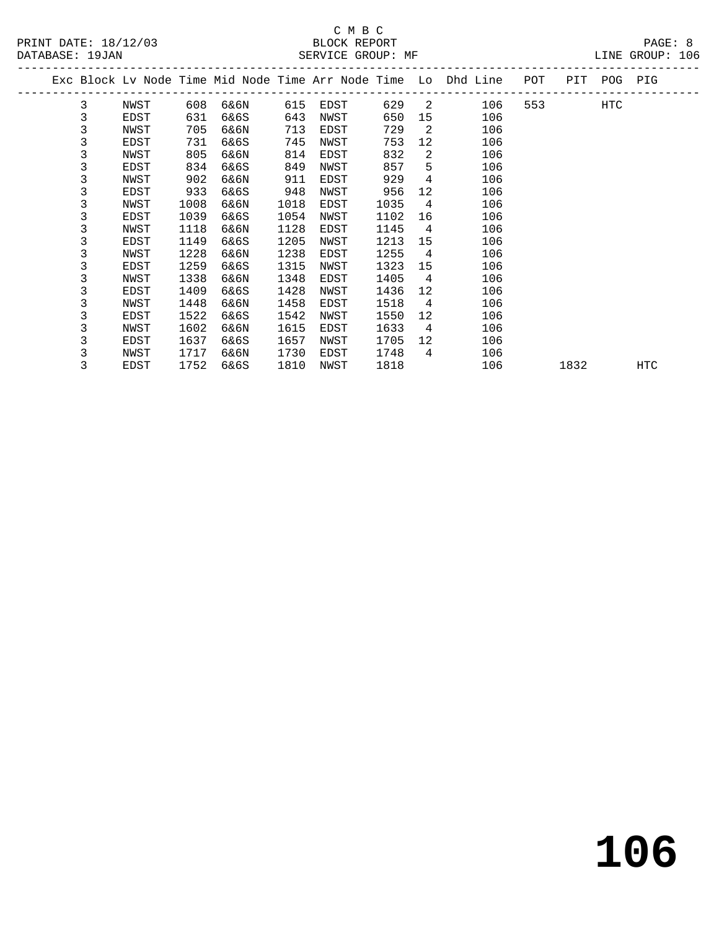# C M B C<br>BLOCK REPORT

| PRINT DATE: 18/12/03 | BLOCK REPORT      | PAGE: 8         |  |
|----------------------|-------------------|-----------------|--|
| DATABASE: 19JAN      | SERVICE GROUP: MF | LINE GROUP: 106 |  |

|  |   |      |      |      |      |      |      |                | Exc Block Lv Node Time Mid Node Time Arr Node Time Lo Dhd Line | POT |      | PIT POG PIG |            |
|--|---|------|------|------|------|------|------|----------------|----------------------------------------------------------------|-----|------|-------------|------------|
|  | 3 | NWST | 608  | 6&6N | 615  | EDST | 629  | -2             | 106                                                            | 553 |      | HTC         |            |
|  | 3 | EDST | 631  | 6&6S | 643  | NWST | 650  | 15             | 106                                                            |     |      |             |            |
|  | 3 | NWST | 705  | 6&6N | 713  | EDST | 729  | 2              | 106                                                            |     |      |             |            |
|  | 3 | EDST | 731  | 6&6S | 745  | NWST | 753  | 12             | 106                                                            |     |      |             |            |
|  | 3 | NWST | 805  | 6&6N | 814  | EDST | 832  | 2              | 106                                                            |     |      |             |            |
|  | 3 | EDST | 834  | 6&6S | 849  | NWST | 857  | 5              | 106                                                            |     |      |             |            |
|  | 3 | NWST | 902  | 6&6N | 911  | EDST | 929  | 4              | 106                                                            |     |      |             |            |
|  | 3 | EDST | 933  | 6&6S | 948  | NWST | 956  | 12             | 106                                                            |     |      |             |            |
|  | 3 | NWST | 1008 | 6&6N | 1018 | EDST | 1035 | $\overline{4}$ | 106                                                            |     |      |             |            |
|  | 3 | EDST | 1039 | 6&6S | 1054 | NWST | 1102 | 16             | 106                                                            |     |      |             |            |
|  | 3 | NWST | 1118 | 6&6N | 1128 | EDST | 1145 | $\overline{4}$ | 106                                                            |     |      |             |            |
|  | 3 | EDST | 1149 | 6&6S | 1205 | NWST | 1213 | 15             | 106                                                            |     |      |             |            |
|  | 3 | NWST | 1228 | 6&6N | 1238 | EDST | 1255 | $\overline{4}$ | 106                                                            |     |      |             |            |
|  | 3 | EDST | 1259 | 6&6S | 1315 | NWST | 1323 | 15             | 106                                                            |     |      |             |            |
|  | 3 | NWST | 1338 | 6&6N | 1348 | EDST | 1405 | 4              | 106                                                            |     |      |             |            |
|  | 3 | EDST | 1409 | 6&6S | 1428 | NWST | 1436 | 12             | 106                                                            |     |      |             |            |
|  | 3 | NWST | 1448 | 6&6N | 1458 | EDST | 1518 | 4              | 106                                                            |     |      |             |            |
|  | 3 | EDST | 1522 | 6&6S | 1542 | NWST | 1550 | 12             | 106                                                            |     |      |             |            |
|  | 3 | NWST | 1602 | 6&6N | 1615 | EDST | 1633 | $\overline{4}$ | 106                                                            |     |      |             |            |
|  | 3 | EDST | 1637 | 6&6S | 1657 | NWST | 1705 | 12             | 106                                                            |     |      |             |            |
|  | 3 | NWST | 1717 | 6&6N | 1730 | EDST | 1748 | 4              | 106                                                            |     |      |             |            |
|  | 3 | EDST | 1752 | 6&6S | 1810 | NWST | 1818 |                | 106                                                            |     | 1832 |             | <b>HTC</b> |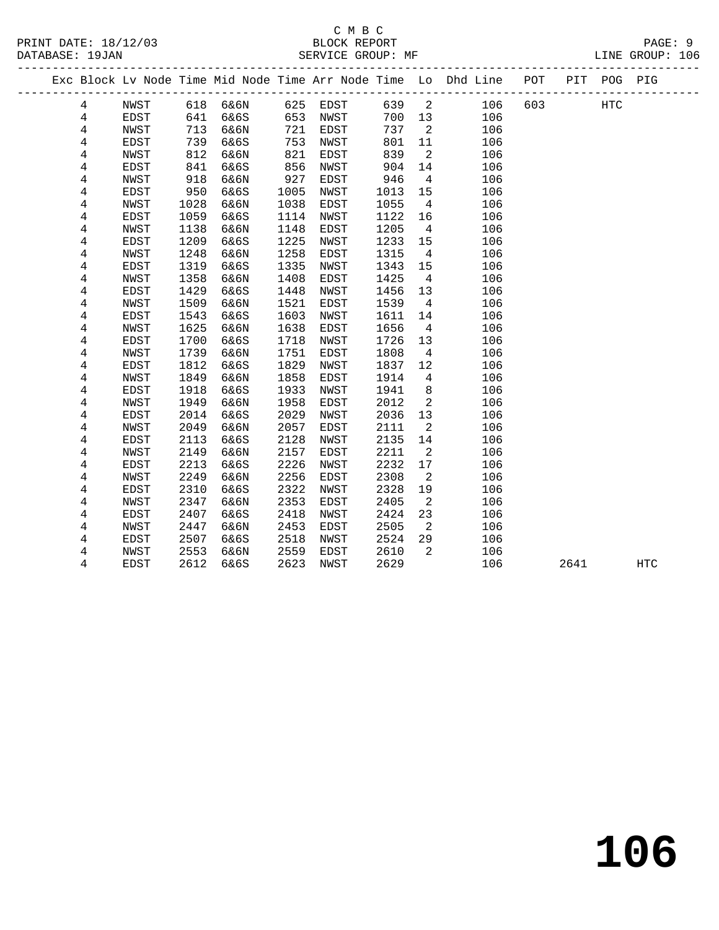|                |             |      |      |      |          |      |                | Exc Block Lv Node Time Mid Node Time Arr Node Time Lo Dhd Line POT |     |      | PIT POG PIG |     |  |
|----------------|-------------|------|------|------|----------|------|----------------|--------------------------------------------------------------------|-----|------|-------------|-----|--|
| $\overline{4}$ | NWST        | 618  | 6&6N |      | 625 EDST | 639  | $\overline{2}$ | 106                                                                | 603 |      | HTC         |     |  |
| 4              | EDST        | 641  | 6&6S | 653  | NWST     | 700  | 13             | 106                                                                |     |      |             |     |  |
| 4              | NWST        | 713  | 6&6N | 721  | EDST     | 737  | $\overline{2}$ | 106                                                                |     |      |             |     |  |
| 4              | EDST        | 739  | 6&6S | 753  | NWST     | 801  | 11             | 106                                                                |     |      |             |     |  |
| 4              | NWST        | 812  | 6&6N | 821  | EDST     | 839  | 2              | 106                                                                |     |      |             |     |  |
| 4              | <b>EDST</b> | 841  | 6&6S | 856  | NWST     | 904  | 14             | 106                                                                |     |      |             |     |  |
| 4              | NWST        | 918  | 6&6N | 927  | EDST     | 946  | 4              | 106                                                                |     |      |             |     |  |
| $\,4$          | EDST        | 950  | 6&6S | 1005 | NWST     | 1013 | 15             | 106                                                                |     |      |             |     |  |
| 4              | NWST        | 1028 | 6&6N | 1038 | EDST     | 1055 | $\overline{4}$ | 106                                                                |     |      |             |     |  |
| 4              | EDST        | 1059 | 6&6S | 1114 | NWST     | 1122 | 16             | 106                                                                |     |      |             |     |  |
| 4              | NWST        | 1138 | 6&6N | 1148 | EDST     | 1205 | $\overline{4}$ | 106                                                                |     |      |             |     |  |
| 4              | <b>EDST</b> | 1209 | 6&6S | 1225 | NWST     | 1233 | 15             | 106                                                                |     |      |             |     |  |
| 4              | NWST        | 1248 | 6&6N | 1258 | EDST     | 1315 | 4              | 106                                                                |     |      |             |     |  |
| 4              | EDST        | 1319 | 6&6S | 1335 | NWST     | 1343 | 15             | 106                                                                |     |      |             |     |  |
| 4              | NWST        | 1358 | 6&6N | 1408 | EDST     | 1425 | $\overline{4}$ | 106                                                                |     |      |             |     |  |
| 4              | EDST        | 1429 | 6&6S | 1448 | NWST     | 1456 | 13             | 106                                                                |     |      |             |     |  |
| 4              | NWST        | 1509 | 6&6N | 1521 | EDST     | 1539 | $\overline{4}$ | 106                                                                |     |      |             |     |  |
| 4              | EDST        | 1543 | 6&6S | 1603 | NWST     | 1611 | 14             | 106                                                                |     |      |             |     |  |
| 4              | NWST        | 1625 | 6&6N | 1638 | EDST     | 1656 | $\overline{4}$ | 106                                                                |     |      |             |     |  |
| $\overline{4}$ | EDST        | 1700 | 6&6S | 1718 | NWST     | 1726 | 13             | 106                                                                |     |      |             |     |  |
| 4              | NWST        | 1739 | 6&6N | 1751 | EDST     | 1808 | $\overline{4}$ | 106                                                                |     |      |             |     |  |
| 4              | <b>EDST</b> | 1812 | 6&6S | 1829 | NWST     | 1837 | 12             | 106                                                                |     |      |             |     |  |
| 4              | NWST        | 1849 | 6&6N | 1858 | EDST     | 1914 | 4              | 106                                                                |     |      |             |     |  |
| 4              | <b>EDST</b> | 1918 | 6&6S | 1933 | NWST     | 1941 | 8              | 106                                                                |     |      |             |     |  |
| 4              | NWST        | 1949 | 6&6N | 1958 | EDST     | 2012 | 2              | 106                                                                |     |      |             |     |  |
| 4              | <b>EDST</b> | 2014 | 6&6S | 2029 | NWST     | 2036 | 13             | 106                                                                |     |      |             |     |  |
| 4              | NWST        | 2049 | 6&6N | 2057 | EDST     | 2111 | 2              | 106                                                                |     |      |             |     |  |
| 4              | <b>EDST</b> | 2113 | 6&6S | 2128 | NWST     | 2135 | 14             | 106                                                                |     |      |             |     |  |
| 4              | NWST        | 2149 | 6&6N | 2157 | EDST     | 2211 | 2              | 106                                                                |     |      |             |     |  |
| 4              | <b>EDST</b> | 2213 | 6&6S | 2226 | NWST     | 2232 | 17             | 106                                                                |     |      |             |     |  |
| 4              | NWST        | 2249 | 6&6N | 2256 | EDST     | 2308 | 2              | 106                                                                |     |      |             |     |  |
| 4              | EDST        | 2310 | 6&6S | 2322 | NWST     | 2328 | 19             | 106                                                                |     |      |             |     |  |
| 4              | NWST        | 2347 | 6&6N | 2353 | EDST     | 2405 | 2              | 106                                                                |     |      |             |     |  |
| 4              | <b>EDST</b> | 2407 | 6&6S | 2418 | NWST     | 2424 | 23             | 106                                                                |     |      |             |     |  |
| 4              | NWST        | 2447 | 6&6N | 2453 | EDST     | 2505 | 2              | 106                                                                |     |      |             |     |  |
| 4              | EDST        | 2507 | 6&6S | 2518 | NWST     | 2524 | 29             | 106                                                                |     |      |             |     |  |
| 4              | NWST        | 2553 | 6&6N | 2559 | EDST     | 2610 | 2              | 106                                                                |     |      |             |     |  |
| 4              | <b>EDST</b> | 2612 | 6&6S | 2623 | NWST     | 2629 |                | 106                                                                |     | 2641 |             | HTC |  |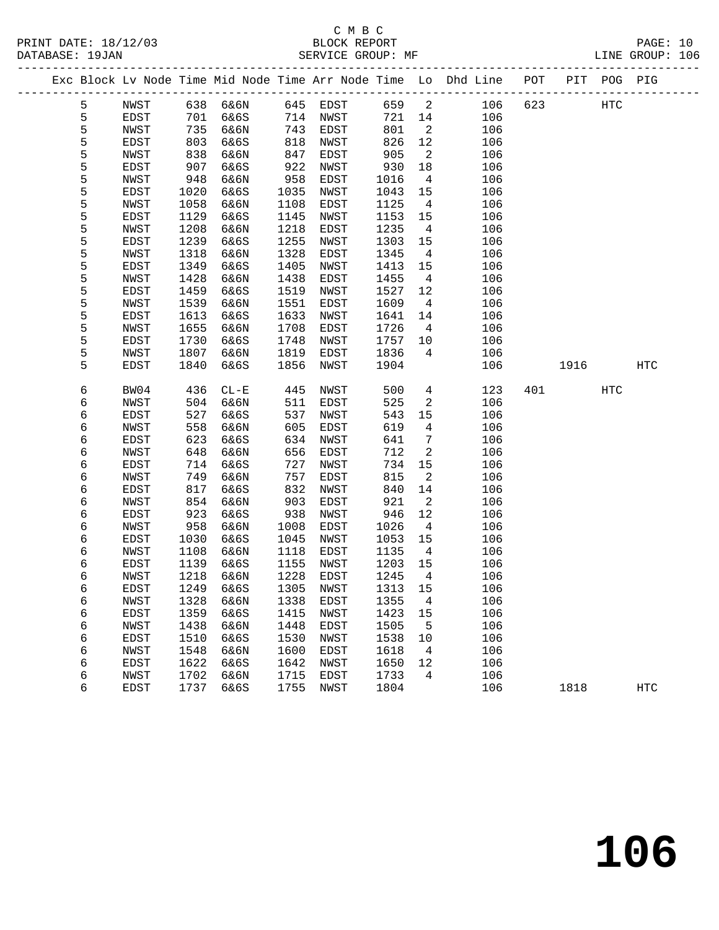PRINT DATE: 18/12/03 BLOCK REPORT BATABASE: 19JAN BLOCK REPORT

# C M B C<br>BLOCK REPORT

PAGE: 10<br>LINE GROUP: 106

|  |        |              |              | Exc Block Lv Node Time Mid Node Time Arr Node Time Lo Dhd Line POT |              |                     |                 |                          |            |     |      | PIT POG PIG |     |  |
|--|--------|--------------|--------------|--------------------------------------------------------------------|--------------|---------------------|-----------------|--------------------------|------------|-----|------|-------------|-----|--|
|  | 5      | NWST         | 638          | 6&6N                                                               | 645          | EDST                | 659             | $\overline{\mathbf{c}}$  | 106        | 623 |      | HTC         |     |  |
|  | 5      | EDST         | 701          | 6&6S                                                               | 714          | NWST                | 721             | 14                       | 106        |     |      |             |     |  |
|  | 5      | NWST         | 735          | 6&6N                                                               | 743          | EDST                | 801             | $\overline{2}$           | 106        |     |      |             |     |  |
|  | 5      | EDST         | 803          | 6&6S                                                               | 818          | NWST                | 826             | 12                       | 106        |     |      |             |     |  |
|  | 5      | NWST         | 838          | 6&6N                                                               | 847          | EDST                | 905             | $\overline{\phantom{a}}$ | 106        |     |      |             |     |  |
|  | 5      | EDST         | 907          | 6&6S                                                               | 922          | NWST                | 930             | 18                       | 106        |     |      |             |     |  |
|  | 5      | NWST         | 948          | 6&6N                                                               | 958          | EDST                | 1016            | $\overline{4}$           | 106        |     |      |             |     |  |
|  | 5      | EDST         | 1020         | 6&6S                                                               | 1035         | NWST                | 1043            | 15                       | 106        |     |      |             |     |  |
|  | 5      | NWST         | 1058         | 6&6N                                                               | 1108         | EDST                | 1125            | $\overline{4}$           | 106        |     |      |             |     |  |
|  | 5      | EDST         | 1129         | 6&6S                                                               | 1145         | NWST                | 1153            | 15                       | 106        |     |      |             |     |  |
|  | 5      | NWST         | 1208         | 6&6N                                                               | 1218         | EDST                | 1235            | $\overline{4}$           | 106        |     |      |             |     |  |
|  | 5      | EDST         | 1239         | 6&6S                                                               | 1255         | NWST                | 1303            | 15                       | 106        |     |      |             |     |  |
|  | 5      | NWST         | 1318         | 6&6N                                                               | 1328         | EDST                | 1345            | $\overline{4}$           | 106        |     |      |             |     |  |
|  | 5      | EDST         | 1349         | 6&6S                                                               | 1405         | NWST                | 1413            | 15                       | 106        |     |      |             |     |  |
|  | 5      | NWST         | 1428         | 6&6N                                                               | 1438         | EDST                | 1455            | $\overline{4}$           | 106        |     |      |             |     |  |
|  | 5      | EDST         | 1459         | 6&6S                                                               | 1519         | NWST                | 1527            | 12                       | 106        |     |      |             |     |  |
|  | 5      | NWST         | 1539         | 6&6N                                                               | 1551         | EDST                | 1609            | 4                        | 106        |     |      |             |     |  |
|  | 5      | EDST         | 1613         | 6&6S                                                               | 1633         | NWST                | 1641            | 14                       | 106        |     |      |             |     |  |
|  | 5      | NWST         | 1655         | 6&6N                                                               | 1708         | EDST                | 1726            | $\overline{4}$           | 106        |     |      |             |     |  |
|  | 5      | EDST         | 1730         | 6&6S                                                               | 1748         | NWST                | 1757            | 10                       | 106        |     |      |             |     |  |
|  | 5      | NWST         | 1807         | 6&6N                                                               | 1819         | EDST                | 1836            | 4                        | 106        |     |      |             |     |  |
|  | 5      | <b>EDST</b>  | 1840         | 6&6S                                                               | 1856         | NWST                | 1904            |                          | 106        |     | 1916 |             | HTC |  |
|  |        |              |              |                                                                    |              |                     |                 |                          |            |     |      |             |     |  |
|  | 6      | BW04         | 436          | $CL - E$                                                           | 445          | NWST                | 500             | $\overline{4}$           | 123        | 401 |      | HTC         |     |  |
|  | 6      | NWST         | 504          | 6&6N                                                               | 511          | EDST                | 525             | 2                        | 106        |     |      |             |     |  |
|  | 6      | EDST         | 527          | 6&6S                                                               | 537          | NWST                | 543             | 15                       | 106        |     |      |             |     |  |
|  | 6      | NWST         | 558          | 6&6N                                                               | 605          | EDST                | 619             | 4                        | 106        |     |      |             |     |  |
|  | 6      | EDST         | 623          | 6&6S                                                               | 634          | NWST                | 641             | 7                        | 106        |     |      |             |     |  |
|  | 6      | NWST         | 648          | 6&6N                                                               | 656          | EDST                | 712             | 2                        | 106        |     |      |             |     |  |
|  | 6      | EDST         | 714          | 6&6S                                                               | 727          | NWST                | 734             | 15                       | 106        |     |      |             |     |  |
|  | 6      | NWST         | 749          | 6&6N                                                               | 757          | EDST                | 815             | 2                        | 106        |     |      |             |     |  |
|  | 6      | EDST         | 817          | 6&6S                                                               | 832          | NWST                | 840             | 14                       | 106        |     |      |             |     |  |
|  | 6      | NWST         | 854          | 6&6N                                                               | 903          | EDST                | 921             | 2                        | 106        |     |      |             |     |  |
|  | 6      | EDST         | 923          | 6&6S                                                               | 938          | NWST                | 946             | 12                       | 106        |     |      |             |     |  |
|  | 6      | NWST         | 958          | 6&6N                                                               | 1008         | EDST                | 1026            | $\overline{4}$           | 106        |     |      |             |     |  |
|  | 6      | EDST         | 1030         | 6&6S                                                               | 1045         | NWST                | 1053            | 15                       | 106        |     |      |             |     |  |
|  | 6      | NWST         | 1108         | 6&6N                                                               | 1118         | EDST                | 1135            | $\overline{4}$           | 106        |     |      |             |     |  |
|  | 6<br>6 | EDST         | 1139         | 6&6S                                                               | 1155         | NWST<br>EDST        | 1203            | 15                       | 106        |     |      |             |     |  |
|  |        | NWST         | 1218         | 6&6N                                                               | 1228         |                     | 1245<br>1313 15 | $\overline{4}$           | 106        |     |      |             |     |  |
|  | 6      | EDST         | 1249         | 6&6S                                                               | 1305         | NWST                |                 |                          | 106        |     |      |             |     |  |
|  | 6      | NWST         | 1328<br>1359 | 6&6N<br>6&6S                                                       | 1338<br>1415 | EDST                | 1355<br>1423    | 4                        | 106<br>106 |     |      |             |     |  |
|  | 6      | EDST         |              |                                                                    | 1448         | NWST<br><b>EDST</b> | 1505            | 15                       |            |     |      |             |     |  |
|  | 6      | NWST         | 1438         | 6&6N<br>6&6S                                                       | 1530         |                     | 1538            | 5                        | 106<br>106 |     |      |             |     |  |
|  | 6<br>6 | EDST<br>NWST | 1510<br>1548 | 6&6N                                                               | 1600         | NWST<br>EDST        | 1618            | 10<br>4                  | 106        |     |      |             |     |  |
|  | 6      | EDST         | 1622         | 6&6S                                                               | 1642         | NWST                | 1650            | 12                       | 106        |     |      |             |     |  |
|  | 6      | NWST         | 1702         | 6&6N                                                               | 1715         | EDST                | 1733            | 4                        | 106        |     |      |             |     |  |
|  | 6      | EDST         | 1737         | 6&6S                                                               | 1755         | NWST                | 1804            |                          | 106        |     | 1818 |             | HTC |  |
|  |        |              |              |                                                                    |              |                     |                 |                          |            |     |      |             |     |  |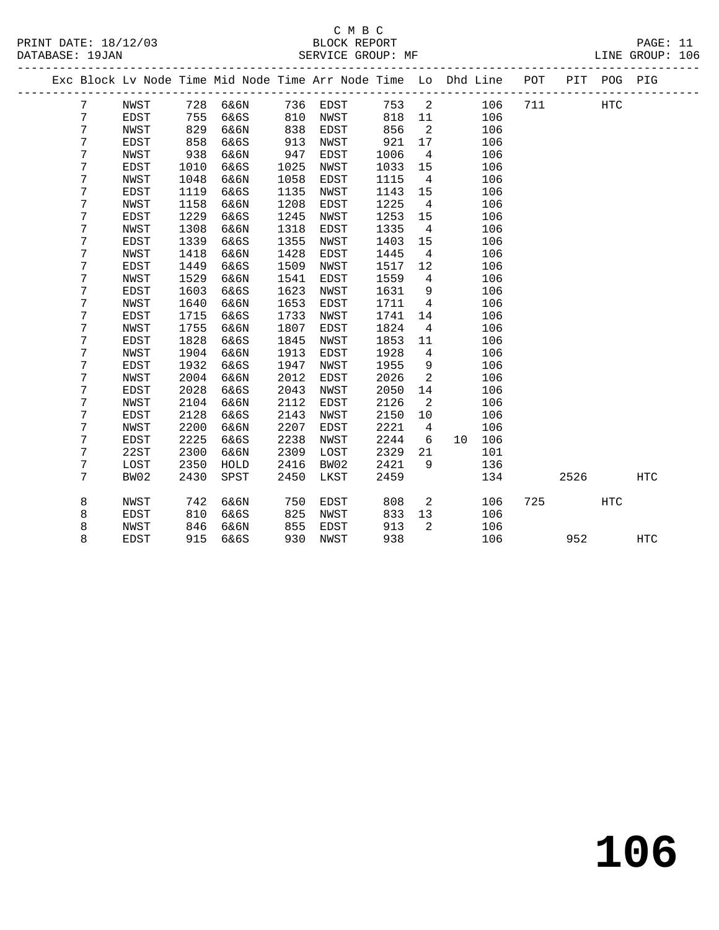| PRINT DATE: 18/12/03<br>DATABASE: 19JAN |   |             |      | C M B C<br>BLOCK REPORT<br>SERVICE GROUP: MF                                   |      | C M B C     |                   |                            |                                |                            |         |      | PAGE: 11   |  |
|-----------------------------------------|---|-------------|------|--------------------------------------------------------------------------------|------|-------------|-------------------|----------------------------|--------------------------------|----------------------------|---------|------|------------|--|
|                                         |   |             |      | Exc Block Lv Node Time Mid Node Time Arr Node Time Lo Dhd Line POT PIT POG PIG |      |             |                   |                            |                                | __________________________ |         |      |            |  |
|                                         | 7 | NWST        |      | 728 6&6N 736 EDST 753 2 106                                                    |      |             |                   |                            |                                |                            | 711 HTC |      |            |  |
|                                         | 7 | EDST        |      |                                                                                |      |             |                   |                            |                                | 106                        |         |      |            |  |
|                                         | 7 | NWST        |      |                                                                                |      |             | 818  11<br>856  2 |                            |                                | 106                        |         |      |            |  |
|                                         | 7 | EDST        | 858  | 6&6S                                                                           | 913  | NWST        | 921               | 17                         |                                | 106                        |         |      |            |  |
|                                         | 7 | NWST        | 938  | 6&6N                                                                           | 947  | EDST        | 1006              | $\overline{4}$             |                                | 106                        |         |      |            |  |
|                                         | 7 | EDST        | 1010 | 6&6S                                                                           | 1025 | NWST        | 1033              | 15                         |                                | 106                        |         |      |            |  |
|                                         | 7 | NWST        | 1048 | 6&6N                                                                           | 1058 | EDST        | 1115              | $\overline{4}$             |                                | 106                        |         |      |            |  |
|                                         | 7 | EDST        | 1119 | 6&6S                                                                           | 1135 | NWST        | 1143              | 15                         |                                | 106                        |         |      |            |  |
|                                         | 7 | NWST        | 1158 | 6&6N                                                                           | 1208 | EDST        | 1225              | $\overline{4}$             |                                | 106                        |         |      |            |  |
|                                         | 7 | EDST        | 1229 | 6&6S                                                                           | 1245 | NWST        | 1253              | 15                         |                                | 106                        |         |      |            |  |
|                                         | 7 | NWST        | 1308 | 6&6N                                                                           | 1318 | EDST        | 1335              | $\overline{4}$             |                                | 106                        |         |      |            |  |
|                                         | 7 | <b>EDST</b> | 1339 | 6&6S                                                                           | 1355 | NWST        | 1403              | 15                         |                                | 106                        |         |      |            |  |
|                                         | 7 | NWST        | 1418 | 6&6N                                                                           | 1428 | EDST        | 1445              | $\overline{4}$             |                                | 106                        |         |      |            |  |
|                                         | 7 | EDST        | 1449 | 6&6S                                                                           | 1509 | NWST        | 1517              | 12                         |                                | 106                        |         |      |            |  |
|                                         | 7 | NWST        | 1529 | 6&6N                                                                           | 1541 | EDST        | 1559              | $4\overline{4}$            |                                | 106                        |         |      |            |  |
|                                         | 7 | <b>EDST</b> | 1603 | 6&6S                                                                           | 1623 | NWST        | 1631              | 9                          |                                | 106                        |         |      |            |  |
|                                         | 7 | NWST        | 1640 | 6&6N                                                                           | 1653 | EDST        | 1711              | $\overline{4}$             |                                | 106                        |         |      |            |  |
|                                         | 7 | EDST        | 1715 | 6&6S                                                                           | 1733 | NWST        | 1741              | 14                         |                                | 106                        |         |      |            |  |
|                                         | 7 | NWST        | 1755 | 6&6N                                                                           | 1807 | EDST        | 1824              | $4\overline{4}$            |                                | 106                        |         |      |            |  |
|                                         | 7 | EDST        | 1828 | 6&6S                                                                           | 1845 | NWST        | 1853              | 11                         |                                | 106                        |         |      |            |  |
|                                         | 7 | NWST        | 1904 | 6&6N                                                                           | 1913 | EDST        | 1928              | $\overline{4}$             |                                | 106                        |         |      |            |  |
|                                         | 7 | EDST        | 1932 | 6&6S                                                                           | 1947 | NWST        | 1955              | 9                          |                                | 106                        |         |      |            |  |
|                                         | 7 | NWST        | 2004 | 6&6N                                                                           | 2012 | EDST        | 2026              | 2                          |                                | 106                        |         |      |            |  |
|                                         | 7 | EDST        | 2028 | 6&6S                                                                           | 2043 | <b>NWST</b> | 2050              | 14                         |                                | 106                        |         |      |            |  |
|                                         | 7 | NWST        | 2104 | 6&6N                                                                           | 2112 | EDST        | 2126              | 2                          |                                | 106                        |         |      |            |  |
|                                         | 7 | EDST        | 2128 | 6&6S                                                                           | 2143 | NWST        | 2150              | 10                         |                                | 106                        |         |      |            |  |
|                                         | 7 | NWST        | 2200 | 6&6N                                                                           | 2207 | EDST        | 2221              | 4                          |                                | 106                        |         |      |            |  |
|                                         | 7 | EDST        | 2225 | 6&6S                                                                           | 2238 | NWST        | 2244              | 6                          | 10 106                         |                            |         |      |            |  |
|                                         | 7 | 22ST        | 2300 | 6&6N                                                                           | 2309 | LOST        | 2329              | 21                         |                                | 101                        |         |      |            |  |
|                                         | 7 | LOST        | 2350 | HOLD                                                                           | 2416 | BW02        | 2421              | 9                          |                                | 136                        |         |      |            |  |
|                                         | 7 | BW02        | 2430 | SPST                                                                           | 2450 | LKST        | 2459              |                            |                                | 134                        |         | 2526 | <b>HTC</b> |  |
|                                         | 8 | NWST        | 742  | 6&6N                                                                           | 750  | EDST        | 808               |                            | $2 \left( \frac{1}{2} \right)$ | 106                        | 725     | HTC  |            |  |
|                                         | 8 | <b>EDST</b> | 810  | 6&6S                                                                           | 825  | NWST        | 833               | 13                         |                                | 106                        |         |      |            |  |
|                                         | 8 | NWST        | 846  | 6&6N                                                                           | 855  | EDST        | 913               | $\overline{\phantom{0}}^2$ |                                | 106                        |         |      |            |  |

8 EDST 915 6&6S 930 NWST 938 106 952 HTC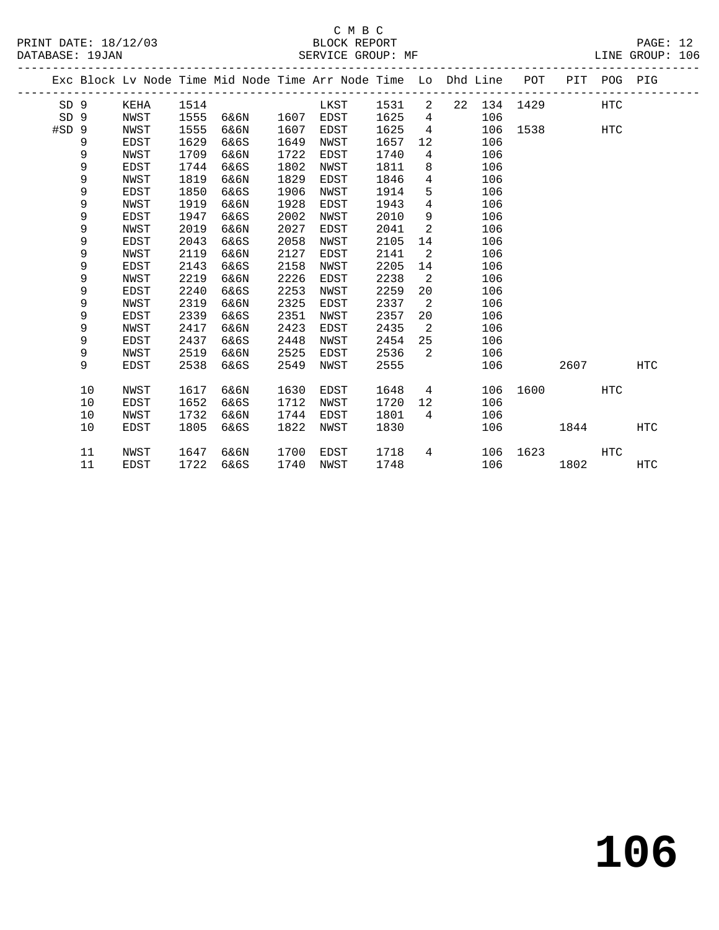#### C M B C<br>BLOCK REPORT SERVICE GROUP: MF

|                 |    |             |      | Exc Block Lv Node Time Mid Node Time Arr Node Time Lo Dhd Line POT |      |             |        |                 |                 |          |          | PIT POG PIG |            |
|-----------------|----|-------------|------|--------------------------------------------------------------------|------|-------------|--------|-----------------|-----------------|----------|----------|-------------|------------|
| SD 9            |    | KEHA        | 1514 |                                                                    |      | LKST        | 1531 2 |                 | 22 134          |          | 1429 HTC |             |            |
| SD <sub>9</sub> |    | NWST        | 1555 | 6&6N                                                               | 1607 | EDST        | 1625   | $4\overline{ }$ | 106             |          |          |             |            |
| $#SD$ 9         |    | NWST        | 1555 | 6&6N                                                               | 1607 | EDST        | 1625   | $\overline{4}$  | 106             |          | 1538 HTC |             |            |
|                 | 9  | EDST        | 1629 | 6&6S                                                               | 1649 | NWST        | 1657   | 12 <sup>°</sup> | 106             |          |          |             |            |
|                 | 9  | NWST        | 1709 | 6&6N                                                               | 1722 | EDST        | 1740   | $4\overline{ }$ | 106             |          |          |             |            |
|                 | 9  | EDST        | 1744 | 6&6S                                                               | 1802 | NWST        | 1811   | 8               | 106             |          |          |             |            |
|                 | 9  | <b>NWST</b> | 1819 | 6&6N                                                               | 1829 | EDST        | 1846   | $\overline{4}$  | 106             |          |          |             |            |
|                 | 9  | EDST        | 1850 | 6&6S                                                               | 1906 | NWST        | 1914   | 5               | 106             |          |          |             |            |
|                 | 9  | NWST        | 1919 | 6&6N                                                               | 1928 | EDST        | 1943   | $\overline{4}$  | 106             |          |          |             |            |
|                 | 9  | EDST        | 1947 | 6&6S                                                               | 2002 | NWST        | 2010   | 9               | 106             |          |          |             |            |
|                 | 9  | NWST        | 2019 | 6&6N                                                               | 2027 | EDST        | 2041   | 2               | 106             |          |          |             |            |
|                 | 9  | EDST        | 2043 | 6&6S                                                               | 2058 | NWST        | 2105   | 14              | 106             |          |          |             |            |
|                 | 9  | NWST        | 2119 | 6&6N                                                               | 2127 | EDST        | 2141   | 2               | 106             |          |          |             |            |
|                 | 9  | <b>EDST</b> | 2143 | 6&6S                                                               | 2158 | NWST        | 2205   | 14              | 106             |          |          |             |            |
|                 | 9  | NWST        | 2219 | 6&6N                                                               | 2226 | EDST        | 2238   | 2               | 106             |          |          |             |            |
|                 | 9  | EDST        | 2240 | 6&6S                                                               | 2253 | NWST        | 2259   | 20              | 106             |          |          |             |            |
|                 | 9  | NWST        | 2319 | 6&6N                                                               | 2325 | <b>EDST</b> | 2337   | 2               | 106             |          |          |             |            |
|                 | 9  | EDST        | 2339 | 6&6S                                                               | 2351 | NWST        | 2357   | 20              | 106             |          |          |             |            |
|                 | 9  | NWST        | 2417 | 6&6N                                                               | 2423 | <b>EDST</b> | 2435   | 2               | 106             |          |          |             |            |
|                 | 9  | <b>EDST</b> | 2437 | 6&6S                                                               | 2448 | NWST        | 2454   | 25              | 106             |          |          |             |            |
|                 | 9  | NWST        | 2519 | 6&6N                                                               | 2525 | EDST        | 2536   | 2               | 106             |          |          |             |            |
|                 | 9  | <b>EDST</b> | 2538 | 6&6S                                                               | 2549 | NWST        | 2555   |                 | 106             |          | 2607     |             | <b>HTC</b> |
|                 | 10 | NWST        | 1617 | 6&6N                                                               | 1630 | EDST        | 1648   |                 | $4\overline{ }$ | 106 1600 |          | HTC         |            |
|                 | 10 | <b>EDST</b> | 1652 | 6&6S                                                               | 1712 | NWST        | 1720   | 12              | 106             |          |          |             |            |
|                 |    |             |      |                                                                    |      |             |        |                 |                 |          |          |             |            |

10 EDST 1805 6&6S 1822 NWST 1830 106 1844 HTC

 11 NWST 1647 6&6N 1700 EDST 1718 4 106 1623 HTC 11 EDST 1722 6&6S 1740 NWST 1748 106 1802 HTC

10 NWST 1732 6&6N 1744 EDST 1801 4 106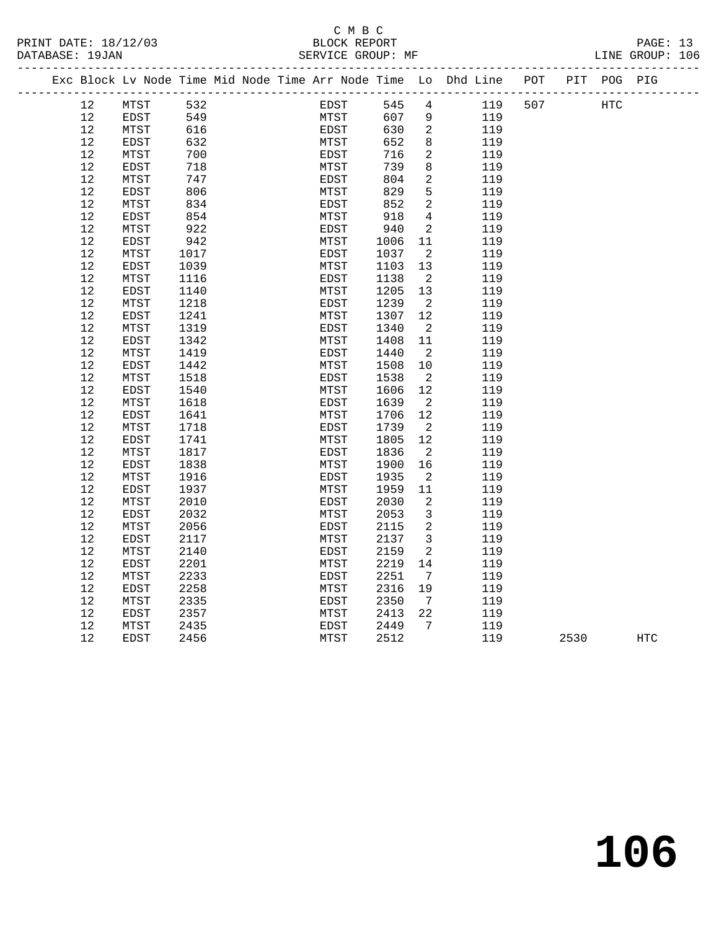#### C M B C<br>BLOCK REPORT PRINT DATE: 18/12/03 BLOCK REPORT PAGE: 13

-------------------------------------------------------------------------------------------------

LINE GROUP: 106

|  | 3/12/03 |  |  |  |  |  |  |
|--|---------|--|--|--|--|--|--|
|--|---------|--|--|--|--|--|--|

| Exc Block Lv Node Time Mid Node Time Arr Node Time Lo Dhd Line |              |      |  |             |      |                 |     | POT |      | PIT POG PIG |            |  |
|----------------------------------------------------------------|--------------|------|--|-------------|------|-----------------|-----|-----|------|-------------|------------|--|
| 12                                                             | MTST         | 532  |  | EDST        | 545  | 4               | 119 | 507 |      | <b>HTC</b>  |            |  |
| 12                                                             | EDST         | 549  |  | MTST        | 607  | $\overline{9}$  | 119 |     |      |             |            |  |
| $12$                                                           | MTST         | 616  |  | EDST        | 630  | $\overline{c}$  | 119 |     |      |             |            |  |
| 12                                                             | EDST         | 632  |  | MTST        | 652  | $\,8\,$         | 119 |     |      |             |            |  |
| $12$                                                           | MTST         | 700  |  | EDST        | 716  | $\mathbf{2}$    | 119 |     |      |             |            |  |
| 12                                                             | EDST         | 718  |  | MTST        | 739  | 8               | 119 |     |      |             |            |  |
| 12                                                             | MTST         | 747  |  | EDST        | 804  | 2               | 119 |     |      |             |            |  |
| $12$                                                           | EDST         | 806  |  | MTST        | 829  | 5               | 119 |     |      |             |            |  |
| 12                                                             | MTST         | 834  |  | EDST        | 852  | 2               | 119 |     |      |             |            |  |
| 12                                                             | EDST         | 854  |  | MTST        | 918  | 4               | 119 |     |      |             |            |  |
| 12                                                             | MTST         | 922  |  | EDST        | 940  | 2               | 119 |     |      |             |            |  |
| 12                                                             | EDST         | 942  |  | MTST        | 1006 | 11              | 119 |     |      |             |            |  |
| 12                                                             | MTST         | 1017 |  | EDST        | 1037 | 2               | 119 |     |      |             |            |  |
| 12                                                             | EDST         | 1039 |  | MTST        | 1103 | 13              | 119 |     |      |             |            |  |
| 12                                                             | MTST         | 1116 |  | EDST        | 1138 | 2               | 119 |     |      |             |            |  |
| 12                                                             | EDST         | 1140 |  | MTST        | 1205 | 13              | 119 |     |      |             |            |  |
| 12                                                             | MTST         | 1218 |  | <b>EDST</b> | 1239 | 2               | 119 |     |      |             |            |  |
| 12                                                             | EDST         | 1241 |  | MTST        | 1307 | 12              | 119 |     |      |             |            |  |
| 12                                                             | MTST         | 1319 |  | <b>EDST</b> | 1340 | 2               | 119 |     |      |             |            |  |
| $12$                                                           | EDST         | 1342 |  | MTST        | 1408 | 11              | 119 |     |      |             |            |  |
| $12$                                                           | MTST         | 1419 |  | EDST        | 1440 | 2               | 119 |     |      |             |            |  |
| 12                                                             | <b>EDST</b>  | 1442 |  | MTST        | 1508 | 10              | 119 |     |      |             |            |  |
| $12$                                                           | MTST         | 1518 |  | EDST        | 1538 | $\overline{2}$  | 119 |     |      |             |            |  |
| 12                                                             | EDST         | 1540 |  | MTST        | 1606 | 12              | 119 |     |      |             |            |  |
| 12                                                             | MTST         | 1618 |  | EDST        | 1639 | 2               | 119 |     |      |             |            |  |
| 12                                                             | EDST         | 1641 |  | MTST        | 1706 | 12              | 119 |     |      |             |            |  |
| 12                                                             | MTST         | 1718 |  | EDST        | 1739 | 2               | 119 |     |      |             |            |  |
| 12                                                             | EDST         | 1741 |  | MTST        | 1805 | 12              | 119 |     |      |             |            |  |
| 12                                                             | MTST         | 1817 |  | EDST        | 1836 | 2               | 119 |     |      |             |            |  |
| 12                                                             | EDST         | 1838 |  | MTST        | 1900 | 16              | 119 |     |      |             |            |  |
| 12                                                             | MTST         | 1916 |  | EDST        | 1935 | 2               | 119 |     |      |             |            |  |
| 12                                                             | EDST         | 1937 |  | MTST        | 1959 | 11              | 119 |     |      |             |            |  |
| 12                                                             | ${\tt MTST}$ | 2010 |  | EDST        | 2030 | 2               | 119 |     |      |             |            |  |
| 12                                                             | EDST         | 2032 |  | MTST        | 2053 | $\mathbf{3}$    | 119 |     |      |             |            |  |
| $12$                                                           | MTST         | 2056 |  | EDST        | 2115 | $\sqrt{2}$      | 119 |     |      |             |            |  |
| 12                                                             | EDST         | 2117 |  | MTST        | 2137 | $\mathbf{3}$    | 119 |     |      |             |            |  |
| $12$                                                           | MTST         | 2140 |  | EDST        | 2159 | 2               | 119 |     |      |             |            |  |
| 12                                                             | <b>EDST</b>  | 2201 |  | MTST        | 2219 | 14              | 119 |     |      |             |            |  |
| $12$                                                           | MTST         | 2233 |  | EDST        | 2251 | $7\phantom{.0}$ | 119 |     |      |             |            |  |
| 12                                                             | EDST         | 2258 |  | MTST        | 2316 | 19              | 119 |     |      |             |            |  |
| 12                                                             | MTST         | 2335 |  | EDST        | 2350 | 7               | 119 |     |      |             |            |  |
| 12                                                             | EDST         | 2357 |  | MTST        | 2413 | 22              | 119 |     |      |             |            |  |
| 12                                                             | MTST         | 2435 |  | EDST        | 2449 | 7               | 119 |     |      |             |            |  |
| 12                                                             | <b>EDST</b>  | 2456 |  | MTST        | 2512 |                 | 119 |     | 2530 |             | <b>HTC</b> |  |
|                                                                |              |      |  |             |      |                 |     |     |      |             |            |  |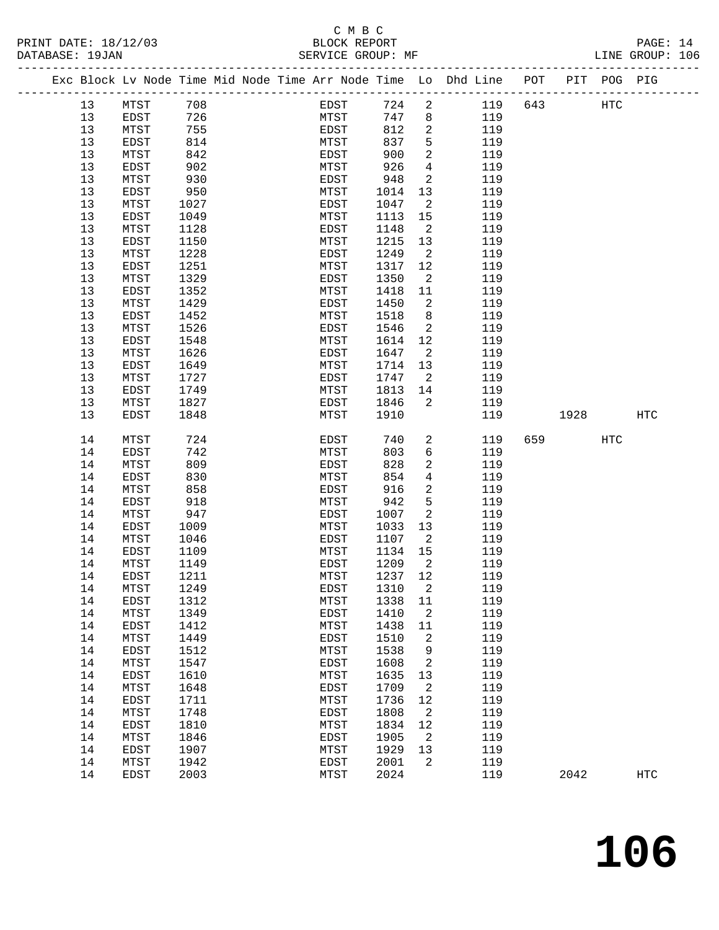## C M B C

| DATABASE: 19JAN |                                                                                |        |  |      | SERVICE GROUP: MF |                 |     |     |      |            | LINE GROUP: 106 |  |
|-----------------|--------------------------------------------------------------------------------|--------|--|------|-------------------|-----------------|-----|-----|------|------------|-----------------|--|
|                 | Exc Block Lv Node Time Mid Node Time Arr Node Time Lo Dhd Line POT PIT POG PIG |        |  |      |                   |                 |     |     |      |            |                 |  |
| 13              | MTST                                                                           | 708    |  | EDST | 724               | $\overline{a}$  | 119 | 643 |      | HTC        |                 |  |
| 13              | EDST                                                                           | 726    |  | MTST | 747               | 8               | 119 |     |      |            |                 |  |
| 13              | MTST                                                                           | 755    |  | EDST | 812               | $\overline{c}$  | 119 |     |      |            |                 |  |
| 13              | EDST                                                                           | 814    |  | MTST | 837               | 5               | 119 |     |      |            |                 |  |
| 13              | MTST                                                                           | 842    |  | EDST | 900               | 2               | 119 |     |      |            |                 |  |
| 13              | EDST                                                                           | 902    |  | MTST | 926               | 4               | 119 |     |      |            |                 |  |
| 13              | MTST                                                                           | 930    |  | EDST | 948               | $\overline{a}$  | 119 |     |      |            |                 |  |
| 13              | EDST                                                                           | 950    |  | MTST | 1014              | 13              | 119 |     |      |            |                 |  |
| 13              | MTST                                                                           | 1027   |  | EDST | 1047              | 2               | 119 |     |      |            |                 |  |
| 13              | EDST                                                                           | 1049   |  | MTST | 1113              | 15              | 119 |     |      |            |                 |  |
| 13              | MTST                                                                           | 1128   |  | EDST | 1148              | $\overline{a}$  | 119 |     |      |            |                 |  |
| 13              | EDST                                                                           | 1150   |  | MTST | 1215              | 13              | 119 |     |      |            |                 |  |
| 13              | MTST                                                                           | 1228   |  | EDST | 1249              | 2               | 119 |     |      |            |                 |  |
| 13              | EDST                                                                           | 1251   |  | MTST | 1317              | 12              | 119 |     |      |            |                 |  |
| 13              | MTST                                                                           | 1329   |  | EDST | 1350              | 2               | 119 |     |      |            |                 |  |
| 13              | EDST                                                                           | 1352   |  | MTST | 1418              | 11              | 119 |     |      |            |                 |  |
| 13              | MTST                                                                           | 1429   |  | EDST | 1450              | $\overline{c}$  | 119 |     |      |            |                 |  |
| 13              | EDST                                                                           | 1452   |  | MTST | 1518              | 8               | 119 |     |      |            |                 |  |
| 13              | MTST                                                                           | 1526   |  | EDST | 1546              | 2               | 119 |     |      |            |                 |  |
| 13              | EDST                                                                           | 1548   |  | MTST | 1614              | 12              | 119 |     |      |            |                 |  |
| 13              | MTST                                                                           | 1626   |  | EDST | 1647              | $\overline{a}$  | 119 |     |      |            |                 |  |
| 13              | EDST                                                                           | 1649   |  | MTST | 1714              | 13              | 119 |     |      |            |                 |  |
| 13              | MTST                                                                           | 1727   |  | EDST | 1747              | 2               | 119 |     |      |            |                 |  |
| 13              |                                                                                | 1749   |  | MTST | 1813              | 14              | 119 |     |      |            |                 |  |
| 13              | EDST                                                                           |        |  |      | 1846              | $\overline{c}$  |     |     |      |            |                 |  |
|                 | MTST                                                                           | 1827   |  | EDST |                   |                 | 119 |     |      |            |                 |  |
| 13              | EDST                                                                           | 1848   |  | MTST | 1910              |                 | 119 |     | 1928 |            | <b>HTC</b>      |  |
| 14              | MTST                                                                           | 724    |  | EDST | 740               | 2               | 119 | 659 |      | <b>HTC</b> |                 |  |
| 14              | EDST                                                                           | 742    |  | MTST | 803               | $6\overline{6}$ | 119 |     |      |            |                 |  |
| 14              | MTST                                                                           | 809    |  | EDST | 828               | $\overline{a}$  | 119 |     |      |            |                 |  |
| 14              | EDST                                                                           | 830    |  | MTST | 854               | 4               | 119 |     |      |            |                 |  |
| 14              | MTST                                                                           | 858    |  | EDST | 916               | $\overline{c}$  | 119 |     |      |            |                 |  |
| 14              | EDST                                                                           | 918    |  | MTST | 942               | 5               | 119 |     |      |            |                 |  |
| 14              | MTST                                                                           | 947    |  | EDST | 1007              | $\overline{a}$  | 119 |     |      |            |                 |  |
| 14              | EDST                                                                           | 1009   |  | MTST | 1033              | 13              | 119 |     |      |            |                 |  |
| 14              | MTST                                                                           | 1046   |  | EDST | 1107              | 2               | 119 |     |      |            |                 |  |
| 14              | EDST                                                                           | 1109   |  | MTST | 1134              | 15              | 119 |     |      |            |                 |  |
| 14              | MTST                                                                           | 1149   |  | EDST | 1209              | 2               | 119 |     |      |            |                 |  |
| 14              | EDST                                                                           | 1211   |  | MTST | 1237              | 12              | 119 |     |      |            |                 |  |
| 14              | MTST                                                                           | 1249   |  | EDST | 1310              | 2               | 119 |     |      |            |                 |  |
| 14              | EDST                                                                           | 1312   |  | MTST | 1338              | 11              | 119 |     |      |            |                 |  |
| 14              | MTST                                                                           | 1349   |  | EDST | 1410              | $\overline{a}$  | 119 |     |      |            |                 |  |
| 1 <sub>1</sub>  | יחס חים                                                                        | $1112$ |  | MTCT | 1 1 2 2 2 1 1     |                 | 110 |     |      |            |                 |  |

| 14 | MTST | 1249 | EDST | 1310 | 2  | 119 |      |            |
|----|------|------|------|------|----|-----|------|------------|
| 14 | EDST | 1312 | MTST | 1338 | 11 | 119 |      |            |
| 14 | MTST | 1349 | EDST | 1410 | 2  | 119 |      |            |
| 14 | EDST | 1412 | MTST | 1438 | 11 | 119 |      |            |
| 14 | MTST | 1449 | EDST | 1510 | 2  | 119 |      |            |
| 14 | EDST | 1512 | MTST | 1538 | 9  | 119 |      |            |
| 14 | MTST | 1547 | EDST | 1608 | 2  | 119 |      |            |
| 14 | EDST | 1610 | MTST | 1635 | 13 | 119 |      |            |
| 14 | MTST | 1648 | EDST | 1709 | 2  | 119 |      |            |
| 14 | EDST | 1711 | MTST | 1736 | 12 | 119 |      |            |
| 14 | MTST | 1748 | EDST | 1808 | 2  | 119 |      |            |
| 14 | EDST | 1810 | MTST | 1834 | 12 | 119 |      |            |
| 14 | MTST | 1846 | EDST | 1905 | 2  | 119 |      |            |
| 14 | EDST | 1907 | MTST | 1929 | 13 | 119 |      |            |
| 14 | MTST | 1942 | EDST | 2001 | 2  | 119 |      |            |
| 14 | EDST | 2003 | MTST | 2024 |    | 119 | 2042 | <b>HTC</b> |
|    |      |      |      |      |    |     |      |            |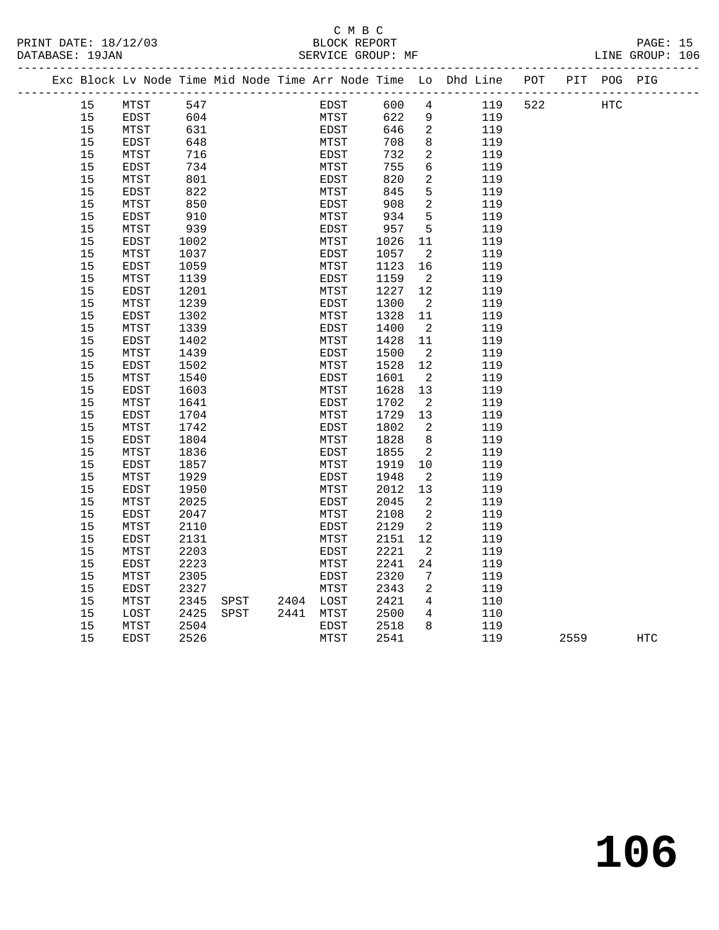PRINT DATE: 18/12/03 BLOCK REPORT BATABASE: 19JAN BLOCK REPORT

## C M B C<br>BLOCK REPORT

PAGE: 15<br>LINE GROUP: 106

|  |    | Exc Block Lv Node Time Mid Node Time Arr Node Time Lo Dhd Line |      |      |           |      |      |                |     | POT |      | PIT POG PIG |            |
|--|----|----------------------------------------------------------------|------|------|-----------|------|------|----------------|-----|-----|------|-------------|------------|
|  | 15 | MTST                                                           | 547  |      |           | EDST | 600  | $\overline{4}$ | 119 | 522 |      | <b>HTC</b>  |            |
|  | 15 | EDST                                                           | 604  |      |           | MTST | 622  | $\overline{9}$ | 119 |     |      |             |            |
|  | 15 | MTST                                                           | 631  |      |           | EDST | 646  | 2              | 119 |     |      |             |            |
|  | 15 | EDST                                                           | 648  |      |           | MTST | 708  | 8              | 119 |     |      |             |            |
|  | 15 | MTST                                                           | 716  |      |           | EDST | 732  | 2              | 119 |     |      |             |            |
|  | 15 | EDST                                                           | 734  |      |           | MTST | 755  | 6              | 119 |     |      |             |            |
|  | 15 | MTST                                                           | 801  |      |           | EDST | 820  | 2              | 119 |     |      |             |            |
|  | 15 | EDST                                                           | 822  |      |           | MTST | 845  | 5              | 119 |     |      |             |            |
|  | 15 | MTST                                                           | 850  |      |           | EDST | 908  | $\overline{a}$ | 119 |     |      |             |            |
|  | 15 | EDST                                                           | 910  |      |           | MTST | 934  | 5              | 119 |     |      |             |            |
|  | 15 | MTST                                                           | 939  |      |           | EDST | 957  | 5              | 119 |     |      |             |            |
|  | 15 | EDST                                                           | 1002 |      |           | MTST | 1026 | 11             | 119 |     |      |             |            |
|  | 15 | MTST                                                           | 1037 |      |           | EDST | 1057 | 2              | 119 |     |      |             |            |
|  | 15 | EDST                                                           | 1059 |      |           | MTST | 1123 | 16             | 119 |     |      |             |            |
|  | 15 | MTST                                                           | 1139 |      |           | EDST | 1159 | $\overline{2}$ | 119 |     |      |             |            |
|  | 15 | <b>EDST</b>                                                    | 1201 |      |           | MTST | 1227 | 12             | 119 |     |      |             |            |
|  | 15 | MTST                                                           | 1239 |      |           | EDST | 1300 | $\overline{2}$ | 119 |     |      |             |            |
|  | 15 | EDST                                                           | 1302 |      |           | MTST | 1328 | 11             | 119 |     |      |             |            |
|  | 15 | MTST                                                           | 1339 |      |           | EDST | 1400 | $\overline{2}$ | 119 |     |      |             |            |
|  | 15 | EDST                                                           | 1402 |      |           | MTST | 1428 | 11             | 119 |     |      |             |            |
|  | 15 | MTST                                                           | 1439 |      |           | EDST | 1500 | $\overline{2}$ | 119 |     |      |             |            |
|  | 15 | EDST                                                           | 1502 |      |           | MTST | 1528 | 12             | 119 |     |      |             |            |
|  | 15 | MTST                                                           | 1540 |      |           | EDST | 1601 | $\overline{2}$ | 119 |     |      |             |            |
|  | 15 | <b>EDST</b>                                                    | 1603 |      |           | MTST | 1628 | 13             | 119 |     |      |             |            |
|  | 15 | MTST                                                           | 1641 |      |           | EDST | 1702 | 2              | 119 |     |      |             |            |
|  | 15 | EDST                                                           | 1704 |      |           | MTST | 1729 | 13             | 119 |     |      |             |            |
|  | 15 | MTST                                                           | 1742 |      |           | EDST | 1802 | 2              | 119 |     |      |             |            |
|  | 15 | EDST                                                           | 1804 |      |           | MTST | 1828 | 8              | 119 |     |      |             |            |
|  | 15 | MTST                                                           | 1836 |      |           | EDST | 1855 | 2              | 119 |     |      |             |            |
|  | 15 | EDST                                                           | 1857 |      |           | MTST | 1919 | 10             | 119 |     |      |             |            |
|  | 15 | MTST                                                           | 1929 |      |           | EDST | 1948 | 2              | 119 |     |      |             |            |
|  | 15 | EDST                                                           | 1950 |      |           | MTST | 2012 | 13             | 119 |     |      |             |            |
|  | 15 | MTST                                                           | 2025 |      |           | EDST | 2045 | $\overline{2}$ | 119 |     |      |             |            |
|  | 15 | <b>EDST</b>                                                    | 2047 |      |           | MTST | 2108 | 2              | 119 |     |      |             |            |
|  | 15 | MTST                                                           | 2110 |      |           | EDST | 2129 | 2              | 119 |     |      |             |            |
|  | 15 | EDST                                                           | 2131 |      |           | MTST | 2151 | 12             | 119 |     |      |             |            |
|  | 15 | MTST                                                           | 2203 |      |           | EDST | 2221 | 2              | 119 |     |      |             |            |
|  | 15 | EDST                                                           | 2223 |      |           | MTST | 2241 | 24             | 119 |     |      |             |            |
|  | 15 | MTST                                                           | 2305 |      |           | EDST | 2320 | 7              | 119 |     |      |             |            |
|  | 15 | EDST                                                           | 2327 |      |           | MTST | 2343 | 2              | 119 |     |      |             |            |
|  | 15 | MTST                                                           | 2345 | SPST | 2404 LOST |      | 2421 | 4              | 110 |     |      |             |            |
|  | 15 | LOST                                                           | 2425 | SPST | 2441 MTST |      | 2500 | 4              | 110 |     |      |             |            |
|  | 15 | MTST                                                           | 2504 |      |           | EDST | 2518 | 8              | 119 |     |      |             |            |
|  | 15 | <b>EDST</b>                                                    | 2526 |      |           | MTST | 2541 |                | 119 |     | 2559 |             | <b>HTC</b> |
|  |    |                                                                |      |      |           |      |      |                |     |     |      |             |            |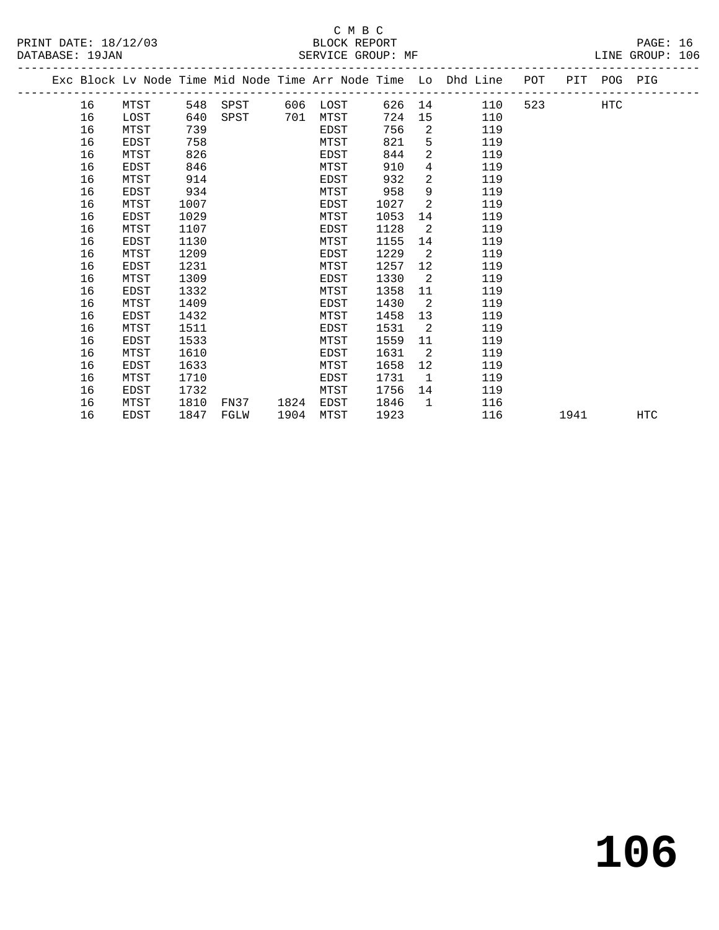PRINT DATE: 18/12/03 BLOCK REPORT BATABASE: 19JAN BLOCK REPORT

# C M B C<br>BLOCK REPORT

PAGE: 16<br>LINE GROUP: 106

|  |    |      |      |      |      |      |      |                   | Exc Block Lv Node Time Mid Node Time Arr Node Time Lo Dhd Line | POT PIT POG PIG          |      |     |     |
|--|----|------|------|------|------|------|------|-------------------|----------------------------------------------------------------|--------------------------|------|-----|-----|
|  | 16 | MTST | 548  | SPST | 606  | LOST | 626  |                   | 14<br>110                                                      | 523 and $\overline{523}$ |      | HTC |     |
|  | 16 | LOST | 640  | SPST | 701  | MTST | 724  |                   | 15<br>110                                                      |                          |      |     |     |
|  | 16 | MTST | 739  |      |      | EDST | 756  | 2                 | 119                                                            |                          |      |     |     |
|  | 16 | EDST | 758  |      |      | MTST | 821  | 5                 | 119                                                            |                          |      |     |     |
|  | 16 | MTST | 826  |      |      | EDST | 844  | $\overline{a}$    | 119                                                            |                          |      |     |     |
|  | 16 | EDST | 846  |      |      | MTST | 910  | $\overline{4}$    | 119                                                            |                          |      |     |     |
|  | 16 | MTST | 914  |      |      | EDST | 932  | $\overline{2}$    | 119                                                            |                          |      |     |     |
|  | 16 | EDST | 934  |      |      | MTST | 958  | 9                 | 119                                                            |                          |      |     |     |
|  | 16 | MTST | 1007 |      |      | EDST | 1027 | 2                 | 119                                                            |                          |      |     |     |
|  | 16 | EDST | 1029 |      |      | MTST | 1053 | 14                | 119                                                            |                          |      |     |     |
|  | 16 | MTST | 1107 |      |      | EDST | 1128 | 2                 | 119                                                            |                          |      |     |     |
|  | 16 | EDST | 1130 |      |      | MTST | 1155 | 14                | 119                                                            |                          |      |     |     |
|  | 16 | MTST | 1209 |      |      | EDST | 1229 | 2                 | 119                                                            |                          |      |     |     |
|  | 16 | EDST | 1231 |      |      | MTST | 1257 | $12 \overline{ }$ | 119                                                            |                          |      |     |     |
|  | 16 | MTST | 1309 |      |      | EDST | 1330 | $\overline{2}$    | 119                                                            |                          |      |     |     |
|  | 16 | EDST | 1332 |      |      | MTST | 1358 | 11                | 119                                                            |                          |      |     |     |
|  | 16 | MTST | 1409 |      |      | EDST | 1430 | 2                 | 119                                                            |                          |      |     |     |
|  | 16 | EDST | 1432 |      |      | MTST | 1458 | 13                | 119                                                            |                          |      |     |     |
|  | 16 | MTST | 1511 |      |      | EDST | 1531 | 2                 | 119                                                            |                          |      |     |     |
|  | 16 | EDST | 1533 |      |      | MTST | 1559 | 11                | 119                                                            |                          |      |     |     |
|  | 16 | MTST | 1610 |      |      | EDST | 1631 | $\overline{2}$    | 119                                                            |                          |      |     |     |
|  | 16 | EDST | 1633 |      |      | MTST | 1658 | 12 <sup>°</sup>   | 119                                                            |                          |      |     |     |
|  | 16 | MTST | 1710 |      |      | EDST | 1731 | $\overline{1}$    | 119                                                            |                          |      |     |     |
|  | 16 | EDST | 1732 |      |      | MTST | 1756 | 14                | 119                                                            |                          |      |     |     |
|  | 16 | MTST | 1810 | FN37 | 1824 | EDST | 1846 | $\overline{1}$    | 116                                                            |                          |      |     |     |
|  | 16 | EDST | 1847 | FGLW | 1904 | MTST | 1923 |                   | 116                                                            |                          | 1941 |     | HTC |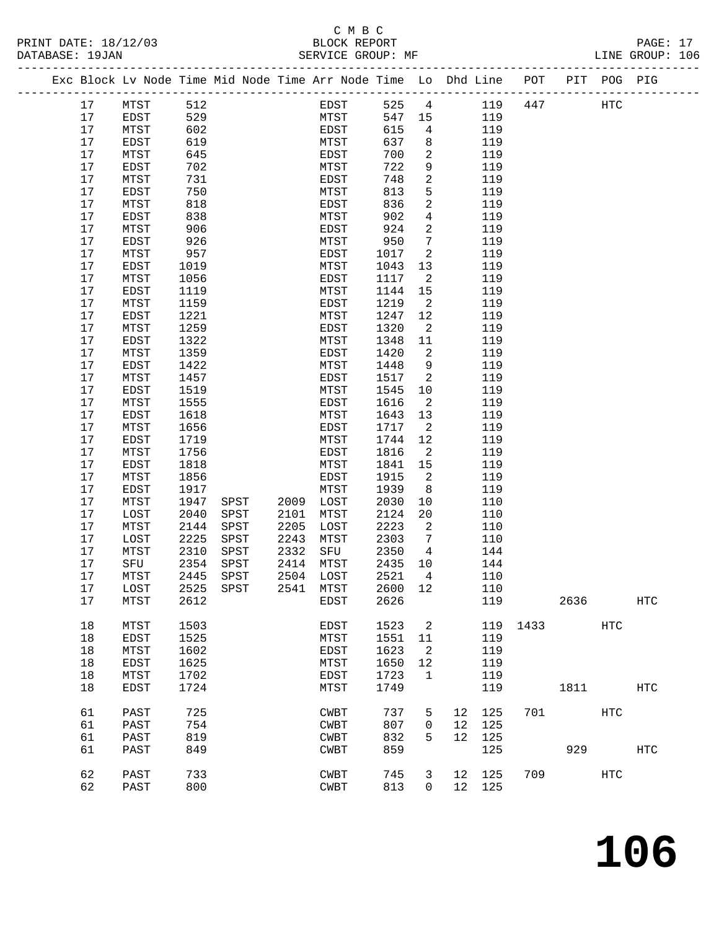#### C M B C<br>
PRINT DATE: 18/12/03 BLOCK REPOR PAGE: 17<br>
PAGE: 17<br>
SERVICE GROUP: MF<br>
LINE GROUP: 106

| TRINI DAID' IO/IZ/09<br>DATABASE: 19JAN |      |      |      |      |      | DAOCH HAI OILI<br>SERVICE GROUP: MF |        |                            |                                                                                |     |            | LINE GROUP: 106 |  |
|-----------------------------------------|------|------|------|------|------|-------------------------------------|--------|----------------------------|--------------------------------------------------------------------------------|-----|------------|-----------------|--|
|                                         |      |      |      |      |      |                                     |        |                            | Exc Block Lv Node Time Mid Node Time Arr Node Time Lo Dhd Line POT PIT POG PIG |     |            |                 |  |
|                                         | 17   | MTST | 512  |      |      | EDST                                | 525 4  |                            | 119                                                                            | 447 | <b>HTC</b> |                 |  |
|                                         | 17   | EDST | 529  |      |      | MTST                                | 547 15 |                            | 119                                                                            |     |            |                 |  |
|                                         | 17   | MTST | 602  |      |      | EDST                                | 615    | $\overline{4}$             | 119                                                                            |     |            |                 |  |
|                                         | 17   | EDST | 619  |      |      | MTST                                | 637    | 8                          | 119                                                                            |     |            |                 |  |
|                                         | 17   | MTST | 645  |      |      | EDST                                | 700    | 2                          | 119                                                                            |     |            |                 |  |
|                                         | 17   | EDST | 702  |      |      | MTST                                | 722    | $\mathsf 9$                | 119                                                                            |     |            |                 |  |
|                                         | 17   | MTST | 731  |      |      | EDST                                | 748    | 2                          | 119                                                                            |     |            |                 |  |
|                                         | 17   | EDST | 750  |      |      | MTST                                | 813    | 5                          | 119                                                                            |     |            |                 |  |
|                                         | 17   | MTST | 818  |      |      | EDST                                | 836    | $\overline{a}$             | 119                                                                            |     |            |                 |  |
|                                         | 17   | EDST | 838  |      |      | MTST                                | 902    | $\overline{4}$             | 119                                                                            |     |            |                 |  |
|                                         | 17   | MTST | 906  |      |      | EDST                                | 924    | $\mathbf{2}$               | 119                                                                            |     |            |                 |  |
|                                         | 17   | EDST | 926  |      |      | MTST                                | 950    | 7                          | 119                                                                            |     |            |                 |  |
|                                         | 17   | MTST | 957  |      |      | EDST                                | 1017   | 2                          | 119                                                                            |     |            |                 |  |
|                                         | 17   | EDST | 1019 |      |      | MTST                                | 1043   | 13                         | 119                                                                            |     |            |                 |  |
|                                         | 17   | MTST | 1056 |      |      | EDST                                | 1117   | 2                          | 119                                                                            |     |            |                 |  |
|                                         | 17   | EDST | 1119 |      |      | MTST                                | 1144   | 15                         | 119                                                                            |     |            |                 |  |
|                                         | 17   | MTST | 1159 |      |      | EDST                                | 1219   | 2                          | 119                                                                            |     |            |                 |  |
|                                         | 17   | EDST | 1221 |      |      | MTST                                | 1247   | 12                         | 119                                                                            |     |            |                 |  |
|                                         | 17   | MTST | 1259 |      |      | EDST                                | 1320   | 2                          | 119                                                                            |     |            |                 |  |
|                                         | 17   | EDST | 1322 |      |      | MTST                                | 1348   | 11                         | 119                                                                            |     |            |                 |  |
|                                         | 17   | MTST | 1359 |      |      | EDST                                | 1420   | $\sqrt{2}$                 | 119                                                                            |     |            |                 |  |
|                                         | 17   | EDST | 1422 |      |      | MTST                                | 1448   | 9                          | 119                                                                            |     |            |                 |  |
|                                         | $17$ | MTST | 1457 |      |      | EDST                                | 1517   | 2                          | 119                                                                            |     |            |                 |  |
|                                         | 17   | EDST | 1519 |      |      | MTST                                | 1545   | 10                         | 119                                                                            |     |            |                 |  |
|                                         | 17   | MTST | 1555 |      |      | EDST                                | 1616   | $\overline{2}$             | 119                                                                            |     |            |                 |  |
|                                         | $17$ | EDST | 1618 |      |      | MTST                                | 1643   | 13                         | 119                                                                            |     |            |                 |  |
|                                         | 17   | MTST | 1656 |      |      | EDST                                | 1717   | $\overline{\phantom{0}}^2$ | 119                                                                            |     |            |                 |  |
|                                         | 17   | EDST | 1719 |      |      | MTST                                | 1744   | 12                         | 119                                                                            |     |            |                 |  |
|                                         | 17   | MTST | 1756 |      |      | EDST                                | 1816   | 2                          | 119                                                                            |     |            |                 |  |
|                                         | 17   | EDST | 1818 |      |      | MTST                                | 1841   | 15                         | 119                                                                            |     |            |                 |  |
|                                         | 17   | MTST | 1856 |      |      | EDST                                | 1915   | 2                          | 119                                                                            |     |            |                 |  |
|                                         | 17   | EDST | 1917 |      |      | MTST                                | 1939   | 8                          | 119                                                                            |     |            |                 |  |
|                                         | 17   | MTST | 1947 | SPST | 2009 | LOST                                | 2030   | 10                         | 110                                                                            |     |            |                 |  |
|                                         | 17   | LOST | 2040 | SPST | 2101 | MTST                                | 2124   | 20                         | 110                                                                            |     |            |                 |  |
|                                         | 17   | MTST | 2144 | SPST | 2205 | LOST                                | 2223   | $\overline{a}$             | 110                                                                            |     |            |                 |  |
|                                         | $17$ | LOST | 2225 | SPST | 2243 | MTST                                | 2303   | $7\phantom{.0}$            | 110                                                                            |     |            |                 |  |
|                                         | 17   | MTST | 2310 | SPST | 2332 | SFU                                 | 2350   | 4                          | 144                                                                            |     |            |                 |  |
|                                         | 17   | SFU  | 2354 | SPST | 2414 | MTST                                | 2435   | 10                         | 144                                                                            |     |            |                 |  |
|                                         | 17   |      |      |      |      |                                     | 2521   | $\overline{4}$             |                                                                                |     |            |                 |  |
|                                         |      | MTST | 2445 | SPST | 2504 | LOST                                |        |                            | 110                                                                            |     |            |                 |  |

|            |            |      |      | _ _ v |    |          |      | ∸~~         |      | ັ∸ ~ |      | . <i>.</i> | - ' |  |
|------------|------------|------|------|-------|----|----------|------|-------------|------|------|------|------------|-----|--|
|            |            |      |      | 110   |    | 12       | 2600 | MTST        | 2541 | SPST | 2525 | LOST       | 17  |  |
| <b>HTC</b> |            | 2636 |      | 119   |    |          | 2626 | EDST        |      |      | 2612 | MTST       | 17  |  |
|            |            |      |      |       |    |          |      |             |      |      |      |            |     |  |
|            | HTC        |      | 1433 | 119   |    | 2        | 1523 | <b>EDST</b> |      |      | 1503 | MTST       | 18  |  |
|            |            |      |      | 119   |    | 11       | 1551 | MTST        |      |      | 1525 | EDST       | 18  |  |
|            |            |      |      | 119   |    | 2        | 1623 | <b>EDST</b> |      |      | 1602 | MTST       | 18  |  |
|            |            |      |      | 119   |    | 12       | 1650 | MTST        |      |      | 1625 | EDST       | 18  |  |
|            |            |      |      | 119   |    |          | 1723 | <b>EDST</b> |      |      | 1702 | MTST       | 18  |  |
| HTC        |            | 1811 |      | 119   |    |          | 1749 | MTST        |      |      | 1724 | EDST       | 18  |  |
|            |            |      |      |       |    |          |      |             |      |      |      |            |     |  |
|            | HTC        |      | 701  | 125   | 12 | 5        | 737  | <b>CWBT</b> |      |      | 725  | PAST       | 61  |  |
|            |            |      |      | 125   | 12 | $\Omega$ | 807  | <b>CWBT</b> |      |      | 754  | PAST       | 61  |  |
|            |            |      |      | 125   | 12 | 5.       | 832  | <b>CWBT</b> |      |      | 819  | PAST       | 61  |  |
| HTC        |            | 929  |      | 125   |    |          | 859  | <b>CWBT</b> |      |      | 849  | PAST       | 61  |  |
|            |            |      |      |       |    |          |      |             |      |      |      |            |     |  |
|            | <b>HTC</b> |      | 709  | 125   | 12 | 3        | 745  | <b>CWBT</b> |      |      | 733  | PAST       | 62  |  |
|            |            |      |      | 125   | 12 | $\Omega$ | 813  | <b>CWBT</b> |      |      | 800  | PAST       | 62  |  |
|            |            |      |      |       |    |          |      |             |      |      |      |            |     |  |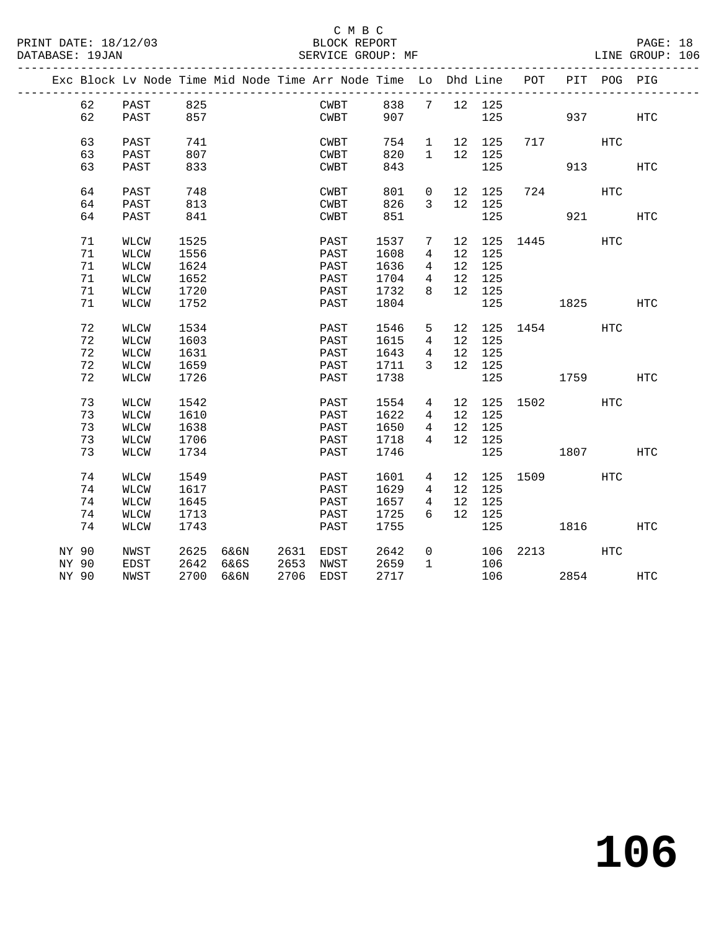|  |       | Exc Block Lv Node Time Mid Node Time Arr Node Time Lo Dhd Line POT |      |           |                |      |      |              |                 |              |                 |             | PIT POG PIG  |            |
|--|-------|--------------------------------------------------------------------|------|-----------|----------------|------|------|--------------|-----------------|--------------|-----------------|-------------|--------------|------------|
|  | 62    | PAST                                                               | 825  |           |                |      | CWBT |              |                 | 838 7 12 125 |                 |             |              |            |
|  | 62    | PAST                                                               | 857  |           |                |      | CWBT | 907          |                 |              | 125             |             | 937          | HTC        |
|  | 63    | PAST                                                               | 741  |           |                |      | CWBT | 754          | 1               | 12 125       |                 | 717         | <b>HTC</b>   |            |
|  | 63    | PAST                                                               | 807  |           |                |      | CWBT | 820          | $\mathbf{1}$    | 12 125       |                 |             |              |            |
|  | 63    | PAST                                                               | 833  |           |                | CWBT |      | 843          |                 | 125          |                 |             | 913          | HTC        |
|  | 64    | PAST                                                               | 748  |           |                |      | CWBT | 801          | $\overline{0}$  | 12 125       |                 | 724         | $_{\rm HTC}$ |            |
|  | 64    | PAST                                                               | 813  |           |                |      | CWBT | 826          | 3               | 12 125       |                 |             |              |            |
|  | 64    | PAST                                                               | 841  |           |                | CWBT |      | 851          |                 | 125          |                 |             | 921 72       | HTC        |
|  | 71    | WLCW                                                               | 1525 |           |                |      | PAST | 1537         | 7               |              | 12 125 1445     |             | <b>HTC</b>   |            |
|  | 71    | WLCW                                                               | 1556 |           |                |      | PAST | 1608         | $4\overline{ }$ | 12 125       |                 |             |              |            |
|  | 71    | WLCW                                                               | 1624 |           |                | PAST |      | 1636         | $4\overline{ }$ | 12 125       |                 |             |              |            |
|  | 71    | <b>WLCW</b>                                                        | 1652 |           |                | PAST |      | 1704         | $\overline{4}$  | 12 125       |                 |             |              |            |
|  | 71    | WLCW                                                               | 1720 |           |                | PAST |      | 1732         | 8               | 12 125       |                 |             |              |            |
|  | 71    | WLCW                                                               | 1752 |           |                |      | PAST | 1804         |                 | 125          |                 | 1825 - 1820 |              | <b>HTC</b> |
|  | 72    | <b>WLCW</b>                                                        | 1534 |           |                |      | PAST | 1546         | 5 <sup>5</sup>  |              | 12 125 1454 HTC |             |              |            |
|  | 72    | <b>WLCW</b>                                                        | 1603 |           |                | PAST |      | 1615         | $4\overline{ }$ | 12 125       |                 |             |              |            |
|  | 72    | WLCW                                                               | 1631 |           |                | PAST |      | 1643         | $4\overline{ }$ | 12 125       |                 |             |              |            |
|  | 72    | <b>WLCW</b>                                                        | 1659 |           |                |      | PAST | 1711         | $\overline{3}$  | 12 125       |                 |             |              |            |
|  | 72    | WLCW                                                               | 1726 |           |                |      | PAST | 1738         |                 |              | 125 1759        |             |              | HTC        |
|  | 73    | <b>WLCW</b>                                                        | 1542 |           |                | PAST |      | 1554         | 4               |              | 12 125 1502     |             | HTC          |            |
|  | 73    | WLCW                                                               | 1610 |           |                | PAST |      | 1622         | 4               | 12 125       |                 |             |              |            |
|  | 73    | <b>WLCW</b>                                                        | 1638 |           |                | PAST |      | 1650         | 4               | 12 125       |                 |             |              |            |
|  | 73    | WLCW                                                               | 1706 |           |                | PAST |      | 1718         | 4               | 12 125       |                 |             |              |            |
|  | 73    | <b>WLCW</b>                                                        | 1734 |           |                | PAST |      | 1746         |                 | 125          |                 | 1807        |              | HTC        |
|  | 74    | <b>WLCW</b>                                                        | 1549 |           |                |      | PAST | 1601         | 4               |              | 12 125 1509     |             | HTC          |            |
|  | 74    | <b>WLCW</b>                                                        | 1617 |           |                | PAST |      | 1629         | $4\overline{ }$ | 12 125       |                 |             |              |            |
|  | 74    | WLCW                                                               | 1645 |           |                | PAST |      | 1657         | $4\overline{ }$ | 12 125       |                 |             |              |            |
|  | 74    | <b>WLCW</b>                                                        | 1713 |           |                | PAST |      | 1725         | 6               | 12 125       |                 |             |              |            |
|  | 74    | <b>WLCW</b>                                                        | 1743 |           |                | PAST |      | 1755         |                 | 125          |                 | 1816        |              | <b>HTC</b> |
|  | NY 90 | NWST                                                               | 2625 |           | 6&6N 2631 EDST |      |      | 2642<br>2659 | $\overline{0}$  |              | 106 2213 HTC    |             |              |            |
|  | NY 90 | EDST                                                               |      | 2642 6&6S | 2653 NWST      |      |      |              | $\mathbf{1}$    | 106          |                 |             |              |            |
|  | NY 90 | NWST                                                               |      | 2700 6&6N | 2706 EDST      |      |      | 2717         |                 |              | 106             | 2854        |              | HTC        |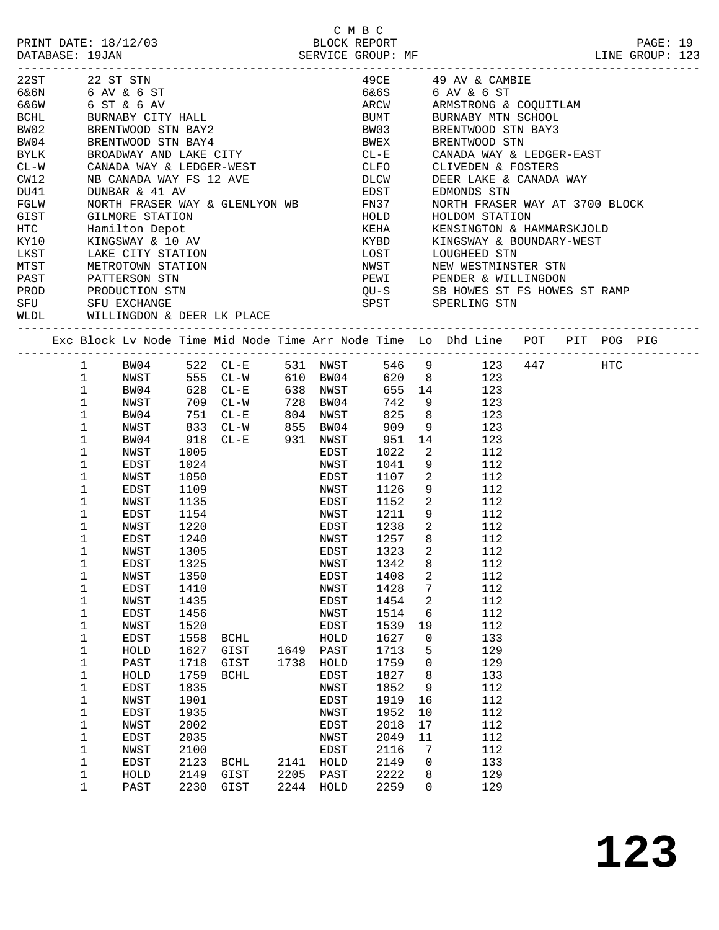| PRINT DATE: 18/12/03<br>DATABASE: 19JAN |                                |      |                        |          |             | C M B C<br>BLOCK REPORT |                            | -----------------------------                                                  |  | PAGE: 19<br>LINE GROUP: 123 |  |
|-----------------------------------------|--------------------------------|------|------------------------|----------|-------------|-------------------------|----------------------------|--------------------------------------------------------------------------------|--|-----------------------------|--|
| 22ST                                    | 22 ST STN                      |      |                        |          |             |                         |                            | 49CE $49 \text{ AV} \& \text{CAMBIE}$                                          |  |                             |  |
| 6&6N                                    |                                |      |                        |          |             | 6&6S                    |                            | 6 AV & 6 ST                                                                    |  |                             |  |
| 6&6W                                    | 6 AV & 6 ST<br>6 ST & 6 AV     |      |                        |          |             |                         |                            | ARCW ARMSTRONG & COQUITLAM                                                     |  |                             |  |
| BCHL                                    | BURNABY CITY HALL              |      |                        |          |             | <b>BUMT</b>             |                            | BURNABY MTN SCHOOL                                                             |  |                             |  |
| BW02                                    | BRENTWOOD STN BAY2             |      |                        |          |             | <b>BW03</b>             |                            | BRENTWOOD STN BAY3                                                             |  |                             |  |
| BW04                                    | BRENTWOOD STN BAY4             |      |                        |          |             | BWEX                    |                            | BRENTWOOD STN                                                                  |  |                             |  |
| BYLK                                    | BROADWAY AND LAKE CITY         |      |                        |          |             | $CL-E$                  |                            | CANADA WAY & LEDGER-EAST                                                       |  |                             |  |
| $CL - W$                                | CANADA WAY & LEDGER-WEST       |      |                        |          |             | <b>CLFO</b>             |                            | CLIVEDEN & FOSTERS                                                             |  |                             |  |
| CW12                                    | NB CANADA WAY FS 12 AVE        |      |                        |          |             | <b>DLCW</b>             |                            | DEER LAKE & CANADA WAY                                                         |  |                             |  |
| DU41                                    | DUNBAR & 41 AV                 |      |                        |          |             | EDST                    |                            | EDMONDS STN                                                                    |  |                             |  |
| FGLW                                    | NORTH FRASER WAY & GLENLYON WB |      |                        |          |             | <b>FN37</b>             |                            | NORTH FRASER WAY AT 3700 BLOCK                                                 |  |                             |  |
| GIST                                    | GILMORE STATION                |      |                        |          |             | HOLD                    |                            | HOLDOM STATION                                                                 |  |                             |  |
| HTC                                     | Hamilton Depot                 |      |                        |          |             | KEHA                    |                            | KENSINGTON & HAMMARSKJOLD                                                      |  |                             |  |
| KY10                                    | KINGSWAY & 10 AV               |      |                        |          |             | KYBD                    |                            | KINGSWAY & BOUNDARY-WEST                                                       |  |                             |  |
| LKST                                    | LAKE CITY STATION              |      |                        |          |             | LOST                    |                            | LOUGHEED STN                                                                   |  |                             |  |
| MTST                                    | METROTOWN STATION              |      |                        |          |             |                         |                            | NWST NEW WESTMINSTER STN                                                       |  |                             |  |
| PAST                                    | PATTERSON STN                  |      |                        |          |             |                         |                            | PEWI PENDER & WILLINGDON                                                       |  |                             |  |
| PROD                                    | PRODUCTION STN                 |      |                        |          |             |                         |                            |                                                                                |  |                             |  |
| SFU                                     | SFU EXCHANGE                   |      |                        |          |             |                         |                            | QU-S       SB HOWES ST FS HOWES ST RAMP<br>SPST       SPERLING STN             |  |                             |  |
| WLDL                                    | WILLINGDON & DEER LK PLACE     |      |                        |          |             |                         |                            |                                                                                |  |                             |  |
|                                         |                                |      |                        |          |             |                         |                            | Exc Block Lv Node Time Mid Node Time Arr Node Time Lo Dhd Line POT PIT POG PIG |  |                             |  |
|                                         |                                |      |                        |          |             |                         |                            |                                                                                |  |                             |  |
|                                         | $\mathbf{1}$                   |      | BW04 522 CL-E 531 NWST |          |             |                         |                            | 546 9 123 447 HTC                                                              |  |                             |  |
|                                         | $\mathbf{1}$<br>NWST           |      | 555 CL-W 610 BW04      |          |             |                         |                            | 620 8 123                                                                      |  |                             |  |
|                                         | $\mathbf{1}$<br>BW04           |      | 628 CL-E<br>709 CL-W   | 638 NWST |             |                         | 655 14                     | 123                                                                            |  |                             |  |
|                                         | $\mathbf 1$<br>NWST            |      |                        |          | 728 BW04    | 742                     | 9                          | 123                                                                            |  |                             |  |
|                                         | $\mathbf 1$<br>BW04            | 751  | $CL - E$               | 804 NWST |             | 825                     | 8 <sup>8</sup>             | 123                                                                            |  |                             |  |
|                                         | 1<br>NWST                      | 833  | CL-W 855 BW04          |          |             | 909                     |                            | 9 123                                                                          |  |                             |  |
|                                         | 1<br>BW04                      | 918  | CL-E 931 NWST          |          |             | 951                     | 14                         | 123                                                                            |  |                             |  |
|                                         | 1<br>NWST                      | 1005 |                        |          | EDST        | 1022                    |                            | $\overline{2}$<br>112                                                          |  |                             |  |
|                                         | 1<br>EDST                      | 1024 |                        |          | NWST        | 1041                    |                            | 112<br>9                                                                       |  |                             |  |
|                                         | 1<br>NWST                      | 1050 |                        |          | EDST        | 1107                    | $\overline{\mathbf{2}}$    | 112                                                                            |  |                             |  |
|                                         | 1<br>EDST                      | 1109 |                        |          | NWST        | 1126                    |                            | 9<br>112                                                                       |  |                             |  |
|                                         | 1<br>NWST                      | 1135 |                        |          | EDST        | 1152                    |                            | $\overline{2}$<br>112                                                          |  |                             |  |
|                                         | 1<br>EDST                      | 1154 |                        |          | NWST        | 1211                    | 9                          | 112                                                                            |  |                             |  |
|                                         | 1<br>NWST                      | 1220 |                        |          | EDST        | 1238                    | $\overline{\phantom{a}}^2$ | 112                                                                            |  |                             |  |
|                                         | 1<br>EDST                      | 1240 |                        |          | NWST        | 1257                    | 8                          | 112                                                                            |  |                             |  |
|                                         | 1<br>NWST                      | 1305 |                        |          |             | EDST 1323 2             |                            | 112                                                                            |  |                             |  |
|                                         | 1<br>EDST                      | 1325 |                        |          | NWST        | 1342                    | 8                          | 112                                                                            |  |                             |  |
|                                         | 1<br>NWST                      | 1350 |                        |          | <b>EDST</b> | 1408                    | 2                          | 112                                                                            |  |                             |  |
|                                         | 1<br>EDST                      | 1410 |                        |          | NWST        | 1428                    | 7                          | 112                                                                            |  |                             |  |
|                                         | 1<br>NWST                      | 1435 |                        |          | EDST        | 1454                    | 2                          | 112                                                                            |  |                             |  |
|                                         | 1<br>EDST                      | 1456 |                        |          | NWST        | 1514                    | 6                          | 112                                                                            |  |                             |  |
|                                         | 1<br>NWST                      | 1520 |                        |          | EDST        | 1539                    | 19                         | 112                                                                            |  |                             |  |
|                                         | 1<br>EDST                      | 1558 | <b>BCHL</b>            |          | HOLD        | 1627                    | 0                          | 133                                                                            |  |                             |  |
|                                         | $1\,$<br>HOLD                  | 1627 | GIST                   | 1649     | PAST        | 1713                    | 5                          | 129                                                                            |  |                             |  |
|                                         | $1\,$<br>PAST                  | 1718 | GIST                   | 1738     | HOLD        | 1759                    | 0                          | 129                                                                            |  |                             |  |
|                                         | 1<br>HOLD                      | 1759 | <b>BCHL</b>            |          | EDST        | 1827                    | 8                          | 133                                                                            |  |                             |  |
|                                         | 1<br>EDST                      | 1835 |                        |          | NWST        | 1852                    | 9                          | 112                                                                            |  |                             |  |
|                                         | 1<br>NWST                      | 1901 |                        |          | EDST        | 1919                    | 16                         | 112                                                                            |  |                             |  |
|                                         | $1\,$<br>EDST                  | 1935 |                        |          | NWST        | 1952                    | 10                         | 112                                                                            |  |                             |  |
|                                         | 1<br>NWST                      | 2002 |                        |          | EDST        | 2018                    | 17                         | 112                                                                            |  |                             |  |
|                                         | 1<br>EDST                      | 2035 |                        |          | NWST        | 2049                    | 11                         | 112                                                                            |  |                             |  |
|                                         | 1<br>NWST                      | 2100 |                        |          | EDST        | 2116                    | 7                          | 112                                                                            |  |                             |  |
|                                         | 1<br>EDST                      | 2123 | <b>BCHL</b>            | 2141     | HOLD        | 2149                    | $\mathbf 0$                | 133                                                                            |  |                             |  |
|                                         |                                | 2149 | GIST                   | 2205     | PAST        | 2222                    |                            | 129                                                                            |  |                             |  |
|                                         | 1<br>HOLD                      |      |                        |          |             |                         | 8                          |                                                                                |  |                             |  |
|                                         | 1<br>PAST                      | 2230 | GIST                   | 2244     | HOLD        | 2259                    | 0                          | 129                                                                            |  |                             |  |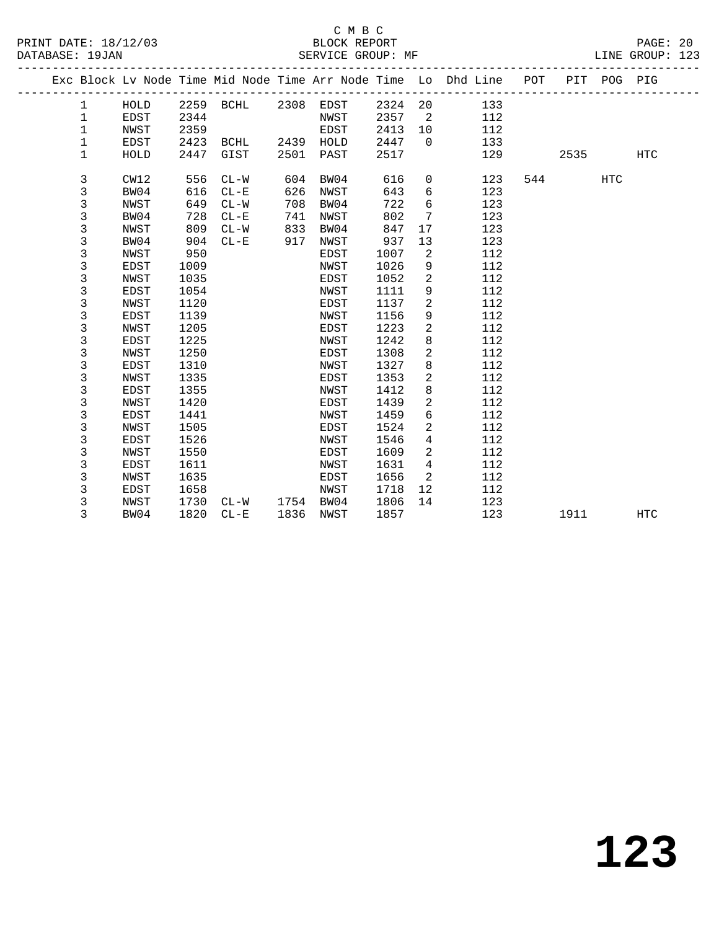### C M B C<br>
PRINT DATE: 18/12/03 BLOCK REPOR

| DATABASE: 19JAN |              |             |      | SERVICE GROUP: MF   |      |           |         |                 |                                                                                |      |            | LINE GROUP: 123 |
|-----------------|--------------|-------------|------|---------------------|------|-----------|---------|-----------------|--------------------------------------------------------------------------------|------|------------|-----------------|
|                 |              |             |      |                     |      |           |         |                 | Exc Block Lv Node Time Mid Node Time Arr Node Time Lo Dhd Line POT PIT POG PIG |      |            |                 |
|                 | $\mathbf{1}$ | HOLD        |      | 2259 BCHL 2308 EDST |      |           | 2324 20 |                 | 133                                                                            |      |            |                 |
|                 | $\mathbf 1$  | <b>EDST</b> | 2344 |                     |      | NWST      | 2357    | $\overline{2}$  | 112                                                                            |      |            |                 |
|                 | 1            | NWST        | 2359 |                     |      | EDST      | 2413    | 10 <sup>°</sup> | 112                                                                            |      |            |                 |
|                 | 1            | EDST        | 2423 | BCHL                | 2439 | HOLD      | 2447    | $\Omega$        | 133                                                                            |      |            |                 |
|                 | 1            | HOLD        | 2447 | GIST                | 2501 | PAST      | 2517    |                 | 129                                                                            | 2535 |            | HTC             |
|                 | 3            | CW12        | 556  | $CL-W$              | 604  | BW04      | 616     | 0               | 123                                                                            | 544  | <b>HTC</b> |                 |
|                 | 3            | BW04        | 616  | $CL - E$            | 626  | NWST      | 643     | 6               | 123                                                                            |      |            |                 |
|                 | 3            | NWST        | 649  | $CL-W$              | 708  | BW04      | 722     | б               | 123                                                                            |      |            |                 |
|                 | 3            | BW04        | 728  | $CL - E$            | 741  | NWST      | 802     | 7               | 123                                                                            |      |            |                 |
|                 | 3            | NWST        | 809  | $CL-W$              | 833  | BW04      | 847     | 17              | 123                                                                            |      |            |                 |
|                 | 3            | BW04        | 904  | $CL - E$            | 917  | NWST      | 937     | 13              | 123                                                                            |      |            |                 |
|                 | 3            | NWST        | 950  |                     |      | EDST      | 1007    | 2               | 112                                                                            |      |            |                 |
|                 | 3            | EDST        | 1009 |                     |      | NWST      | 1026    | 9               | 112                                                                            |      |            |                 |
|                 | 3            | NWST        | 1035 |                     |      | EDST      | 1052    | $\overline{a}$  | 112                                                                            |      |            |                 |
|                 | 3            | EDST        | 1054 |                     |      | NWST      | 1111    | 9               | 112                                                                            |      |            |                 |
|                 | 3            | NWST        | 1120 |                     |      | EDST      | 1137    | $\overline{a}$  | 112                                                                            |      |            |                 |
|                 | 3            | EDST        | 1139 |                     |      | NWST      | 1156    | 9               | 112                                                                            |      |            |                 |
|                 | 3            | <b>NWST</b> | 1205 |                     |      | EDST      | 1223    | $\overline{c}$  | 112                                                                            |      |            |                 |
|                 | 3            | <b>EDST</b> | 1225 |                     |      | NWST      | 1242    | 8               | 112                                                                            |      |            |                 |
|                 | 3            | NWST        | 1250 |                     |      | EDST      | 1308    | $\overline{a}$  | 112                                                                            |      |            |                 |
|                 | 3            | <b>EDST</b> | 1310 |                     |      | NWST      | 1327    | 8               | 112                                                                            |      |            |                 |
|                 | 3            | NWST        | 1335 |                     |      | EDST      | 1353    | $\overline{c}$  | 112                                                                            |      |            |                 |
|                 | 3            | EDST        | 1355 |                     |      | NWST      | 1412    | 8               | 112                                                                            |      |            |                 |
|                 | 3            | NWST        | 1420 |                     |      | EDST      | 1439    | 2               | 112                                                                            |      |            |                 |
|                 | 3            | EDST        | 1441 |                     |      | NWST      | 1459    | 6               | 112                                                                            |      |            |                 |
|                 | 3            | NWST        | 1505 |                     |      | EDST      | 1524    | 2               | 112                                                                            |      |            |                 |
|                 | 3            | EDST        | 1526 |                     |      | NWST      | 1546    | 4               | 112                                                                            |      |            |                 |
|                 | 3            | NWST        | 1550 |                     |      | EDST      | 1609    | $\overline{a}$  | 112                                                                            |      |            |                 |
|                 | 3            | EDST        | 1611 |                     |      | NWST      | 1631    | 4               | 112                                                                            |      |            |                 |
|                 | 3            | NWST        | 1635 |                     |      | EDST      | 1656    | 2               | 112                                                                            |      |            |                 |
|                 | 3            | EDST        | 1658 |                     |      | NWST      | 1718    | 12              | 112                                                                            |      |            |                 |
|                 | 3            | NWST        | 1730 | $CL-W$              |      | 1754 BW04 | 1806    | 14              | 123                                                                            |      |            |                 |
|                 | 3            | BW04        | 1820 | $CL - E$            | 1836 | NWST      | 1857    |                 | 123                                                                            | 1911 |            | HTC             |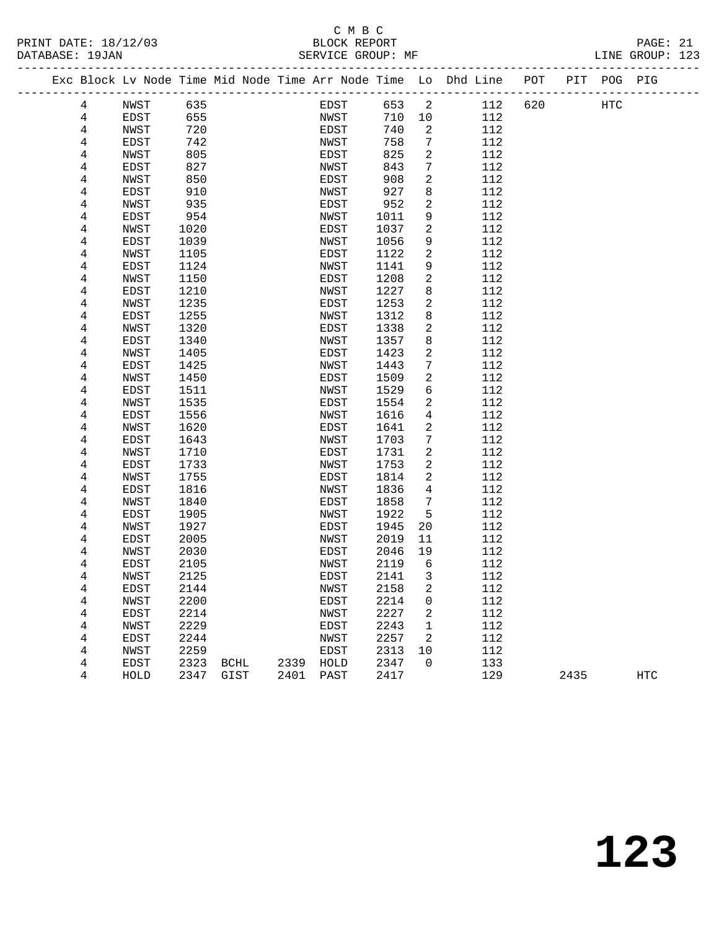### C M B C<br>BLOCK REPORT SERVICE GROUP: MF

PRINT DATE: 18/12/03 BLOCK REPORT PAGE: 21

|  |        | Exc Block Lv Node Time Mid Node Time Arr Node Time Lo Dhd Line |              |      |      |              |              |                |            | POT |      | PIT POG PIG |            |
|--|--------|----------------------------------------------------------------|--------------|------|------|--------------|--------------|----------------|------------|-----|------|-------------|------------|
|  | 4      | NWST                                                           | 635          |      |      | EDST         | 653          | 2              | 112        | 620 |      | HTC         |            |
|  | 4      | EDST                                                           | 655          |      |      | NWST         | 710          | 10             | 112        |     |      |             |            |
|  | 4      | NWST                                                           | 720          |      |      | EDST         | 740          | 2              | 112        |     |      |             |            |
|  | 4      | EDST                                                           | 742          |      |      | NWST         | 758          | 7              | 112        |     |      |             |            |
|  | 4      | NWST                                                           | 805          |      |      | EDST         | 825          | 2              | 112        |     |      |             |            |
|  | 4      | EDST                                                           | 827          |      |      | NWST         | 843          | $\overline{7}$ | 112        |     |      |             |            |
|  | 4      | NWST                                                           | 850          |      |      | EDST         | 908          | 2              | 112        |     |      |             |            |
|  | 4      | EDST                                                           | 910          |      |      | NWST         | 927          | 8              | 112        |     |      |             |            |
|  | 4      | NWST                                                           | 935          |      |      | EDST         | 952          | 2              | 112        |     |      |             |            |
|  | 4      | EDST                                                           | 954          |      |      | NWST         | 1011         | 9              | 112        |     |      |             |            |
|  | 4      | NWST                                                           | 1020         |      |      | EDST         | 1037         | 2              | 112        |     |      |             |            |
|  | 4      | EDST                                                           | 1039         |      |      | NWST         | 1056         | 9              | 112        |     |      |             |            |
|  | 4      | NWST                                                           | 1105         |      |      | EDST         | 1122         | $\overline{a}$ | 112        |     |      |             |            |
|  | 4      | EDST                                                           | 1124         |      |      | NWST         | 1141         | 9              | 112        |     |      |             |            |
|  | 4      | NWST                                                           | 1150         |      |      | EDST         | 1208         | 2              | 112<br>112 |     |      |             |            |
|  | 4<br>4 | EDST<br>NWST                                                   | 1210<br>1235 |      |      | NWST<br>EDST | 1227<br>1253 | 8<br>2         | 112        |     |      |             |            |
|  | 4      | EDST                                                           | 1255         |      |      | NWST         | 1312         | 8              | 112        |     |      |             |            |
|  | 4      | NWST                                                           | 1320         |      |      | EDST         | 1338         | 2              | 112        |     |      |             |            |
|  | 4      | EDST                                                           | 1340         |      |      | NWST         | 1357         | 8              | 112        |     |      |             |            |
|  | 4      | NWST                                                           | 1405         |      |      | EDST         | 1423         | 2              | 112        |     |      |             |            |
|  | 4      | EDST                                                           | 1425         |      |      | NWST         | 1443         | 7              | 112        |     |      |             |            |
|  | 4      | NWST                                                           | 1450         |      |      | EDST         | 1509         | 2              | 112        |     |      |             |            |
|  | 4      | EDST                                                           | 1511         |      |      | NWST         | 1529         | 6              | 112        |     |      |             |            |
|  | 4      | NWST                                                           | 1535         |      |      | EDST         | 1554         | 2              | 112        |     |      |             |            |
|  | 4      | EDST                                                           | 1556         |      |      | NWST         | 1616         | 4              | 112        |     |      |             |            |
|  | 4      | NWST                                                           | 1620         |      |      | EDST         | 1641         | 2              | 112        |     |      |             |            |
|  | 4      | EDST                                                           | 1643         |      |      | NWST         | 1703         | 7              | 112        |     |      |             |            |
|  | 4      | NWST                                                           | 1710         |      |      | EDST         | 1731         | 2              | 112        |     |      |             |            |
|  | 4      | EDST                                                           | 1733         |      |      | NWST         | 1753         | 2              | 112        |     |      |             |            |
|  | 4      | NWST                                                           | 1755         |      |      | EDST         | 1814         | 2              | 112        |     |      |             |            |
|  | 4      | EDST                                                           | 1816         |      |      | NWST         | 1836         | 4              | 112        |     |      |             |            |
|  | 4      | NWST                                                           | 1840         |      |      | EDST         | 1858         | 7              | 112        |     |      |             |            |
|  | 4      | EDST                                                           | 1905         |      |      | NWST         | 1922         | 5              | 112        |     |      |             |            |
|  | 4      | NWST                                                           | 1927         |      |      | EDST         | 1945         | 20             | 112        |     |      |             |            |
|  | 4      | EDST                                                           | 2005         |      |      | NWST         | 2019         | 11             | 112        |     |      |             |            |
|  | 4      | NWST                                                           | 2030         |      |      | EDST         | 2046         | 19             | 112        |     |      |             |            |
|  | 4      | EDST                                                           | 2105         |      |      | NWST         | 2119         | 6              | 112        |     |      |             |            |
|  | 4      | NWST                                                           | 2125         |      |      | EDST         | 2141         | $\overline{3}$ | 112        |     |      |             |            |
|  | 4      | EDST                                                           | 2144         |      |      | NWST         | 2158         | $\mathbf 2$    | 112        |     |      |             |            |
|  | 4      | NWST                                                           | 2200         |      |      | EDST         | 2214         | 0              | 112        |     |      |             |            |
|  | 4      | EDST                                                           | 2214         |      |      | NWST         | 2227         | 2              | 112        |     |      |             |            |
|  | 4      | NWST                                                           | 2229         |      |      | EDST         | 2243         | 1              | 112        |     |      |             |            |
|  | 4      | EDST                                                           | 2244         |      |      | NWST         | 2257         | 2              | 112        |     |      |             |            |
|  | 4      | NWST                                                           | 2259         |      |      | EDST         | 2313         | 10             | 112        |     |      |             |            |
|  | 4      | EDST                                                           | 2323         | BCHL | 2339 | HOLD         | 2347         | 0              | 133        |     |      |             |            |
|  | 4      | HOLD                                                           | 2347         | GIST | 2401 | PAST         | 2417         |                | 129        |     | 2435 |             | <b>HTC</b> |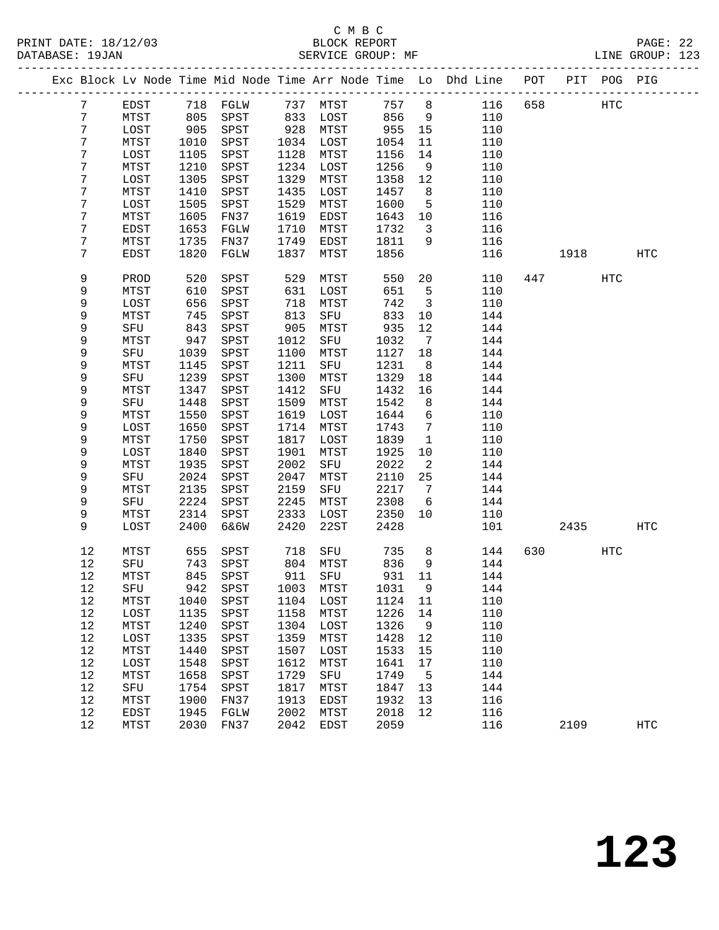|                |                     |              |                    |              |              |              |                              | Exc Block Lv Node Time Mid Node Time Arr Node Time Lo Dhd Line POT PIT POG PIG |     |      |            |            |
|----------------|---------------------|--------------|--------------------|--------------|--------------|--------------|------------------------------|--------------------------------------------------------------------------------|-----|------|------------|------------|
| $7\phantom{.}$ | EDST                |              | 718 FGLW           |              | 737 MTST     | 757          | 8                            | 116                                                                            | 658 |      | HTC        |            |
| 7              | MTST                | 805          | SPST               | 833          | LOST         | 856          | 9                            | 110                                                                            |     |      |            |            |
| 7              | LOST                | 905          | SPST               | 928          | MTST         | 955          | 15                           | 110                                                                            |     |      |            |            |
| 7              | MTST                | 1010         | SPST               | 1034         | LOST         | 1054         | 11                           | 110                                                                            |     |      |            |            |
| 7              | LOST                | 1105         | SPST               | 1128         | MTST         | 1156         | 14                           | 110                                                                            |     |      |            |            |
| 7              | MTST                | 1210         | SPST               | 1234         | LOST         | 1256         | 9                            | 110                                                                            |     |      |            |            |
| 7              | LOST                | 1305         | SPST               | 1329         | MTST         | 1358         | 12                           | 110                                                                            |     |      |            |            |
| 7              | MTST                | 1410         | SPST               | 1435         | LOST         | 1457         | 8 <sup>8</sup>               | 110                                                                            |     |      |            |            |
| 7              | LOST                | 1505         | SPST               | 1529         | MTST         | 1600         | 5                            | 110                                                                            |     |      |            |            |
| 7              | MTST                | 1605         | FN37               | 1619         | EDST         | 1643         | 10                           | 116                                                                            |     |      |            |            |
| 7              | EDST                | 1653         | FGLW               | 1710         | MTST         | 1732         | $\mathbf{3}$                 | 116                                                                            |     |      |            |            |
| 7              | MTST                | 1735         | FN37               | 1749         | EDST         | 1811         | 9                            | 116                                                                            |     |      |            |            |
| 7              | EDST                | 1820         | FGLW               | 1837         | MTST         | 1856         |                              | 116                                                                            |     | 1918 |            | HTC        |
| 9              | PROD                | 520          | SPST               | 529          | MTST         | 550          | 20                           | 110                                                                            |     | 447  | <b>HTC</b> |            |
| 9              | MTST                | 610          | SPST               | 631          | LOST         | 651          | $5\overline{5}$              | 110                                                                            |     |      |            |            |
| 9              | LOST                | 656          | SPST               | 718          | MTST         | 742          | $\overline{\mathbf{3}}$      | 110                                                                            |     |      |            |            |
| 9              | MTST                | 745          | SPST               | 813          | SFU          | 833          | 10                           | 144                                                                            |     |      |            |            |
| 9              | SFU                 | 843          | SPST               | 905          | MTST         | 935          | 12                           | 144                                                                            |     |      |            |            |
| 9              | MTST                | 947          | SPST               | 1012         | SFU          | 1032         | $7\phantom{.0}\phantom{.0}7$ | 144                                                                            |     |      |            |            |
| 9              | SFU                 | 1039         | SPST               | 1100         | MTST         | 1127         | 18                           | 144                                                                            |     |      |            |            |
| 9              | MTST                | 1145         | SPST               | 1211         | SFU          | 1231         | 8                            | 144                                                                            |     |      |            |            |
| 9              | SFU                 | 1239         | SPST               | 1300         | MTST         | 1329         | 18                           | 144                                                                            |     |      |            |            |
| 9              | MTST                | 1347         | SPST               | 1412         | SFU          | 1432         | 16                           | 144                                                                            |     |      |            |            |
| 9              | SFU                 | 1448         | SPST               | 1509         | MTST         | 1542         | 8                            | 144                                                                            |     |      |            |            |
| 9              | MTST                | 1550         | SPST               | 1619         | LOST         | 1644         | 6                            | 110                                                                            |     |      |            |            |
| 9              | LOST                | 1650         | SPST               | 1714         | MTST         | 1743         | $7\phantom{.0}$              | 110                                                                            |     |      |            |            |
| 9              | MTST                | 1750         | SPST               | 1817         | LOST         | 1839         | $\mathbf{1}$                 | 110                                                                            |     |      |            |            |
| 9              | LOST                | 1840         | SPST               | 1901         | MTST         | 1925         | 10                           | 110                                                                            |     |      |            |            |
| 9              | MTST                | 1935         | SPST               | 2002         | SFU          | 2022         | 2                            | 144                                                                            |     |      |            |            |
| 9              | SFU                 | 2024         | SPST               | 2047         | MTST         | 2110         | 25                           | 144                                                                            |     |      |            |            |
| 9              | MTST                | 2135         | SPST               | 2159         | SFU          | 2217         | $7\phantom{.0}\,$            | 144                                                                            |     |      |            |            |
| 9              | SFU                 | 2224         | SPST               | 2245         | MTST         | 2308         | 6                            | 144                                                                            |     |      |            |            |
| 9<br>9         | MTST                | 2314         | SPST               | 2333<br>2420 | LOST         | 2350         | 10                           | 110<br>101                                                                     |     |      |            | HTC        |
|                | LOST                | 2400         | 6&6W               |              | 22ST         | 2428         |                              |                                                                                |     | 2435 |            |            |
| 12             | MTST                | 655          | SPST               | 718          | SFU          | 735          | 8 <sup>8</sup>               | 144                                                                            | 630 |      | HTC        |            |
| 12             | SFU                 | 743          | SPST               |              | 804 MTST     | 836          | 9                            | 144                                                                            |     |      |            |            |
| 12             | MTST                | 845          | SPST               |              | 911 SFU      | 931          | 11                           | 144                                                                            |     |      |            |            |
| $12\,$         | SFU                 |              | 942 SPST 1003 MTST |              |              | 1031 9       |                              | 144                                                                            |     |      |            |            |
| 12             | MTST                | 1040         | SPST               | 1104         | LOST         | 1124         | 11                           | 110                                                                            |     |      |            |            |
| 12             | LOST                | 1135         | SPST               | 1158         | MTST         | 1226         | 14                           | 110                                                                            |     |      |            |            |
| 12             | MTST                | 1240         | SPST               | 1304         | LOST         | 1326         | 9                            | 110                                                                            |     |      |            |            |
| 12             | LOST                | 1335         | SPST               | 1359         | MTST         | 1428         | 12                           | 110                                                                            |     |      |            |            |
| 12             | MTST                | 1440         | SPST               | 1507         | LOST         | 1533         | 15                           | 110                                                                            |     |      |            |            |
| 12             | LOST                | 1548         | SPST               | 1612         | MTST         | 1641         | 17                           | 110                                                                            |     |      |            |            |
| 12             | MTST                | 1658         | SPST               | 1729         | SFU          | 1749         | 5                            | 144                                                                            |     |      |            |            |
| 12             | SFU                 | 1754         | SPST               | 1817         | MTST         | 1847         | 13                           | 144                                                                            |     |      |            |            |
| 12<br>12       | MTST<br><b>EDST</b> | 1900         | FN37               | 1913<br>2002 | EDST<br>MTST | 1932<br>2018 | 13<br>12                     | 116                                                                            |     |      |            |            |
| 12             | MTST                | 1945<br>2030 | FGLW<br>FN37       | 2042         | EDST         | 2059         |                              | 116<br>116                                                                     |     | 2109 |            | <b>HTC</b> |
|                |                     |              |                    |              |              |              |                              |                                                                                |     |      |            |            |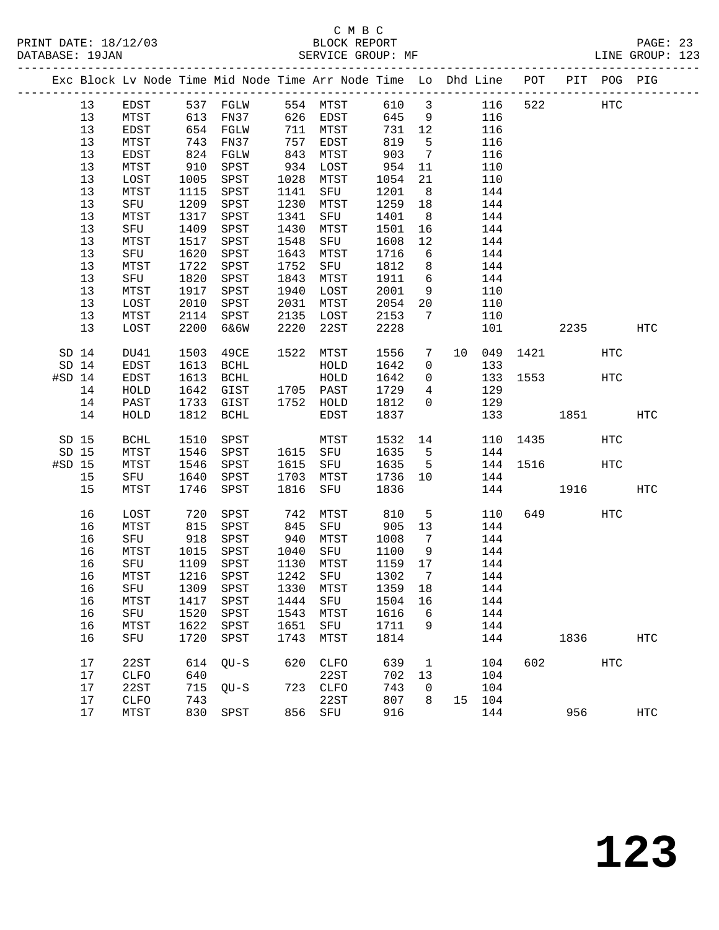|          |       |             |            | Exc Block Lv Node Time Mid Node Time Arr Node Time Lo Dhd Line POT PIT POG PIG |            |                        |             |                 |        |             |           |     |                   |
|----------|-------|-------------|------------|--------------------------------------------------------------------------------|------------|------------------------|-------------|-----------------|--------|-------------|-----------|-----|-------------------|
|          | 13    |             |            | EDST 537 FGLW 554 MTST 610 3                                                   |            |                        |             |                 |        | 116 522     | HTC       |     |                   |
|          | 13    | MTST        |            | 613 FN37 626 EDST                                                              |            |                        | 645         | 9               | 116    |             |           |     |                   |
|          | 13    | EDST        |            | 654 FGLW                                                                       |            | 711 MTST               | 731 12      |                 | 116    |             |           |     |                   |
|          | 13    | MTST        | 743        | FN37                                                                           |            | ـدسمبر 757<br>843 MTST | 819         | $5^{\circ}$     | 116    |             |           |     |                   |
|          | 13    | EDST        | 824        | FGLW                                                                           |            |                        | 903         | $7\overline{ }$ | 116    |             |           |     |                   |
|          | 13    | MTST        | 910        | SPST                                                                           |            | 934 LOST               | 954         | 11              | 110    |             |           |     |                   |
|          | 13    | LOST        | 1005       | SPST                                                                           |            | 1028 MTST              | 1054        | 21              | 110    |             |           |     |                   |
|          | 13    | MTST        | 1115       | SPST                                                                           |            | 1141 SFU               | 1201        | 8 <sup>8</sup>  | 144    |             |           |     |                   |
|          | 13    | SFU         | 1209       | SPST                                                                           |            | 1230 MTST              | 1259 18     |                 | 144    |             |           |     |                   |
|          | 13    | MTST        | 1317       | SPST                                                                           |            | 1341 SFU               | 1401        | 8 <sup>8</sup>  | 144    |             |           |     |                   |
|          | 13    | SFU         | 1409       | SPST                                                                           | 1430       | MTST                   | 1501        | 16              | 144    |             |           |     |                   |
|          | 13    | MTST        | 1517       | SPST                                                                           | 1548       | SFU                    | 1608        | 12              | 144    |             |           |     |                   |
|          | 13    | SFU         | 1620       | SPST                                                                           | 1643       | MTST                   | 1716        | 6               | 144    |             |           |     |                   |
|          | 13    | MTST        | 1722       | SPST                                                                           | 1752       | SFU                    | 1812        | 8 <sup>8</sup>  | 144    |             |           |     |                   |
|          | 13    | SFU         | 1820       | SPST                                                                           | 1843       | MTST                   | 1911        | 6               | 144    |             |           |     |                   |
|          | 13    | MTST        | 1917       | SPST                                                                           | 1940       | LOST                   | 2001        | 9               | 110    |             |           |     |                   |
|          | 13    | LOST        | 2010       | SPST                                                                           | 2031       | MTST                   |             | 20              | 110    |             |           |     |                   |
|          | 13    | MTST        |            | 2114 SPST                                                                      |            | 2135 LOST              | $20 - 2153$ | $7\overline{ }$ | 110    |             |           |     |                   |
|          | 13    | LOST        | 2200       | 6&6W                                                                           | 2220       | 22ST                   | 2228        |                 | 101    |             | 2235      |     | HTC               |
|          |       |             |            |                                                                                |            |                        |             |                 |        |             |           |     |                   |
|          | SD 14 | DU41        | 1503       | 49CE                                                                           |            | 1522 MTST              | 1556        | 7               |        | 10 049 1421 |           | HTC |                   |
|          | SD 14 | EDST        | 1613       | BCHL                                                                           |            | HOLD                   | 1642        | $\overline{0}$  | 133    |             |           |     |                   |
| $#SD$ 14 |       | EDST        | 1613       | <b>BCHL</b>                                                                    |            | HOLD                   | 1642        | $\overline{0}$  |        | 133 1553    |           | HTC |                   |
|          | 14    | HOLD        | 1642       | GIST 1705 PAST                                                                 |            |                        | 1729        | $\overline{4}$  | 129    |             |           |     |                   |
|          | 14    | PAST        |            | 1733 GIST 1752 HOLD                                                            |            |                        | 1812        | $\overline{0}$  | 129    |             |           |     |                   |
|          | 14    | HOLD        |            | 1812 BCHL                                                                      |            | EDST                   | 1837        |                 |        | 133         | 1851 1880 |     | HTC               |
|          |       |             |            |                                                                                |            |                        |             |                 |        |             |           |     |                   |
|          | SD 15 | BCHL        | 1510       | SPST                                                                           |            | <b>MTST</b>            | 1532 14     |                 |        | 110 1435    |           | HTC |                   |
|          | SD 15 | MTST        | 1546       | SPST                                                                           |            | 1615 SFU               | 1635        | $5\overline{)}$ | 144    |             |           |     |                   |
| $#SD$ 15 |       | MTST        | 1546       | SPST                                                                           |            | 1615 SFU               | 1635        | $5^{\circ}$     |        | 144 1516    |           | HTC |                   |
|          | 15    | SFU         | 1640       | SPST                                                                           |            | 1703 MTST              | 1736 10     |                 | 144    |             |           |     |                   |
|          | 15    | MTST        | 1746       | SPST                                                                           | 1816       | SFU                    | 1836        |                 |        | 144         | 1916      |     | <b>HTC</b>        |
|          |       |             |            |                                                                                |            |                        |             |                 |        |             |           |     |                   |
|          | 16    | LOST        | 720<br>815 | SPST                                                                           |            |                        |             | 5 <sup>5</sup>  | 110    |             | 649       | HTC |                   |
|          | 16    | MTST        |            | SPST                                                                           | 742<br>845 | MTST 810<br>SFU 905    |             | 13              | 144    |             |           |     |                   |
|          | 16    | SFU         | 918        | SPST                                                                           |            | 940 MTST               | 1008        | $7\phantom{0}$  | 144    |             |           |     |                   |
|          | 16    | MTST        | 1015       | SPST                                                                           |            | 1040 SFU<br>1120 MTST  | 1100        | 9               | 144    |             |           |     |                   |
|          | 16    | SFU         | 1109       | SPST                                                                           |            | 1130 MTST              | 1159 17     |                 | 144    |             |           |     |                   |
|          | 16    | MTST        |            | 1216 SPST                                                                      |            | 1242 SFU               | 1302        | $\overline{7}$  | 144    |             |           |     |                   |
|          |       |             |            | 16 SFU 1309 SPST 1330 MTST 1359 18 144                                         |            |                        |             |                 |        |             |           |     |                   |
|          | 16    | MTST        | 1417       | SPST                                                                           | 1444       | SFU                    | 1504 16     |                 | 144    |             |           |     |                   |
|          | 16    | SFU         | 1520       | SPST                                                                           | 1543       | MTST                   | 1616        | 6               | 144    |             |           |     |                   |
|          | 16    | MTST        | 1622       | SPST                                                                           | 1651       | SFU                    | 1711        | 9               | 144    |             |           |     |                   |
|          | 16    | SFU         | 1720       | SPST                                                                           | 1743       | MTST                   | 1814        |                 | 144    |             | 1836      |     | $_{\mathrm{HTC}}$ |
|          | 17    | 22ST        | 614        | $QU-S$                                                                         | 620        | <b>CLFO</b>            | 639         | $\mathbf{1}$    | 104    | 602         |           | HTC |                   |
|          | 17    | <b>CLFO</b> | 640        |                                                                                |            | 22ST                   | 702         | 13              | 104    |             |           |     |                   |
|          | 17    | 22ST        | 715        | $OU-S$                                                                         |            | 723 CLFO               | 743         | $\mathbf 0$     | 104    |             |           |     |                   |
|          | 17    | <b>CLFO</b> | 743        |                                                                                |            | 22ST                   | 807         | 8               | 15 104 |             |           |     |                   |
|          | 17    | MTST        | 830        | SPST                                                                           |            | 856 SFU                | 916         |                 | 144    |             | 956       |     | $_{\mathrm{HTC}}$ |
|          |       |             |            |                                                                                |            |                        |             |                 |        |             |           |     |                   |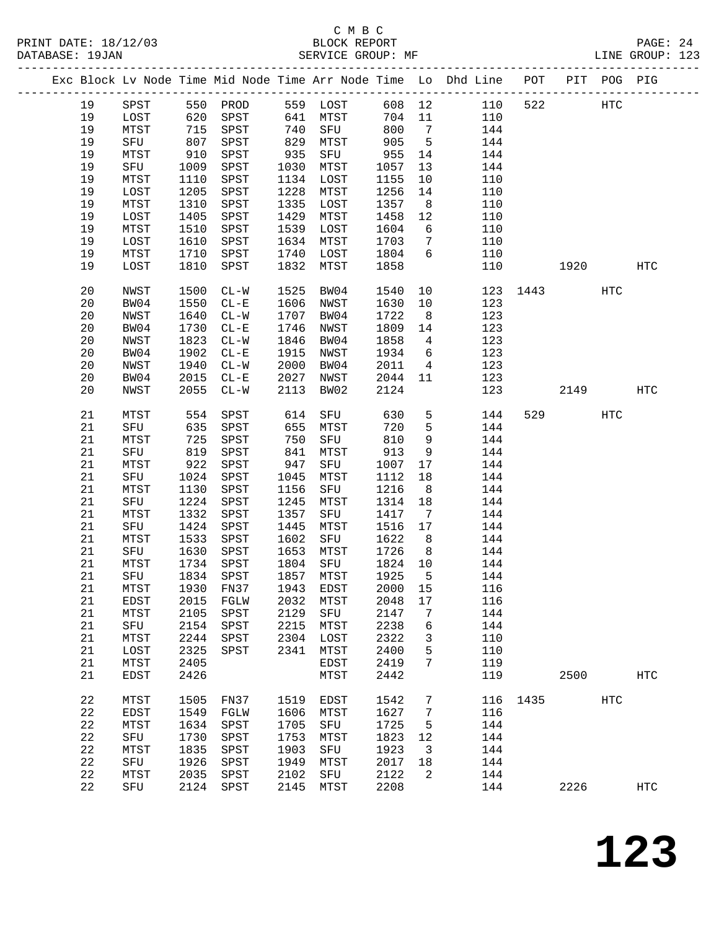| PRINT DATE: 18/12/03 |    |      |            |                                  |      | C M B C<br>BLOCK REPORT |         |                 |                                                                                |          |      |            | PAGE: 24<br>LINE GROUP: 123 |  |
|----------------------|----|------|------------|----------------------------------|------|-------------------------|---------|-----------------|--------------------------------------------------------------------------------|----------|------|------------|-----------------------------|--|
|                      |    |      |            |                                  |      |                         |         |                 | Exc Block Lv Node Time Mid Node Time Arr Node Time Lo Dhd Line POT PIT POG PIG |          |      |            |                             |  |
|                      | 19 | SPST |            | 550 PROD                         |      | 559 LOST                |         |                 | 608 12<br>110                                                                  | 522      |      | HTC        |                             |  |
|                      | 19 | LOST |            | SPST 641 MTST                    |      |                         |         |                 | 704 11<br>110                                                                  |          |      |            |                             |  |
|                      | 19 | MTST |            |                                  |      | 641 MTST<br>740 SFU     | 800     | $7\overline{ }$ | 144                                                                            |          |      |            |                             |  |
|                      | 19 | SFU  |            | 620 SPST<br>715 SPST<br>807 SPST |      | 829 MTST                | 905     | $5^{\circ}$     | 144                                                                            |          |      |            |                             |  |
|                      | 19 | MTST | 910        | SPST                             | 935  | SFU 955                 |         | 14              | 144                                                                            |          |      |            |                             |  |
|                      | 19 | SFU  | 1009       | SPST                             | 1030 | MTST                    | 1057    | 13              | 144                                                                            |          |      |            |                             |  |
|                      | 19 | MTST | 1110       | SPST                             |      | 1134 LOST               | 1155    | 10              | 110                                                                            |          |      |            |                             |  |
|                      | 19 | LOST | 1205       | SPST                             | 1228 | MTST                    | 1256    | 14              | 110                                                                            |          |      |            |                             |  |
|                      | 19 | MTST | 1310       | SPST                             | 1335 | LOST                    | 1357    | 8 <sup>8</sup>  | 110                                                                            |          |      |            |                             |  |
|                      | 19 | LOST | 1405       | SPST                             | 1429 | MTST                    | 1458    | 12              | 110                                                                            |          |      |            |                             |  |
|                      | 19 | MTST | 1510       | SPST                             | 1539 | LOST                    | 1604    | $6\overline{6}$ | 110                                                                            |          |      |            |                             |  |
|                      | 19 | LOST | 1610       | SPST                             | 1634 | MTST                    | 1703    | $7\overline{ }$ | 110                                                                            |          |      |            |                             |  |
|                      | 19 | MTST | 1710       | SPST                             | 1740 | LOST                    | 1804    | $6\overline{6}$ | 110                                                                            |          |      |            |                             |  |
|                      | 19 | LOST | 1810       | SPST                             | 1832 | MTST                    | 1858    |                 | 110                                                                            |          | 1920 |            | <b>HTC</b>                  |  |
|                      | 20 | NWST | 1500       | $CL - W$                         | 1525 | BW04                    | 1540    |                 | 10                                                                             | 123 1443 |      | HTC        |                             |  |
|                      | 20 | BW04 | 1550       | $CL - E$                         |      | 1606 NWST               | 1630    | 10              | 123                                                                            |          |      |            |                             |  |
|                      | 20 | NWST | 1640       | $CL-W$                           | 1707 | BW04                    | 1722    | 8 <sup>8</sup>  | 123                                                                            |          |      |            |                             |  |
|                      | 20 | BW04 | 1730       | $CL - E$                         | 1746 | NWST                    | 1809    | 14              | 123                                                                            |          |      |            |                             |  |
|                      | 20 | NWST | 1823       | $CL - W$                         | 1846 | BW04                    | 1858    | $\overline{4}$  | 123                                                                            |          |      |            |                             |  |
|                      | 20 | BW04 | 1902       | $CL - E$                         | 1915 | NWST                    | 1934    | 6               | 123                                                                            |          |      |            |                             |  |
|                      | 20 | NWST | 1940       | $CL - W$                         | 2000 | BW04                    | 2011    | $\overline{4}$  | 123                                                                            |          |      |            |                             |  |
|                      | 20 | BW04 | 2015       | $CL - E$                         | 2027 | NWST                    | 2044    | 11              | 123                                                                            |          |      |            |                             |  |
|                      | 20 | NWST | 2055       | $CL - W$                         | 2113 | BW02                    | 2124    |                 | 123                                                                            |          |      | 2149       | HTC                         |  |
|                      | 21 | MTST | 554        | SPST                             | 614  | SFU                     | 630     | 5 <sup>5</sup>  | 144                                                                            | 529      |      | <b>HTC</b> |                             |  |
|                      | 21 | SFU  | 635<br>725 | SPST                             | 655  | MTST                    | 720     | 5               | 144                                                                            |          |      |            |                             |  |
|                      | 21 | MTST |            | SPST                             | 750  | SFU                     | 810     | 9               | 144                                                                            |          |      |            |                             |  |
|                      | 21 | SFU  | 819        | SPST                             | 841  | MTST                    | 913     | 9               | 144                                                                            |          |      |            |                             |  |
|                      | 21 | MTST | 922        | SPST                             | 947  | SFU                     | 1007    | 17              | 144                                                                            |          |      |            |                             |  |
|                      | 21 | SFU  | 1024       | SPST                             | 1045 | MTST                    | 1112    | 18              | 144                                                                            |          |      |            |                             |  |
|                      | 21 | MTST | 1130       | SPST                             | 1156 | SFU                     | 1216    | 8 <sup>8</sup>  | 144                                                                            |          |      |            |                             |  |
|                      | 21 | SFU  |            | 1224 SPST                        | 1245 | MTST                    | 1314 18 |                 | 144                                                                            |          |      |            |                             |  |
|                      | 21 | MTST | 1332       | SPST                             | 1357 | SFU                     | 1417    | $\overline{7}$  | 144                                                                            |          |      |            |                             |  |
|                      | 21 | SFU  | 1424       | SPST                             | 1445 | MTST                    | 1516 17 |                 | 144                                                                            |          |      |            |                             |  |
|                      | 21 | MTST | 1533       | SPST                             | 1602 | SFU                     | 1622    | 8 <sup>8</sup>  | 144                                                                            |          |      |            |                             |  |
|                      | 21 |      |            | SFU 1630 SPST 1653 MTST 1726 8   |      |                         |         |                 | 144                                                                            |          |      |            |                             |  |
|                      | 21 | MTST | 1734       | SPST                             | 1804 | SFU                     | 1824 10 |                 | 144                                                                            |          |      |            |                             |  |
|                      | 21 | SFU  | 1834       | SPST                             | 1857 | MTST                    | 1925    | 5               | 144                                                                            |          |      |            |                             |  |
|                      | 21 | MTST | 1930       | FN37                             | 1943 | EDST                    | 2000    | 15              | 116                                                                            |          |      |            |                             |  |
|                      | 21 | EDST | 2015       | FGLW                             | 2032 | MTST                    | 2048    | 17              | 116                                                                            |          |      |            |                             |  |
|                      | 21 | MTST | 2105       | SPST                             | 2129 | SFU                     | 2147    | 7               | 144                                                                            |          |      |            |                             |  |
|                      | 21 | SFU  | 2154       | SPST                             | 2215 | MTST                    | 2238    | 6               | 144                                                                            |          |      |            |                             |  |
|                      | 21 | MTST | 2244       | SPST                             | 2304 | LOST                    | 2322    | 3               | 110                                                                            |          |      |            |                             |  |
|                      | 21 | LOST | 2325       | SPST                             | 2341 | MTST                    | 2400    | 5               | 110                                                                            |          |      |            |                             |  |
|                      | 21 | MTST | 2405       |                                  |      | EDST                    | 2419    | 7               | 119                                                                            |          |      |            |                             |  |
|                      | 21 | EDST | 2426       |                                  |      | MTST                    | 2442    |                 | 119                                                                            |          | 2500 |            | <b>HTC</b>                  |  |

22 MTST 1505 FN37 1519 EDST 1542 7 116 1435 HTC

 22 EDST 1549 FGLW 1606 MTST 1627 7 116 22 MTST 1634 SPST 1705 SFU 1725 5 144 22 SFU 1730 SPST 1753 MTST 1823 12 144 22 MTST 1835 SPST 1903 SFU 1923 3 144

 22 SFU 1926 SPST 1949 MTST 2017 18 144 22 MTST 2035 SPST 2102 SFO 2122 2<br>22 SFU 2124 SPST 2145 MTST 2208 144

**123**

2226 HTC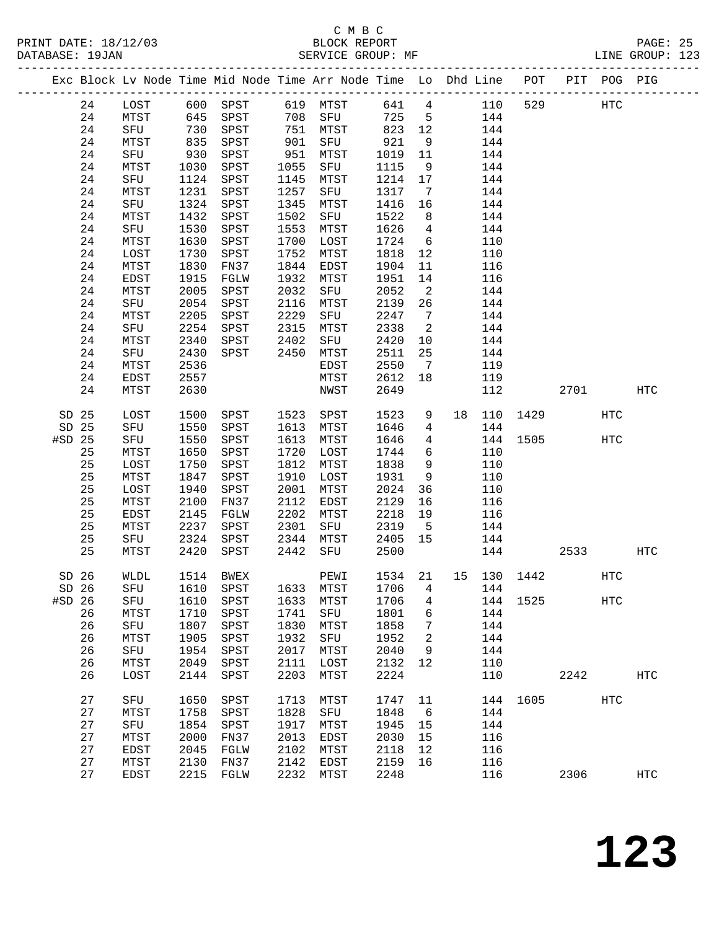|                  |         |      |      | Exc Block Lv Node Time Mid Node Time Arr Node Time Lo Dhd Line POT |      |      |         |                 |           |             |      | PIT POG PIG |                   |
|------------------|---------|------|------|--------------------------------------------------------------------|------|------|---------|-----------------|-----------|-------------|------|-------------|-------------------|
|                  | 24      | LOST |      |                                                                    |      |      |         |                 | 641 4 110 | 529         |      | HTC         |                   |
|                  | 24      | MTST |      |                                                                    |      |      | 725     | $5^{\circ}$     | 144       |             |      |             |                   |
|                  | 24      | SFU  | 730  | SPST                                                               | 751  | MTST | 823 12  |                 | 144       |             |      |             |                   |
|                  | 24      | MTST | 835  | SPST                                                               | 901  | SFU  | 921     | 9               | 144       |             |      |             |                   |
|                  | 24      | SFU  | 930  | SPST                                                               | 951  | MTST | 1019    | 11              | 144       |             |      |             |                   |
|                  | 24      | MTST | 1030 | SPST                                                               | 1055 | SFU  | 1115    | 9               | 144       |             |      |             |                   |
|                  | 24      | SFU  | 1124 | SPST                                                               | 1145 | MTST | 1214    | 17              | 144       |             |      |             |                   |
|                  | 24      | MTST | 1231 | SPST                                                               | 1257 | SFU  | 1317    | $\overline{7}$  | 144       |             |      |             |                   |
|                  | 24      | SFU  | 1324 | SPST                                                               | 1345 | MTST | 1416    | 16              | 144       |             |      |             |                   |
|                  | 24      | MTST | 1432 | SPST                                                               | 1502 | SFU  | 1522    | 8 <sup>8</sup>  | 144       |             |      |             |                   |
|                  | 24      | SFU  | 1530 | SPST                                                               | 1553 | MTST | 1626    | $\overline{4}$  | 144       |             |      |             |                   |
|                  | 24      | MTST | 1630 | SPST                                                               | 1700 | LOST | 1724    | 6               | 110       |             |      |             |                   |
|                  | 24      | LOST | 1730 | SPST                                                               | 1752 | MTST | 1818    | 12              | 110       |             |      |             |                   |
|                  | 24      | MTST | 1830 | FN37                                                               | 1844 | EDST | 1904    | 11              | 116       |             |      |             |                   |
|                  | 24      | EDST | 1915 | FGLW                                                               | 1932 | MTST | 1951    | 14              | 116       |             |      |             |                   |
|                  | 24      | MTST | 2005 | SPST                                                               | 2032 | SFU  | 2052    | $\overline{2}$  | 144       |             |      |             |                   |
|                  | 24      | SFU  | 2054 | SPST                                                               | 2116 | MTST | 2139    | 26              | 144       |             |      |             |                   |
|                  | 24      | MTST | 2205 | SPST                                                               | 2229 | SFU  | 2247    | $\overline{7}$  | 144       |             |      |             |                   |
|                  | 24      | SFU  | 2254 | SPST                                                               | 2315 | MTST | 2338    | $\overline{2}$  | 144       |             |      |             |                   |
|                  | 24      | MTST | 2340 | SPST                                                               | 2402 | SFU  | 2420    | 10              | 144       |             |      |             |                   |
|                  | 24      | SFU  | 2430 | SPST                                                               | 2450 | MTST | 2511    | 25              | 144       |             |      |             |                   |
|                  | 24      | MTST | 2536 |                                                                    |      | EDST | 2550    | 7               | 119       |             |      |             |                   |
|                  | 24      | EDST | 2557 |                                                                    |      | MTST | 2612    | 18              | 119       |             |      |             |                   |
|                  | 24      | MTST | 2630 |                                                                    |      | NWST | 2649    |                 | 112       |             | 2701 |             | <b>HTC</b>        |
| SD 25            |         | LOST | 1500 | SPST 1523                                                          |      | SPST | 1523    | 9               | 18 110    | 1429        |      | <b>HTC</b>  |                   |
| SD 25            |         | SFU  | 1550 | SPST                                                               | 1613 | MTST | 1646    | $\overline{4}$  | 144       |             |      |             |                   |
| #SD 25           |         | SFU  | 1550 | SPST                                                               | 1613 | MTST | 1646    | $4\overline{ }$ |           | 144 1505    |      | HTC         |                   |
|                  | 25      | MTST | 1650 | SPST                                                               | 1720 | LOST | 1744    | 6               | 110       |             |      |             |                   |
|                  | 25      | LOST | 1750 | ${\tt SPST}$                                                       | 1812 | MTST | 1838    | 9               | 110       |             |      |             |                   |
|                  | 25      | MTST | 1847 | SPST                                                               | 1910 | LOST | 1931    | 9               | 110       |             |      |             |                   |
|                  | 25      | LOST | 1940 | ${\tt SPST}$                                                       | 2001 | MTST | 2024    | 36              | 110       |             |      |             |                   |
|                  | 25      | MTST | 2100 | FN37                                                               | 2112 | EDST | 2129    | 16              | 116       |             |      |             |                   |
|                  | 25      | EDST | 2145 | FGLW                                                               | 2202 | MTST | 2218    | 19              | 116       |             |      |             |                   |
|                  | 25      | MTST | 2237 | SPST                                                               | 2301 | SFU  | 2319    | $5^{\circ}$     | 144       |             |      |             |                   |
|                  | 25      | SFU  | 2324 | SPST                                                               | 2344 | MTST | 2405 15 |                 | 144       |             |      |             |                   |
|                  | 25      | MTST | 2420 | SPST                                                               | 2442 | SFU  | 2500    |                 |           | 144         | 2533 |             | HTC               |
|                  |         |      |      |                                                                    |      |      |         |                 |           |             |      |             |                   |
| SD <sub>26</sub> |         | WLDL |      | 1514 BWEX                                                          |      | PEWI | 1534 21 |                 |           | 15 130 1442 |      | HTC         |                   |
|                  | $SD$ 26 |      |      | SFU 1610 SPST 1633 MTST 1706 4 144                                 |      |      |         |                 |           |             |      |             |                   |
| $#SD$ 26         |         | SFU  | 1610 | SPST                                                               | 1633 | MTST | 1706    | 4               |           | 144 1525    |      | HTC         |                   |
|                  | 26      | MTST | 1710 | SPST                                                               | 1741 | SFU  | 1801    | 6               | 144       |             |      |             |                   |
|                  | 26      | SFU  | 1807 | SPST                                                               | 1830 | MTST | 1858    | 7               | 144       |             |      |             |                   |
|                  | 26      | MTST | 1905 | SPST                                                               | 1932 | SFU  | 1952    | 2               | 144       |             |      |             |                   |
|                  | 26      | SFU  | 1954 | SPST                                                               | 2017 | MTST | 2040    | 9               | 144       |             |      |             |                   |
|                  | 26      | MTST | 2049 | SPST                                                               | 2111 | LOST | 2132    | 12              | 110       |             |      |             |                   |
|                  | 26      | LOST | 2144 | SPST                                                               | 2203 | MTST | 2224    |                 | 110       |             | 2242 |             | $_{\mathrm{HTC}}$ |
|                  | 27      | SFU  | 1650 | SPST                                                               | 1713 | MTST | 1747    | 11              |           | 144 1605    |      | <b>HTC</b>  |                   |
|                  | 27      | MTST | 1758 | SPST                                                               | 1828 | SFU  | 1848    | $6\overline{6}$ | 144       |             |      |             |                   |
|                  | 27      | SFU  | 1854 | SPST                                                               | 1917 | MTST | 1945    | 15              | 144       |             |      |             |                   |
|                  | 27      | MTST | 2000 | FN37                                                               | 2013 | EDST | 2030    | 15              | 116       |             |      |             |                   |
|                  | 27      | EDST | 2045 | FGLW                                                               | 2102 | MTST | 2118    | 12              | 116       |             |      |             |                   |
|                  | 27      | MTST | 2130 | FN37                                                               | 2142 | EDST | 2159    | 16              | 116       |             |      |             |                   |
|                  | 27      | EDST |      | 2215 FGLW                                                          | 2232 | MTST | 2248    |                 | 116       |             | 2306 |             | <b>HTC</b>        |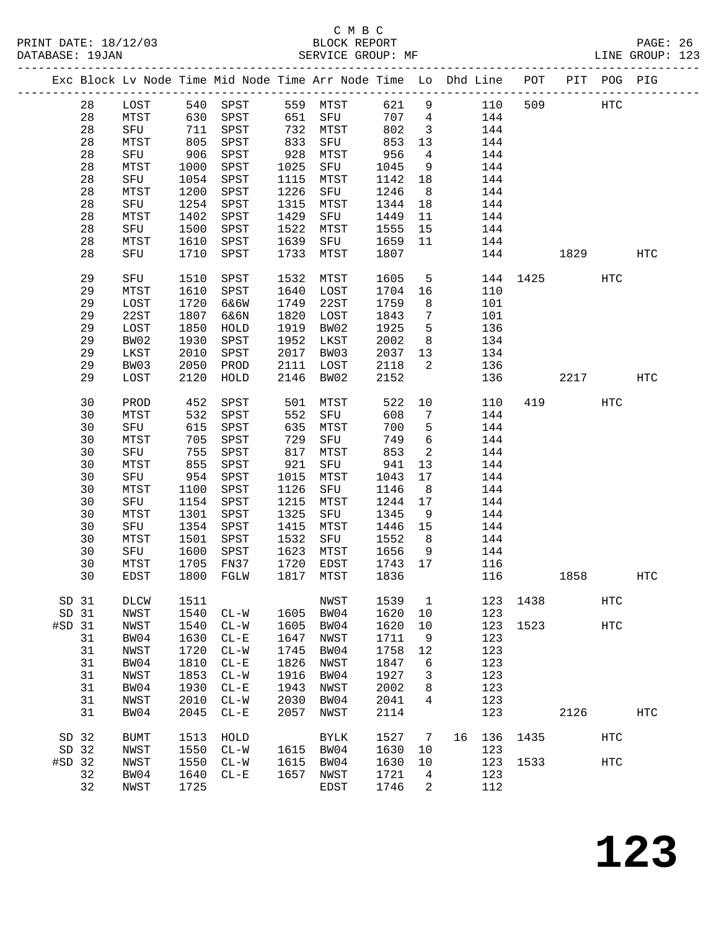|          |    |             |            | Exc Block Lv Node Time Mid Node Time Arr Node Time Lo Dhd Line POT |      |             |       |                            |    |     |          |      | PIT POG PIG       |                   |
|----------|----|-------------|------------|--------------------------------------------------------------------|------|-------------|-------|----------------------------|----|-----|----------|------|-------------------|-------------------|
|          | 28 | LOST        |            | 540 SPST                                                           |      | 559 MTST    | 621   | 9                          |    | 110 | 509      |      | $_{\mathrm{HTC}}$ |                   |
|          | 28 | MTST        |            | SPST                                                               |      | 651 SFU     | 707 4 |                            |    | 144 |          |      |                   |                   |
|          | 28 | SFU         | 630<br>711 | SPST                                                               |      | 732 MTST    | 802   | $\overline{\mathbf{3}}$    |    | 144 |          |      |                   |                   |
|          | 28 | MTST        | 805        | SPST                                                               | 833  | SFU         | 853   | 13                         |    | 144 |          |      |                   |                   |
|          | 28 | SFU         | 906        | SPST                                                               | 928  | MTST        | 956   | $\overline{4}$             |    | 144 |          |      |                   |                   |
|          | 28 | MTST        | 1000       | SPST                                                               | 1025 | SFU         | 1045  | 9                          |    | 144 |          |      |                   |                   |
|          | 28 | SFU         | 1054       | SPST                                                               | 1115 | MTST        | 1142  | 18                         |    | 144 |          |      |                   |                   |
|          | 28 | MTST        | 1200       | SPST                                                               | 1226 | SFU         | 1246  | 8 <sup>8</sup>             |    | 144 |          |      |                   |                   |
|          | 28 | SFU         | 1254       | SPST                                                               | 1315 | MTST        | 1344  | 18                         |    | 144 |          |      |                   |                   |
|          | 28 | MTST        | 1402       | SPST                                                               | 1429 | SFU         | 1449  | 11                         |    | 144 |          |      |                   |                   |
|          | 28 | SFU         | 1500       | SPST                                                               | 1522 | MTST        | 1555  | 15                         |    | 144 |          |      |                   |                   |
|          | 28 | MTST        | 1610       | SPST                                                               | 1639 | SFU         | 1659  | 11                         |    | 144 |          |      |                   |                   |
|          | 28 | SFU         | 1710       | SPST                                                               | 1733 | MTST        | 1807  |                            |    | 144 |          | 1829 |                   | HTC               |
|          | 29 | SFU         | 1510       | SPST                                                               | 1532 | MTST        | 1605  | $5^{\circ}$                |    |     | 144 1425 |      | <b>HTC</b>        |                   |
|          | 29 | MTST        | 1610       | SPST                                                               | 1640 | LOST        | 1704  | 16                         |    | 110 |          |      |                   |                   |
|          | 29 | LOST        | 1720       | 6&6W                                                               | 1749 | 22ST        | 1759  | 8 <sup>8</sup>             |    | 101 |          |      |                   |                   |
|          | 29 | 22ST        | 1807       | 6&6N                                                               | 1820 | LOST        | 1843  | $\overline{7}$             |    | 101 |          |      |                   |                   |
|          | 29 | LOST        | 1850       | HOLD                                                               | 1919 | BW02        | 1925  | $5^{\circ}$                |    | 136 |          |      |                   |                   |
|          | 29 | BW02        | 1930       | SPST                                                               | 1952 | LKST        | 2002  | 8 <sup>8</sup>             |    | 134 |          |      |                   |                   |
|          | 29 | LKST        | 2010       | SPST                                                               | 2017 | BW03        | 2037  | 13                         |    | 134 |          |      |                   |                   |
|          | 29 | BW03        | 2050       | PROD                                                               | 2111 | LOST        | 2118  | 2                          |    | 136 |          |      |                   |                   |
|          | 29 | LOST        | 2120       | HOLD                                                               | 2146 | BW02        | 2152  |                            |    | 136 |          | 2217 |                   | HTC               |
|          | 30 | PROD        | 452        | SPST                                                               | 501  | MTST        | 522   | 10                         |    | 110 |          | 419  | <b>HTC</b>        |                   |
|          | 30 | MTST        | 532        | SPST                                                               | 552  | SFU         | 608   | 7                          |    | 144 |          |      |                   |                   |
|          | 30 | SFU         | 615        | SPST                                                               | 635  | MTST        | 700   | 5                          |    | 144 |          |      |                   |                   |
|          | 30 | MTST        | 705        | SPST                                                               | 729  | SFU         | 749   | $6\overline{6}$            |    | 144 |          |      |                   |                   |
|          | 30 | SFU         | 755        | SPST                                                               | 817  | MTST        | 853   | $\overline{\phantom{a}}^2$ |    | 144 |          |      |                   |                   |
|          | 30 | MTST        | 855        | SPST                                                               | 921  | SFU         | 941   | 13                         |    | 144 |          |      |                   |                   |
|          | 30 | SFU         | 954        | SPST                                                               | 1015 | MTST        | 1043  | 17                         |    | 144 |          |      |                   |                   |
|          | 30 | MTST        | 1100       | SPST                                                               | 1126 | SFU         | 1146  | 8                          |    | 144 |          |      |                   |                   |
|          | 30 | SFU         | 1154       | SPST                                                               | 1215 | MTST        | 1244  | 17                         |    | 144 |          |      |                   |                   |
|          | 30 | MTST        | 1301       | SPST                                                               | 1325 | SFU         | 1345  | 9                          |    | 144 |          |      |                   |                   |
|          | 30 | SFU         | 1354       | SPST                                                               | 1415 | MTST        | 1446  | 15                         |    | 144 |          |      |                   |                   |
|          | 30 | MTST        | 1501       | SPST                                                               | 1532 | SFU         | 1552  | 8 <sup>8</sup>             |    | 144 |          |      |                   |                   |
|          | 30 | SFU         | 1600       | SPST                                                               | 1623 | MTST        | 1656  | 9                          |    | 144 |          |      |                   |                   |
|          | 30 | MTST        | 1705       | FN37                                                               | 1720 | EDST        | 1743  | 17                         |    | 116 |          |      |                   |                   |
|          | 30 | EDST        | 1800       | FGLW                                                               | 1817 | MTST        | 1836  |                            |    | 116 |          | 1858 |                   | HTC               |
| SD 31    |    | DLCW        | 1511       |                                                                    |      | NWST        | 1539  | 1                          |    | 123 | 1438     |      | HTC               |                   |
| SD 31    |    | NWST        | 1540       | $CL - W$                                                           | 1605 | BW04        | 1620  | 10                         |    | 123 |          |      |                   |                   |
| #SD 31   |    | NWST        | 1540       | $CL-W$                                                             | 1605 | BW04        | 1620  | 10                         |    | 123 | 1523     |      | HTC               |                   |
|          | 31 | BW04        | 1630       | $CL - E$                                                           | 1647 | NWST        | 1711  | 9                          |    | 123 |          |      |                   |                   |
|          | 31 | NWST        | 1720       | $CL-W$                                                             | 1745 | BW04        | 1758  | 12                         |    | 123 |          |      |                   |                   |
|          | 31 | BW04        | 1810       | $CL - E$                                                           | 1826 | NWST        | 1847  | 6                          |    | 123 |          |      |                   |                   |
|          | 31 | NWST        | 1853       | $CL-W$                                                             | 1916 | BW04        | 1927  | 3                          |    | 123 |          |      |                   |                   |
|          | 31 | BW04        | 1930       | $CL - E$                                                           | 1943 | <b>NWST</b> | 2002  | 8                          |    | 123 |          |      |                   |                   |
|          | 31 | NWST        | 2010       | $CL-W$                                                             | 2030 | BW04        | 2041  | 4                          |    | 123 |          |      |                   |                   |
|          | 31 | BW04        | 2045       | $CL - E$                                                           | 2057 | NWST        | 2114  |                            |    | 123 |          | 2126 |                   | $_{\mathrm{HTC}}$ |
| SD 32    |    | <b>BUMT</b> | 1513       | HOLD                                                               |      | BYLK        | 1527  | $7\phantom{.0}$            | 16 | 136 | 1435     |      | HTC               |                   |
| SD 32    |    | NWST        | 1550       | $CL - W$                                                           | 1615 | BW04        | 1630  | 10                         |    | 123 |          |      |                   |                   |
| $#SD$ 32 |    | NWST        | 1550       | $CL - W$                                                           | 1615 | BW04        | 1630  | 10                         |    | 123 | 1533     |      | HTC               |                   |
|          | 32 | BW04        | 1640       | $CL - E$                                                           | 1657 | NWST        | 1721  | 4                          |    | 123 |          |      |                   |                   |
|          | 32 | NWST        | 1725       |                                                                    |      | EDST        | 1746  | 2                          |    | 112 |          |      |                   |                   |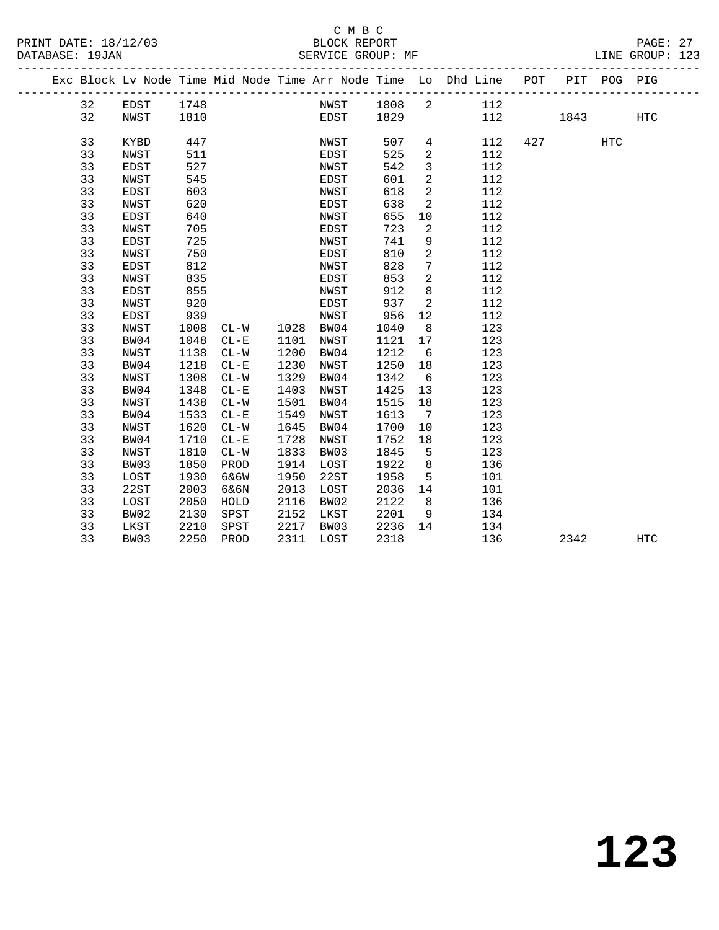#### C M B C<br>BLOCK REPORT PRINT DATE: 18/12/03 BLOCK REPORT PAGE: 27 SERVICE GROUP: MF

|  |    |             |      |          |      |      |      |                              | Exc Block Lv Node Time Mid Node Time Arr Node Time Lo Dhd Line POT PIT POG PIG<br>------------------------------------ |     |      |     |            |
|--|----|-------------|------|----------|------|------|------|------------------------------|------------------------------------------------------------------------------------------------------------------------|-----|------|-----|------------|
|  | 32 | EDST        | 1748 |          |      | NWST | 1808 | $\overline{2}$               | 112                                                                                                                    |     |      |     |            |
|  | 32 | NWST        | 1810 |          |      | EDST | 1829 |                              |                                                                                                                        | 112 | 1843 |     | <b>HTC</b> |
|  |    |             |      |          |      |      |      |                              |                                                                                                                        |     |      |     |            |
|  | 33 | KYBD        | 447  |          |      | NWST | 507  | $4\degree$                   | 112                                                                                                                    | 427 |      | HTC |            |
|  | 33 | <b>NWST</b> | 511  |          |      | EDST | 525  | $\overline{a}$               | 112                                                                                                                    |     |      |     |            |
|  | 33 | EDST        | 527  |          |      | NWST | 542  | $\mathbf{3}$                 | 112                                                                                                                    |     |      |     |            |
|  | 33 | <b>NWST</b> | 545  |          |      | EDST | 601  | $\overline{a}$               | 112                                                                                                                    |     |      |     |            |
|  | 33 | <b>EDST</b> | 603  |          |      | NWST | 618  | $\overline{a}$               | 112                                                                                                                    |     |      |     |            |
|  | 33 | NWST        | 620  |          |      | EDST | 638  | $\overline{a}$               | 112                                                                                                                    |     |      |     |            |
|  | 33 | EDST        | 640  |          |      | NWST | 655  | 10                           | 112                                                                                                                    |     |      |     |            |
|  | 33 | <b>NWST</b> | 705  |          |      | EDST | 723  | $\mathbf{2}$                 | 112                                                                                                                    |     |      |     |            |
|  | 33 | EDST        | 725  |          |      | NWST | 741  | 9                            | 112                                                                                                                    |     |      |     |            |
|  | 33 | <b>NWST</b> | 750  |          |      | EDST | 810  | 2                            | 112                                                                                                                    |     |      |     |            |
|  | 33 | EDST        | 812  |          |      | NWST | 828  | 7                            | 112                                                                                                                    |     |      |     |            |
|  | 33 | <b>NWST</b> | 835  |          |      | EDST | 853  | $\overline{2}$               | 112                                                                                                                    |     |      |     |            |
|  | 33 | EDST        | 855  |          |      | NWST | 912  | 8                            | 112                                                                                                                    |     |      |     |            |
|  | 33 | <b>NWST</b> | 920  |          |      | EDST | 937  | 2                            | 112                                                                                                                    |     |      |     |            |
|  | 33 | EDST        | 939  |          |      | NWST | 956  | 12                           | 112                                                                                                                    |     |      |     |            |
|  | 33 | <b>NWST</b> | 1008 | $CL - W$ | 1028 | BW04 | 1040 | 8                            | 123                                                                                                                    |     |      |     |            |
|  | 33 | BW04        | 1048 | $CL - E$ | 1101 | NWST | 1121 | 17                           | 123                                                                                                                    |     |      |     |            |
|  | 33 | NWST        | 1138 | $CL-W$   | 1200 | BW04 | 1212 | 6                            | 123                                                                                                                    |     |      |     |            |
|  | 33 | BW04        | 1218 | $CL - E$ | 1230 | NWST | 1250 | 18                           | 123                                                                                                                    |     |      |     |            |
|  | 33 | NWST        | 1308 | $CL-W$   | 1329 | BW04 | 1342 | $6\overline{6}$              | 123                                                                                                                    |     |      |     |            |
|  | 33 | BW04        | 1348 | $CL - E$ | 1403 | NWST | 1425 | 13                           | 123                                                                                                                    |     |      |     |            |
|  | 33 | <b>NWST</b> | 1438 | $CL-W$   | 1501 | BW04 | 1515 | 18                           | 123                                                                                                                    |     |      |     |            |
|  | 33 | BW04        | 1533 | $CL - E$ | 1549 | NWST | 1613 | $7\phantom{.0}\phantom{.0}7$ | 123                                                                                                                    |     |      |     |            |
|  | 33 | <b>NWST</b> | 1620 | $CL-W$   | 1645 | BW04 | 1700 | 10                           | 123                                                                                                                    |     |      |     |            |
|  | 33 | BW04        | 1710 | $CL-E$   | 1728 | NWST | 1752 | 18                           | 123                                                                                                                    |     |      |     |            |
|  | 33 | <b>NWST</b> | 1810 | $CL-W$   | 1833 | BW03 | 1845 | 5                            | 123                                                                                                                    |     |      |     |            |
|  | 33 | BW03        | 1850 | PROD     | 1914 | LOST | 1922 | 8                            | 136                                                                                                                    |     |      |     |            |
|  | 33 | LOST        | 1930 | 6&6W     | 1950 | 22ST | 1958 | 5                            | 101                                                                                                                    |     |      |     |            |
|  | 33 | 22ST        | 2003 | 6&6N     | 2013 | LOST | 2036 | 14                           | 101                                                                                                                    |     |      |     |            |
|  | 33 | LOST        | 2050 | HOLD     | 2116 | BW02 | 2122 | 8                            | 136                                                                                                                    |     |      |     |            |
|  | 33 | BW02        | 2130 | SPST     | 2152 | LKST | 2201 | 9                            | 134                                                                                                                    |     |      |     |            |
|  | 33 | LKST        | 2210 | SPST     | 2217 | BW03 | 2236 | 14                           | 134                                                                                                                    |     |      |     |            |
|  | 33 | BW03        | 2250 | PROD     | 2311 | LOST | 2318 |                              | 136                                                                                                                    |     | 2342 |     | <b>HTC</b> |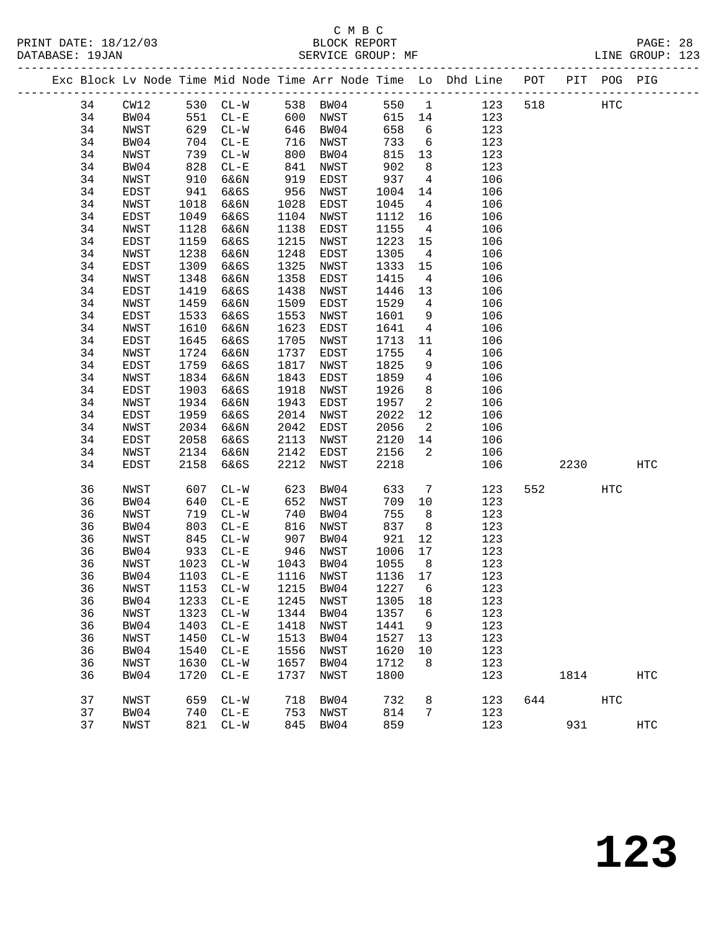|  |    |      |      | Exc Block Lv Node Time Mid Node Time Arr Node Time Lo Dhd Line POT |           |      |         |                 |     |     |      | PIT POG PIG |     |
|--|----|------|------|--------------------------------------------------------------------|-----------|------|---------|-----------------|-----|-----|------|-------------|-----|
|  | 34 | CW12 |      | 530 CL-W                                                           | 538 BW04  |      | 550     | $\overline{1}$  | 123 | 518 |      | HTC         |     |
|  | 34 | BW04 | 551  | $CL - E$                                                           | 600       | NWST | 615 14  |                 | 123 |     |      |             |     |
|  | 34 | NWST | 629  | $CL-W$                                                             | 646       | BW04 | 658     | $6\overline{6}$ | 123 |     |      |             |     |
|  | 34 | BW04 | 704  | $CL - E$                                                           | 716       | NWST | 733     | $6\overline{6}$ | 123 |     |      |             |     |
|  | 34 | NWST | 739  | $CL-W$                                                             | 800       | BW04 | 815     | 13              | 123 |     |      |             |     |
|  | 34 | BW04 | 828  | $CL - E$                                                           | 841       | NWST | 902     | 8               | 123 |     |      |             |     |
|  | 34 | NWST | 910  | 6&6N                                                               | 919       | EDST | 937     | $4\overline{4}$ | 106 |     |      |             |     |
|  | 34 | EDST | 941  | 6&6S                                                               | 956       | NWST | 1004    | 14              | 106 |     |      |             |     |
|  | 34 | NWST | 1018 | 6&6N                                                               | 1028      | EDST | 1045    | $\overline{4}$  | 106 |     |      |             |     |
|  | 34 | EDST | 1049 | 6&6S                                                               | 1104      | NWST | 1112    | 16              | 106 |     |      |             |     |
|  | 34 | NWST | 1128 | 6&6N                                                               | 1138      | EDST | 1155    | $\overline{4}$  | 106 |     |      |             |     |
|  | 34 | EDST | 1159 | 6&6S                                                               | 1215      | NWST | 1223    | 15              | 106 |     |      |             |     |
|  | 34 | NWST | 1238 | 6&6N                                                               | 1248      | EDST | 1305    | $\overline{4}$  | 106 |     |      |             |     |
|  | 34 | EDST | 1309 | 6&6S                                                               | 1325      | NWST | 1333    | 15              | 106 |     |      |             |     |
|  | 34 | NWST | 1348 | 6&6N                                                               | 1358      | EDST | 1415    | $\overline{4}$  | 106 |     |      |             |     |
|  | 34 | EDST | 1419 | 6&6S                                                               | 1438      | NWST | 1446    | 13              | 106 |     |      |             |     |
|  | 34 | NWST | 1459 | 6&6N                                                               | 1509      | EDST | 1529    | $\overline{4}$  | 106 |     |      |             |     |
|  | 34 | EDST | 1533 | 6&6S                                                               | 1553      | NWST | 1601    | 9               | 106 |     |      |             |     |
|  | 34 | NWST | 1610 | 6&6N                                                               | 1623      | EDST | 1641    | 4               | 106 |     |      |             |     |
|  | 34 | EDST | 1645 | 6&6S                                                               | 1705      | NWST | 1713    | 11              | 106 |     |      |             |     |
|  | 34 | NWST | 1724 | 6&6N                                                               | 1737      | EDST | 1755    | 4               | 106 |     |      |             |     |
|  | 34 | EDST | 1759 | 6&6S                                                               | 1817      | NWST | 1825    | 9               | 106 |     |      |             |     |
|  | 34 | NWST | 1834 | 6&6N                                                               | 1843      | EDST | 1859    | $\overline{4}$  | 106 |     |      |             |     |
|  | 34 | EDST | 1903 | 6&6S                                                               | 1918      | NWST | 1926    | 8               | 106 |     |      |             |     |
|  | 34 | NWST | 1934 | 6&6N                                                               | 1943      | EDST | 1957    | $\overline{a}$  | 106 |     |      |             |     |
|  | 34 | EDST | 1959 | 6&6S                                                               | 2014      | NWST | 2022    | 12              | 106 |     |      |             |     |
|  | 34 | NWST | 2034 | 6&6N                                                               | 2042      | EDST | 2056    | $\overline{2}$  | 106 |     |      |             |     |
|  | 34 | EDST | 2058 | 6&6S                                                               | 2113      | NWST | 2120    | 14              | 106 |     |      |             |     |
|  | 34 | NWST | 2134 | 6&6N                                                               | 2142      | EDST | 2156    | $\overline{a}$  | 106 |     |      |             |     |
|  | 34 | EDST | 2158 | 6&6S                                                               | 2212      | NWST | 2218    |                 | 106 |     | 2230 |             | HTC |
|  | 36 | NWST | 607  | $CL-W$                                                             | 623       | BW04 | 633     | 7               | 123 | 552 |      | <b>HTC</b>  |     |
|  | 36 | BW04 | 640  | $CL - E$                                                           | 652       | NWST | 709     | 10              | 123 |     |      |             |     |
|  | 36 | NWST | 719  | $CL-W$                                                             | 740       | BW04 | 755     | 8               | 123 |     |      |             |     |
|  | 36 | BW04 | 803  | $CL - E$                                                           | 816       | NWST | 837     | 8 <sup>8</sup>  | 123 |     |      |             |     |
|  | 36 | NWST | 845  | $CL-W$                                                             | 907       | BW04 | 921     | 12              | 123 |     |      |             |     |
|  | 36 | BW04 | 933  | $CL - E$                                                           | 946       | NWST | 1006    | 17              | 123 |     |      |             |     |
|  | 36 | NWST | 1023 | $CL - W$                                                           | 1043      | BW04 | 1055    | 8 <sup>8</sup>  | 123 |     |      |             |     |
|  | 36 | BW04 | 1103 | $CL - E$                                                           | 1116 NWST |      | 1136 17 |                 | 123 |     |      |             |     |
|  | 36 | NWST |      | 1153 CL-W 1215 BW04 1227 6                                         |           |      |         |                 | 123 |     |      |             |     |
|  | 36 | BW04 | 1233 | $CL - E$                                                           | 1245      | NWST | 1305    | 18              | 123 |     |      |             |     |
|  | 36 | NWST | 1323 | $CL - W$                                                           | 1344      | BW04 | 1357    | 6               | 123 |     |      |             |     |
|  | 36 | BW04 | 1403 | $CL - E$                                                           | 1418      | NWST | 1441    | 9               | 123 |     |      |             |     |
|  | 36 | NWST | 1450 | $CL-W$                                                             | 1513      | BW04 | 1527    | 13              | 123 |     |      |             |     |
|  | 36 | BW04 | 1540 | $CL-E$                                                             | 1556      | NWST | 1620    | 10              | 123 |     |      |             |     |
|  | 36 | NWST | 1630 | $CL-W$                                                             | 1657      | BW04 | 1712    | 8               | 123 |     |      |             |     |
|  | 36 | BW04 | 1720 | $CL - E$                                                           | 1737      | NWST | 1800    |                 | 123 |     | 1814 |             | HTC |
|  | 37 | NWST | 659  | $CL - W$                                                           | 718       | BW04 | 732     | 8               | 123 | 644 |      | HTC         |     |
|  | 37 | BW04 | 740  | $CL - E$                                                           | 753       | NWST | 814     | 7               | 123 |     |      |             |     |
|  | 37 | NWST | 821  | $CL - W$                                                           | 845       | BW04 | 859     |                 | 123 |     | 931  |             | HTC |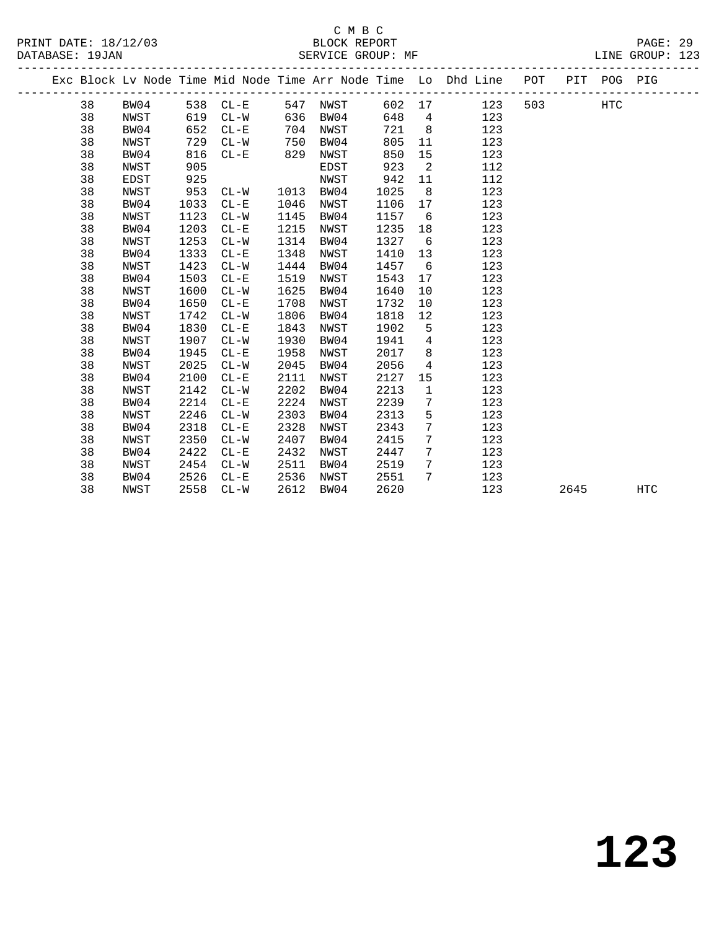|  |    |      |      |          |      |      |        |                 | Exc Block Lv Node Time Mid Node Time Arr Node Time Lo Dhd Line POT |     |      | PIT POG PIG |            |  |
|--|----|------|------|----------|------|------|--------|-----------------|--------------------------------------------------------------------|-----|------|-------------|------------|--|
|  | 38 | BW04 |      | 538 CL-E | 547  | NWST | 602 17 |                 | 123                                                                | 503 |      | <b>HTC</b>  |            |  |
|  | 38 | NWST | 619  | $CL-W$   | 636  | BW04 | 648    | $\overline{4}$  | 123                                                                |     |      |             |            |  |
|  | 38 | BW04 | 652  | $CL-E$   | 704  | NWST | 721    | 8 <sup>8</sup>  | 123                                                                |     |      |             |            |  |
|  | 38 | NWST | 729  | $CL-W$   | 750  | BW04 | 805    | 11              | 123                                                                |     |      |             |            |  |
|  | 38 | BW04 | 816  | $CL - E$ | 829  | NWST | 850    | 15              | 123                                                                |     |      |             |            |  |
|  | 38 | NWST | 905  |          |      | EDST | 923    | 2               | 112                                                                |     |      |             |            |  |
|  | 38 | EDST | 925  |          |      | NWST | 942    | 11              | 112                                                                |     |      |             |            |  |
|  | 38 | NWST | 953  | $CL - W$ | 1013 | BW04 | 1025   | 8               | 123                                                                |     |      |             |            |  |
|  | 38 | BW04 | 1033 | $CL - E$ | 1046 | NWST | 1106   | 17              | 123                                                                |     |      |             |            |  |
|  | 38 | NWST | 1123 | $CL-W$   | 1145 | BW04 | 1157   | $6\overline{6}$ | 123                                                                |     |      |             |            |  |
|  | 38 | BW04 | 1203 | $CL - E$ | 1215 | NWST | 1235   | 18              | 123                                                                |     |      |             |            |  |
|  | 38 | NWST | 1253 | $CL-W$   | 1314 | BW04 | 1327   | 6               | 123                                                                |     |      |             |            |  |
|  | 38 | BW04 | 1333 | $CL-E$   | 1348 | NWST | 1410   | 13              | 123                                                                |     |      |             |            |  |
|  | 38 | NWST | 1423 | $CL-W$   | 1444 | BW04 | 1457   | 6               | 123                                                                |     |      |             |            |  |
|  | 38 | BW04 | 1503 | $CL - E$ | 1519 | NWST | 1543   | 17              | 123                                                                |     |      |             |            |  |
|  | 38 | NWST | 1600 | $CL-W$   | 1625 | BW04 | 1640   | 10              | 123                                                                |     |      |             |            |  |
|  | 38 | BW04 | 1650 | $CL - E$ | 1708 | NWST | 1732   | 10              | 123                                                                |     |      |             |            |  |
|  | 38 | NWST | 1742 | $CL-W$   | 1806 | BW04 | 1818   | 12              | 123                                                                |     |      |             |            |  |
|  | 38 | BW04 | 1830 | $CL - E$ | 1843 | NWST | 1902   | 5               | 123                                                                |     |      |             |            |  |
|  | 38 | NWST | 1907 | $CL-W$   | 1930 | BW04 | 1941   | $4\overline{ }$ | 123                                                                |     |      |             |            |  |
|  | 38 | BW04 | 1945 | $CL-E$   | 1958 | NWST | 2017   | 8               | 123                                                                |     |      |             |            |  |
|  | 38 | NWST | 2025 | $CL-W$   | 2045 | BW04 | 2056   | $\overline{4}$  | 123                                                                |     |      |             |            |  |
|  | 38 | BW04 | 2100 | $CL - E$ | 2111 | NWST | 2127   | 15              | 123                                                                |     |      |             |            |  |
|  | 38 | NWST | 2142 | $CL - W$ | 2202 | BW04 | 2213   | $\mathbf{1}$    | 123                                                                |     |      |             |            |  |
|  | 38 | BW04 | 2214 | $CL - E$ | 2224 | NWST | 2239   | 7               | 123                                                                |     |      |             |            |  |
|  | 38 | NWST | 2246 | $CL - W$ | 2303 | BW04 | 2313   | 5               | 123                                                                |     |      |             |            |  |
|  | 38 | BW04 | 2318 | $CL - E$ | 2328 | NWST | 2343   | 7               | 123                                                                |     |      |             |            |  |
|  | 38 | NWST | 2350 | $CL-W$   | 2407 | BW04 | 2415   | 7               | 123                                                                |     |      |             |            |  |
|  | 38 | BW04 | 2422 | $CL-E$   | 2432 | NWST | 2447   | 7               | 123                                                                |     |      |             |            |  |
|  | 38 | NWST | 2454 | $CL-W$   | 2511 | BW04 | 2519   | 7               | 123                                                                |     |      |             |            |  |
|  | 38 | BW04 | 2526 | $CL - E$ | 2536 | NWST | 2551   | 7               | 123                                                                |     |      |             |            |  |
|  | 38 | NWST | 2558 | $CL-W$   | 2612 | BW04 | 2620   |                 | 123                                                                |     | 2645 |             | <b>HTC</b> |  |
|  |    |      |      |          |      |      |        |                 |                                                                    |     |      |             |            |  |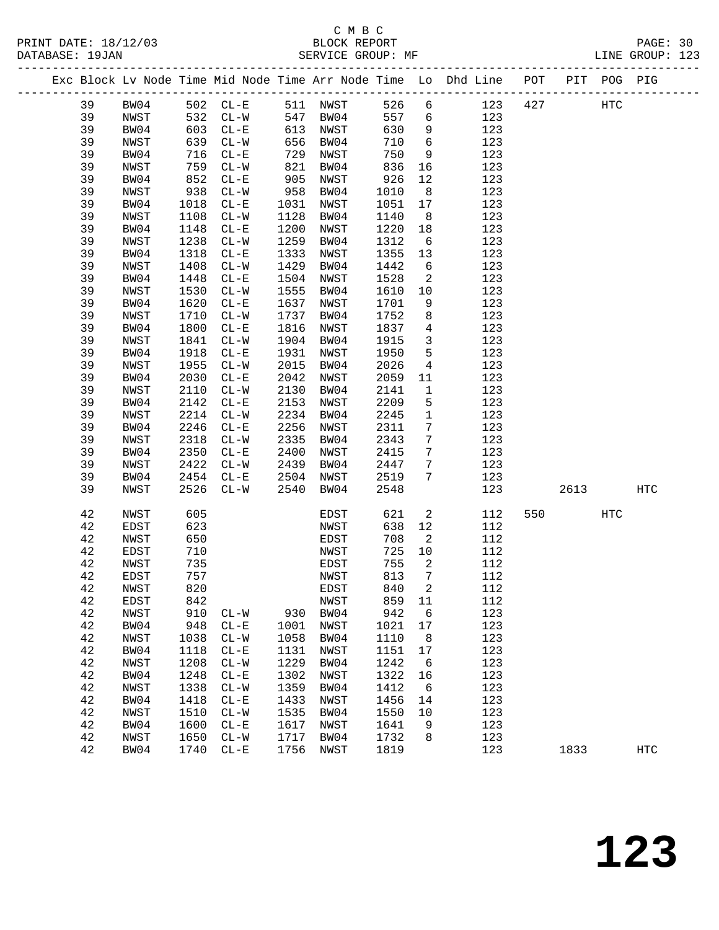|  |          | Exc Block Lv Node Time Mid Node Time Arr Node Time Lo Dhd Line |              |                                        |              |              |              |                   |            | POT |      | PIT POG PIG |                   |
|--|----------|----------------------------------------------------------------|--------------|----------------------------------------|--------------|--------------|--------------|-------------------|------------|-----|------|-------------|-------------------|
|  | 39       | BW04                                                           |              | 502 CL-E                               |              | 511 NWST     | 526          | $6\overline{6}$   | 123        | 427 |      | HTC         |                   |
|  | 39       | NWST                                                           | 532          | $CL-W$                                 | 547          | BW04         | 557          | 6                 | 123        |     |      |             |                   |
|  | 39       | BW04                                                           | 603          | $CL - E$                               | 613          | NWST         | 630          | 9                 | 123        |     |      |             |                   |
|  | 39       | NWST                                                           | 639          | $CL-W$                                 | 656          | BW04         | 710          | $\epsilon$        | 123        |     |      |             |                   |
|  | 39       | BW04                                                           | 716          | $CL - E$                               | 729          | NWST         | 750          | 9                 | 123        |     |      |             |                   |
|  | 39       | NWST                                                           | 759          | $CL - W$                               | 821          | BW04         | 836          | 16                | 123        |     |      |             |                   |
|  | 39       | BW04                                                           | 852          | $CL-E$                                 | 905          | NWST         | 926          | 12                | 123        |     |      |             |                   |
|  | 39       | NWST                                                           | 938          | $CL - W$                               | 958          | BW04         | 1010         | 8                 | 123        |     |      |             |                   |
|  | 39       | BW04                                                           | 1018         | $CL - E$                               | 1031         | NWST         | 1051         | 17                | 123        |     |      |             |                   |
|  | 39       | NWST                                                           | 1108         | $CL - W$                               | 1128         | BW04         | 1140         | 8 <sup>8</sup>    | 123        |     |      |             |                   |
|  | 39       | BW04                                                           | 1148         | $CL - E$                               | 1200         | NWST         | 1220         | 18                | 123        |     |      |             |                   |
|  | 39       | NWST                                                           | 1238         | $CL - W$                               | 1259         | BW04         | 1312         | $6\overline{6}$   | 123        |     |      |             |                   |
|  | 39       | BW04                                                           | 1318         | $CL - E$                               | 1333         | NWST         | 1355         | 13                | 123        |     |      |             |                   |
|  | 39       | NWST                                                           | 1408         | $CL-W$                                 | 1429         | BW04         | 1442         | 6                 | 123        |     |      |             |                   |
|  | 39       | BW04                                                           | 1448         | $\rm CL-E$                             | 1504         | NWST         | 1528         | 2                 | 123        |     |      |             |                   |
|  | 39       | NWST                                                           | 1530         | $CL-W$                                 | 1555         | BW04         | 1610         | 10                | 123        |     |      |             |                   |
|  | 39       | BW04                                                           | 1620         | $\rm CL-E$                             | 1637         | NWST         | 1701         | 9                 | 123        |     |      |             |                   |
|  | 39       | NWST                                                           | 1710         | $CL-W$                                 | 1737         | BW04         | 1752         | 8                 | 123        |     |      |             |                   |
|  | 39       | BW04                                                           | 1800         | $\rm CL-E$                             | 1816         | NWST         | 1837         | $\overline{4}$    | 123        |     |      |             |                   |
|  | 39       | NWST                                                           | 1841         | $CL-W$                                 | 1904         | BW04         | 1915         | $\mathbf{3}$<br>5 | 123        |     |      |             |                   |
|  | 39<br>39 | BW04                                                           | 1918<br>1955 | $\rm CL-E$<br>$\mathtt{CL-}\mathtt{W}$ | 1931<br>2015 | NWST         | 1950<br>2026 | $\overline{4}$    | 123<br>123 |     |      |             |                   |
|  | 39       | NWST<br>BW04                                                   | 2030         | $\rm CL-E$                             | 2042         | BW04<br>NWST | 2059         | 11                | 123        |     |      |             |                   |
|  | 39       | NWST                                                           | 2110         | $CL-W$                                 | 2130         | BW04         | 2141         | $\mathbf{1}$      | 123        |     |      |             |                   |
|  | 39       | BW04                                                           | 2142         | $CL - E$                               | 2153         | NWST         | 2209         | 5                 | 123        |     |      |             |                   |
|  | 39       | NWST                                                           | 2214         | $CL-W$                                 | 2234         | BW04         | 2245         | $\mathbf{1}$      | 123        |     |      |             |                   |
|  | 39       | BW04                                                           | 2246         | $CL - E$                               | 2256         | NWST         | 2311         | $7\phantom{.0}$   | 123        |     |      |             |                   |
|  | 39       | NWST                                                           | 2318         | $CL - W$                               | 2335         | BW04         | 2343         | $7\phantom{.0}$   | 123        |     |      |             |                   |
|  | 39       | BW04                                                           | 2350         | $CL - E$                               | 2400         | NWST         | 2415         | $7\phantom{.0}$   | 123        |     |      |             |                   |
|  | 39       | NWST                                                           | 2422         | $CL-W$                                 | 2439         | BW04         | 2447         | 7                 | 123        |     |      |             |                   |
|  | 39       | BW04                                                           | 2454         | $CL-E$                                 | 2504         | NWST         | 2519         | 7                 | 123        |     |      |             |                   |
|  | 39       | NWST                                                           | 2526         | $CL-W$                                 | 2540         | BW04         | 2548         |                   | 123        |     | 2613 |             | HTC               |
|  | 42       | NWST                                                           | 605          |                                        |              | EDST         | 621          | $\overline{a}$    | 112        | 550 |      | HTC         |                   |
|  | 42       | EDST                                                           | 623          |                                        |              | NWST         | 638          | 12                | 112        |     |      |             |                   |
|  | 42       | NWST                                                           | 650          |                                        |              | EDST         | 708          | 2                 | 112        |     |      |             |                   |
|  | 42       | EDST                                                           | 710          |                                        |              | NWST         | 725          | 10                | 112        |     |      |             |                   |
|  | 42       | NWST                                                           | 735          |                                        |              | EDST         | 755          | 2                 | 112        |     |      |             |                   |
|  | 42       | <b>EDST</b>                                                    | 757          |                                        |              | NWST         | 813          | 7                 | 112        |     |      |             |                   |
|  | 42       | NWST                                                           | 820          |                                        |              | EDST         | 840          | $\overline{a}$    | 112        |     |      |             |                   |
|  | 42       | EDST                                                           | 842          |                                        |              | NWST         | 859<br>942   | 11                | 112        |     |      |             |                   |
|  | 42<br>42 | NWST                                                           | 910<br>948   | $CL-W$<br>$CL-E$                       | 930<br>1001  | BW04         | 1021         | 6                 | 123<br>123 |     |      |             |                   |
|  | 42       | BW04<br>NWST                                                   | 1038         | $CL - W$                               | 1058         | NWST<br>BW04 | 1110         | 17<br>8           | 123        |     |      |             |                   |
|  | 42       | BW04                                                           | 1118         | $CL - E$                               | 1131         | NWST         | 1151         | 17                | 123        |     |      |             |                   |
|  | 42       | NWST                                                           | 1208         | $CL-W$                                 | 1229         | BW04         | 1242         | 6                 | 123        |     |      |             |                   |
|  | 42       | BW04                                                           | 1248         | $CL-E$                                 | 1302         | NWST         | 1322         | 16                | 123        |     |      |             |                   |
|  | 42       | NWST                                                           | 1338         | $CL-W$                                 | 1359         | BW04         | 1412         | 6                 | 123        |     |      |             |                   |
|  | 42       | BW04                                                           | 1418         | $CL-E$                                 | 1433         | NWST         | 1456         | 14                | 123        |     |      |             |                   |
|  | 42       | NWST                                                           | 1510         | $CL-W$                                 | 1535         | BW04         | 1550         | 10                | 123        |     |      |             |                   |
|  | 42       | BW04                                                           | 1600         | $CL - E$                               | 1617         | NWST         | 1641         | 9                 | 123        |     |      |             |                   |
|  | 42       | NWST                                                           | 1650         | $CL-W$                                 | 1717         | BW04         | 1732         | 8                 | 123        |     |      |             |                   |
|  | 42       | BW04                                                           | 1740         | $CL-E$                                 | 1756         | NWST         | 1819         |                   | 123        |     | 1833 |             | $_{\mathrm{HTC}}$ |
|  |          |                                                                |              |                                        |              |              |              |                   |            |     |      |             |                   |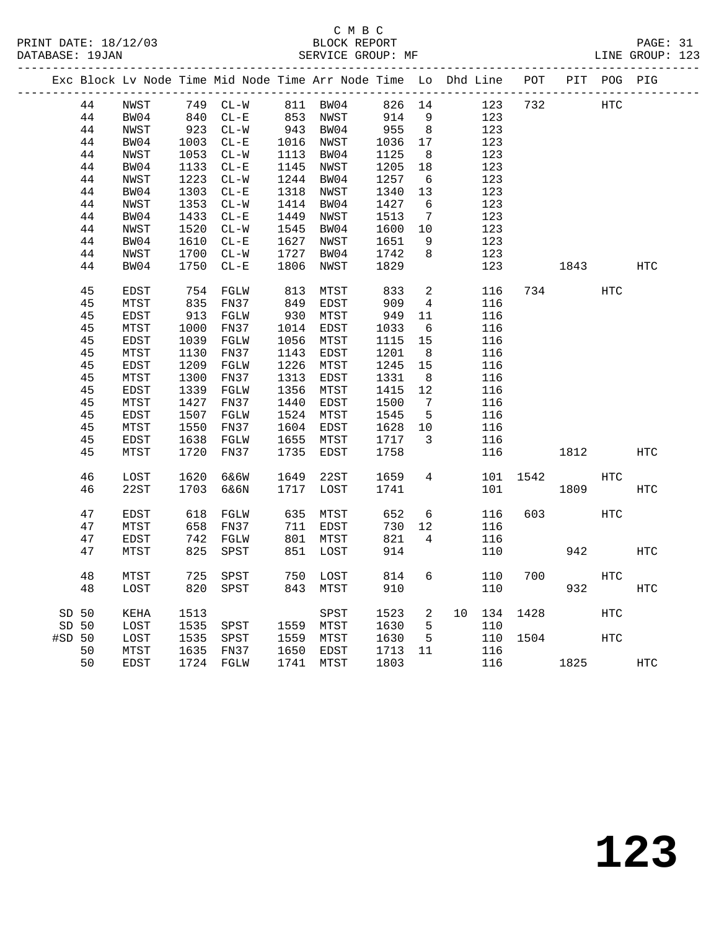| Exc Block Lv Node Time Mid Node Time Arr Node Time Lo Dhd Line POT<br>PIT POG PIG<br>44<br>749 CL-W<br>826 14<br>123<br>732<br>NWST<br>811 BW04<br>$\begin{array}{c} \n \stackrel{1}{\cancel{0}} \\ \n 840 \\ \n 33\n \end{array}$<br>$853$ $\begin{array}{c}\n\text{NWST} \\ \text{S1} \\ \text{S2} \\ \text{S3}\n\end{array}$<br>44<br>914<br>9<br>BW04<br>$CL - E$<br>123<br>943 BW04<br>1016 NWST<br>44<br>NWST<br>$923$ $CL-W$<br>955<br>8 <sup>8</sup><br>123<br>44<br>$CL - E$<br>BW04<br>1003<br>1036<br>17<br>123<br>44<br>NWST<br>1053<br>$CL-W$<br>1113 BW04<br>1125<br>8 <sup>8</sup><br>123<br>44<br>BW04<br>1133<br>$CL - E$<br>1145 NWST<br>1205<br>18<br>123<br>44<br>NWST<br>1223<br>$CL-W$<br>1244 BW04<br>1257<br>123<br>$6\overline{6}$<br>44<br>BW04<br>1303<br>$CL - E$<br>1318 NWST<br>1340<br>123<br>13<br>1414 BW04<br>44<br>1353<br>$CL-W$<br>1427<br>$6\overline{6}$<br>123<br>NWST<br>44<br>BW04<br>1433<br>$CL-E$<br>1449<br>NWST<br>1513<br>$\overline{7}$<br>123<br>1520<br>$CL-W$<br>1545 BW04<br>1600<br>123<br>44<br>NWST<br>10<br>1610<br>123<br>44<br>BW04<br>$CL - E$<br>1627<br>NWST<br>1651<br>9<br>44<br>1700<br>$CL-W$<br>1727<br>1742<br>8<br>123<br>NWST<br>BW04<br>BW04<br>1750<br>$CL-E$<br>1806<br>1829<br>123<br>44<br>NWST<br>1843<br>45<br>EDST<br>754<br>FGLW<br>813<br>MTST<br>833<br>$\overline{a}$<br>116<br>734<br>849<br>909<br>45<br>MTST<br>835<br>FN37<br>EDST<br>$4\overline{ }$<br>116<br>45<br>EDST<br>913<br>FGLW<br>930<br>MTST<br>949<br>116<br>11<br>45<br>MTST<br>1000<br>FN37<br>1014<br>1033<br>116<br>EDST<br>6<br>45<br>1039<br>1056<br>15<br>EDST<br>FGLW<br>MTST<br>1115<br>116<br>45<br>MTST<br>1130<br>FN37<br>1143<br>1201<br>EDST<br>8 <sup>8</sup><br>116<br>45<br>1209<br>1226<br>15<br>EDST<br>FGLW<br>1245<br>116<br>MTST<br>45<br>1313<br>MTST<br>1300<br>FN37<br>1331<br>116<br>EDST<br>8<br>45<br>1356<br>12<br>EDST<br>1339<br>FGLW<br>MTST<br>1415<br>116<br>45<br>1427<br>1440<br>MTST<br>FN37<br>1500<br>$\overline{7}$<br>116<br>EDST<br>45<br>1507<br>FGLW<br>1524<br>1545<br>$5^{\circ}$<br>116<br>EDST<br>MTST<br>45<br>MTST<br>1550<br>FN37<br>1604<br>EDST<br>1628<br>10<br>116<br>45<br>EDST<br>1638<br>FGLW<br>1655<br>1717<br>3<br>116<br>MTST<br>45<br>1720<br>FN37<br>1735<br>116<br>MTST<br>EDST<br>1758<br>1812<br>46<br>1620<br>6&6W<br>$4\overline{ }$<br>LOST<br>1649<br>22ST<br>1659<br>101<br>1542<br>22ST<br>1703<br>46<br>6&6N<br>1717<br>LOST<br>1741<br>101<br>1809<br>47<br>618<br>635<br>652<br>6<br>116<br>603<br>EDST<br>FGLW<br>MTST<br>730<br>47<br>MTST<br>658<br>FN37<br>711<br>12<br>116<br>EDST<br>821<br>$\overline{4}$<br>47<br>EDST<br>742<br>FGLW<br>801 MTST<br>116<br>47<br>825<br>851<br>LOST<br>914<br>110<br>942<br>MTST<br>SPST<br>48<br>6<br>700<br>MTST<br>725<br>SPST<br>750<br>LOST<br>814<br>110<br>820<br>MTST<br>910<br>110<br>932<br>48<br>LOST<br>SPST<br>843<br>SD 50<br>1513<br>SPST<br>1523<br>$\overline{a}$<br>10 134<br>1428<br>KEHA<br>1535<br>SD 50<br>LOST<br>SPST<br>1559 MTST<br>1630<br>5<br>110<br>1535<br>#SD 50<br>LOST<br>1559 MTST<br>1630<br>5<br>110<br>1504<br>SPST<br>MTST<br>1635<br>11<br>50<br>FN37<br>1650<br>EDST<br>1713<br>116<br>116<br>1724 FGLW |    |      |  |      |      |      |  |  |      |            |            |
|--------------------------------------------------------------------------------------------------------------------------------------------------------------------------------------------------------------------------------------------------------------------------------------------------------------------------------------------------------------------------------------------------------------------------------------------------------------------------------------------------------------------------------------------------------------------------------------------------------------------------------------------------------------------------------------------------------------------------------------------------------------------------------------------------------------------------------------------------------------------------------------------------------------------------------------------------------------------------------------------------------------------------------------------------------------------------------------------------------------------------------------------------------------------------------------------------------------------------------------------------------------------------------------------------------------------------------------------------------------------------------------------------------------------------------------------------------------------------------------------------------------------------------------------------------------------------------------------------------------------------------------------------------------------------------------------------------------------------------------------------------------------------------------------------------------------------------------------------------------------------------------------------------------------------------------------------------------------------------------------------------------------------------------------------------------------------------------------------------------------------------------------------------------------------------------------------------------------------------------------------------------------------------------------------------------------------------------------------------------------------------------------------------------------------------------------------------------------------------------------------------------------------------------------------------------------------------------------------------------------------------------------------------------------------------------------------------------------------------------------------------------------------------------------------------------------------------------------------------------------------------------------------------------------------------------------------------------------------------------------------------------------------------------------------------------------------------------------------------------------------------------------------------------------------------------------------------------------------|----|------|--|------|------|------|--|--|------|------------|------------|
|                                                                                                                                                                                                                                                                                                                                                                                                                                                                                                                                                                                                                                                                                                                                                                                                                                                                                                                                                                                                                                                                                                                                                                                                                                                                                                                                                                                                                                                                                                                                                                                                                                                                                                                                                                                                                                                                                                                                                                                                                                                                                                                                                                                                                                                                                                                                                                                                                                                                                                                                                                                                                                                                                                                                                                                                                                                                                                                                                                                                                                                                                                                                                                                                                          |    |      |  |      |      |      |  |  |      |            |            |
|                                                                                                                                                                                                                                                                                                                                                                                                                                                                                                                                                                                                                                                                                                                                                                                                                                                                                                                                                                                                                                                                                                                                                                                                                                                                                                                                                                                                                                                                                                                                                                                                                                                                                                                                                                                                                                                                                                                                                                                                                                                                                                                                                                                                                                                                                                                                                                                                                                                                                                                                                                                                                                                                                                                                                                                                                                                                                                                                                                                                                                                                                                                                                                                                                          |    |      |  |      |      |      |  |  |      | HTC        |            |
|                                                                                                                                                                                                                                                                                                                                                                                                                                                                                                                                                                                                                                                                                                                                                                                                                                                                                                                                                                                                                                                                                                                                                                                                                                                                                                                                                                                                                                                                                                                                                                                                                                                                                                                                                                                                                                                                                                                                                                                                                                                                                                                                                                                                                                                                                                                                                                                                                                                                                                                                                                                                                                                                                                                                                                                                                                                                                                                                                                                                                                                                                                                                                                                                                          |    |      |  |      |      |      |  |  |      |            |            |
|                                                                                                                                                                                                                                                                                                                                                                                                                                                                                                                                                                                                                                                                                                                                                                                                                                                                                                                                                                                                                                                                                                                                                                                                                                                                                                                                                                                                                                                                                                                                                                                                                                                                                                                                                                                                                                                                                                                                                                                                                                                                                                                                                                                                                                                                                                                                                                                                                                                                                                                                                                                                                                                                                                                                                                                                                                                                                                                                                                                                                                                                                                                                                                                                                          |    |      |  |      |      |      |  |  |      |            |            |
|                                                                                                                                                                                                                                                                                                                                                                                                                                                                                                                                                                                                                                                                                                                                                                                                                                                                                                                                                                                                                                                                                                                                                                                                                                                                                                                                                                                                                                                                                                                                                                                                                                                                                                                                                                                                                                                                                                                                                                                                                                                                                                                                                                                                                                                                                                                                                                                                                                                                                                                                                                                                                                                                                                                                                                                                                                                                                                                                                                                                                                                                                                                                                                                                                          |    |      |  |      |      |      |  |  |      |            |            |
|                                                                                                                                                                                                                                                                                                                                                                                                                                                                                                                                                                                                                                                                                                                                                                                                                                                                                                                                                                                                                                                                                                                                                                                                                                                                                                                                                                                                                                                                                                                                                                                                                                                                                                                                                                                                                                                                                                                                                                                                                                                                                                                                                                                                                                                                                                                                                                                                                                                                                                                                                                                                                                                                                                                                                                                                                                                                                                                                                                                                                                                                                                                                                                                                                          |    |      |  |      |      |      |  |  |      |            |            |
|                                                                                                                                                                                                                                                                                                                                                                                                                                                                                                                                                                                                                                                                                                                                                                                                                                                                                                                                                                                                                                                                                                                                                                                                                                                                                                                                                                                                                                                                                                                                                                                                                                                                                                                                                                                                                                                                                                                                                                                                                                                                                                                                                                                                                                                                                                                                                                                                                                                                                                                                                                                                                                                                                                                                                                                                                                                                                                                                                                                                                                                                                                                                                                                                                          |    |      |  |      |      |      |  |  |      |            |            |
|                                                                                                                                                                                                                                                                                                                                                                                                                                                                                                                                                                                                                                                                                                                                                                                                                                                                                                                                                                                                                                                                                                                                                                                                                                                                                                                                                                                                                                                                                                                                                                                                                                                                                                                                                                                                                                                                                                                                                                                                                                                                                                                                                                                                                                                                                                                                                                                                                                                                                                                                                                                                                                                                                                                                                                                                                                                                                                                                                                                                                                                                                                                                                                                                                          |    |      |  |      |      |      |  |  |      |            |            |
|                                                                                                                                                                                                                                                                                                                                                                                                                                                                                                                                                                                                                                                                                                                                                                                                                                                                                                                                                                                                                                                                                                                                                                                                                                                                                                                                                                                                                                                                                                                                                                                                                                                                                                                                                                                                                                                                                                                                                                                                                                                                                                                                                                                                                                                                                                                                                                                                                                                                                                                                                                                                                                                                                                                                                                                                                                                                                                                                                                                                                                                                                                                                                                                                                          |    |      |  |      |      |      |  |  |      |            |            |
|                                                                                                                                                                                                                                                                                                                                                                                                                                                                                                                                                                                                                                                                                                                                                                                                                                                                                                                                                                                                                                                                                                                                                                                                                                                                                                                                                                                                                                                                                                                                                                                                                                                                                                                                                                                                                                                                                                                                                                                                                                                                                                                                                                                                                                                                                                                                                                                                                                                                                                                                                                                                                                                                                                                                                                                                                                                                                                                                                                                                                                                                                                                                                                                                                          |    |      |  |      |      |      |  |  |      |            |            |
|                                                                                                                                                                                                                                                                                                                                                                                                                                                                                                                                                                                                                                                                                                                                                                                                                                                                                                                                                                                                                                                                                                                                                                                                                                                                                                                                                                                                                                                                                                                                                                                                                                                                                                                                                                                                                                                                                                                                                                                                                                                                                                                                                                                                                                                                                                                                                                                                                                                                                                                                                                                                                                                                                                                                                                                                                                                                                                                                                                                                                                                                                                                                                                                                                          |    |      |  |      |      |      |  |  |      |            |            |
|                                                                                                                                                                                                                                                                                                                                                                                                                                                                                                                                                                                                                                                                                                                                                                                                                                                                                                                                                                                                                                                                                                                                                                                                                                                                                                                                                                                                                                                                                                                                                                                                                                                                                                                                                                                                                                                                                                                                                                                                                                                                                                                                                                                                                                                                                                                                                                                                                                                                                                                                                                                                                                                                                                                                                                                                                                                                                                                                                                                                                                                                                                                                                                                                                          |    |      |  |      |      |      |  |  |      |            |            |
|                                                                                                                                                                                                                                                                                                                                                                                                                                                                                                                                                                                                                                                                                                                                                                                                                                                                                                                                                                                                                                                                                                                                                                                                                                                                                                                                                                                                                                                                                                                                                                                                                                                                                                                                                                                                                                                                                                                                                                                                                                                                                                                                                                                                                                                                                                                                                                                                                                                                                                                                                                                                                                                                                                                                                                                                                                                                                                                                                                                                                                                                                                                                                                                                                          |    |      |  |      |      |      |  |  |      |            |            |
|                                                                                                                                                                                                                                                                                                                                                                                                                                                                                                                                                                                                                                                                                                                                                                                                                                                                                                                                                                                                                                                                                                                                                                                                                                                                                                                                                                                                                                                                                                                                                                                                                                                                                                                                                                                                                                                                                                                                                                                                                                                                                                                                                                                                                                                                                                                                                                                                                                                                                                                                                                                                                                                                                                                                                                                                                                                                                                                                                                                                                                                                                                                                                                                                                          |    |      |  |      |      |      |  |  |      |            |            |
|                                                                                                                                                                                                                                                                                                                                                                                                                                                                                                                                                                                                                                                                                                                                                                                                                                                                                                                                                                                                                                                                                                                                                                                                                                                                                                                                                                                                                                                                                                                                                                                                                                                                                                                                                                                                                                                                                                                                                                                                                                                                                                                                                                                                                                                                                                                                                                                                                                                                                                                                                                                                                                                                                                                                                                                                                                                                                                                                                                                                                                                                                                                                                                                                                          |    |      |  |      |      |      |  |  |      |            | HTC        |
|                                                                                                                                                                                                                                                                                                                                                                                                                                                                                                                                                                                                                                                                                                                                                                                                                                                                                                                                                                                                                                                                                                                                                                                                                                                                                                                                                                                                                                                                                                                                                                                                                                                                                                                                                                                                                                                                                                                                                                                                                                                                                                                                                                                                                                                                                                                                                                                                                                                                                                                                                                                                                                                                                                                                                                                                                                                                                                                                                                                                                                                                                                                                                                                                                          |    |      |  |      |      |      |  |  |      | HTC        |            |
|                                                                                                                                                                                                                                                                                                                                                                                                                                                                                                                                                                                                                                                                                                                                                                                                                                                                                                                                                                                                                                                                                                                                                                                                                                                                                                                                                                                                                                                                                                                                                                                                                                                                                                                                                                                                                                                                                                                                                                                                                                                                                                                                                                                                                                                                                                                                                                                                                                                                                                                                                                                                                                                                                                                                                                                                                                                                                                                                                                                                                                                                                                                                                                                                                          |    |      |  |      |      |      |  |  |      |            |            |
|                                                                                                                                                                                                                                                                                                                                                                                                                                                                                                                                                                                                                                                                                                                                                                                                                                                                                                                                                                                                                                                                                                                                                                                                                                                                                                                                                                                                                                                                                                                                                                                                                                                                                                                                                                                                                                                                                                                                                                                                                                                                                                                                                                                                                                                                                                                                                                                                                                                                                                                                                                                                                                                                                                                                                                                                                                                                                                                                                                                                                                                                                                                                                                                                                          |    |      |  |      |      |      |  |  |      |            |            |
|                                                                                                                                                                                                                                                                                                                                                                                                                                                                                                                                                                                                                                                                                                                                                                                                                                                                                                                                                                                                                                                                                                                                                                                                                                                                                                                                                                                                                                                                                                                                                                                                                                                                                                                                                                                                                                                                                                                                                                                                                                                                                                                                                                                                                                                                                                                                                                                                                                                                                                                                                                                                                                                                                                                                                                                                                                                                                                                                                                                                                                                                                                                                                                                                                          |    |      |  |      |      |      |  |  |      |            |            |
|                                                                                                                                                                                                                                                                                                                                                                                                                                                                                                                                                                                                                                                                                                                                                                                                                                                                                                                                                                                                                                                                                                                                                                                                                                                                                                                                                                                                                                                                                                                                                                                                                                                                                                                                                                                                                                                                                                                                                                                                                                                                                                                                                                                                                                                                                                                                                                                                                                                                                                                                                                                                                                                                                                                                                                                                                                                                                                                                                                                                                                                                                                                                                                                                                          |    |      |  |      |      |      |  |  |      |            |            |
|                                                                                                                                                                                                                                                                                                                                                                                                                                                                                                                                                                                                                                                                                                                                                                                                                                                                                                                                                                                                                                                                                                                                                                                                                                                                                                                                                                                                                                                                                                                                                                                                                                                                                                                                                                                                                                                                                                                                                                                                                                                                                                                                                                                                                                                                                                                                                                                                                                                                                                                                                                                                                                                                                                                                                                                                                                                                                                                                                                                                                                                                                                                                                                                                                          |    |      |  |      |      |      |  |  |      |            |            |
|                                                                                                                                                                                                                                                                                                                                                                                                                                                                                                                                                                                                                                                                                                                                                                                                                                                                                                                                                                                                                                                                                                                                                                                                                                                                                                                                                                                                                                                                                                                                                                                                                                                                                                                                                                                                                                                                                                                                                                                                                                                                                                                                                                                                                                                                                                                                                                                                                                                                                                                                                                                                                                                                                                                                                                                                                                                                                                                                                                                                                                                                                                                                                                                                                          |    |      |  |      |      |      |  |  |      |            |            |
|                                                                                                                                                                                                                                                                                                                                                                                                                                                                                                                                                                                                                                                                                                                                                                                                                                                                                                                                                                                                                                                                                                                                                                                                                                                                                                                                                                                                                                                                                                                                                                                                                                                                                                                                                                                                                                                                                                                                                                                                                                                                                                                                                                                                                                                                                                                                                                                                                                                                                                                                                                                                                                                                                                                                                                                                                                                                                                                                                                                                                                                                                                                                                                                                                          |    |      |  |      |      |      |  |  |      |            |            |
|                                                                                                                                                                                                                                                                                                                                                                                                                                                                                                                                                                                                                                                                                                                                                                                                                                                                                                                                                                                                                                                                                                                                                                                                                                                                                                                                                                                                                                                                                                                                                                                                                                                                                                                                                                                                                                                                                                                                                                                                                                                                                                                                                                                                                                                                                                                                                                                                                                                                                                                                                                                                                                                                                                                                                                                                                                                                                                                                                                                                                                                                                                                                                                                                                          |    |      |  |      |      |      |  |  |      |            |            |
|                                                                                                                                                                                                                                                                                                                                                                                                                                                                                                                                                                                                                                                                                                                                                                                                                                                                                                                                                                                                                                                                                                                                                                                                                                                                                                                                                                                                                                                                                                                                                                                                                                                                                                                                                                                                                                                                                                                                                                                                                                                                                                                                                                                                                                                                                                                                                                                                                                                                                                                                                                                                                                                                                                                                                                                                                                                                                                                                                                                                                                                                                                                                                                                                                          |    |      |  |      |      |      |  |  |      |            |            |
|                                                                                                                                                                                                                                                                                                                                                                                                                                                                                                                                                                                                                                                                                                                                                                                                                                                                                                                                                                                                                                                                                                                                                                                                                                                                                                                                                                                                                                                                                                                                                                                                                                                                                                                                                                                                                                                                                                                                                                                                                                                                                                                                                                                                                                                                                                                                                                                                                                                                                                                                                                                                                                                                                                                                                                                                                                                                                                                                                                                                                                                                                                                                                                                                                          |    |      |  |      |      |      |  |  |      |            |            |
|                                                                                                                                                                                                                                                                                                                                                                                                                                                                                                                                                                                                                                                                                                                                                                                                                                                                                                                                                                                                                                                                                                                                                                                                                                                                                                                                                                                                                                                                                                                                                                                                                                                                                                                                                                                                                                                                                                                                                                                                                                                                                                                                                                                                                                                                                                                                                                                                                                                                                                                                                                                                                                                                                                                                                                                                                                                                                                                                                                                                                                                                                                                                                                                                                          |    |      |  |      |      |      |  |  |      |            |            |
|                                                                                                                                                                                                                                                                                                                                                                                                                                                                                                                                                                                                                                                                                                                                                                                                                                                                                                                                                                                                                                                                                                                                                                                                                                                                                                                                                                                                                                                                                                                                                                                                                                                                                                                                                                                                                                                                                                                                                                                                                                                                                                                                                                                                                                                                                                                                                                                                                                                                                                                                                                                                                                                                                                                                                                                                                                                                                                                                                                                                                                                                                                                                                                                                                          |    |      |  |      |      |      |  |  |      |            |            |
|                                                                                                                                                                                                                                                                                                                                                                                                                                                                                                                                                                                                                                                                                                                                                                                                                                                                                                                                                                                                                                                                                                                                                                                                                                                                                                                                                                                                                                                                                                                                                                                                                                                                                                                                                                                                                                                                                                                                                                                                                                                                                                                                                                                                                                                                                                                                                                                                                                                                                                                                                                                                                                                                                                                                                                                                                                                                                                                                                                                                                                                                                                                                                                                                                          |    |      |  |      |      |      |  |  |      |            | HTC        |
|                                                                                                                                                                                                                                                                                                                                                                                                                                                                                                                                                                                                                                                                                                                                                                                                                                                                                                                                                                                                                                                                                                                                                                                                                                                                                                                                                                                                                                                                                                                                                                                                                                                                                                                                                                                                                                                                                                                                                                                                                                                                                                                                                                                                                                                                                                                                                                                                                                                                                                                                                                                                                                                                                                                                                                                                                                                                                                                                                                                                                                                                                                                                                                                                                          |    |      |  |      |      |      |  |  |      | <b>HTC</b> |            |
|                                                                                                                                                                                                                                                                                                                                                                                                                                                                                                                                                                                                                                                                                                                                                                                                                                                                                                                                                                                                                                                                                                                                                                                                                                                                                                                                                                                                                                                                                                                                                                                                                                                                                                                                                                                                                                                                                                                                                                                                                                                                                                                                                                                                                                                                                                                                                                                                                                                                                                                                                                                                                                                                                                                                                                                                                                                                                                                                                                                                                                                                                                                                                                                                                          |    |      |  |      |      |      |  |  |      |            | <b>HTC</b> |
|                                                                                                                                                                                                                                                                                                                                                                                                                                                                                                                                                                                                                                                                                                                                                                                                                                                                                                                                                                                                                                                                                                                                                                                                                                                                                                                                                                                                                                                                                                                                                                                                                                                                                                                                                                                                                                                                                                                                                                                                                                                                                                                                                                                                                                                                                                                                                                                                                                                                                                                                                                                                                                                                                                                                                                                                                                                                                                                                                                                                                                                                                                                                                                                                                          |    |      |  |      |      |      |  |  |      | HTC        |            |
|                                                                                                                                                                                                                                                                                                                                                                                                                                                                                                                                                                                                                                                                                                                                                                                                                                                                                                                                                                                                                                                                                                                                                                                                                                                                                                                                                                                                                                                                                                                                                                                                                                                                                                                                                                                                                                                                                                                                                                                                                                                                                                                                                                                                                                                                                                                                                                                                                                                                                                                                                                                                                                                                                                                                                                                                                                                                                                                                                                                                                                                                                                                                                                                                                          |    |      |  |      |      |      |  |  |      |            |            |
|                                                                                                                                                                                                                                                                                                                                                                                                                                                                                                                                                                                                                                                                                                                                                                                                                                                                                                                                                                                                                                                                                                                                                                                                                                                                                                                                                                                                                                                                                                                                                                                                                                                                                                                                                                                                                                                                                                                                                                                                                                                                                                                                                                                                                                                                                                                                                                                                                                                                                                                                                                                                                                                                                                                                                                                                                                                                                                                                                                                                                                                                                                                                                                                                                          |    |      |  |      |      |      |  |  |      |            |            |
|                                                                                                                                                                                                                                                                                                                                                                                                                                                                                                                                                                                                                                                                                                                                                                                                                                                                                                                                                                                                                                                                                                                                                                                                                                                                                                                                                                                                                                                                                                                                                                                                                                                                                                                                                                                                                                                                                                                                                                                                                                                                                                                                                                                                                                                                                                                                                                                                                                                                                                                                                                                                                                                                                                                                                                                                                                                                                                                                                                                                                                                                                                                                                                                                                          |    |      |  |      |      |      |  |  |      |            | HTC        |
|                                                                                                                                                                                                                                                                                                                                                                                                                                                                                                                                                                                                                                                                                                                                                                                                                                                                                                                                                                                                                                                                                                                                                                                                                                                                                                                                                                                                                                                                                                                                                                                                                                                                                                                                                                                                                                                                                                                                                                                                                                                                                                                                                                                                                                                                                                                                                                                                                                                                                                                                                                                                                                                                                                                                                                                                                                                                                                                                                                                                                                                                                                                                                                                                                          |    |      |  |      |      |      |  |  |      | HTC        |            |
|                                                                                                                                                                                                                                                                                                                                                                                                                                                                                                                                                                                                                                                                                                                                                                                                                                                                                                                                                                                                                                                                                                                                                                                                                                                                                                                                                                                                                                                                                                                                                                                                                                                                                                                                                                                                                                                                                                                                                                                                                                                                                                                                                                                                                                                                                                                                                                                                                                                                                                                                                                                                                                                                                                                                                                                                                                                                                                                                                                                                                                                                                                                                                                                                                          |    |      |  |      |      |      |  |  |      |            | HTC        |
|                                                                                                                                                                                                                                                                                                                                                                                                                                                                                                                                                                                                                                                                                                                                                                                                                                                                                                                                                                                                                                                                                                                                                                                                                                                                                                                                                                                                                                                                                                                                                                                                                                                                                                                                                                                                                                                                                                                                                                                                                                                                                                                                                                                                                                                                                                                                                                                                                                                                                                                                                                                                                                                                                                                                                                                                                                                                                                                                                                                                                                                                                                                                                                                                                          |    |      |  |      |      |      |  |  |      | <b>HTC</b> |            |
|                                                                                                                                                                                                                                                                                                                                                                                                                                                                                                                                                                                                                                                                                                                                                                                                                                                                                                                                                                                                                                                                                                                                                                                                                                                                                                                                                                                                                                                                                                                                                                                                                                                                                                                                                                                                                                                                                                                                                                                                                                                                                                                                                                                                                                                                                                                                                                                                                                                                                                                                                                                                                                                                                                                                                                                                                                                                                                                                                                                                                                                                                                                                                                                                                          |    |      |  |      |      |      |  |  |      |            |            |
|                                                                                                                                                                                                                                                                                                                                                                                                                                                                                                                                                                                                                                                                                                                                                                                                                                                                                                                                                                                                                                                                                                                                                                                                                                                                                                                                                                                                                                                                                                                                                                                                                                                                                                                                                                                                                                                                                                                                                                                                                                                                                                                                                                                                                                                                                                                                                                                                                                                                                                                                                                                                                                                                                                                                                                                                                                                                                                                                                                                                                                                                                                                                                                                                                          |    |      |  |      |      |      |  |  |      | <b>HTC</b> |            |
|                                                                                                                                                                                                                                                                                                                                                                                                                                                                                                                                                                                                                                                                                                                                                                                                                                                                                                                                                                                                                                                                                                                                                                                                                                                                                                                                                                                                                                                                                                                                                                                                                                                                                                                                                                                                                                                                                                                                                                                                                                                                                                                                                                                                                                                                                                                                                                                                                                                                                                                                                                                                                                                                                                                                                                                                                                                                                                                                                                                                                                                                                                                                                                                                                          |    |      |  |      |      |      |  |  |      |            |            |
|                                                                                                                                                                                                                                                                                                                                                                                                                                                                                                                                                                                                                                                                                                                                                                                                                                                                                                                                                                                                                                                                                                                                                                                                                                                                                                                                                                                                                                                                                                                                                                                                                                                                                                                                                                                                                                                                                                                                                                                                                                                                                                                                                                                                                                                                                                                                                                                                                                                                                                                                                                                                                                                                                                                                                                                                                                                                                                                                                                                                                                                                                                                                                                                                                          | 50 | EDST |  | 1741 | MTST | 1803 |  |  | 1825 |            | <b>HTC</b> |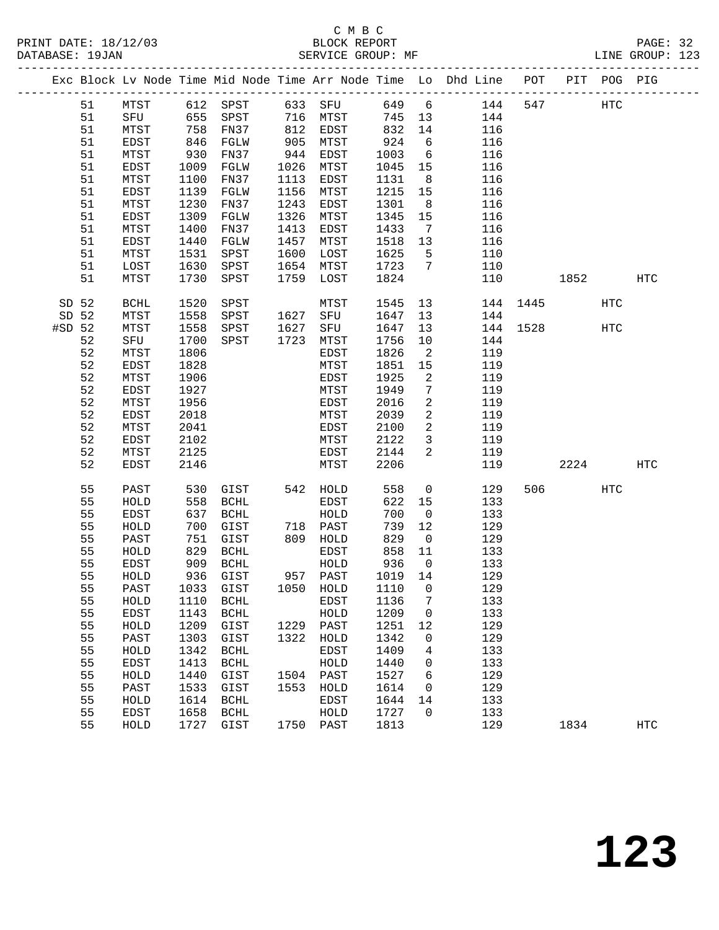#### C M B C<br>BLOCK REPORT PRINT DATE: 18/12/03 BLOCK REPORT PAGE: 32 SERVICE GROUP: MF

|          |          |              |              |                            |              |              |              |                            | Exc Block Lv Node Time Mid Node Time Arr Node Time Lo Dhd Line POT PIT POG PIG |          |         |     |            |
|----------|----------|--------------|--------------|----------------------------|--------------|--------------|--------------|----------------------------|--------------------------------------------------------------------------------|----------|---------|-----|------------|
|          | 51       | MTST         |              | 612 SPST 633 SFU           |              |              |              |                            | 649 6 144                                                                      | 547      |         | HTC |            |
|          | 51       | SFU          | 655          | SPST 716 MTST              |              |              | 745 13       |                            | 144                                                                            |          |         |     |            |
|          | 51       | MTST         | 758          | FN37                       |              | 812 EDST     | 832          | 14                         | 116                                                                            |          |         |     |            |
|          | 51       | EDST         | 846          | FGLW                       | 905<br>944   | MTST         | 924          | 6                          | 116                                                                            |          |         |     |            |
|          | 51       | MTST         | 930          | FN37                       |              | EDST         | 1003         | $6\overline{6}$            | 116                                                                            |          |         |     |            |
|          | 51       | EDST         | 1009         | FGLW                       | 1026         | MTST         | 1045         | 15                         | 116                                                                            |          |         |     |            |
|          | 51       | MTST         | 1100         | FN37                       | 1113         | EDST         | 1131         | 8 <sup>8</sup>             | 116                                                                            |          |         |     |            |
|          | 51       | EDST         | 1139         | FGLW                       | 1156         | MTST         | 1215         | 15                         | 116                                                                            |          |         |     |            |
|          | 51       | MTST         | 1230         | FN37                       | 1243         | EDST         | 1301         | 8 <sup>8</sup>             | 116                                                                            |          |         |     |            |
|          | 51       | EDST         | 1309         | FGLW                       | 1326         | MTST         | 1345         | 15                         | 116                                                                            |          |         |     |            |
|          | 51       | MTST         | 1400         | FN37                       | 1413         | EDST         | 1433         | $\overline{7}$             | 116                                                                            |          |         |     |            |
|          | 51<br>51 | EDST<br>MTST | 1440<br>1531 | FGLW<br>SPST               | 1457<br>1600 | MTST<br>LOST | 1518<br>1625 | 13<br>$5^{\circ}$          | 116<br>110                                                                     |          |         |     |            |
|          | 51       | LOST         | 1630         | SPST                       | 1654         | MTST         | 1723         | $\overline{7}$             | 110                                                                            |          |         |     |            |
|          | 51       | MTST         | 1730         | SPST                       | 1759         | LOST         | 1824         |                            | 110                                                                            |          | 1852    |     | <b>HTC</b> |
|          |          |              |              |                            |              |              |              |                            |                                                                                |          |         |     |            |
| SD 52    |          | BCHL         | 1520         | SPST                       |              | MTST         | 1545 13      |                            |                                                                                | 144 1445 |         | HTC |            |
| SD 52    |          | MTST         | 1558         | SPST 1627 SFU              |              |              | 1647         | 13                         | 144                                                                            |          |         |     |            |
| $#SD$ 52 |          | MTST         | 1558         | SPST                       | 1627         | SFU          | 1647         | 13                         |                                                                                | 144 1528 |         | HTC |            |
|          | 52       | SFU          | 1700         | SPST                       | 1723         | MTST         | 1756         | 10                         | 144                                                                            |          |         |     |            |
|          | 52       | MTST         | 1806         |                            |              | EDST         | 1826         | $\overline{\phantom{a}}^2$ | 119                                                                            |          |         |     |            |
|          | 52<br>52 | EDST         | 1828<br>1906 |                            |              | MTST         | 1851<br>1925 | 15<br>2                    | 119<br>119                                                                     |          |         |     |            |
|          | 52       | MTST<br>EDST | 1927         |                            |              | EDST<br>MTST | 1949         | $7\phantom{.0}$            | 119                                                                            |          |         |     |            |
|          | 52       | MTST         | 1956         |                            |              | EDST         | 2016         | $\overline{a}$             | 119                                                                            |          |         |     |            |
|          | 52       | EDST         | 2018         |                            |              | MTST         | 2039         | 2                          | 119                                                                            |          |         |     |            |
|          | 52       | MTST         | 2041         |                            |              | EDST         | 2100         | 2                          | 119                                                                            |          |         |     |            |
|          | 52       | EDST         | 2102         |                            |              | MTST         | 2122         | $\mathbf{3}$               | 119                                                                            |          |         |     |            |
|          | 52       | MTST         | 2125         |                            |              | EDST         | 2144         | 2                          | 119                                                                            |          |         |     |            |
|          | 52       | EDST         | 2146         |                            |              | MTST         | 2206         |                            | 119                                                                            |          | 2224    |     | HTC        |
|          |          |              |              |                            |              |              |              |                            |                                                                                |          |         |     |            |
|          | 55       | PAST         | 530          | GIST                       |              | 542 HOLD     | 558          | $\overline{0}$             | 129                                                                            |          | 506 700 | HTC |            |
|          | 55<br>55 | HOLD         | 558<br>637   | BCHL<br>BCHL               |              | EDST<br>HOLD | 622<br>700   | 15<br>$\overline{0}$       | 133                                                                            |          |         |     |            |
|          | 55       | EDST<br>HOLD | 700          | GIST                       |              | 718 PAST     | 739          | 12                         | 133<br>129                                                                     |          |         |     |            |
|          | 55       | PAST         | 751          | GIST                       |              | 809 HOLD     | 829          | $\overline{0}$             | 129                                                                            |          |         |     |            |
|          | 55       | HOLD         | 829          | BCHL                       |              | EDST         | 858          | 11                         | 133                                                                            |          |         |     |            |
|          | 55       | EDST         | 909          | BCHL                       |              | HOLD         | 936          | $\overline{0}$             | 133                                                                            |          |         |     |            |
|          | 55       | HOLD         |              | 936 GIST                   |              | 957 PAST     | 1019 14      |                            | 129                                                                            |          |         |     |            |
|          | 55       | PAST         |              | 1033 GIST 1050 HOLD 1110 0 |              |              |              |                            | 129                                                                            |          |         |     |            |
|          | 55       | HOLD         | 1110         | BCHL                       |              | EDST         | 1136         | 7                          | 133                                                                            |          |         |     |            |
|          | 55       | EDST         | 1143         | <b>BCHL</b>                |              | HOLD         | 1209         | $\mathbf 0$                | 133                                                                            |          |         |     |            |
|          | 55       | HOLD         | 1209         | GIST                       | 1229         | PAST         | 1251         | 12                         | 129                                                                            |          |         |     |            |
|          | 55       | PAST         | 1303         | GIST                       | 1322         | HOLD         | 1342         | 0                          | 129                                                                            |          |         |     |            |
|          | 55       | HOLD         | 1342         | <b>BCHL</b>                |              | EDST         | 1409         | 4                          | 133                                                                            |          |         |     |            |
|          | 55       | EDST         | 1413         | <b>BCHL</b>                |              | HOLD         | 1440         | 0                          | 133                                                                            |          |         |     |            |
|          | 55       | HOLD         | 1440         | GIST                       | 1504         | PAST         | 1527         | 6                          | 129                                                                            |          |         |     |            |
|          | 55       | PAST         | 1533         | GIST                       | 1553         | HOLD         | 1614         | 0                          | 129                                                                            |          |         |     |            |
|          | 55       | HOLD         | 1614         | BCHL                       |              | EDST         | 1644         | 14                         | 133                                                                            |          |         |     |            |
|          | 55       | EDST         | 1658         | <b>BCHL</b>                |              | HOLD         | 1727         | 0                          | 133                                                                            |          |         |     |            |
|          | 55       | HOLD         | 1727         | GIST                       |              | 1750 PAST    | 1813         |                            | 129                                                                            |          | 1834    |     | <b>HTC</b> |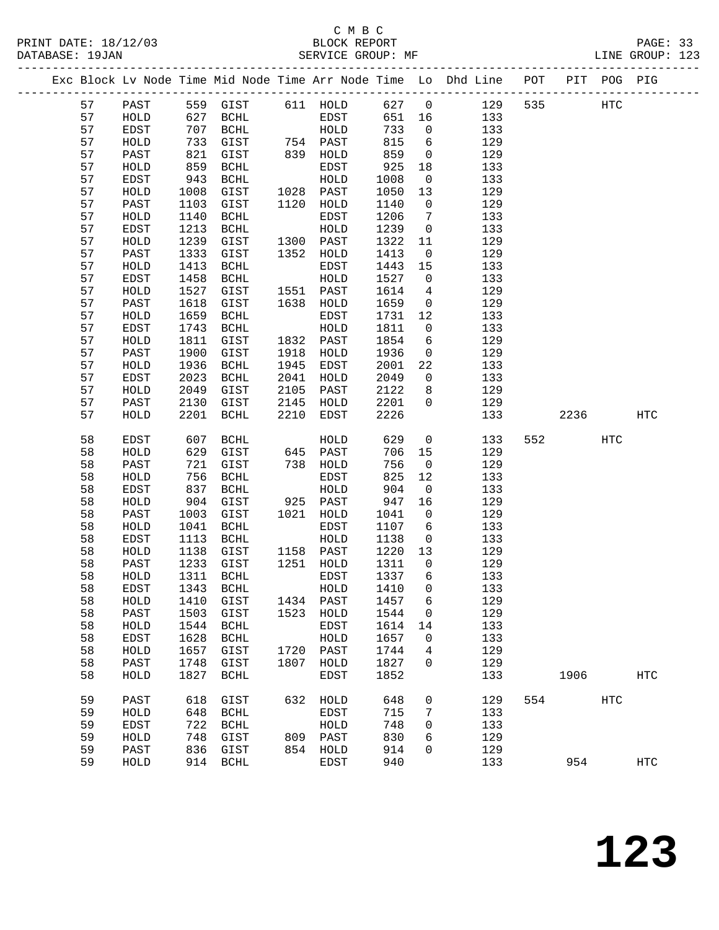# C M B C<br>BLOCK REPORT

PRINT DATE: 18/12/03 BLOCK REPORT PAGE: 33 SERVICE GROUP: MF -------------------------------------------------------------------------------------------------

|  |    |              |      | Exc Block Lv Node Time Mid Node Time Arr Node Time Lo |      |           |      |              | Dhd Line | POT | PIT  | POG        | PIG               |
|--|----|--------------|------|-------------------------------------------------------|------|-----------|------|--------------|----------|-----|------|------------|-------------------|
|  | 57 | PAST         | 559  | GIST                                                  | 611  | HOLD      | 627  | $\mathbf 0$  | 129      | 535 |      | <b>HTC</b> |                   |
|  | 57 | HOLD         | 627  | <b>BCHL</b>                                           |      | EDST      | 651  | 16           | 133      |     |      |            |                   |
|  | 57 | EDST         | 707  | <b>BCHL</b>                                           |      | HOLD      | 733  | 0            | 133      |     |      |            |                   |
|  | 57 | HOLD         | 733  | GIST                                                  |      | 754 PAST  | 815  | 6            | 129      |     |      |            |                   |
|  | 57 | PAST         | 821  | GIST                                                  | 839  | HOLD      | 859  | 0            | 129      |     |      |            |                   |
|  | 57 | HOLD         | 859  | <b>BCHL</b>                                           |      | EDST      | 925  | 18           | 133      |     |      |            |                   |
|  | 57 | EDST         | 943  | <b>BCHL</b>                                           |      | HOLD      | 1008 | 0            | 133      |     |      |            |                   |
|  | 57 | HOLD         | 1008 | GIST                                                  | 1028 | PAST      | 1050 | 13           | 129      |     |      |            |                   |
|  | 57 | PAST         | 1103 | GIST                                                  | 1120 | HOLD      | 1140 | 0            | 129      |     |      |            |                   |
|  | 57 | HOLD         | 1140 | <b>BCHL</b>                                           |      | EDST      | 1206 | 7            | 133      |     |      |            |                   |
|  | 57 | EDST         | 1213 | <b>BCHL</b>                                           |      | HOLD      | 1239 | 0            | 133      |     |      |            |                   |
|  | 57 | HOLD         | 1239 | GIST                                                  | 1300 | PAST      | 1322 | 11           | 129      |     |      |            |                   |
|  | 57 | PAST         | 1333 | GIST                                                  | 1352 | HOLD      | 1413 | $\mathsf{O}$ | 129      |     |      |            |                   |
|  | 57 | HOLD         | 1413 | <b>BCHL</b>                                           |      | EDST      | 1443 | 15           | 133      |     |      |            |                   |
|  | 57 | EDST         | 1458 | <b>BCHL</b>                                           |      | HOLD      | 1527 | 0            | 133      |     |      |            |                   |
|  | 57 | ${\tt HOLD}$ | 1527 | GIST                                                  | 1551 | PAST      | 1614 | 4            | 129      |     |      |            |                   |
|  | 57 | PAST         | 1618 | GIST                                                  | 1638 | HOLD      | 1659 | 0            | 129      |     |      |            |                   |
|  | 57 | ${\tt HOLD}$ | 1659 | <b>BCHL</b>                                           |      | EDST      | 1731 | 12           | 133      |     |      |            |                   |
|  | 57 | EDST         | 1743 | <b>BCHL</b>                                           |      | HOLD      | 1811 | 0            | 133      |     |      |            |                   |
|  | 57 | HOLD         | 1811 | GIST                                                  | 1832 | PAST      | 1854 | 6            | 129      |     |      |            |                   |
|  | 57 | PAST         | 1900 | GIST                                                  | 1918 | HOLD      | 1936 | 0            | 129      |     |      |            |                   |
|  | 57 | HOLD         | 1936 | $\operatorname{BCHL}$                                 | 1945 | EDST      | 2001 | 22           | 133      |     |      |            |                   |
|  | 57 | <b>EDST</b>  | 2023 | <b>BCHL</b>                                           | 2041 | HOLD      | 2049 | 0            | 133      |     |      |            |                   |
|  | 57 | HOLD         | 2049 | GIST                                                  | 2105 | PAST      | 2122 | 8            | 129      |     |      |            |                   |
|  | 57 | PAST         | 2130 | GIST                                                  | 2145 | HOLD      | 2201 | 0            | 129      |     |      |            |                   |
|  | 57 | HOLD         | 2201 | <b>BCHL</b>                                           | 2210 | EDST      | 2226 |              | 133      |     | 2236 |            | $_{\mathrm{HTC}}$ |
|  | 58 | EDST         | 607  | <b>BCHL</b>                                           |      | HOLD      | 629  | 0            | 133      | 552 |      | <b>HTC</b> |                   |
|  | 58 | HOLD         | 629  | GIST                                                  | 645  | PAST      | 706  | 15           | 129      |     |      |            |                   |
|  | 58 | PAST         | 721  | GIST                                                  | 738  | HOLD      | 756  | 0            | 129      |     |      |            |                   |
|  | 58 | HOLD         | 756  | <b>BCHL</b>                                           |      | EDST      | 825  | 12           | 133      |     |      |            |                   |
|  | 58 | EDST         | 837  | <b>BCHL</b>                                           |      | HOLD      | 904  | 0            | 133      |     |      |            |                   |
|  | 58 | HOLD         | 904  | GIST                                                  | 925  | PAST      | 947  | 16           | 129      |     |      |            |                   |
|  | 58 | PAST         | 1003 | GIST                                                  | 1021 | HOLD      | 1041 | 0            | 129      |     |      |            |                   |
|  | 58 | HOLD         | 1041 | <b>BCHL</b>                                           |      | EDST      | 1107 | 6            | 133      |     |      |            |                   |
|  | 58 | EDST         | 1113 | $\operatorname{BCHL}$                                 |      | HOLD      | 1138 | 0            | 133      |     |      |            |                   |
|  | 58 | HOLD         | 1138 | GIST                                                  | 1158 | PAST      | 1220 | 13           | 129      |     |      |            |                   |
|  | 58 | PAST         | 1233 | GIST                                                  | 1251 | HOLD      | 1311 | 0            | 129      |     |      |            |                   |
|  | 58 | HOLD         | 1311 | $\operatorname{BCHL}$                                 |      | EDST      | 1337 | 6            | 133      |     |      |            |                   |
|  | 58 | EDST         | 1343 | $\operatorname{BCHL}$                                 |      | HOLD      | 1410 | 0            | 133      |     |      |            |                   |
|  | 58 | ${\tt HOLD}$ | 1410 | GIST                                                  |      | 1434 PAST | 1457 | 6            | 129      |     |      |            |                   |
|  | 58 | PAST         | 1503 | GIST                                                  | 1523 | HOLD      | 1544 | 0            | 129      |     |      |            |                   |
|  | 58 | HOLD         | 1544 | <b>BCHL</b>                                           |      | EDST      | 1614 | 14           | 133      |     |      |            |                   |
|  | 58 | EDST         | 1628 | <b>BCHL</b>                                           |      | HOLD      | 1657 | 0            | 133      |     |      |            |                   |
|  | 58 | HOLD         | 1657 | GIST                                                  | 1720 | PAST      | 1744 | 4            | 129      |     |      |            |                   |
|  | 58 | PAST         | 1748 | GIST                                                  | 1807 | HOLD      | 1827 | 0            | 129      |     |      |            |                   |
|  | 58 | HOLD         | 1827 | <b>BCHL</b>                                           |      | EDST      | 1852 |              | 133      |     | 1906 |            | $_{\mathrm{HTC}}$ |
|  | 59 | PAST         | 618  | GIST                                                  | 632  | HOLD      | 648  | 0            | 129      | 554 |      | <b>HTC</b> |                   |
|  | 59 | HOLD         | 648  | <b>BCHL</b>                                           |      | EDST      | 715  | 7            | 133      |     |      |            |                   |
|  | 59 | EDST         | 722  | <b>BCHL</b>                                           |      | HOLD      | 748  | 0            | 133      |     |      |            |                   |
|  | 59 | HOLD         | 748  | GIST                                                  | 809  | PAST      | 830  | 6            | 129      |     |      |            |                   |
|  | 59 | PAST         | 836  | GIST                                                  | 854  | HOLD      | 914  | 0            | 129      |     |      |            |                   |
|  | 59 | HOLD         | 914  | <b>BCHL</b>                                           |      | EDST      | 940  |              | 133      |     | 954  |            | <b>HTC</b>        |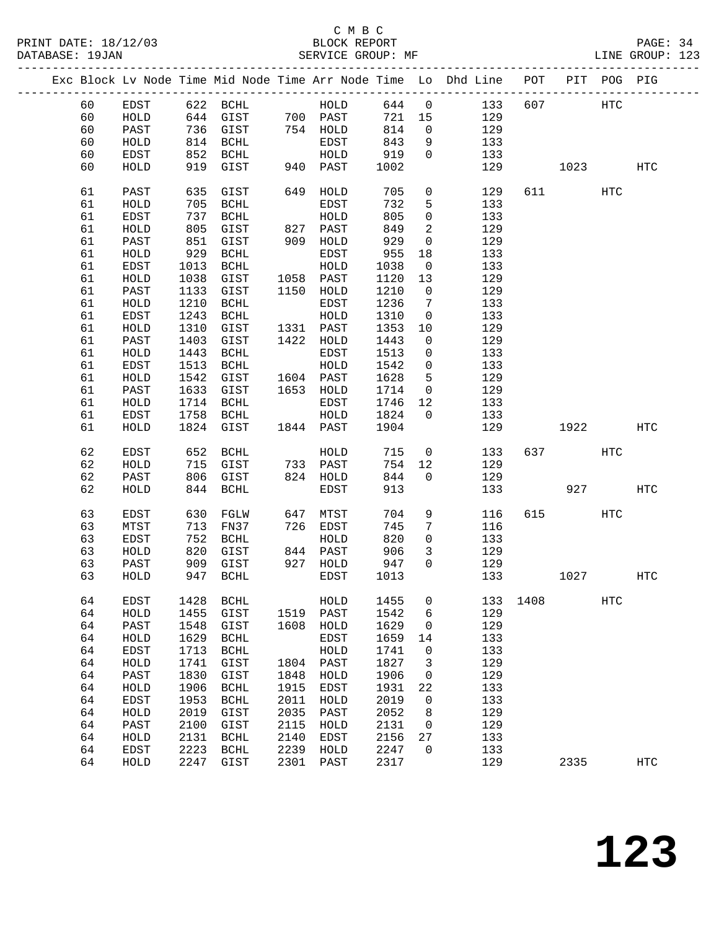|  |    |      |      |                       |      |                      |      |                | Exc Block Lv Node Time Mid Node Time Arr Node Time Lo Dhd Line POT |      |       | PIT POG PIG |                   |
|--|----|------|------|-----------------------|------|----------------------|------|----------------|--------------------------------------------------------------------|------|-------|-------------|-------------------|
|  | 60 | EDST |      | 622 BCHL              |      | HOLD                 | 644  | $\overline{0}$ | 133                                                                | 607  |       | <b>HTC</b>  |                   |
|  | 60 | HOLD |      | 644 GIST              |      |                      | 721  | 15             | 129                                                                |      |       |             |                   |
|  | 60 | PAST |      | 736 GIST              |      | 700 PAST<br>754 HOLD | 814  | $\mathsf{O}$   | 129                                                                |      |       |             |                   |
|  | 60 | HOLD | 814  | BCHL                  |      | EDST                 | 843  | 9              | 133                                                                |      |       |             |                   |
|  | 60 | EDST | 852  | BCHL                  |      | HOLD                 | 919  | $\mathbf{0}$   | 133                                                                |      |       |             |                   |
|  | 60 | HOLD | 919  | GIST                  |      | 940 PAST             | 1002 |                | 129                                                                |      | 1023  |             | HTC               |
|  |    |      |      |                       |      |                      |      |                |                                                                    |      |       |             |                   |
|  | 61 | PAST | 635  | GIST                  | 649  | HOLD                 | 705  | $\mathsf{O}$   | 129                                                                |      | 611 7 | HTC         |                   |
|  | 61 | HOLD | 705  | $\operatorname{BCHL}$ |      | EDST                 | 732  | 5              | 133                                                                |      |       |             |                   |
|  | 61 | EDST | 737  | BCHL                  |      | HOLD                 | 805  | $\mathbf 0$    | 133                                                                |      |       |             |                   |
|  | 61 | HOLD | 805  | GIST                  |      | 827 PAST             | 849  | 2              | 129                                                                |      |       |             |                   |
|  | 61 | PAST | 851  | GIST                  |      | 909 HOLD             | 929  | $\mathsf{O}$   | 129                                                                |      |       |             |                   |
|  | 61 | HOLD | 929  | BCHL                  |      | EDST                 | 955  | 18             | 133                                                                |      |       |             |                   |
|  | 61 | EDST | 1013 | BCHL                  |      | HOLD                 | 1038 | $\overline{0}$ | 133                                                                |      |       |             |                   |
|  | 61 | HOLD | 1038 | GIST                  |      | 1058 PAST            | 1120 | 13             | 129                                                                |      |       |             |                   |
|  | 61 | PAST | 1133 | GIST                  | 1150 | HOLD                 | 1210 | $\overline{0}$ | 129                                                                |      |       |             |                   |
|  | 61 | HOLD | 1210 | $\operatorname{BCHL}$ |      | EDST                 | 1236 | 7              | 133                                                                |      |       |             |                   |
|  | 61 | EDST | 1243 | BCHL                  |      | HOLD                 | 1310 | $\mathbf 0$    | 133                                                                |      |       |             |                   |
|  | 61 | HOLD | 1310 | GIST                  |      | 1331 PAST            | 1353 | 10             | 129                                                                |      |       |             |                   |
|  | 61 | PAST | 1403 | GIST                  |      | 1422 HOLD            | 1443 | $\mathsf{O}$   | 129                                                                |      |       |             |                   |
|  | 61 | HOLD | 1443 | BCHL                  |      | EDST                 | 1513 | $\mathbf 0$    | 133                                                                |      |       |             |                   |
|  | 61 | EDST | 1513 | BCHL                  |      | HOLD                 | 1542 | $\mathbf 0$    | 133                                                                |      |       |             |                   |
|  | 61 | HOLD | 1542 | GIST                  |      | 1604 PAST            | 1628 | 5              | 129                                                                |      |       |             |                   |
|  | 61 | PAST | 1633 | GIST                  |      | 1653 HOLD            | 1714 | $\overline{0}$ | 129                                                                |      |       |             |                   |
|  | 61 | HOLD | 1714 | BCHL                  |      | EDST                 | 1746 | 12             | 133                                                                |      |       |             |                   |
|  | 61 | EDST | 1758 | BCHL                  |      | HOLD                 | 1824 | $\overline{0}$ | 133                                                                |      |       |             |                   |
|  | 61 | HOLD | 1824 | GIST                  |      | 1844 PAST            | 1904 |                | 129                                                                |      | 1922  |             | HTC               |
|  |    |      |      |                       |      |                      |      |                |                                                                    |      |       |             |                   |
|  | 62 | EDST | 652  | BCHL                  |      | HOLD                 | 715  | $\mathsf{O}$   | 133                                                                | 637  |       | HTC         |                   |
|  | 62 | HOLD | 715  | GIST                  |      | 733 PAST             | 754  | 12             | 129                                                                |      |       |             |                   |
|  | 62 | PAST | 806  | GIST                  |      | 824 HOLD             | 844  | $\Omega$       | 129                                                                |      |       |             |                   |
|  | 62 | HOLD | 844  | BCHL                  |      | EDST                 | 913  |                | 133                                                                |      | 927   |             | <b>HTC</b>        |
|  |    |      |      |                       |      |                      |      |                |                                                                    |      |       |             |                   |
|  | 63 | EDST | 630  | FGLW                  | 647  | MTST                 | 704  | 9              | 116                                                                | 615  |       | <b>HTC</b>  |                   |
|  | 63 | MTST | 713  | FN37                  | 726  | EDST                 | 745  | 7              | 116                                                                |      |       |             |                   |
|  | 63 | EDST | 752  | BCHL                  |      | HOLD                 | 820  | $\mathbf 0$    | 133                                                                |      |       |             |                   |
|  | 63 | HOLD | 820  | GIST                  |      | 844 PAST             | 906  | 3              | 129                                                                |      |       |             |                   |
|  | 63 | PAST | 909  | GIST                  | 927  | HOLD                 | 947  | $\Omega$       | 129                                                                |      |       |             |                   |
|  | 63 | HOLD | 947  | BCHL                  |      | EDST                 | 1013 |                | 133                                                                |      | 1027  |             | HTC               |
|  | 64 | EDST | 1428 | BCHL                  |      | HOLD                 | 1455 | 0              | 133                                                                | 1408 |       | HTC         |                   |
|  | 64 | HOLD | 1455 | GIST                  | 1519 | PAST                 | 1542 | 6              | 129                                                                |      |       |             |                   |
|  | 64 | PAST | 1548 | GIST                  | 1608 | HOLD                 | 1629 | 0              | 129                                                                |      |       |             |                   |
|  | 64 | HOLD | 1629 | <b>BCHL</b>           |      | EDST                 | 1659 | 14             | 133                                                                |      |       |             |                   |
|  | 64 | EDST | 1713 | <b>BCHL</b>           |      | ${\tt HOLD}$         | 1741 | 0              | 133                                                                |      |       |             |                   |
|  | 64 | HOLD | 1741 | GIST                  | 1804 | PAST                 | 1827 | 3              | 129                                                                |      |       |             |                   |
|  | 64 | PAST | 1830 | GIST                  | 1848 | ${\tt HOLD}$         | 1906 | 0              | 129                                                                |      |       |             |                   |
|  | 64 | HOLD | 1906 | <b>BCHL</b>           | 1915 | EDST                 | 1931 | 22             | 133                                                                |      |       |             |                   |
|  | 64 | EDST | 1953 | <b>BCHL</b>           | 2011 | HOLD                 | 2019 | 0              | 133                                                                |      |       |             |                   |
|  | 64 | HOLD | 2019 | GIST                  | 2035 | PAST                 | 2052 | 8              | 129                                                                |      |       |             |                   |
|  | 64 | PAST | 2100 | GIST                  | 2115 | HOLD                 | 2131 | 0              | 129                                                                |      |       |             |                   |
|  | 64 | HOLD | 2131 | <b>BCHL</b>           | 2140 | EDST                 | 2156 | 27             | 133                                                                |      |       |             |                   |
|  | 64 | EDST | 2223 | <b>BCHL</b>           | 2239 | HOLD                 | 2247 | 0              | 133                                                                |      |       |             |                   |
|  | 64 | HOLD | 2247 | GIST                  | 2301 | $\texttt{PAST}$      | 2317 |                | 129                                                                |      | 2335  |             | $_{\mathrm{HTC}}$ |
|  |    |      |      |                       |      |                      |      |                |                                                                    |      |       |             |                   |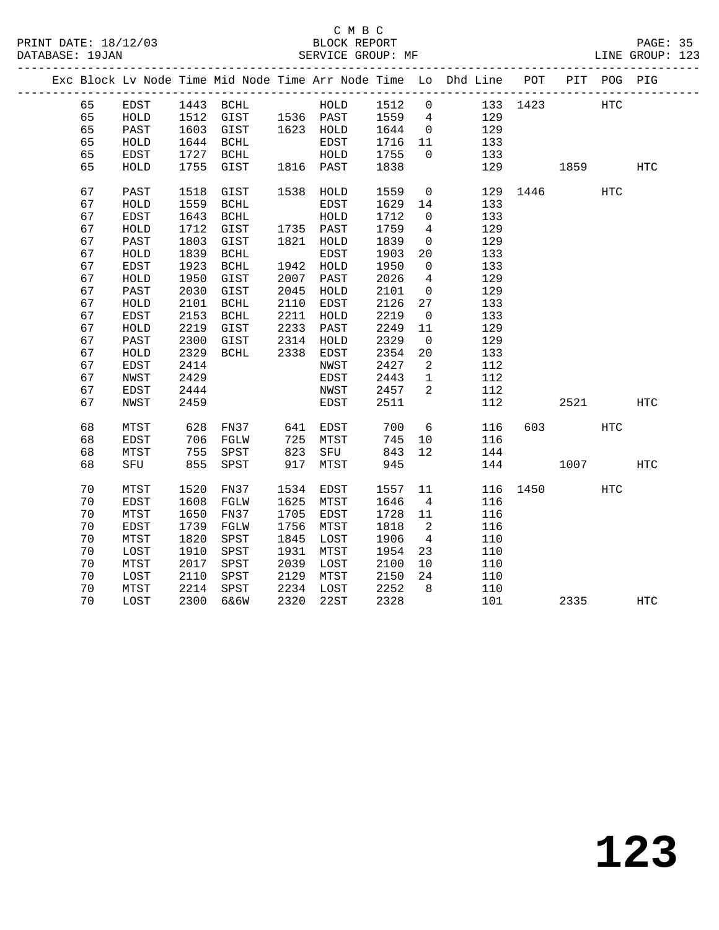|  |    |             |      |                                            |      |           |      |                 | Exc Block Lv Node Time Mid Node Time Arr Node Time Lo Dhd Line POT PIT POG PIG |          |          |            |                   |
|--|----|-------------|------|--------------------------------------------|------|-----------|------|-----------------|--------------------------------------------------------------------------------|----------|----------|------------|-------------------|
|  | 65 | EDST        |      | 1443 BCHL                                  |      | HOLD      | 1512 | $\overline{0}$  | 133 1423                                                                       |          |          | <b>HTC</b> |                   |
|  | 65 | HOLD        |      | 1512 GIST 1536 PAST<br>1603 GIST 1623 HOLD |      |           | 1559 | $\overline{4}$  | 129                                                                            |          |          |            |                   |
|  | 65 | PAST        |      |                                            |      |           | 1644 | $\overline{0}$  | 129                                                                            |          |          |            |                   |
|  | 65 | HOLD        | 1644 | BCHL                                       |      | EDST      | 1716 | 11              | 133                                                                            |          |          |            |                   |
|  | 65 | <b>EDST</b> | 1727 | BCHL                                       |      | HOLD      | 1755 | $\overline{0}$  | 133                                                                            |          |          |            |                   |
|  | 65 | HOLD        | 1755 | GIST                                       |      | 1816 PAST | 1838 |                 | 129                                                                            |          | 1859     |            | HTC               |
|  | 67 | PAST        | 1518 | GIST                                       |      | 1538 HOLD | 1559 | $\overline{0}$  |                                                                                | 129 1446 |          | HTC        |                   |
|  | 67 | HOLD        | 1559 | BCHL                                       |      | EDST      | 1629 | 14              | 133                                                                            |          |          |            |                   |
|  | 67 | EDST        | 1643 | BCHL                                       |      | HOLD      | 1712 | $\mathsf{O}$    | 133                                                                            |          |          |            |                   |
|  | 67 | HOLD        | 1712 | GIST                                       |      | 1735 PAST | 1759 | $\overline{4}$  | 129                                                                            |          |          |            |                   |
|  | 67 | PAST        | 1803 | GIST                                       |      | 1821 HOLD | 1839 | $\overline{0}$  | 129                                                                            |          |          |            |                   |
|  | 67 | HOLD        | 1839 | $\operatorname{BCHL}$                      |      | EDST      | 1903 | 20              | 133                                                                            |          |          |            |                   |
|  | 67 | EDST        | 1923 | $\operatorname{BCHL}$                      | 1942 | HOLD      | 1950 | $\mathbf 0$     | 133                                                                            |          |          |            |                   |
|  | 67 | HOLD        | 1950 | GIST                                       | 2007 | PAST      | 2026 | $\overline{4}$  | 129                                                                            |          |          |            |                   |
|  | 67 | PAST        | 2030 | GIST                                       | 2045 | HOLD      | 2101 | $\overline{0}$  | 129                                                                            |          |          |            |                   |
|  | 67 | HOLD        | 2101 | BCHL                                       | 2110 | EDST      | 2126 | 27              | 133                                                                            |          |          |            |                   |
|  | 67 | <b>EDST</b> | 2153 | BCHL                                       | 2211 | HOLD      | 2219 | $\overline{0}$  | 133                                                                            |          |          |            |                   |
|  | 67 | HOLD        | 2219 | GIST                                       | 2233 | PAST      | 2249 | 11              | 129                                                                            |          |          |            |                   |
|  | 67 | PAST        | 2300 | GIST                                       | 2314 | HOLD      | 2329 | $\overline{0}$  | 129                                                                            |          |          |            |                   |
|  | 67 | HOLD        | 2329 | BCHL                                       | 2338 | EDST      | 2354 | 20              | 133                                                                            |          |          |            |                   |
|  | 67 | EDST        | 2414 |                                            |      | NWST      | 2427 | 2               | 112                                                                            |          |          |            |                   |
|  | 67 | NWST        | 2429 |                                            |      | EDST      | 2443 | $\mathbf{1}$    | 112                                                                            |          |          |            |                   |
|  | 67 | EDST        | 2444 |                                            |      | NWST      | 2457 | $\overline{2}$  | 112                                                                            |          |          |            |                   |
|  | 67 | NWST        | 2459 |                                            |      | EDST      | 2511 |                 | 112                                                                            |          | 2521     |            | $_{\mathrm{HTC}}$ |
|  | 68 | MTST        | 628  | FN37                                       | 641  | EDST      | 700  | $6\overline{6}$ | 116                                                                            | 603      |          | <b>HTC</b> |                   |
|  | 68 | <b>EDST</b> | 706  | FGLW                                       | 725  | MTST      | 745  | 10              | 116                                                                            |          |          |            |                   |
|  | 68 | MTST        | 755  | SPST                                       | 823  | SFU       | 843  | 12              | 144                                                                            |          |          |            |                   |
|  | 68 | SFU         | 855  | SPST                                       | 917  | MTST      | 945  |                 | 144                                                                            |          | 1007 100 |            | HTC               |
|  | 70 | MTST        | 1520 | FN37                                       | 1534 | EDST      | 1557 | 11              | 116                                                                            |          | 1450     | <b>HTC</b> |                   |
|  | 70 | EDST        | 1608 | FGLW                                       | 1625 | MTST      | 1646 | $\overline{4}$  | 116                                                                            |          |          |            |                   |
|  | 70 | MTST        | 1650 | FN37                                       | 1705 | EDST      | 1728 | 11              | 116                                                                            |          |          |            |                   |
|  | 70 | EDST        | 1739 | FGLW                                       | 1756 | MTST      | 1818 | $\overline{2}$  | 116                                                                            |          |          |            |                   |
|  | 70 | MTST        | 1820 | SPST                                       | 1845 | LOST      | 1906 | $\overline{4}$  | 110                                                                            |          |          |            |                   |
|  | 70 | LOST        | 1910 | ${\tt SPST}$                               | 1931 | MTST      | 1954 | 23              | 110                                                                            |          |          |            |                   |
|  | 70 | MTST        | 2017 | SPST                                       | 2039 | LOST      | 2100 | 10              | 110                                                                            |          |          |            |                   |
|  | 70 | LOST        | 2110 | SPST                                       | 2129 | MTST      | 2150 | 24              | 110                                                                            |          |          |            |                   |
|  | 70 | MTST        | 2214 | SPST                                       | 2234 | LOST      | 2252 | 8               | 110                                                                            |          |          |            |                   |
|  | 70 | LOST        | 2300 | 6&6W                                       | 2320 | 22ST      | 2328 |                 | 101                                                                            |          | 2335     |            | HTC               |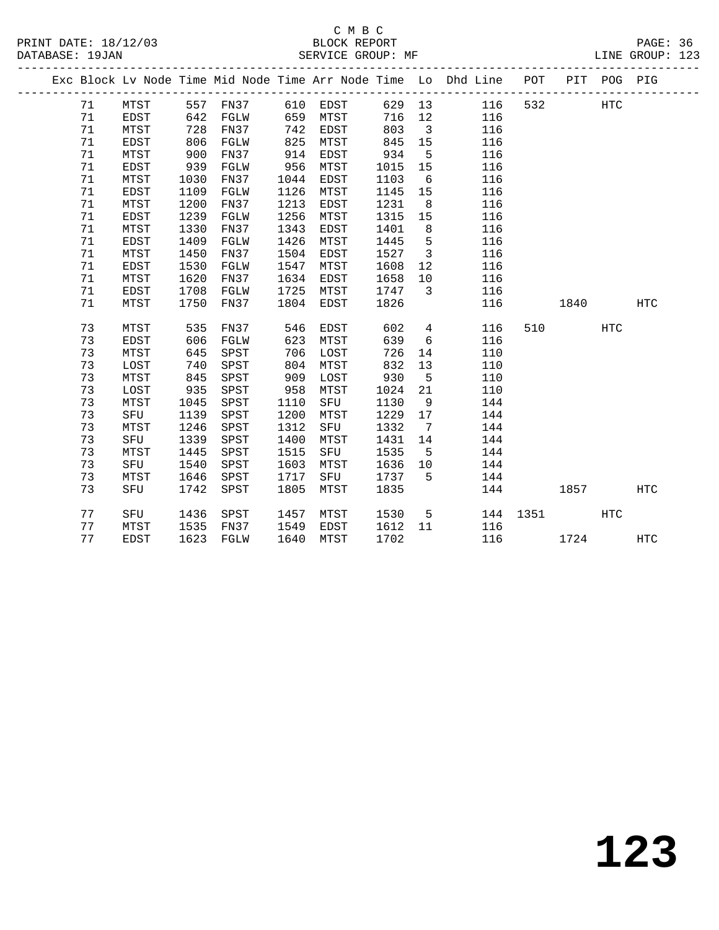|  |    |             |      |                   |      |      |         |                         | Exc Block Lv Node Time Mid Node Time Arr Node Time Lo Dhd Line POT |          |        | PIT POG PIG |            |
|--|----|-------------|------|-------------------|------|------|---------|-------------------------|--------------------------------------------------------------------|----------|--------|-------------|------------|
|  | 71 | MTST        |      | 557 FN37 610 EDST |      |      |         |                         | 629 13 116                                                         | 532      |        | HTC         |            |
|  | 71 | <b>EDST</b> | 642  | FGLW              | 659  | MTST | 716     | 12                      | 116                                                                |          |        |             |            |
|  | 71 | MTST        | 728  | FN37              | 742  | EDST | 803     | $\overline{\mathbf{3}}$ | 116                                                                |          |        |             |            |
|  | 71 | EDST        | 806  | FGLW              | 825  | MTST | 845     | 15                      | 116                                                                |          |        |             |            |
|  | 71 | MTST        | 900  | FN37              | 914  | EDST | 934     | 5                       | 116                                                                |          |        |             |            |
|  | 71 | EDST        | 939  | FGLW              | 956  | MTST | 1015    | 15                      | 116                                                                |          |        |             |            |
|  | 71 | MTST        | 1030 | FN37              | 1044 | EDST | 1103    | 6                       | 116                                                                |          |        |             |            |
|  | 71 | EDST        | 1109 | FGLW              | 1126 | MTST | 1145    | 15                      | 116                                                                |          |        |             |            |
|  | 71 | MTST        | 1200 | FN37              | 1213 | EDST | 1231    | 8 <sup>8</sup>          | 116                                                                |          |        |             |            |
|  | 71 | EDST        | 1239 | FGLW              | 1256 | MTST | 1315    | 15                      | 116                                                                |          |        |             |            |
|  | 71 | MTST        | 1330 | FN37              | 1343 | EDST | 1401    | 8 <sup>8</sup>          | 116                                                                |          |        |             |            |
|  | 71 | EDST        | 1409 | FGLW              | 1426 | MTST | 1445    | $5^{\circ}$             | 116                                                                |          |        |             |            |
|  | 71 | MTST        | 1450 | FN37              | 1504 | EDST | 1527    | $\overline{\mathbf{3}}$ | 116                                                                |          |        |             |            |
|  | 71 | EDST        | 1530 | FGLW              | 1547 | MTST | 1608    | 12                      | 116                                                                |          |        |             |            |
|  | 71 | MTST        | 1620 | FN37              | 1634 | EDST | 1658    | 10                      | 116                                                                |          |        |             |            |
|  | 71 | EDST        | 1708 | FGLW              | 1725 | MTST | 1747    | $\overline{\mathbf{3}}$ | 116                                                                |          |        |             |            |
|  | 71 | MTST        | 1750 | FN37              | 1804 | EDST | 1826    |                         | 116                                                                |          | 1840   |             | <b>HTC</b> |
|  |    |             |      |                   |      |      |         |                         |                                                                    |          |        |             |            |
|  | 73 | MTST        | 535  | FN37              | 546  | EDST | 602     | $4\overline{4}$         | 116                                                                |          | 510 72 | HTC         |            |
|  | 73 | EDST        | 606  | FGLW              | 623  | MTST | 639     | 6                       | 116                                                                |          |        |             |            |
|  | 73 | MTST        | 645  | SPST              | 706  | LOST | 726     | 14                      | 110                                                                |          |        |             |            |
|  | 73 | LOST        | 740  | SPST              | 804  | MTST | 832     | 13                      | 110                                                                |          |        |             |            |
|  | 73 | MTST        | 845  | SPST              | 909  | LOST | 930     | $5^{\circ}$             | 110                                                                |          |        |             |            |
|  | 73 | LOST        | 935  | SPST              | 958  | MTST | 1024    | 21                      | 110                                                                |          |        |             |            |
|  | 73 | MTST        | 1045 | SPST              | 1110 | SFU  | 1130    | 9                       | 144                                                                |          |        |             |            |
|  | 73 | SFU         | 1139 | SPST              | 1200 | MTST | 1229    | 17                      | 144                                                                |          |        |             |            |
|  | 73 | MTST        | 1246 | SPST              | 1312 | SFU  | 1332    | $\overline{7}$          | 144                                                                |          |        |             |            |
|  | 73 | SFU         | 1339 | SPST              | 1400 | MTST | 1431    | 14                      | 144                                                                |          |        |             |            |
|  | 73 | MTST        | 1445 | SPST              | 1515 | SFU  | 1535    | 5                       | 144                                                                |          |        |             |            |
|  | 73 | SFU         | 1540 | SPST              | 1603 | MTST | 1636    | 10                      | 144                                                                |          |        |             |            |
|  | 73 | MTST        | 1646 | SPST              | 1717 | SFU  | 1737    | $5^{\circ}$             | 144                                                                |          |        |             |            |
|  | 73 | SFU         | 1742 | SPST              | 1805 | MTST | 1835    |                         |                                                                    | 144      | 1857   |             | HTC        |
|  | 77 | SFU         | 1436 | SPST              | 1457 | MTST | 1530    | $5^{\circ}$             |                                                                    | 144 1351 |        | HTC         |            |
|  | 77 | MTST        | 1535 | FN37              | 1549 | EDST | 1612 11 |                         | 116                                                                |          |        |             |            |
|  | 77 | <b>EDST</b> |      | 1623 FGLW         | 1640 | MTST | 1702    |                         |                                                                    | 116      | 1724   |             | <b>HTC</b> |
|  |    |             |      |                   |      |      |         |                         |                                                                    |          |        |             |            |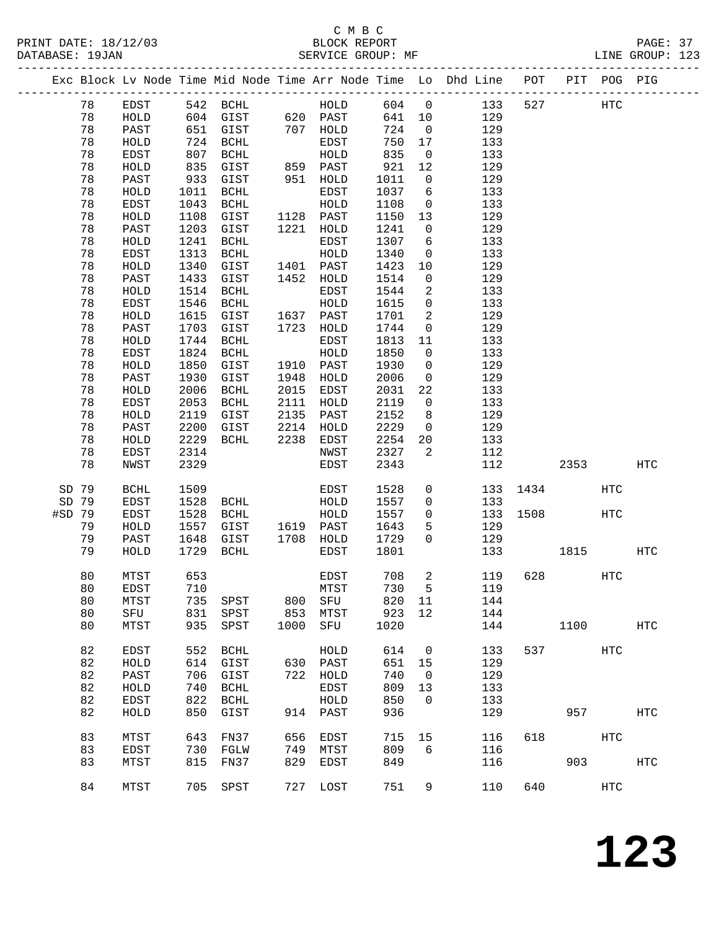### C M B C<br>BLOCK REPORT SERVICE GROUP: MF

PRINT DATE: 18/12/03 BLOCK REPORT PAGE: 37

|    |                                                                                                                                                                                                                                                                                                  |                                                                                                                                                                                                                                                                                                                                                     |                                                                                                                         |                                                                                                                                                                                                                                                                                                                                                                                                                                                                                                                                        |                           |                                                                                                                                                                                                                                                                                                                                                                                                                                                                                                                     |                                                                                                                                                                                                                                                                                                                              |                                                                                                                                                                                                                                                                                                                                                                                                                                                     |                                                                                                                                                                                                                                                                                                     |                                        |                                    | HTC                                                                                                                             |
|----|--------------------------------------------------------------------------------------------------------------------------------------------------------------------------------------------------------------------------------------------------------------------------------------------------|-----------------------------------------------------------------------------------------------------------------------------------------------------------------------------------------------------------------------------------------------------------------------------------------------------------------------------------------------------|-------------------------------------------------------------------------------------------------------------------------|----------------------------------------------------------------------------------------------------------------------------------------------------------------------------------------------------------------------------------------------------------------------------------------------------------------------------------------------------------------------------------------------------------------------------------------------------------------------------------------------------------------------------------------|---------------------------|---------------------------------------------------------------------------------------------------------------------------------------------------------------------------------------------------------------------------------------------------------------------------------------------------------------------------------------------------------------------------------------------------------------------------------------------------------------------------------------------------------------------|------------------------------------------------------------------------------------------------------------------------------------------------------------------------------------------------------------------------------------------------------------------------------------------------------------------------------|-----------------------------------------------------------------------------------------------------------------------------------------------------------------------------------------------------------------------------------------------------------------------------------------------------------------------------------------------------------------------------------------------------------------------------------------------------|-----------------------------------------------------------------------------------------------------------------------------------------------------------------------------------------------------------------------------------------------------------------------------------------------------|----------------------------------------|------------------------------------|---------------------------------------------------------------------------------------------------------------------------------|
|    | <b>BCHL</b>                                                                                                                                                                                                                                                                                      | 1509                                                                                                                                                                                                                                                                                                                                                |                                                                                                                         |                                                                                                                                                                                                                                                                                                                                                                                                                                                                                                                                        | EDST                      | 1528                                                                                                                                                                                                                                                                                                                                                                                                                                                                                                                | $\mathsf{O}$                                                                                                                                                                                                                                                                                                                 |                                                                                                                                                                                                                                                                                                                                                                                                                                                     |                                                                                                                                                                                                                                                                                                     |                                        | <b>HTC</b>                         |                                                                                                                                 |
|    | EDST                                                                                                                                                                                                                                                                                             | 1528                                                                                                                                                                                                                                                                                                                                                | BCHL                                                                                                                    |                                                                                                                                                                                                                                                                                                                                                                                                                                                                                                                                        | HOLD                      | 1557                                                                                                                                                                                                                                                                                                                                                                                                                                                                                                                | $\mathsf{O}$                                                                                                                                                                                                                                                                                                                 | 133                                                                                                                                                                                                                                                                                                                                                                                                                                                 |                                                                                                                                                                                                                                                                                                     |                                        |                                    |                                                                                                                                 |
|    | EDST                                                                                                                                                                                                                                                                                             | 1528                                                                                                                                                                                                                                                                                                                                                | BCHL                                                                                                                    |                                                                                                                                                                                                                                                                                                                                                                                                                                                                                                                                        | HOLD                      | 1557                                                                                                                                                                                                                                                                                                                                                                                                                                                                                                                | $\overline{0}$                                                                                                                                                                                                                                                                                                               | 133                                                                                                                                                                                                                                                                                                                                                                                                                                                 | 1508                                                                                                                                                                                                                                                                                                |                                        | HTC                                |                                                                                                                                 |
| 79 | HOLD                                                                                                                                                                                                                                                                                             |                                                                                                                                                                                                                                                                                                                                                     | GIST                                                                                                                    |                                                                                                                                                                                                                                                                                                                                                                                                                                                                                                                                        |                           | 1643                                                                                                                                                                                                                                                                                                                                                                                                                                                                                                                | 5                                                                                                                                                                                                                                                                                                                            | 129                                                                                                                                                                                                                                                                                                                                                                                                                                                 |                                                                                                                                                                                                                                                                                                     |                                        |                                    |                                                                                                                                 |
| 79 | PAST                                                                                                                                                                                                                                                                                             |                                                                                                                                                                                                                                                                                                                                                     | GIST                                                                                                                    |                                                                                                                                                                                                                                                                                                                                                                                                                                                                                                                                        | HOLD                      | 1729                                                                                                                                                                                                                                                                                                                                                                                                                                                                                                                | $\mathbf 0$                                                                                                                                                                                                                                                                                                                  | 129                                                                                                                                                                                                                                                                                                                                                                                                                                                 |                                                                                                                                                                                                                                                                                                     |                                        |                                    |                                                                                                                                 |
| 79 | HOLD                                                                                                                                                                                                                                                                                             |                                                                                                                                                                                                                                                                                                                                                     | BCHL                                                                                                                    |                                                                                                                                                                                                                                                                                                                                                                                                                                                                                                                                        | EDST                      | 1801                                                                                                                                                                                                                                                                                                                                                                                                                                                                                                                |                                                                                                                                                                                                                                                                                                                              | 133                                                                                                                                                                                                                                                                                                                                                                                                                                                 |                                                                                                                                                                                                                                                                                                     | 1815                                   |                                    | HTC                                                                                                                             |
|    |                                                                                                                                                                                                                                                                                                  |                                                                                                                                                                                                                                                                                                                                                     |                                                                                                                         |                                                                                                                                                                                                                                                                                                                                                                                                                                                                                                                                        |                           |                                                                                                                                                                                                                                                                                                                                                                                                                                                                                                                     |                                                                                                                                                                                                                                                                                                                              |                                                                                                                                                                                                                                                                                                                                                                                                                                                     |                                                                                                                                                                                                                                                                                                     |                                        |                                    |                                                                                                                                 |
|    |                                                                                                                                                                                                                                                                                                  |                                                                                                                                                                                                                                                                                                                                                     |                                                                                                                         |                                                                                                                                                                                                                                                                                                                                                                                                                                                                                                                                        |                           |                                                                                                                                                                                                                                                                                                                                                                                                                                                                                                                     |                                                                                                                                                                                                                                                                                                                              |                                                                                                                                                                                                                                                                                                                                                                                                                                                     |                                                                                                                                                                                                                                                                                                     |                                        |                                    |                                                                                                                                 |
|    |                                                                                                                                                                                                                                                                                                  |                                                                                                                                                                                                                                                                                                                                                     |                                                                                                                         |                                                                                                                                                                                                                                                                                                                                                                                                                                                                                                                                        |                           |                                                                                                                                                                                                                                                                                                                                                                                                                                                                                                                     |                                                                                                                                                                                                                                                                                                                              |                                                                                                                                                                                                                                                                                                                                                                                                                                                     |                                                                                                                                                                                                                                                                                                     |                                        |                                    |                                                                                                                                 |
|    |                                                                                                                                                                                                                                                                                                  |                                                                                                                                                                                                                                                                                                                                                     |                                                                                                                         |                                                                                                                                                                                                                                                                                                                                                                                                                                                                                                                                        |                           |                                                                                                                                                                                                                                                                                                                                                                                                                                                                                                                     | 11                                                                                                                                                                                                                                                                                                                           | 144                                                                                                                                                                                                                                                                                                                                                                                                                                                 |                                                                                                                                                                                                                                                                                                     |                                        |                                    |                                                                                                                                 |
|    |                                                                                                                                                                                                                                                                                                  |                                                                                                                                                                                                                                                                                                                                                     |                                                                                                                         |                                                                                                                                                                                                                                                                                                                                                                                                                                                                                                                                        |                           |                                                                                                                                                                                                                                                                                                                                                                                                                                                                                                                     |                                                                                                                                                                                                                                                                                                                              |                                                                                                                                                                                                                                                                                                                                                                                                                                                     |                                                                                                                                                                                                                                                                                                     |                                        |                                    |                                                                                                                                 |
|    |                                                                                                                                                                                                                                                                                                  |                                                                                                                                                                                                                                                                                                                                                     |                                                                                                                         |                                                                                                                                                                                                                                                                                                                                                                                                                                                                                                                                        |                           |                                                                                                                                                                                                                                                                                                                                                                                                                                                                                                                     |                                                                                                                                                                                                                                                                                                                              |                                                                                                                                                                                                                                                                                                                                                                                                                                                     |                                                                                                                                                                                                                                                                                                     |                                        |                                    | HTC                                                                                                                             |
|    |                                                                                                                                                                                                                                                                                                  |                                                                                                                                                                                                                                                                                                                                                     |                                                                                                                         |                                                                                                                                                                                                                                                                                                                                                                                                                                                                                                                                        |                           |                                                                                                                                                                                                                                                                                                                                                                                                                                                                                                                     |                                                                                                                                                                                                                                                                                                                              |                                                                                                                                                                                                                                                                                                                                                                                                                                                     |                                                                                                                                                                                                                                                                                                     |                                        |                                    |                                                                                                                                 |
|    |                                                                                                                                                                                                                                                                                                  |                                                                                                                                                                                                                                                                                                                                                     |                                                                                                                         |                                                                                                                                                                                                                                                                                                                                                                                                                                                                                                                                        |                           |                                                                                                                                                                                                                                                                                                                                                                                                                                                                                                                     |                                                                                                                                                                                                                                                                                                                              |                                                                                                                                                                                                                                                                                                                                                                                                                                                     |                                                                                                                                                                                                                                                                                                     |                                        |                                    |                                                                                                                                 |
|    |                                                                                                                                                                                                                                                                                                  |                                                                                                                                                                                                                                                                                                                                                     |                                                                                                                         |                                                                                                                                                                                                                                                                                                                                                                                                                                                                                                                                        |                           |                                                                                                                                                                                                                                                                                                                                                                                                                                                                                                                     |                                                                                                                                                                                                                                                                                                                              |                                                                                                                                                                                                                                                                                                                                                                                                                                                     |                                                                                                                                                                                                                                                                                                     |                                        |                                    |                                                                                                                                 |
|    |                                                                                                                                                                                                                                                                                                  |                                                                                                                                                                                                                                                                                                                                                     |                                                                                                                         |                                                                                                                                                                                                                                                                                                                                                                                                                                                                                                                                        |                           |                                                                                                                                                                                                                                                                                                                                                                                                                                                                                                                     |                                                                                                                                                                                                                                                                                                                              |                                                                                                                                                                                                                                                                                                                                                                                                                                                     |                                                                                                                                                                                                                                                                                                     |                                        |                                    |                                                                                                                                 |
|    |                                                                                                                                                                                                                                                                                                  |                                                                                                                                                                                                                                                                                                                                                     |                                                                                                                         |                                                                                                                                                                                                                                                                                                                                                                                                                                                                                                                                        |                           |                                                                                                                                                                                                                                                                                                                                                                                                                                                                                                                     |                                                                                                                                                                                                                                                                                                                              |                                                                                                                                                                                                                                                                                                                                                                                                                                                     |                                                                                                                                                                                                                                                                                                     |                                        |                                    |                                                                                                                                 |
|    |                                                                                                                                                                                                                                                                                                  |                                                                                                                                                                                                                                                                                                                                                     |                                                                                                                         |                                                                                                                                                                                                                                                                                                                                                                                                                                                                                                                                        |                           |                                                                                                                                                                                                                                                                                                                                                                                                                                                                                                                     |                                                                                                                                                                                                                                                                                                                              |                                                                                                                                                                                                                                                                                                                                                                                                                                                     |                                                                                                                                                                                                                                                                                                     |                                        |                                    | <b>HTC</b>                                                                                                                      |
|    |                                                                                                                                                                                                                                                                                                  |                                                                                                                                                                                                                                                                                                                                                     |                                                                                                                         |                                                                                                                                                                                                                                                                                                                                                                                                                                                                                                                                        |                           |                                                                                                                                                                                                                                                                                                                                                                                                                                                                                                                     |                                                                                                                                                                                                                                                                                                                              |                                                                                                                                                                                                                                                                                                                                                                                                                                                     |                                                                                                                                                                                                                                                                                                     |                                        |                                    |                                                                                                                                 |
|    | MTST                                                                                                                                                                                                                                                                                             | 643                                                                                                                                                                                                                                                                                                                                                 | FN37                                                                                                                    |                                                                                                                                                                                                                                                                                                                                                                                                                                                                                                                                        | EDST                      |                                                                                                                                                                                                                                                                                                                                                                                                                                                                                                                     | 15                                                                                                                                                                                                                                                                                                                           |                                                                                                                                                                                                                                                                                                                                                                                                                                                     | 618                                                                                                                                                                                                                                                                                                 |                                        | HTC                                |                                                                                                                                 |
|    | EDST                                                                                                                                                                                                                                                                                             |                                                                                                                                                                                                                                                                                                                                                     | FGLW                                                                                                                    |                                                                                                                                                                                                                                                                                                                                                                                                                                                                                                                                        | MTST                      |                                                                                                                                                                                                                                                                                                                                                                                                                                                                                                                     | 6                                                                                                                                                                                                                                                                                                                            |                                                                                                                                                                                                                                                                                                                                                                                                                                                     |                                                                                                                                                                                                                                                                                                     |                                        |                                    |                                                                                                                                 |
|    | MTST                                                                                                                                                                                                                                                                                             |                                                                                                                                                                                                                                                                                                                                                     | FN37                                                                                                                    |                                                                                                                                                                                                                                                                                                                                                                                                                                                                                                                                        | EDST                      |                                                                                                                                                                                                                                                                                                                                                                                                                                                                                                                     |                                                                                                                                                                                                                                                                                                                              |                                                                                                                                                                                                                                                                                                                                                                                                                                                     |                                                                                                                                                                                                                                                                                                     |                                        |                                    | HTC                                                                                                                             |
| 84 | MTST                                                                                                                                                                                                                                                                                             |                                                                                                                                                                                                                                                                                                                                                     |                                                                                                                         |                                                                                                                                                                                                                                                                                                                                                                                                                                                                                                                                        | LOST                      | 751                                                                                                                                                                                                                                                                                                                                                                                                                                                                                                                 | 9                                                                                                                                                                                                                                                                                                                            | 110                                                                                                                                                                                                                                                                                                                                                                                                                                                 | 640                                                                                                                                                                                                                                                                                                 |                                        | HTC                                |                                                                                                                                 |
|    | 78<br>78<br>78<br>78<br>78<br>78<br>78<br>78<br>78<br>78<br>78<br>78<br>78<br>78<br>78<br>78<br>78<br>78<br>78<br>78<br>78<br>78<br>78<br>78<br>78<br>78<br>78<br>78<br>78<br>78<br>SD 79<br>SD 79<br>#SD 79<br>80<br>80<br>80<br>80<br>80<br>82<br>82<br>82<br>82<br>82<br>82<br>83<br>83<br>83 | EDST<br>HOLD<br>PAST<br>HOLD<br>EDST<br>HOLD<br>PAST<br>HOLD<br>EDST<br>${\tt HOLD}$<br>PAST<br>HOLD<br>EDST<br>HOLD<br>PAST<br>HOLD<br>EDST<br>${\tt HOLD}$<br>PAST<br>HOLD<br>EDST<br>HOLD<br>PAST<br>HOLD<br>EDST<br>HOLD<br>PAST<br>HOLD<br>EDST<br>NWST<br>MTST<br>EDST<br>MTST<br>SFU<br>MTST<br>EDST<br>HOLD<br>PAST<br>HOLD<br>EDST<br>HOLD | 1241<br>1313<br>1514<br>1546<br>1744<br>1824<br>2006<br>2053<br>2229<br>2314<br>2329<br>653<br>735<br>935<br>552<br>815 | 542 BCHL<br>651<br>GIST<br>724<br>BCHL<br>807<br>BCHL<br>835<br>GIST<br>933<br>GIST<br>1011<br>BCHL<br>1043<br>BCHL<br>1108<br>GIST<br>1203<br>GIST<br>BCHL<br>BCHL<br>1340<br>GIST<br>1433<br>GIST<br>BCHL<br>BCHL<br>1615<br>GIST<br>1703<br>GIST<br>BCHL<br>BCHL<br>1850<br>GIST<br>1930<br>GIST<br>BCHL<br>BCHL<br>2119<br>GIST<br>2200<br>GIST<br>BCHL<br>1557<br>1648<br>1729<br>710<br>SPST<br>831<br>SPST<br>SPST<br>BCHL<br>614<br>GIST<br>706<br>GIST<br>740<br><b>BCHL</b><br>822<br>BCHL<br>850<br>GIST<br>730<br>705 SPST | 800<br>853<br>1000<br>829 | 604 GIST 620 PAST<br>707 HOLD<br>EDST<br>HOLD<br>859 PAST<br>951<br>HOLD<br>EDST<br>HOLD<br>1128 PAST<br>1221<br>HOLD<br>EDST<br>HOLD<br>1401 PAST<br>1452<br>HOLD<br>EDST<br>HOLD<br>1637 PAST<br>1723<br>HOLD<br>EDST<br>HOLD<br>1910 PAST<br>1948<br>HOLD<br>2015<br>EDST<br>2111<br>HOLD<br>2135<br>PAST<br>2214<br>HOLD<br>2238<br>EDST<br>NWST<br>EDST<br>1619 PAST<br>1708<br>EDST<br>MTST<br>SFU<br>MTST<br>SFU<br>HOLD<br>PAST<br>630<br>722 HOLD<br>EDST<br>${\tt HOLD}$<br>914 PAST<br>656<br>749<br>727 | HOLD<br>724<br>750<br>835<br>921<br>1011<br>1037<br>1108<br>1150<br>1241<br>1307<br>1340<br>1423<br>1514<br>1544<br>1615<br>1701<br>1744<br>1813<br>1850<br>1930<br>2006<br>2031<br>2119<br>2152<br>2229<br>2254<br>2327<br>2343<br>708<br>820<br>923<br>1020<br>614<br>651<br>740<br>809<br>850<br>936<br>715<br>809<br>849 | 604 0<br>641 10<br>$\overline{0}$<br>17<br>$\overline{0}$<br>12<br>$\overline{0}$<br>6<br>$\overline{0}$<br>13<br>$\overline{0}$<br>6<br>$\overline{0}$<br>10<br>$\overline{0}$<br>$\overline{a}$<br>$\mathsf{O}$<br>2<br>$\mathsf{O}$<br>11<br>$\mathsf{O}$<br>$\mathbf 0$<br>$\overline{0}$<br>22<br>$\mathsf{O}$<br>8 <sup>8</sup><br>$\overline{0}$<br>20<br>2<br>2<br>730<br>12<br>$\overline{0}$<br>15<br>$\overline{0}$<br>13<br>$\mathbf 0$ | 129<br>129<br>133<br>133<br>129<br>129<br>133<br>133<br>129<br>129<br>133<br>133<br>129<br>129<br>133<br>133<br>129<br>129<br>133<br>133<br>129<br>129<br>133<br>133<br>129<br>129<br>133<br>112<br>112<br>$5^{\circ}$<br>144<br>144<br>133<br>129<br>129<br>133<br>133<br>129<br>116<br>116<br>116 | 133<br>527<br>133<br>119<br>628<br>119 | 2353<br>1434<br>1100<br>957<br>903 | Exc Block Lv Node Time Mid Node Time Arr Node Time Lo Dhd Line POT PIT POG PIG<br>HTC<br>HTC<br>537 and $\overline{537}$<br>HTC |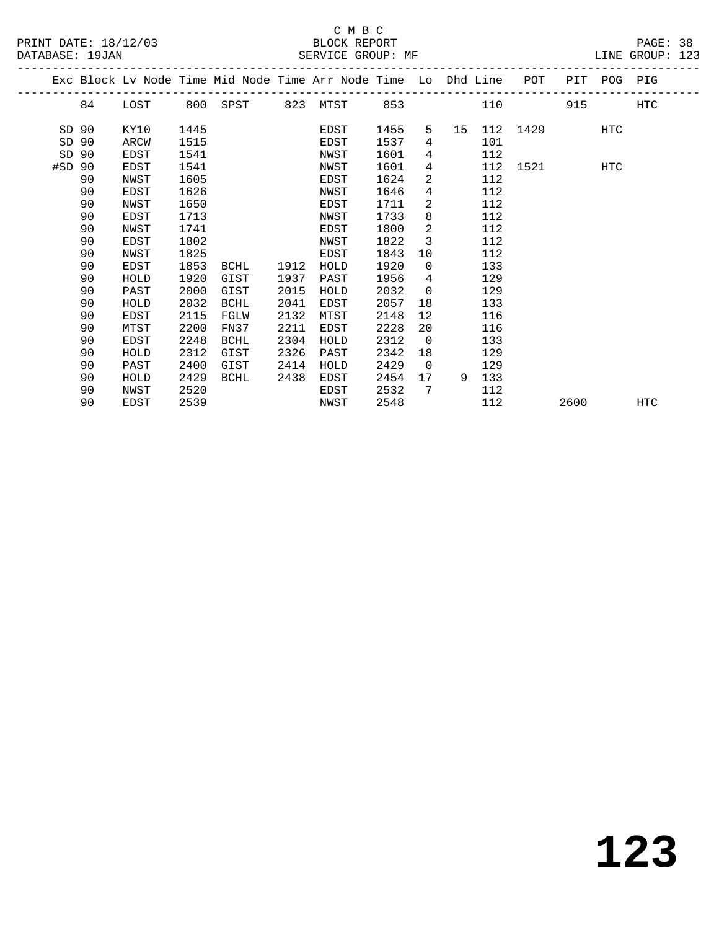## C M B C<br>BLOCK REPORT

LINE GROUP: 123

|        |    |             |      |             |      | Exc Block Lv Node Time Mid Node Time Arr Node Time Lo Dhd Line |      |                |    |     | POT  | PIT  | POG PIG    |            |
|--------|----|-------------|------|-------------|------|----------------------------------------------------------------|------|----------------|----|-----|------|------|------------|------------|
|        | 84 | LOST        | 800  | SPST        | 823  | MTST                                                           | 853  |                |    | 110 |      | 915  |            | <b>HTC</b> |
| SD 90  |    | KY10        | 1445 |             |      | EDST                                                           | 1455 | 5              | 15 | 112 | 1429 |      | <b>HTC</b> |            |
| SD     | 90 | ARCW        | 1515 |             |      | EDST                                                           | 1537 | 4              |    | 101 |      |      |            |            |
| SD     | 90 | EDST        | 1541 |             |      | NWST                                                           | 1601 | 4              |    | 112 |      |      |            |            |
| #SD 90 |    | EDST        | 1541 |             |      | NWST                                                           | 1601 | 4              |    | 112 | 1521 |      | HTC        |            |
|        | 90 | NWST        | 1605 |             |      | EDST                                                           | 1624 | $\overline{2}$ |    | 112 |      |      |            |            |
|        | 90 | EDST        | 1626 |             |      | NWST                                                           | 1646 | 4              |    | 112 |      |      |            |            |
|        | 90 | NWST        | 1650 |             |      | EDST                                                           | 1711 | 2              |    | 112 |      |      |            |            |
|        | 90 | EDST        | 1713 |             |      | NWST                                                           | 1733 | 8              |    | 112 |      |      |            |            |
|        | 90 | NWST        | 1741 |             |      | EDST                                                           | 1800 | 2              |    | 112 |      |      |            |            |
|        | 90 | EDST        | 1802 |             |      | NWST                                                           | 1822 | 3              |    | 112 |      |      |            |            |
|        | 90 | NWST        | 1825 |             |      | EDST                                                           | 1843 | 10             |    | 112 |      |      |            |            |
|        | 90 | EDST        | 1853 | BCHL        | 1912 | HOLD                                                           | 1920 | $\mathbf 0$    |    | 133 |      |      |            |            |
|        | 90 | HOLD        | 1920 | GIST        | 1937 | PAST                                                           | 1956 | 4              |    | 129 |      |      |            |            |
|        | 90 | PAST        | 2000 | GIST        | 2015 | HOLD                                                           | 2032 | $\overline{0}$ |    | 129 |      |      |            |            |
|        | 90 | HOLD        | 2032 | <b>BCHL</b> | 2041 | EDST                                                           | 2057 | 18             |    | 133 |      |      |            |            |
|        | 90 | <b>EDST</b> | 2115 | FGLW        | 2132 | MTST                                                           | 2148 | 12             |    | 116 |      |      |            |            |
|        | 90 | MTST        | 2200 | FN37        | 2211 | EDST                                                           | 2228 | 20             |    | 116 |      |      |            |            |
|        | 90 | EDST        | 2248 | BCHL        | 2304 | HOLD                                                           | 2312 | $\overline{0}$ |    | 133 |      |      |            |            |
|        | 90 | HOLD        | 2312 | GIST        | 2326 | PAST                                                           | 2342 | 18             |    | 129 |      |      |            |            |
|        | 90 | PAST        | 2400 | GIST        | 2414 | HOLD                                                           | 2429 | $\overline{0}$ |    | 129 |      |      |            |            |
|        | 90 | HOLD        | 2429 | <b>BCHL</b> | 2438 | EDST                                                           | 2454 | 17             | 9  | 133 |      |      |            |            |
|        | 90 | NWST        | 2520 |             |      | EDST                                                           | 2532 | 7              |    | 112 |      |      |            |            |
|        | 90 | EDST        | 2539 |             |      | NWST                                                           | 2548 |                |    | 112 |      | 2600 |            | <b>HTC</b> |
|        |    |             |      |             |      |                                                                |      |                |    |     |      |      |            |            |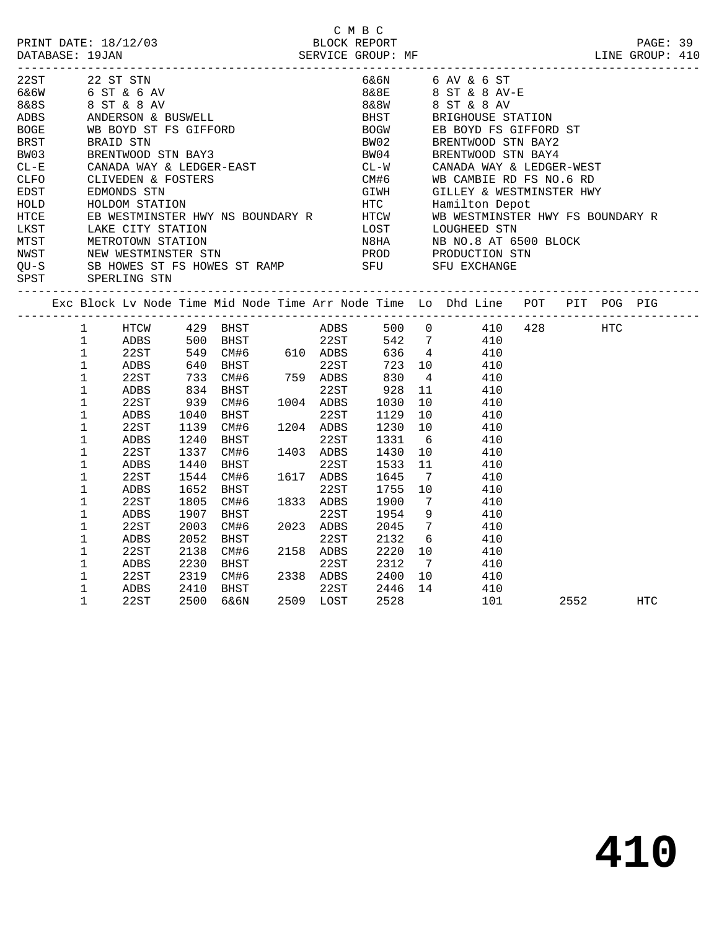| 22ST 22 ST STN                                                   |                        |      |      |                                                                                                |           |            |                 |                 | 6&6N 6 AV & 6 ST                                                                                                                                                                                                                                                                                                                                                                                                                                                                          |      |     |  |
|------------------------------------------------------------------|------------------------|------|------|------------------------------------------------------------------------------------------------|-----------|------------|-----------------|-----------------|-------------------------------------------------------------------------------------------------------------------------------------------------------------------------------------------------------------------------------------------------------------------------------------------------------------------------------------------------------------------------------------------------------------------------------------------------------------------------------------------|------|-----|--|
| 6 & 6 W<br>6 & 6 W<br>8 & 8 ST & 8 AV<br>ADBS ANDERSON & BUSWELL |                        |      |      |                                                                                                |           |            |                 |                 | 8 & 8 E 8 ST & 8 AV-E                                                                                                                                                                                                                                                                                                                                                                                                                                                                     |      |     |  |
|                                                                  |                        |      |      |                                                                                                |           | 8&8W       |                 |                 | 8 ST & 8 AV<br>BHST BRIGHOUSE STATION                                                                                                                                                                                                                                                                                                                                                                                                                                                     |      |     |  |
| BOGE WB BOYD ST FS GIFFORD<br>BRST BRAID STN                     |                        |      |      |                                                                                                |           |            |                 |                 |                                                                                                                                                                                                                                                                                                                                                                                                                                                                                           |      |     |  |
|                                                                  |                        |      |      |                                                                                                |           |            |                 |                 | BOGW EB BOYD FS GIFFORD ST<br>BW02 BRENTWOOD STN BAY2                                                                                                                                                                                                                                                                                                                                                                                                                                     |      |     |  |
|                                                                  |                        |      |      |                                                                                                |           |            |                 |                 |                                                                                                                                                                                                                                                                                                                                                                                                                                                                                           |      |     |  |
| BW03                                                             |                        |      |      |                                                                                                |           |            |                 |                 |                                                                                                                                                                                                                                                                                                                                                                                                                                                                                           |      |     |  |
| $CL - E$                                                         |                        |      |      | --- ---<br>BRENTWOOD STN BAY3<br>CANADA WAY & LEDGER-EAST<br>CLIVEDEN & FOSTERS<br>EDMONDS STN |           |            |                 |                 | BW04<br>CL-W CANADA WAY & LEDGER-WEST<br>CM#6 WB CAMBIE RD FS NO.6 RD                                                                                                                                                                                                                                                                                                                                                                                                                     |      |     |  |
| CLFO                                                             |                        |      |      |                                                                                                |           |            |                 |                 |                                                                                                                                                                                                                                                                                                                                                                                                                                                                                           |      |     |  |
| EDST                                                             |                        |      |      |                                                                                                |           |            |                 |                 | EDMONDS STN<br>HOLDOM STATION<br>EB WESTMINSTER HWY NS BOUNDARY R<br>EB WESTMINSTER HWY NS BOUNDARY R<br>HTCW WB WESTMINSTER HWY FS BOUNDARY R                                                                                                                                                                                                                                                                                                                                            |      |     |  |
| HOLD                                                             |                        |      |      |                                                                                                |           |            |                 |                 |                                                                                                                                                                                                                                                                                                                                                                                                                                                                                           |      |     |  |
| HTCE                                                             |                        |      |      |                                                                                                |           |            |                 |                 |                                                                                                                                                                                                                                                                                                                                                                                                                                                                                           |      |     |  |
|                                                                  |                        |      |      |                                                                                                |           |            |                 |                 |                                                                                                                                                                                                                                                                                                                                                                                                                                                                                           |      |     |  |
|                                                                  |                        |      |      |                                                                                                |           |            |                 |                 |                                                                                                                                                                                                                                                                                                                                                                                                                                                                                           |      |     |  |
|                                                                  |                        |      |      |                                                                                                |           |            |                 |                 |                                                                                                                                                                                                                                                                                                                                                                                                                                                                                           |      |     |  |
|                                                                  |                        |      |      |                                                                                                |           |            |                 |                 |                                                                                                                                                                                                                                                                                                                                                                                                                                                                                           |      |     |  |
|                                                                  |                        |      |      |                                                                                                |           |            |                 |                 | $\begin{tabular}{lllllllllllllllllllll} $\multicolumn{4}{c}{\multicolumn{4}{c}{\multicolumn{4}{c}{\multicolumn{4}{c}{\multicolumn{4}{c}{\multicolumn{4}{c}{\multicolumn{4}{c}{\multicolumn{4}{c}{\multicolumn{4}{c}{\multicolumn{4}{c}{\multicolumn{4}{c}{\multicolumn{4}{c}{\multicolumn{4}{c}{\multicolumn{4}{c}{\multicolumn{4}{c}{\multicolumn{4}{c}{\multicolumn{4}{c}{\multicolumn{4}{c}{\multicolumn{4}{c}{\multicolumn{4}{c}{\multicolumn{4}{c}{\multicolumn{4}{c}{\multicolumn{$ |      |     |  |
|                                                                  |                        |      |      |                                                                                                |           |            |                 |                 | Exc Block Lv Node Time Mid Node Time Arr Node Time Lo Dhd Line POT PIT POG PIG                                                                                                                                                                                                                                                                                                                                                                                                            |      |     |  |
|                                                                  | $1 \quad \blacksquare$ |      |      |                                                                                                |           |            |                 |                 | HTCW 429 BHST ADBS 500 0 410 428 HTC<br>ADBS 500 BHST 22ST 542 7 410<br>22ST 549 CM#6 610 ADBS 636 4 410                                                                                                                                                                                                                                                                                                                                                                                  |      |     |  |
|                                                                  | $\frac{1}{1}$          |      |      |                                                                                                |           |            |                 |                 |                                                                                                                                                                                                                                                                                                                                                                                                                                                                                           |      |     |  |
|                                                                  | $\mathbf{1}$           |      |      |                                                                                                |           |            |                 |                 |                                                                                                                                                                                                                                                                                                                                                                                                                                                                                           |      |     |  |
|                                                                  | $\mathbf 1$            | ADBS |      |                                                                                                |           | 723<br>830 | 723 10          |                 | 410                                                                                                                                                                                                                                                                                                                                                                                                                                                                                       |      |     |  |
|                                                                  | $\mathbf 1$            | 22ST |      |                                                                                                |           |            |                 | $4\overline{4}$ | 410                                                                                                                                                                                                                                                                                                                                                                                                                                                                                       |      |     |  |
|                                                                  | $\mathbf 1$            | ADBS |      | 834 BHST 22ST<br>939 CM#6 1004 ADBS<br>1040 BHST 22ST                                          |           | 928        |                 | 11              | 410                                                                                                                                                                                                                                                                                                                                                                                                                                                                                       |      |     |  |
|                                                                  | $\mathbf{1}$           | 22ST |      |                                                                                                |           | 1030       |                 | 10              | 410                                                                                                                                                                                                                                                                                                                                                                                                                                                                                       |      |     |  |
|                                                                  | $\mathbf 1$            | ADBS |      |                                                                                                |           | 1129       |                 |                 | 10 0<br>410                                                                                                                                                                                                                                                                                                                                                                                                                                                                               |      |     |  |
|                                                                  | $\mathbf 1$            | 22ST | 1139 | CM#6                                                                                           | 1204 ADBS | 1230       |                 | 10              | 410                                                                                                                                                                                                                                                                                                                                                                                                                                                                                       |      |     |  |
|                                                                  | $\mathbf 1$            | ADBS | 1240 | BHST                                                                                           | 22ST      | 1331       |                 | 6               | 410                                                                                                                                                                                                                                                                                                                                                                                                                                                                                       |      |     |  |
|                                                                  | $\mathbf 1$            | 22ST | 1337 | CM#6                                                                                           | 1403 ADBS | 1430       |                 | 10              | 410                                                                                                                                                                                                                                                                                                                                                                                                                                                                                       |      |     |  |
|                                                                  | $\mathbf 1$            | ADBS | 1440 | BHST                                                                                           | 22ST      | 1533       |                 | 11              | 410                                                                                                                                                                                                                                                                                                                                                                                                                                                                                       |      |     |  |
|                                                                  | $\mathbf 1$            | 22ST | 1544 | CM#6                                                                                           | 1617 ADBS | 1645       |                 | $7\overline{ }$ | 410                                                                                                                                                                                                                                                                                                                                                                                                                                                                                       |      |     |  |
|                                                                  | $\mathbf 1$            | ADBS | 1652 | BHST                                                                                           | 22ST      | 1755       | 10              |                 | 410                                                                                                                                                                                                                                                                                                                                                                                                                                                                                       |      |     |  |
|                                                                  | 1                      | 22ST | 1805 | CM#6                                                                                           | 1833 ADBS | 1900       | $7\overline{ }$ |                 | 410                                                                                                                                                                                                                                                                                                                                                                                                                                                                                       |      |     |  |
|                                                                  | $\mathbf 1$            | ADBS | 1907 | BHST                                                                                           | 22ST      | 1954       |                 | 9               | 410                                                                                                                                                                                                                                                                                                                                                                                                                                                                                       |      |     |  |
|                                                                  | 1                      | 22ST | 2003 | CM#6                                                                                           | 2023 ADBS | 2045       |                 | $7\overline{ }$ | 410                                                                                                                                                                                                                                                                                                                                                                                                                                                                                       |      |     |  |
|                                                                  | $\mathbf 1$            | ADBS | 2052 | BHST                                                                                           | 22ST      | 2132       |                 | 6               | 410                                                                                                                                                                                                                                                                                                                                                                                                                                                                                       |      |     |  |
|                                                                  | 1                      | 22ST | 2138 | CM#6 2158 ADBS                                                                                 |           | 2220       |                 |                 | 10 0<br>410                                                                                                                                                                                                                                                                                                                                                                                                                                                                               |      |     |  |
|                                                                  | 1                      | ADBS | 2230 | <b>BHST</b>                                                                                    | 22ST      | 2312       |                 | $7\overline{ }$ | 410                                                                                                                                                                                                                                                                                                                                                                                                                                                                                       |      |     |  |
|                                                                  | 1                      | 22ST |      | 2319 CM#6                                                                                      | 2338 ADBS | 2400       |                 |                 | $\frac{1}{10}$<br>410                                                                                                                                                                                                                                                                                                                                                                                                                                                                     |      |     |  |
|                                                                  | $\mathbf 1$            | ADBS | 2410 | <b>BHST</b>                                                                                    | 22ST      | 2446       |                 |                 | 14 410                                                                                                                                                                                                                                                                                                                                                                                                                                                                                    |      |     |  |
|                                                                  | $\mathbf 1$            | 22ST | 2500 | 6&6N                                                                                           | 2509 LOST | 2528       |                 |                 | 101                                                                                                                                                                                                                                                                                                                                                                                                                                                                                       | 2552 | HTC |  |

C M B C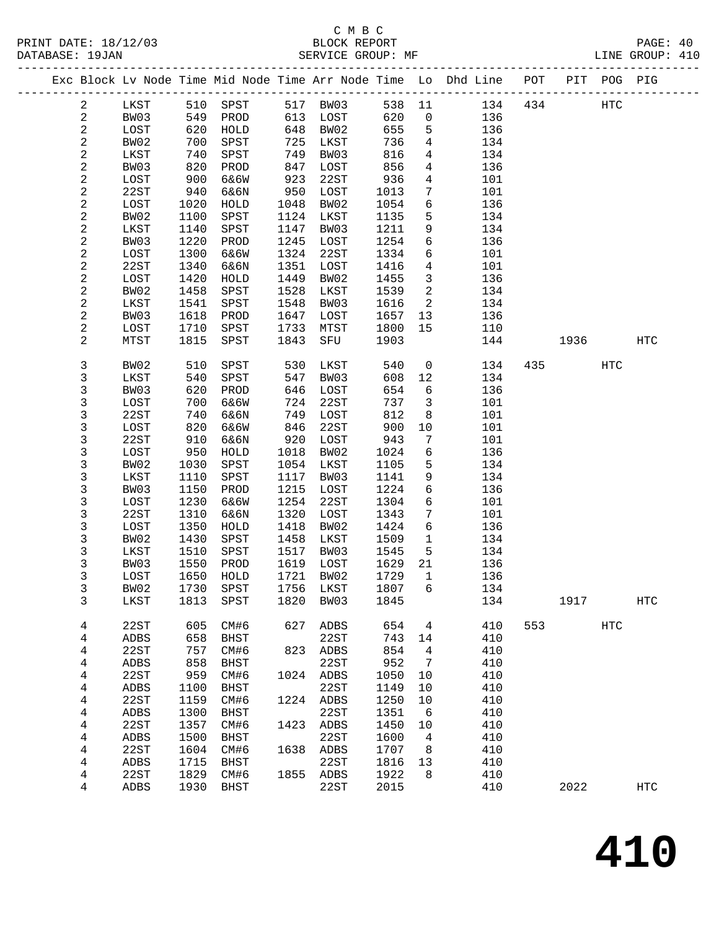|                         |              |      |              |      |          |        |                 | Exc Block Lv Node Time Mid Node Time Arr Node Time Lo Dhd Line POT |     |      | PIT POG PIG |                   |
|-------------------------|--------------|------|--------------|------|----------|--------|-----------------|--------------------------------------------------------------------|-----|------|-------------|-------------------|
| $\overline{a}$          | LKST         | 510  | SPST         |      | 517 BW03 | 538 11 |                 | 134                                                                | 434 |      | <b>HTC</b>  |                   |
| $\overline{a}$          | BW03         | 549  | PROD         | 613  | LOST     | 620    | $\mathsf{O}$    | 136                                                                |     |      |             |                   |
| $\mathbf{2}$            | LOST         | 620  | ${\tt HOLD}$ | 648  | BW02     | 655    | 5               | 136                                                                |     |      |             |                   |
| $\overline{c}$          | BW02         | 700  | SPST         | 725  | LKST     | 736    | $\overline{4}$  | 134                                                                |     |      |             |                   |
| $\sqrt{2}$              | LKST         | 740  | SPST         | 749  | BW03     | 816    | 4               | 134                                                                |     |      |             |                   |
| $\mathbf{2}$            | BW03         | 820  | PROD         | 847  | LOST     | 856    | $\overline{4}$  | 136                                                                |     |      |             |                   |
| $\sqrt{2}$              | LOST         | 900  | 6&6W         | 923  | 22ST     | 936    | 4               | 101                                                                |     |      |             |                   |
| $\overline{c}$          | 22ST         | 940  | 6&6N         | 950  | LOST     | 1013   | $7\phantom{.0}$ | 101                                                                |     |      |             |                   |
| $\sqrt{2}$              | LOST         | 1020 | HOLD         | 1048 | BW02     | 1054   | 6               | 136                                                                |     |      |             |                   |
| $\sqrt{2}$              | BW02         | 1100 | SPST         | 1124 | LKST     | 1135   | 5               | 134                                                                |     |      |             |                   |
| $\sqrt{2}$              | LKST         | 1140 | SPST         | 1147 | BW03     | 1211   | 9               | 134                                                                |     |      |             |                   |
| $\sqrt{2}$              | BW03         | 1220 | PROD         | 1245 | LOST     | 1254   | 6               | 136                                                                |     |      |             |                   |
| $\sqrt{2}$              | LOST         | 1300 | 6&6W         | 1324 | 22ST     | 1334   | 6               | 101                                                                |     |      |             |                   |
| $\sqrt{2}$              | 22ST         | 1340 | 6&6N         | 1351 | LOST     | 1416   | 4               | 101                                                                |     |      |             |                   |
| 2                       | LOST         | 1420 | HOLD         | 1449 | BW02     | 1455   | 3               | 136                                                                |     |      |             |                   |
| 2                       | BW02         | 1458 | SPST         | 1528 | LKST     | 1539   | $\overline{2}$  | 134                                                                |     |      |             |                   |
| $\sqrt{2}$              | LKST         | 1541 | SPST         | 1548 | BW03     | 1616   | 2               | 134                                                                |     |      |             |                   |
| 2                       | BW03         | 1618 | PROD         | 1647 | LOST     | 1657   | 13              | 136                                                                |     |      |             |                   |
| $\mathbf{2}$            | LOST         | 1710 | SPST         | 1733 | MTST     | 1800   | 15              | 110                                                                |     |      |             |                   |
| $\overline{c}$          | MTST         | 1815 | SPST         | 1843 | SFU      | 1903   |                 | 144                                                                |     | 1936 |             | HTC               |
| 3                       | BW02         | 510  | SPST         | 530  | LKST     | 540    | $\mathsf{O}$    | 134                                                                | 435 |      | <b>HTC</b>  |                   |
| 3                       | LKST         | 540  | SPST         | 547  | BW03     | 608    | 12              | 134                                                                |     |      |             |                   |
| 3                       | BW03         | 620  | PROD         | 646  | LOST     | 654    | 6               | 136                                                                |     |      |             |                   |
| 3                       | LOST         | 700  | 6&6W         | 724  | 22ST     | 737    | $\mathbf{3}$    | 101                                                                |     |      |             |                   |
| 3                       | 22ST         | 740  | 6&6N         | 749  | LOST     | 812    | 8               | 101                                                                |     |      |             |                   |
| 3                       | LOST         | 820  | 6&6W         | 846  | 22ST     | 900    | 10              | 101                                                                |     |      |             |                   |
| 3                       | 22ST         | 910  | 6&6N         | 920  | LOST     | 943    | 7               | 101                                                                |     |      |             |                   |
| 3                       | LOST         | 950  | HOLD         | 1018 | BW02     | 1024   | 6               | 136                                                                |     |      |             |                   |
| 3                       | BW02         | 1030 | SPST         | 1054 | LKST     | 1105   | 5               | 134                                                                |     |      |             |                   |
| 3                       | LKST         | 1110 | SPST         | 1117 | BW03     | 1141   | 9               | 134                                                                |     |      |             |                   |
| 3                       | BW03         | 1150 | PROD         | 1215 | LOST     | 1224   | 6               | 136                                                                |     |      |             |                   |
| 3                       | LOST         | 1230 | 6&6W         | 1254 | 22ST     | 1304   | 6               | 101                                                                |     |      |             |                   |
| 3                       | 22ST         | 1310 | 6&6N         | 1320 | LOST     | 1343   | $7\phantom{.0}$ | 101                                                                |     |      |             |                   |
| 3                       | LOST         | 1350 | HOLD         | 1418 | BW02     | 1424   | 6               | 136                                                                |     |      |             |                   |
| 3                       | BW02         | 1430 | SPST         | 1458 | LKST     | 1509   | $\mathbf{1}$    | 134                                                                |     |      |             |                   |
| 3                       | LKST         | 1510 | SPST         | 1517 | BW03     | 1545   | 5               | 134                                                                |     |      |             |                   |
| 3                       | BW03         | 1550 | PROD         | 1619 | LOST     | 1629   | 21              | 136                                                                |     |      |             |                   |
| 3                       | LOST         | 1650 | HOLD         | 1721 | BW02     | 1729   | $\mathbf{1}$    | 136                                                                |     |      |             |                   |
| 3                       | BW02         | 1730 | SPST         | 1756 | LKST     | 1807   | 6               | 134                                                                |     |      |             |                   |
| 3                       | LKST         | 1813 | SPST         | 1820 | BW03     | 1845   |                 | 134                                                                |     | 1917 |             | HTC               |
| 4                       | 22ST         | 605  | CM#6         | 627  | ADBS     | 654    | 4               | 410                                                                | 553 |      | HTC         |                   |
| 4                       | ADBS         | 658  | <b>BHST</b>  |      | 22ST     | 743    | 14              | 410                                                                |     |      |             |                   |
| 4                       | 22ST         | 757  | CM#6         | 823  | ADBS     | 854    | 4               | 410                                                                |     |      |             |                   |
| $\overline{\mathbf{4}}$ | ADBS         | 858  | <b>BHST</b>  |      | 22ST     | 952    | 7               | 410                                                                |     |      |             |                   |
| 4                       | 22ST         | 959  | CM#6         | 1024 | ADBS     | 1050   | 10              | 410                                                                |     |      |             |                   |
| 4                       | ${\tt ADBS}$ | 1100 | <b>BHST</b>  |      | 22ST     | 1149   | 10              | 410                                                                |     |      |             |                   |
| $\overline{\mathbf{4}}$ | 22ST         | 1159 | CM#6         | 1224 | ADBS     | 1250   | 10              | 410                                                                |     |      |             |                   |
| 4                       | ADBS         | 1300 | <b>BHST</b>  |      | 22ST     | 1351   | 6               | 410                                                                |     |      |             |                   |
| 4                       | 22ST         | 1357 | CM#6         | 1423 | ADBS     | 1450   | 10              | 410                                                                |     |      |             |                   |
| 4                       | ADBS         | 1500 | <b>BHST</b>  |      | 22ST     | 1600   | 4               | 410                                                                |     |      |             |                   |
| 4                       | 22ST         | 1604 | CM#6         | 1638 | ADBS     | 1707   | 8               | 410                                                                |     |      |             |                   |
| 4                       | ADBS         | 1715 | <b>BHST</b>  |      | 22ST     | 1816   | 13              | 410                                                                |     |      |             |                   |
| 4                       | 22ST         | 1829 | CM#6         | 1855 | ADBS     | 1922   | 8               | 410                                                                |     |      |             |                   |
| 4                       | ADBS         | 1930 | <b>BHST</b>  |      | 22ST     | 2015   |                 | 410                                                                |     | 2022 |             | $_{\mathrm{HTC}}$ |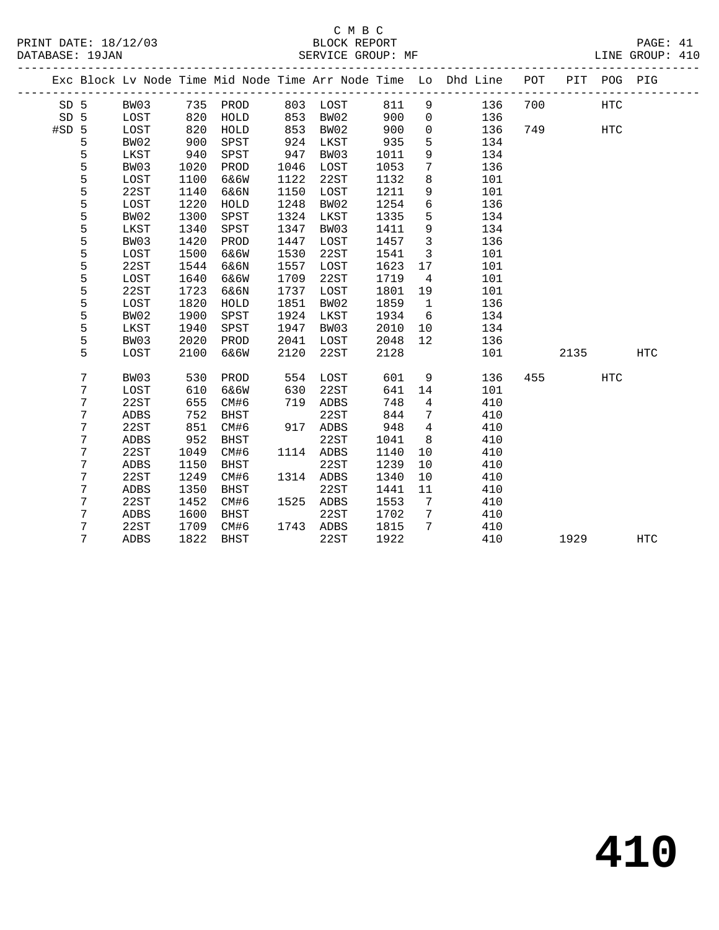|       |   |             |      |             |      |      |      |                   | Exc Block Lv Node Time Mid Node Time Arr Node Time Lo Dhd Line POT |     | PIT  | POG PIG    |            |
|-------|---|-------------|------|-------------|------|------|------|-------------------|--------------------------------------------------------------------|-----|------|------------|------------|
| SD 5  |   | BW03        | 735  | PROD        | 803  | LOST | 811  | 9                 | 136                                                                | 700 |      | <b>HTC</b> |            |
| SD 5  |   | LOST        | 820  | HOLD        | 853  | BW02 | 900  | $\mathbf 0$       | 136                                                                |     |      |            |            |
| #SD 5 |   | LOST        | 820  | HOLD        | 853  | BW02 | 900  | $\mathsf{O}$      | 136                                                                | 749 |      | <b>HTC</b> |            |
|       | 5 | BW02        | 900  | SPST        | 924  | LKST | 935  | 5                 | 134                                                                |     |      |            |            |
|       | 5 | LKST        | 940  | SPST        | 947  | BW03 | 1011 | 9                 | 134                                                                |     |      |            |            |
|       | 5 | BW03        | 1020 | PROD        | 1046 | LOST | 1053 | 7                 | 136                                                                |     |      |            |            |
|       | 5 | LOST        | 1100 | 6&6W        | 1122 | 22ST | 1132 | 8                 | 101                                                                |     |      |            |            |
|       | 5 | 22ST        | 1140 | 6&6N        | 1150 | LOST | 1211 | 9                 | 101                                                                |     |      |            |            |
|       | 5 | LOST        | 1220 | HOLD        | 1248 | BW02 | 1254 | $6\overline{6}$   | 136                                                                |     |      |            |            |
|       | 5 | BW02        | 1300 | SPST        | 1324 | LKST | 1335 | 5                 | 134                                                                |     |      |            |            |
|       | 5 | LKST        | 1340 | SPST        | 1347 | BW03 | 1411 | 9                 | 134                                                                |     |      |            |            |
|       | 5 | BW03        | 1420 | PROD        | 1447 | LOST | 1457 | $\mathbf{3}$      | 136                                                                |     |      |            |            |
|       | 5 | LOST        | 1500 | 6&6W        | 1530 | 22ST | 1541 | $\overline{3}$    | 101                                                                |     |      |            |            |
|       | 5 | 22ST        | 1544 | 6&6N        | 1557 | LOST | 1623 | 17                | 101                                                                |     |      |            |            |
|       | 5 | LOST        | 1640 | 6&6W        | 1709 | 22ST | 1719 | $\overline{4}$    | 101                                                                |     |      |            |            |
|       | 5 | 22ST        | 1723 | 6&6N        | 1737 | LOST | 1801 | 19                | 101                                                                |     |      |            |            |
|       | 5 | LOST        | 1820 | HOLD        | 1851 | BW02 | 1859 | $\overline{1}$    | 136                                                                |     |      |            |            |
|       | 5 | BW02        | 1900 | SPST        | 1924 | LKST | 1934 | 6                 | 134                                                                |     |      |            |            |
|       | 5 | LKST        | 1940 | SPST        | 1947 | BW03 | 2010 | 10                | 134                                                                |     |      |            |            |
|       | 5 | BW03        | 2020 | PROD        | 2041 | LOST | 2048 | $12 \overline{ }$ | 136                                                                |     |      |            |            |
|       | 5 | LOST        | 2100 | 6&6W        | 2120 | 22ST | 2128 |                   | 101                                                                |     | 2135 |            | <b>HTC</b> |
|       | 7 | BW03        | 530  | PROD        | 554  | LOST | 601  | 9                 | 136                                                                | 455 |      | <b>HTC</b> |            |
|       | 7 | LOST        | 610  | 6&6W        | 630  | 22ST | 641  | 14                | 101                                                                |     |      |            |            |
|       | 7 | 22ST        | 655  | CM#6        | 719  | ADBS | 748  | $\overline{4}$    | 410                                                                |     |      |            |            |
|       | 7 | ADBS        | 752  | <b>BHST</b> |      | 22ST | 844  | 7                 | 410                                                                |     |      |            |            |
|       | 7 | 22ST        | 851  | CM#6        | 917  | ADBS | 948  | $\overline{4}$    | 410                                                                |     |      |            |            |
|       | 7 | <b>ADBS</b> | 952  | <b>BHST</b> |      | 22ST | 1041 | 8                 | 410                                                                |     |      |            |            |
|       | 7 | 22ST        | 1049 | CM#6        | 1114 | ADBS | 1140 | 10                | 410                                                                |     |      |            |            |
|       | 7 | <b>ADBS</b> | 1150 | <b>BHST</b> |      | 22ST | 1239 | 10                | 410                                                                |     |      |            |            |
|       | 7 | 22ST        | 1249 | CM#6        | 1314 | ADBS | 1340 | 10                | 410                                                                |     |      |            |            |
|       | 7 | ADBS        | 1350 | <b>BHST</b> |      | 22ST | 1441 | 11                | 410                                                                |     |      |            |            |
|       | 7 | 22ST        | 1452 | CM#6        | 1525 | ADBS | 1553 | 7                 | 410                                                                |     |      |            |            |
|       | 7 | ADBS        | 1600 | <b>BHST</b> |      | 22ST | 1702 | $7\phantom{.0}$   | 410                                                                |     |      |            |            |
|       | 7 | 22ST        | 1709 | CM#6        | 1743 | ADBS | 1815 | $7\phantom{.0}$   | 410                                                                |     |      |            |            |
|       | 7 | <b>ADBS</b> | 1822 | <b>BHST</b> |      | 22ST | 1922 |                   | 410                                                                |     | 1929 |            | <b>HTC</b> |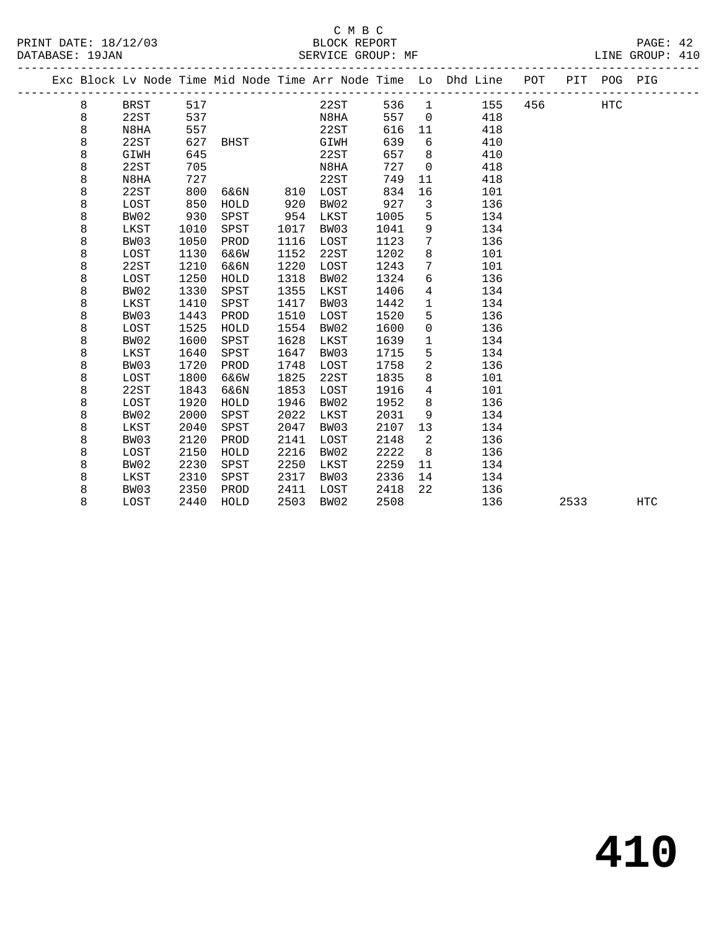|  |   |      |      |          |      |      |       |                 | Exc Block Lv Node Time Mid Node Time Arr Node Time Lo Dhd Line POT |     |      | PIT POG PIG |            |
|--|---|------|------|----------|------|------|-------|-----------------|--------------------------------------------------------------------|-----|------|-------------|------------|
|  | 8 | BRST | 517  |          |      | 22ST | 536 1 |                 | 155                                                                | 456 |      | HTC         |            |
|  | 8 | 22ST | 537  |          |      | N8HA | 557   | $\overline{0}$  | 418                                                                |     |      |             |            |
|  | 8 | N8HA | 557  |          |      | 22ST | 616   | 11              | 418                                                                |     |      |             |            |
|  | 8 | 22ST | 627  | BHST     |      | GIWH | 639   | 6               | 410                                                                |     |      |             |            |
|  | 8 | GIWH | 645  |          |      | 22ST | 657   | 8               | 410                                                                |     |      |             |            |
|  | 8 | 22ST | 705  |          |      | N8HA | 727   | $\overline{0}$  | 418                                                                |     |      |             |            |
|  | 8 | N8HA | 727  |          |      | 22ST | 749   | 11              | 418                                                                |     |      |             |            |
|  | 8 | 22ST | 800  | 6&6N 810 |      | LOST | 834   | 16              | 101                                                                |     |      |             |            |
|  | 8 | LOST | 850  | HOLD     | 920  | BW02 | 927   | $\mathbf{3}$    | 136                                                                |     |      |             |            |
|  | 8 | BW02 | 930  | SPST     | 954  | LKST | 1005  | 5               | 134                                                                |     |      |             |            |
|  | 8 | LKST | 1010 | SPST     | 1017 | BW03 | 1041  | 9               | 134                                                                |     |      |             |            |
|  | 8 | BW03 | 1050 | PROD     | 1116 | LOST | 1123  | $7\overline{ }$ | 136                                                                |     |      |             |            |
|  | 8 | LOST | 1130 | 6&6W     | 1152 | 22ST | 1202  | 8               | 101                                                                |     |      |             |            |
|  | 8 | 22ST | 1210 | 6&6N     | 1220 | LOST | 1243  | $7\overline{ }$ | 101                                                                |     |      |             |            |
|  | 8 | LOST | 1250 | HOLD     | 1318 | BW02 | 1324  | 6               | 136                                                                |     |      |             |            |
|  | 8 | BW02 | 1330 | SPST     | 1355 | LKST | 1406  | $\overline{4}$  | 134                                                                |     |      |             |            |
|  | 8 | LKST | 1410 | SPST     | 1417 | BW03 | 1442  | $\mathbf{1}$    | 134                                                                |     |      |             |            |
|  | 8 | BW03 | 1443 | PROD     | 1510 | LOST | 1520  | 5               | 136                                                                |     |      |             |            |
|  | 8 | LOST | 1525 | HOLD     | 1554 | BW02 | 1600  | $\mathsf{O}$    | 136                                                                |     |      |             |            |
|  | 8 | BW02 | 1600 | SPST     | 1628 | LKST | 1639  | $\mathbf{1}$    | 134                                                                |     |      |             |            |
|  | 8 | LKST | 1640 | SPST     | 1647 | BW03 | 1715  | 5               | 134                                                                |     |      |             |            |
|  | 8 | BW03 | 1720 | PROD     | 1748 | LOST | 1758  | $\overline{2}$  | 136                                                                |     |      |             |            |
|  | 8 | LOST | 1800 | 6&6W     | 1825 | 22ST | 1835  | 8               | 101                                                                |     |      |             |            |
|  | 8 | 22ST | 1843 | 6&6N     | 1853 | LOST | 1916  | $\overline{4}$  | 101                                                                |     |      |             |            |
|  | 8 | LOST | 1920 | HOLD     | 1946 | BW02 | 1952  | 8               | 136                                                                |     |      |             |            |
|  | 8 | BW02 | 2000 | SPST     | 2022 | LKST | 2031  | 9               | 134                                                                |     |      |             |            |
|  | 8 | LKST | 2040 | SPST     | 2047 | BW03 | 2107  | 13              | 134                                                                |     |      |             |            |
|  | 8 | BW03 | 2120 | PROD     | 2141 | LOST | 2148  | 2               | 136                                                                |     |      |             |            |
|  | 8 | LOST | 2150 | HOLD     | 2216 | BW02 | 2222  | 8 <sup>8</sup>  | 136                                                                |     |      |             |            |
|  | 8 | BW02 | 2230 | SPST     | 2250 | LKST | 2259  | 11              | 134                                                                |     |      |             |            |
|  | 8 | LKST | 2310 | SPST     | 2317 | BW03 | 2336  | 14              | 134                                                                |     |      |             |            |
|  | 8 | BW03 | 2350 | PROD     | 2411 | LOST | 2418  | 22              | 136                                                                |     |      |             |            |
|  | 8 | LOST | 2440 | HOLD     | 2503 | BW02 | 2508  |                 | 136                                                                |     | 2533 |             | <b>HTC</b> |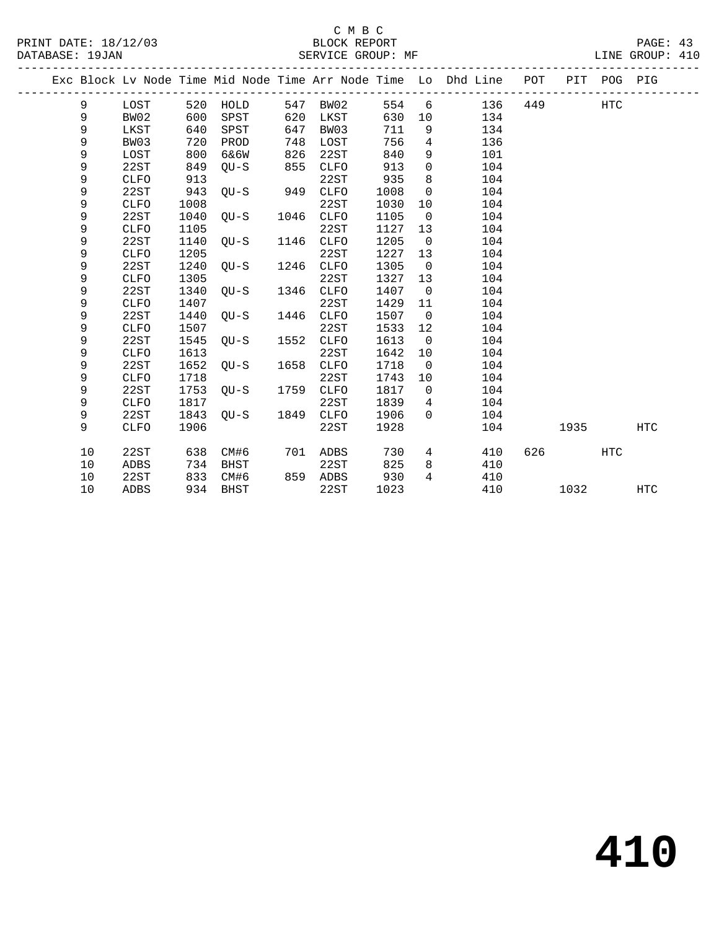| PRINT DATE: 18/12/03 |    |             |      |          |      | C M B C<br>BLOCK REPORT |      |                |                                                                    |     |      |             | PAGE: 43        |  |
|----------------------|----|-------------|------|----------|------|-------------------------|------|----------------|--------------------------------------------------------------------|-----|------|-------------|-----------------|--|
| DATABASE: 19JAN      |    |             |      |          |      | SERVICE GROUP: MF       |      |                |                                                                    |     |      |             | LINE GROUP: 410 |  |
|                      |    |             |      |          |      |                         |      |                | Exc Block Lv Node Time Mid Node Time Arr Node Time Lo Dhd Line POT |     |      | PIT POG PIG |                 |  |
|                      | 9  | LOST        |      | 520 HOLD | 547  | BW02                    | 554  | 6              | 136                                                                | 449 |      | HTC         |                 |  |
|                      | 9  | BW02        | 600  | SPST     | 620  | LKST                    | 630  | 10             | 134                                                                |     |      |             |                 |  |
|                      | 9  | LKST        | 640  | SPST     | 647  | BW03                    | 711  | 9              | 134                                                                |     |      |             |                 |  |
|                      | 9  | BW03        | 720  | PROD     | 748  | LOST                    | 756  | 4              | 136                                                                |     |      |             |                 |  |
|                      | 9  | LOST        | 800  | 6&6W     | 826  | 22ST                    | 840  | 9              | 101                                                                |     |      |             |                 |  |
|                      | 9  | 22ST        | 849  | $QU-S$   | 855  | <b>CLFO</b>             | 913  | $\mathsf{O}$   | 104                                                                |     |      |             |                 |  |
|                      | 9  | <b>CLFO</b> | 913  |          |      | 22ST                    | 935  | 8              | 104                                                                |     |      |             |                 |  |
|                      | 9  | 22ST        | 943  | $OU-S$   | 949  | <b>CLFO</b>             | 1008 | $\mathsf{O}$   | 104                                                                |     |      |             |                 |  |
|                      | 9  | <b>CLFO</b> | 1008 |          |      | 22ST                    | 1030 | 10             | 104                                                                |     |      |             |                 |  |
|                      | 9  | 22ST        | 1040 | $OU-S$   | 1046 | <b>CLFO</b>             | 1105 | $\mathbf 0$    | 104                                                                |     |      |             |                 |  |
|                      | 9  | <b>CLFO</b> | 1105 |          |      | 22ST                    | 1127 | 13             | 104                                                                |     |      |             |                 |  |
|                      | 9  | 22ST        | 1140 | $OU-S$   | 1146 | <b>CLFO</b>             | 1205 | $\overline{0}$ | 104                                                                |     |      |             |                 |  |
|                      | 9  | <b>CLFO</b> | 1205 |          |      | 22ST                    | 1227 | 13             | 104                                                                |     |      |             |                 |  |
|                      | 9  | 22ST        | 1240 | OU-S     | 1246 | <b>CLFO</b>             | 1305 | $\overline{0}$ | 104                                                                |     |      |             |                 |  |
|                      | 9  | <b>CLFO</b> | 1305 |          |      | 22ST                    | 1327 | 13             | 104                                                                |     |      |             |                 |  |
|                      | 9  | 22ST        | 1340 | OU-S     | 1346 | <b>CLFO</b>             | 1407 | $\overline{0}$ | 104                                                                |     |      |             |                 |  |
|                      | 9  | <b>CLFO</b> | 1407 |          |      | 22ST                    | 1429 | 11             | 104                                                                |     |      |             |                 |  |
|                      | 9  | 22ST        | 1440 | OU-S     | 1446 | <b>CLFO</b>             | 1507 | $\overline{0}$ | 104                                                                |     |      |             |                 |  |
|                      | 9  | <b>CLFO</b> | 1507 |          |      | 22ST                    | 1533 | 12             | 104                                                                |     |      |             |                 |  |
|                      | 9  | 22ST        | 1545 | OU-S     | 1552 | CLFO                    | 1613 | $\overline{0}$ | 104                                                                |     |      |             |                 |  |
|                      | 9  | <b>CLFO</b> | 1613 |          |      | 22ST                    | 1642 | 10             | 104                                                                |     |      |             |                 |  |
|                      | 9  | 22ST        | 1652 | $OU-S$   | 1658 | <b>CLFO</b>             | 1718 | $\Omega$       | 104                                                                |     |      |             |                 |  |
|                      | 9  | <b>CLFO</b> | 1718 |          |      | 22ST                    | 1743 | 10             | 104                                                                |     |      |             |                 |  |
|                      | 9  | 22ST        | 1753 | $OU-S$   | 1759 | <b>CLFO</b>             | 1817 | $\overline{0}$ | 104                                                                |     |      |             |                 |  |
|                      | 9  | <b>CLFO</b> | 1817 |          |      | 22ST                    | 1839 | 4              | 104                                                                |     |      |             |                 |  |
|                      | 9  | 22ST        | 1843 | $OU-S$   | 1849 | CLFO                    | 1906 | $\Omega$       | 104                                                                |     |      |             |                 |  |
|                      | 9  | <b>CLFO</b> | 1906 |          |      | 22ST                    | 1928 |                | 104                                                                |     | 1935 |             | <b>HTC</b>      |  |
|                      | 10 | 22ST        | 638  | CM#6     | 701  | ADBS                    | 730  | 4              | 410                                                                | 626 |      | <b>HTC</b>  |                 |  |
|                      | 10 | <b>ADBS</b> | 734  | BHST     |      | 22ST                    | 825  | 8              | 410                                                                |     |      |             |                 |  |

10 ADBS 934 BHST 22ST 1023 410 1032 HTC

10 22ST 833 CM#6 859 ADBS 930 4 410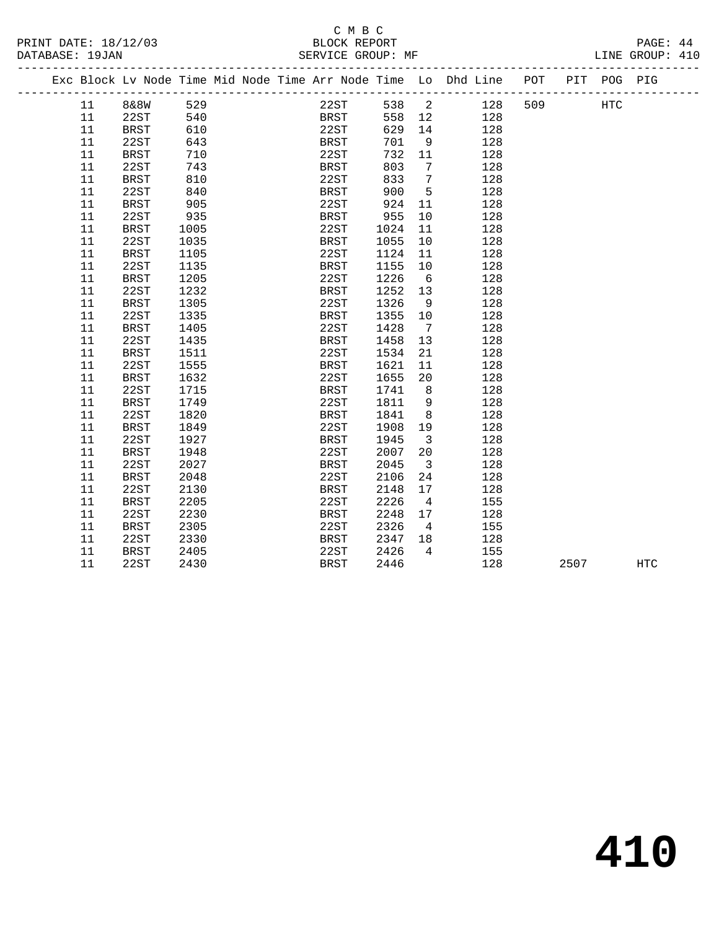## C M B C<br>BLOCK REPORT

| PRINT DATE: 18/12/03 |    |                                                                                |      |  | 2/03<br>BLOCK REPORT<br>SERVICE GROUP: MF |              |                         |                 |     |                        |      | PAGE: 44        |  |
|----------------------|----|--------------------------------------------------------------------------------|------|--|-------------------------------------------|--------------|-------------------------|-----------------|-----|------------------------|------|-----------------|--|
| DATABASE: 19JAN      |    |                                                                                |      |  |                                           |              |                         |                 |     |                        |      | LINE GROUP: 410 |  |
|                      |    | Exc Block Lv Node Time Mid Node Time Arr Node Time Lo Dhd Line POT PIT POG PIG |      |  |                                           |              |                         |                 |     |                        |      |                 |  |
|                      |    | 11 8&8W 529                                                                    |      |  |                                           |              |                         |                 |     | 22ST 538 2 128 509 HTC |      |                 |  |
|                      | 11 |                                                                                |      |  |                                           |              |                         | BRST 558 12 128 |     |                        |      |                 |  |
|                      | 11 |                                                                                |      |  |                                           |              |                         | 629 14 128      |     |                        |      |                 |  |
|                      | 11 |                                                                                |      |  | 22ST<br>BRST                              | 701 9        |                         |                 | 128 |                        |      |                 |  |
|                      | 11 | 22ST 540<br>BRST 540<br>22ST 643<br>BRST 710                                   |      |  | 22ST                                      | 732 11       |                         | 128             |     |                        |      |                 |  |
|                      | 11 | 22ST                                                                           | 743  |  | BRST                                      | 803          | $\overline{7}$          | 128             |     |                        |      |                 |  |
|                      | 11 | <b>BRST</b>                                                                    | 810  |  | 22ST<br>BRST                              | 833 7        |                         |                 | 128 |                        |      |                 |  |
|                      | 11 | 22ST                                                                           | 840  |  |                                           | 900 5        |                         |                 | 128 |                        |      |                 |  |
|                      | 11 | BRST                                                                           | 905  |  | 22ST 924 11                               |              |                         |                 | 128 |                        |      |                 |  |
|                      | 11 | 22ST                                                                           | 935  |  | BRST                                      | 955          | 10                      |                 | 128 |                        |      |                 |  |
|                      | 11 | <b>BRST</b>                                                                    | 1005 |  | 22ST                                      | 1024<br>1055 | 11                      |                 | 128 |                        |      |                 |  |
|                      | 11 | 22ST                                                                           | 1035 |  | BRST                                      | 1055         | 10                      |                 | 128 |                        |      |                 |  |
|                      | 11 | BRST                                                                           | 1105 |  | 22ST                                      | 1124 11      |                         |                 | 128 |                        |      |                 |  |
|                      | 11 | 22ST                                                                           | 1135 |  | BRST                                      | 1155         | 10                      |                 | 128 |                        |      |                 |  |
|                      | 11 | <b>BRST</b>                                                                    | 1205 |  | 22ST                                      | 1226 6       |                         |                 | 128 |                        |      |                 |  |
|                      | 11 | 22ST                                                                           | 1232 |  | BRST                                      | 1252 13      |                         |                 | 128 |                        |      |                 |  |
|                      | 11 | <b>BRST</b>                                                                    | 1305 |  | 22ST                                      | 1326         | 9                       |                 | 128 |                        |      |                 |  |
|                      | 11 | 22ST                                                                           | 1335 |  | BRST                                      | 1355 10      |                         |                 | 128 |                        |      |                 |  |
|                      | 11 | <b>BRST</b>                                                                    | 1405 |  | 22ST                                      | 1428         | $7\overline{ }$         |                 | 128 |                        |      |                 |  |
|                      | 11 | 22ST                                                                           | 1435 |  | BRST                                      | 1458         | 13                      |                 | 128 |                        |      |                 |  |
|                      | 11 | <b>BRST</b>                                                                    | 1511 |  | 22ST                                      | 1534         | 21                      |                 | 128 |                        |      |                 |  |
|                      | 11 | 22ST                                                                           | 1555 |  | BRST                                      | 1621         | 11                      |                 | 128 |                        |      |                 |  |
|                      | 11 | <b>BRST</b>                                                                    | 1632 |  | 22ST                                      | 1655         | 20                      |                 | 128 |                        |      |                 |  |
|                      | 11 | 22ST                                                                           | 1715 |  | BRST                                      | 1741 8       |                         |                 | 128 |                        |      |                 |  |
|                      | 11 | <b>BRST</b>                                                                    | 1749 |  | 22ST                                      | 1811         | 9                       |                 | 128 |                        |      |                 |  |
|                      | 11 | 22ST                                                                           | 1820 |  | BRST                                      | 1841         | 8 <sup>8</sup>          |                 | 128 |                        |      |                 |  |
|                      | 11 | <b>BRST</b>                                                                    | 1849 |  | 22ST                                      | 1908         | 19                      |                 | 128 |                        |      |                 |  |
|                      | 11 | 22ST                                                                           | 1927 |  | BRST                                      | 1945         | $\overline{\mathbf{3}}$ |                 | 128 |                        |      |                 |  |
|                      | 11 | <b>BRST</b>                                                                    | 1948 |  | 22ST                                      | 2007         | 20                      |                 | 128 |                        |      |                 |  |
|                      | 11 | 22ST                                                                           | 2027 |  | BRST                                      | 2045         | $\overline{\mathbf{3}}$ |                 | 128 |                        |      |                 |  |
|                      | 11 | <b>BRST</b>                                                                    | 2048 |  | 22ST                                      | 2106         | 24                      |                 | 128 |                        |      |                 |  |
|                      | 11 | 22ST                                                                           | 2130 |  | BRST                                      | 2148         | 17                      |                 | 128 |                        |      |                 |  |
|                      | 11 | <b>BRST</b>                                                                    | 2205 |  | 22ST                                      | 2226         | $\overline{4}$          |                 | 155 |                        |      |                 |  |
|                      | 11 | 22ST                                                                           | 2230 |  | BRST                                      | 2248 17      |                         |                 | 128 |                        |      |                 |  |
|                      | 11 | <b>BRST</b>                                                                    | 2305 |  | 22ST                                      | 2326         | $4\overline{4}$         |                 | 155 |                        |      |                 |  |
|                      | 11 | 22ST                                                                           | 2330 |  | BRST                                      | 2347 18      |                         | 128             |     |                        |      |                 |  |
|                      | 11 | <b>BRST</b>                                                                    | 2405 |  | 22ST                                      | 2426         | $\overline{4}$          | 155             |     |                        |      |                 |  |
|                      | 11 | 22ST                                                                           | 2430 |  | <b>BRST</b>                               | 2446         |                         |                 | 128 |                        | 2507 | <b>HTC</b>      |  |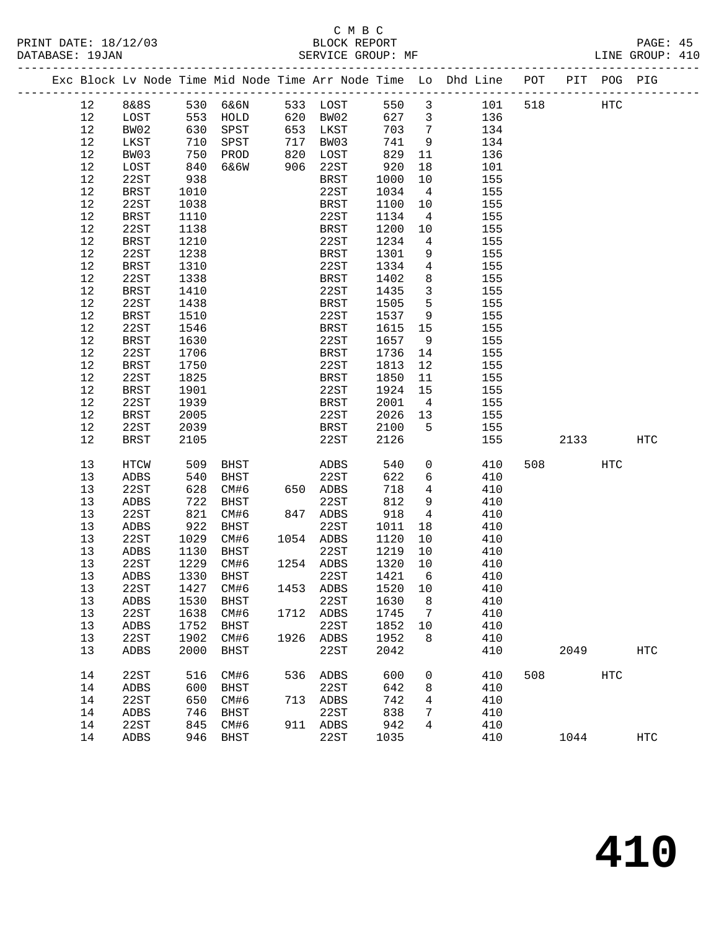|  |          |                     |              |              |      |                   |              |                         | Exc Block Lv Node Time Mid Node Time Arr Node Time Lo Dhd Line POT PIT POG PIG |     |      |     |             |
|--|----------|---------------------|--------------|--------------|------|-------------------|--------------|-------------------------|--------------------------------------------------------------------------------|-----|------|-----|-------------|
|  | 12       | 8&8S 530 6&6N       |              |              |      | 533 LOST          | 550          | $\overline{\mathbf{3}}$ | 101 518                                                                        |     | HTC  |     |             |
|  | 12       | LOST                |              | 553 HOLD     |      | 620 BW02          | 627 3        |                         | 136                                                                            |     |      |     |             |
|  | 12       | BW02                | 630          | SPST         |      | 653 LKST          | 703          | $\overline{7}$          | 134                                                                            |     |      |     |             |
|  | 12       | LKST                | 710          | SPST         |      | 717 BW03          | 741          | 9                       | 134                                                                            |     |      |     |             |
|  | 12       | BW03                | 750          | PROD         |      | 820 LOST          | 829          | 11                      | 136                                                                            |     |      |     |             |
|  | 12       | LOST                | 840          | 6&6W         |      | 906 22ST          | 920          | 18                      | 101                                                                            |     |      |     |             |
|  | 12       | 22ST                | 938          |              |      | BRST              | 1000         | 10                      | 155                                                                            |     |      |     |             |
|  | $12$     | BRST                | 1010         |              |      | 22ST              | 1034         | $\overline{4}$          | 155                                                                            |     |      |     |             |
|  | 12       | 22ST                | 1038         |              |      | BRST              | 1100         | 10                      | 155                                                                            |     |      |     |             |
|  | 12       | BRST                | 1110         |              |      | 22ST              | 1134         | $\overline{4}$          | 155                                                                            |     |      |     |             |
|  | 12       | 22ST                | 1138         |              |      | BRST              | 1200         | 10                      | 155                                                                            |     |      |     |             |
|  | 12       | BRST                | 1210         |              |      | 22ST              | 1234         | $\overline{4}$          | 155                                                                            |     |      |     |             |
|  | 12       | 22ST                | 1238         |              |      | BRST              | 1301         | 9                       | 155                                                                            |     |      |     |             |
|  | 12       | <b>BRST</b>         | 1310         |              |      | 22ST              | 1334         | $\overline{4}$          | 155                                                                            |     |      |     |             |
|  | 12       | 22ST                | 1338         |              |      | BRST              | 1402         | 8                       | 155                                                                            |     |      |     |             |
|  | $12$     | BRST                | 1410         |              |      | 22ST              | 1435         | $\overline{3}$          | 155                                                                            |     |      |     |             |
|  | 12       | 22ST                | 1438         |              |      | BRST              | 1505         | $5^{\circ}$             | 155                                                                            |     |      |     |             |
|  | 12       | <b>BRST</b>         | 1510         |              |      | 22ST              | 1537         | 9                       | 155                                                                            |     |      |     |             |
|  | 12       | 22ST                | 1546         |              |      | BRST              | 1615         | 15                      | 155                                                                            |     |      |     |             |
|  | 12       | BRST                | 1630         |              |      | 22ST              | 1657         | 9                       | 155                                                                            |     |      |     |             |
|  | 12       | 22ST                | 1706         |              |      | BRST              | 1736         | 14                      | 155                                                                            |     |      |     |             |
|  | 12       | <b>BRST</b>         | 1750         |              |      | 22ST              | 1813         | 12                      | 155                                                                            |     |      |     |             |
|  | 12       | 22ST                | 1825         |              |      | BRST              | 1850         | 11                      | 155                                                                            |     |      |     |             |
|  | 12       | BRST                | 1901         |              |      | 22ST              | 1924         | 15                      | 155                                                                            |     |      |     |             |
|  | 12       | 22ST                | 1939         |              |      | BRST              | 2001         | $\overline{4}$          | 155                                                                            |     |      |     |             |
|  | 12       | BRST                | 2005         |              |      | 22ST              | 2026         | 13                      | 155                                                                            |     |      |     |             |
|  | 12       | 22ST                | 2039         |              |      | BRST              | 2100         | $5^{\circ}$             | 155                                                                            |     |      |     |             |
|  | 12       | BRST                | 2105         |              |      | 22ST              | 2126         |                         | 155                                                                            |     | 2133 |     | HTC         |
|  |          |                     |              |              |      |                   |              |                         |                                                                                |     |      |     |             |
|  | 13       | HTCW                | 509          | BHST         |      | ADBS              | 540          | $\overline{0}$          | 410                                                                            | 508 |      | HTC |             |
|  | 13       | ADBS                | 540          | BHST         |      | 22ST              | 622          | 6                       | 410                                                                            |     |      |     |             |
|  | 13       | 22ST                | 628          | CM#6         |      | 650 ADBS          | 718          | $\overline{4}$          | 410                                                                            |     |      |     |             |
|  | 13       | ADBS                | 722          | BHST         |      | 22ST              | 812          | 9                       | 410                                                                            |     |      |     |             |
|  | 13       | 22ST                | 821          | CM#6         |      | 847 ADBS          | 918          | $4\overline{4}$         | 410                                                                            |     |      |     |             |
|  | 13       | ADBS                | 922          | BHST         |      | 22ST              | 1011         | 18                      | 410                                                                            |     |      |     |             |
|  | 13       | 22ST                | 1029         | CM#6         |      | 1054 ADBS         | 1120         | 10                      | 410                                                                            |     |      |     |             |
|  | 13       | ADBS                | 1130         | BHST         |      | 22ST              | 1219         | 10                      | 410                                                                            |     |      |     |             |
|  | 13       | 22ST<br><b>ADBS</b> | 1229         | CM#6         |      | 1254 ADBS         | 1320         | 10                      | 410                                                                            |     |      |     |             |
|  | 13       |                     | 1330         | BHST         |      | 22ST              | 1421         | 6                       | 410                                                                            |     |      |     |             |
|  | 13       | 22ST                |              | 1427 CM#6    |      | 1453 ADBS 1520 10 |              |                         | 410                                                                            |     |      |     |             |
|  | 13<br>13 | ADBS<br>22ST        | 1530<br>1638 | BHST         |      | 22ST              | 1630         | 8                       | 410<br>410                                                                     |     |      |     |             |
|  | 13       | ADBS                | 1752         | CM#6<br>BHST |      | 1712 ADBS<br>22ST | 1745<br>1852 | 7<br>10                 | 410                                                                            |     |      |     |             |
|  | 13       | 22ST                | 1902         | CM#6         | 1926 | ADBS              | 1952         | 8                       | 410                                                                            |     |      |     |             |
|  | 13       | ADBS                | 2000         | BHST         |      | 22ST              | 2042         |                         | 410                                                                            |     | 2049 |     | <b>HTC</b>  |
|  |          |                     |              |              |      |                   |              |                         |                                                                                |     |      |     |             |
|  | 14       | 22ST                | 516          | CM#6         |      | 536 ADBS          | 600          | 0                       | 410                                                                            | 508 |      | HTC |             |
|  | 14       | ADBS                | 600          | BHST         |      | 22ST              | 642          | 8                       | 410                                                                            |     |      |     |             |
|  | 14       | 22ST                | 650          | CM#6         |      | 713 ADBS          | 742          | 4                       | 410                                                                            |     |      |     |             |
|  | 14       | ADBS                | 746          | BHST         |      | 22ST              | 838          | 7                       | 410                                                                            |     |      |     |             |
|  | 14       | 22ST                | 845          | CM#6         |      | 911 ADBS          | 942          | 4                       | 410                                                                            |     |      |     |             |
|  | 14       | ADBS                |              | 946 BHST     |      | 22ST              | 1035         |                         | 410                                                                            |     | 1044 |     | ${\tt HTC}$ |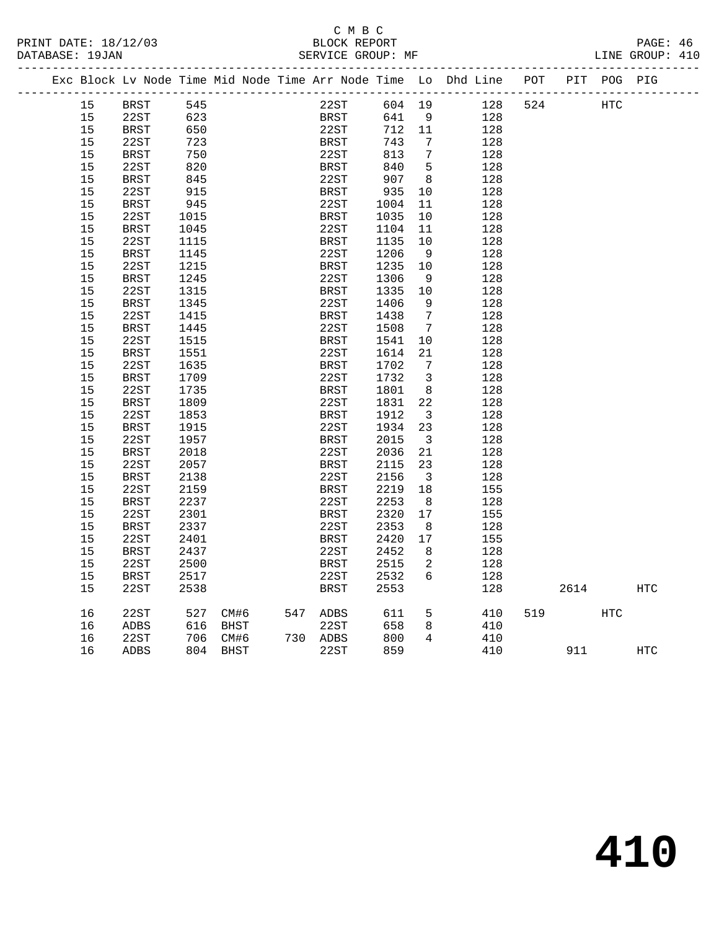#### C M B C<br>BLOCK REPORT PRINT DATE: 18/12/03 BLOCK REPORT PAGE: 46 SERVICE GROUP: MF

|  |    | Exc Block Lv Node Time Mid Node Time Arr Node Time Lo Dhd Line |      |      |  |             |        |                         |     | POT |      | PIT POG PIG |            |
|--|----|----------------------------------------------------------------|------|------|--|-------------|--------|-------------------------|-----|-----|------|-------------|------------|
|  | 15 | BRST                                                           | 545  |      |  | 22ST        | 604 19 |                         | 128 | 524 |      | <b>HTC</b>  |            |
|  | 15 | 22ST                                                           | 623  |      |  | BRST        | 641    | 9                       | 128 |     |      |             |            |
|  | 15 | BRST                                                           | 650  |      |  | 22ST        | 712 11 |                         | 128 |     |      |             |            |
|  | 15 | 22ST                                                           | 723  |      |  | <b>BRST</b> | 743    | $\overline{7}$          | 128 |     |      |             |            |
|  | 15 | BRST                                                           | 750  |      |  | 22ST        | 813    | 7                       | 128 |     |      |             |            |
|  | 15 | 22ST                                                           | 820  |      |  | <b>BRST</b> | 840    | $-5$                    | 128 |     |      |             |            |
|  | 15 | <b>BRST</b>                                                    | 845  |      |  | 22ST        | 907    | 8 <sup>8</sup>          | 128 |     |      |             |            |
|  | 15 | 22ST                                                           | 915  |      |  | <b>BRST</b> | 935    | 10                      | 128 |     |      |             |            |
|  | 15 | <b>BRST</b>                                                    | 945  |      |  | 22ST        | 1004   | 11                      | 128 |     |      |             |            |
|  | 15 | 22ST                                                           | 1015 |      |  | <b>BRST</b> | 1035   | 10                      | 128 |     |      |             |            |
|  | 15 | BRST                                                           | 1045 |      |  | 22ST        | 1104   | 11                      | 128 |     |      |             |            |
|  | 15 | 22ST                                                           | 1115 |      |  | BRST        | 1135   | 10                      | 128 |     |      |             |            |
|  | 15 | BRST                                                           | 1145 |      |  | 22ST        | 1206   | - 9                     | 128 |     |      |             |            |
|  | 15 | 22ST                                                           | 1215 |      |  | BRST        | 1235   | 10                      | 128 |     |      |             |            |
|  | 15 | <b>BRST</b>                                                    | 1245 |      |  | 22ST        | 1306   | - 9                     | 128 |     |      |             |            |
|  | 15 | 22ST                                                           | 1315 |      |  | BRST        | 1335   | 10                      | 128 |     |      |             |            |
|  | 15 | <b>BRST</b>                                                    | 1345 |      |  | 22ST        | 1406   | 9                       | 128 |     |      |             |            |
|  | 15 | 22ST                                                           | 1415 |      |  | <b>BRST</b> | 1438   | $7\phantom{.0}$         | 128 |     |      |             |            |
|  | 15 | <b>BRST</b>                                                    | 1445 |      |  | 22ST        | 1508   | $\overline{7}$          | 128 |     |      |             |            |
|  | 15 | 22ST                                                           | 1515 |      |  | BRST        | 1541   | $10 \,$                 | 128 |     |      |             |            |
|  | 15 | BRST                                                           | 1551 |      |  | 22ST        | 1614   | 21                      | 128 |     |      |             |            |
|  | 15 | 22ST                                                           | 1635 |      |  | <b>BRST</b> | 1702   | 7                       | 128 |     |      |             |            |
|  | 15 | BRST                                                           | 1709 |      |  | 22ST        | 1732   | $\overline{\mathbf{3}}$ | 128 |     |      |             |            |
|  | 15 | 22ST                                                           | 1735 |      |  | <b>BRST</b> | 1801   | 8                       | 128 |     |      |             |            |
|  | 15 | <b>BRST</b>                                                    | 1809 |      |  | 22ST        | 1831   | 22                      | 128 |     |      |             |            |
|  | 15 | 22ST                                                           | 1853 |      |  | <b>BRST</b> | 1912   | $\overline{\mathbf{3}}$ | 128 |     |      |             |            |
|  | 15 | BRST                                                           | 1915 |      |  | 22ST        | 1934   | 23                      | 128 |     |      |             |            |
|  | 15 | 22ST                                                           | 1957 |      |  | BRST        | 2015   | $\overline{\mathbf{3}}$ | 128 |     |      |             |            |
|  | 15 | <b>BRST</b>                                                    | 2018 |      |  | 22ST        | 2036   | 21                      | 128 |     |      |             |            |
|  | 15 | 22ST                                                           | 2057 |      |  | <b>BRST</b> | 2115   | 23                      | 128 |     |      |             |            |
|  | 15 | <b>BRST</b>                                                    | 2138 |      |  | 22ST        | 2156   | $\overline{\mathbf{3}}$ | 128 |     |      |             |            |
|  | 15 | 22ST                                                           | 2159 |      |  | BRST        | 2219   | 18                      | 155 |     |      |             |            |
|  | 15 | <b>BRST</b>                                                    | 2237 |      |  | 22ST        | 2253   | 8 <sup>8</sup>          | 128 |     |      |             |            |
|  | 15 | 22ST                                                           | 2301 |      |  | BRST        | 2320   | 17                      | 155 |     |      |             |            |
|  | 15 | BRST                                                           | 2337 |      |  | 22ST        | 2353   | - 8                     | 128 |     |      |             |            |
|  | 15 | 22ST                                                           | 2401 |      |  | BRST        | 2420   | 17                      | 155 |     |      |             |            |
|  | 15 | BRST                                                           | 2437 |      |  | 22ST        | 2452   | 8                       | 128 |     |      |             |            |
|  | 15 | 22ST                                                           | 2500 |      |  | <b>BRST</b> | 2515   | 2                       | 128 |     |      |             |            |
|  | 15 | BRST                                                           | 2517 |      |  | 22ST        | 2532   | 6                       | 128 |     |      |             |            |
|  | 15 | 22ST                                                           | 2538 |      |  | <b>BRST</b> | 2553   |                         | 128 |     | 2614 |             | <b>HTC</b> |
|  |    |                                                                |      |      |  |             |        |                         |     |     |      |             |            |
|  | 16 | 22ST                                                           | 527  | CM#6 |  | 547 ADBS    | 611    | 5                       | 410 | 519 |      | HTC         |            |
|  | 16 | ADBS                                                           | 616  | BHST |  | 22ST        | 658    | 8                       | 410 |     |      |             |            |
|  | 16 | 22ST                                                           | 706  | CM#6 |  | 730 ADBS    | 800    | 4                       | 410 |     |      |             |            |
|  | 16 | <b>ADBS</b>                                                    | 804  | BHST |  | 22ST        | 859    |                         | 410 |     | 911  |             | <b>HTC</b> |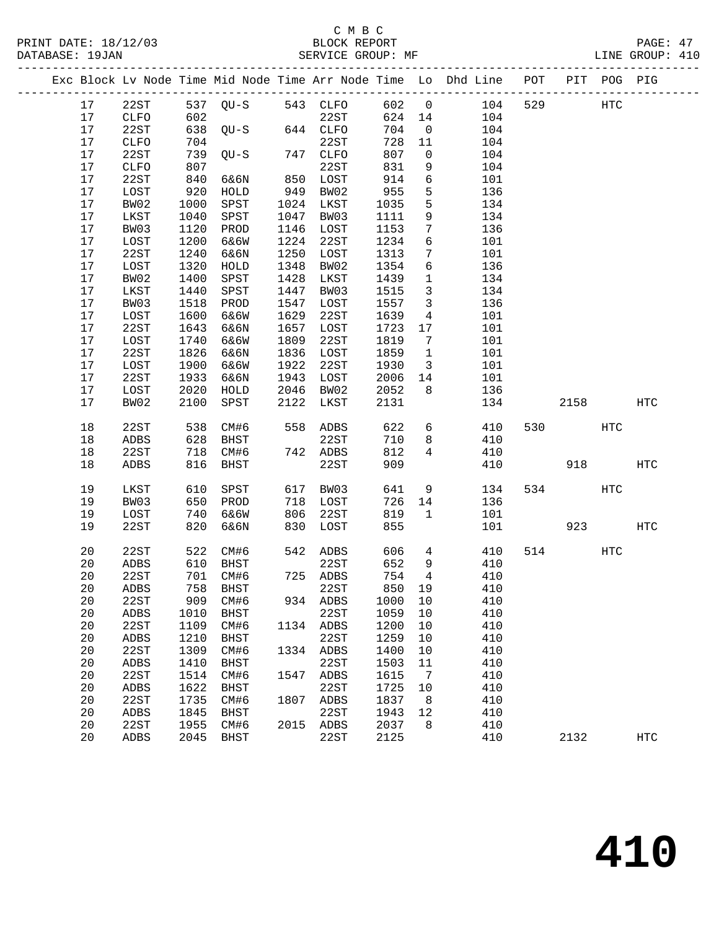|  |                 |              |      |                   |      |             |        |                         | Exc Block Lv Node Time Mid Node Time Arr Node Time Lo Dhd Line POT PIT POG PIG |     |      |     |                   |
|--|-----------------|--------------|------|-------------------|------|-------------|--------|-------------------------|--------------------------------------------------------------------------------|-----|------|-----|-------------------|
|  | 17              | 22ST         |      | 537 QU-S 543 CLFO |      |             | 602 0  |                         | 104                                                                            | 529 |      | HTC |                   |
|  | 17              | CLFO         | 602  |                   |      | <b>22ST</b> | 624 14 |                         | 104                                                                            |     |      |     |                   |
|  | 17              | 22ST         |      | 638 QU-S          |      | 644 CLFO    | 704    | $\overline{0}$          | 104                                                                            |     |      |     |                   |
|  | 17              | CLFO         | 704  |                   |      | 22ST        | 728    | 11                      | 104                                                                            |     |      |     |                   |
|  | 17              | 22ST         | 739  | $QU-S$            |      | 747 CLFO    | 807    | $\overline{0}$          | 104                                                                            |     |      |     |                   |
|  | 17              | CLFO         | 807  |                   |      | 22ST        | 831    | 9                       | 104                                                                            |     |      |     |                   |
|  | 17              | 22ST         | 840  | 6&6N              |      | 850 LOST    | 914    | $6\overline{6}$         | 101                                                                            |     |      |     |                   |
|  | 17              | LOST         | 920  | HOLD              | 949  | BW02        | 955    | 5                       | 136                                                                            |     |      |     |                   |
|  | 17              | BW02         | 1000 | SPST              |      | 1024 LKST   | 1035   | 5                       | 134                                                                            |     |      |     |                   |
|  | 17              | LKST         | 1040 | SPST              | 1047 | BW03        | 1111   | 9                       | 134                                                                            |     |      |     |                   |
|  | 17              | BW03         | 1120 | PROD              |      | 1146 LOST   | 1153   | 7                       | 136                                                                            |     |      |     |                   |
|  | 17              | LOST         | 1200 | 6&6W              | 1224 | 22ST        | 1234   | 6                       | 101                                                                            |     |      |     |                   |
|  | 17              | 22ST         | 1240 | 6&6N              | 1250 | LOST        | 1313   | $7\phantom{.0}$         | 101                                                                            |     |      |     |                   |
|  | 17              | LOST         | 1320 | HOLD              | 1348 | BW02        | 1354   | 6                       | 136                                                                            |     |      |     |                   |
|  | 17              | BW02         | 1400 | SPST              | 1428 | LKST        | 1439   | $\overline{1}$          | 134                                                                            |     |      |     |                   |
|  | 17              | LKST         | 1440 | SPST              | 1447 | BW03        | 1515   | $\mathbf{3}$            | 134                                                                            |     |      |     |                   |
|  | 17              | BW03         | 1518 | PROD              | 1547 | LOST        | 1557   | $\overline{\mathbf{3}}$ | 136                                                                            |     |      |     |                   |
|  | 17              | LOST         | 1600 | 6&6W              | 1629 | 22ST        | 1639   | $\overline{4}$          | 101                                                                            |     |      |     |                   |
|  | 17              | 22ST         | 1643 | 6&6N              | 1657 | LOST        | 1723   | 17                      | 101                                                                            |     |      |     |                   |
|  | 17              | LOST         | 1740 | 6&6W              | 1809 | 22ST        | 1819   | $7\phantom{.0}$         | 101                                                                            |     |      |     |                   |
|  | 17              | 22ST         | 1826 | 6&6N              | 1836 | LOST        | 1859   | $\overline{1}$          | 101                                                                            |     |      |     |                   |
|  | 17              | LOST         | 1900 | 6&6W              | 1922 | 22ST        | 1930   | $\overline{\mathbf{3}}$ | 101                                                                            |     |      |     |                   |
|  | 17              | 22ST         | 1933 | 6&6N              | 1943 | LOST        | 2006   | 14                      | 101                                                                            |     |      |     |                   |
|  | 17              | LOST         | 2020 | HOLD              | 2046 | BW02        | 2052   | 8                       | 136                                                                            |     |      |     |                   |
|  | 17              | BW02         | 2100 | SPST              | 2122 | LKST        | 2131   |                         | 134                                                                            |     | 2158 |     | HTC               |
|  |                 |              |      |                   |      |             |        |                         |                                                                                |     |      |     |                   |
|  | 18              | 22ST         | 538  | CM#6              |      | 558 ADBS    | 622    | 6                       | 410                                                                            |     | 530  | HTC |                   |
|  | 18              | ADBS         | 628  | BHST              |      | 22ST        | 710    | 8                       | 410                                                                            |     |      |     |                   |
|  | 18              | 22ST         | 718  | CM#6              |      | 742 ADBS    | 812    | $\overline{4}$          | 410                                                                            |     |      |     |                   |
|  | 18              | ADBS         | 816  | BHST              |      | 22ST        | 909    |                         | 410                                                                            |     | 918  |     | HTC               |
|  |                 |              |      |                   |      |             |        |                         |                                                                                |     |      |     |                   |
|  | 19              | LKST         | 610  | SPST              | 617  | BW03        | 641    | 9                       | 134                                                                            | 534 |      | HTC |                   |
|  | 19              | BW03         | 650  | PROD              | 718  | LOST        | 726    | 14                      | 136                                                                            |     |      |     |                   |
|  | 19              | LOST         | 740  | 6&6W              | 806  | 22ST        | 819    | 1                       | 101                                                                            |     |      |     |                   |
|  | 19              | 22ST         | 820  | 6&6N              | 830  | LOST        | 855    |                         | 101                                                                            |     | 923  |     | HTC               |
|  | 20              | 22ST         | 522  | CM#6              |      | 542 ADBS    | 606    | $4\overline{ }$         | 410                                                                            |     | 514  | HTC |                   |
|  | 20              | ADBS         | 610  | BHST              |      | 22ST        | 652    | 9                       | 410                                                                            |     |      |     |                   |
|  | 20              | 22ST         |      | 701 CM#6          |      | 725 ADBS    | 754    | $\overline{4}$          | 410                                                                            |     |      |     |                   |
|  | 20 <sub>o</sub> | ADBS         |      | 758 BHST          |      | 22ST        |        |                         | 850 19 410                                                                     |     |      |     |                   |
|  | 20              | 22ST         | 909  | CM#6              |      | 934 ADBS    | 1000   | 10                      | 410                                                                            |     |      |     |                   |
|  | 20              | ${\tt ADBS}$ | 1010 | BHST              |      | 22ST        | 1059   | 10                      | 410                                                                            |     |      |     |                   |
|  | 20              | 22ST         | 1109 | CM#6              |      | 1134 ADBS   | 1200   | 10                      | 410                                                                            |     |      |     |                   |
|  | 20              | ADBS         | 1210 | <b>BHST</b>       |      | 22ST        | 1259   | 10                      | 410                                                                            |     |      |     |                   |
|  | 20              | 22ST         | 1309 | CM#6              | 1334 | ADBS        | 1400   | 10                      | 410                                                                            |     |      |     |                   |
|  | 20              | ${\tt ADBS}$ | 1410 | <b>BHST</b>       |      | 22ST        | 1503   | 11                      | 410                                                                            |     |      |     |                   |
|  | 20              | 22ST         | 1514 | CM#6              | 1547 | ADBS        | 1615   | $\overline{7}$          | 410                                                                            |     |      |     |                   |
|  | 20              | ADBS         | 1622 | <b>BHST</b>       |      | 22ST        | 1725   | 10                      | 410                                                                            |     |      |     |                   |
|  | 20              | 22ST         | 1735 | CM#6              | 1807 | ADBS        | 1837   | 8                       | 410                                                                            |     |      |     |                   |
|  | 20              | ADBS         | 1845 | BHST              |      | 22ST        | 1943   | 12                      | 410                                                                            |     |      |     |                   |
|  | 20              | 22ST         | 1955 | CM#6              |      | 2015 ADBS   | 2037   | 8                       | 410                                                                            |     |      |     |                   |
|  | 20              | ADBS         | 2045 | <b>BHST</b>       |      | 22ST        | 2125   |                         | 410                                                                            |     | 2132 |     | $_{\mathrm{HTC}}$ |
|  |                 |              |      |                   |      |             |        |                         |                                                                                |     |      |     |                   |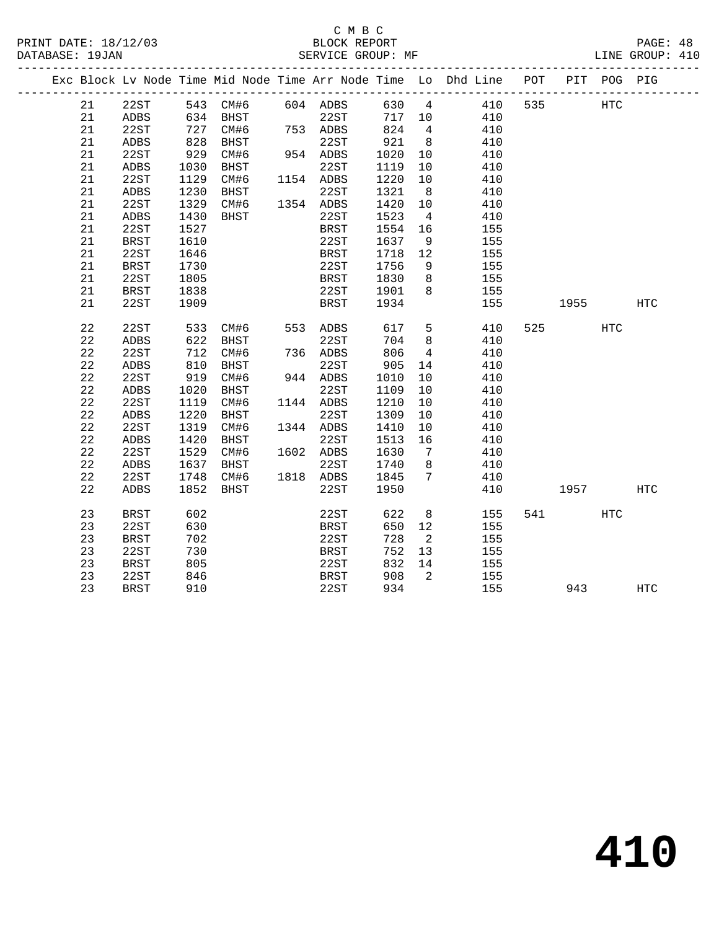#### C M B C<br>BLOCK REPORT PRINT DATE: 18/12/03 BLOCK REPORT PAGE: 48 SERVICE GROUP: MF

|  |          |              |            |                                  |     |                                                    |             |                         | Exc Block Lv Node Time Mid Node Time Arr Node Time Lo Dhd Line POT |     |           | PIT POG PIG |            |
|--|----------|--------------|------------|----------------------------------|-----|----------------------------------------------------|-------------|-------------------------|--------------------------------------------------------------------|-----|-----------|-------------|------------|
|  | 21       | 22ST         |            |                                  |     | 543 CM#6 604 ADBS                                  |             |                         | 630 4 410                                                          | 535 |           | <b>HTC</b>  |            |
|  | 21       | ADBS         |            |                                  |     |                                                    |             |                         | 717 10 410                                                         |     |           |             |            |
|  | 21       | 22ST         |            | 634 BHST<br>727 CM#6<br>828 BHST | 753 | ---<br>22ST 717<br><sup>2DBS</sup> 824<br>753 ADBS |             | $\overline{4}$          | 410                                                                |     |           |             |            |
|  | 21       | ADBS         |            |                                  |     | 22ST                                               | 921         | 8 <sup>8</sup>          | 410                                                                |     |           |             |            |
|  | 21       | 22ST         | 929        | CM#6                             |     | 954 ADBS                                           | 1020        | 10                      | 410                                                                |     |           |             |            |
|  | 21       | ADBS         | 1030       | BHST                             |     | 22ST                                               | 1119        | 10                      | 410                                                                |     |           |             |            |
|  | 21       | 22ST         | 1129       | CM#6                             |     | 1154 ADBS                                          | 1220        | 10                      | 410                                                                |     |           |             |            |
|  | 21       | ADBS         | 1230       | BHST                             |     | 22ST                                               | 1321        | 8 <sup>8</sup>          | 410                                                                |     |           |             |            |
|  | 21       | 22ST         | 1329       | CM#6                             |     | 1354 ADBS                                          | 1420        | 10                      | 410                                                                |     |           |             |            |
|  | 21       | ADBS         | 1430       | BHST                             |     | 22ST                                               | 1523        | $\overline{4}$          | 410                                                                |     |           |             |            |
|  | 21       | 22ST         | 1527       |                                  |     | BRST                                               | 1554        | 16                      | 155                                                                |     |           |             |            |
|  | 21       | <b>BRST</b>  | 1610       |                                  |     | 22ST                                               | 1637        | 9                       | 155                                                                |     |           |             |            |
|  | 21       | 22ST         | 1646       |                                  |     | <b>BRST</b>                                        | 1718        | 12                      | 155                                                                |     |           |             |            |
|  | 21       | <b>BRST</b>  | 1730       |                                  |     | 22ST                                               | 1756        | 9                       | 155                                                                |     |           |             |            |
|  | 21       | 22ST         | 1805       |                                  |     | BRST                                               | 1830        | 8 <sup>8</sup>          | 155                                                                |     |           |             |            |
|  | 21       | <b>BRST</b>  | 1838       |                                  |     | 22ST                                               | 1901        | 8 <sup>8</sup>          | 155                                                                |     |           |             |            |
|  | 21       | 22ST         | 1909       |                                  |     | <b>BRST</b>                                        | 1934        |                         | 155                                                                |     | 1955 1990 |             | HTC        |
|  |          |              |            |                                  |     |                                                    |             |                         |                                                                    |     |           |             |            |
|  | 22       | 22ST         | 533        | CM#6 553 ADBS                    |     |                                                    | 617         |                         | $5^{\circ}$<br>410                                                 |     | 525       | HTC         |            |
|  | 22       | ADBS         | 622<br>712 | BHST                             |     | 22ST                                               | 704         | 8 <sup>8</sup>          | 410                                                                |     |           |             |            |
|  | 22       | 22ST         |            | CM#6                             |     | 736 ADBS                                           | 806         | $\overline{4}$          | 410                                                                |     |           |             |            |
|  | 22<br>22 | ADBS<br>22ST | 810<br>919 | BHST<br>CM#6                     |     | 22ST<br>944 ADBS                                   | 905<br>1010 | 14<br>10                | 410<br>410                                                         |     |           |             |            |
|  | 22       | ADBS         | 1020       | <b>BHST</b>                      |     | 22ST                                               | 1109        | 10                      | 410                                                                |     |           |             |            |
|  | 22       | 22ST         | 1119       | CM#6                             |     | 1144 ADBS                                          | 1210        | 10                      | 410                                                                |     |           |             |            |
|  | 22       | ADBS         | 1220       | BHST                             |     | 22ST                                               | 1309        | 10                      | 410                                                                |     |           |             |            |
|  | 22       | 22ST         | 1319       | CM#6                             |     | 1344 ADBS                                          | 1410        | 10                      | 410                                                                |     |           |             |            |
|  | 22       | ADBS         | 1420       | BHST                             |     | 22ST                                               | 1513        | 16                      | 410                                                                |     |           |             |            |
|  | 22       | 22ST         | 1529       | CM#6                             |     | 1602 ADBS                                          | 1630        | $\overline{7}$          | 410                                                                |     |           |             |            |
|  | 22       | ADBS         | 1637       | BHST                             |     | 22ST                                               | 1740        | 8 <sup>8</sup>          | 410                                                                |     |           |             |            |
|  | 22       | 22ST         | 1748       | CM#6                             |     | 1818 ADBS                                          | 1845        | $\overline{7}$          | 410                                                                |     |           |             |            |
|  | 22       | ADBS         | 1852       | BHST                             |     | 22ST                                               | 1950        |                         | 410                                                                |     | 1957      |             | HTC        |
|  |          |              |            |                                  |     |                                                    |             |                         |                                                                    |     |           |             |            |
|  | 23       | <b>BRST</b>  | 602        |                                  |     | 22ST                                               | 622         | 8 <sup>8</sup>          | 155                                                                |     | 541 7     | HTC         |            |
|  | 23       | 22ST         | 630        |                                  |     | BRST                                               | 650         | 12                      | 155                                                                |     |           |             |            |
|  | 23       | <b>BRST</b>  | 702        |                                  |     | 22ST                                               | 728         | $\overline{\mathbf{2}}$ | 155                                                                |     |           |             |            |
|  | 23       | 22ST         | 730        |                                  |     | <b>BRST</b>                                        | 752         | 13                      | 155                                                                |     |           |             |            |
|  | 23       | <b>BRST</b>  | 805        |                                  |     | 22ST                                               | 832         | 14                      | 155                                                                |     |           |             |            |
|  | 23       | 22ST         | 846        |                                  |     | <b>BRST</b>                                        | 908         | $\overline{2}$          | 155                                                                |     |           |             |            |
|  | 23       | <b>BRST</b>  | 910        |                                  |     | 22ST                                               | 934         |                         | 155                                                                |     | 943       |             | <b>HTC</b> |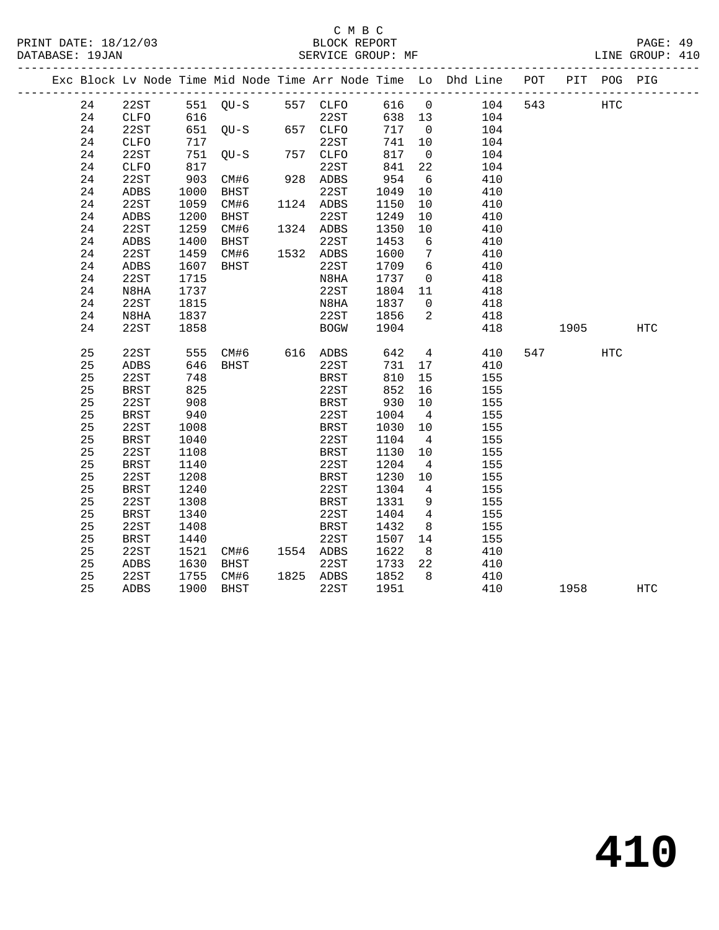### C M B C<br>BLOCK REPORT SERVICE GROUP: MF

|  |    |             |      |                |                   |        |                 | Exc Block Lv Node Time Mid Node Time Arr Node Time Lo Dhd Line POT |     |      | PIT POG PIG |            |
|--|----|-------------|------|----------------|-------------------|--------|-----------------|--------------------------------------------------------------------|-----|------|-------------|------------|
|  | 24 | 22ST        |      |                | 551 QU-S 557 CLFO | 616 0  |                 | 104                                                                | 543 |      | <b>HTC</b>  |            |
|  | 24 | <b>CLFO</b> | 616  |                | 22ST              | 638 13 |                 | 104                                                                |     |      |             |            |
|  | 24 | 22ST        | 651  | $QU-S$ 657     | 657 CLFO          | 717    | $\overline{0}$  | 104                                                                |     |      |             |            |
|  | 24 | <b>CLFO</b> | 717  |                | 22ST              | 741    | 10              | 104                                                                |     |      |             |            |
|  | 24 | 22ST        | 751  | OU-S           | 757 CLFO          | 817    | $\overline{0}$  | 104                                                                |     |      |             |            |
|  | 24 | <b>CLFO</b> | 817  |                | 22ST              | 841    | 22              | 104                                                                |     |      |             |            |
|  | 24 | 22ST        | 903  | CM#6           | 928 ADBS          | 954    | 6               | 410                                                                |     |      |             |            |
|  | 24 | <b>ADBS</b> | 1000 | BHST           | 22ST              | 1049   | 10              | 410                                                                |     |      |             |            |
|  | 24 | 22ST        | 1059 | CM#6           | 1124 ADBS         | 1150   | 10              | 410                                                                |     |      |             |            |
|  | 24 | ADBS        | 1200 | BHST           | 22ST              | 1249   | 10              | 410                                                                |     |      |             |            |
|  | 24 | 22ST        | 1259 | CM#6           | 1324 ADBS         | 1350   | 10              | 410                                                                |     |      |             |            |
|  | 24 | <b>ADBS</b> | 1400 | BHST           | 22ST              | 1453   | 6               | 410                                                                |     |      |             |            |
|  | 24 | 22ST        | 1459 | CM#6           | 1532 ADBS         | 1600   | $\overline{7}$  | 410                                                                |     |      |             |            |
|  | 24 | <b>ADBS</b> | 1607 | <b>BHST</b>    | 22ST              | 1709   | 6               | 410                                                                |     |      |             |            |
|  | 24 | 22ST        | 1715 |                | N8HA              | 1737   | $\overline{0}$  | 418                                                                |     |      |             |            |
|  | 24 | N8HA        | 1737 |                | 22ST              | 1804   | 11              | 418                                                                |     |      |             |            |
|  | 24 | 22ST        | 1815 |                | N8HA              | 1837   | $\overline{0}$  | 418                                                                |     |      |             |            |
|  | 24 | N8HA        | 1837 |                | 22ST              | 1856   | 2               | 418                                                                |     |      |             |            |
|  | 24 | 22ST        | 1858 |                | <b>BOGW</b>       | 1904   |                 | 418                                                                |     | 1905 |             | <b>HTC</b> |
|  | 25 | 22ST        | 555  | CM#6 616 ADBS  |                   | 642    | $4\overline{4}$ | 410                                                                |     | 547  | HTC         |            |
|  | 25 | ADBS        | 646  | BHST           | 22ST              | 731    | 17              | 410                                                                |     |      |             |            |
|  | 25 | 22ST        | 748  |                | BRST              | 810    | 15              | 155                                                                |     |      |             |            |
|  | 25 | <b>BRST</b> | 825  |                | 22ST              | 852    | 16              | 155                                                                |     |      |             |            |
|  | 25 | 22ST        | 908  |                | <b>BRST</b>       | 930    | 10              | 155                                                                |     |      |             |            |
|  | 25 | BRST        | 940  |                | 22ST              | 1004   | $\overline{4}$  | 155                                                                |     |      |             |            |
|  | 25 | 22ST        | 1008 |                | <b>BRST</b>       | 1030   | 10              | 155                                                                |     |      |             |            |
|  | 25 | <b>BRST</b> | 1040 |                | 22ST              | 1104   | $\overline{4}$  | 155                                                                |     |      |             |            |
|  | 25 | 22ST        | 1108 |                | BRST              | 1130   | 10              | 155                                                                |     |      |             |            |
|  | 25 | <b>BRST</b> | 1140 |                | 22ST              | 1204   | $\overline{4}$  | 155                                                                |     |      |             |            |
|  | 25 | 22ST        | 1208 |                | BRST              | 1230   | 10              | 155                                                                |     |      |             |            |
|  | 25 | <b>BRST</b> | 1240 |                | 22ST              | 1304   | $\overline{4}$  | 155                                                                |     |      |             |            |
|  | 25 | 22ST        | 1308 |                | BRST              | 1331   | 9               | 155                                                                |     |      |             |            |
|  | 25 | <b>BRST</b> | 1340 |                | 22ST              | 1404   | $4\overline{4}$ | 155                                                                |     |      |             |            |
|  | 25 | 22ST        | 1408 |                | <b>BRST</b>       | 1432   | 8               | 155                                                                |     |      |             |            |
|  | 25 | <b>BRST</b> | 1440 |                | 22ST              | 1507   | 14              | 155                                                                |     |      |             |            |
|  | 25 | 22ST        | 1521 | CM#6 1554 ADBS |                   | 1622   | 8 <sup>8</sup>  | 410                                                                |     |      |             |            |
|  | 25 | ADBS        | 1630 | BHST           | 22ST              | 1733   | 22              | 410                                                                |     |      |             |            |
|  | 25 | 22ST        | 1755 | CM#6           | 1825 ADBS         | 1852   | 8               | 410                                                                |     |      |             |            |

25 ADBS 1900 BHST 22ST 1951 410 1958 HTC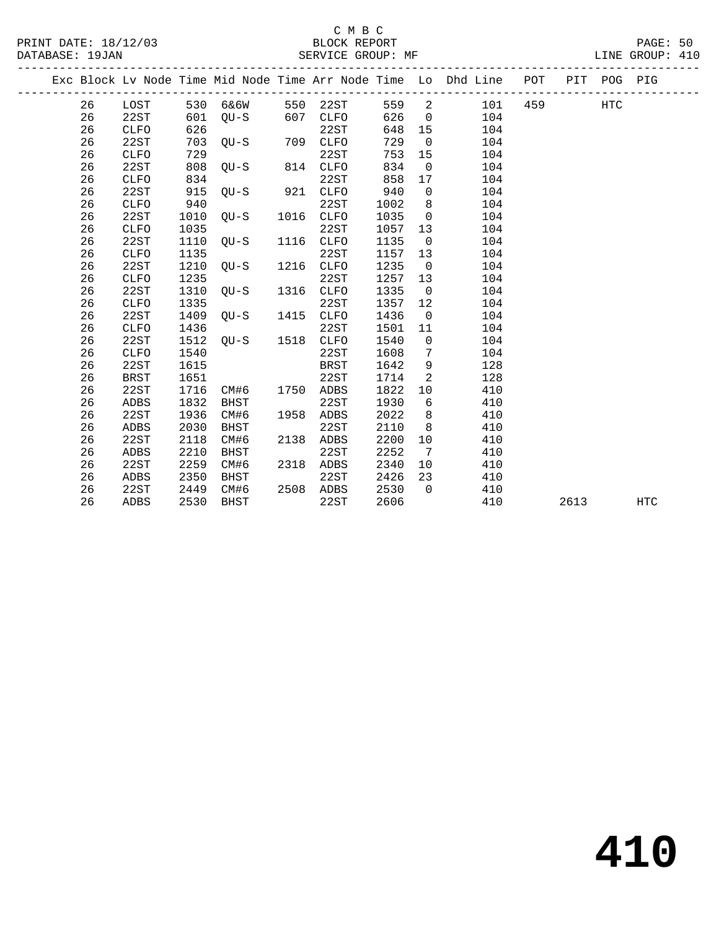|  |    |              |      |             |      |             |      |                 | Exc Block Lv Node Time Mid Node Time Arr Node Time Lo Dhd Line | POT | PIT  | POG PIG |     |
|--|----|--------------|------|-------------|------|-------------|------|-----------------|----------------------------------------------------------------|-----|------|---------|-----|
|  | 26 | LOST         | 530  | 6&6W        | 550  | 22ST        | 559  | 2               | 101                                                            | 459 |      | HTC     |     |
|  | 26 | 22ST         | 601  | $OU-S$      | 607  | <b>CLFO</b> | 626  | $\mathbf 0$     | 104                                                            |     |      |         |     |
|  | 26 | <b>CLFO</b>  | 626  |             |      | 22ST        | 648  | 15              | 104                                                            |     |      |         |     |
|  | 26 | 22ST         | 703  | $OU-S$      | 709  | <b>CLFO</b> | 729  | $\overline{0}$  | 104                                                            |     |      |         |     |
|  | 26 | <b>CLFO</b>  | 729  |             |      | 22ST        | 753  | 15              | 104                                                            |     |      |         |     |
|  | 26 | 22ST         | 808  | $OU-S$      | 814  | <b>CLFO</b> | 834  | $\overline{0}$  | 104                                                            |     |      |         |     |
|  | 26 | <b>CLFO</b>  | 834  |             |      | 22ST        | 858  | 17              | 104                                                            |     |      |         |     |
|  | 26 | 22ST         | 915  | $OU-S$      | 921  | <b>CLFO</b> | 940  | $\mathbf 0$     | 104                                                            |     |      |         |     |
|  | 26 | <b>CLFO</b>  | 940  |             |      | 22ST        | 1002 | 8               | 104                                                            |     |      |         |     |
|  | 26 | 22ST         | 1010 | $OU-S$      | 1016 | <b>CLFO</b> | 1035 | $\mathbf 0$     | 104                                                            |     |      |         |     |
|  | 26 | <b>CLFO</b>  | 1035 |             |      | 22ST        | 1057 | 13              | 104                                                            |     |      |         |     |
|  | 26 | 22ST         | 1110 | $OU-S$      | 1116 | <b>CLFO</b> | 1135 | $\mathbf 0$     | 104                                                            |     |      |         |     |
|  | 26 | <b>CLFO</b>  | 1135 |             |      | 22ST        | 1157 | 13              | 104                                                            |     |      |         |     |
|  | 26 | 22ST         | 1210 | $OU-S$      | 1216 | <b>CLFO</b> | 1235 | $\overline{0}$  | 104                                                            |     |      |         |     |
|  | 26 | ${\tt CLFO}$ | 1235 |             |      | 22ST        | 1257 | 13              | 104                                                            |     |      |         |     |
|  | 26 | 22ST         | 1310 | $OU-S$      | 1316 | CLFO        | 1335 | $\mathbf 0$     | 104                                                            |     |      |         |     |
|  | 26 | ${\tt CLFO}$ | 1335 |             |      | 22ST        | 1357 | 12              | 104                                                            |     |      |         |     |
|  | 26 | 22ST         | 1409 | $QU-S$      | 1415 | CLFO        | 1436 | $\overline{0}$  | 104                                                            |     |      |         |     |
|  | 26 | ${\tt CLFO}$ | 1436 |             |      | 22ST        | 1501 | 11              | 104                                                            |     |      |         |     |
|  | 26 | 22ST         | 1512 | OU-S        | 1518 | <b>CLFO</b> | 1540 | $\mathbf 0$     | 104                                                            |     |      |         |     |
|  | 26 | ${\tt CLFO}$ | 1540 |             |      | 22ST        | 1608 | $7\phantom{.0}$ | 104                                                            |     |      |         |     |
|  | 26 | 22ST         | 1615 |             |      | <b>BRST</b> | 1642 | $\mathsf 9$     | 128                                                            |     |      |         |     |
|  | 26 | <b>BRST</b>  | 1651 |             |      | 22ST        | 1714 | $\overline{a}$  | 128                                                            |     |      |         |     |
|  | 26 | 22ST         | 1716 | CM#6        | 1750 | ADBS        | 1822 | 10              | 410                                                            |     |      |         |     |
|  | 26 | ADBS         | 1832 | <b>BHST</b> |      | 22ST        | 1930 | 6               | 410                                                            |     |      |         |     |
|  | 26 | 22ST         | 1936 | CM#6        | 1958 | ADBS        | 2022 | 8               | 410                                                            |     |      |         |     |
|  | 26 | ADBS         | 2030 | <b>BHST</b> |      | 22ST        | 2110 | 8               | 410                                                            |     |      |         |     |
|  | 26 | 22ST         | 2118 | CM#6        | 2138 | <b>ADBS</b> | 2200 | 10              | 410                                                            |     |      |         |     |
|  | 26 | <b>ADBS</b>  | 2210 | <b>BHST</b> |      | 22ST        | 2252 | 7               | 410                                                            |     |      |         |     |
|  | 26 | 22ST         | 2259 | CM#6        | 2318 | ADBS        | 2340 | 10              | 410                                                            |     |      |         |     |
|  | 26 | ADBS         | 2350 | <b>BHST</b> |      | 22ST        | 2426 | 23              | 410                                                            |     |      |         |     |
|  | 26 | 22ST         | 2449 | CM#6        | 2508 | ADBS        | 2530 | $\Omega$        | 410                                                            |     |      |         |     |
|  | 26 | ADBS         | 2530 | <b>BHST</b> |      | 22ST        | 2606 |                 | 410                                                            |     | 2613 |         | HTC |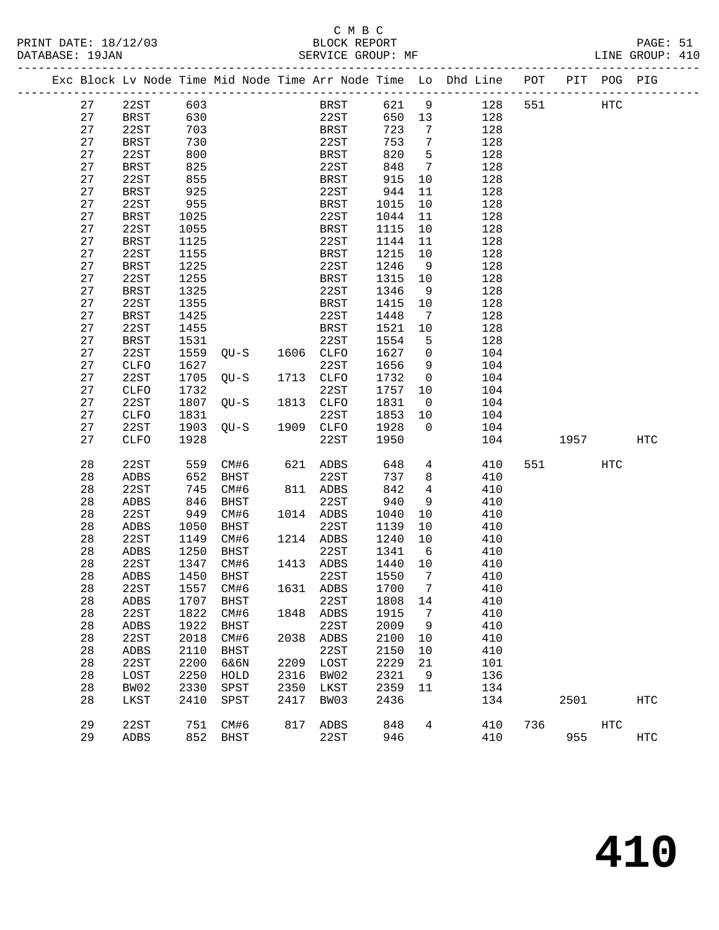# C M B C<br>BLOCK REPORT

| PRINT DATE: 18/12/03<br>DATABASE: 19JAN                                        | BLOCK REPORT<br>SERVICE GROUP: MF |  |  | PAGE: 51<br>LINE GROUP: 410 |  |
|--------------------------------------------------------------------------------|-----------------------------------|--|--|-----------------------------|--|
| Fre Block Ly Node Time Mid Node Time Arr Node Time Lo Dhd Line DOT DIT DOC DIC |                                   |  |  |                             |  |

|  |          |              |              |              |              |              |              |                 | Exc Block Lv Node Time Mid Node Time Arr Node Time Lo Dhd Line | POT | PIT  | POG PIG    |     |
|--|----------|--------------|--------------|--------------|--------------|--------------|--------------|-----------------|----------------------------------------------------------------|-----|------|------------|-----|
|  | 27       | 22ST         | 603          |              |              | BRST         | 621          | 9               | 128                                                            | 551 |      | HTC        |     |
|  | 27       | BRST         | 630          |              |              | 22ST         | 650          | 13              | 128                                                            |     |      |            |     |
|  | 27       | 22ST         | 703          |              |              | <b>BRST</b>  | 723          | $\overline{7}$  | 128                                                            |     |      |            |     |
|  | 27       | <b>BRST</b>  | 730          |              |              | 22ST         | 753          | $\overline{7}$  | 128                                                            |     |      |            |     |
|  | 27       | 22ST         | 800          |              |              | <b>BRST</b>  | 820          | 5               | 128                                                            |     |      |            |     |
|  | 27       | <b>BRST</b>  | 825          |              |              | 22ST         | 848          | $7\phantom{.0}$ | 128                                                            |     |      |            |     |
|  | 27       | 22ST         | 855          |              |              | <b>BRST</b>  | 915          | 10              | 128                                                            |     |      |            |     |
|  | 27       | <b>BRST</b>  | 925          |              |              | 22ST         | 944          | 11              | 128                                                            |     |      |            |     |
|  | 27       | 22ST         | 955          |              |              | BRST         | 1015         | 10              | 128                                                            |     |      |            |     |
|  | 27       | BRST         | 1025         |              |              | 22ST         | 1044         | 11              | 128                                                            |     |      |            |     |
|  | 27       | 22ST         | 1055         |              |              | <b>BRST</b>  | 1115         | 10              | 128                                                            |     |      |            |     |
|  | 27       | <b>BRST</b>  | 1125         |              |              | 22ST         | 1144         | 11              | 128                                                            |     |      |            |     |
|  | 27       | 22ST         | 1155         |              |              | <b>BRST</b>  | 1215         | 10              | 128                                                            |     |      |            |     |
|  | 27       | BRST         | 1225         |              |              | 22ST         | 1246         | 9               | 128                                                            |     |      |            |     |
|  | 27       | 22ST         | 1255         |              |              | <b>BRST</b>  | 1315         | 10              | 128                                                            |     |      |            |     |
|  | 27       | <b>BRST</b>  | 1325         |              |              | 22ST         | 1346         | 9               | 128                                                            |     |      |            |     |
|  | 27       | 22ST         | 1355         |              |              | <b>BRST</b>  | 1415         | 10              | 128                                                            |     |      |            |     |
|  | 27       | <b>BRST</b>  | 1425         |              |              | 22ST         | 1448         | 7               | 128                                                            |     |      |            |     |
|  | 27       | 22ST         | 1455         |              |              | <b>BRST</b>  | 1521         | 10              | 128                                                            |     |      |            |     |
|  | 27       | <b>BRST</b>  | 1531         |              |              | 22ST         | 1554         | 5               | 128                                                            |     |      |            |     |
|  | 27       | 22ST         | 1559         | $QU-S$       | 1606         | <b>CLFO</b>  | 1627         | 0               | 104                                                            |     |      |            |     |
|  | 27       | CLFO         | 1627         |              |              | 22ST         | 1656         | 9               | 104                                                            |     |      |            |     |
|  | 27       | 22ST         | 1705         | $OU-S$       | 1713         | <b>CLFO</b>  | 1732         | $\mathbf 0$     | 104                                                            |     |      |            |     |
|  | 27       | CLFO         | 1732         |              |              | 22ST         | 1757         | 10              | 104                                                            |     |      |            |     |
|  | 27       | 22ST         | 1807         | $QU-S$       | 1813         | CLFO         | 1831         | $\mathbf 0$     | 104                                                            |     |      |            |     |
|  | 27       | ${\tt CLFO}$ | 1831         |              |              | 22ST         | 1853         | 10              | 104                                                            |     |      |            |     |
|  | 27       | 22ST         | 1903         | $QU-S$       | 1909         | CLFO         | 1928         | 0               | 104                                                            |     |      |            |     |
|  | 27       | CLFO         | 1928         |              |              | 22ST         | 1950         |                 | 104                                                            |     | 1957 |            | HTC |
|  |          |              |              |              |              |              |              |                 |                                                                |     |      |            |     |
|  | 28       | 22ST         | 559          | CM#6         | 621          | ADBS         | 648          | 4               | 410                                                            | 551 |      | <b>HTC</b> |     |
|  | 28       | ADBS         | 652          | BHST         |              | 22ST         | 737          | 8               | 410                                                            |     |      |            |     |
|  | 28       | 22ST         | 745          | CM#6         | 811          | ADBS         | 842          | 4               | 410                                                            |     |      |            |     |
|  | 28       | ADBS         | 846          | <b>BHST</b>  |              | 22ST         | 940          | 9               | 410                                                            |     |      |            |     |
|  | 28       | 22ST         | 949          | CM#6         | 1014         | ADBS         | 1040         | 10              | 410                                                            |     |      |            |     |
|  | 28       | ADBS         | 1050         | BHST         |              | 22ST         | 1139         | 10              | 410                                                            |     |      |            |     |
|  | 28       | 22ST         | 1149         | CM#6         |              | 1214 ADBS    | 1240         | 10              | 410                                                            |     |      |            |     |
|  | 28       | ADBS         | 1250         | <b>BHST</b>  |              | 22ST         | 1341         | 6               | 410                                                            |     |      |            |     |
|  | 28       | 22ST         | 1347         | CM#6         | 1413         | ADBS         | 1440         | 10              | 410                                                            |     |      |            |     |
|  | 28       | ADBS         | 1450         | <b>BHST</b>  |              | 22ST         | 1550         | 7               | 410                                                            |     |      |            |     |
|  | 28       | 22ST         | 1557         | CM#6         |              | 1631 ADBS    | 1700         | 7               | 410                                                            |     |      |            |     |
|  | 28       | ADBS         | 1707         | BHST         |              | 22ST         | 1808 14      |                 | 410                                                            |     |      |            |     |
|  | 28       | 22ST         | 1822         | CM#6         |              | 1848 ADBS    | 1915         | $\overline{7}$  | 410                                                            |     |      |            |     |
|  | 28       | ${\tt ADBS}$ | 1922         | BHST         |              | 22ST         | 2009         | 9               | 410                                                            |     |      |            |     |
|  | 28       | 22ST         | 2018         | CM#6         |              | 2038 ADBS    | 2100         | 10              | 410                                                            |     |      |            |     |
|  | 28       | ADBS         | 2110         | BHST         |              | 22ST         | 2150         | 10              | 410                                                            |     |      |            |     |
|  | 28       | 22ST         | 2200         | 6&6N         | 2209         | LOST         | 2229         | 21              | 101                                                            |     |      |            |     |
|  | 28       | LOST         | 2250         | HOLD         | 2316         | BW02         | 2321         | 9               | 136                                                            |     |      |            |     |
|  | 28<br>28 | BW02<br>LKST | 2330<br>2410 | SPST<br>SPST | 2350<br>2417 | LKST<br>BW03 | 2359<br>2436 | 11              | 134<br>134                                                     |     | 2501 |            | HTC |
|  |          |              |              |              |              |              |              |                 |                                                                |     |      |            |     |
|  | 29       | 22ST         | 751          | CM#6         | 817          | ADBS         | 848          | 4               | 410                                                            | 736 |      | HTC        |     |
|  | 29       | ADBS         |              | 852 BHST     |              | 22ST         | 946          |                 | 410                                                            |     | 955  |            | HTC |
|  |          |              |              |              |              |              |              |                 |                                                                |     |      |            |     |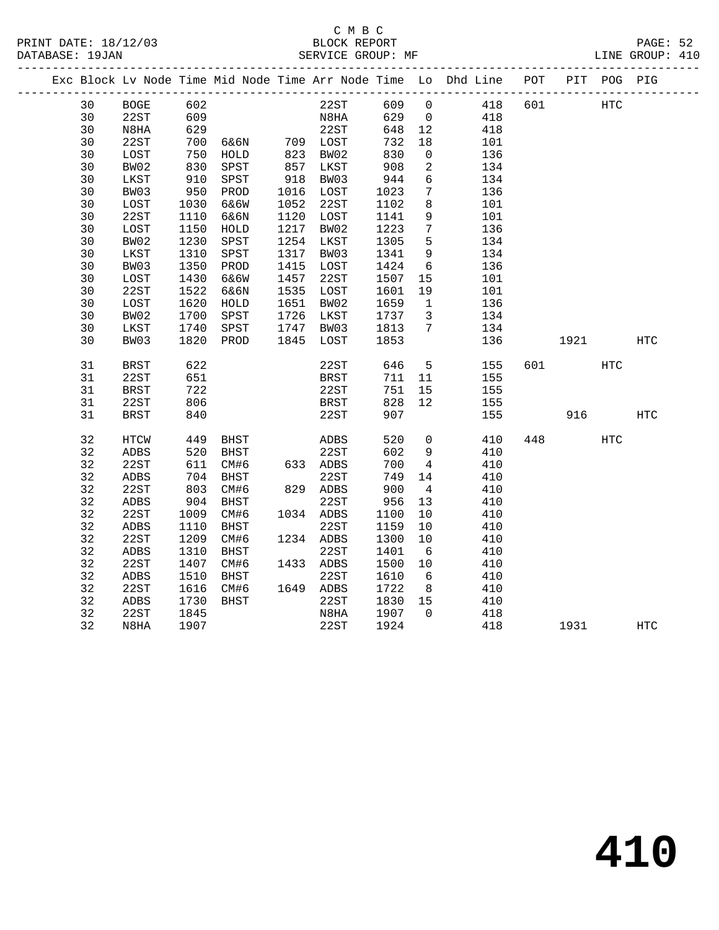|  |    |               |                                     |               |      |                               |         |                         | Exc Block Lv Node Time Mid Node Time Arr Node Time Lo Dhd Line POT |     |           | PIT POG PIG |            |
|--|----|---------------|-------------------------------------|---------------|------|-------------------------------|---------|-------------------------|--------------------------------------------------------------------|-----|-----------|-------------|------------|
|  | 30 | <b>BOGE</b>   | 602                                 |               |      | 22ST                          | 609     | $\overline{0}$          | 418                                                                | 601 | HTC       |             |            |
|  | 30 | 22ST          |                                     |               |      | N <sub>8</sub> H <sub>A</sub> | 629 0   |                         | 418                                                                |     |           |             |            |
|  | 30 | N8HA          | د60<br>629                          |               |      | 22ST                          | 648     | 12                      | 418                                                                |     |           |             |            |
|  | 30 | 22ST          | 700                                 | 6&6N 709 LOST |      |                               | 732     | 18                      | 101                                                                |     |           |             |            |
|  | 30 | LOST          | $\frac{7}{830}$<br>$\frac{930}{10}$ | HOLD          |      | 823 BW02<br>857 LKST          | 830     | $\overline{0}$          | 136                                                                |     |           |             |            |
|  | 30 | BW02          |                                     | SPST          |      |                               | 908     | $\overline{a}$          | 134                                                                |     |           |             |            |
|  | 30 | LKST          | 910                                 | SPST          | 918  | BW03                          | 944     | 6                       | 134                                                                |     |           |             |            |
|  | 30 | BW03          | 950                                 | PROD          |      | 1016 LOST                     | 1023    | $7\phantom{.0}$         | 136                                                                |     |           |             |            |
|  | 30 | LOST          | 1030                                | 6&6W          |      | 1052 22ST                     | 1102    | 8                       | 101                                                                |     |           |             |            |
|  | 30 | 22ST          | 1110                                | 6&6N          |      | 1120 LOST                     | 1141    | 9                       | 101                                                                |     |           |             |            |
|  | 30 | LOST          | 1150                                | HOLD          | 1217 | BW02                          | 1223    | $7\phantom{.0}$         | 136                                                                |     |           |             |            |
|  | 30 | BW02          | 1230                                | SPST          | 1254 | LKST                          | 1305    | 5                       | 134                                                                |     |           |             |            |
|  | 30 | LKST          | 1310                                | ${\tt SPST}$  | 1317 | BW03                          | 1341    | 9                       | 134                                                                |     |           |             |            |
|  | 30 | BW03          | 1350                                | PROD          | 1415 | LOST                          | 1424    | $6\overline{6}$         | 136                                                                |     |           |             |            |
|  | 30 | LOST          | 1430                                | 6&6W          | 1457 | 22ST                          | 1507    | 15                      | 101                                                                |     |           |             |            |
|  | 30 | 22ST          | 1522                                | 6&6N          | 1535 | LOST                          | 1601    | 19                      | 101                                                                |     |           |             |            |
|  | 30 | LOST          | 1620                                | HOLD          | 1651 | BW02                          | 1659    | $\overline{1}$          | 136                                                                |     |           |             |            |
|  | 30 | BW02          | 1700                                | SPST          |      | 1726 LKST                     | 1737    | $\overline{\mathbf{3}}$ | 134                                                                |     |           |             |            |
|  | 30 | LKST          | 1740                                | SPST          |      | 1747 BW03                     | 1813    | 7                       | 134                                                                |     |           |             |            |
|  | 30 | BW03          | 1820                                | PROD          |      | 1845 LOST                     | 1853    |                         | 136                                                                |     | 1921 1920 |             | <b>HTC</b> |
|  | 31 | <b>BRST</b>   | 622                                 |               |      | 22ST                          | 646     | 5 <sub>5</sub>          | 155                                                                |     | 601 700   | HTC         |            |
|  | 31 | 22ST          | 651                                 |               |      | BRST                          | 711 11  |                         | 155                                                                |     |           |             |            |
|  | 31 | $_{\rm BRST}$ | 722                                 |               |      | 22ST                          | 751     | 15                      | 155                                                                |     |           |             |            |
|  | 31 | 22ST          | 806                                 |               |      | BRST                          | 828     | 12                      | 155                                                                |     |           |             |            |
|  | 31 | <b>BRST</b>   | 840                                 |               |      | 22ST                          | 907     |                         | 155                                                                |     |           | 916 70      | <b>HTC</b> |
|  | 32 | HTCW          | 449                                 | <b>BHST</b>   |      | ADBS                          | 520     | $\overline{0}$          | 410                                                                |     | 448       | HTC         |            |
|  | 32 | ADBS          | 520                                 | BHST          |      |                               | 602     | 9                       | 410                                                                |     |           |             |            |
|  | 32 | 22ST          | 611                                 | CM#6          |      | 22ST<br>633 ADBS              | 700     | $\overline{4}$          | 410                                                                |     |           |             |            |
|  | 32 | ADBS          | 704                                 | BHST          |      | 22ST                          | 749     | 14                      | 410                                                                |     |           |             |            |
|  | 32 | 22ST          | 803                                 | CM#6          |      | 829 ADBS                      | 900     | $\overline{4}$          | 410                                                                |     |           |             |            |
|  | 32 | ADBS          | 904                                 | BHST          |      | 22ST                          | 956     | 13                      | 410                                                                |     |           |             |            |
|  | 32 | 22ST          | 1009                                | CM#6          |      | 1034 ADBS                     | 1100    | 10                      | 410                                                                |     |           |             |            |
|  | 32 | ADBS          | 1110                                | BHST          |      | 22ST                          | 1159    | 10                      | 410                                                                |     |           |             |            |
|  | 32 | 22ST          | 1209                                | CM#6          |      | 1234 ADBS                     | 1300    | 10                      | 410                                                                |     |           |             |            |
|  | 32 | ADBS          | 1310                                | BHST          |      | 22ST                          | 1401    | 6                       | 410                                                                |     |           |             |            |
|  | 32 | 22ST          | 1407                                | CM#6          |      | 1433 ADBS                     | 1500    | 10                      | 410                                                                |     |           |             |            |
|  | 32 | ADBS          | 1510                                | BHST          |      | 22ST                          | 1610    | 6                       | 410                                                                |     |           |             |            |
|  | 32 | 22ST          | 1616                                | CM#6          |      | 1649 ADBS                     | 1722    | 8 <sup>8</sup>          | 410                                                                |     |           |             |            |
|  | 32 | ADBS          | 1730                                | BHST          |      | 22ST                          | 1830 15 |                         | 410                                                                |     |           |             |            |
|  | 32 | 22ST          | 1845                                |               |      | N8HA                          | 1907    | $\overline{0}$          | 418                                                                |     |           |             |            |
|  | 32 | N8HA          | 1907                                |               |      | 22ST                          | 1924    |                         | 418                                                                |     | 1931      |             | HTC        |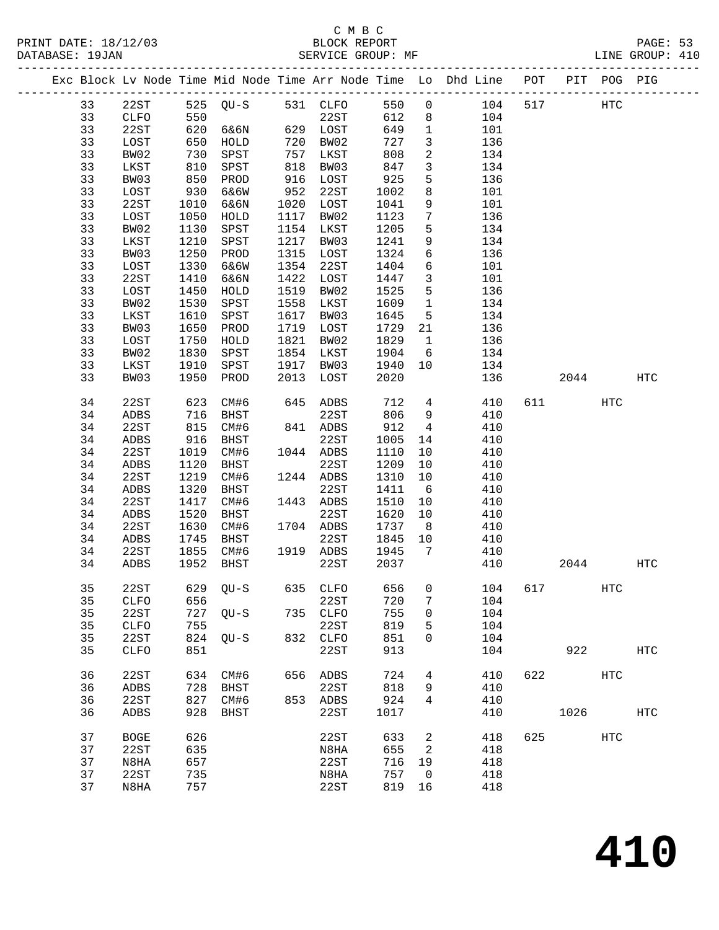|  |          |              |            |                   |      |                  |            |                 | Exc Block Lv Node Time Mid Node Time Arr Node Time Lo Dhd Line POT |     |       | PIT POG PIG       |                   |
|--|----------|--------------|------------|-------------------|------|------------------|------------|-----------------|--------------------------------------------------------------------|-----|-------|-------------------|-------------------|
|  | 33       | 22ST         |            | 525 QU-S 531 CLFO |      |                  | 550        | $\mathsf{O}$    | 104                                                                | 517 |       | HTC               |                   |
|  | 33       | CLFO         | 550        |                   |      | 22ST             | 612        | 8               | 104                                                                |     |       |                   |                   |
|  | 33       | 22ST         | 620        | 6&6N              |      | 629 LOST         | 649        | $\mathbf{1}$    | 101                                                                |     |       |                   |                   |
|  | 33       | LOST         | 650        | HOLD              | 720  | BW02             | 727        | $\mathbf{3}$    | 136                                                                |     |       |                   |                   |
|  | 33       | BW02         | 730        | SPST              | 757  | LKST             | 808        | 2               | 134                                                                |     |       |                   |                   |
|  | 33       | LKST         | 810        | SPST              | 818  | BW03             | 847        | $\mathbf{3}$    | 134                                                                |     |       |                   |                   |
|  | 33       | BW03         | 850        | PROD              | 916  | LOST             | 925        | 5               | 136                                                                |     |       |                   |                   |
|  | 33       | LOST         | 930        | 6&6W              | 952  | 22ST             | 1002       | 8               | 101                                                                |     |       |                   |                   |
|  | 33       | 22ST         | 1010       | 6&6N              | 1020 | LOST             | 1041       | 9               | 101                                                                |     |       |                   |                   |
|  | 33       | LOST         | 1050       | HOLD              | 1117 | BW02             | 1123       | $7\phantom{.0}$ | 136                                                                |     |       |                   |                   |
|  | 33       | BW02         | 1130       | SPST              | 1154 | LKST             | 1205       | 5               | 134                                                                |     |       |                   |                   |
|  | 33       | LKST         | 1210       | SPST              | 1217 | BW03             | 1241       | 9               | 134                                                                |     |       |                   |                   |
|  | 33       | BW03         | 1250       | PROD              | 1315 | LOST             | 1324       | 6               | 136                                                                |     |       |                   |                   |
|  | 33       | LOST         | 1330       | 6&6W              | 1354 | 22ST             | 1404       | 6               | 101                                                                |     |       |                   |                   |
|  | 33       | 22ST         | 1410       | 6&6N              | 1422 | LOST             | 1447       | $\mathbf{3}$    | 101                                                                |     |       |                   |                   |
|  | 33       | LOST         | 1450       | HOLD              | 1519 | BW02             | 1525       | 5               | 136                                                                |     |       |                   |                   |
|  | 33       | BW02         | 1530       | SPST              | 1558 | LKST             | 1609       | $\mathbf{1}$    | 134                                                                |     |       |                   |                   |
|  | 33       | LKST         | 1610       | SPST              | 1617 | BW03             | 1645       | $5^{\circ}$     | 134                                                                |     |       |                   |                   |
|  | 33       | BW03         | 1650       | PROD              | 1719 | LOST             | 1729       | 21              | 136                                                                |     |       |                   |                   |
|  | 33       | LOST         | 1750       | HOLD              | 1821 | BW02             | 1829       | $\mathbf{1}$    | 136                                                                |     |       |                   |                   |
|  | 33       | BW02         | 1830       | SPST              | 1854 | LKST             | 1904       | $6\overline{6}$ | 134                                                                |     |       |                   |                   |
|  | 33       | LKST         | 1910       | SPST              | 1917 | BW03             | 1940       | 10              | 134                                                                |     |       |                   |                   |
|  | 33       | BW03         | 1950       | PROD              | 2013 | LOST             | 2020       |                 | 136                                                                |     | 2044  |                   | HTC               |
|  | 34       | 22ST         | 623        | CM#6              | 645  | ADBS             | 712        | $4\overline{ }$ | 410                                                                |     | 611 7 | <b>HTC</b>        |                   |
|  | 34       | ADBS         | 716        | BHST              |      | 22ST             | 806        | 9               | 410                                                                |     |       |                   |                   |
|  | 34       | 22ST         | 815        | CM#6              |      | 841 ADBS         | 912        | $4\overline{4}$ | 410                                                                |     |       |                   |                   |
|  | 34       | ADBS         | 916        | BHST              |      | 22ST             | 1005       | 14              | 410                                                                |     |       |                   |                   |
|  | 34       | 22ST         | 1019       | CM#6              |      | 1044 ADBS        | 1110       | 10              | 410                                                                |     |       |                   |                   |
|  | 34       | ADBS         | 1120       | BHST              |      | 22ST             | 1209       | 10              | 410                                                                |     |       |                   |                   |
|  | 34       | 22ST         | 1219       | CM#6              |      | 1244 ADBS        | 1310       | 10              | 410                                                                |     |       |                   |                   |
|  | 34       | ADBS         | 1320       | BHST              |      | 22ST             | 1411       | 6               | 410                                                                |     |       |                   |                   |
|  | 34       | 22ST         | 1417       | CM#6              |      | 1443 ADBS        | 1510       | 10              | 410                                                                |     |       |                   |                   |
|  | 34       | ADBS         | 1520       | BHST              |      | 22ST             | 1620       | 10              | 410                                                                |     |       |                   |                   |
|  | 34       | 22ST         | 1630       | CM#6              |      | 1704 ADBS        | 1737       | 8 <sup>8</sup>  | 410                                                                |     |       |                   |                   |
|  | 34       | ADBS         | 1745       | BHST              |      | 22ST             | 1845       | 10              | 410                                                                |     |       |                   |                   |
|  | 34       | 22ST         | 1855       | CM#6              |      | 1919 ADBS        | 1945       | $\overline{7}$  | 410                                                                |     |       |                   |                   |
|  | 34       | ADBS         | 1952       | BHST              |      | 22ST             | 2037       |                 | 410                                                                |     | 2044  |                   | HTC               |
|  |          |              |            |                   |      |                  |            |                 |                                                                    |     |       |                   |                   |
|  | 35       | 22ST         |            |                   |      |                  |            |                 | 629 QU-S 635 CLFO 656 0 104 617                                    |     |       | HTC               |                   |
|  | 35       | <b>CLFO</b>  | 656        |                   |      | 22ST             | 720        | 7               | 104                                                                |     |       |                   |                   |
|  | 35       | 22ST         | 727        | $QU-S$            | 735  | CLFO             | 755        | 0               | 104                                                                |     |       |                   |                   |
|  | 35<br>35 | CLFO<br>22ST | 755<br>824 |                   |      | 22ST<br>832 CLFO | 819<br>851 | 5<br>0          | 104<br>104                                                         |     |       |                   |                   |
|  | 35       | CLFO         | 851        | $QU-S$            |      | 22ST             | 913        |                 | 104                                                                |     | 922   |                   | $_{\mathrm{HTC}}$ |
|  |          |              |            |                   |      |                  |            |                 |                                                                    |     |       |                   |                   |
|  | 36       | 22ST         | 634        | CM#6              | 656  | ADBS             | 724        | 4               | 410                                                                | 622 |       | $_{\mathrm{HTC}}$ |                   |
|  | 36       | ADBS         | 728        | BHST              |      | 22ST             | 818        | 9               | 410                                                                |     |       |                   |                   |
|  | 36       | 22ST         | 827        | CM#6              |      | 853 ADBS         | 924        | 4               | 410                                                                |     |       |                   |                   |
|  | 36       | ADBS         | 928        | BHST              |      | 22ST             | 1017       |                 | 410                                                                |     | 1026  |                   | <b>HTC</b>        |
|  | 37       | <b>BOGE</b>  | 626        |                   |      | 22ST             | 633        | 2               | 418                                                                | 625 |       | HTC               |                   |
|  | 37       | 22ST         | 635        |                   |      | N8HA             | 655        | 2               | 418                                                                |     |       |                   |                   |
|  | 37       | N8HA         | 657        |                   |      | 22ST             | 716        | 19              | 418                                                                |     |       |                   |                   |
|  | 37       | 22ST         | 735        |                   |      | N8HA             | 757        | 0               | 418                                                                |     |       |                   |                   |
|  | 37       | N8HA         | 757        |                   |      | 22ST             | 819        | 16              | 418                                                                |     |       |                   |                   |
|  |          |              |            |                   |      |                  |            |                 |                                                                    |     |       |                   |                   |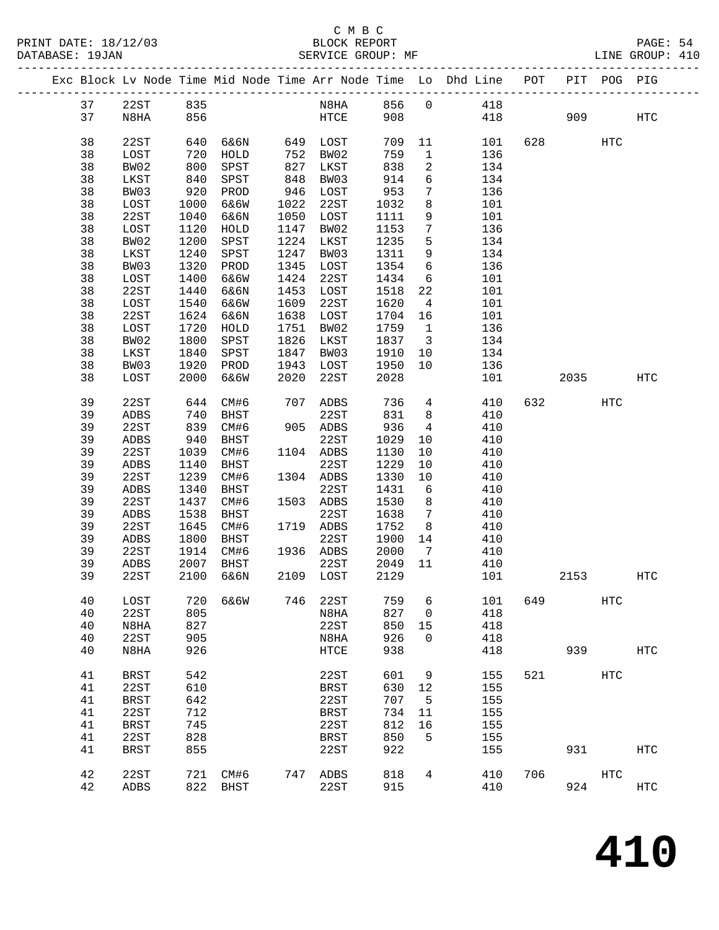#### C M B C PRINT DATE: 18/12/03 BLOCK REPORT BATABASE: 19JAN

|          |              |              |                   |      |                   |                                                                  |                 | Exc Block Lv Node Time Mid Node Time Arr Node Time Lo Dhd Line POT PIT POG PIG |     |          |                   |                   |  |
|----------|--------------|--------------|-------------------|------|-------------------|------------------------------------------------------------------|-----------------|--------------------------------------------------------------------------------|-----|----------|-------------------|-------------------|--|
| 37       | 22ST         | 835          |                   |      |                   |                                                                  |                 | N8HA 856 0 418                                                                 |     |          |                   |                   |  |
| 37       | N8HA         | 856          |                   |      | HTCE              |                                                                  |                 | 908 418                                                                        |     |          | 909 — 100         | HTC               |  |
| 38       | 22ST         |              | 640 6&6N 649 LOST |      |                   | 709                                                              |                 | 11 101                                                                         |     | 628 3    | HTC               |                   |  |
| 38       | LOST         | 720          | HOLD              |      | 752 BW02          | 759                                                              |                 | $\mathbf 1$<br>136                                                             |     |          |                   |                   |  |
| 38       | BW02         | 800<br>840   | SPST              |      | 827 LKST          | 838                                                              |                 | $\overline{a}$<br>134                                                          |     |          |                   |                   |  |
| 38       | LKST         |              | SPST              | 848  | BW03              | 914                                                              | $6\overline{}$  | 134                                                                            |     |          |                   |                   |  |
| 38       | BW03         | 920          | PROD              |      | 946 LOST          | 953                                                              | $7\overline{ }$ | 136                                                                            |     |          |                   |                   |  |
| 38       | LOST         | 1000         | 6&6W              |      | 1022 22ST         | 1032                                                             | 8               | 101                                                                            |     |          |                   |                   |  |
| 38       | 22ST         | 1040         | 6&6N              | 1050 | LOST              | 1111                                                             | 9               | 101                                                                            |     |          |                   |                   |  |
| 38       | LOST         | 1120         | HOLD              |      | 1147 BW02         | 1153                                                             | $7\overline{ }$ | 136                                                                            |     |          |                   |                   |  |
| 38<br>38 | BW02<br>LKST | 1200<br>1240 | SPST              | 1247 | 1224 LKST         | 1235<br>1311                                                     | 5 <sup>5</sup>  | 134<br>9 134                                                                   |     |          |                   |                   |  |
| 38       | BW03         | 1320         | SPST<br>PROD      | 1345 | BW03<br>LOST      | 1354                                                             |                 |                                                                                |     |          |                   |                   |  |
| 38       | LOST         | 1400         | 6&6W              | 1424 | 22ST              | 1434                                                             |                 | 6 136<br>101                                                                   |     |          |                   |                   |  |
| 38       | 22ST         | 1440         | 6&6N              | 1453 | LOST              | 1518                                                             |                 | $\begin{array}{c} 6 \\ 22 \end{array}$<br>101                                  |     |          |                   |                   |  |
| 38       | LOST         | 1540         | 6&6W              | 1609 | 22ST              | 1620                                                             | $4\overline{4}$ | 101                                                                            |     |          |                   |                   |  |
| 38       | 22ST         | 1624         | 6&6N              | 1638 | LOST              | 1704                                                             | 16              | 101                                                                            |     |          |                   |                   |  |
| 38       | LOST         | 1720         | HOLD              | 1751 | BW02              | 1759                                                             | 1               | 136                                                                            |     |          |                   |                   |  |
| 38       | BW02         | 1800         | SPST              | 1826 | LKST              | $\begin{array}{ccc}\n1837 & 3 \\ \hline\n1225 & & \n\end{array}$ |                 | 134                                                                            |     |          |                   |                   |  |
| 38       | LKST         | 1840         | SPST              | 1847 | BW03              | 1910                                                             |                 | 10 134                                                                         |     |          |                   |                   |  |
| 38       | BW03         | 1920         | PROD              | 1943 | LOST              | 1950                                                             |                 | 10<br>136                                                                      |     |          |                   |                   |  |
| 38       | LOST         | 2000         | 6&6W              | 2020 | 22ST              | 2028                                                             |                 | 101                                                                            |     | 2035 HTC |                   |                   |  |
| 39       | 22ST         | 644          | CM#6              |      | 707 ADBS          | 736                                                              |                 | $4\overline{ }$<br>410                                                         |     | 632      | HTC               |                   |  |
| 39       | ADBS         | 740          | BHST              |      | 22ST              |                                                                  |                 | 831 8 410                                                                      |     |          |                   |                   |  |
| 39       | 22ST         | 839          | CM#6              |      | 905 ADBS          | 936                                                              |                 | $4\overline{ }$<br>410                                                         |     |          |                   |                   |  |
| 39       | ADBS         | 940          | BHST              |      | 22ST              | 1029                                                             | 10              | 410                                                                            |     |          |                   |                   |  |
| 39       | 22ST         | 1039         | CM#6              |      | 1104 ADBS         | 1130                                                             | 10              | 410                                                                            |     |          |                   |                   |  |
| 39       | ADBS         | 1140         | BHST              |      | 22ST              | 1229                                                             | 10              | 410                                                                            |     |          |                   |                   |  |
| 39       | 22ST         | 1239         | CM#6              |      | 1304 ADBS         | 1330                                                             | 10              | 410                                                                            |     |          |                   |                   |  |
| 39       | ADBS         | 1340         | BHST              |      | 22ST              | 1431                                                             | 6               | 410<br>410                                                                     |     |          |                   |                   |  |
| 39       | 22ST         | 1437         | CM#6              |      | 1503 ADBS         | 1530                                                             | 8 <sup>8</sup>  |                                                                                |     |          |                   |                   |  |
| 39       | ADBS         | 1538         | <b>BHST</b>       |      | 22ST              | 1638                                                             |                 | 7 410                                                                          |     |          |                   |                   |  |
| 39       | 22ST         | 1645         | CM#6              |      | 1719 ADBS         | 1752                                                             |                 | 8 410                                                                          |     |          |                   |                   |  |
| 39<br>39 | ADBS<br>22ST | 1800         | BHST<br>1914 CM#6 |      | 22ST<br>1936 ADBS | 1900 14<br>2000                                                  |                 | $\begin{array}{ccccc}\n14 & & & 410 \\ 7 & & & 410\n\end{array}$               |     |          |                   |                   |  |
| 39       |              | 2007         | <b>BHST</b>       |      | 22ST              | 2049                                                             | 11              | 410                                                                            |     |          |                   |                   |  |
| 39       | ADBS<br>22ST | 2100         | 6&6N              | 2109 | LOST              | 2129                                                             |                 | 101                                                                            |     | 2153     |                   | <b>HTC</b>        |  |
|          |              |              |                   |      |                   |                                                                  |                 |                                                                                |     |          |                   |                   |  |
| 40       | LOST         | 720          | 6&6W              | 746  | 22ST              | 759                                                              | 6               | 101                                                                            | 649 |          | $_{\mathrm{HTC}}$ |                   |  |
| 40       | 22ST         | 805          |                   |      | N8HA              | 827                                                              | $\mathbf 0$     | 418                                                                            |     |          |                   |                   |  |
| 40       | N8HA         | 827          |                   |      | 22ST              | 850                                                              | 15              | 418                                                                            |     |          |                   |                   |  |
| 40       | 22ST         | 905          |                   |      | N8HA              | 926                                                              | $\mathbf 0$     | 418                                                                            |     |          |                   |                   |  |
| 40       | N8HA         | 926          |                   |      | HTCE              | 938                                                              |                 | 418                                                                            |     | 939      |                   | ${\tt HTC}$       |  |
| 41       | <b>BRST</b>  | 542          |                   |      | 22ST              | 601                                                              | 9               | 155                                                                            | 521 |          | HTC               |                   |  |
| 41       | 22ST         | 610          |                   |      | <b>BRST</b>       | 630                                                              | 12              | 155                                                                            |     |          |                   |                   |  |
| 41       | <b>BRST</b>  | 642          |                   |      | 22ST              | 707                                                              | 5               | 155                                                                            |     |          |                   |                   |  |
| 41       | 22ST         | 712          |                   |      | <b>BRST</b>       | 734                                                              | 11              | 155                                                                            |     |          |                   |                   |  |
| 41       | <b>BRST</b>  | 745          |                   |      | 22ST              | 812                                                              | 16              | 155                                                                            |     |          |                   |                   |  |
| 41       | 22ST         | 828          |                   |      | <b>BRST</b>       | 850                                                              | 5               | 155                                                                            |     |          |                   |                   |  |
| 41       | <b>BRST</b>  | 855          |                   |      | 22ST              | 922                                                              |                 | 155                                                                            |     | 931      |                   | $_{\mathrm{HTC}}$ |  |
| 42       | 22ST         | 721          | CM#6              | 747  | ADBS              | 818                                                              | 4               | 410                                                                            | 706 |          | HTC               |                   |  |
| 42       | ADBS         | 822          | BHST              |      | 22ST              | 915                                                              |                 | 410                                                                            |     | 924      |                   | HTC               |  |
|          |              |              |                   |      |                   |                                                                  |                 |                                                                                |     |          |                   |                   |  |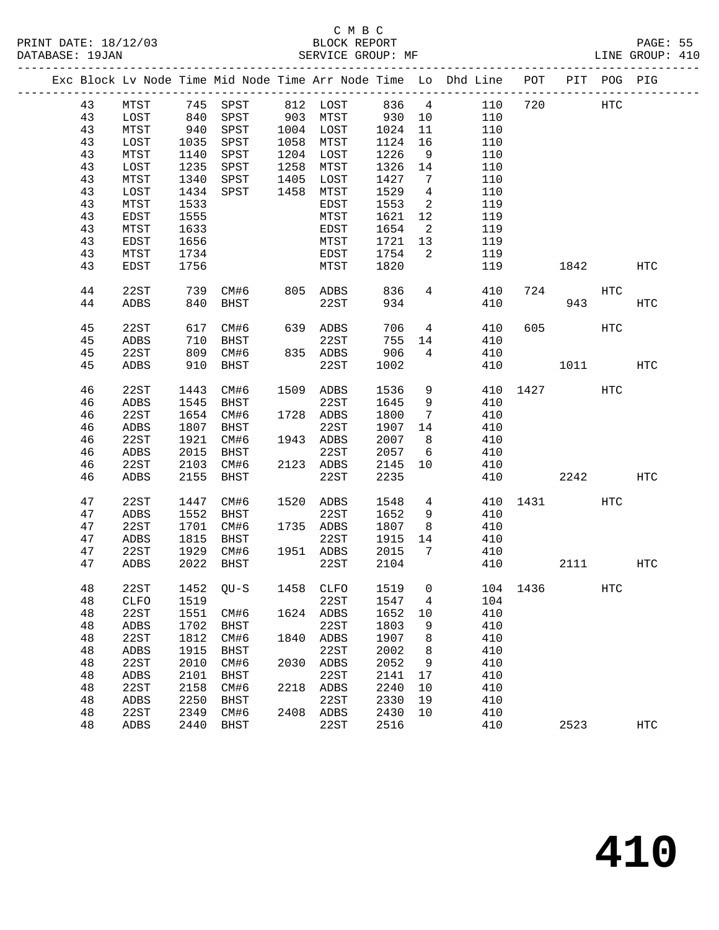|  |    |              |      |             |      |           |       |                              | Exc Block Lv Node Time Mid Node Time Arr Node Time Lo Dhd Line | POT |        | PIT POG PIG |            |
|--|----|--------------|------|-------------|------|-----------|-------|------------------------------|----------------------------------------------------------------|-----|--------|-------------|------------|
|  | 43 | MTST         |      | 745 SPST    |      | 812 LOST  | 836 4 |                              | 110                                                            | 720 |        | HTC         |            |
|  | 43 | LOST         | 840  | SPST        |      | 903 MTST  | 930   | 10                           | 110                                                            |     |        |             |            |
|  | 43 | MTST         | 940  | SPST        |      | 1004 LOST | 1024  | 11                           | 110                                                            |     |        |             |            |
|  | 43 | LOST         | 1035 | SPST        | 1058 | MTST      | 1124  | 16                           | 110                                                            |     |        |             |            |
|  | 43 | MTST         | 1140 | SPST        | 1204 | LOST      | 1226  | - 9                          | 110                                                            |     |        |             |            |
|  | 43 | LOST         | 1235 | SPST        | 1258 | MTST      | 1326  | 14                           | 110                                                            |     |        |             |            |
|  | 43 | MTST         | 1340 | SPST        | 1405 | LOST      | 1427  | $7\phantom{.0}\phantom{.0}7$ | 110                                                            |     |        |             |            |
|  | 43 | LOST         | 1434 | SPST        | 1458 | MTST      | 1529  | $\overline{4}$               | 110                                                            |     |        |             |            |
|  | 43 | MTST         | 1533 |             |      | EDST      | 1553  | $\overline{a}$               | 119                                                            |     |        |             |            |
|  | 43 | EDST         | 1555 |             |      | MTST      | 1621  | 12                           | 119                                                            |     |        |             |            |
|  | 43 | MTST         | 1633 |             |      | EDST      | 1654  | $\overline{\phantom{a}}^2$   | 119                                                            |     |        |             |            |
|  | 43 | EDST         | 1656 |             |      | MTST      | 1721  | 13                           | 119                                                            |     |        |             |            |
|  | 43 | MTST         | 1734 |             |      | EDST      | 1754  | 2                            | 119                                                            |     |        |             |            |
|  | 43 | EDST         | 1756 |             |      | MTST      | 1820  |                              | 119                                                            |     | 1842   |             | HTC        |
|  |    |              |      |             |      |           |       |                              |                                                                |     |        |             |            |
|  | 44 | 22ST         | 739  | CM#6        | 805  | ADBS      | 836   | $\overline{4}$               | 410                                                            | 724 |        | HTC         |            |
|  | 44 | <b>ADBS</b>  | 840  | BHST        |      | 22ST      | 934   |                              | 410                                                            |     | 943    |             | <b>HTC</b> |
|  | 45 | 22ST         | 617  | CM#6        |      | 639 ADBS  | 706   | $\overline{4}$               | 410                                                            | 605 |        | HTC         |            |
|  | 45 | ADBS         | 710  | BHST        |      | 22ST      | 755   | 14                           | 410                                                            |     |        |             |            |
|  | 45 | 22ST         | 809  | CM#6        |      | 835 ADBS  | 906   | 4                            | 410                                                            |     |        |             |            |
|  | 45 | ADBS         | 910  | BHST        |      | 22ST      | 1002  |                              | 410                                                            |     | 1011   |             | HTC        |
|  |    |              |      |             |      |           |       |                              |                                                                |     |        |             |            |
|  | 46 | 22ST         | 1443 | CM#6        |      | 1509 ADBS | 1536  | 9                            | 410                                                            |     | 1427   | HTC         |            |
|  | 46 | ADBS         | 1545 | BHST        |      | 22ST      | 1645  | 9                            | 410                                                            |     |        |             |            |
|  | 46 | 22ST         | 1654 | CM#6        |      | 1728 ADBS | 1800  | 7                            | 410                                                            |     |        |             |            |
|  | 46 | ADBS         | 1807 | BHST        |      | 22ST      | 1907  | 14                           | 410                                                            |     |        |             |            |
|  | 46 | 22ST         | 1921 | CM#6        |      | 1943 ADBS | 2007  | 8 <sup>8</sup>               | 410                                                            |     |        |             |            |
|  | 46 | ADBS         | 2015 | BHST        |      | 22ST      | 2057  | $6\overline{6}$              | 410                                                            |     |        |             |            |
|  | 46 | 22ST         | 2103 | CM#6        |      | 2123 ADBS | 2145  | 10                           | 410                                                            |     |        |             |            |
|  | 46 | ADBS         | 2155 | BHST        |      | 22ST      | 2235  |                              | 410                                                            |     | 2242   |             | HTC        |
|  | 47 | 22ST         | 1447 | CM#6        |      | 1520 ADBS | 1548  | $4\overline{ }$              | 410                                                            |     | 1431 \ | HTC         |            |
|  | 47 | ADBS         | 1552 | BHST        |      | 22ST      | 1652  | 9                            | 410                                                            |     |        |             |            |
|  | 47 | 22ST         | 1701 | CM#6        |      | 1735 ADBS | 1807  | 8 <sup>8</sup>               | 410                                                            |     |        |             |            |
|  | 47 | ADBS         | 1815 | BHST        |      | 22ST      | 1915  | 14                           | 410                                                            |     |        |             |            |
|  | 47 | 22ST         | 1929 | CM#6        |      | 1951 ADBS | 2015  | 7                            | 410                                                            |     |        |             |            |
|  | 47 | ADBS         | 2022 | BHST        |      | 22ST      | 2104  |                              | 410                                                            |     | 2111   |             | HTC        |
|  | 48 | 22ST         |      |             |      |           |       |                              | 1452 QU-S 1458 CLFO 1519 0 104 1436                            |     |        | HTC         |            |
|  | 48 | CLFO         | 1519 |             |      | 22ST      | 1547  | 4                            | 104                                                            |     |        |             |            |
|  | 48 | 22ST         | 1551 | CM#6        | 1624 | ADBS      | 1652  | 10                           | 410                                                            |     |        |             |            |
|  | 48 | ${\tt ADBS}$ | 1702 | BHST        |      | 22ST      | 1803  | 9                            | 410                                                            |     |        |             |            |
|  | 48 | 22ST         | 1812 | CM#6        | 1840 | ADBS      | 1907  | 8                            | 410                                                            |     |        |             |            |
|  | 48 | ADBS         | 1915 | BHST        |      | 22ST      | 2002  | 8                            | 410                                                            |     |        |             |            |
|  | 48 | 22ST         | 2010 | CM#6        | 2030 | ADBS      | 2052  | 9                            | 410                                                            |     |        |             |            |
|  | 48 | ADBS         | 2101 | <b>BHST</b> |      | 22ST      | 2141  | 17                           | 410                                                            |     |        |             |            |
|  | 48 | 22ST         | 2158 | CM#6        | 2218 | ADBS      | 2240  | 10                           | 410                                                            |     |        |             |            |
|  | 48 | ${\tt ADBS}$ | 2250 | <b>BHST</b> |      | 22ST      | 2330  | 19                           | 410                                                            |     |        |             |            |
|  | 48 | 22ST         | 2349 | CM#6        | 2408 | ADBS      | 2430  | 10                           | 410                                                            |     |        |             |            |
|  | 48 | ADBS         | 2440 | <b>BHST</b> |      | 22ST      | 2516  |                              | 410                                                            |     | 2523   |             | HTC        |
|  |    |              |      |             |      |           |       |                              |                                                                |     |        |             |            |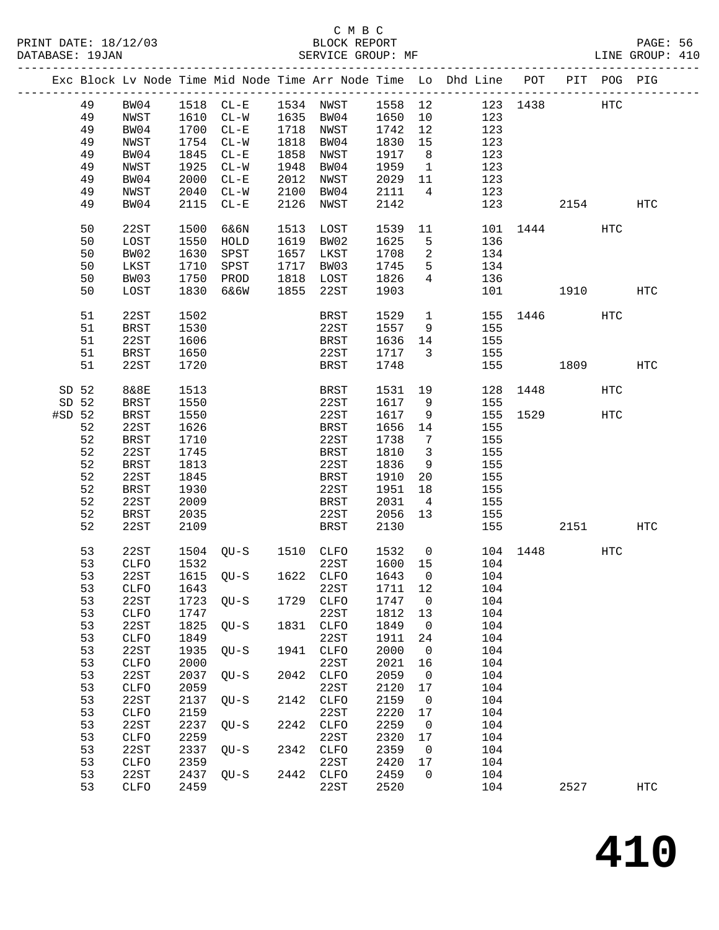|          |          |              |              |                          |      |                   |              |                          | Exc Block Lv Node Time Mid Node Time Arr Node Time Lo Dhd Line POT PIT POG PIG |          |          |     |            |
|----------|----------|--------------|--------------|--------------------------|------|-------------------|--------------|--------------------------|--------------------------------------------------------------------------------|----------|----------|-----|------------|
|          | 49       | BW04         |              |                          |      |                   |              |                          | 1518 CL-E 1534 NWST 1558 12 123 1438 HTC                                       |          |          |     |            |
|          | 49       | NWST         |              | 1610 CL-W 1635 BW04 1650 |      |                   |              | 10                       | 123                                                                            |          |          |     |            |
|          | 49       | BW04         |              | 1700 CL-E                |      | 1718 NWST         | 1742         | 12                       | 123                                                                            |          |          |     |            |
|          | 49       | NWST         | 1754         | $CL-W$                   |      | 1818 BW04         | 1830         | 15                       | 123                                                                            |          |          |     |            |
|          | 49       | BW04         | 1845         | $CL - E$                 |      | 1858 NWST         | 1917         | 8 <sup>8</sup>           | 123                                                                            |          |          |     |            |
|          |          |              |              |                          |      |                   |              |                          |                                                                                |          |          |     |            |
|          | 49       | NWST         |              | 1925 CL-W                |      | 1948 BW04         | 1959         | $\overline{1}$           | 123                                                                            |          |          |     |            |
|          | 49       | BW04         | 2000         | $CL - E$                 |      | 2012 NWST         | 2029         | 11                       | 123                                                                            |          |          |     |            |
|          | 49       | NWST         | 2040         | $CL-W$                   |      | 2100 BW04         | 2111         | $\overline{4}$           | 123                                                                            |          |          |     |            |
|          | 49       | BW04         | 2115         | $CL - E$                 |      | 2126 NWST         | 2142         |                          |                                                                                | 123      | 2154     |     | HTC        |
|          | 50       | 22ST         | 1500         | 6&6N                     | 1513 | LOST              | 1539         |                          | 11                                                                             |          | 101 1444 | HTC |            |
|          | 50       | LOST         | 1550         | HOLD                     |      | 1619 BW02         | 1625         | 5                        | 136                                                                            |          |          |     |            |
|          | 50       | BW02         | 1630         | SPST                     |      | 1657 LKST         | 1708         | $\overline{2}$           | 134                                                                            |          |          |     |            |
|          |          |              |              |                          |      |                   |              |                          |                                                                                |          |          |     |            |
|          | 50       | LKST         | 1710         | SPST                     |      | 1717 BW03         | 1745         | $5^{\circ}$              | 134                                                                            |          |          |     |            |
|          | 50       | BW03         | 1750         | PROD                     |      | 1818 LOST         | 1826         | $4\overline{ }$          | 136                                                                            |          |          |     |            |
|          | 50       | LOST         | 1830         | 6&6W                     |      | 1855 22ST         | 1903         |                          |                                                                                | 101 1910 |          |     | <b>HTC</b> |
|          | 51       | 22ST         | 1502         |                          |      | BRST              | 1529         | $\overline{1}$           |                                                                                |          | 155 1446 | HTC |            |
|          | 51       | BRST         | 1530         |                          |      | 22ST              | 1557         | 9                        | 155                                                                            |          |          |     |            |
|          | 51       | 22ST         | 1606         |                          |      | BRST              | 1636         | 14                       | 155                                                                            |          |          |     |            |
|          |          |              |              |                          |      |                   |              |                          |                                                                                |          |          |     |            |
|          | 51       | <b>BRST</b>  | 1650         |                          |      | 22ST              | 1717         | $\overline{\mathbf{3}}$  | 155                                                                            |          |          |     |            |
|          | 51       | 22ST         | 1720         |                          |      | BRST              | 1748         |                          |                                                                                |          | 155 1809 |     | HTC        |
| SD 52    |          | 8&8E         | 1513         |                          |      | BRST              | 1531         | 19                       |                                                                                | 128 1448 |          | HTC |            |
| SD 52    |          | <b>BRST</b>  | 1550         |                          |      | 22ST              | 1617         | 9                        | 155                                                                            |          |          |     |            |
| $#SD$ 52 |          | BRST         | 1550         |                          |      | 22ST              | 1617         | 9                        |                                                                                | 155 1529 |          | HTC |            |
|          | 52       | 22ST         | 1626         |                          |      | BRST              | 1656         | 14                       | 155                                                                            |          |          |     |            |
|          |          |              |              |                          |      |                   |              |                          |                                                                                |          |          |     |            |
|          | 52       | BRST         | 1710         |                          |      | 22ST              | 1738         | $\overline{7}$           | 155                                                                            |          |          |     |            |
|          | 52       | 22ST         | 1745         |                          |      | BRST              | 1810         | $\overline{\mathbf{3}}$  | 155                                                                            |          |          |     |            |
|          | 52       | <b>BRST</b>  | 1813         |                          |      | 22ST              | 1836         | 9                        | 155                                                                            |          |          |     |            |
|          | 52       | 22ST         | 1845         |                          |      | BRST              | 1910         | 20                       | 155                                                                            |          |          |     |            |
|          | 52       | BRST         | 1930         |                          |      | 22ST              | 1951         | 18                       | 155                                                                            |          |          |     |            |
|          | 52       | 22ST         | 2009         |                          |      | BRST              | 2031         | $\overline{4}$           | 155                                                                            |          |          |     |            |
|          | 52       | BRST         | 2035         |                          |      | 22ST              | 2056         | 13                       | 155                                                                            |          |          |     |            |
|          | 52       | 22ST         | 2109         |                          |      | BRST              | 2130         |                          | 155                                                                            |          | 2151     |     | HTC        |
|          |          |              |              |                          |      |                   |              |                          |                                                                                |          |          |     |            |
|          | 53       | 22ST         |              | 1504 QU-S 1510 CLFO      |      |                   | 1532         | $\overline{0}$           |                                                                                |          | 104 1448 | HTC |            |
|          | 53       | CLFO         | 1532         |                          |      | 22ST              | 1600 15      |                          | 104                                                                            |          |          |     |            |
|          | 53       | 22ST         |              | 1615 QU-S 1622 CLFO      |      |                   | 1643         | $\overline{0}$           | 104                                                                            |          |          |     |            |
|          |          |              |              |                          |      |                   |              |                          | 53 CLFO 1643 22ST 1711 12 104                                                  |          |          |     |            |
|          | 53       | 22ST         | 1723         | QU-S                     |      | 1729 CLFO         | 1747         | $\overline{\phantom{0}}$ | 104                                                                            |          |          |     |            |
|          | 53       | ${\tt CLFO}$ | 1747         |                          |      | 22ST              | 1812         | 13                       | 104                                                                            |          |          |     |            |
|          |          |              |              |                          | 1831 |                   |              |                          |                                                                                |          |          |     |            |
|          | 53       | 22ST         | 1825         | QU-S                     |      | <b>CLFO</b>       | 1849         | $\overline{0}$           | 104                                                                            |          |          |     |            |
|          | 53       | CLFO         | 1849         |                          |      | 22ST              | 1911         | 24                       | 104                                                                            |          |          |     |            |
|          | 53       | 22ST         | 1935         | $QU-S$                   | 1941 | CLFO              | 2000         | $\overline{0}$           | 104                                                                            |          |          |     |            |
|          | 53       | ${\tt CLFO}$ | 2000         |                          |      | 22ST              | 2021         | 16                       | 104                                                                            |          |          |     |            |
|          | 53       | 22ST         | 2037         | $QU-S$                   | 2042 | CLFO              | 2059         | $\overline{0}$           | 104                                                                            |          |          |     |            |
|          | 53       | ${\tt CLFO}$ | 2059         |                          |      | 22ST              | 2120         | 17                       | 104                                                                            |          |          |     |            |
|          | 53       | 22ST         | 2137         | QU-S                     | 2142 | CLFO              | 2159         | $\overline{0}$           | 104                                                                            |          |          |     |            |
|          |          |              |              |                          |      |                   |              |                          |                                                                                |          |          |     |            |
|          |          | ${\tt CLFO}$ | 2159         |                          |      | 22ST              | 2220         | 17                       | 104                                                                            |          |          |     |            |
|          | 53       |              | 2237         | $QU-S$                   | 2242 | CLFO              | 2259         | $\overline{0}$           | 104                                                                            |          |          |     |            |
|          | 53       | 22ST         |              |                          |      |                   |              |                          |                                                                                |          |          |     |            |
|          | 53       | ${\tt CLFO}$ | 2259         |                          |      | 22ST              | 2320         | 17                       | 104                                                                            |          |          |     |            |
|          | 53       | 22ST         | 2337         | $QU-S$                   | 2342 | CLFO              | 2359         | $\overline{0}$           | 104                                                                            |          |          |     |            |
|          |          |              |              |                          |      |                   |              |                          |                                                                                |          |          |     |            |
|          | 53<br>53 | CLFO<br>22ST | 2359<br>2437 | $QU-S$                   |      | 22ST<br>2442 CLFO | 2420<br>2459 | 17<br>$\overline{0}$     | 104<br>104                                                                     |          |          |     |            |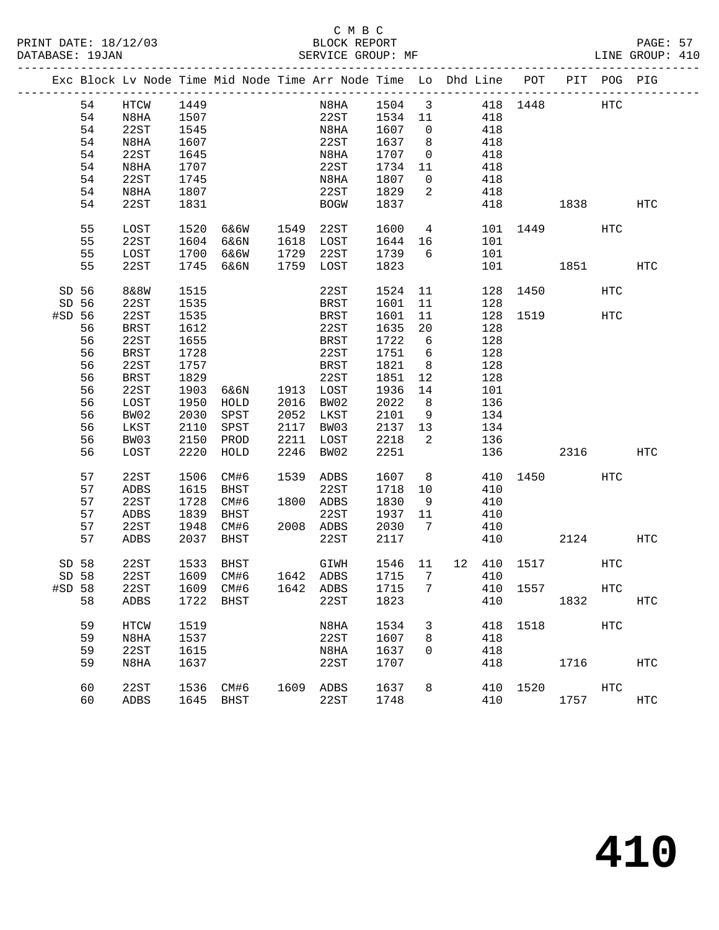|        |        |             |      |                |      | Exc Block Lv Node Time Mid Node Time Arr Node Time Lo Dhd Line POT PIT POG PIG |         |                            |                 |     |             |           |            |                   |
|--------|--------|-------------|------|----------------|------|--------------------------------------------------------------------------------|---------|----------------------------|-----------------|-----|-------------|-----------|------------|-------------------|
|        | 54     | HTCW        | 1449 |                |      | N8HA 1504 3 418 1448 HTC                                                       |         |                            |                 |     |             |           |            |                   |
|        | 54     | N8HA        | 1507 |                |      | 22ST 1534 11                                                                   |         |                            |                 | 418 |             |           |            |                   |
|        | 54     | 22ST        | 1545 |                |      | N8HA                                                                           | 1607    | $\overline{0}$             |                 | 418 |             |           |            |                   |
|        | 54     | N8HA        | 1607 |                |      | 22ST                                                                           | 1637    | 8                          |                 | 418 |             |           |            |                   |
|        | 54     | 22ST        | 1645 |                |      | N8HA                                                                           | 1707    | $\overline{0}$             |                 | 418 |             |           |            |                   |
|        | 54     | N8HA        | 1707 |                |      | 22ST                                                                           | 1734 11 |                            |                 | 418 |             |           |            |                   |
|        | 54     | 22ST        | 1745 |                |      | N8HA                                                                           | 1807    | $\overline{0}$             |                 | 418 |             |           |            |                   |
|        | 54     | N8HA        | 1807 |                |      | 22ST                                                                           | 1829    | $\overline{a}$             |                 | 418 |             |           |            |                   |
|        | 54     | 22ST        | 1831 |                |      | BOGW                                                                           | 1837    |                            |                 |     | 418         | 1838      |            | HTC               |
|        |        |             |      |                |      |                                                                                |         |                            |                 |     |             |           |            |                   |
|        | 55     | LOST        | 1520 | 6&6W 1549      |      | 22ST                                                                           | 1600    |                            | $4\overline{ }$ |     | 101 1449    |           | HTC        |                   |
|        | 55     | 22ST        | 1604 | 6&6N           |      | 1618 LOST                                                                      | 1644 16 |                            |                 | 101 |             |           |            |                   |
|        | 55     | LOST        | 1700 | 6&6W           |      | 1729 22ST                                                                      | 1739    | 6                          |                 | 101 |             |           |            |                   |
|        | 55     | 22ST        |      | 1745 6&6N      |      | 1759 LOST                                                                      | 1823    |                            |                 |     | 101 000     | 1851 1890 |            | HTC               |
| SD 56  |        | 8&8W        | 1515 |                |      | 22ST                                                                           | 1524    | 11                         |                 |     | 128 1450    |           | <b>HTC</b> |                   |
| SD 56  |        | 22ST        | 1535 |                |      | BRST                                                                           | 1601    | 11                         |                 | 128 |             |           |            |                   |
| #SD 56 |        | 22ST        | 1535 |                |      | BRST                                                                           | 1601    | 11                         |                 |     |             | 128 1519  | HTC        |                   |
|        | 56     | BRST        | 1612 |                |      | 22ST                                                                           | 1635    | 20                         |                 | 128 |             |           |            |                   |
|        | 56     | 22ST        | 1655 |                |      | BRST                                                                           | 1722    | $6\overline{6}$            |                 | 128 |             |           |            |                   |
|        | 56     | <b>BRST</b> | 1728 |                |      | 22ST                                                                           | 1751    | 6                          |                 | 128 |             |           |            |                   |
|        | 56     | 22ST        | 1757 |                |      | <b>BRST</b>                                                                    | 1821    | 8 <sup>8</sup>             |                 | 128 |             |           |            |                   |
|        | 56     | BRST        | 1829 |                |      | 22ST                                                                           | 1851    | 12                         |                 | 128 |             |           |            |                   |
|        | 56     | 22ST        | 1903 | 6&6N 1913 LOST |      |                                                                                | 1936    | 14                         |                 | 101 |             |           |            |                   |
|        | 56     | LOST        | 1950 | HOLD           | 2016 | BW02                                                                           | 2022    | 8 <sup>8</sup>             |                 | 136 |             |           |            |                   |
|        | 56     | BW02        | 2030 | SPST           |      | 2052 LKST                                                                      | 2101    | 9                          |                 | 134 |             |           |            |                   |
|        | 56     | LKST        | 2110 | SPST           |      | 2117 BW03                                                                      | 2137 13 |                            |                 | 134 |             |           |            |                   |
|        | 56     | BW03        | 2150 | PROD           | 2211 | LOST                                                                           | 2218    | $\overline{\phantom{a}}^2$ |                 | 136 |             |           |            |                   |
|        | 56     | LOST        | 2220 | HOLD           |      | 2246 BW02                                                                      | 2251    |                            |                 |     |             | 136 2316  |            | HTC               |
|        | 57     | 22ST        | 1506 | CM#6           |      | 1539 ADBS                                                                      | 1607    | 8 <sup>8</sup>             |                 | 410 | 1450        |           | HTC        |                   |
|        | 57     | ADBS        | 1615 | BHST           |      | 22ST                                                                           | 1718    | 10                         |                 | 410 |             |           |            |                   |
|        | 57     | 22ST        | 1728 | CM#6           |      | 1800 ADBS                                                                      | 1830    | - 9                        |                 | 410 |             |           |            |                   |
|        | 57     | ADBS        | 1839 | BHST           |      | 22ST                                                                           | 1937    | 11                         |                 | 410 |             |           |            |                   |
|        | 57     | 22ST        |      | 1948 CM#6      |      | 2008 ADBS                                                                      | 2030    | $\overline{7}$             |                 | 410 |             |           |            |                   |
|        | 57     | ADBS        | 2037 | BHST           |      | 22ST                                                                           | 2117    |                            |                 | 410 |             | 2124      |            | HTC               |
|        |        |             |      |                |      |                                                                                |         |                            |                 |     |             |           |            |                   |
| SD 58  |        | 22ST        | 1533 | BHST           |      | GIWH                                                                           | 1546 11 |                            |                 |     | 12 410 1517 |           | HTC        |                   |
|        | SD 58  | 22ST        |      | 1609 CM#6      |      | 1642 ADBS                                                                      | 1715    | $7\phantom{0}$             |                 | 410 |             |           |            |                   |
|        | #SD 58 |             |      |                |      | 22ST 1609 CM#6 1642 ADBS 1715 7 410 1557                                       |         |                            |                 |     |             |           | HTC        |                   |
|        | 58     | ADBS        |      | 1722 BHST      |      | 22ST                                                                           | 1823    |                            |                 | 410 |             | 1832      |            | <b>HTC</b>        |
|        | 59     | HTCW        | 1519 |                |      | N8HA                                                                           | 1534    | 3                          |                 |     | 418 1518    |           | <b>HTC</b> |                   |
|        | 59     | N8HA        | 1537 |                |      | 22ST                                                                           | 1607    | 8                          |                 | 418 |             |           |            |                   |
|        | 59     | 22ST        | 1615 |                |      | N8HA                                                                           | 1637    | 0                          |                 | 418 |             |           |            |                   |
|        | 59     | N8HA        | 1637 |                |      | 22ST                                                                           | 1707    |                            |                 | 418 |             | 1716      |            | HTC               |
|        | 60     | 22ST        | 1536 | CM#6           | 1609 | ADBS                                                                           | 1637    | 8                          |                 |     | 410 1520    |           | HTC        |                   |
|        | 60     | ADBS        |      | 1645 BHST      |      | 22ST                                                                           | 1748    |                            |                 | 410 |             | 1757      |            | $_{\mathrm{HTC}}$ |
|        |        |             |      |                |      |                                                                                |         |                            |                 |     |             |           |            |                   |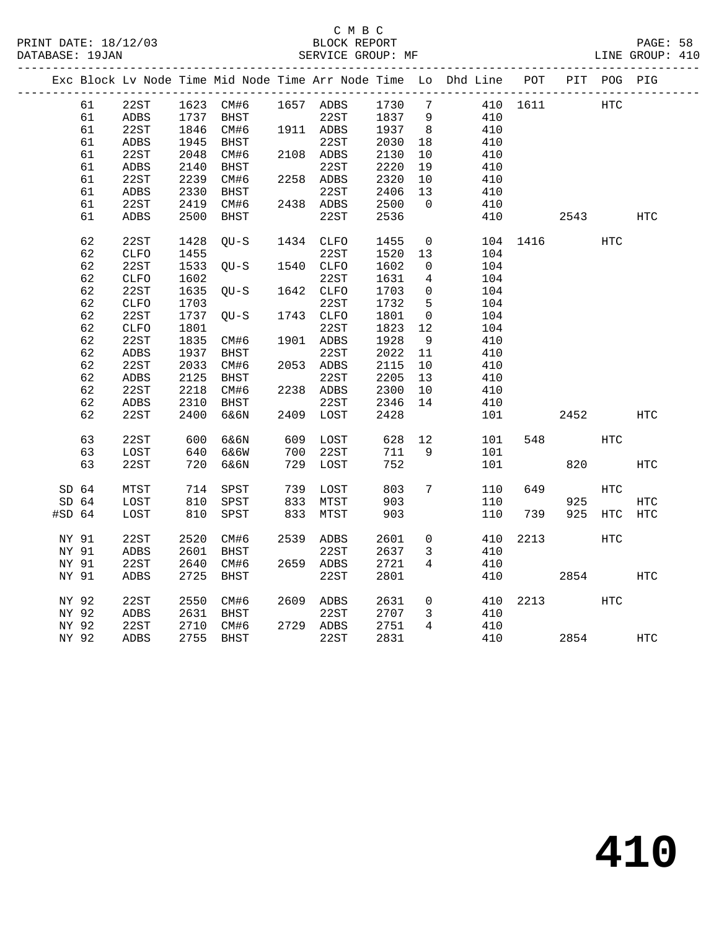|          |                  |              |      |             |      |           |      |                 | Exc Block Lv Node Time Mid Node Time Arr Node Time Lo Dhd Line POT |          |      | PIT POG PIG |            |
|----------|------------------|--------------|------|-------------|------|-----------|------|-----------------|--------------------------------------------------------------------|----------|------|-------------|------------|
|          | 61               | 22ST         |      | 1623 CM#6   |      | 1657 ADBS | 1730 | 7               |                                                                    | 410 1611 |      | HTC         |            |
|          | 61               | ${\tt ADBS}$ | 1737 | <b>BHST</b> |      | 22ST      | 1837 | 9               | 410                                                                |          |      |             |            |
|          | 61               | 22ST         |      | 1846 CM#6   |      | 1911 ADBS | 1937 | 8               | 410                                                                |          |      |             |            |
|          | 61               | ADBS         | 1945 | BHST        |      | 22ST      | 2030 | 18              | 410                                                                |          |      |             |            |
|          | 61               | 22ST         | 2048 | CM#6        |      | 2108 ADBS | 2130 | $10\,$          | 410                                                                |          |      |             |            |
|          | 61               | ${\tt ADBS}$ | 2140 | BHST        |      | 22ST      | 2220 | 19              | 410                                                                |          |      |             |            |
|          | 61               | 22ST         | 2239 | CM#6        |      | 2258 ADBS | 2320 | 10              | 410                                                                |          |      |             |            |
|          | 61               | ADBS         | 2330 | BHST        |      | 22ST      | 2406 | 13              | 410                                                                |          |      |             |            |
|          | 61               | 22ST         | 2419 | CM#6        |      | 2438 ADBS | 2500 | $\overline{0}$  | 410                                                                |          |      |             |            |
|          | 61               | ADBS         | 2500 | BHST        |      | 22ST      | 2536 |                 | 410                                                                |          | 2543 |             | <b>HTC</b> |
|          |                  |              |      |             |      |           |      |                 |                                                                    |          |      |             |            |
|          | 62               | 22ST         | 1428 | $OU-S$      |      | 1434 CLFO | 1455 | $\overline{0}$  | 104                                                                | 1416     |      | <b>HTC</b>  |            |
|          | 62               | CLFO         | 1455 |             |      | 22ST      | 1520 | 13              | 104                                                                |          |      |             |            |
|          | 62               | 22ST         | 1533 | OU-S        |      | 1540 CLFO | 1602 | $\overline{0}$  | 104                                                                |          |      |             |            |
|          | 62               | <b>CLFO</b>  | 1602 |             |      | 22ST      | 1631 | 4               | 104                                                                |          |      |             |            |
|          | 62               | 22ST         | 1635 | QU-S        |      | 1642 CLFO | 1703 | $\overline{0}$  | 104                                                                |          |      |             |            |
|          | 62               | ${\tt CLFO}$ | 1703 |             |      | 22ST      | 1732 | 5               | 104                                                                |          |      |             |            |
|          | 62               | 22ST         | 1737 | OU-S        |      | 1743 CLFO | 1801 | $\overline{0}$  | 104                                                                |          |      |             |            |
|          | 62               | CLFO         | 1801 |             |      | 22ST      | 1823 | 12              | 104                                                                |          |      |             |            |
|          | 62               | 22ST         | 1835 | CM#6        |      | 1901 ADBS | 1928 | 9               | 410                                                                |          |      |             |            |
|          | 62               | ADBS         | 1937 | BHST        |      | 22ST      | 2022 | 11              | 410                                                                |          |      |             |            |
|          | 62               | 22ST         | 2033 | CM#6        |      | 2053 ADBS | 2115 | 10              | 410                                                                |          |      |             |            |
|          | 62               | ADBS         | 2125 | BHST        |      | 22ST      | 2205 | 13              | 410                                                                |          |      |             |            |
|          | 62               | 22ST         | 2218 | CM#6        |      | 2238 ADBS | 2300 | 10              | 410                                                                |          |      |             |            |
|          | 62               | ADBS         | 2310 | BHST        |      | 22ST      | 2346 | 14              | 410                                                                |          |      |             |            |
|          | 62               | 22ST         | 2400 | 6&6N        |      | 2409 LOST | 2428 |                 | 101                                                                |          | 2452 |             | HTC        |
|          |                  |              |      |             |      |           |      |                 |                                                                    |          |      |             |            |
|          | 63               | 22ST         | 600  | 6&6N        |      | 609 LOST  | 628  | 12              | 101                                                                | 548      |      | HTC         |            |
|          | 63               | LOST         | 640  | 6&6W        | 700  | 22ST      | 711  | 9               | 101                                                                |          |      |             |            |
|          | 63               | 22ST         | 720  | 6&6N        | 729  | LOST      | 752  |                 | 101                                                                |          | 820  |             | <b>HTC</b> |
|          |                  |              |      |             |      |           |      |                 |                                                                    |          |      |             |            |
| SD 64    |                  | MTST         | 714  | SPST        | 739  | LOST      | 803  | $7\overline{ }$ | 110                                                                | 649      |      | HTC         |            |
|          | SD <sub>64</sub> | LOST         | 810  | SPST        | 833  | MTST      | 903  |                 | 110                                                                |          | 925  |             | <b>HTC</b> |
| $#SD$ 64 |                  | LOST         | 810  | SPST        | 833  | MTST      | 903  |                 | 110                                                                | 739      | 925  | <b>HTC</b>  | <b>HTC</b> |
| NY 91    |                  | 22ST         | 2520 | CM#6        | 2539 | ADBS      | 2601 | $\mathbf 0$     | 410                                                                | 2213     |      | <b>HTC</b>  |            |
|          | NY 91            | ADBS         | 2601 | BHST        |      | 22ST      | 2637 | 3               | 410                                                                |          |      |             |            |
| NY 91    |                  | 22ST         | 2640 | CM#6        |      | 2659 ADBS | 2721 | $\overline{4}$  | 410                                                                |          |      |             |            |
| NY 91    |                  | <b>ADBS</b>  | 2725 | BHST        |      | 22ST      | 2801 |                 | 410                                                                |          | 2854 |             | <b>HTC</b> |
|          |                  |              |      |             |      |           |      |                 |                                                                    |          |      |             |            |
| NY 92    |                  | 22ST         | 2550 | CM#6        |      | 2609 ADBS | 2631 | $\overline{0}$  | 410                                                                |          | 2213 | HTC         |            |
| NY 92    |                  | ADBS         | 2631 | BHST        |      | 22ST      | 2707 | $\mathbf{3}$    | 410                                                                |          |      |             |            |
| NY 92    |                  | 22ST         | 2710 | CM#6        |      | 2729 ADBS | 2751 | $4\overline{ }$ | 410                                                                |          |      |             |            |
|          | NY 92            | ADBS         | 2755 | BHST        |      | 22ST      | 2831 |                 | 410                                                                |          | 2854 |             | HTC        |
|          |                  |              |      |             |      |           |      |                 |                                                                    |          |      |             |            |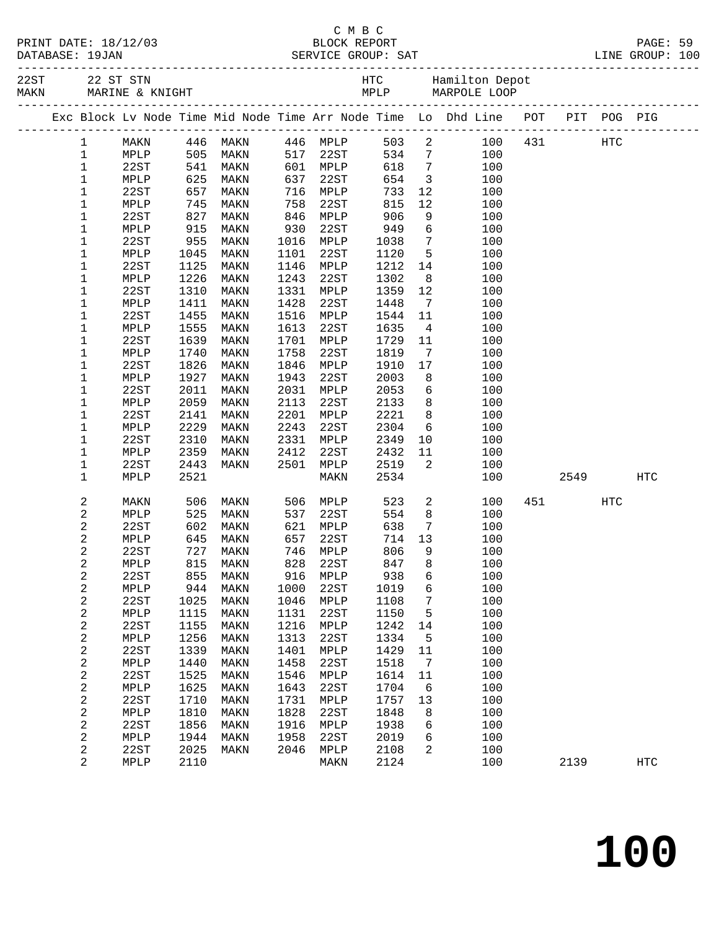|  | PRINT DATE: 18/12/03 |  |
|--|----------------------|--|
|  | $\cdots$             |  |

#### C M B C PAGE: 59<br>PAGE: 59<br>PAGE: 18/12/03 BLOCK REPORT PAGE: 59

| DATABASE: 19JAN  |              |              |                                                                   |              |              |              |                         |                                                                                |             |      |            |  |
|------------------|--------------|--------------|-------------------------------------------------------------------|--------------|--------------|--------------|-------------------------|--------------------------------------------------------------------------------|-------------|------|------------|--|
|                  |              |              |                                                                   |              |              |              |                         |                                                                                |             |      |            |  |
|                  |              |              |                                                                   |              |              |              |                         | Exc Block Lv Node Time Mid Node Time Arr Node Time Lo Dhd Line POT PIT POG PIG |             |      |            |  |
| $\mathbf{1}$     | MAKN         |              | 446 MAKN   446 MPLP<br>505 MAKN   517 22ST<br>541 MAKN   601 MPLP |              |              |              |                         | 503 2                                                                          | 100 431 HTC |      |            |  |
| $\mathbf{1}$     | MPLP         |              |                                                                   |              |              |              | 505<br>534 7            | 100                                                                            |             |      |            |  |
| $\mathbf 1$      | 22ST         |              | 505 MAKIN<br>541 MAKN                                             |              | 601 MPLP     | 618          | $7\overline{ }$         | 100                                                                            |             |      |            |  |
| $1\,$            | MPLP         | 625          | MAKN                                                              | 637          | 22ST         | 654          | $\overline{\mathbf{3}}$ | 100                                                                            |             |      |            |  |
| $\mathbf 1$      | 22ST         | 657          | MAKN                                                              | 716          | MPLP         | 733          | 12                      | 100                                                                            |             |      |            |  |
| 1                | MPLP         | 745<br>827   | MAKN                                                              | 758          | 22ST         | 815          | 12                      | 100                                                                            |             |      |            |  |
| $\mathbf 1$      | 22ST         |              | MAKN                                                              | 846          | MPLP         | 906          | 9                       | 100                                                                            |             |      |            |  |
| 1                | MPLP         | 915          | MAKN                                                              | 930          | 22ST         | 949          | 6                       | 100                                                                            |             |      |            |  |
| 1                | 22ST         | 955          | MAKN                                                              | 1016         | MPLP         | 1038         | $7\overline{ }$         | 100                                                                            |             |      |            |  |
| 1                | MPLP         | 1045         | MAKN                                                              | 1101         | 22ST         | 1120         | $5^{\circ}$             | 100                                                                            |             |      |            |  |
| $\mathbf 1$      | 22ST         | 1125         | MAKN                                                              | 1146         | MPLP         | 1212         | 14                      | 100                                                                            |             |      |            |  |
| 1                | MPLP         | 1226         | MAKN                                                              | 1243         | 22ST         | 1302         | 8                       | 100                                                                            |             |      |            |  |
| 1                | 22ST         | 1310         | MAKN                                                              | 1331         | MPLP         | 1359         | 12                      | 100                                                                            |             |      |            |  |
| 1                | MPLP         | 1411         | MAKN                                                              | 1428         | 22ST         | 1448         | $\overline{7}$          | 100                                                                            |             |      |            |  |
| $\mathbf 1$      | 22ST         | 1455         | MAKN                                                              | 1516         | MPLP         | 1544         | 11                      | 100                                                                            |             |      |            |  |
| 1                | MPLP<br>22ST | 1555<br>1639 | MAKN                                                              | 1613<br>1701 | 22ST         | 1635<br>1729 | $\overline{4}$          | 100<br>100                                                                     |             |      |            |  |
| 1                | MPLP         | 1740         | MAKN                                                              | 1758         | MPLP<br>22ST | 1819         | 11                      | 100                                                                            |             |      |            |  |
| 1<br>$1\,$       | 22ST         | 1826         | MAKN<br>MAKN                                                      | 1846         | MPLP         | 1910         | $\overline{7}$<br>17    | 100                                                                            |             |      |            |  |
| 1                | MPLP         | 1927         | MAKN                                                              | 1943         | 22ST         | 2003         | 8                       | 100                                                                            |             |      |            |  |
| $1\,$            | 22ST         | 2011         | MAKN                                                              | 2031         | MPLP         | 2053         | 6                       | 100                                                                            |             |      |            |  |
| 1                | MPLP         | 2059         | MAKN                                                              | 2113         | 22ST         | 2133         | 8                       | 100                                                                            |             |      |            |  |
| $1\,$            | 22ST         | 2141         | MAKN                                                              | 2201         | MPLP         | 2221         | 8 <sup>8</sup>          | 100                                                                            |             |      |            |  |
| 1                | MPLP         | 2229         | MAKN                                                              | 2243         | 22ST         | 2304         | 6                       | 100                                                                            |             |      |            |  |
| 1                | 22ST         | 2310         | MAKN                                                              | 2331         | MPLP         | 2349         | 10                      | 100                                                                            |             |      |            |  |
| 1                | MPLP         | 2359         | MAKN                                                              | 2412         | 22ST         | 2432         | 11                      | 100                                                                            |             |      |            |  |
| 1                | 22ST         | 2443         | MAKN                                                              | 2501         | MPLP         | 2519         | $\overline{2}$          | 100                                                                            |             |      |            |  |
| $\mathbf 1$      | MPLP         | 2521         |                                                                   |              | MAKN         | 2534         |                         | 100                                                                            |             | 2549 | <b>HTC</b> |  |
| 2                | MAKN         | 506          | MAKN                                                              | 506          | MPLP         | 523          | $\overline{a}$          | 100                                                                            |             | HTC  |            |  |
| $\mathbf 2$      | MPLP         | 525          | MAKN                                                              | 537          | 22ST         | 554          | 8                       | 100                                                                            |             |      |            |  |
| $\sqrt{2}$       | 22ST         | 602          | MAKN                                                              | 621          | MPLP         | 638          | $7\overline{ }$         | 100                                                                            |             |      |            |  |
| $\overline{c}$   | MPLP         | 645          | MAKN                                                              | 657          | 22ST         | 714          | 13                      | 100                                                                            |             |      |            |  |
| $\mathbf 2$      | 22ST         | 727          | MAKN                                                              | 746          | MPLP         | 806          | 9                       | 100                                                                            |             |      |            |  |
| $\overline{c}$   | MPLP         | 815          | MAKN                                                              | 828          | 22ST         | 847          | 8                       | 100                                                                            |             |      |            |  |
| $\sqrt{2}$       | 22ST         |              | 855 MAKN 916 MPLP 938 6                                           |              |              |              |                         | 100                                                                            |             |      |            |  |
| 2                | MPLP         | 944          | MAKN                                                              | 1000         | 22ST         | 1019         | 6                       | 100                                                                            |             |      |            |  |
| 2                | 22ST         | 1025         | MAKN                                                              | 1046         | MPLP         | 1108         | 7                       | 100                                                                            |             |      |            |  |
| 2                | MPLP         | 1115         | MAKN                                                              | 1131         | 22ST         | 1150         | 5                       | 100                                                                            |             |      |            |  |
| $\mathbf 2$      | 22ST         | 1155         | MAKN                                                              | 1216         | MPLP         | 1242         | 14                      | 100                                                                            |             |      |            |  |
| 2                | MPLP         | 1256         | MAKN                                                              | 1313         | 22ST         | 1334         | 5                       | 100                                                                            |             |      |            |  |
| $\boldsymbol{2}$ | 22ST         | 1339         | MAKN                                                              | 1401         | MPLP         | 1429         | 11                      | 100                                                                            |             |      |            |  |
| $\boldsymbol{2}$ | MPLP         | 1440         | MAKN                                                              | 1458         | 22ST         | 1518         | 7                       | 100                                                                            |             |      |            |  |
| $\sqrt{2}$       | <b>22ST</b>  | 1525         | MAKN                                                              | 1546         | MPLP         | 1614         | 11                      | 100                                                                            |             |      |            |  |
| $\boldsymbol{2}$ | MPLP         | 1625         | MAKN                                                              | 1643         | 22ST         | 1704         | 6                       | 100                                                                            |             |      |            |  |
| $\boldsymbol{2}$ | 22ST         | 1710         | MAKN                                                              | 1731         | MPLP         | 1757         | 13                      | 100                                                                            |             |      |            |  |
| 2                | MPLP         | 1810         | MAKN                                                              | 1828         | 22ST         | 1848         | 8                       | 100                                                                            |             |      |            |  |
| $\mathbf 2$      | <b>22ST</b>  | 1856         | MAKN                                                              | 1916         | MPLP         | 1938         | 6                       | 100                                                                            |             |      |            |  |
| $\sqrt{2}$       | MPLP         | 1944         | MAKN                                                              | 1958         | 22ST         | 2019         | 6                       | 100                                                                            |             |      |            |  |
| $\boldsymbol{2}$ | 22ST         | 2025         | MAKN                                                              | 2046         | MPLP         | 2108         | 2                       | 100                                                                            |             |      |            |  |
| 2                | MPLP         | 2110         |                                                                   |              | MAKN         | 2124         |                         | 100                                                                            | 2139        |      | HTC        |  |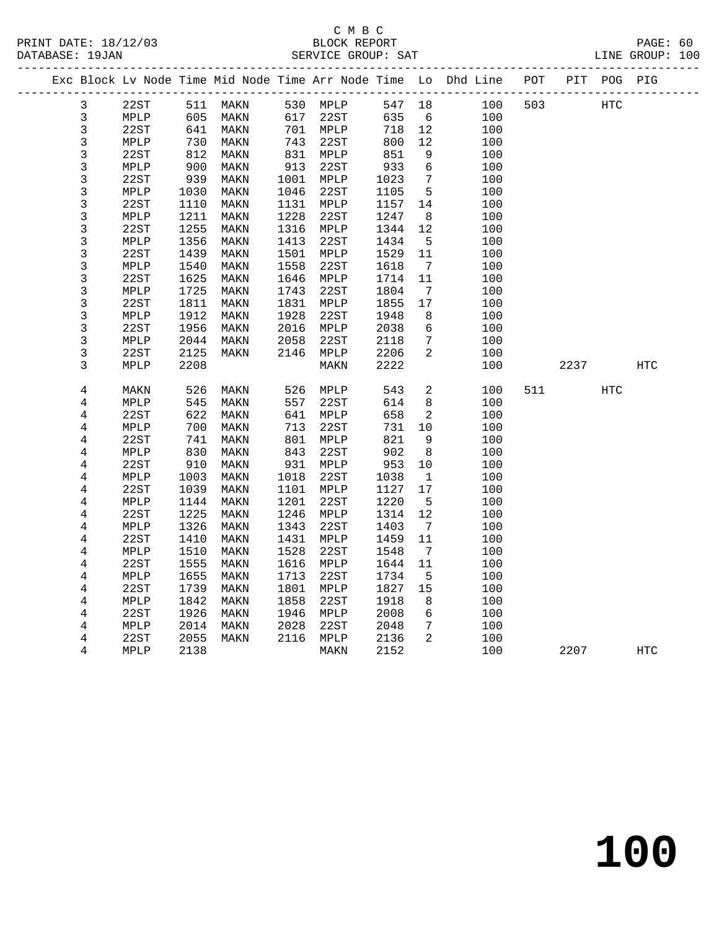|  |                         |                 |      |          |      |                 |        |                              | Exc Block Lv Node Time Mid Node Time Arr Node Time Lo Dhd Line POT |     |      | PIT POG PIG |                   |
|--|-------------------------|-----------------|------|----------|------|-----------------|--------|------------------------------|--------------------------------------------------------------------|-----|------|-------------|-------------------|
|  | $\mathsf{3}$            | 22ST            |      | 511 MAKN |      | 530 MPLP        | 547 18 |                              | 100                                                                | 503 |      | <b>HTC</b>  |                   |
|  | $\mathfrak{Z}$          | MPLP            | 605  | MAKN     | 617  | 22ST            | 635    | 6                            | 100                                                                |     |      |             |                   |
|  | $\mathsf 3$             | 22ST            | 641  | MAKN     |      | 701 MPLP        | 718    | 12                           | 100                                                                |     |      |             |                   |
|  | $\mathsf 3$             | MPLP            | 730  | MAKN     | 743  | 22ST            | 800    | 12                           | 100                                                                |     |      |             |                   |
|  | $\mathbf{3}$            | 22ST            | 812  | MAKN     | 831  | MPLP            | 851    | 9                            | 100                                                                |     |      |             |                   |
|  | 3                       | MPLP            | 900  | MAKN     | 913  | 22ST            | 933    | 6                            | 100                                                                |     |      |             |                   |
|  | 3                       | 22ST            | 939  | MAKN     | 1001 | MPLP            | 1023   | $7\phantom{.0}$              | 100                                                                |     |      |             |                   |
|  | 3                       | MPLP            | 1030 | MAKN     | 1046 | 22ST            | 1105   | 5                            | 100                                                                |     |      |             |                   |
|  | 3                       | 22ST            | 1110 | MAKN     | 1131 | MPLP            | 1157   | 14                           | 100                                                                |     |      |             |                   |
|  | 3                       | MPLP            | 1211 | MAKN     | 1228 | 22ST            | 1247   | 8                            | 100                                                                |     |      |             |                   |
|  | 3                       | 22ST            | 1255 | MAKN     | 1316 | $\texttt{MPLP}$ | 1344   | 12                           | 100                                                                |     |      |             |                   |
|  | $\mathsf{3}$            | MPLP            | 1356 | MAKN     | 1413 | 22ST            | 1434   | $5\overline{5}$              | 100                                                                |     |      |             |                   |
|  | 3                       | 22ST            | 1439 | MAKN     | 1501 | MPLP            | 1529   | 11                           | 100                                                                |     |      |             |                   |
|  | 3                       | $\texttt{MPLP}$ | 1540 | MAKN     | 1558 | 22ST            | 1618   | $7\phantom{.0}\phantom{.0}7$ | 100                                                                |     |      |             |                   |
|  | $\mathsf{3}$            | 22ST            | 1625 | MAKN     | 1646 | MPLP            | 1714   | 11                           | 100                                                                |     |      |             |                   |
|  | 3                       | MPLP            | 1725 | MAKN     | 1743 | 22ST            | 1804   | $7\phantom{.0}$              | 100                                                                |     |      |             |                   |
|  | 3                       | 22ST            | 1811 | MAKN     | 1831 | MPLP            | 1855   | 17                           | 100                                                                |     |      |             |                   |
|  | $\mathsf{3}$            | MPLP            | 1912 | MAKN     | 1928 | 22ST            | 1948   | 8                            | 100                                                                |     |      |             |                   |
|  | $\mathsf{3}$            | 22ST            | 1956 | MAKN     | 2016 | MPLP            | 2038   | 6                            | 100                                                                |     |      |             |                   |
|  | 3                       | MPLP            | 2044 | MAKN     | 2058 | 22ST            | 2118   | 7                            | 100                                                                |     |      |             |                   |
|  | 3                       | 22ST            | 2125 | MAKN     | 2146 | MPLP            | 2206   | 2                            | 100                                                                |     |      |             |                   |
|  | 3                       | MPLP            | 2208 |          |      | MAKN            | 2222   |                              | 100                                                                |     | 2237 |             | $_{\mathrm{HTC}}$ |
|  |                         |                 |      |          |      |                 |        |                              |                                                                    |     |      |             |                   |
|  | $\overline{4}$          | MAKN            | 526  | MAKN     | 526  | MPLP            | 543    | 2                            | 100                                                                | 511 |      | HTC         |                   |
|  | $\overline{\mathbf{4}}$ | MPLP            | 545  | MAKN     | 557  | 22ST            | 614    | 8                            | 100                                                                |     |      |             |                   |
|  | $\overline{4}$          | 22ST            | 622  | MAKN     | 641  | MPLP            | 658    | $\overline{c}$               | 100                                                                |     |      |             |                   |
|  | 4                       | MPLP            | 700  | MAKN     | 713  | 22ST            | 731    | 10                           | 100                                                                |     |      |             |                   |
|  | $\bf 4$                 | 22ST            | 741  | MAKN     | 801  | MPLP            | 821    | 9                            | 100                                                                |     |      |             |                   |
|  | 4                       | MPLP            | 830  | MAKN     | 843  | 22ST            | 902    | 8                            | 100                                                                |     |      |             |                   |
|  | 4                       | 22ST            | 910  | MAKN     | 931  | MPLP            | 953    | 10                           | 100                                                                |     |      |             |                   |
|  | 4                       | MPLP            | 1003 | MAKN     | 1018 | 22ST            | 1038   | $\mathbf{1}$                 | 100                                                                |     |      |             |                   |
|  | $\overline{4}$          | 22ST            | 1039 | MAKN     | 1101 | $\texttt{MPLP}$ | 1127   | 17                           | 100                                                                |     |      |             |                   |
|  | 4                       | MPLP            | 1144 | MAKN     | 1201 | 22ST            | 1220   | $\overline{5}$               | 100                                                                |     |      |             |                   |
|  | 4                       | 22ST            | 1225 | MAKN     | 1246 | MPLP            | 1314   | 12                           | 100                                                                |     |      |             |                   |
|  | 4                       | MPLP            | 1326 | MAKN     | 1343 | 22ST            | 1403   | $7\phantom{.0}$              | 100                                                                |     |      |             |                   |
|  | $\overline{\mathbf{4}}$ | 22ST            | 1410 | MAKN     | 1431 | MPLP            | 1459   | 11                           | 100                                                                |     |      |             |                   |
|  | 4                       | MPLP            | 1510 | MAKN     | 1528 | 22ST            | 1548   | $\overline{7}$               | 100                                                                |     |      |             |                   |
|  | 4                       | 22ST            | 1555 | MAKN     | 1616 | MPLP            | 1644   | 11                           | 100                                                                |     |      |             |                   |
|  | 4                       | MPLP            | 1655 | MAKN     | 1713 | 22ST            | 1734   | 5                            | 100                                                                |     |      |             |                   |
|  | $\,4$                   | 22ST            | 1739 | MAKN     | 1801 | MPLP            | 1827   | 15                           | 100                                                                |     |      |             |                   |
|  | 4                       | MPLP            | 1842 | MAKN     | 1858 | 22ST            | 1918   | 8                            | 100                                                                |     |      |             |                   |
|  | 4                       | 22ST            | 1926 | MAKN     | 1946 | MPLP            | 2008   | 6                            | 100                                                                |     |      |             |                   |
|  | $\overline{\mathbf{4}}$ | MPLP            | 2014 | MAKN     | 2028 | 22ST            | 2048   | 7                            | 100                                                                |     |      |             |                   |
|  | $\,4$                   | 22ST            | 2055 | MAKN     | 2116 | MPLP            | 2136   | $\overline{2}$               | 100                                                                |     |      |             |                   |
|  | 4                       | MPLP            | 2138 |          |      | MAKN            | 2152   |                              | 100                                                                |     | 2207 |             | <b>HTC</b>        |
|  |                         |                 |      |          |      |                 |        |                              |                                                                    |     |      |             |                   |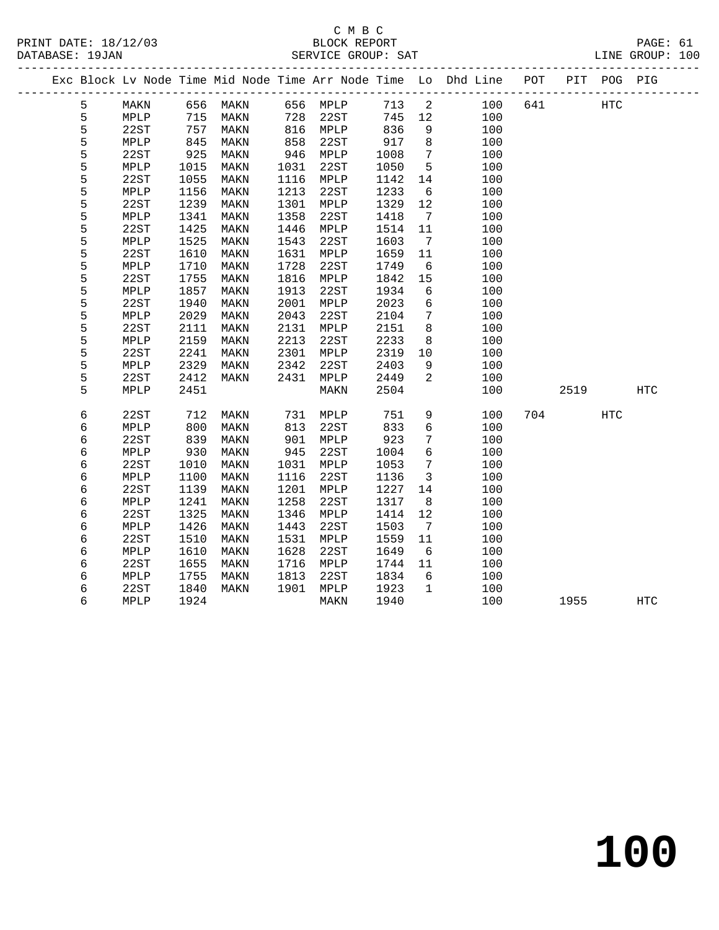### C M B C<br>BLOCK REPORT SERVICE GROUP: SAT

|  |   |             |      |      |      |      |      |                 | Exc Block Lv Node Time Mid Node Time Arr Node Time Lo Dhd Line POT |     | PIT  | POG PIG           |            |
|--|---|-------------|------|------|------|------|------|-----------------|--------------------------------------------------------------------|-----|------|-------------------|------------|
|  | 5 | MAKN        | 656  | MAKN | 656  | MPLP | 713  | 2               | 100                                                                | 641 |      | $_{\mathrm{HTC}}$ |            |
|  | 5 | MPLP        | 715  | MAKN | 728  | 22ST | 745  | 12              | 100                                                                |     |      |                   |            |
|  | 5 | 22ST        | 757  | MAKN | 816  | MPLP | 836  | 9               | 100                                                                |     |      |                   |            |
|  | 5 | MPLP        | 845  | MAKN | 858  | 22ST | 917  | 8               | 100                                                                |     |      |                   |            |
|  | 5 | 22ST        | 925  | MAKN | 946  | MPLP | 1008 | $7\phantom{.0}$ | 100                                                                |     |      |                   |            |
|  | 5 | MPLP        | 1015 | MAKN | 1031 | 22ST | 1050 | 5               | 100                                                                |     |      |                   |            |
|  | 5 | 22ST        | 1055 | MAKN | 1116 | MPLP | 1142 | 14              | 100                                                                |     |      |                   |            |
|  | 5 | MPLP        | 1156 | MAKN | 1213 | 22ST | 1233 | 6               | 100                                                                |     |      |                   |            |
|  | 5 | 22ST        | 1239 | MAKN | 1301 | MPLP | 1329 | 12              | 100                                                                |     |      |                   |            |
|  | 5 | MPLP        | 1341 | MAKN | 1358 | 22ST | 1418 | $7\phantom{.0}$ | 100                                                                |     |      |                   |            |
|  | 5 | 22ST        | 1425 | MAKN | 1446 | MPLP | 1514 | 11              | 100                                                                |     |      |                   |            |
|  | 5 | MPLP        | 1525 | MAKN | 1543 | 22ST | 1603 | 7               | 100                                                                |     |      |                   |            |
|  | 5 | 22ST        | 1610 | MAKN | 1631 | MPLP | 1659 | 11              | 100                                                                |     |      |                   |            |
|  | 5 | MPLP        | 1710 | MAKN | 1728 | 22ST | 1749 | 6               | 100                                                                |     |      |                   |            |
|  | 5 | 22ST        | 1755 | MAKN | 1816 | MPLP | 1842 | 15              | 100                                                                |     |      |                   |            |
|  | 5 | MPLP        | 1857 | MAKN | 1913 | 22ST | 1934 | 6               | 100                                                                |     |      |                   |            |
|  | 5 | 22ST        | 1940 | MAKN | 2001 | MPLP | 2023 | 6               | 100                                                                |     |      |                   |            |
|  | 5 | <b>MPLP</b> | 2029 | MAKN | 2043 | 22ST | 2104 | 7               | 100                                                                |     |      |                   |            |
|  | 5 | 22ST        | 2111 | MAKN | 2131 | MPLP | 2151 | 8               | 100                                                                |     |      |                   |            |
|  | 5 | MPLP        | 2159 | MAKN | 2213 | 22ST | 2233 | 8               | 100                                                                |     |      |                   |            |
|  | 5 | 22ST        | 2241 | MAKN | 2301 | MPLP | 2319 | 10              | 100                                                                |     |      |                   |            |
|  | 5 | MPLP        | 2329 | MAKN | 2342 | 22ST | 2403 | 9               | 100                                                                |     |      |                   |            |
|  | 5 | 22ST        | 2412 | MAKN | 2431 | MPLP | 2449 | 2               | 100                                                                |     |      |                   |            |
|  | 5 | MPLP        | 2451 |      |      | MAKN | 2504 |                 | 100                                                                |     | 2519 |                   | <b>HTC</b> |
|  | 6 | 22ST        | 712  | MAKN | 731  | MPLP | 751  | 9               | 100                                                                | 704 |      | HTC               |            |
|  | б | MPLP        | 800  | MAKN | 813  | 22ST | 833  | 6               | 100                                                                |     |      |                   |            |
|  | 6 | 22ST        | 839  | MAKN | 901  | MPLP | 923  | 7               | 100                                                                |     |      |                   |            |
|  | 6 | MPLP        | 930  | MAKN | 945  | 22ST | 1004 | 6               | 100                                                                |     |      |                   |            |
|  | б | 22ST        | 1010 | MAKN | 1031 | MPLP | 1053 | 7               | 100                                                                |     |      |                   |            |
|  | 6 | MPLP        | 1100 | MAKN | 1116 | 22ST | 1136 | $\mathbf{3}$    | 100                                                                |     |      |                   |            |
|  | б | 22ST        | 1139 | MAKN | 1201 | MPLP | 1227 | 14              | 100                                                                |     |      |                   |            |
|  | 6 | MPLP        | 1241 | MAKN | 1258 | 22ST | 1317 | 8               | 100                                                                |     |      |                   |            |
|  | б | 22ST        | 1325 | MAKN | 1346 | MPLP | 1414 | 12              | 100                                                                |     |      |                   |            |
|  | б | MPLP        | 1426 | MAKN | 1443 | 22ST | 1503 | 7               | 100                                                                |     |      |                   |            |
|  | б | 22ST        | 1510 | MAKN | 1531 | MPLP | 1559 | 11              | 100                                                                |     |      |                   |            |
|  | б | MPLP        | 1610 | MAKN | 1628 | 22ST | 1649 | 6               | 100                                                                |     |      |                   |            |
|  | 6 | 22ST        | 1655 | MAKN | 1716 | MPLP | 1744 | 11              | 100                                                                |     |      |                   |            |

 6 MPLP 1755 MAKN 1813 22ST 1834 6 100 6 22ST 1840 MAKN 1901 MPLP 1923 1 100

6 MPLP 1924 MAKN 1940 100 1955 HTC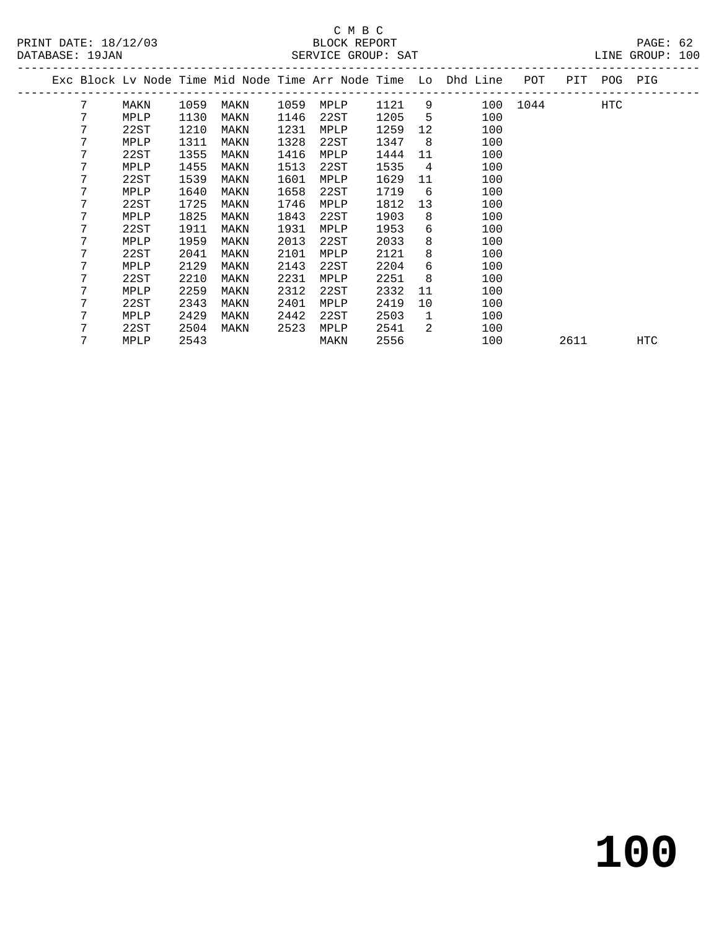# C M B C<br>BLOCK REPORT

| PRINT DATE: 18/12/03<br>DATABASE: 19JAN |      |      |      |      | BLOCK REPORT<br>SERVICE GROUP: SAT |      |     |                                                                    |          |             | PAGE: 62<br>LINE GROUP: 100 |  |
|-----------------------------------------|------|------|------|------|------------------------------------|------|-----|--------------------------------------------------------------------|----------|-------------|-----------------------------|--|
|                                         |      |      |      |      |                                    |      |     | Exc Block Lv Node Time Mid Node Time Arr Node Time Lo Dhd Line POT |          | PIT POG PIG |                             |  |
| 7                                       | MAKN | 1059 | MAKN | 1059 | MPLP                               | 1121 | 9   |                                                                    | 100 1044 | HTC         |                             |  |
|                                         | MPLP | 1130 | MAKN | 1146 | 22ST                               | 1205 | 5.  | 100                                                                |          |             |                             |  |
|                                         | 22ST | 1210 | MAKN | 1231 | MPLP                               | 1259 | 12  | 100                                                                |          |             |                             |  |
|                                         | MPLP | 1311 | MAKN | 1328 | 22ST                               | 1347 | - 8 | 100                                                                |          |             |                             |  |
|                                         | 22ST | 1355 | MAKN | 1416 | MPLP                               | 1444 | 11  | 100                                                                |          |             |                             |  |
|                                         | MPLP | 1455 | MAKN | 1513 | 22ST                               | 1535 | 4   | 100                                                                |          |             |                             |  |
| 7                                       | 22ST | 1539 | MAKN | 1601 | MPLP                               | 1629 | 11  | 100                                                                |          |             |                             |  |
|                                         | MPLP | 1640 | MAKN | 1658 | 22ST                               | 1719 | 6   | 100                                                                |          |             |                             |  |
|                                         | 22ST | 1725 | MAKN | 1746 | MPLP                               | 1812 | 13  | 100                                                                |          |             |                             |  |
|                                         | MPLP | 1825 | MAKN | 1843 | 22ST                               | 1903 | 8   | 100                                                                |          |             |                             |  |
| 7                                       | 22ST | 1911 | MAKN | 1931 | MPLP                               | 1953 | 6   | 100                                                                |          |             |                             |  |
|                                         | MPLP | 1959 | MAKN | 2013 | 22ST                               | 2033 | 8   | 100                                                                |          |             |                             |  |

7 MPLP 2543 MAKN 2556 100 2611 HTC

 7 22ST 2041 MAKN 2101 MPLP 2121 8 100 7 MPLP 2129 MAKN 2143 22ST 2204 6 100 7 22ST 2210 MAKN 2231 MPLP 2251 8 100 7 MPLP 2259 MAKN 2312 22ST 2332 11 100 7 22ST 2343 MAKN 2401 MPLP 2419 10 100 7 MPLP 2429 MAKN 2442 22ST 2503 1 100 7 22ST 2504 MAKN 2523 MPLP 2541 2 100

**100**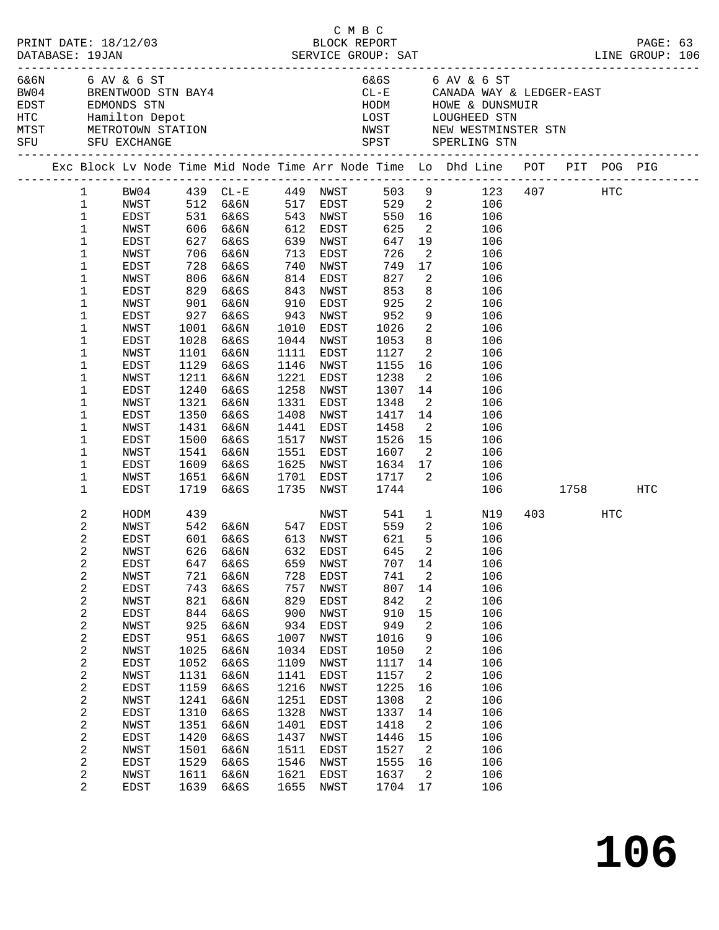| PRINT DATE: 18/12/03<br>DATABASE: 19JAN |                              |              |            |                                                         |                                           |                        | смвс<br>BLOCK REPORT     |                            |                                                                                                                                                                  |              | PAGE: 63 |  |
|-----------------------------------------|------------------------------|--------------|------------|---------------------------------------------------------|-------------------------------------------|------------------------|--------------------------|----------------------------|------------------------------------------------------------------------------------------------------------------------------------------------------------------|--------------|----------|--|
| 6&6N 6 AV & 6 ST<br>SFU SFU EXCHANGE    |                              |              |            | BW04 BRENTWOOD STN BAY4                                 |                                           |                        |                          |                            | 6&6S 6 AV & 6 ST<br>CL-E CANADA WAY & LEDGER-EAST<br>HODM HOWE & DUNSMUIR<br>LOST LOUGHEED STN<br>NWST NEW WESTMINSTER STN<br>SPST SPERLING STN                  |              |          |  |
|                                         |                              |              |            |                                                         |                                           |                        |                          |                            | Exc Block Lv Node Time Mid Node Time Arr Node Time Lo Dhd Line POT PIT POG PIG<br>Exc Block Lv Node Time Mid Node Time Arr Node Time Lo Dhd Line POT PIT POG PIG |              |          |  |
|                                         |                              |              |            |                                                         |                                           |                        |                          |                            | 1 BW04 439 CL-E 449 NWST 503 9 123 407 HTC                                                                                                                       |              |          |  |
|                                         | $\mathbf{1}$                 |              |            |                                                         |                                           |                        |                          |                            | NWST 512 6&6N 517 EDST 529 2 106<br>EDST 531 6&6S 543 NWST 550 16 106<br>NWST 606 6&6N 612 EDST 625 2 106                                                        |              |          |  |
|                                         | $\mathbf{1}$                 |              |            |                                                         |                                           |                        |                          |                            |                                                                                                                                                                  |              |          |  |
|                                         | $\mathbf 1$                  |              |            |                                                         |                                           |                        |                          |                            |                                                                                                                                                                  |              |          |  |
|                                         | $\mathbf 1$                  | EDST         |            | 627 6&6S                                                |                                           | 639 NWST               | 647                      |                            | 19<br>106                                                                                                                                                        |              |          |  |
|                                         | 1                            | NWST         |            | 706 6&6N                                                |                                           | 713 EDST               |                          |                            | $\overline{2}$<br>106                                                                                                                                            |              |          |  |
|                                         | 1                            | EDST         |            | 728 6&6S<br>806 6&6N                                    | $\begin{array}{c} 740 \\ 814 \end{array}$ | NWST                   |                          |                            | 17<br>106                                                                                                                                                        |              |          |  |
|                                         | 1<br>1                       | NWST<br>EDST | 829        | 6&6S                                                    | 843                                       | EDST<br>NWST           | 726<br>749<br>827<br>853 | $\overline{\mathbf{2}}$    | 106<br>8<br>106                                                                                                                                                  |              |          |  |
|                                         | 1                            | NWST         |            | 901 6&6N                                                | 910                                       | EDST                   | 925                      |                            | $\overline{2}$<br>106                                                                                                                                            |              |          |  |
|                                         | 1                            | EDST         | 927        | 6&6S                                                    | 943                                       | NWST                   |                          |                            | 9<br>106                                                                                                                                                         |              |          |  |
|                                         | 1                            | NWST         |            | 1001 6&6N                                               | 1010                                      | EDST                   | 952<br>1026              | $\overline{\mathbf{2}}$    | 106                                                                                                                                                              |              |          |  |
|                                         | 1                            | EDST         | 1028       | 6&6S                                                    |                                           | 1044 NWST              | 1053                     |                            | 8 <sup>1</sup><br>106                                                                                                                                            |              |          |  |
|                                         | 1                            | NWST         |            | 1101 6&6N                                               | 1111                                      | EDST                   | 1127                     |                            | $\overline{2}$<br>106                                                                                                                                            |              |          |  |
|                                         | 1                            | EDST         | 1129       | 6&6S                                                    | 1146                                      | NWST                   | 1155                     |                            | 16 16<br>106                                                                                                                                                     |              |          |  |
|                                         | 1                            | NWST         | 1211       | 6&6N                                                    | 1221                                      | EDST                   | 1238                     | $\overline{\mathbf{2}}$    | 106                                                                                                                                                              |              |          |  |
|                                         | 1                            | EDST         | 1240       | 6&6S                                                    | 1258                                      | NWST                   | 1307                     |                            | 14<br>106                                                                                                                                                        |              |          |  |
|                                         | $\mathbf 1$                  | NWST         | 1321       | 6&6N                                                    | 1331                                      | EDST                   | 1348                     |                            | $\overline{2}$<br>106                                                                                                                                            |              |          |  |
|                                         | 1                            | EDST         | 1350       | 6&6S                                                    | 1408                                      | NWST                   | 1417                     |                            | 14<br>106                                                                                                                                                        |              |          |  |
|                                         | 1                            | NWST         | 1431       | 6&6N                                                    | 1441                                      | EDST                   | 1458                     | $\overline{\mathbf{2}}$    | 106                                                                                                                                                              |              |          |  |
|                                         | 1                            | EDST         | 1500       | 6&6S                                                    |                                           | 1517 NWST              | 1526                     |                            | $\overline{15}$<br>106                                                                                                                                           |              |          |  |
|                                         | 1                            | NWST         |            | 1541 6&6N                                               |                                           | 1551 EDST              | 1607                     |                            | $\overline{2}$<br>106                                                                                                                                            |              |          |  |
|                                         | 1                            | EDST         | 1609       | 6&6S                                                    |                                           | 1625 NWST              |                          |                            | 106                                                                                                                                                              |              |          |  |
|                                         | 1<br>1                       | NWST<br>EDST | 1719       | 1651 6&6N<br>6&6S                                       |                                           | 1701 EDST<br>1735 NWST |                          |                            | 106                                                                                                                                                              | 106 1758 HTC |          |  |
|                                         |                              |              |            |                                                         |                                           |                        |                          |                            |                                                                                                                                                                  |              |          |  |
|                                         | 2                            | HODM         | 439        |                                                         |                                           |                        | NWST 541                 |                            | $1 \qquad \qquad$<br>N19                                                                                                                                         | 403 HTC      |          |  |
|                                         | 2                            | NWST         |            | 542 6&6N      547   EDST<br>601   6&6S       613   NWST |                                           |                        | 559<br>621               |                            | $\overline{2}$<br>106                                                                                                                                            |              |          |  |
|                                         | $\overline{c}$               | EDST         |            |                                                         |                                           |                        |                          | 5                          | 106                                                                                                                                                              |              |          |  |
|                                         | 2                            | NWST         |            | 626 6&6N 632 EDST 645 2                                 |                                           |                        |                          |                            | 106                                                                                                                                                              |              |          |  |
|                                         | 2                            | EDST         | 647        | 6&6S                                                    | 659                                       | NWST                   | 707                      | 14                         | 106                                                                                                                                                              |              |          |  |
|                                         | 2                            | NWST         | 721        | 6&6N                                                    | 728<br>757                                | EDST                   | 741<br>807               | 2<br>14                    | 106<br>106                                                                                                                                                       |              |          |  |
|                                         | $\overline{\mathbf{c}}$<br>2 | EDST<br>NWST | 743<br>821 | 6&6S<br>6&6N                                            | 829                                       | NWST<br>EDST           | 842                      | 2                          | 106                                                                                                                                                              |              |          |  |
|                                         | $\boldsymbol{2}$             | EDST         | 844        | 6&6S                                                    | 900                                       | NWST                   | 910                      | 15                         | 106                                                                                                                                                              |              |          |  |
|                                         | $\boldsymbol{2}$             | NWST         | 925        | 6&6N                                                    | 934                                       | EDST                   | 949                      | 2                          | 106                                                                                                                                                              |              |          |  |
|                                         | $\mathbf 2$                  | EDST         | 951        | 6&6S                                                    | 1007                                      | NWST                   | 1016                     | 9                          | 106                                                                                                                                                              |              |          |  |
|                                         | 2                            | NWST         | 1025       | 6&6N                                                    | 1034                                      | EDST                   | 1050                     | 2                          | 106                                                                                                                                                              |              |          |  |
|                                         | $\sqrt{2}$                   | EDST         | 1052       | 6&6S                                                    | 1109                                      | NWST                   | 1117                     | 14                         | 106                                                                                                                                                              |              |          |  |
|                                         | $\boldsymbol{2}$             | NWST         | 1131       | 6&6N                                                    | 1141                                      | EDST                   | 1157                     | 2                          | 106                                                                                                                                                              |              |          |  |
|                                         | $\sqrt{2}$                   | EDST         | 1159       | 6&6S                                                    | 1216                                      | NWST                   | 1225                     | 16                         | 106                                                                                                                                                              |              |          |  |
|                                         | $\overline{\mathbf{c}}$      | NWST         | 1241       | 6&6N                                                    | 1251                                      | EDST                   | 1308                     | 2                          | 106                                                                                                                                                              |              |          |  |
|                                         | $\sqrt{2}$                   | EDST         | 1310       | 6&6S                                                    | 1328                                      | NWST                   | 1337                     | 14                         | 106                                                                                                                                                              |              |          |  |
|                                         | $\boldsymbol{2}$             | NWST         | 1351       | 6&6N                                                    | 1401                                      | EDST                   | 1418                     | 2                          | 106                                                                                                                                                              |              |          |  |
|                                         | $\sqrt{2}$                   | EDST         | 1420       | 6&6S                                                    | 1437                                      | NWST                   | 1446                     | 15                         | 106                                                                                                                                                              |              |          |  |
|                                         | $\overline{\mathbf{c}}$      | NWST         | 1501       | 6&6N                                                    | 1511                                      | EDST                   | 1527                     | $\overline{\phantom{a}}^2$ | 106                                                                                                                                                              |              |          |  |
|                                         | $\mathbf{2}$                 | EDST         | 1529       | 6&6S                                                    | 1546                                      | NWST                   | 1555                     | 16                         | 106                                                                                                                                                              |              |          |  |
|                                         | 2                            | NWST         | 1611       | 6&6N                                                    | 1621                                      | EDST                   | 1637                     | 2                          | 106                                                                                                                                                              |              |          |  |
|                                         | $\overline{2}$               | EDST         | 1639       | 6&6S                                                    | 1655                                      | NWST                   | 1704                     | 17                         | 106                                                                                                                                                              |              |          |  |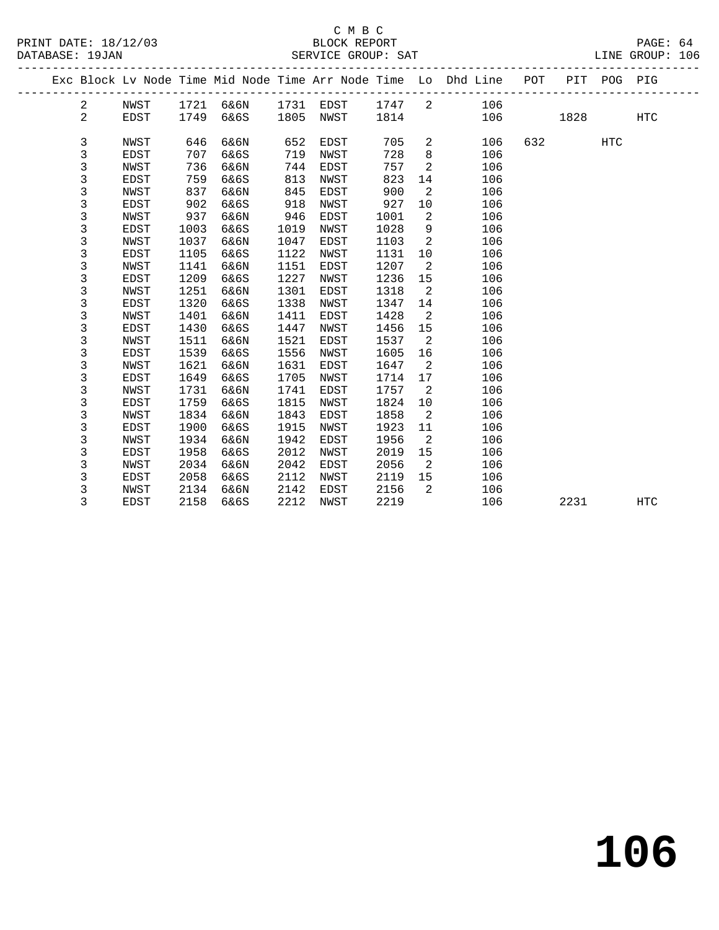|  |                |             |      |      |      |             |      |                | Exc Block Lv Node Time Mid Node Time Arr Node Time Lo Dhd Line | POT |      | PIT POG PIG |            |
|--|----------------|-------------|------|------|------|-------------|------|----------------|----------------------------------------------------------------|-----|------|-------------|------------|
|  | 2              | NWST        | 1721 | 6&6N | 1731 | EDST        | 1747 | 2              | 106                                                            |     |      |             |            |
|  | $\overline{a}$ | <b>EDST</b> | 1749 | 6&6S | 1805 | NWST        | 1814 |                | 106                                                            |     | 1828 |             | <b>HTC</b> |
|  |                |             |      |      |      |             |      |                |                                                                |     |      |             |            |
|  | 3              | NWST        | 646  | 6&6N | 652  | EDST        | 705  | 2              | 106                                                            | 632 |      | <b>HTC</b>  |            |
|  | 3              | <b>EDST</b> | 707  | 6&6S | 719  | NWST        | 728  | 8              | 106                                                            |     |      |             |            |
|  | 3              | NWST        | 736  | 6&6N | 744  | EDST        | 757  | 2              | 106                                                            |     |      |             |            |
|  | 3              | EDST        | 759  | 6&6S | 813  | NWST        | 823  | 14             | 106                                                            |     |      |             |            |
|  | 3              | NWST        | 837  | 6&6N | 845  | EDST        | 900  | $\overline{a}$ | 106                                                            |     |      |             |            |
|  | $\mathsf 3$    | EDST        | 902  | 6&6S | 918  | NWST        | 927  | 10             | 106                                                            |     |      |             |            |
|  | $\mathsf 3$    | <b>NWST</b> | 937  | 6&6N | 946  | <b>EDST</b> | 1001 | $\overline{a}$ | 106                                                            |     |      |             |            |
|  | 3              | EDST        | 1003 | 6&6S | 1019 | NWST        | 1028 | 9              | 106                                                            |     |      |             |            |
|  | 3              | NWST        | 1037 | 6&6N | 1047 | EDST        | 1103 | $\overline{a}$ | 106                                                            |     |      |             |            |
|  | $\mathsf 3$    | <b>EDST</b> | 1105 | 6&6S | 1122 | NWST        | 1131 | 10             | 106                                                            |     |      |             |            |
|  | $\mathsf 3$    | NWST        | 1141 | 6&6N | 1151 | EDST        | 1207 | 2              | 106                                                            |     |      |             |            |
|  | $\mathsf 3$    | <b>EDST</b> | 1209 | 6&6S | 1227 | NWST        | 1236 | 15             | 106                                                            |     |      |             |            |
|  | $\mathsf 3$    | NWST        | 1251 | 6&6N | 1301 | EDST        | 1318 | 2              | 106                                                            |     |      |             |            |
|  | $\mathsf 3$    | <b>EDST</b> | 1320 | 6&6S | 1338 | NWST        | 1347 | 14             | 106                                                            |     |      |             |            |
|  | 3              | NWST        | 1401 | 6&6N | 1411 | EDST        | 1428 | 2              | 106                                                            |     |      |             |            |
|  | 3              | <b>EDST</b> | 1430 | 6&6S | 1447 | NWST        | 1456 | 15             | 106                                                            |     |      |             |            |
|  | 3              | NWST        | 1511 | 6&6N | 1521 | EDST        | 1537 | 2              | 106                                                            |     |      |             |            |
|  | 3              | <b>EDST</b> | 1539 | 6&6S | 1556 | NWST        | 1605 | 16             | 106                                                            |     |      |             |            |
|  | 3              | NWST        | 1621 | 6&6N | 1631 | EDST        | 1647 | $\overline{a}$ | 106                                                            |     |      |             |            |
|  | $\mathsf 3$    | EDST        | 1649 | 6&6S | 1705 | NWST        | 1714 | 17             | 106                                                            |     |      |             |            |
|  | 3              | NWST        | 1731 | 6&6N | 1741 | EDST        | 1757 | 2              | 106                                                            |     |      |             |            |
|  | 3              | <b>EDST</b> | 1759 | 6&6S | 1815 | NWST        | 1824 | 10             | 106                                                            |     |      |             |            |
|  | 3              | NWST        | 1834 | 6&6N | 1843 | EDST        | 1858 | 2              | 106                                                            |     |      |             |            |
|  | 3              | <b>EDST</b> | 1900 | 6&6S | 1915 | NWST        | 1923 | 11             | 106                                                            |     |      |             |            |
|  | $\mathsf 3$    | NWST        | 1934 | 6&6N | 1942 | EDST        | 1956 | 2              | 106                                                            |     |      |             |            |
|  | $\mathsf 3$    | <b>EDST</b> | 1958 | 6&6S | 2012 | NWST        | 2019 | 15             | 106                                                            |     |      |             |            |
|  | 3              | NWST        | 2034 | 6&6N | 2042 | EDST        | 2056 | 2              | 106                                                            |     |      |             |            |
|  | 3              | EDST        | 2058 | 6&6S | 2112 | NWST        | 2119 | 15             | 106                                                            |     |      |             |            |
|  | 3              | NWST        | 2134 | 6&6N | 2142 | EDST        | 2156 | 2              | 106                                                            |     |      |             |            |
|  | 3              | <b>EDST</b> | 2158 | 6&6S | 2212 | NWST        | 2219 |                | 106                                                            |     | 2231 |             | <b>HTC</b> |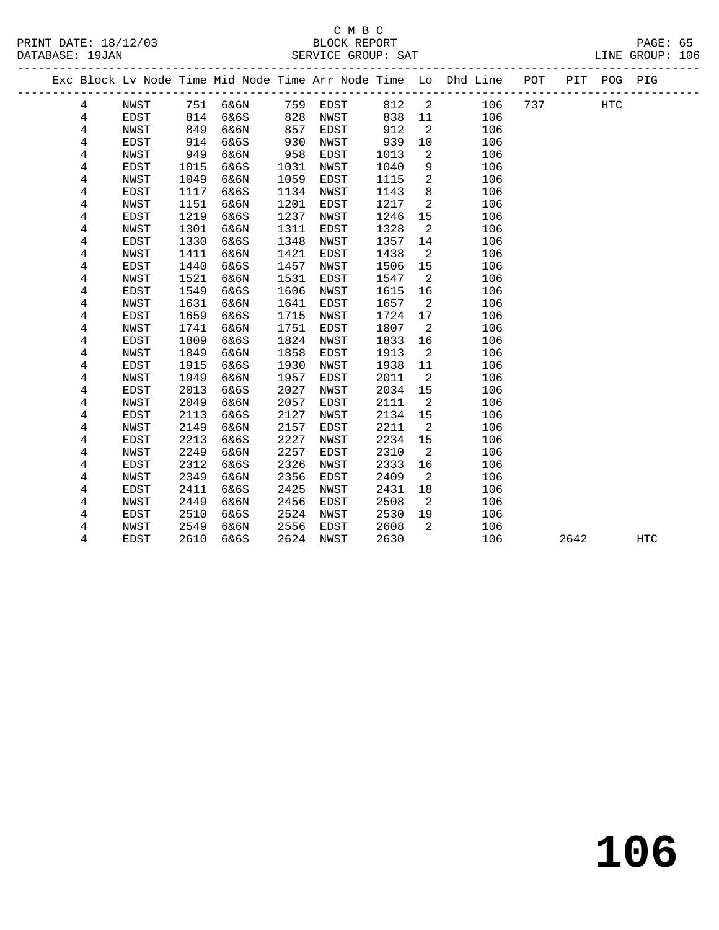### C M B C<br>BLOCK REPORT

PRINT DATE: 18/12/03 BLOCK REPORT PAGE: 65 SERVICE GROUP: SAT

|  |                |             |      |      |      |             |      |                | Exc Block Lv Node Time Mid Node Time Arr Node Time Lo Dhd Line | POT |      | PIT POG PIG |            |  |
|--|----------------|-------------|------|------|------|-------------|------|----------------|----------------------------------------------------------------|-----|------|-------------|------------|--|
|  | 4              | NWST        | 751  | 6&6N | 759  | <b>EDST</b> | 812  | $\overline{2}$ | 106                                                            | 737 |      | HTC         |            |  |
|  | 4              | EDST        | 814  | 6&6S | 828  | NWST        | 838  | 11             | 106                                                            |     |      |             |            |  |
|  | 4              | <b>NWST</b> | 849  | 6&6N | 857  | EDST        | 912  | 2              | 106                                                            |     |      |             |            |  |
|  | 4              | EDST        | 914  | 6&6S | 930  | NWST        | 939  | 10             | 106                                                            |     |      |             |            |  |
|  | 4              | <b>NWST</b> | 949  | 6&6N | 958  | EDST        | 1013 | 2              | 106                                                            |     |      |             |            |  |
|  | $\overline{4}$ | <b>EDST</b> | 1015 | 6&6S | 1031 | NWST        | 1040 | 9              | 106                                                            |     |      |             |            |  |
|  | $\overline{4}$ | <b>NWST</b> | 1049 | 6&6N | 1059 | <b>EDST</b> | 1115 | $\overline{a}$ | 106                                                            |     |      |             |            |  |
|  | 4              | EDST        | 1117 | 6&6S | 1134 | NWST        | 1143 | 8              | 106                                                            |     |      |             |            |  |
|  | 4              | <b>NWST</b> | 1151 | 6&6N | 1201 | <b>EDST</b> | 1217 | 2              | 106                                                            |     |      |             |            |  |
|  | 4              | <b>EDST</b> | 1219 | 6&6S | 1237 | NWST        | 1246 | 15             | 106                                                            |     |      |             |            |  |
|  | 4              | NWST        | 1301 | 6&6N | 1311 | EDST        | 1328 | 2              | 106                                                            |     |      |             |            |  |
|  | 4              | <b>EDST</b> | 1330 | 6&6S | 1348 | NWST        | 1357 | 14             | 106                                                            |     |      |             |            |  |
|  | 4              | <b>NWST</b> | 1411 | 6&6N | 1421 | <b>EDST</b> | 1438 | 2              | 106                                                            |     |      |             |            |  |
|  | 4              | EDST        | 1440 | 6&6S | 1457 | NWST        | 1506 | 15             | 106                                                            |     |      |             |            |  |
|  | 4              | <b>NWST</b> | 1521 | 6&6N | 1531 | <b>EDST</b> | 1547 | 2              | 106                                                            |     |      |             |            |  |
|  | 4              | <b>EDST</b> | 1549 | 6&6S | 1606 | NWST        | 1615 | 16             | 106                                                            |     |      |             |            |  |
|  | 4              | <b>NWST</b> | 1631 | 6&6N | 1641 | EDST        | 1657 | 2              | 106                                                            |     |      |             |            |  |
|  | 4              | <b>EDST</b> | 1659 | 6&6S | 1715 | NWST        | 1724 | 17             | 106                                                            |     |      |             |            |  |
|  | $\overline{4}$ | <b>NWST</b> | 1741 | 6&6N | 1751 | <b>EDST</b> | 1807 | 2              | 106                                                            |     |      |             |            |  |
|  | 4              | EDST        | 1809 | 6&6S | 1824 | NWST        | 1833 | 16             | 106                                                            |     |      |             |            |  |
|  | 4              | NWST        | 1849 | 6&6N | 1858 | <b>EDST</b> | 1913 | 2              | 106                                                            |     |      |             |            |  |
|  | 4              | EDST        | 1915 | 6&6S | 1930 | NWST        | 1938 | 11             | 106                                                            |     |      |             |            |  |
|  | 4              | <b>NWST</b> | 1949 | 6&6N | 1957 | <b>EDST</b> | 2011 | 2              | 106                                                            |     |      |             |            |  |
|  | 4              | <b>EDST</b> | 2013 | 6&6S | 2027 | NWST        | 2034 | 15             | 106                                                            |     |      |             |            |  |
|  | 4              | NWST        | 2049 | 6&6N | 2057 | <b>EDST</b> | 2111 | 2              | 106                                                            |     |      |             |            |  |
|  | 4              | EDST        | 2113 | 6&6S | 2127 | NWST        | 2134 | 15             | 106                                                            |     |      |             |            |  |
|  | 4              | <b>NWST</b> | 2149 | 6&6N | 2157 | <b>EDST</b> | 2211 | 2              | 106                                                            |     |      |             |            |  |
|  | 4              | <b>EDST</b> | 2213 | 6&6S | 2227 | NWST        | 2234 | 15             | 106                                                            |     |      |             |            |  |
|  | 4              | <b>NWST</b> | 2249 | 6&6N | 2257 | EDST        | 2310 | 2              | 106                                                            |     |      |             |            |  |
|  | 4              | EDST        | 2312 | 6&6S | 2326 | NWST        | 2333 | 16             | 106                                                            |     |      |             |            |  |
|  | 4              | NWST        | 2349 | 6&6N | 2356 | EDST        | 2409 | 2              | 106                                                            |     |      |             |            |  |
|  | 4              | <b>EDST</b> | 2411 | 6&6S | 2425 | NWST        | 2431 | 18             | 106                                                            |     |      |             |            |  |
|  | 4              | <b>NWST</b> | 2449 | 6&6N | 2456 | EDST        | 2508 | 2              | 106                                                            |     |      |             |            |  |
|  | 4              | <b>EDST</b> | 2510 | 6&6S | 2524 | NWST        | 2530 | 19             | 106                                                            |     |      |             |            |  |
|  | $\overline{4}$ | NWST        | 2549 | 6&6N | 2556 | EDST        | 2608 | 2              | 106                                                            |     |      |             |            |  |
|  | 4              | <b>EDST</b> | 2610 | 6&6S | 2624 | NWST        | 2630 |                | 106                                                            |     | 2642 |             | <b>HTC</b> |  |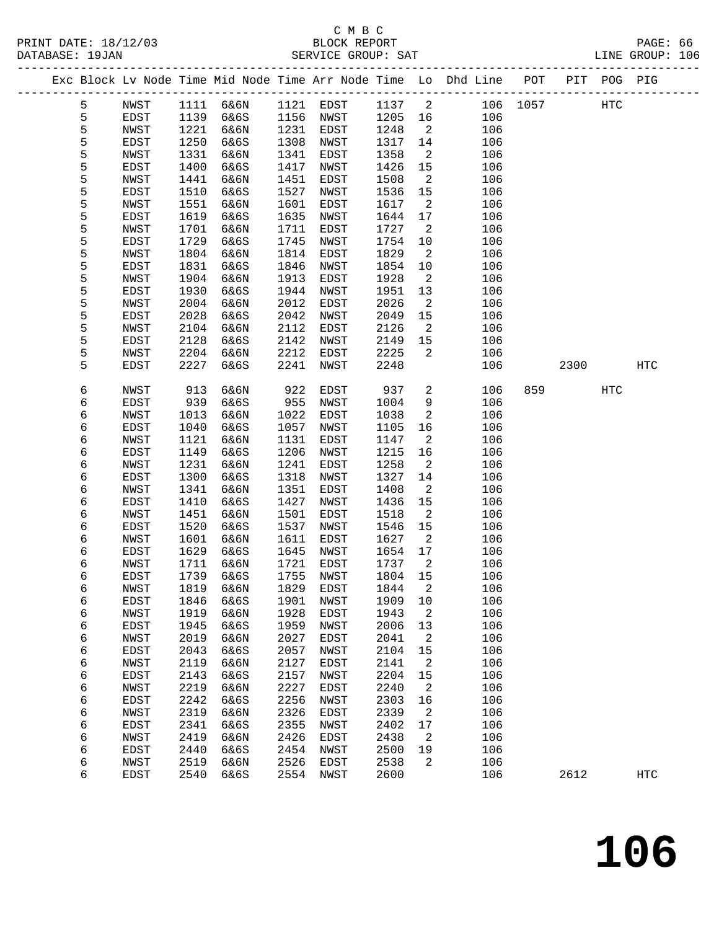# C M B C<br>BLOCK REPORT

| DATABASE: 19JAN |   |      |      |           |      | SERVICE GROUP: SAT         |         |                            |                                                                                |              |                             |            | LINE GROUP: 106 |  |
|-----------------|---|------|------|-----------|------|----------------------------|---------|----------------------------|--------------------------------------------------------------------------------|--------------|-----------------------------|------------|-----------------|--|
|                 |   |      |      |           |      |                            |         |                            | Exc Block Lv Node Time Mid Node Time Arr Node Time Lo Dhd Line POT PIT POG PIG |              |                             |            |                 |  |
|                 | 5 | NWST |      |           |      | 1111 6&6N 1121 EDST 1137 2 |         |                            |                                                                                | 106 1057 HTC |                             |            |                 |  |
|                 | 5 | EDST | 1139 | 6&6S      |      | 1156 NWST                  | 1205 16 |                            | 106                                                                            |              |                             |            |                 |  |
|                 | 5 | NWST | 1221 | 6&6N      | 1231 | EDST                       | 1248    | $\overline{\phantom{a}}^2$ | 106                                                                            |              |                             |            |                 |  |
|                 | 5 | EDST | 1250 | 6&6S      | 1308 | NWST                       | 1317    | 14                         | 106                                                                            |              |                             |            |                 |  |
|                 | 5 | NWST | 1331 | 6&6N      | 1341 | EDST                       | 1358    | 2                          | 106                                                                            |              |                             |            |                 |  |
|                 | 5 | EDST | 1400 | 6&6S      | 1417 | NWST                       | 1426    | 15                         | 106                                                                            |              |                             |            |                 |  |
|                 | 5 | NWST | 1441 | 6&6N      | 1451 | EDST                       | 1508    | 2                          | 106                                                                            |              |                             |            |                 |  |
|                 | 5 | EDST | 1510 | 6&6S      | 1527 | NWST                       | 1536    | 15                         | 106                                                                            |              |                             |            |                 |  |
|                 | 5 | NWST | 1551 | 6&6N      | 1601 | EDST                       | 1617    | $\overline{\phantom{a}}^2$ | 106                                                                            |              |                             |            |                 |  |
|                 | 5 | EDST | 1619 | 6&6S      | 1635 | NWST                       | 1644    | 17                         | 106                                                                            |              |                             |            |                 |  |
|                 | 5 | NWST | 1701 | 6&6N      | 1711 | EDST                       | 1727    | 2                          | 106                                                                            |              |                             |            |                 |  |
|                 | 5 | EDST | 1729 | 6&6S      | 1745 | NWST                       | 1754    | 10                         | 106                                                                            |              |                             |            |                 |  |
|                 | 5 | NWST | 1804 | 6&6N      | 1814 | EDST                       | 1829    | $\overline{a}$             | 106                                                                            |              |                             |            |                 |  |
|                 | 5 | EDST | 1831 | 6&6S      | 1846 | NWST                       | 1854    | 10                         | 106                                                                            |              |                             |            |                 |  |
|                 | 5 | NWST | 1904 | 6&6N      | 1913 | EDST                       | 1928    | $\overline{2}$             | 106                                                                            |              |                             |            |                 |  |
|                 | 5 | EDST | 1930 | 6&6S      | 1944 | NWST                       | 1951    | 13                         | 106                                                                            |              |                             |            |                 |  |
|                 | 5 | NWST | 2004 | 6&6N      | 2012 | EDST                       | 2026    | $\overline{\phantom{a}}$   | 106                                                                            |              |                             |            |                 |  |
|                 | 5 | EDST | 2028 | 6&6S      | 2042 | NWST                       | 2049    | 15                         | 106                                                                            |              |                             |            |                 |  |
|                 | 5 | NWST | 2104 | 6&6N      | 2112 | EDST                       | 2126    | $\overline{a}$             | 106                                                                            |              |                             |            |                 |  |
|                 | 5 | EDST | 2128 | 6&6S      | 2142 | NWST                       | 2149    | 15                         | 106                                                                            |              |                             |            |                 |  |
|                 | 5 | NWST | 2204 | 6&6N      | 2212 | EDST                       | 2225    | 2                          | 106                                                                            |              |                             |            |                 |  |
|                 | 5 | EDST | 2227 | 6&6S      | 2241 | NWST                       | 2248    |                            | 106                                                                            |              | 2300                        |            | HTC             |  |
|                 | 6 | NWST | 913  | 6&6N      | 922  | EDST                       | 937     | $\overline{a}$             | 106                                                                            |              | 859 and the state of $\sim$ | <b>HTC</b> |                 |  |
|                 | 6 | EDST | 939  | 6&6S      | 955  | NWST                       | 1004    | 9                          | 106                                                                            |              |                             |            |                 |  |
|                 | 6 | NWST | 1013 | 6&6N      | 1022 | EDST                       | 1038    | 2                          | 106                                                                            |              |                             |            |                 |  |
|                 | 6 | EDST | 1040 | 6&6S      | 1057 | NWST                       | 1105    | 16                         | 106                                                                            |              |                             |            |                 |  |
|                 | 6 | NWST | 1121 | 6&6N      | 1131 | EDST                       | 1147    | 2                          | 106                                                                            |              |                             |            |                 |  |
|                 | 6 | EDST | 1149 | 6&6S      | 1206 | NWST                       | 1215    | 16                         | 106                                                                            |              |                             |            |                 |  |
|                 | 6 | NWST | 1231 | 6&6N      | 1241 | EDST                       | 1258    | 2                          | 106                                                                            |              |                             |            |                 |  |
|                 | 6 | EDST | 1300 | 6&6S      | 1318 | NWST                       | 1327    | 14                         | 106                                                                            |              |                             |            |                 |  |
|                 | 6 | NWST | 1341 | 6&6N      | 1351 | EDST                       | 1408    | 2                          | 106                                                                            |              |                             |            |                 |  |
|                 | 6 | EDST | 1410 | 6&6S      | 1427 | NWST                       | 1436    | 15                         | 106                                                                            |              |                             |            |                 |  |
|                 | 6 | NWST | 1451 | 6&6N      | 1501 | EDST                       | 1518    | $\overline{2}$             | 106                                                                            |              |                             |            |                 |  |
|                 | 6 | EDST | 1520 | 6&6S      | 1537 | NWST                       | 1546    | 15                         | 106                                                                            |              |                             |            |                 |  |
|                 | 6 | NWST | 1601 | 6&6N      | 1611 | EDST                       | 1627    | $\overline{\phantom{a}}$   | 106                                                                            |              |                             |            |                 |  |
|                 | 6 | EDST | 1629 | 6&6S      | 1645 | NWST                       | 1654    | 17                         | 106                                                                            |              |                             |            |                 |  |
|                 | 6 | NWST | 1711 | 6&6N      |      | 1721 EDST                  | 1737    | $\overline{2}$             | 106                                                                            |              |                             |            |                 |  |
|                 | 6 | EDST |      | 1739 6&6S |      | 1755 NWST 1804 15          |         |                            | 106                                                                            |              |                             |            |                 |  |
|                 | 6 | NWST | 1819 | 6&6N      | 1829 | EDST                       | 1844    | 2                          | 106                                                                            |              |                             |            |                 |  |
|                 | 6 | EDST | 1846 | 6&6S      | 1901 | NWST                       | 1909    | 10                         | 106                                                                            |              |                             |            |                 |  |
|                 | 6 | NWST | 1919 | 6&6N      | 1928 | EDST                       | 1943    | 2                          | 106                                                                            |              |                             |            |                 |  |
|                 | 6 | EDST | 1945 | 6&6S      | 1959 | NWST                       | 2006    | 13                         | 106                                                                            |              |                             |            |                 |  |
|                 | 6 | NWST | 2019 | 6&6N      | 2027 | EDST                       | 2041    | 2                          | 106                                                                            |              |                             |            |                 |  |
|                 | 6 | EDST | 2043 | 6&6S      | 2057 | NWST                       | 2104    | 15                         | 106                                                                            |              |                             |            |                 |  |
|                 | 6 | NWST | 2119 | 6&6N      | 2127 | EDST                       | 2141    | 2                          | 106                                                                            |              |                             |            |                 |  |
|                 | 6 | EDST | 2143 | 6&6S      | 2157 | NWST                       | 2204    | 15                         | 106                                                                            |              |                             |            |                 |  |
|                 | 6 | NWST | 2219 | 6&6N      | 2227 | EDST                       | 2240    | 2                          | 106                                                                            |              |                             |            |                 |  |
|                 | 6 | EDST | 2242 | 6&6S      | 2256 | NWST                       | 2303    | 16                         | 106                                                                            |              |                             |            |                 |  |
|                 | 6 | NWST | 2319 | 6&6N      | 2326 | EDST                       | 2339    | 2                          | 106                                                                            |              |                             |            |                 |  |
|                 | 6 | EDST | 2341 | 6&6S      | 2355 | NWST                       | 2402    | 17                         | 106                                                                            |              |                             |            |                 |  |
|                 | 6 | NWST | 2419 | 6&6N      | 2426 | EDST                       | 2438    | 2                          | 106                                                                            |              |                             |            |                 |  |
|                 | 6 | EDST | 2440 | 6&6S      | 2454 | NWST                       | 2500    | 19                         | 106                                                                            |              |                             |            |                 |  |
|                 | 6 | NWST | 2519 | 6&6N      | 2526 | EDST                       | 2538    | 2                          | 106                                                                            |              |                             |            |                 |  |

6 EDST 2540 6&6S 2554 NWST 2600 106 2612 HTC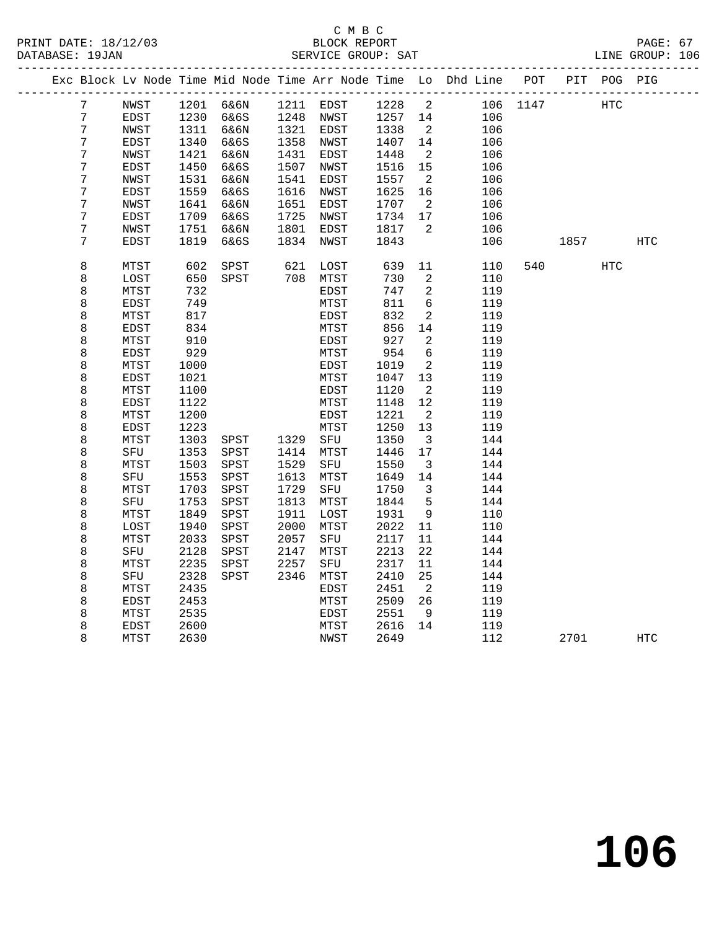|  |                  |             |              |              |              |              |              |                              | Exc Block Lv Node Time Mid Node Time Arr Node Time Lo Dhd Line POT |          |      | PIT POG PIG |            |
|--|------------------|-------------|--------------|--------------|--------------|--------------|--------------|------------------------------|--------------------------------------------------------------------|----------|------|-------------|------------|
|  | 7                | NWST        |              | 1201 6&6N    |              | 1211 EDST    | 1228         | $\overline{\phantom{a}}$     |                                                                    | 106 1147 | HTC  |             |            |
|  | 7                | EDST        | 1230         | 6&6S         |              | 1248 NWST    | 1257         | 14                           | 106                                                                |          |      |             |            |
|  | 7                | NWST        | 1311         | 6&6N         |              | 1321 EDST    | 1338         | $\overline{2}$               | 106                                                                |          |      |             |            |
|  | 7                | EDST        | 1340         | 6&6S         | 1358         | NWST         | 1407         | 14                           | 106                                                                |          |      |             |            |
|  | $\boldsymbol{7}$ | NWST        | 1421         | 6&6N         | 1431         | EDST         | 1448         | $\overline{2}$               | 106                                                                |          |      |             |            |
|  | 7                | EDST        | 1450         | 6&6S         | 1507         | NWST         | 1516         | 15                           | 106                                                                |          |      |             |            |
|  | 7                | NWST        | 1531         | 6&6N         | 1541         | EDST         | 1557         | $\overline{2}$               | 106                                                                |          |      |             |            |
|  | 7                | EDST        | 1559         | 6&6S         | 1616         | NWST         | 1625         | 16                           | 106                                                                |          |      |             |            |
|  | 7                | NWST        | 1641         | 6&6N         | 1651         | EDST         | 1707         | $\overline{2}$               | 106                                                                |          |      |             |            |
|  | $\boldsymbol{7}$ | EDST        | 1709         | 6&6S         | 1725         | NWST         | 1734         | 17                           | 106                                                                |          |      |             |            |
|  | 7                | NWST        | 1751         | 6&6N         | 1801         | EDST         | 1817         | 2                            | 106                                                                |          |      |             |            |
|  | 7                | <b>EDST</b> | 1819         | 6&6S         | 1834         | NWST         | 1843         |                              | 106                                                                |          | 1857 |             | <b>HTC</b> |
|  | 8                | MTST        | 602          | SPST         | 621          | LOST         | 639          | 11                           | 110                                                                | 540      |      | HTC         |            |
|  | 8                | LOST        | 650          | SPST         |              | 708 MTST     | 730          | 2                            | 110                                                                |          |      |             |            |
|  | 8                | MTST        | 732          |              |              | EDST         | 747          | 2                            | 119                                                                |          |      |             |            |
|  | 8                | <b>EDST</b> | 749          |              |              | MTST         | 811          | 6                            | 119                                                                |          |      |             |            |
|  | 8                | MTST        | 817          |              |              | EDST         | 832          | 2                            | 119                                                                |          |      |             |            |
|  | 8                | EDST        | 834          |              |              | MTST         | 856          | 14                           | 119                                                                |          |      |             |            |
|  | 8                | MTST        | 910          |              |              | EDST         | 927          | 2                            | 119                                                                |          |      |             |            |
|  | 8                | EDST        | 929          |              |              | MTST         | 954          | $\sqrt{6}$                   | 119                                                                |          |      |             |            |
|  | 8                | MTST        | 1000         |              |              | EDST         | 1019         | 2                            | 119                                                                |          |      |             |            |
|  | 8                | <b>EDST</b> | 1021         |              |              | MTST         | 1047         | 13                           | 119                                                                |          |      |             |            |
|  | 8                | MTST        | 1100         |              |              | EDST         | 1120         | $\overline{2}$               | 119                                                                |          |      |             |            |
|  | 8                | EDST        | 1122         |              |              | MTST         | 1148         | 12                           | 119                                                                |          |      |             |            |
|  | 8                | MTST        | 1200         |              |              | EDST         | 1221         | $\overline{\phantom{a}}$     | 119                                                                |          |      |             |            |
|  | 8                | EDST        | 1223         |              |              | MTST         | 1250         | 13                           | 119                                                                |          |      |             |            |
|  | 8                | MTST        | 1303         | SPST         | 1329         | SFU          | 1350         | $\overline{\mathbf{3}}$      | 144                                                                |          |      |             |            |
|  | 8                | SFU         | 1353         | SPST         | 1414         | MTST         | 1446         | 17                           | 144                                                                |          |      |             |            |
|  | 8                | MTST        | 1503         | SPST         | 1529         | SFU          | 1550         | $\overline{\mathbf{3}}$      | 144                                                                |          |      |             |            |
|  | 8                | SFU         | 1553         | SPST         | 1613         | MTST         | 1649         | 14                           | 144                                                                |          |      |             |            |
|  | 8<br>8           | MTST<br>SFU | 1703<br>1753 | SPST<br>SPST | 1729<br>1813 | SFU<br>MTST  | 1750<br>1844 | $\overline{\mathbf{3}}$<br>5 | 144<br>144                                                         |          |      |             |            |
|  | 8                | MTST        | 1849         | SPST         | 1911         |              | 1931         | 9                            | 110                                                                |          |      |             |            |
|  | 8                | LOST        | 1940         | SPST         | 2000         | LOST<br>MTST | 2022         | 11                           | 110                                                                |          |      |             |            |
|  | 8                | MTST        | 2033         | SPST         | 2057         | SFU          | 2117         | 11                           | 144                                                                |          |      |             |            |
|  | 8                | SFU         | 2128         | SPST         | 2147         | MTST         | 2213         | 22                           | 144                                                                |          |      |             |            |
|  | 8                | MTST        | 2235         | SPST         | 2257         | SFU          | 2317         | 11                           | 144                                                                |          |      |             |            |
|  | 8                | SFU         | 2328         | SPST         | 2346         | MTST         | 2410         | 25                           | 144                                                                |          |      |             |            |
|  | 8                | MTST        | 2435         |              |              | EDST         | 2451         | $\overline{2}$               | 119                                                                |          |      |             |            |
|  | 8                | EDST        | 2453         |              |              | MTST         | 2509         | 26                           | 119                                                                |          |      |             |            |
|  | 8                | MTST        | 2535         |              |              | EDST         | 2551         | 9                            | 119                                                                |          |      |             |            |
|  | 8                | EDST        | 2600         |              |              | MTST         | 2616         | 14                           | 119                                                                |          |      |             |            |
|  | 8                | MTST        | 2630         |              |              | NWST         | 2649         |                              | 112                                                                |          | 2701 |             | HTC        |
|  |                  |             |              |              |              |              |              |                              |                                                                    |          |      |             |            |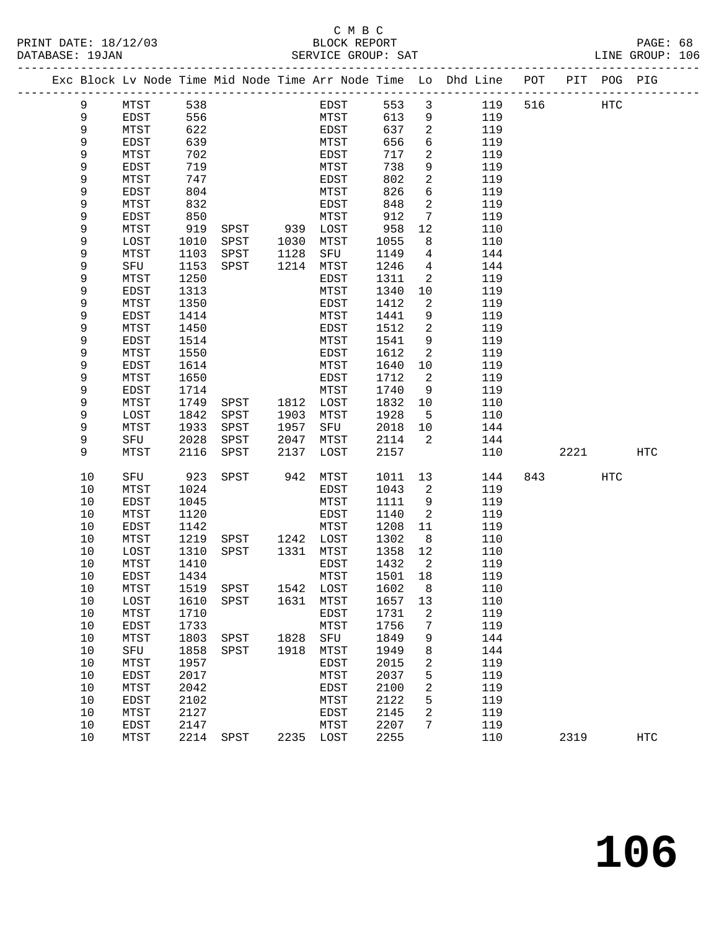#### C M B C<br>BLOCK REPORT SERVICE GROUP: SAT

| PRINT DATE: 18/12/03<br>DATABASE: 19JAN |                      |              |              | 2/03 BLOCK REPORT BLOCK REPORT                 |      |                     |              |                            |                                                                                |         |           | PAGE: 68<br>LINE GROUP: 106 |  |
|-----------------------------------------|----------------------|--------------|--------------|------------------------------------------------|------|---------------------|--------------|----------------------------|--------------------------------------------------------------------------------|---------|-----------|-----------------------------|--|
|                                         |                      |              |              |                                                |      |                     |              |                            | Exc Block Lv Node Time Mid Node Time Arr Node Time Lo Dhd Line POT PIT POG PIG |         |           |                             |  |
|                                         | 9                    | MTST 538     |              |                                                |      | EDST                |              |                            | 119 516 HTC<br>553 3                                                           |         |           |                             |  |
|                                         | 9                    | EDST         | 556          |                                                |      | MTST                |              |                            | 613 9<br>119                                                                   |         |           |                             |  |
|                                         | 9                    | MTST         | 622          |                                                |      | EDST<br>MTST        |              |                            | 637 2<br>656 6<br>119                                                          |         |           |                             |  |
|                                         | 9                    | EDST         | 639          |                                                |      | MTST                |              |                            | 119                                                                            |         |           |                             |  |
|                                         | 9                    | MTST         | 702          |                                                |      | EDST                | 717          |                            | $\overline{a}$<br>119                                                          |         |           |                             |  |
|                                         | 9                    | EDST         | 719          |                                                |      | MTST                | 738          |                            | 9<br>119                                                                       |         |           |                             |  |
|                                         | 9                    | MTST         | 747          |                                                |      | EDST                | 802          |                            | $\frac{2}{6}$<br>119                                                           |         |           |                             |  |
|                                         | 9                    | EDST         | 804          |                                                |      | MTST                | 826          | 6                          | 119                                                                            |         |           |                             |  |
|                                         | 9                    | MTST         | 832          |                                                |      | EDST                | 848          | $\overline{a}$             | 119                                                                            |         |           |                             |  |
|                                         | 9                    | EDST         | 850          |                                                |      | MTST                | 912          |                            | $7\overline{ }$<br>119                                                         |         |           |                             |  |
|                                         | 9                    | MTST         | 919          | ${\tt SPST} \hspace{1.5cm} {\tt 939\ \; LOST}$ |      |                     | 958          | 12                         | 110                                                                            |         |           |                             |  |
|                                         | 9                    | LOST         | 1010         | SPST 1030 MTST                                 |      |                     | 1055         | 8                          | 110                                                                            |         |           |                             |  |
|                                         | 9                    | MTST         | 1103         | SPST                                           | 1128 | SFU                 | 1149         |                            | $\overline{4}$<br>144                                                          |         |           |                             |  |
|                                         | 9                    | SFU          | 1153         | SPST                                           | 1214 | MTST                | 1246         |                            | $4\overline{ }$<br>144                                                         |         |           |                             |  |
|                                         | 9                    | MTST         | 1250         |                                                |      | EDST                | 1311         | 2                          | 119                                                                            |         |           |                             |  |
|                                         | 9                    | EDST         | 1313         |                                                |      | MTST                | 1340         | 10                         | 119                                                                            |         |           |                             |  |
|                                         | 9                    | MTST         | 1350         |                                                |      | EDST                | 1412         | $\overline{2}$             | 119                                                                            |         |           |                             |  |
|                                         | 9                    | EDST         | 1414         |                                                |      | MTST                | 1441         |                            | 9<br>119                                                                       |         |           |                             |  |
|                                         | 9                    | MTST         | 1450         |                                                |      | EDST                | 1512         | $\overline{a}$             | 119                                                                            |         |           |                             |  |
|                                         | 9                    | EDST         | 1514         |                                                |      | MTST                | 1541         | 9                          | 119                                                                            |         |           |                             |  |
|                                         | 9                    | MTST         | 1550         |                                                |      | EDST                | 1612         | $\overline{2}$             | 119                                                                            |         |           |                             |  |
|                                         | 9                    | EDST         | 1614         |                                                |      | MTST                | 1640         | 10                         | 119                                                                            |         |           |                             |  |
|                                         | 9                    | MTST         | 1650         |                                                |      | EDST                | 1712         | $\overline{a}$             | 119                                                                            |         |           |                             |  |
|                                         | 9                    | EDST         | 1714         |                                                |      |                     | 1740         | 9                          | 119                                                                            |         |           |                             |  |
|                                         | 9                    | MTST         | 1749         |                                                |      |                     | 1832         | 10                         | 110                                                                            |         |           |                             |  |
|                                         | 9                    | LOST         | 1842         | SPST                                           | 1903 | MTST                | 1928         |                            | 5 <sup>1</sup><br>110                                                          |         |           |                             |  |
|                                         | 9                    | MTST         | 1933         | SPST                                           | 1957 | SFU                 | 2018 10      |                            | 144                                                                            |         |           |                             |  |
|                                         | 9                    | SFU          | 2028         | SPST                                           | 2047 | MTST                | 2114         | $\overline{2}$             | 144                                                                            |         |           |                             |  |
|                                         | 9                    | MTST         | 2116         | SPST                                           | 2137 | LOST                | 2157         |                            | 110                                                                            |         | 2221 2022 | HTC                         |  |
|                                         | 10                   | SFU          | 923          | SPST 942                                       |      | MTST                | 1011 13      |                            | 144                                                                            | 843 HTC |           |                             |  |
|                                         | 10                   | MTST         | 1024         |                                                |      | EDST                | 1043         | $\overline{\mathbf{c}}$    | 119                                                                            |         |           |                             |  |
|                                         | 10                   | EDST         | 1045         |                                                |      | MTST                | 1111         | 9                          | 119                                                                            |         |           |                             |  |
|                                         | 10                   | MTST         | 1120         |                                                |      | EDST                | 1140         | $\overline{\phantom{a}}^2$ | 119                                                                            |         |           |                             |  |
|                                         | 10                   | EDST         | 1142         |                                                |      | MTST                | 1208 11      |                            | 119                                                                            |         |           |                             |  |
|                                         | 10                   | MTST         | 1219         |                                                |      |                     | 1302         | 8 <sup>8</sup>             | 110                                                                            |         |           |                             |  |
|                                         | 10                   | LOST         | 1310         |                                                |      |                     | 1358         | 12                         | 110                                                                            |         |           |                             |  |
|                                         | 10                   | MTST         |              | 1410 EDST 1432 2                               |      |                     |              |                            | 119                                                                            |         |           |                             |  |
|                                         | 10                   | EDST         | 1434         |                                                |      | MTST                | 1501         | 18                         | 119                                                                            |         |           |                             |  |
|                                         | 10                   | MTST         | 1519         | SPST                                           | 1542 | LOST                | 1602         | 8                          | 110                                                                            |         |           |                             |  |
|                                         | $10$                 | LOST         | 1610         | SPST                                           | 1631 | MTST                | 1657         | 13                         | 110                                                                            |         |           |                             |  |
|                                         | 10                   | MTST         | 1710         |                                                |      | EDST                | 1731         | 2                          | 119                                                                            |         |           |                             |  |
|                                         | 10                   | EDST         | 1733         |                                                |      | MTST                | 1756         | 7                          | 119                                                                            |         |           |                             |  |
|                                         | 10                   | MTST         | 1803         | SPST                                           | 1828 | SFU                 | 1849         | 9                          | 144                                                                            |         |           |                             |  |
|                                         | $10$                 | SFU          | 1858         | SPST                                           | 1918 | MTST                | 1949         | 8                          | 144                                                                            |         |           |                             |  |
|                                         | $10$                 | MTST         | 1957         |                                                |      | EDST                | 2015         | 2                          | 119                                                                            |         |           |                             |  |
|                                         | 10                   | EDST         | 2017         |                                                |      | MTST                | 2037         | 5                          | 119                                                                            |         |           |                             |  |
|                                         | 10                   | MTST         | 2042         |                                                |      | EDST                | 2100         | 2                          | 119                                                                            |         |           |                             |  |
|                                         | $10$                 | EDST         | 2102         |                                                |      | MTST                | 2122         | 5                          | 119                                                                            |         |           |                             |  |
|                                         | 10                   | MTST         | 2127         |                                                |      | EDST                | 2145         | 2<br>7                     | 119                                                                            |         |           |                             |  |
|                                         | 10<br>1 <sub>0</sub> | EDST<br>MTCT | 2147<br>2211 | CDCT                                           |      | MTST<br>$2225$ TOCT | 2207<br>つつにに |                            | 119<br>110                                                                     | 2210    |           | UTM                         |  |

10 MTST 2214 SPST 2235 LOST 2255 110 2319 HTC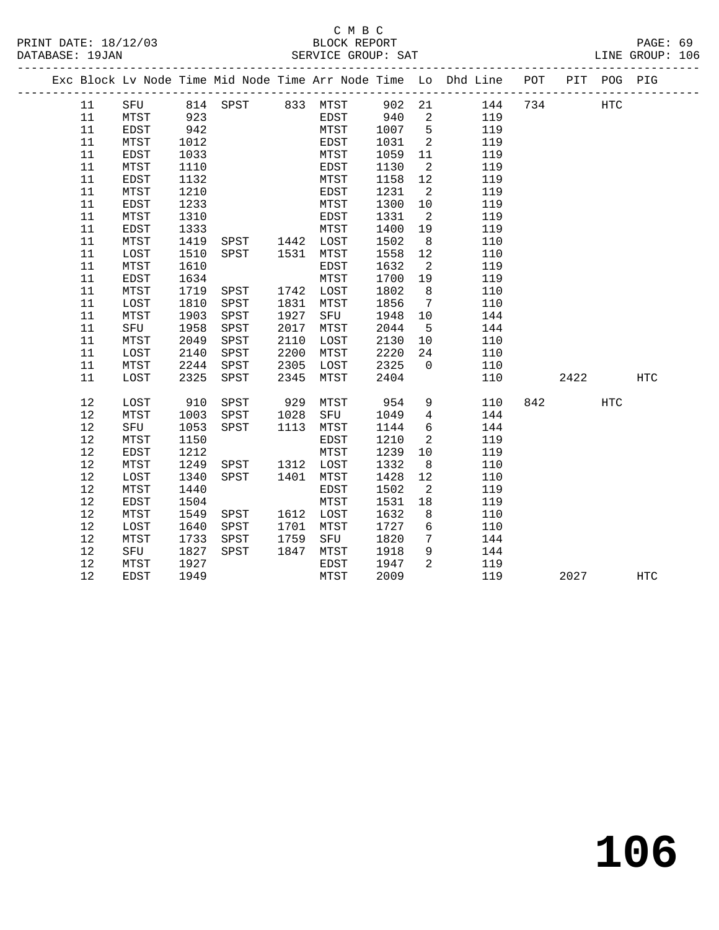#### C M B C<br>BLOCK REPORT PRINT DATE: 18/12/03 BLOCK REPORT PAGE: 69 SERVICE GROUP: SAT

| NF |  |
|----|--|

|          |              |              |                        |              |                           |              |                         | Exc Block Lv Node Time Mid Node Time Arr Node Time Lo Dhd Line POT PIT POG PIG |     |      |                   |            |
|----------|--------------|--------------|------------------------|--------------|---------------------------|--------------|-------------------------|--------------------------------------------------------------------------------|-----|------|-------------------|------------|
| 11       |              |              |                        |              |                           |              |                         | SFU 814 SPST 833 MTST 902 21 144 734                                           |     |      | $_{\mathrm{HTC}}$ |            |
| 11       | MTST         |              |                        |              | EDST 940 2<br>MTST 1007 5 |              |                         | 119                                                                            |     |      |                   |            |
| 11       | EDST         | 923<br>942   |                        |              | MTST                      | 1007 5       |                         | 119                                                                            |     |      |                   |            |
| 11       | MTST         | 1012         |                        |              | EDST                      | 1031         | $\overline{2}$          | 119                                                                            |     |      |                   |            |
| 11       | EDST         | 1033         |                        |              | MTST                      | 1059         | 11                      | 119                                                                            |     |      |                   |            |
| 11       | MTST         | 1110         |                        |              | EDST                      | 1130         | $\overline{\mathbf{c}}$ | 119                                                                            |     |      |                   |            |
| 11       | EDST         | 1132         |                        |              | MTST                      | 1158         | 12                      | 119                                                                            |     |      |                   |            |
| 11       | MTST         | 1210         |                        |              | EDST                      | 1231         | $\overline{2}$          | 119                                                                            |     |      |                   |            |
| 11       | EDST         | 1233         |                        |              | MTST                      | 1300         | 10                      | 119                                                                            |     |      |                   |            |
| 11       | MTST         | 1310         |                        |              | EDST                      | 1331         | $\overline{\mathbf{2}}$ | 119                                                                            |     |      |                   |            |
| 11       | EDST         | 1333         | MISI<br>SPST 1442 LOST |              | MTST                      | 1400         | 19                      | 119                                                                            |     |      |                   |            |
| 11       | MTST         | 1419         |                        |              |                           | 1502         | 8 <sup>8</sup>          | 110                                                                            |     |      |                   |            |
| 11       | LOST         | 1510         | SPST 1531              |              | MTST                      | 1558         | 12                      | 110                                                                            |     |      |                   |            |
| 11       | MTST         | 1610         |                        |              | EDST                      | 1632         | $\overline{2}$          | 119                                                                            |     |      |                   |            |
| 11       | EDST         | 1634         |                        |              | MTST                      | 1700         | 19                      | 119                                                                            |     |      |                   |            |
| 11       | MTST         | 1719         | SPST                   |              | 1742 LOST                 | 1802         | 8 <sup>8</sup>          | 110                                                                            |     |      |                   |            |
| 11       | LOST         | 1810         | SPST                   | 1831         | MTST                      | 1856         | $7\overline{ }$         | 110                                                                            |     |      |                   |            |
| 11       | MTST         | 1903<br>1958 | SPST<br>SPST           | 1927<br>2017 | SFU                       | 1948         | 10                      | 144                                                                            |     |      |                   |            |
| 11<br>11 | SFU          | 2049         | SPST                   | 2110         | MTST<br>LOST              | 2044<br>2130 | $5^{\circ}$<br>10       | 144<br>110                                                                     |     |      |                   |            |
| 11       | MTST         | 2140         | SPST                   | 2200         | MTST                      | 2220         | 24                      | 110                                                                            |     |      |                   |            |
| 11       | LOST<br>MTST | 2244         | SPST                   | 2305         | LOST                      | 2325         | $\overline{0}$          | 110                                                                            |     |      |                   |            |
| 11       | LOST         | 2325         | SPST                   | 2345         | MTST                      | 2404         |                         | 110                                                                            |     | 2422 |                   | <b>HTC</b> |
|          |              |              |                        |              |                           |              |                         |                                                                                |     |      |                   |            |
| 12       | LOST         | 910          | SPST                   |              | 929 MTST                  | 954          |                         | $9 \left( \frac{1}{2} \right)$<br>110                                          | 842 |      | <b>HTC</b>        |            |
| 12       | MTST         | 1003         | SPST                   | 1028         | SFU                       | 1049         | $4\overline{4}$         | 144                                                                            |     |      |                   |            |
| 12       | SFU          | 1053         | SPST                   |              | 1113 MTST                 | 1144         | 6                       | 144                                                                            |     |      |                   |            |
| 12       | MTST         | 1150         |                        |              | EDST                      | 1210         | $\overline{a}$          | 119                                                                            |     |      |                   |            |
| 12       | EDST         | 1212         |                        |              | MTST                      | 1239         | 10                      | 119                                                                            |     |      |                   |            |
| 12       | MTST         | 1249         | SPST 1312 LOST         |              |                           | 1332         | 8 <sup>8</sup>          | 110                                                                            |     |      |                   |            |
| 12       | LOST         | 1340         | SPST 1401              |              | MTST                      | 1428         | 12                      | 110                                                                            |     |      |                   |            |
| 12       | MTST         | 1440         |                        |              | EDST                      | 1502         | $\overline{2}$          | 119                                                                            |     |      |                   |            |
| 12       | EDST         | 1504         |                        |              | MTST                      | 1531         | 18                      | 119                                                                            |     |      |                   |            |
| 12       | MTST         | 1549         | SPST                   |              | 1612 LOST                 | 1632         | 8                       | 110                                                                            |     |      |                   |            |
| 12       | LOST         | 1640         | SPST                   | 1701         | MTST                      | 1727         | $6\overline{6}$         | 110                                                                            |     |      |                   |            |
| 12       | MTST         | 1733         | SPST                   | 1759         | SFU                       | 1820         | $7\overline{ }$         | 144                                                                            |     |      |                   |            |
| 12       | SFU          | 1827         | SPST                   | 1847         | MTST                      | 1918         | 9                       | 144                                                                            |     |      |                   |            |
| 12       | MTST         | 1927         |                        |              | EDST                      | 1947         | $\overline{a}$          | 119                                                                            |     |      |                   |            |
| 12       | EDST         | 1949         |                        |              | MTST                      | 2009         |                         | 119                                                                            |     | 2027 |                   | HTC        |

**106**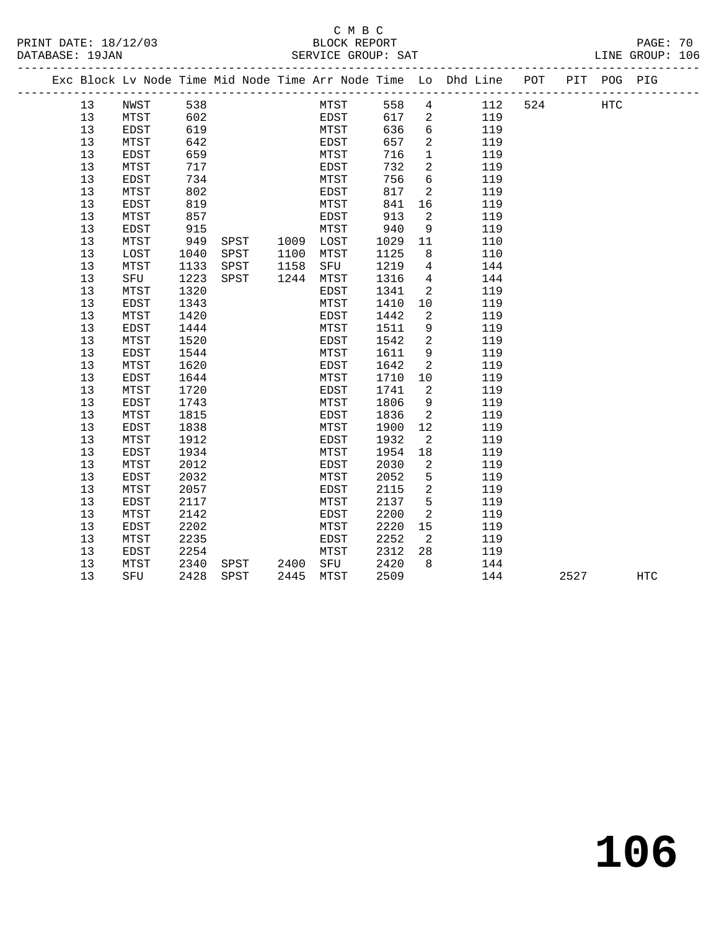### C M B C

#### PRINT DATE: 18/12/03 BLOCK REPORT PAGE: 70 DATABASE: 19JAN SERVICE GROUP: SAT LINE GROUP: 106 ------------------------------------------------------------------------------------------------- Exc Block Lv Node Time Mid Node Time Arr Node Time Lo Dhd Line POT PIT POG PIG ------------------------------------------------------------------------------------------------- 13 NWST 538 MTST 558 4 112 524 HTC 13 MTST 602 EDST 617 2 119 13 EDST 619 MTST 636 6 119 13 MTST 642 EDST 657 2 119 13 EDST 659 MTST 716 1 119 13 MTST 717 EDST 732 2 119 13 EDST 734 MTST 756 6 119 13 MTST 802 EDST 817 2 119 13 EDST 819 MTST 841 16 119 13 MTST 857 EDST 913 2 119 13 EDST 915 MTST 940 9 119 13 MTST 949 SPST 1009 LOST 1029 11 110 13 LOST 1040 SPST 1100 MTST 1125 8 110 13 MTST 1133 SPST 1158 SFU 1219 4 144 13 SFU 1223 SPST 1244 MTST 1316 4 144 13 MTST 1320 EDST 1341 2 119 13 EDST 1343 MTST 1410 10 119 13 MTST 1420 EDST 1442 2 119 13 EDST 1444 MTST 1511 9 119 13 MTST 1520 EDST 1542 2 119 13 EDST 1544 MTST 1611 9 119 13 MTST 1620 EDST 1642 2 119 13 EDST 1644 MTST 1710 10 119 13 MTST 1720 EDST 1741 2 119 13 EDST 1743 MTST 1806 9 119 13 MTST 1815 EDST 1836 2 119 13 EDST 1838 MTST 1900 12 119 13 MTST 1912 EDST 1932 2 119 13 EDST 1934 MTST 1954 18 119 13 MTST 2012 EDST 2030 2 119 13 EDST 2032 MTST 2052 5 119 13 MTST 2057 EDST 2115 2 119 13 EDST 2117 MTST 2137 5 119 13 MTST 2142 EDST 2200 2 119 13 EDST 2202 MTST 2220 15 119 13 MTST 2235 EDST 2252 2 119 13 EDST 2254 MTST 2312 28 119 13 MTST 2340 SPST 2400 SFU 2420 8 144 13 SFU 2428 SPST 2445 MTST 2509 144 2527 HTC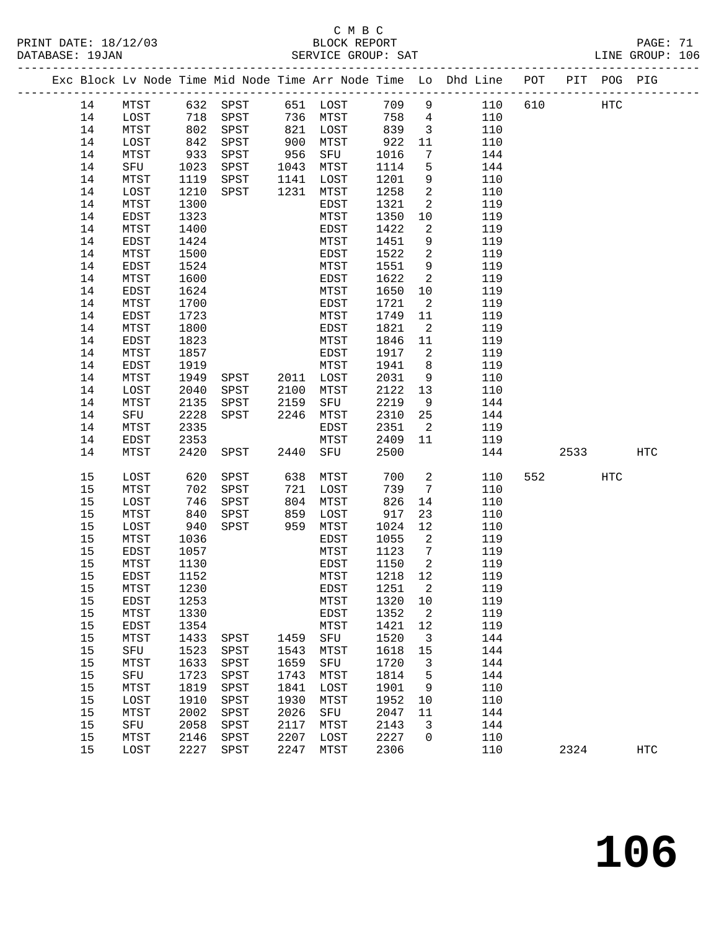# C M B C<br>BLOCK REPORT

LINE GROUP: 106

|    |             |      |      |      |              |        |                            | Exc Block Lv Node Time Mid Node Time Arr Node Time Lo Dhd Line POT |     |      | PIT POG PIG |     |
|----|-------------|------|------|------|--------------|--------|----------------------------|--------------------------------------------------------------------|-----|------|-------------|-----|
| 14 | MTST        | 632  | SPST |      | 651 LOST     | 709    | 9                          | 110                                                                | 610 |      | HTC         |     |
| 14 | LOST        | 718  | SPST | 736  | MTST         | 758    | $4\overline{ }$            | 110                                                                |     |      |             |     |
| 14 | MTST        | 802  | SPST | 821  | LOST         | 839    | $\overline{\mathbf{3}}$    | 110                                                                |     |      |             |     |
| 14 | LOST        | 842  | SPST | 900  | MTST         | 922    | 11                         | 110                                                                |     |      |             |     |
| 14 | MTST        | 933  | SPST | 956  | SFU          | 1016   | 7                          | 144                                                                |     |      |             |     |
| 14 | SFU         | 1023 | SPST | 1043 | MTST         | 1114   | 5                          | 144                                                                |     |      |             |     |
| 14 | MTST        | 1119 | SPST | 1141 | LOST         | 1201   | 9                          | 110                                                                |     |      |             |     |
| 14 | LOST        | 1210 | SPST | 1231 | MTST         | 1258   | 2                          | 110                                                                |     |      |             |     |
| 14 | MTST        | 1300 |      |      | EDST         | 1321   | 2                          | 119                                                                |     |      |             |     |
| 14 | EDST        | 1323 |      |      | MTST         | 1350   | 10                         | 119                                                                |     |      |             |     |
| 14 | MTST        | 1400 |      |      | EDST         | 1422   | 2                          | 119                                                                |     |      |             |     |
| 14 | EDST        | 1424 |      |      | MTST         | 1451   | 9                          | 119                                                                |     |      |             |     |
| 14 | MTST        | 1500 |      |      | EDST         | 1522   | 2                          | 119                                                                |     |      |             |     |
| 14 | EDST        | 1524 |      |      | MTST         | 1551   | 9                          | 119                                                                |     |      |             |     |
| 14 | MTST        | 1600 |      |      | EDST         | 1622   | 2                          | 119                                                                |     |      |             |     |
| 14 | EDST        | 1624 |      |      | MTST         | 1650   | 10                         | 119                                                                |     |      |             |     |
| 14 | MTST        | 1700 |      |      | EDST         | 1721   | $\overline{a}$             | 119                                                                |     |      |             |     |
| 14 | EDST        | 1723 |      |      | MTST         | 1749   | 11                         | 119                                                                |     |      |             |     |
| 14 | MTST        | 1800 |      |      | EDST         | 1821   | $\overline{2}$             | 119                                                                |     |      |             |     |
|    |             | 1823 |      |      |              |        |                            |                                                                    |     |      |             |     |
| 14 | EDST        |      |      |      | MTST         | 1846   | 11                         | 119                                                                |     |      |             |     |
| 14 | MTST        | 1857 |      |      | EDST         | 1917   | 2                          | 119                                                                |     |      |             |     |
| 14 | EDST        | 1919 |      |      | MTST         | 1941   | 8                          | 119                                                                |     |      |             |     |
| 14 | MTST        | 1949 | SPST | 2011 | LOST         | 2031   | 9                          | 110                                                                |     |      |             |     |
| 14 | LOST        | 2040 | SPST | 2100 | MTST         | 2122   | 13                         | 110                                                                |     |      |             |     |
| 14 | MTST        | 2135 | SPST | 2159 | SFU          | 2219   | 9                          | 144                                                                |     |      |             |     |
| 14 | SFU         | 2228 | SPST | 2246 | MTST         | 2310   | 25                         | 144                                                                |     |      |             |     |
| 14 | MTST        | 2335 |      |      | EDST         | 2351   | $\overline{2}$             | 119                                                                |     |      |             |     |
| 14 | EDST        | 2353 |      |      | MTST         | 2409   | 11                         | 119                                                                |     |      |             |     |
| 14 | MTST        | 2420 | SPST | 2440 | SFU          | 2500   |                            | 144                                                                |     | 2533 |             | HTC |
| 15 | LOST        | 620  | SPST | 638  | MTST         | 700    | 2                          | 110                                                                | 552 |      | <b>HTC</b>  |     |
| 15 | MTST        | 702  | SPST | 721  | LOST         | 739    | 7                          | 110                                                                |     |      |             |     |
| 15 | LOST        | 746  | SPST | 804  | MTST         | 826    | 14                         | 110                                                                |     |      |             |     |
| 15 | MTST        | 840  | SPST | 859  | LOST         | 917    | 23                         | 110                                                                |     |      |             |     |
| 15 | LOST        | 940  | SPST | 959  | MTST         | 1024   | 12                         | 110                                                                |     |      |             |     |
| 15 | MTST        | 1036 |      |      | EDST         | 1055   | 2                          | 119                                                                |     |      |             |     |
| 15 | EDST        | 1057 |      |      | MTST         | 1123   | $7\overline{ }$            | 119                                                                |     |      |             |     |
| 15 | MTST        | 1130 |      |      | EDST         | 1150   | $\overline{\phantom{0}}^2$ | 119                                                                |     |      |             |     |
| 15 | <b>EDST</b> | 1152 |      |      | MTST         | 1218   | 12                         | 119                                                                |     |      |             |     |
| 15 | MTST        | 1230 |      |      | EDST         | 1251 2 |                            | 119                                                                |     |      |             |     |
| 15 | EDST        | 1253 |      |      | ${\tt MTST}$ | 1320   | 10                         | 119                                                                |     |      |             |     |
| 15 | MTST        | 1330 |      |      | <b>EDST</b>  | 1352   | 2                          | 119                                                                |     |      |             |     |
| 15 | EDST        | 1354 |      |      | MTST         | 1421   | 12                         | 119                                                                |     |      |             |     |
| 15 | MTST        | 1433 | SPST | 1459 | SFU          | 1520   | 3                          | 144                                                                |     |      |             |     |
| 15 | SFU         | 1523 | SPST | 1543 | MTST         | 1618   | 15                         | 144                                                                |     |      |             |     |
| 15 | MTST        | 1633 | SPST | 1659 | SFU          | 1720   | 3                          | 144                                                                |     |      |             |     |
| 15 | SFU         | 1723 | SPST | 1743 | MTST         | 1814   | 5                          | 144                                                                |     |      |             |     |
| 15 | MTST        | 1819 | SPST | 1841 | LOST         | 1901   | 9                          | 110                                                                |     |      |             |     |
| 15 | LOST        | 1910 | SPST | 1930 | MTST         | 1952   | 10                         | 110                                                                |     |      |             |     |
| 15 | MTST        | 2002 | SPST | 2026 | SFU          | 2047   | 11                         | 144                                                                |     |      |             |     |
| 15 | SFU         | 2058 | SPST | 2117 | MTST         | 2143   | 3                          | 144                                                                |     |      |             |     |
| 15 | MTST        | 2146 | SPST | 2207 | LOST         | 2227   | 0                          | 110                                                                |     |      |             |     |

15 LOST 2227 SPST 2247 MTST 2306 110 2324 HTC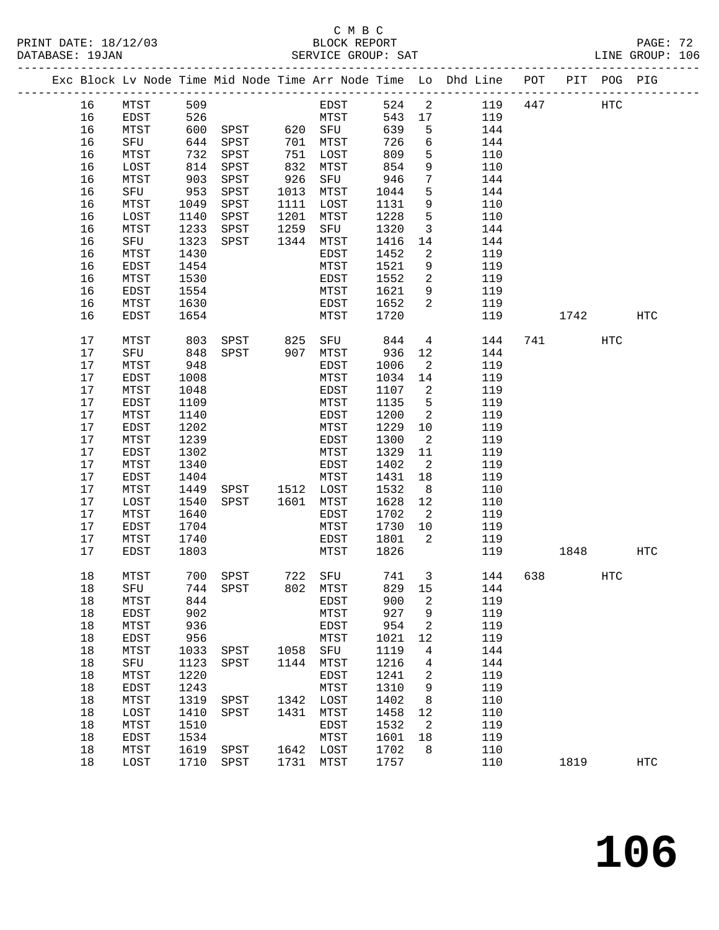# C M B C<br>BLOCK REPORT

|          |              |              |                                                             |      |              |              |                                | Exc Block Lv Node Time Mid Node Time Arr Node Time Lo Dhd Line POT PIT POG PIG |     |  |            |     |  |
|----------|--------------|--------------|-------------------------------------------------------------|------|--------------|--------------|--------------------------------|--------------------------------------------------------------------------------|-----|--|------------|-----|--|
|          |              |              | 16 MTST 509                                                 |      | EDST 524 2   |              |                                | 119  447  HTC                                                                  |     |  |            |     |  |
| 16       |              |              | EDST 526 MTST 543 17                                        |      |              |              |                                | 119                                                                            |     |  |            |     |  |
| 16       | MTST         |              | 600 SPST 620 SFU                                            |      |              | 639          | $5^{\circ}$                    | 144                                                                            |     |  |            |     |  |
| 16       | SFU          |              |                                                             |      |              | 726          | 6                              | 144                                                                            |     |  |            |     |  |
| 16       | MTST         |              | 044 SPST 701 MTST<br>732 SPST 751 LOST<br>814 SPST 832 MTST |      |              | 809          | 5                              | 110                                                                            |     |  |            |     |  |
| 16       | LOST         |              | $614$ SPST                                                  |      |              | 854          | 9                              | 110                                                                            |     |  |            |     |  |
| 16       | MTST         |              | 903 SPST                                                    | 926  | SFU          | 946          | $7\phantom{.}$                 | 144                                                                            |     |  |            |     |  |
| 16       | SFU          |              | 953 SPST                                                    | 1013 | MTST         | 1044         | 5                              | 144                                                                            |     |  |            |     |  |
| 16       | MTST         | 1049         | SPST                                                        | 1111 | LOST         | 1131         | 9                              | 110                                                                            |     |  |            |     |  |
| 16       | LOST         | 1140         | SPST                                                        | 1201 | MTST         | 1228         | $5\phantom{.0}$                | 110                                                                            |     |  |            |     |  |
| 16       | MTST         | 1233         | SPST                                                        | 1259 | SFU          | 1320         | $\overline{\mathbf{3}}$        | 144                                                                            |     |  |            |     |  |
| 16       | SFU          | 1323         | SPST                                                        |      | 1344 MTST    | 1416         | 14                             | 144                                                                            |     |  |            |     |  |
| 16       | MTST         | 1430         |                                                             |      | EDST         | 1452         | $\overline{a}$                 | 119                                                                            |     |  |            |     |  |
| 16       | EDST         | 1454         |                                                             |      | MTST         | 1521         | 9<br>2                         | 119                                                                            |     |  |            |     |  |
| 16<br>16 | MTST<br>EDST | 1530<br>1554 |                                                             |      | EDST<br>MTST | 1552<br>1621 |                                | 119<br>119                                                                     |     |  |            |     |  |
| 16       | MTST         | 1630         |                                                             |      | EDST         |              | 9<br>2                         | 119                                                                            |     |  |            |     |  |
| 16       | EDST         | 1654         |                                                             |      | MTST         | 1652<br>1720 |                                | 119                                                                            |     |  | 1742       | HTC |  |
|          |              |              |                                                             |      |              |              |                                |                                                                                |     |  |            |     |  |
| 17       | MTST         |              | 803 SPST 825 SFU 844                                        |      |              |              |                                | $4\overline{ }$<br>144                                                         |     |  | HTC        |     |  |
| 17       | SFU          | 848          | SPST 907 MTST                                               |      |              | 936          | 12                             | 144                                                                            |     |  |            |     |  |
| 17       | MTST         | 948          |                                                             |      | EDST         | 1006         | $\overline{2}$                 | 119                                                                            |     |  |            |     |  |
| 17       | EDST         | 1008         |                                                             |      | MTST         | 1034         | 14                             | 119                                                                            |     |  |            |     |  |
| 17       | MTST         | 1048         |                                                             |      | EDST         | 1107         | $\overline{\phantom{a}}^2$     | 119                                                                            |     |  |            |     |  |
| 17       | EDST         | 1109         |                                                             |      | MTST         | 1135         | $5^{\circ}$                    | 119                                                                            |     |  |            |     |  |
| 17       | MTST         | 1140         |                                                             |      | EDST         | 1200         | $\overline{\phantom{a}}$       | 119                                                                            |     |  |            |     |  |
| 17<br>17 | EDST<br>MTST | 1202<br>1239 |                                                             |      | MTST<br>EDST | 1229<br>1300 | 10<br>$\overline{\phantom{a}}$ | 119<br>119                                                                     |     |  |            |     |  |
| 17       | EDST         | 1302         |                                                             |      | MTST         | 1329         | 11                             | 119                                                                            |     |  |            |     |  |
| 17       | MTST         | 1340         |                                                             |      | EDST         | 1402         | $\overline{\phantom{a}}^2$     | 119                                                                            |     |  |            |     |  |
| 17       | EDST         | 1404         |                                                             |      | MTST         | 1431         | 18                             | 119                                                                            |     |  |            |     |  |
| 17       | MTST         |              | 1449 SPST 1512 LOST                                         |      |              | 1532         | 8 <sup>8</sup>                 | 110                                                                            |     |  |            |     |  |
| 17       | LOST         | 1540         | SPST 1601 MTST                                              |      |              | 1628         | 12                             | 110                                                                            |     |  |            |     |  |
| 17       | MTST         | 1640         |                                                             |      | EDST         | 1702         | $\overline{\phantom{a}}$       | 119                                                                            |     |  |            |     |  |
| 17       | EDST         | 1704         |                                                             |      | MTST         | 1730         | 10                             | 119                                                                            |     |  |            |     |  |
| 17       | MTST         | 1740         |                                                             |      | EDST         | 1801         | $\overline{\phantom{a}}$       | 119                                                                            |     |  |            |     |  |
| 17       | EDST         | 1803         |                                                             |      | MTST         | 1826         |                                | 119                                                                            |     |  | 1848       | HTC |  |
| 18       | MTST         | 700          | SPST                                                        | 722  | SFU          | 741          | 3                              | 144                                                                            | 638 |  | <b>HTC</b> |     |  |
| $18\,$   | SFU          | 744          | SPST                                                        | 802  | MTST         | 829          | 15                             | 144                                                                            |     |  |            |     |  |
| 18       | MTST         | 844          |                                                             |      | EDST         | 900          | 2                              | 119                                                                            |     |  |            |     |  |
| $18$     | EDST         | 902          |                                                             |      | ${\tt MTST}$ | 927          | 9                              | 119                                                                            |     |  |            |     |  |
| $18$     | ${\tt MTST}$ | 936          |                                                             |      | EDST         | 954          | 2                              | 119                                                                            |     |  |            |     |  |
| $18\,$   | EDST         | 956          |                                                             |      | MTST         | 1021         | 12                             | 119                                                                            |     |  |            |     |  |
| 18       | ${\tt MTST}$ | 1033         | SPST                                                        | 1058 | SFU          | 1119         | 4                              | 144                                                                            |     |  |            |     |  |
| 18       | ${\rm SFU}$  | 1123         | SPST                                                        | 1144 | MTST         | 1216         | 4                              | 144                                                                            |     |  |            |     |  |
| 18       | ${\tt MTST}$ | 1220         |                                                             |      | EDST         | 1241         | 2                              | 119                                                                            |     |  |            |     |  |
| 18       | EDST         | 1243         |                                                             |      | MTST         | 1310         | 9                              | 119                                                                            |     |  |            |     |  |
| 18       | MTST         | 1319         | SPST                                                        | 1342 | LOST         | 1402         | 8                              | 110                                                                            |     |  |            |     |  |
| $18$     | LOST         | 1410         | SPST                                                        | 1431 | MTST         | 1458         | 12                             | 110                                                                            |     |  |            |     |  |
| $18$     | ${\tt MTST}$ | 1510         |                                                             |      | EDST         | 1532         | 2                              | 119                                                                            |     |  |            |     |  |
| $18$     | EDST         | 1534         |                                                             |      | MTST         | 1601         | 18                             | 119                                                                            |     |  |            |     |  |

18 MTST 1619 SPST 1642 LOST 1702 8 110

18 LOST 1710 SPST 1731 MTST 1757 110 1819 HTC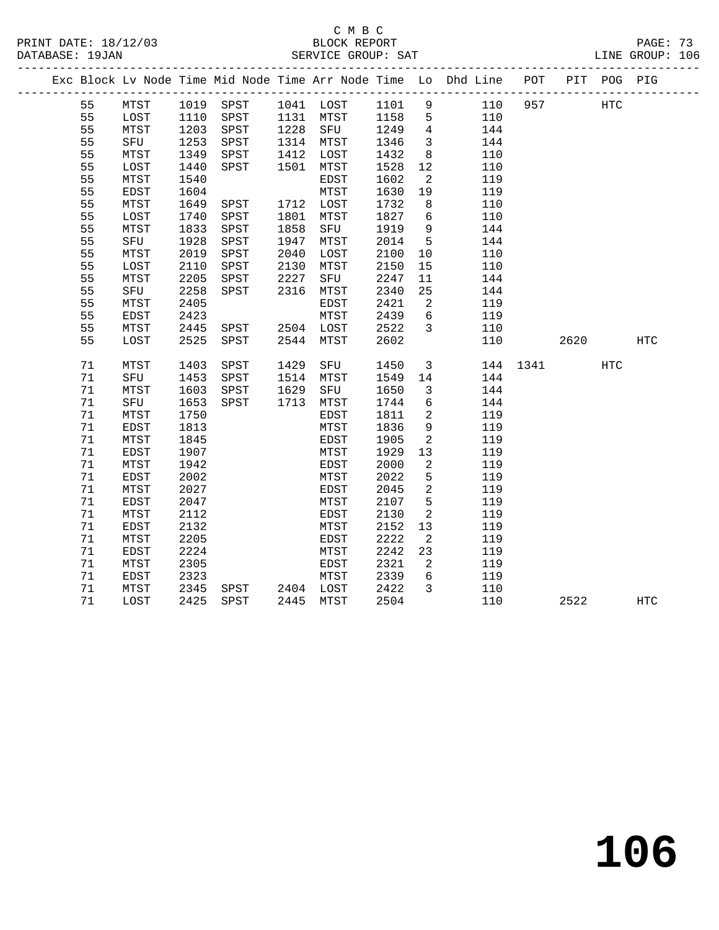PRINT DATE: 18/12/03 BLOCK REPORT BATABASE: 19JAN BLOCK REPORT

# C M B C<br>BLOCK REPORT

PAGE: 73<br>LINE GROUP: 106

|  |      |             |      |                |      |           |      |                          | Exc Block Lv Node Time Mid Node Time Arr Node Time Lo Dhd Line POT PIT POG PIG |          |      |     |                   |
|--|------|-------------|------|----------------|------|-----------|------|--------------------------|--------------------------------------------------------------------------------|----------|------|-----|-------------------|
|  | 55   | MTST        |      | 1019 SPST      |      | 1041 LOST | 1101 | 9                        | 110                                                                            | 957      |      | HTC |                   |
|  | 55   | LOST        | 1110 | SPST           |      |           |      | $5^{\circ}$              | 110                                                                            |          |      |     |                   |
|  | 55   | MTST        | 1203 | SPST           |      |           |      | $\overline{4}$           | 144                                                                            |          |      |     |                   |
|  | 55   | SFU         | 1253 | SPST           |      | 1314 MTST | 1346 | $\overline{\mathbf{3}}$  | 144                                                                            |          |      |     |                   |
|  | 55   | MTST        | 1349 | SPST           | 1412 | LOST      | 1432 | 8                        | 110                                                                            |          |      |     |                   |
|  | 55   | LOST        | 1440 | SPST           | 1501 | MTST      | 1528 | 12                       | 110                                                                            |          |      |     |                   |
|  | 55   | MTST        | 1540 |                |      | EDST      | 1602 | $\overline{\phantom{a}}$ | 119                                                                            |          |      |     |                   |
|  | 55   | EDST        | 1604 |                |      | MTST      | 1630 | 19                       | 119                                                                            |          |      |     |                   |
|  | 55   | MTST        | 1649 | SPST           |      | 1712 LOST | 1732 | 8                        | 110                                                                            |          |      |     |                   |
|  | 55   | LOST        | 1740 | SPST           | 1801 | MTST      | 1827 | 6                        | 110                                                                            |          |      |     |                   |
|  | 55   | MTST        | 1833 | SPST           | 1858 | SFU       | 1919 | 9                        | 144                                                                            |          |      |     |                   |
|  | 55   | SFU         | 1928 | SPST           | 1947 | MTST      | 2014 | $5\overline{)}$          | 144                                                                            |          |      |     |                   |
|  | 55   | MTST        | 2019 | SPST           | 2040 | LOST      | 2100 | 10                       | 110                                                                            |          |      |     |                   |
|  | 55   | LOST        | 2110 | SPST           | 2130 | MTST      | 2150 | 15                       | 110                                                                            |          |      |     |                   |
|  | 55   | MTST        | 2205 | SPST           | 2227 | SFU       | 2247 | 11                       | 144                                                                            |          |      |     |                   |
|  | 55   | SFU         | 2258 | SPST           | 2316 | MTST      | 2340 | 25                       | 144                                                                            |          |      |     |                   |
|  | 55   | MTST        | 2405 |                |      | EDST      | 2421 | 2                        | 119                                                                            |          |      |     |                   |
|  | 55   | EDST        | 2423 |                |      | MTST      | 2439 | $6\overline{6}$          | 119                                                                            |          |      |     |                   |
|  | 55   | MTST        | 2445 | SPST           |      | 2504 LOST | 2522 | $\overline{3}$           | 110                                                                            |          |      |     |                   |
|  | 55   | LOST        | 2525 | SPST           |      | 2544 MTST | 2602 |                          | 110                                                                            |          | 2620 |     | $_{\mathrm{HTC}}$ |
|  | 71   | MTST        | 1403 | SPST           | 1429 | SFU       | 1450 | $\overline{\mathbf{3}}$  |                                                                                | 144 1341 |      | HTC |                   |
|  | 71   | SFU         | 1453 | SPST           |      | 1514 MTST | 1549 | 14                       | 144                                                                            |          |      |     |                   |
|  | $71$ | MTST        | 1603 | SPST           | 1629 | SFU       | 1650 | $\overline{3}$           | 144                                                                            |          |      |     |                   |
|  | 71   | SFU         | 1653 | SPST           |      | 1713 MTST | 1744 | 6                        | 144                                                                            |          |      |     |                   |
|  | 71   | MTST        | 1750 |                |      | EDST      | 1811 | $\overline{2}$           | 119                                                                            |          |      |     |                   |
|  | 71   | EDST        | 1813 |                |      | MTST      | 1836 | 9                        | 119                                                                            |          |      |     |                   |
|  | 71   | MTST        | 1845 |                |      | EDST      | 1905 | 2                        | 119                                                                            |          |      |     |                   |
|  | 71   | EDST        | 1907 |                |      | MTST      | 1929 | 13                       | 119                                                                            |          |      |     |                   |
|  | 71   | MTST        | 1942 |                |      | EDST      | 2000 | $\overline{2}$           | 119                                                                            |          |      |     |                   |
|  | 71   | EDST        | 2002 |                |      | MTST      | 2022 | 5                        | 119                                                                            |          |      |     |                   |
|  | 71   | MTST        | 2027 |                |      | EDST      | 2045 | $\overline{a}$           | 119                                                                            |          |      |     |                   |
|  | 71   | <b>EDST</b> | 2047 |                |      | MTST      | 2107 | 5                        | 119                                                                            |          |      |     |                   |
|  | 71   | MTST        | 2112 |                |      | EDST      | 2130 | 2                        | 119                                                                            |          |      |     |                   |
|  | 71   | EDST        | 2132 |                |      | MTST      | 2152 | 13                       | 119                                                                            |          |      |     |                   |
|  | 71   | MTST        | 2205 |                |      | EDST      | 2222 | $\overline{a}$           | 119                                                                            |          |      |     |                   |
|  | 71   | EDST        | 2224 |                |      | MTST      | 2242 | 23                       | 119                                                                            |          |      |     |                   |
|  | 71   | MTST        | 2305 |                |      | EDST      | 2321 | 2                        | 119                                                                            |          |      |     |                   |
|  | 71   | EDST        | 2323 |                |      | MTST      | 2339 | $6\overline{6}$          | 119                                                                            |          |      |     |                   |
|  | 71   | MTST        | 2345 | SPST 2404 LOST |      |           | 2422 | $\overline{3}$           | 110                                                                            |          |      |     |                   |
|  | 71   | LOST        | 2425 | SPST           |      | 2445 MTST | 2504 |                          | 110                                                                            |          | 2522 |     | <b>HTC</b>        |

**106**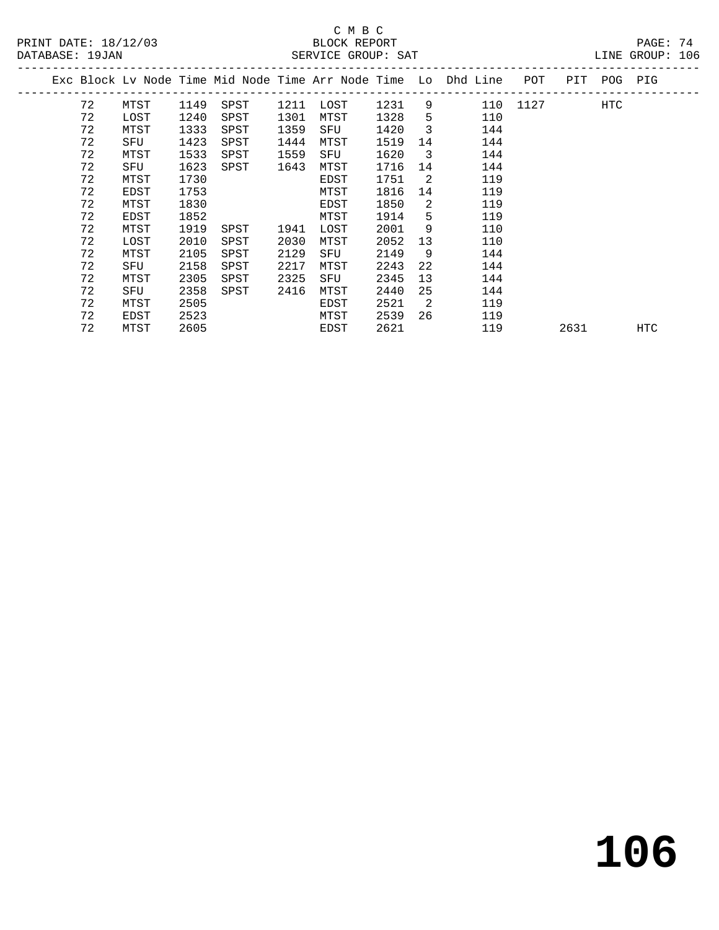## C M B C DATABASE: 19JAN SERVICE GROUP: SAT LINE GROUP: 106

| PRINT DATE: 18/12/03<br>$\mathtt{PAGE}$ :<br>BLOCK REPORT |  |  | 74 |  |
|-----------------------------------------------------------|--|--|----|--|
|-----------------------------------------------------------|--|--|----|--|

|  |    |      |      | Exc Block Lv Node Time Mid Node Time Arr Node Time Lo Dhd Line |      |      |      |                         |     | POT      |      | PIT POG PIG |     |
|--|----|------|------|----------------------------------------------------------------|------|------|------|-------------------------|-----|----------|------|-------------|-----|
|  | 72 | MTST | 1149 | SPST                                                           | 1211 | LOST | 1231 | 9                       |     | 110 1127 |      | HTC         |     |
|  | 72 | LOST | 1240 | SPST                                                           | 1301 | MTST | 1328 | 5                       | 110 |          |      |             |     |
|  | 72 | MTST | 1333 | SPST                                                           | 1359 | SFU  | 1420 | 3                       | 144 |          |      |             |     |
|  | 72 | SFU  | 1423 | SPST                                                           | 1444 | MTST | 1519 | 14                      | 144 |          |      |             |     |
|  | 72 | MTST | 1533 | SPST                                                           | 1559 | SFU  | 1620 | $\overline{\mathbf{3}}$ | 144 |          |      |             |     |
|  | 72 | SFU  | 1623 | SPST                                                           | 1643 | MTST | 1716 | 14                      | 144 |          |      |             |     |
|  | 72 | MTST | 1730 |                                                                |      | EDST | 1751 | -2                      | 119 |          |      |             |     |
|  | 72 | EDST | 1753 |                                                                |      | MTST | 1816 | 14                      | 119 |          |      |             |     |
|  | 72 | MTST | 1830 |                                                                |      | EDST | 1850 | 2                       | 119 |          |      |             |     |
|  | 72 | EDST | 1852 |                                                                |      | MTST | 1914 | 5                       | 119 |          |      |             |     |
|  | 72 | MTST | 1919 | SPST                                                           | 1941 | LOST | 2001 | 9                       | 110 |          |      |             |     |
|  | 72 | LOST | 2010 | SPST                                                           | 2030 | MTST | 2052 | 13                      | 110 |          |      |             |     |
|  | 72 | MTST | 2105 | SPST                                                           | 2129 | SFU  | 2149 | 9                       | 144 |          |      |             |     |
|  | 72 | SFU  | 2158 | SPST                                                           | 2217 | MTST | 2243 | 22                      | 144 |          |      |             |     |
|  | 72 | MTST | 2305 | SPST                                                           | 2325 | SFU  | 2345 | 13                      | 144 |          |      |             |     |
|  | 72 | SFU  | 2358 | SPST                                                           | 2416 | MTST | 2440 | 25                      | 144 |          |      |             |     |
|  | 72 | MTST | 2505 |                                                                |      | EDST | 2521 | -2                      | 119 |          |      |             |     |
|  | 72 | EDST | 2523 |                                                                |      | MTST | 2539 | 26                      | 119 |          |      |             |     |
|  | 72 | MTST | 2605 |                                                                |      | EDST | 2621 |                         | 119 |          | 2631 |             | HTC |
|  |    |      |      |                                                                |      |      |      |                         |     |          |      |             |     |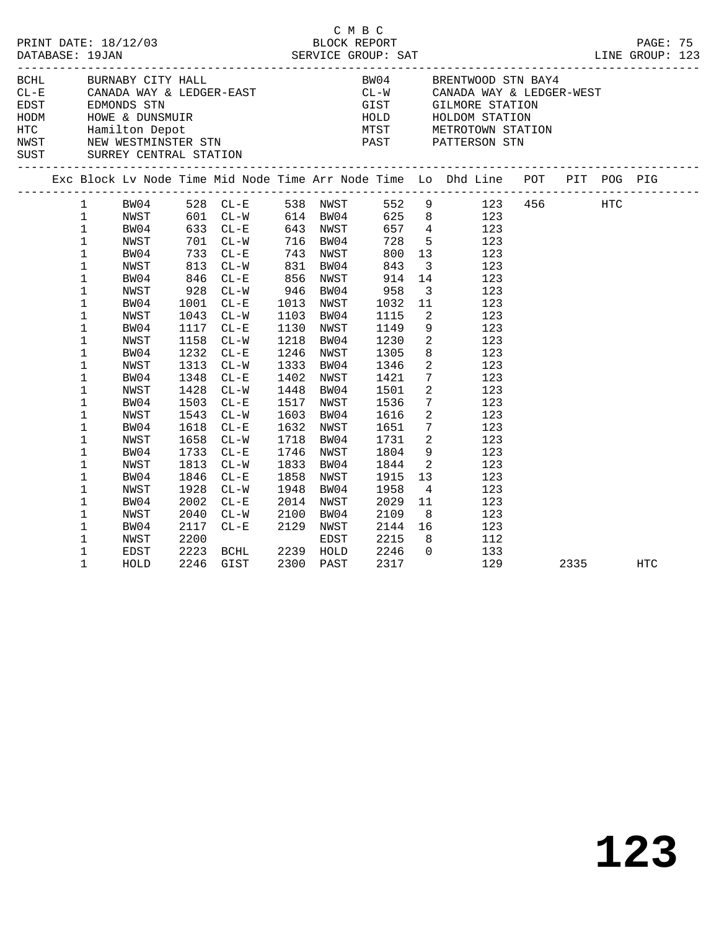|  |                                                                                                                                                                                                                                           |                                                                                                                                                                                                                      |                                                                                                                                                     |                                                                                                                                                                                                                                                                                                                       |                                                                                             |                                                                                                                                                                                                                                                                              | C M B C                                                                                                                                                                                               |                                                                                                                                                                                                                                                                                           |                                                                                                                                                                                                                                                                                           |      |            |  |
|--|-------------------------------------------------------------------------------------------------------------------------------------------------------------------------------------------------------------------------------------------|----------------------------------------------------------------------------------------------------------------------------------------------------------------------------------------------------------------------|-----------------------------------------------------------------------------------------------------------------------------------------------------|-----------------------------------------------------------------------------------------------------------------------------------------------------------------------------------------------------------------------------------------------------------------------------------------------------------------------|---------------------------------------------------------------------------------------------|------------------------------------------------------------------------------------------------------------------------------------------------------------------------------------------------------------------------------------------------------------------------------|-------------------------------------------------------------------------------------------------------------------------------------------------------------------------------------------------------|-------------------------------------------------------------------------------------------------------------------------------------------------------------------------------------------------------------------------------------------------------------------------------------------|-------------------------------------------------------------------------------------------------------------------------------------------------------------------------------------------------------------------------------------------------------------------------------------------|------|------------|--|
|  |                                                                                                                                                                                                                                           | SUST SURREY CENTRAL STATION                                                                                                                                                                                          |                                                                                                                                                     |                                                                                                                                                                                                                                                                                                                       |                                                                                             |                                                                                                                                                                                                                                                                              |                                                                                                                                                                                                       |                                                                                                                                                                                                                                                                                           | BOHL BURNABY CITY HALL BOHN BRENTWOOD STN BAY4<br>CL-E CANADA WAY & LEDGER-EAST CL-W CANADA WAY & LEDGER-WEST<br>EDST EDMONDS STN GIST GILMORE STATION<br>HODM HOWE & DUNSMUIR<br>HOLD HOLDOM STATION<br>HOLD HOLDOM STATION<br>NWST NEW W                                                |      |            |  |
|  |                                                                                                                                                                                                                                           |                                                                                                                                                                                                                      |                                                                                                                                                     |                                                                                                                                                                                                                                                                                                                       |                                                                                             |                                                                                                                                                                                                                                                                              |                                                                                                                                                                                                       |                                                                                                                                                                                                                                                                                           | Exc Block Lv Node Time Mid Node Time Arr Node Time Lo Dhd Line POT PIT POG PIG                                                                                                                                                                                                            |      |            |  |
|  | $1 \quad$<br>$\mathbf{1}$<br>$\mathbf{1}$<br>$\mathbf 1$<br>$\mathbf{1}$<br>$\mathbf 1$<br>$\mathbf 1$<br>$\mathbf 1$<br>1<br>1<br>1<br>1<br>1<br>1<br>1<br>1<br>1<br>1<br>1<br>1<br>$\mathbf{1}$<br>1<br>1<br>1<br>1<br>1<br>$\mathbf 1$ | BW04<br>NWST<br>BW04<br>NWST<br>BW04<br>NWST<br>BW04<br>NWST<br>BW04<br>NWST<br>BW04<br>NWST<br>BW04<br>NWST<br>BW04<br>NWST<br>BW04<br>NWST<br>BW04<br>NWST<br>BW04<br>NWST<br>BW04<br>NWST<br>BW04<br>NWST<br>BW04 | 813<br>1001<br>1043<br>1158<br>1232<br>1313<br>1348<br>1428<br>1503<br>1543<br>1618<br>1658<br>1733<br>1813<br>1846<br>1928<br>2002<br>2040<br>2117 | 528 CL-E<br>$601$ $CL-W$<br>633 CL-E<br>701 CL-W<br>733 CL-E<br>$CL-W$<br>846 CL-E<br>928 CL-W<br>$CL-W$<br>$CL-E$<br>$CL - W$<br>1117 CL-E<br>$CL-W$<br>$CL - E$<br>$CL-W$<br>$CL-E$<br>$CL-W$<br>$CL - E$<br>$CL-W$<br>$CL - E$<br>$CL-W$<br>$CL-E$<br>$CL-W$<br>$CL - E$<br>$CL-W$<br>$CL-E$<br>$CL-W$<br>$CL - E$ | 831<br>1130<br>1218<br>1246<br>1448<br>1632<br>1718<br>1833<br>1858<br>1948<br>2014<br>2100 | 614 BW04<br>643 NWST<br>716 BW04<br>743 NWST<br>BW04<br>856 NWST<br>946 BW04<br>1013 NWST<br>1103 BW04<br>NWST<br>BW04<br>NWST<br>1333 BW04<br>1402 NWST<br>BW04<br>1517 NWST<br>1603 BW04<br>NWST<br>BW04<br>1746 NWST<br>BW04<br>NWST<br>BW04<br>NWST<br>BW04<br>2129 NWST | 657<br>728<br>800<br>843<br>914<br>914<br>958<br>1032<br>1115<br>1149<br>1230<br>1305<br>1346<br>1421<br>1501<br>1536<br>1616<br>1651<br>1731<br>1804<br>1844<br>1915<br>1958<br>2029<br>2109<br>2144 | 5 <sup>5</sup><br>14<br>$\overline{\mathbf{3}}$<br>11<br>2<br>9<br>$\overline{\phantom{a}}$<br>2<br>$7\phantom{.0}$<br>$\overline{a}$<br>$7\overline{ }$<br>2<br>$7\overline{ }$<br>$\overline{2}$<br>9<br>$\overline{\mathbf{2}}$<br>13<br>$4\overline{4}$<br>11<br>8 <sup>8</sup><br>16 | 538 NWST 552 9 123 456 HTC<br>625 8 123<br>$657$ 4 123<br>123<br>13<br>123<br>$\overline{\mathbf{3}}$<br>123<br>123<br>123<br>123<br>123<br>123<br>123<br>$8\overline{)}$<br>123<br>123<br>123<br>123<br>123<br>123<br>123<br>123<br>123<br>123<br>123<br>123<br>123<br>123<br>123<br>112 |      |            |  |
|  | 1<br>1<br>1                                                                                                                                                                                                                               | NWST<br>EDST<br>HOLD                                                                                                                                                                                                 | 2200<br>2223<br>2246                                                                                                                                | BCHL<br>GIST                                                                                                                                                                                                                                                                                                          |                                                                                             | EDST<br>2239 HOLD<br>2300 PAST                                                                                                                                                                                                                                               | 2215<br>2246<br>2317                                                                                                                                                                                  | 8 <sup>8</sup><br>$\overline{0}$                                                                                                                                                                                                                                                          | 133<br>129                                                                                                                                                                                                                                                                                | 2335 | <b>HTC</b> |  |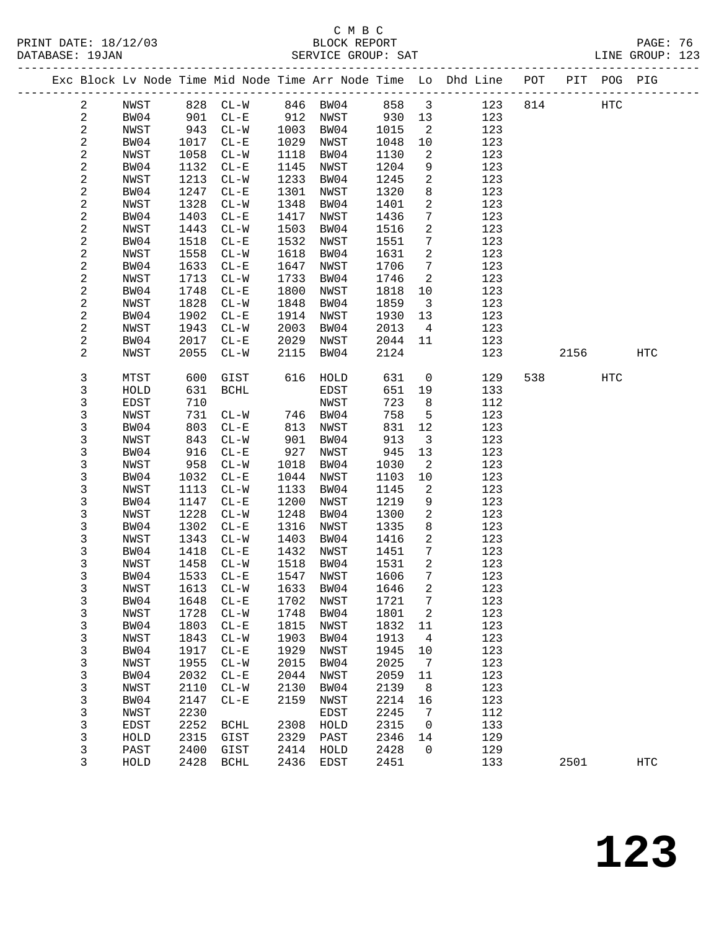### C M B C<br>BLOCK REPORT DATABASE: 19JAN SERVICE GROUP: SAT LINE GROUP: 123

#### ------------------------------------------------------------------------------------------------- Exc Block Lv Node Time Mid Node Time Arr Node Time Lo Dhd Line POT PIT POG PIG ------------------------------------------------------------------------------------------------- 2 NWST 828 CL-W 846 BW04 858 3 123 814 HTC 2 BW04 901 CL-E 912 NWST 930 13 123 2 NWST 943 CL-W 1003 BW04 1015 2 123 2 BW04 1017 CL-E 1029 NWST 1048 10 123 2 NWST 1058 CL-W 1118 BW04 1130 2 123 2 BW04 1132 CL-E 1145 NWST 1204 9 123 2 NWST 1213 CL-W 1233 BW04 1245 2 123 2 BW04 1247 CL-E 1301 NWST 1320 8 123 2 NWST 1328 CL-W 1348 BW04 1401 2 123 2 BW04 1403 CL-E 1417 NWST 1436 7 123 2 NWST 1443 CL-W 1503 BW04 1516 2 123 2 BW04 1518 CL-E 1532 NWST 1551 7 123 2 NWST 1558 CL-W 1618 BW04 1631 2 123 2 BW04 1633 CL-E 1647 NWST 1706 7 123 2 NWST 1713 CL-W 1733 BW04 1746 2 123 2 BW04 1748 CL-E 1800 NWST 1818 10 123 2 NWST 1828 CL-W 1848 BW04 1859 3 123 2 BW04 1902 CL-E 1914 NWST 1930 13 123 2 NWST 1943 CL-W 2003 BW04 2013 4 123 2 BW04 2017 CL-E 2029 NWST 2044 11 123 2 NWST 2055 CL-W 2115 BW04 2124 123 2156 HTC 3 MTST 600 GIST 616 HOLD 631 0 129 538 HTC 3 HOLD 631 BCHL EDST 651 19 133 3 EDST 710 NWST 723 8 112 3 NWST 731 CL-W 746 BW04 758 5 123 3 BW04 803 CL-E 813 NWST 831 12 123 3 NWST 843 CL-W 901 BW04 913 3 123 3 BW04 916 CL-E 927 NWST 945 13 123 3 NWST 958 CL-W 1018 BW04 1030 2 123 3 BW04 1032 CL-E 1044 NWST 1103 10 123 3 NWST 1113 CL-W 1133 BW04 1145 2 123 3 BW04 1147 CL-E 1200 NWST 1219 9 123 3 NWST 1228 CL-W 1248 BW04 1300 2 123 3 BW04 1302 CL-E 1316 NWST 1335 8 123 3 NWST 1343 CL-W 1403 BW04 1416 2 123 3 BW04 1418 CL-E 1432 NWST 1451 7 123 3 NWST 1458 CL-W 1518 BW04 1531 2 123 3 BW04 1533 CL-E 1547 NWST 1606 7 123 3 NWST 1613 CL-W 1633 BW04 1646 2 123 3 BW04 1648 CL-E 1702 NWST 1721 7 123 3 NWST 1728 CL-W 1748 BW04 1801 2 123 3 BW04 1803 CL-E 1815 NWST 1832 11 123 3 NWST 1843 CL-W 1903 BW04 1913 4 123 3 BW04 1917 CL-E 1929 NWST 1945 10 123 3 NWST 1955 CL-W 2015 BW04 2025 7 123 3 BW04 2032 CL-E 2044 NWST 2059 11 123 3 NWST 2110 CL-W 2130 BW04 2139 8 123 3 BW04 2147 CL-E 2159 NWST 2214 16 123 3 NWST 2230 EDST 2245 7 112 3 EDST 2252 BCHL 2308 HOLD 2315 0 133 3 HOLD 2315 GIST 2329 PAST 2346 14 129 3 PAST 2400 GIST 2414 HOLD 2428 0 129 3 HOLD 2428 BCHL 2436 EDST 2451 133 2501 HTC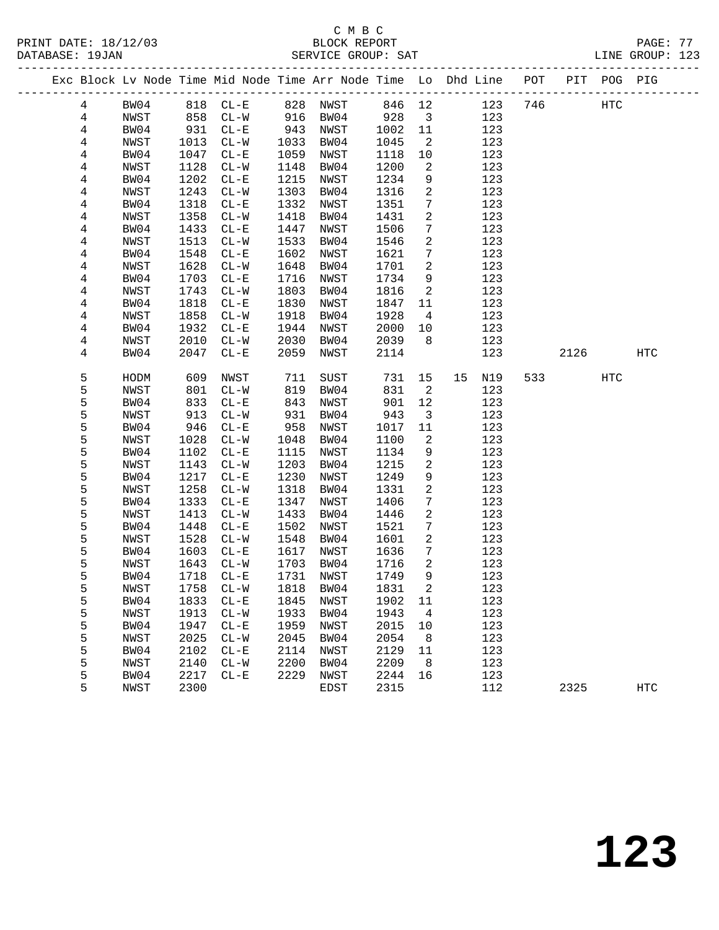PRINT DATE: 18/12/03 BLOCK REPORT PAGE: 77 DATABASE: 19JAN

# C M B C<br>BLOCK REPORT

| DAIABASL · IYUAN |   |      |      |        |      |          | DAKVILA GRUUF. DAI |                         |                                                                |     |     |         | LINA GKUUF. IZJ |  |
|------------------|---|------|------|--------|------|----------|--------------------|-------------------------|----------------------------------------------------------------|-----|-----|---------|-----------------|--|
|                  |   |      |      |        |      |          |                    |                         | Exc Block Lv Node Time Mid Node Time Arr Node Time Lo Dhd Line | POT | PIT | POG PIG |                 |  |
|                  | 4 | BW04 | 818  | CL-E   | 828  | NWST     | 846 12             |                         | 123                                                            | 746 |     | HTC     |                 |  |
|                  | 4 | NWST | 858  | CL-W   |      | 916 BW04 | 928                | $\overline{\mathbf{3}}$ | 123                                                            |     |     |         |                 |  |
|                  | 4 | BW04 | 931  | $CL-E$ | 943  | NWST     | 1002               | -11                     | 123                                                            |     |     |         |                 |  |
|                  | 4 | NWST | 1013 | CL-W   | 1033 | BW04     | 1045               | 2                       | 123                                                            |     |     |         |                 |  |
|                  | 4 | BW04 | 1047 | CL-E   | 1059 | NWST     | 1118               | 10                      | 123                                                            |     |     |         |                 |  |
|                  | 4 | NWST | 1128 | CL-W   | 1148 | BW04     | 1200               | - 2                     | 123                                                            |     |     |         |                 |  |
|                  | 4 | BW04 | 1202 | $CL-E$ | 1215 | NWST     | 1234               | 9                       | 123                                                            |     |     |         |                 |  |
|                  |   |      |      |        |      |          |                    |                         |                                                                |     |     |         |                 |  |

| 4              | BW04        | 1202 | $CL - E$                 | 1215 | NWST | 1234 | 9              | 123       |     |      |     |                   |  |
|----------------|-------------|------|--------------------------|------|------|------|----------------|-----------|-----|------|-----|-------------------|--|
| 4              | NWST        | 1243 | $\mathtt{CL}-\mathtt{W}$ | 1303 | BW04 | 1316 | 2              | 123       |     |      |     |                   |  |
| 4              | BW04        | 1318 | $CL-E$                   | 1332 | NWST | 1351 | 7              | 123       |     |      |     |                   |  |
| $\overline{4}$ | NWST        | 1358 | $CL-W$                   | 1418 | BW04 | 1431 | 2              | 123       |     |      |     |                   |  |
| 4              | BW04        | 1433 | $CL-E$                   | 1447 | NWST | 1506 | 7              | 123       |     |      |     |                   |  |
| 4              | <b>NWST</b> | 1513 | $\mathtt{CL}-\mathtt{W}$ | 1533 | BW04 | 1546 | 2              | 123       |     |      |     |                   |  |
| 4              | BW04        | 1548 | $CL - E$                 | 1602 | NWST | 1621 | 7              | 123       |     |      |     |                   |  |
| $\overline{4}$ | NWST        | 1628 | $\mathtt{CL}-\mathtt{W}$ | 1648 | BW04 | 1701 | 2              | 123       |     |      |     |                   |  |
| 4              | BW04        | 1703 | $CL-E$                   | 1716 | NWST | 1734 | 9              | 123       |     |      |     |                   |  |
| 4              | NWST        | 1743 | $\mathtt{CL}-\mathtt{W}$ | 1803 | BW04 | 1816 | 2              | 123       |     |      |     |                   |  |
| 4              | BW04        | 1818 | $CL-E$                   | 1830 | NWST | 1847 | 11             | 123       |     |      |     |                   |  |
| 4              | NWST        | 1858 | $CL-W$                   | 1918 | BW04 | 1928 | 4              | 123       |     |      |     |                   |  |
| 4              | BW04        | 1932 | $CL - E$                 | 1944 | NWST | 2000 | 10             | 123       |     |      |     |                   |  |
| 4              | NWST        | 2010 | $\mathtt{CL}-\mathtt{W}$ | 2030 | BW04 | 2039 | 8              | 123       |     |      |     |                   |  |
| 4              | BW04        | 2047 | $CL - E$                 | 2059 | NWST | 2114 |                | 123       |     | 2126 |     | $_{\mathrm{HTC}}$ |  |
|                |             |      |                          |      |      |      |                |           |     |      |     |                   |  |
| 5              | HODM        | 609  | NWST                     | 711  | SUST | 731  | 15             | 15<br>N19 | 533 |      | HTC |                   |  |
| 5              | NWST        | 801  | $CL - W$                 | 819  | BW04 | 831  | $\sqrt{2}$     | 123       |     |      |     |                   |  |
| 5              | BW04        | 833  | $CL - E$                 | 843  | NWST | 901  | 12             | 123       |     |      |     |                   |  |
| 5              | NWST        | 913  | $\mathtt{CL}-\mathtt{W}$ | 931  | BW04 | 943  | $\mathsf{3}$   | 123       |     |      |     |                   |  |
| 5              | BW04        | 946  | $\rm CL-E$               | 958  | NWST | 1017 | 11             | 123       |     |      |     |                   |  |
| 5              | NWST        | 1028 | $\mathtt{CL}-\mathtt{W}$ | 1048 | BW04 | 1100 | $\sqrt{2}$     | 123       |     |      |     |                   |  |
| 5              | BW04        | 1102 | $CL-E$                   | 1115 | NWST | 1134 | 9              | 123       |     |      |     |                   |  |
| 5              | NWST        | 1143 | $CL-W$                   | 1203 | BW04 | 1215 | 2              | 123       |     |      |     |                   |  |
| 5              | BW04        | 1217 | $CL - E$                 | 1230 | NWST | 1249 | 9              | 123       |     |      |     |                   |  |
| $\mathsf S$    | NWST        | 1258 | $\mathtt{CL}-\mathtt{W}$ | 1318 | BW04 | 1331 | $\overline{c}$ | 123       |     |      |     |                   |  |
| 5              | BW04        | 1333 | $CL-E$                   | 1347 | NWST | 1406 | 7              | 123       |     |      |     |                   |  |
| 5              | NWST        | 1413 | $CL-W$                   | 1433 | BW04 | 1446 | 2              | 123       |     |      |     |                   |  |
| 5              | BW04        | 1448 | $CL - E$                 | 1502 | NWST | 1521 | 7              | 123       |     |      |     |                   |  |
| 5              | NWST        | 1528 | $CL-W$                   | 1548 | BW04 | 1601 | 2              | 123       |     |      |     |                   |  |
| 5              | BW04        | 1603 | $CL - E$                 | 1617 | NWST | 1636 | 7              | 123       |     |      |     |                   |  |
| 5              | <b>NWST</b> | 1643 | $CL-W$                   | 1703 | BW04 | 1716 | 2              | 123       |     |      |     |                   |  |
| 5              | BW04        | 1718 | $CL-E$                   | 1731 | NWST | 1749 | 9              | 123       |     |      |     |                   |  |
| 5              | NWST        | 1758 | $\mathtt{CL}-\mathtt{W}$ | 1818 | BW04 | 1831 | 2              | 123       |     |      |     |                   |  |
| 5              | BW04        | 1833 | $CL-E$                   | 1845 | NWST | 1902 | $11\,$         | 123       |     |      |     |                   |  |
| 5              | NWST        | 1913 | $\mathtt{CL}-\mathtt{W}$ | 1933 | BW04 | 1943 | $\overline{4}$ | 123       |     |      |     |                   |  |
| 5              | BW04        | 1947 | $CL - E$                 | 1959 | NWST | 2015 | 10             | 123       |     |      |     |                   |  |
| 5              | NWST        | 2025 | $CL-W$                   | 2045 | BW04 | 2054 | 8              | 123       |     |      |     |                   |  |
| 5              | BW04        | 2102 | $CL-E$                   | 2114 | NWST | 2129 | 11             | 123       |     |      |     |                   |  |
| 5              | NWST        | 2140 | $CL-W$                   | 2200 | BW04 | 2209 | 8              | 123       |     |      |     |                   |  |
| 5              | BW04        | 2217 | $CL - E$                 | 2229 | NWST | 2244 | 16             | 123       |     |      |     |                   |  |
| 5              | NWST        | 2300 |                          |      | EDST | 2315 |                | 112       |     | 2325 |     | $_{\mathrm{HTC}}$ |  |
|                |             |      |                          |      |      |      |                |           |     |      |     |                   |  |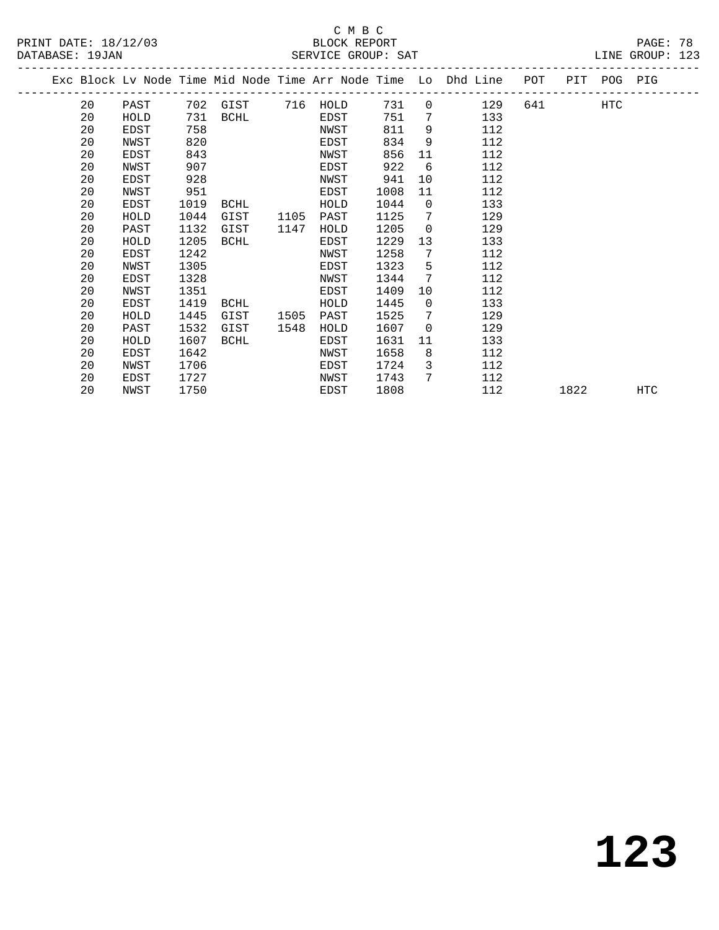## C M B C<br>BLOCK REPORT SERVICE GROUP: SAT

| 20 | PAST |      |      |          |      | 731  | $\overline{0}$ | 129 |                                                                    | HTC            |             |
|----|------|------|------|----------|------|------|----------------|-----|--------------------------------------------------------------------|----------------|-------------|
| 20 | HOLD | 731  | BCHL |          | EDST | 751  | 7              | 133 |                                                                    |                |             |
| 20 | EDST | 758  |      |          | NWST | 811  | 9              | 112 |                                                                    |                |             |
| 20 | NWST | 820  |      |          | EDST | 834  | 9              | 112 |                                                                    |                |             |
| 20 | EDST | 843  |      |          | NWST | 856  | 11             | 112 |                                                                    |                |             |
| 20 | NWST | 907  |      |          | EDST | 922  | 6              | 112 |                                                                    |                |             |
| 20 | EDST | 928  |      |          | NWST | 941  | 10             | 112 |                                                                    |                |             |
| 20 | NWST | 951  |      |          | EDST | 1008 | 11             | 112 |                                                                    |                |             |
| 20 | EDST | 1019 | BCHL |          | HOLD | 1044 | $\overline{0}$ | 133 |                                                                    |                |             |
| 20 | HOLD | 1044 | GIST | 1105     | PAST | 1125 | 7              | 129 |                                                                    |                |             |
| 20 | PAST | 1132 | GIST | 1147     | HOLD | 1205 | $\overline{0}$ | 129 |                                                                    |                |             |
| 20 | HOLD | 1205 | BCHL |          | EDST | 1229 | 13             | 133 |                                                                    |                |             |
| 20 | EDST | 1242 |      |          | NWST | 1258 | 7              | 112 |                                                                    |                |             |
| 20 | NWST | 1305 |      |          | EDST | 1323 | 5              | 112 |                                                                    |                |             |
| 20 | EDST | 1328 |      |          | NWST | 1344 | 7              | 112 |                                                                    |                |             |
| 20 | NWST | 1351 |      |          | EDST | 1409 | 10             | 112 |                                                                    |                |             |
| 20 | EDST | 1419 | BCHL |          | HOLD | 1445 | $\overline{0}$ | 133 |                                                                    |                |             |
| 20 | HOLD | 1445 | GIST | 1505     | PAST | 1525 | 7              | 129 |                                                                    |                |             |
| 20 | PAST | 1532 | GIST | 1548     | HOLD | 1607 | $\overline{0}$ | 129 |                                                                    |                |             |
| 20 | HOLD | 1607 | BCHL |          | EDST | 1631 | 11             | 133 |                                                                    |                |             |
| 20 | EDST | 1642 |      |          | NWST | 1658 | 8              | 112 |                                                                    |                |             |
| 20 | NWST | 1706 |      |          | EDST | 1724 | 3              | 112 |                                                                    |                |             |
| 20 | EDST | 1727 |      |          | NWST | 1743 | 7              | 112 |                                                                    |                |             |
| 20 | NWST | 1750 |      |          | EDST | 1808 |                | 112 |                                                                    |                | <b>HTC</b>  |
|    |      |      |      | 702 GIST |      |      | 716 HOLD       |     | Exc Block Lv Node Time Mid Node Time Arr Node Time Lo Dhd Line POT | 641 64<br>1822 | PIT POG PIG |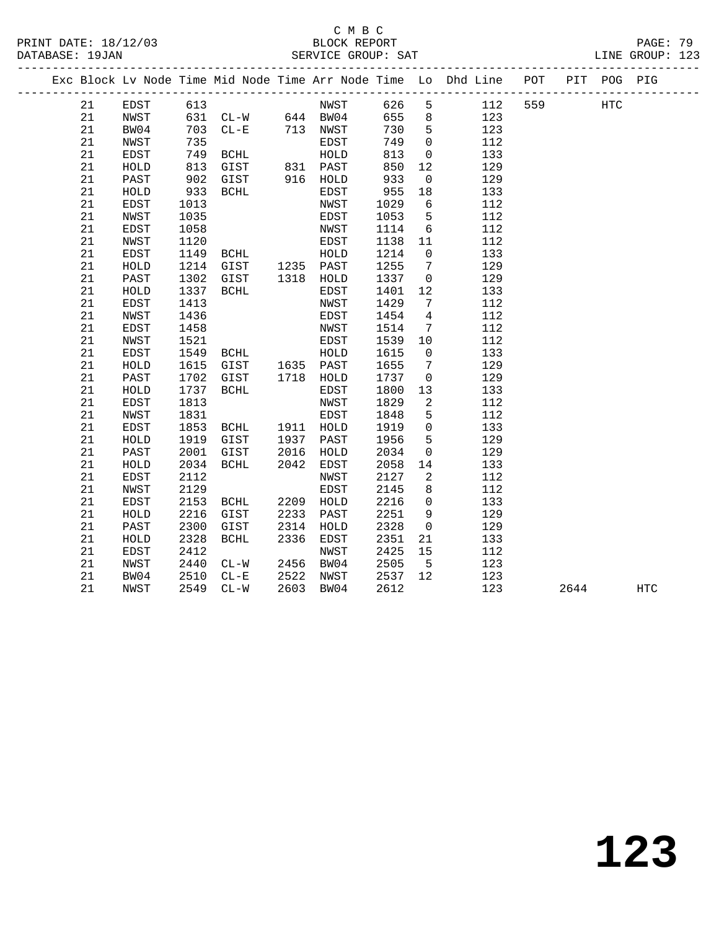## C M B C

PRINT DATE: 18/12/03 BLOCK REPORT PAGE: 79 DATABASE: 19JAN SERVICE GROUP: SAT ------------------------------------------------------------------------------------------------- Exc Block Lv Node Time Mid Node Time Arr Node Time Lo Dhd Line POT PIT POG PIG ------------------------------------------------------------------------------------------------- 21 EDST 613 NWST 626 5 112 559 HTC 21 NWST 631 CL-W 644 BW04 655 8 123 21 BW04 703 CL-E 713 NWST 730 5 123 21 NWST 735 EDST 749 0 112 21 EDST 749 BCHL HOLD 813 0 133 21 HOLD 813 GIST 831 PAST 850 12 129 21 PAST 902 GIST 916 HOLD 933 0 129 21 HOLD 933 BCHL EDST 955 18 133 21 EDST 1013 NWST 1029 6 112 21 NWST 735 EDST 749 O 112<br>
21 EDST 749 BCHL HOLD 813 0 133<br>
21 HOLD 813 GIST 831 PAST 850 12 129<br>
21 PAST 902 GIST 916 HOLD 933 0 129<br>
21 HOLD 933 BCHL EDST 955 18 133<br>
21 EDST 1013 NWST 1029 6 112<br>
21 NWST 1035 EDST 1053 21 EDST 1058 NWST 1114 6 112 21 NWST 1120 EDST 1138 11 112 21 EDST 1149 BCHL HOLD 1214 0 133 21 HOLD 1214 GIST 1235 PAST 1255 7 129 21 PAST 1302 GIST 1318 HOLD 1337 0 129 21 HOLD 1337 BCHL EDST 1401 12 133 21 EDST 1413 NWST 1429 7 112 21 NWST 1436 EDST 1454 4 112 21 EDST 1458 NWST 1514 7 112 21 NWST 1521 EDST 1539 10 112 21 EDST 1549 BCHL HOLD 1615 0 133 21 HOLD 1615 GIST 1635 PAST 1655 7 129 21 PAST 1702 GIST 1718 HOLD 1737 0 129 21 HOLD 1737 BCHL EDST 1800 13 133 21 EDST 1813 NWST 1829 2 112 21 NWST 1831 EDST 1848 5 112 21 EDST 1853 BCHL 1911 HOLD 1919 0 133 21 HOLD 1919 GIST 1937 PAST 1956 5 129 21 PAST 2001 GIST 2016 HOLD 2034 0 129 21 HOLD 2034 BCHL 2042 EDST 2058 14 133 21 EDST 2112 NWST 2127 2 112 21 NWST 2129 EDST 2145 8 112 21 EDST 2153 BCHL 2209 HOLD 2216 0 133 21 HOLD 2216 GIST 2233 PAST 2251 9 129 21 PAST 2300 GIST 2314 HOLD 2328 0 129 21 HOLD 2328 BCHL 2336 EDST 2351 21 133 21 EDST 2412 NWST 2425 15 112 21 NWST 2440 CL-W 2456 BW04 2505 5 123 21 BW04 2510 CL-E 2522 NWST 2537 12 123 21 NWST 2549 CL-W 2603 BW04 2612 123 2644 HTC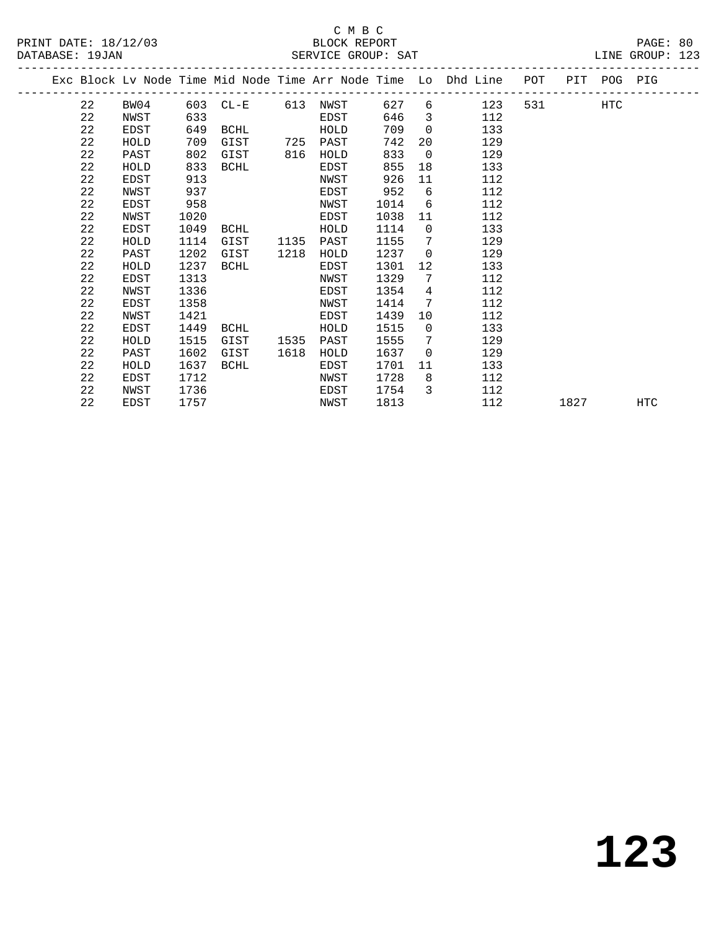## C M B C<br>BLOCK REPORT SERVICE GROUP: SAT

|  |    |      |      |             |      |      |      |                | Exc Block Lv Node Time Mid Node Time Arr Node Time Lo Dhd Line POT |       |      | PIT POG PIG |     |
|--|----|------|------|-------------|------|------|------|----------------|--------------------------------------------------------------------|-------|------|-------------|-----|
|  | 22 | BW04 |      | 603 CL-E    | 613  | NWST | 627  |                | $6 \qquad \qquad$<br>123                                           | 531 7 |      | HTC         |     |
|  | 22 | NWST | 633  |             |      | EDST | 646  | $\overline{3}$ | 112                                                                |       |      |             |     |
|  | 22 | EDST | 649  | BCHL        |      | HOLD | 709  | $\Omega$       | 133                                                                |       |      |             |     |
|  | 22 | HOLD | 709  | GIST        | 725  | PAST | 742  | 20             | 129                                                                |       |      |             |     |
|  | 22 | PAST | 802  | GIST        | 816  | HOLD | 833  | $\overline{0}$ | 129                                                                |       |      |             |     |
|  | 22 | HOLD | 833  | BCHL        |      | EDST | 855  | 18             | 133                                                                |       |      |             |     |
|  | 22 | EDST | 913  |             |      | NWST | 926  | 11             | 112                                                                |       |      |             |     |
|  | 22 | NWST | 937  |             |      | EDST | 952  | 6              | 112                                                                |       |      |             |     |
|  | 22 | EDST | 958  |             |      | NWST | 1014 | 6              | 112                                                                |       |      |             |     |
|  | 22 | NWST | 1020 |             |      | EDST | 1038 | 11             | 112                                                                |       |      |             |     |
|  | 22 | EDST | 1049 | BCHL        |      | HOLD | 1114 | $\mathbf 0$    | 133                                                                |       |      |             |     |
|  | 22 | HOLD | 1114 | GIST        | 1135 | PAST | 1155 | 7              | 129                                                                |       |      |             |     |
|  | 22 | PAST | 1202 | GIST        | 1218 | HOLD | 1237 | $\overline{0}$ | 129                                                                |       |      |             |     |
|  | 22 | HOLD | 1237 | BCHL        |      | EDST | 1301 | 12             | 133                                                                |       |      |             |     |
|  | 22 | EDST | 1313 |             |      | NWST | 1329 | 7              | 112                                                                |       |      |             |     |
|  | 22 | NWST | 1336 |             |      | EDST | 1354 | 4              | 112                                                                |       |      |             |     |
|  | 22 | EDST | 1358 |             |      | NWST | 1414 | 7              | 112                                                                |       |      |             |     |
|  | 22 | NWST | 1421 |             |      | EDST | 1439 | 10             | 112                                                                |       |      |             |     |
|  | 22 | EDST | 1449 | BCHL        |      | HOLD | 1515 | $\overline{0}$ | 133                                                                |       |      |             |     |
|  | 22 | HOLD | 1515 | GIST        | 1535 | PAST | 1555 | 7              | 129                                                                |       |      |             |     |
|  | 22 | PAST | 1602 | GIST        | 1618 | HOLD | 1637 | $\Omega$       | 129                                                                |       |      |             |     |
|  | 22 | HOLD | 1637 | <b>BCHL</b> |      | EDST | 1701 | 11             | 133                                                                |       |      |             |     |
|  | 22 | EDST | 1712 |             |      | NWST | 1728 | 8              | 112                                                                |       |      |             |     |
|  | 22 | NWST | 1736 |             |      | EDST | 1754 | 3              | 112                                                                |       |      |             |     |
|  | 22 | EDST | 1757 |             |      | NWST | 1813 |                | 112                                                                |       | 1827 |             | HTC |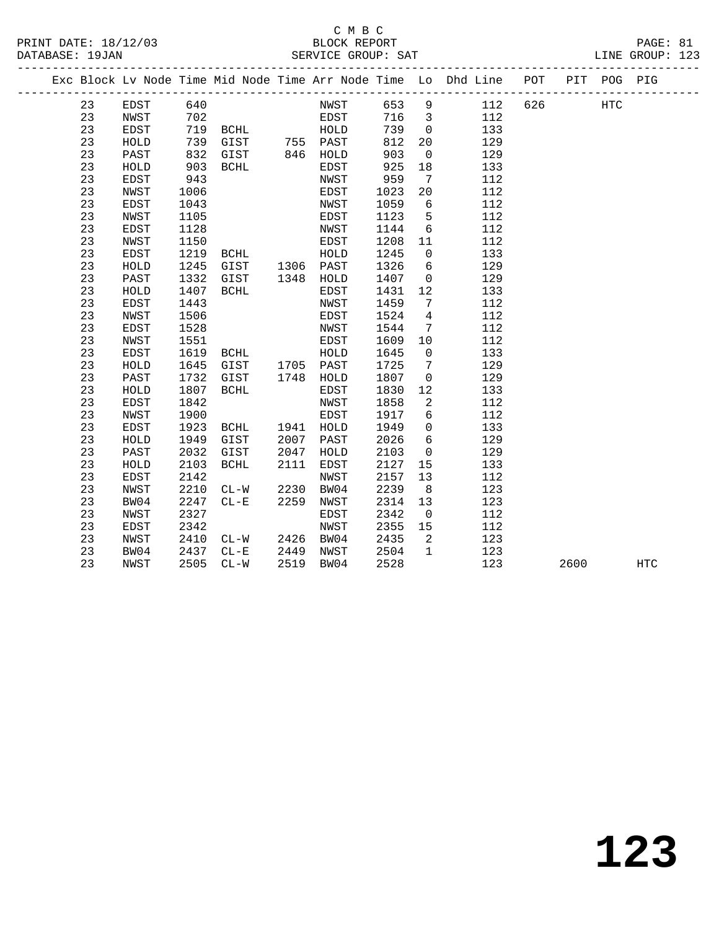#### C M B C<br>BLOCK REPORT PRINT DATE: 18/12/03 BLOCK REPORT PAGE: 81 SERVICE GROUP: SAT

|    |              |      | Exc Block Lv Node Time Mid Node Time Arr Node Time Lo Dhd Line POT |           |      |      |      |                         |     |     |      | PIT POG PIG |     |
|----|--------------|------|--------------------------------------------------------------------|-----------|------|------|------|-------------------------|-----|-----|------|-------------|-----|
| 23 | EDST         | 640  |                                                                    |           |      | NWST | 653  | 9                       | 112 | 626 |      | <b>HTC</b>  |     |
| 23 | NWST         | 702  |                                                                    |           | EDST |      | 716  | $\overline{\mathbf{3}}$ | 112 |     |      |             |     |
| 23 | EDST         |      |                                                                    |           |      |      | 739  | $\overline{0}$          | 133 |     |      |             |     |
| 23 | HOLD         | 739  |                                                                    |           |      |      | 812  | 20                      | 129 |     |      |             |     |
| 23 | PAST         | 832  | GIST 846 HOLD                                                      |           |      |      | 903  | $\overline{0}$          | 129 |     |      |             |     |
| 23 | HOLD         | 903  | BCHL                                                               |           | EDST |      | 925  | 18                      | 133 |     |      |             |     |
| 23 | EDST         | 943  |                                                                    |           | NWST |      | 959  | $7\overline{ }$         | 112 |     |      |             |     |
| 23 | NWST         | 1006 |                                                                    |           | EDST |      | 1023 | 20                      | 112 |     |      |             |     |
| 23 | <b>EDST</b>  | 1043 |                                                                    |           | NWST |      | 1059 | $6\overline{6}$         | 112 |     |      |             |     |
| 23 | <b>NWST</b>  | 1105 |                                                                    |           | EDST |      | 1123 | $5^{\circ}$             | 112 |     |      |             |     |
| 23 | <b>EDST</b>  | 1128 |                                                                    |           | NWST |      | 1144 | $6\overline{6}$         | 112 |     |      |             |     |
| 23 | NWST         | 1150 |                                                                    |           | EDST |      | 1208 | 11                      | 112 |     |      |             |     |
| 23 | EDST         | 1219 | BCHL HOLD<br>GIST 1306 PAST<br>GIST 1348 HOLD                      |           |      |      | 1245 | $\overline{0}$          | 133 |     |      |             |     |
| 23 | ${\tt HOLD}$ | 1245 |                                                                    |           |      |      | 1326 | 6                       | 129 |     |      |             |     |
| 23 | PAST         | 1332 |                                                                    |           |      |      | 1407 | $\overline{0}$          | 129 |     |      |             |     |
| 23 | HOLD         | 1407 | BCHL                                                               |           | EDST |      | 1431 | 12                      | 133 |     |      |             |     |
| 23 | <b>EDST</b>  | 1443 |                                                                    |           | NWST |      | 1459 | $\overline{7}$          | 112 |     |      |             |     |
| 23 | NWST         | 1506 |                                                                    |           | EDST |      | 1524 | $\overline{4}$          | 112 |     |      |             |     |
| 23 | <b>EDST</b>  | 1528 |                                                                    |           | NWST |      | 1544 | 7                       | 112 |     |      |             |     |
| 23 | <b>NWST</b>  | 1551 |                                                                    |           | EDST |      | 1609 | 10                      | 112 |     |      |             |     |
| 23 | EDST         | 1619 | <b>BCHL</b>                                                        |           | HOLD |      | 1645 | $\overline{0}$          | 133 |     |      |             |     |
| 23 | HOLD         | 1645 | GIST 1705 PAST                                                     |           |      |      | 1725 | $\overline{7}$          | 129 |     |      |             |     |
| 23 | PAST         | 1732 | GIST                                                               | 1748      | HOLD |      | 1807 | $\mathbf 0$             | 129 |     |      |             |     |
| 23 | HOLD         | 1807 | BCHL                                                               |           | EDST |      | 1830 | 12                      | 133 |     |      |             |     |
| 23 | <b>EDST</b>  | 1842 |                                                                    |           | NWST |      | 1858 | 2                       | 112 |     |      |             |     |
| 23 | NWST         | 1900 |                                                                    |           | EDST |      | 1917 | 6                       | 112 |     |      |             |     |
| 23 | EDST         | 1923 | BCHL                                                               | 1941 HOLD |      |      | 1949 | $\overline{0}$          | 133 |     |      |             |     |
| 23 | HOLD         | 1949 | GIST                                                               | 2007      | PAST |      | 2026 | 6                       | 129 |     |      |             |     |
| 23 | PAST         | 2032 | GIST                                                               | 2047      | HOLD |      | 2103 | $\overline{0}$          | 129 |     |      |             |     |
| 23 | HOLD         | 2103 | BCHL                                                               | 2111      | EDST |      | 2127 | 15                      | 133 |     |      |             |     |
| 23 | EDST         | 2142 |                                                                    |           | NWST |      | 2157 | 13                      | 112 |     |      |             |     |
| 23 | NWST         | 2210 | $CL-W$                                                             | 2230      | BW04 |      | 2239 | 8                       | 123 |     |      |             |     |
| 23 | BW04         | 2247 | $CL-E$                                                             | 2259      | NWST |      | 2314 | 13                      | 123 |     |      |             |     |
| 23 | <b>NWST</b>  | 2327 |                                                                    |           | EDST |      | 2342 | $\overline{0}$          | 112 |     |      |             |     |
| 23 | EDST         | 2342 |                                                                    |           | NWST |      | 2355 | 15                      | 112 |     |      |             |     |
| 23 | NWST         | 2410 | $CL-W$                                                             | 2426 BW04 |      |      | 2435 | 2                       | 123 |     |      |             |     |
| 23 | BW04         | 2437 | $CL-E$                                                             | 2449      | NWST |      | 2504 | $\mathbf{1}$            | 123 |     |      |             |     |
| 23 | NWST         | 2505 | $CL-W$                                                             | 2519      | BW04 |      | 2528 |                         | 123 |     | 2600 |             | HTC |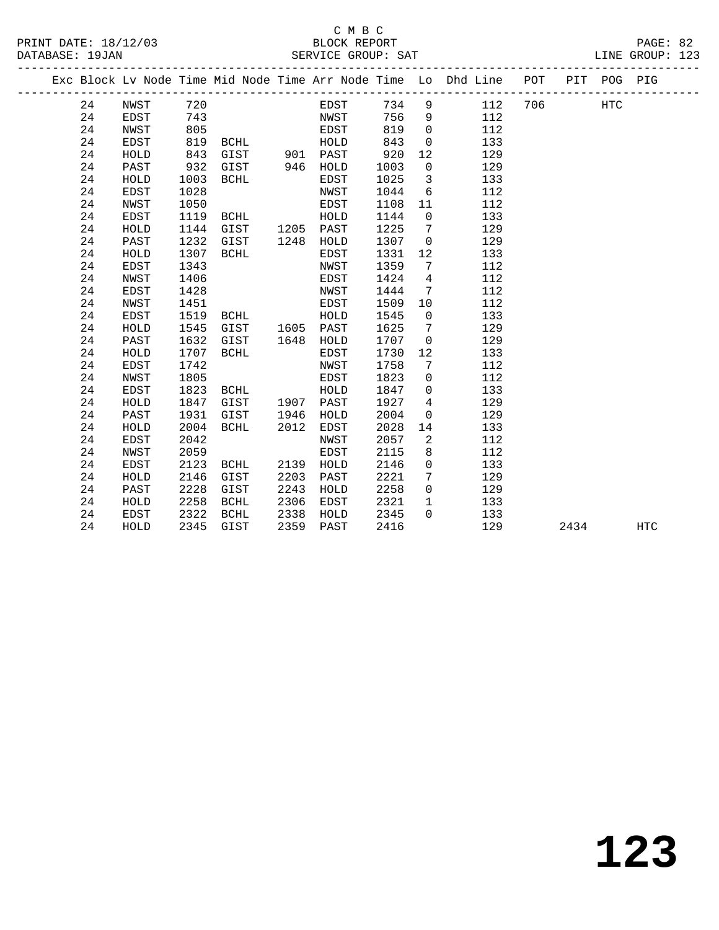## C M B C

|  | DATABASE: 19JAN |             |      |               |      | SERVICE GROUP: SAT |       |                 | T<br>-------------------------                                     |     |      |             | LINE GROUP: 123 |  |
|--|-----------------|-------------|------|---------------|------|--------------------|-------|-----------------|--------------------------------------------------------------------|-----|------|-------------|-----------------|--|
|  |                 |             |      |               |      |                    |       |                 | Exc Block Lv Node Time Mid Node Time Arr Node Time Lo Dhd Line POT |     |      | PIT POG PIG |                 |  |
|  | 24              | NWST        | 720  |               |      | EDST               | 734 9 |                 | 112                                                                | 706 |      | <b>HTC</b>  |                 |  |
|  | 24              | EDST        | 743  |               |      | NWST               | 756   | 9               | 112                                                                |     |      |             |                 |  |
|  | 24              | NWST        | 805  |               |      | EDST               | 819   | $\mathbf{0}$    | 112                                                                |     |      |             |                 |  |
|  | 24              | EDST        | 819  | BCHL          |      | HOLD               | 843   | $\mathbf 0$     | 133                                                                |     |      |             |                 |  |
|  | 24              | HOLD        | 843  | GIST 901 PAST |      |                    | 920   | 12              | 129                                                                |     |      |             |                 |  |
|  | 24              | PAST        | 932  | GIST          |      | 946 HOLD           | 1003  | $\mathbf 0$     | 129                                                                |     |      |             |                 |  |
|  | 24              | HOLD        | 1003 | BCHL          |      | EDST               | 1025  | $\overline{3}$  | 133                                                                |     |      |             |                 |  |
|  | 24              | EDST        | 1028 |               |      | NWST               | 1044  | 6               | 112                                                                |     |      |             |                 |  |
|  | 24              | NWST        | 1050 |               |      | EDST               | 1108  | 11              | 112                                                                |     |      |             |                 |  |
|  | 24              | EDST        | 1119 | BCHL          |      | HOLD               | 1144  | $\overline{0}$  | 133                                                                |     |      |             |                 |  |
|  | 24              | HOLD        | 1144 | GIST          |      | 1205 PAST          | 1225  | 7               | 129                                                                |     |      |             |                 |  |
|  | 24              | PAST        | 1232 | GIST          | 1248 | HOLD               | 1307  | $\mathbf 0$     | 129                                                                |     |      |             |                 |  |
|  | 24              | HOLD        | 1307 | BCHL          |      | EDST               | 1331  | 12              | 133                                                                |     |      |             |                 |  |
|  | 24              | EDST        | 1343 |               |      | NWST               | 1359  | 7               | 112                                                                |     |      |             |                 |  |
|  | 24              | NWST        | 1406 |               |      | EDST               | 1424  | $\overline{4}$  | 112                                                                |     |      |             |                 |  |
|  | 24              | EDST        | 1428 |               |      | NWST               | 1444  | $7\phantom{.0}$ | 112                                                                |     |      |             |                 |  |
|  | 24              | NWST        | 1451 |               |      | EDST               | 1509  | 10              | 112                                                                |     |      |             |                 |  |
|  | 24              | EDST        | 1519 | BCHL          |      | HOLD               | 1545  | $\overline{0}$  | 133                                                                |     |      |             |                 |  |
|  | 24              | HOLD        | 1545 | GIST          |      | 1605 PAST          | 1625  | 7               | 129                                                                |     |      |             |                 |  |
|  | 24              | PAST        | 1632 | GIST          |      | 1648 HOLD          | 1707  | $\overline{0}$  | 129                                                                |     |      |             |                 |  |
|  | 24              | HOLD        | 1707 | BCHL          |      | EDST               | 1730  | 12              | 133                                                                |     |      |             |                 |  |
|  | 24              | EDST        | 1742 |               |      | NWST               | 1758  | $7\phantom{.0}$ | 112                                                                |     |      |             |                 |  |
|  | 24              | NWST        | 1805 |               |      | EDST               | 1823  | $\overline{0}$  | 112                                                                |     |      |             |                 |  |
|  | 24              | EDST        | 1823 | BCHL          |      | HOLD               | 1847  | $\overline{0}$  | 133                                                                |     |      |             |                 |  |
|  | 24              | HOLD        | 1847 | GIST          |      | 1907 PAST          | 1927  | $4\overline{ }$ | 129                                                                |     |      |             |                 |  |
|  | 24              | PAST        | 1931 | GIST          | 1946 | HOLD               | 2004  | $\mathbf 0$     | 129                                                                |     |      |             |                 |  |
|  | 24              | HOLD        | 2004 | BCHL          | 2012 | EDST               | 2028  | 14              | 133                                                                |     |      |             |                 |  |
|  | 24              | EDST        | 2042 |               |      | NWST               | 2057  | 2               | 112                                                                |     |      |             |                 |  |
|  | 24              | NWST        | 2059 |               |      | EDST               | 2115  | 8               | 112                                                                |     |      |             |                 |  |
|  | 24              | <b>EDST</b> | 2123 | BCHL          | 2139 | HOLD               | 2146  | $\mathbf 0$     | 133                                                                |     |      |             |                 |  |
|  | 24              | HOLD        | 2146 | GIST          | 2203 | PAST               | 2221  | 7               | 129                                                                |     |      |             |                 |  |
|  | 24              | PAST        | 2228 | GIST          | 2243 | HOLD               | 2258  | $\mathsf{O}$    | 129                                                                |     |      |             |                 |  |
|  | 24              | HOLD        | 2258 | BCHL          | 2306 | EDST               | 2321  | $\mathbf{1}$    | 133                                                                |     |      |             |                 |  |
|  | 24              | EDST        | 2322 | BCHL          | 2338 | HOLD               | 2345  | $\Omega$        | 133                                                                |     |      |             |                 |  |
|  | 24              | HOLD        | 2345 | GIST          | 2359 | PAST               | 2416  |                 | 129                                                                |     | 2434 |             | <b>HTC</b>      |  |
|  |                 |             |      |               |      |                    |       |                 |                                                                    |     |      |             |                 |  |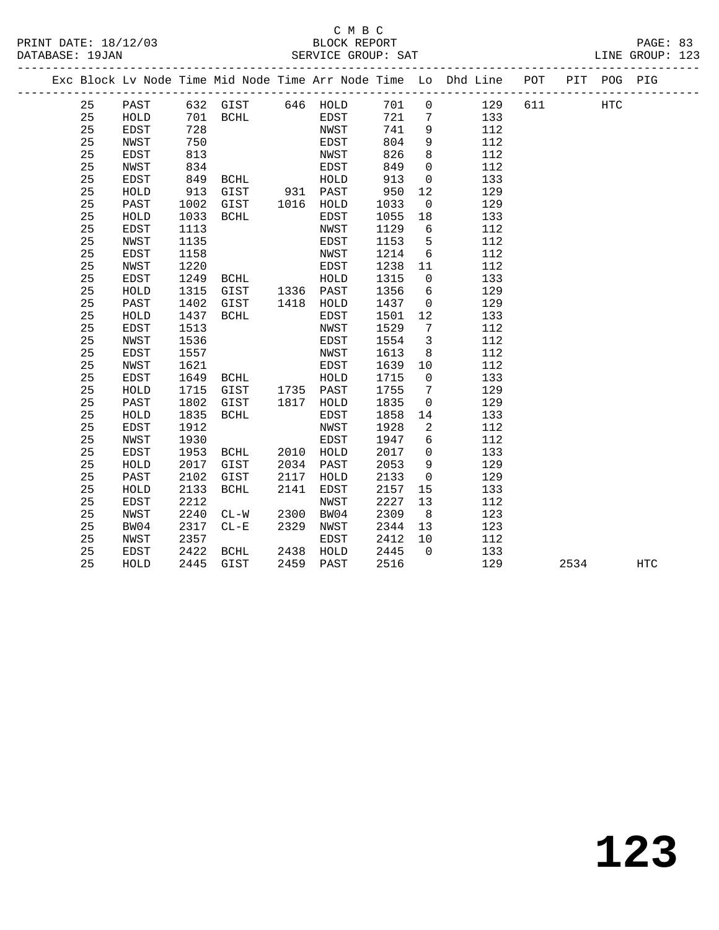## C M B C

| DATABASE: 19JAN |    | ________________________ |      |           |          | SERVICE GROUP: SAT |      |                |                                                                                |          |     | LINE GROUP: 123 |
|-----------------|----|--------------------------|------|-----------|----------|--------------------|------|----------------|--------------------------------------------------------------------------------|----------|-----|-----------------|
|                 |    |                          |      |           |          |                    |      |                | Exc Block Lv Node Time Mid Node Time Arr Node Time Lo Dhd Line POT PIT POG PIG |          |     |                 |
|                 | 25 | PAST                     |      |           |          | 632 GIST 646 HOLD  | 701  |                | $0$ 129                                                                        | 611 — 10 | HTC |                 |
|                 | 25 | HOLD                     |      |           | 701 BCHL | EDST               | 721  |                | 7<br>133                                                                       |          |     |                 |
|                 | 25 | EDST                     | 728  |           |          | NWST               | 741  | 9              | 112                                                                            |          |     |                 |
|                 | 25 | NWST                     | 750  |           |          | EDST               | 804  | 9              | 112                                                                            |          |     |                 |
|                 | 25 | EDST                     | 813  |           |          | NWST               | 826  | 8              | 112                                                                            |          |     |                 |
|                 | 25 | NWST                     | 834  |           |          | EDST               | 849  | $\mathbf 0$    | 112                                                                            |          |     |                 |
|                 | 25 | EDST                     | 849  | BCHL      |          | HOLD               | 913  | $\overline{0}$ | 133                                                                            |          |     |                 |
|                 | 25 | HOLD                     | 913  | GIST      |          | 931 PAST           | 950  | 12             | 129                                                                            |          |     |                 |
|                 | 25 | PAST                     | 1002 | GIST      | 1016     | HOLD               | 1033 | $\overline{0}$ | 129                                                                            |          |     |                 |
|                 | 25 | HOLD                     | 1033 | BCHL      |          | EDST               | 1055 | 18             | 133                                                                            |          |     |                 |
|                 | 25 | EDST                     | 1113 |           |          | NWST               | 1129 | 6              | 112                                                                            |          |     |                 |
|                 | 25 | NWST                     | 1135 |           |          | EDST               | 1153 | 5              | 112                                                                            |          |     |                 |
|                 | 25 | EDST                     | 1158 |           |          | NWST               | 1214 | 6              | 112                                                                            |          |     |                 |
|                 | 25 | NWST                     | 1220 |           |          | EDST               | 1238 | 11             | 112                                                                            |          |     |                 |
|                 | 25 | EDST                     | 1249 | BCHL      |          | HOLD               | 1315 | $\overline{0}$ | 133                                                                            |          |     |                 |
|                 | 25 | HOLD                     | 1315 | GIST      | 1336     | PAST               | 1356 | 6              | 129                                                                            |          |     |                 |
|                 | 25 | PAST                     | 1402 | GIST      | 1418     | HOLD               | 1437 | $\overline{0}$ | 129                                                                            |          |     |                 |
|                 | 25 | HOLD                     | 1437 | BCHL      |          | EDST               | 1501 | 12             | 133                                                                            |          |     |                 |
|                 | 25 | EDST                     | 1513 |           |          | NWST               | 1529 | 7              | 112                                                                            |          |     |                 |
|                 | 25 | NWST                     | 1536 |           |          | EDST               | 1554 | $3^{\circ}$    | 112                                                                            |          |     |                 |
|                 | 25 | EDST                     | 1557 |           |          | NWST               | 1613 | 8              | 112                                                                            |          |     |                 |
|                 | 25 | NWST                     | 1621 |           |          | EDST               | 1639 | 10             | 112                                                                            |          |     |                 |
|                 | 25 | EDST                     |      | 1649 BCHL |          | HOLD               | 1715 | $\Omega$       | 133                                                                            |          |     |                 |

 25 HOLD 1715 GIST 1735 PAST 1755 7 129 25 PAST 1802 GIST 1817 HOLD 1835 0 129 25 HOLD 1835 BCHL EDST 1858 14 133 25 EDST 1912 NWST 1928 2 112 25 NWST 1930 EDST 1947 6 112

 25 HOLD 2017 GIST 2034 PAST 2053 9 129 25 PAST 2102 GIST 2117 HOLD 2133 0 129 25 HOLD 2133 BCHL 2141 EDST 2157 15 133

 25 BW04 2317 CL-E 2329 NWST 2344 13 123 25 NWST 2357 EDST 2412 10 112 25 EDST 2422 BCHL 2438 HOLD 2445 0 133

 $\begin{tabular}{lllllllllll} 25 & NWST & 1930 & \text{EDST} & 1947 & 6 & 112 \\ 25 & \text{EDST} & 1953 & \text{BCHL} & 2010 & \text{HOLD} & 2017 & 0 & 133 \\ 25 & \text{HOLD} & 2017 & \text{GIST} & 2034 & \text{PAST} & 2053 & 9 & 129 \\ 25 & \text{PAST} & 2102 & \text{GIST} & 2117 & \text{HOLD} & 2133 & 0 & 129 \\ 25 & \text{HOLD} & 2133 & \text$ 

25 HOLD 2133 BCHL 2141 EDST 2157 15 133<br>25 EDST 2212 MWST 2227 13 112<br>25 NWST 2240 CL-W 2300 BW04 2309 8 123 25 NWST 2240 CL-W 2300 BW04 2309 8 123

25 HOLD 2445 GIST 2459 PAST 2516 129 2534 HTC

**123**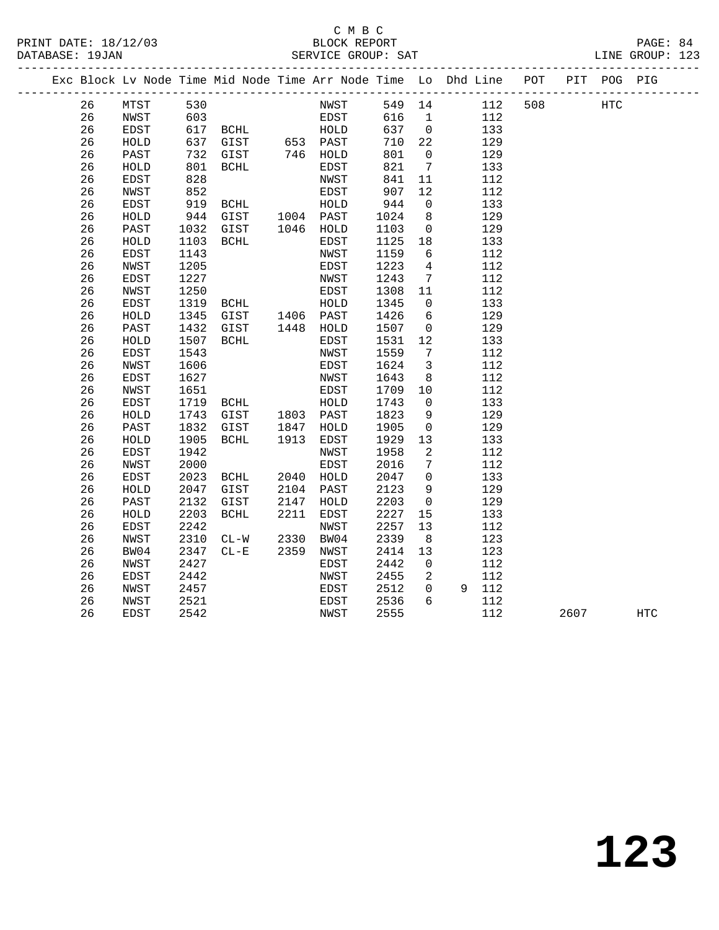#### C M B C<br>BLOCK REPORT PRINT DATE: 18/12/03 BLOCK REPORT PAGE: 84 SERVICE GROUP: SAT

|  |    |              |      | Exc Block Lv Node Time Mid Node Time Arr Node Time Lo Dhd Line POT |      |             |        |                              |       |     |      | PIT POG PIG |            |
|--|----|--------------|------|--------------------------------------------------------------------|------|-------------|--------|------------------------------|-------|-----|------|-------------|------------|
|  | 26 | MTST         | 530  |                                                                    |      | NWST        | 549 14 |                              | 112   | 508 |      | HTC         |            |
|  | 26 | NWST         | 603  |                                                                    |      | EDST        | 616    | $\overline{1}$               | 112   |     |      |             |            |
|  | 26 | EDST         |      | 617 BCHL                                                           |      | HOLD        | 637    | $\overline{0}$               | 133   |     |      |             |            |
|  | 26 | HOLD         | 637  | GIST                                                               |      | 653 PAST    | 710    | 22                           | 129   |     |      |             |            |
|  | 26 | PAST         | 732  | GIST                                                               |      | 746 HOLD    | 801    | $\overline{0}$               | 129   |     |      |             |            |
|  | 26 | HOLD         | 801  | BCHL                                                               |      | EDST        | 821    | $7\phantom{.0}\phantom{.0}7$ | 133   |     |      |             |            |
|  | 26 | EDST         | 828  |                                                                    |      | NWST        | 841    | 11                           | 112   |     |      |             |            |
|  | 26 | NWST         | 852  |                                                                    |      | EDST        | 907    | 12                           | 112   |     |      |             |            |
|  | 26 | EDST         | 919  | BCHL                                                               |      | HOLD        | 944    | $\mathbf 0$                  | 133   |     |      |             |            |
|  | 26 | HOLD         | 944  | GIST                                                               |      | 1004 PAST   | 1024   | 8                            | 129   |     |      |             |            |
|  | 26 | PAST         | 1032 | GIST                                                               |      | 1046 HOLD   | 1103   | $\overline{0}$               | 129   |     |      |             |            |
|  | 26 | HOLD         | 1103 | BCHL                                                               |      | EDST        | 1125   | 18                           | 133   |     |      |             |            |
|  | 26 | EDST         | 1143 |                                                                    |      | NWST        | 1159   | 6                            | 112   |     |      |             |            |
|  | 26 | NWST         | 1205 |                                                                    |      | EDST        | 1223   | 4                            | 112   |     |      |             |            |
|  | 26 | EDST         | 1227 |                                                                    |      | NWST        | 1243   | $7\overline{ }$              | 112   |     |      |             |            |
|  | 26 | NWST         | 1250 |                                                                    |      | EDST        | 1308   | 11                           | 112   |     |      |             |            |
|  | 26 | EDST         | 1319 | BCHL                                                               |      | HOLD        | 1345   | $\overline{0}$               | 133   |     |      |             |            |
|  | 26 | HOLD         | 1345 | GIST                                                               |      | 1406 PAST   | 1426   | 6                            | 129   |     |      |             |            |
|  | 26 | PAST         | 1432 | GIST                                                               |      | $1448$ HOLD | 1507   | $\mathbf 0$                  | 129   |     |      |             |            |
|  | 26 | HOLD         | 1507 | BCHL                                                               |      | EDST        | 1531   | 12                           | 133   |     |      |             |            |
|  | 26 | EDST         | 1543 |                                                                    |      | NWST        | 1559   | 7                            | 112   |     |      |             |            |
|  | 26 | NWST         | 1606 |                                                                    |      | EDST        | 1624   | $\overline{3}$               | 112   |     |      |             |            |
|  | 26 | EDST         | 1627 |                                                                    |      | NWST        | 1643   | 8                            | 112   |     |      |             |            |
|  | 26 | NWST         | 1651 |                                                                    |      | EDST        | 1709   | 10                           | 112   |     |      |             |            |
|  | 26 | EDST         | 1719 | BCHL                                                               |      | HOLD        | 1743   | $\overline{0}$               | 133   |     |      |             |            |
|  | 26 | HOLD         | 1743 | GIST                                                               |      | 1803 PAST   | 1823   | 9                            | 129   |     |      |             |            |
|  | 26 | PAST         | 1832 | GIST                                                               | 1847 | HOLD        | 1905   | $\overline{0}$               | 129   |     |      |             |            |
|  | 26 | HOLD         | 1905 | BCHL                                                               | 1913 | EDST        | 1929   | 13                           | 133   |     |      |             |            |
|  | 26 | EDST         | 1942 |                                                                    |      | NWST        | 1958   | 2                            | 112   |     |      |             |            |
|  | 26 | NWST         | 2000 |                                                                    |      | EDST        | 2016   | $7\phantom{.0}$              | 112   |     |      |             |            |
|  | 26 | EDST         | 2023 | BCHL                                                               |      | 2040 HOLD   | 2047   | $\mathbf 0$                  | 133   |     |      |             |            |
|  | 26 | ${\tt HOLD}$ | 2047 | GIST                                                               | 2104 | PAST        | 2123   | 9                            | 129   |     |      |             |            |
|  | 26 | PAST         | 2132 | GIST                                                               | 2147 | HOLD        | 2203   | $\overline{0}$               | 129   |     |      |             |            |
|  | 26 | ${\tt HOLD}$ | 2203 | $\operatorname{BCHL}$                                              | 2211 | EDST        | 2227   | 15                           | 133   |     |      |             |            |
|  | 26 | EDST         | 2242 |                                                                    |      | NWST        | 2257   | 13                           | 112   |     |      |             |            |
|  | 26 | <b>NWST</b>  | 2310 | $CL-W$                                                             | 2330 | BW04        | 2339   | 8                            | 123   |     |      |             |            |
|  | 26 | BW04         | 2347 | $CL-E$                                                             | 2359 | NWST        | 2414   | 13                           | 123   |     |      |             |            |
|  | 26 | <b>NWST</b>  | 2427 |                                                                    |      | <b>EDST</b> | 2442   | $\mathbf 0$                  | 112   |     |      |             |            |
|  | 26 | EDST         | 2442 |                                                                    |      | NWST        | 2455   | 2                            | 112   |     |      |             |            |
|  | 26 | NWST         | 2457 |                                                                    |      | <b>EDST</b> | 2512   | $\mathbf 0$                  | 9 112 |     |      |             |            |
|  | 26 | NWST         | 2521 |                                                                    |      | <b>EDST</b> | 2536   | 6                            | 112   |     |      |             |            |
|  | 26 | <b>EDST</b>  | 2542 |                                                                    |      | NWST        | 2555   |                              | 112   |     | 2607 |             | <b>HTC</b> |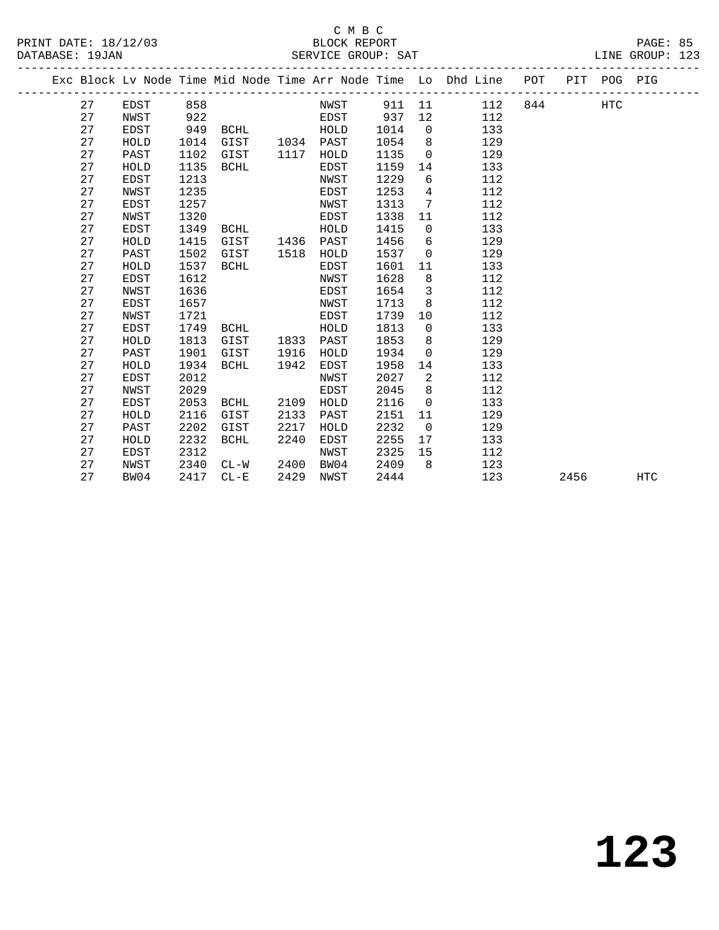#### C M B C<br>BLOCK REPORT PRINT DATE: 18/12/03 BLOCK REPORT PAGE: 85 SERVICE GROUP: SAT

|    |             |      |             |      |             |        |                | Exc Block Lv Node Time Mid Node Time Arr Node Time Lo Dhd Line POT PIT POG PIG |     |      |     |            |
|----|-------------|------|-------------|------|-------------|--------|----------------|--------------------------------------------------------------------------------|-----|------|-----|------------|
| 27 | EDST        | 858  |             |      | NWST        | 911 11 |                | 112                                                                            | 844 |      | HTC |            |
| 27 | NWST        | 922  |             |      | EDST        | 937    | 12             | 112                                                                            |     |      |     |            |
| 27 | EDST        | 949  | BCHL        |      | HOLD        | 1014   | $\overline{0}$ | 133                                                                            |     |      |     |            |
| 27 | HOLD        | 1014 | GIST        |      | 1034 PAST   | 1054   | 8              | 129                                                                            |     |      |     |            |
| 27 | PAST        | 1102 | GIST        | 1117 | HOLD        | 1135   | $\overline{0}$ | 129                                                                            |     |      |     |            |
| 27 | HOLD        | 1135 | BCHL        |      | EDST        | 1159   | 14             | 133                                                                            |     |      |     |            |
| 27 | <b>EDST</b> | 1213 |             |      | NWST        | 1229   | 6              | 112                                                                            |     |      |     |            |
| 27 | NWST        | 1235 |             |      | EDST        | 1253   | $\overline{4}$ | 112                                                                            |     |      |     |            |
| 27 | EDST        | 1257 |             |      | NWST        | 1313   | 7              | 112                                                                            |     |      |     |            |
| 27 | NWST        | 1320 |             |      | EDST        | 1338   | 11             | 112                                                                            |     |      |     |            |
| 27 | EDST        | 1349 | BCHL        |      | HOLD        | 1415   | $\overline{0}$ | 133                                                                            |     |      |     |            |
| 27 | HOLD        | 1415 | GIST        |      | 1436 PAST   | 1456   | 6              | 129                                                                            |     |      |     |            |
| 27 | PAST        | 1502 | GIST        | 1518 | HOLD        | 1537   | $\overline{0}$ | 129                                                                            |     |      |     |            |
| 27 | HOLD        | 1537 | <b>BCHL</b> |      | EDST        | 1601   | 11             | 133                                                                            |     |      |     |            |
| 27 | EDST        | 1612 |             |      | NWST        | 1628   | 8              | 112                                                                            |     |      |     |            |
| 27 | NWST        | 1636 |             |      | EDST        | 1654   | $\overline{3}$ | 112                                                                            |     |      |     |            |
| 27 | EDST        | 1657 |             |      | NWST        | 1713   | 8              | 112                                                                            |     |      |     |            |
| 27 | NWST        | 1721 |             |      | EDST        | 1739   | 10             | 112                                                                            |     |      |     |            |
| 27 | EDST        | 1749 | BCHL        |      | HOLD        | 1813   | $\overline{0}$ | 133                                                                            |     |      |     |            |
| 27 | HOLD        | 1813 | GIST        | 1833 | PAST        | 1853   | 8              | 129                                                                            |     |      |     |            |
| 27 | PAST        | 1901 | GIST        | 1916 | HOLD        | 1934   | $\overline{0}$ | 129                                                                            |     |      |     |            |
| 27 | HOLD        | 1934 | <b>BCHL</b> | 1942 | EDST        | 1958   | 14             | 133                                                                            |     |      |     |            |
| 27 | <b>EDST</b> | 2012 |             |      | <b>NWST</b> | 2027   | $\overline{2}$ | 112                                                                            |     |      |     |            |
| 27 | NWST        | 2029 |             |      | EDST        | 2045   | 8              | 112                                                                            |     |      |     |            |
| 27 | EDST        | 2053 | <b>BCHL</b> | 2109 | HOLD        | 2116   | $\mathbf 0$    | 133                                                                            |     |      |     |            |
| 27 | HOLD        | 2116 | GIST        | 2133 | PAST        | 2151   | 11             | 129                                                                            |     |      |     |            |
| 27 | PAST        | 2202 | GIST        | 2217 | HOLD        | 2232   | $\overline{0}$ | 129                                                                            |     |      |     |            |
| 27 | HOLD        | 2232 | <b>BCHL</b> | 2240 | EDST        | 2255   | 17             | 133                                                                            |     |      |     |            |
| 27 | <b>EDST</b> | 2312 |             |      | NWST        | 2325   | 15             | 112                                                                            |     |      |     |            |
| 27 | NWST        | 2340 | CL-W        | 2400 | BW04        | 2409   | 8              | 123                                                                            |     |      |     |            |
| 27 | BW04        | 2417 | $CL - E$    | 2429 | NWST        | 2444   |                | 123                                                                            |     | 2456 |     | <b>HTC</b> |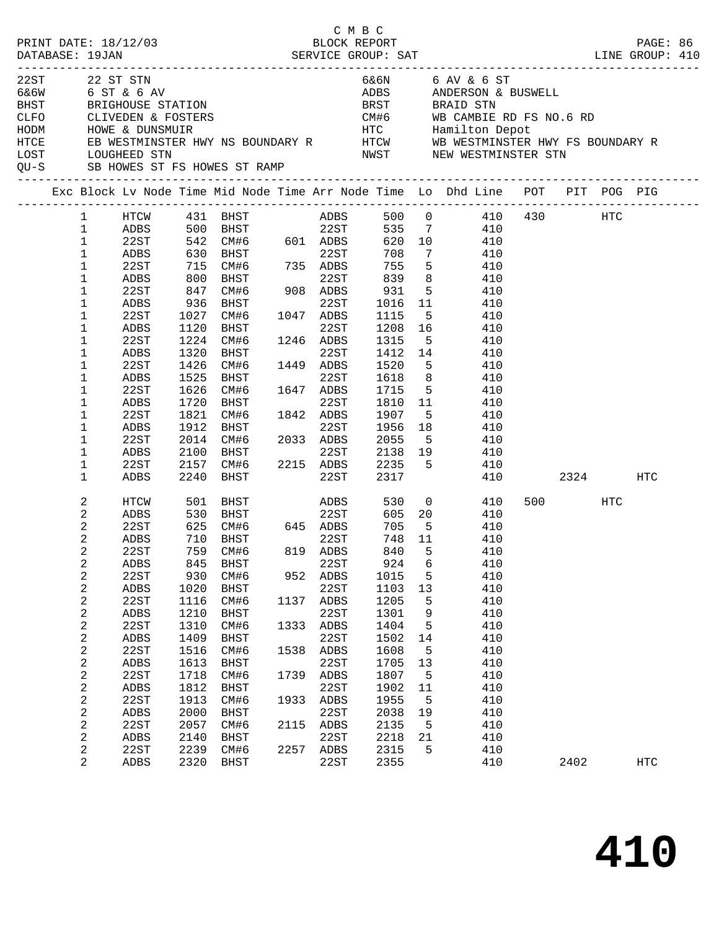|      |                  | PRINT DATE: 18/12/03                                           |            |                                                                  |      | СМВС<br>BLOCK REPORT |                      |                 |                                                                                |          |         | PAGE: 86   |  |
|------|------------------|----------------------------------------------------------------|------------|------------------------------------------------------------------|------|----------------------|----------------------|-----------------|--------------------------------------------------------------------------------|----------|---------|------------|--|
|      |                  |                                                                |            |                                                                  |      |                      |                      |                 |                                                                                |          |         |            |  |
| 22ST |                  | 22 ST STN                                                      |            |                                                                  |      |                      |                      |                 | 6&6N 6 AV & 6 ST                                                               |          |         |            |  |
|      |                  | 6&6W 6 ST & 6 AV                                               |            |                                                                  |      |                      |                      |                 | ADBS ANDERSON & BUSWELL                                                        |          |         |            |  |
| BHST |                  | BRIGHOUSE STATION                                              |            |                                                                  |      |                      |                      |                 | BRST BRAID STN                                                                 |          |         |            |  |
|      |                  |                                                                |            |                                                                  |      |                      |                      |                 |                                                                                |          |         |            |  |
|      |                  | CLFO        CLIVEDEN & FOSTERS<br>HODM         HOWE & DUNSMUIR |            |                                                                  |      |                      |                      |                 |                                                                                |          |         |            |  |
| HTCE |                  |                                                                |            |                                                                  |      |                      |                      |                 |                                                                                |          |         |            |  |
| LOST |                  | LOUGHEED STN                                                   |            |                                                                  |      |                      |                      |                 | NWST NEW WESTMINSTER STN                                                       |          |         |            |  |
|      |                  |                                                                |            | QU-S SB HOWES ST FS HOWES ST RAMP                                |      |                      |                      |                 |                                                                                |          |         |            |  |
|      |                  |                                                                |            |                                                                  |      |                      |                      |                 | Exc Block Lv Node Time Mid Node Time Arr Node Time Lo Dhd Line POT PIT POG PIG |          |         |            |  |
|      | $\mathbf{1}$     | HTCW                                                           |            |                                                                  |      |                      |                      |                 |                                                                                |          |         |            |  |
|      | $\mathbf 1$      | ADBS                                                           |            |                                                                  |      |                      |                      |                 |                                                                                |          |         |            |  |
|      | $\mathbf 1$      | 22ST                                                           |            | $542$ CM#6 601 ADBS<br>630 BHST<br>715 CM#6 735 ADBS<br>800 BHST |      |                      | 620 10               |                 | 410                                                                            |          |         |            |  |
|      | $\mathbf 1$      | ADBS                                                           |            |                                                                  |      |                      | 708                  | $7\overline{ }$ | 410                                                                            |          |         |            |  |
|      | $\mathbf 1$      | 22ST                                                           |            |                                                                  |      |                      | $75 -$<br>839<br>931 | 5 <sub>5</sub>  | 410                                                                            |          |         |            |  |
|      | 1                | ADBS                                                           |            |                                                                  |      | 22ST                 |                      | 8 <sup>8</sup>  | 410                                                                            |          |         |            |  |
|      | 1                | 22ST                                                           | 847        |                                                                  |      |                      | 931                  | 5 <sup>5</sup>  | 410                                                                            |          |         |            |  |
|      | 1                | ADBS                                                           | 936        | BHST                                                             |      | 22ST                 | 1016 11              |                 | 410                                                                            |          |         |            |  |
|      | 1                | 22ST                                                           | 1027       | CM#6 1047 ADBS<br>BHST 22ST                                      |      |                      | 1115                 | $5^{\circ}$     | 410                                                                            |          |         |            |  |
|      | 1                | ADBS                                                           | 1120       | BHST                                                             |      | 22ST                 | 1208 16              |                 | 410                                                                            |          |         |            |  |
|      | 1                | 22ST                                                           | 1224       | CM#6 1246 ADBS                                                   |      |                      | 1315                 | 5 <sup>5</sup>  | 410                                                                            |          |         |            |  |
|      | 1                | ADBS                                                           | 1320       | BHST                                                             |      | 22ST                 | 1412 14              |                 | 410                                                                            |          |         |            |  |
|      | 1                | 22ST                                                           | 1426       | CM#6                                                             |      | 1449 ADBS            | 1520                 | 5 <sup>5</sup>  | 410                                                                            |          |         |            |  |
|      | 1                | ADBS                                                           | 1525       | BHST                                                             |      | 22ST                 | 1618                 | 8 <sup>8</sup>  | 410                                                                            |          |         |            |  |
|      | 1                | 22ST                                                           | 1626       | $CM#6$ $1647$ $ADBS$                                             |      |                      | 1715 5               |                 | 410                                                                            |          |         |            |  |
|      | 1                | ADBS                                                           | 1720       | BHST                                                             |      | 22ST                 | 1810 11              |                 | 410                                                                            |          |         |            |  |
|      | 1                | 22ST                                                           | 1821       | CM#6 1842 ADBS                                                   |      |                      | 1907                 | 5 <sup>5</sup>  | 410                                                                            |          |         |            |  |
|      | 1                | ADBS                                                           | 1912       | BHST                                                             |      | 22ST                 | 1956                 | 18              | 410                                                                            |          |         |            |  |
|      | 1                | 22ST                                                           |            | 2014 CM#6 2033 ADBS                                              |      |                      | 2055                 | 5 <sup>5</sup>  | 410                                                                            |          |         |            |  |
|      | 1                | ADBS                                                           | 2100       | <b>BHST</b>                                                      |      |                      |                      |                 | 22ST 2138 19 410                                                               |          |         |            |  |
|      | 1                | 22ST                                                           |            | 2157 CM#6 2215 ADBS 2235 5                                       |      |                      |                      |                 | 410                                                                            |          |         |            |  |
|      | $\mathbf 1$      | ADBS                                                           | 2240       | BHST                                                             |      | 22ST                 | 2317                 |                 |                                                                                | 410 2324 |         | HTC        |  |
|      | 2                | HTCW                                                           |            | 501 BHST                                                         |      | ADBS                 |                      |                 | 530 0<br>410                                                                   |          | 500 HTC |            |  |
|      | $\overline{a}$   | ADBS                                                           | 530        | <b>BHST</b>                                                      |      | 22ST                 |                      |                 | 605 20 410                                                                     |          |         |            |  |
|      | 2                | 22ST                                                           | 625<br>710 | CM#6 645 ADBS                                                    |      |                      | 705                  | $-5$            | 410                                                                            |          |         |            |  |
|      | $\sqrt{2}$       | ADBS                                                           |            | 710 BHST                                                         |      | 22ST                 | 748 11               |                 | 410                                                                            |          |         |            |  |
|      | 2                | 22ST                                                           |            | 759 CM#6                                                         |      | 819 ADBS             |                      |                 | 840 5 410                                                                      |          |         |            |  |
|      | 2                | ADBS                                                           | 845        | <b>BHST</b>                                                      |      | 22ST                 | 924                  | 6               | 410                                                                            |          |         |            |  |
|      | $\sqrt{2}$       | 22ST                                                           | 930        | CM#6                                                             |      | 952 ADBS             | 1015                 | 5               | 410                                                                            |          |         |            |  |
|      | $\boldsymbol{2}$ | ADBS                                                           | 1020       | BHST                                                             |      | 22ST                 | 1103                 | 13              | 410                                                                            |          |         |            |  |
|      | 2                | 22ST                                                           | 1116       | CM#6                                                             | 1137 | ADBS                 | 1205                 | 5               | 410                                                                            |          |         |            |  |
|      | 2                | ADBS                                                           | 1210       | BHST                                                             |      | 22ST                 | 1301                 | 9               | 410                                                                            |          |         |            |  |
|      | 2                | 22ST                                                           | 1310       | CM#6                                                             | 1333 | ADBS                 | 1404                 | 5               | 410                                                                            |          |         |            |  |
|      | $\sqrt{2}$       | ADBS                                                           | 1409       | BHST                                                             |      | 22ST                 | 1502                 | 14              | 410                                                                            |          |         |            |  |
|      | 2                | 22ST                                                           | 1516       | CM#6                                                             | 1538 | ADBS                 | 1608                 | 5               | 410                                                                            |          |         |            |  |
|      | $\sqrt{2}$       | ADBS                                                           | 1613       | BHST                                                             |      | 22ST                 | 1705                 | 13              | 410                                                                            |          |         |            |  |
|      | 2                | 22ST                                                           | 1718       | CM#6                                                             | 1739 | ADBS                 | 1807                 | 5               | 410                                                                            |          |         |            |  |
|      | $\sqrt{2}$       | ADBS                                                           | 1812       | BHST                                                             |      | 22ST                 | 1902                 | 11              | 410                                                                            |          |         |            |  |
|      | 2                | 22ST                                                           | 1913       | CM#6                                                             | 1933 | ADBS                 | 1955                 | 5               | 410                                                                            |          |         |            |  |
|      | $\sqrt{2}$       | ADBS                                                           | 2000       | BHST                                                             |      | 22ST                 | 2038                 | 19              | 410                                                                            |          |         |            |  |
|      | 2                | 22ST                                                           | 2057       | CM#6                                                             | 2115 | ${\tt ADBS}$         | 2135                 | 5               | 410                                                                            |          |         |            |  |
|      | $\sqrt{2}$       | ADBS                                                           | 2140       | BHST                                                             |      | 22ST                 | 2218                 | 21              | 410                                                                            |          |         |            |  |
|      | $\sqrt{2}$       | 22ST                                                           | 2239       | CM#6                                                             | 2257 | ADBS                 | 2315                 | 5               | 410                                                                            |          |         |            |  |
|      | $\overline{a}$   | ADBS                                                           | 2320       | BHST                                                             |      | 22ST                 | 2355                 |                 | 410                                                                            |          | 2402    | <b>HTC</b> |  |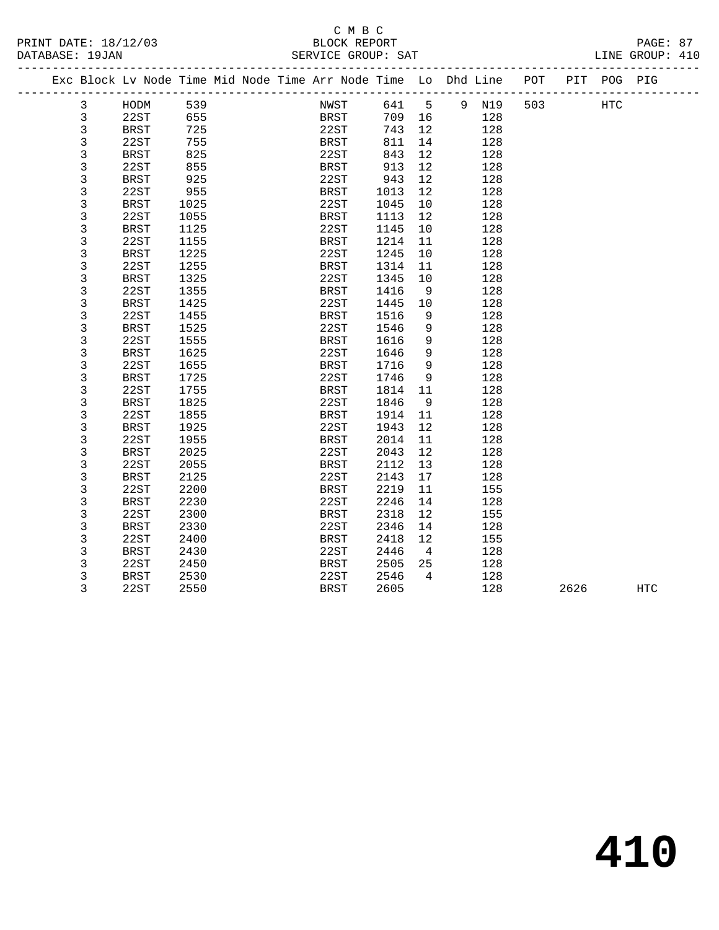#### C M B C<br>BLOCK REPORT PRINT DATE: 18/12/03 BLOCK REPORT PAGE: 87 SERVICE GROUP: SAT

|  |  | <sup>n</sup> |
|--|--|--------------|
|  |  |              |

|  |   | Exc Block Lv Node Time Mid Node Time Arr Node Time Lo Dhd Line |      |  |             |             |        |                 |       | POT |      | PIT POG PIG |            |  |
|--|---|----------------------------------------------------------------|------|--|-------------|-------------|--------|-----------------|-------|-----|------|-------------|------------|--|
|  | 3 | HODM                                                           | 539  |  | NWST        |             | 641    | $5^{\circ}$     | 9 N19 | 503 |      | <b>HTC</b>  |            |  |
|  | 3 | 22ST                                                           | 655  |  |             | <b>BRST</b> | 709 16 |                 | 128   |     |      |             |            |  |
|  | 3 | BRST                                                           | 725  |  | 22ST        |             | 743    | 12              | 128   |     |      |             |            |  |
|  | 3 | 22ST                                                           | 755  |  | BRST        |             | 811    | 14              | 128   |     |      |             |            |  |
|  | 3 | BRST                                                           | 825  |  | 22ST        |             | 843    | 12              | 128   |     |      |             |            |  |
|  | 3 | 22ST                                                           | 855  |  | BRST        |             | 913    | 12              | 128   |     |      |             |            |  |
|  | 3 | <b>BRST</b>                                                    | 925  |  | 22ST        |             | 943    | 12              | 128   |     |      |             |            |  |
|  | 3 | 22ST                                                           | 955  |  | BRST        |             | 1013   | 12              | 128   |     |      |             |            |  |
|  | 3 | BRST                                                           | 1025 |  | 22ST        |             | 1045   | 10              | 128   |     |      |             |            |  |
|  | 3 | 22ST                                                           | 1055 |  | BRST        |             | 1113   | 12              | 128   |     |      |             |            |  |
|  | 3 | BRST                                                           | 1125 |  | 22ST        |             | 1145   | 10              | 128   |     |      |             |            |  |
|  | 3 | 22ST                                                           | 1155 |  | <b>BRST</b> |             | 1214   | 11              | 128   |     |      |             |            |  |
|  | 3 | BRST                                                           | 1225 |  | 22ST        |             | 1245   | 10              | 128   |     |      |             |            |  |
|  | 3 | 22ST                                                           | 1255 |  | <b>BRST</b> |             | 1314   | 11              | 128   |     |      |             |            |  |
|  | 3 | <b>BRST</b>                                                    | 1325 |  | 22ST        |             | 1345   | 10              | 128   |     |      |             |            |  |
|  | 3 | 22ST                                                           | 1355 |  | <b>BRST</b> |             | 1416   | 9               | 128   |     |      |             |            |  |
|  | 3 | <b>BRST</b>                                                    | 1425 |  | 22ST        |             | 1445   | 10              | 128   |     |      |             |            |  |
|  | 3 | 22ST                                                           | 1455 |  | <b>BRST</b> |             | 1516   | 9               | 128   |     |      |             |            |  |
|  | 3 | BRST                                                           | 1525 |  | 22ST        |             | 1546   | 9               | 128   |     |      |             |            |  |
|  | 3 | 22ST                                                           | 1555 |  | <b>BRST</b> |             | 1616   | 9               | 128   |     |      |             |            |  |
|  | 3 | <b>BRST</b>                                                    | 1625 |  | 22ST        |             | 1646   | $\overline{9}$  | 128   |     |      |             |            |  |
|  | 3 | 22ST                                                           | 1655 |  | BRST        |             | 1716   | 9               | 128   |     |      |             |            |  |
|  | 3 | <b>BRST</b>                                                    | 1725 |  | 22ST        |             | 1746   | 9               | 128   |     |      |             |            |  |
|  | 3 | 22ST                                                           | 1755 |  | <b>BRST</b> |             | 1814   | 11              | 128   |     |      |             |            |  |
|  | 3 | BRST                                                           | 1825 |  | 22ST        |             | 1846   | 9               | 128   |     |      |             |            |  |
|  | 3 | 22ST                                                           | 1855 |  | BRST        |             | 1914   | 11              | 128   |     |      |             |            |  |
|  | 3 | BRST                                                           | 1925 |  | 22ST        |             | 1943   | 12              | 128   |     |      |             |            |  |
|  | 3 | 22ST                                                           | 1955 |  | BRST        |             | 2014   | 11              | 128   |     |      |             |            |  |
|  | 3 | BRST                                                           | 2025 |  | 22ST        |             | 2043   | 12              | 128   |     |      |             |            |  |
|  | 3 | 22ST                                                           | 2055 |  | BRST        |             | 2112   | 13              | 128   |     |      |             |            |  |
|  | 3 | <b>BRST</b>                                                    | 2125 |  | 22ST        |             | 2143   | 17              | 128   |     |      |             |            |  |
|  | 3 | 22ST                                                           | 2200 |  | BRST        |             | 2219   | 11              | 155   |     |      |             |            |  |
|  | 3 | BRST                                                           | 2230 |  | 22ST        |             | 2246   | 14              | 128   |     |      |             |            |  |
|  | 3 | 22ST                                                           | 2300 |  | BRST        |             | 2318   | 12              | 155   |     |      |             |            |  |
|  | 3 | <b>BRST</b>                                                    | 2330 |  | 22ST        |             | 2346   | 14              | 128   |     |      |             |            |  |
|  | 3 | 22ST                                                           | 2400 |  | <b>BRST</b> |             | 2418   | 12              | 155   |     |      |             |            |  |
|  | 3 | BRST                                                           | 2430 |  | 22ST        |             | 2446   | $4\overline{4}$ | 128   |     |      |             |            |  |
|  | 3 | 22ST                                                           | 2450 |  | <b>BRST</b> |             | 2505   | 25              | 128   |     |      |             |            |  |
|  | 3 | <b>BRST</b>                                                    | 2530 |  | 22ST        |             | 2546   | $\overline{4}$  | 128   |     |      |             |            |  |
|  | 3 | 22ST                                                           | 2550 |  | <b>BRST</b> |             | 2605   |                 | 128   |     | 2626 |             | <b>HTC</b> |  |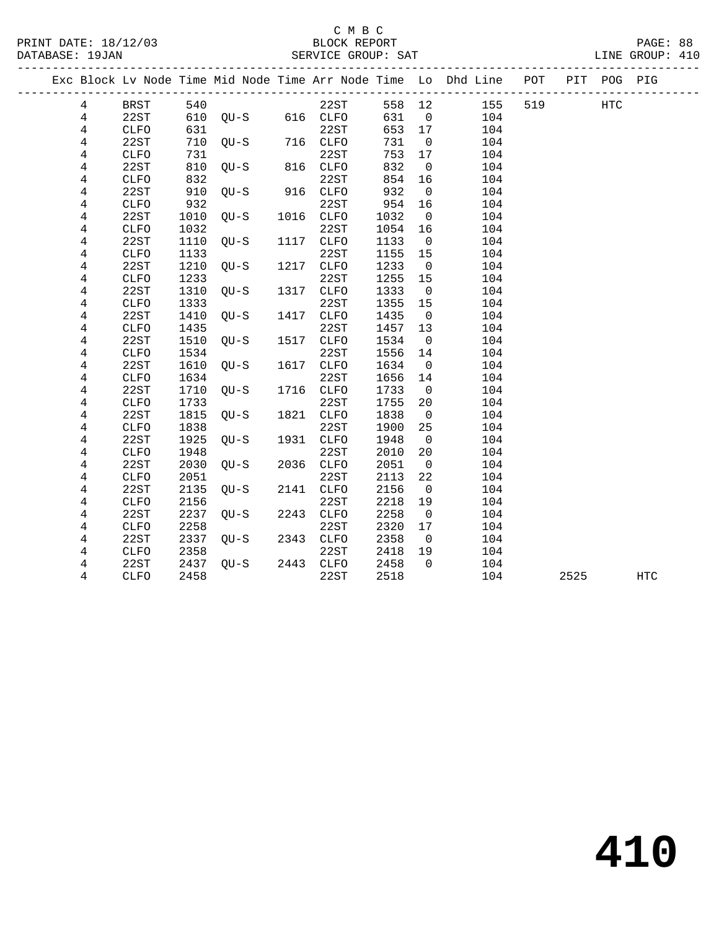## C M B C<br>BLOCK REPORT SERVICE GROUP: SAT

PRINT DATE: 18/12/03 BLOCK REPORT PAGE: 88

|                |             |      |                       |      |             |        |                         | Exc Block Lv Node Time Mid Node Time Arr Node Time Lo Dhd Line POT |     |      | PIT POG PIG |     |
|----------------|-------------|------|-----------------------|------|-------------|--------|-------------------------|--------------------------------------------------------------------|-----|------|-------------|-----|
| 4              | BRST        | 540  |                       |      | 22ST        | 558 12 |                         | 155                                                                | 519 |      | <b>HTC</b>  |     |
| $\overline{4}$ | 22ST        |      | $610$ QU-S $616$ CLFO |      |             | 631 0  |                         | 104                                                                |     |      |             |     |
| 4              | <b>CLFO</b> | 631  |                       |      | 22ST        | 653 17 |                         | 104                                                                |     |      |             |     |
| 4              | 22ST        | 710  | $QU-S$ 716 $CLFO$     |      |             | 731    | $\overline{0}$          | 104                                                                |     |      |             |     |
| 4              | <b>CLFO</b> | 731  |                       |      | 22ST        | 753    | 17                      | 104                                                                |     |      |             |     |
| $\overline{4}$ | 22ST        | 810  | $QU-S$ 816 $CLFO$     |      |             | 832    | $\overline{0}$          | 104                                                                |     |      |             |     |
| 4              | CLFO        | 832  |                       |      | 22ST        | 854    | 16                      | 104                                                                |     |      |             |     |
| 4              | 22ST        | 910  | QU-S 916 CLFO         |      |             | 932    | $\overline{0}$          | 104                                                                |     |      |             |     |
| 4              | CLFO        | 932  |                       |      | 22ST        | 954    | 16                      | 104                                                                |     |      |             |     |
| 4              | 22ST        | 1010 | OU-S                  |      | 1016 CLFO   | 1032   | $\overline{0}$          | 104                                                                |     |      |             |     |
| 4              | <b>CLFO</b> | 1032 |                       |      | 22ST        | 1054   | 16                      | 104                                                                |     |      |             |     |
| 4              | 22ST        | 1110 | QU-S                  |      | 1117 CLFO   | 1133   | $\overline{0}$          | 104                                                                |     |      |             |     |
| 4              | <b>CLFO</b> | 1133 |                       |      | 22ST        | 1155   | 15                      | 104                                                                |     |      |             |     |
| 4              | 22ST        | 1210 | $QU-S$                |      | 1217 CLFO   | 1233   | $\overline{0}$          | 104                                                                |     |      |             |     |
| 4              | <b>CLFO</b> | 1233 |                       |      | 22ST        | 1255   | 15                      | 104                                                                |     |      |             |     |
| 4              | 22ST        | 1310 | QU-S                  |      | 1317 CLFO   | 1333   | $\overline{0}$          | 104                                                                |     |      |             |     |
| 4              | <b>CLFO</b> | 1333 |                       |      | 22ST        | 1355   | 15                      | 104                                                                |     |      |             |     |
| 4              | 22ST        | 1410 | QU-S                  | 1417 | CLFO        | 1435   | $\overline{0}$          | 104                                                                |     |      |             |     |
| 4              | CLFO        | 1435 |                       |      | 22ST        | 1457   | 13                      | 104                                                                |     |      |             |     |
| 4              | 22ST        | 1510 | OU-S                  |      | 1517 CLFO   | 1534   | $\overline{0}$          | 104                                                                |     |      |             |     |
| 4              | <b>CLFO</b> | 1534 |                       |      | 22ST        | 1556   | 14                      | 104                                                                |     |      |             |     |
| 4              | 22ST        | 1610 | OU-S                  |      | 1617 CLFO   | 1634   | $\overline{\mathbf{0}}$ | 104                                                                |     |      |             |     |
| 4              | <b>CLFO</b> | 1634 |                       |      | 22ST        | 1656   | 14                      | 104                                                                |     |      |             |     |
| 4              | 22ST        | 1710 | QU-S                  |      | 1716 CLFO   | 1733   | $\overline{0}$          | 104                                                                |     |      |             |     |
| 4              | <b>CLFO</b> | 1733 |                       |      | 22ST        | 1755   | 20                      | 104                                                                |     |      |             |     |
| 4              | 22ST        | 1815 | QU-S                  |      | 1821 CLFO   | 1838   | $\overline{0}$          | 104                                                                |     |      |             |     |
| 4              | <b>CLFO</b> | 1838 |                       |      | 22ST        | 1900   | 25                      | 104                                                                |     |      |             |     |
| 4              | 22ST        | 1925 | QU-S                  |      | 1931 CLFO   | 1948   | $\overline{0}$          | 104                                                                |     |      |             |     |
| 4              | CLFO        | 1948 |                       |      | 22ST        | 2010   | 20                      | 104                                                                |     |      |             |     |
| 4              | 22ST        | 2030 | $OU-S$                |      | 2036 CLFO   | 2051   | $\overline{0}$          | 104                                                                |     |      |             |     |
| 4              | <b>CLFO</b> | 2051 |                       |      | 22ST        | 2113   | 22                      | 104                                                                |     |      |             |     |
| 4              | 22ST        | 2135 | $OU-S$                | 2141 | <b>CLFO</b> | 2156   | $\overline{0}$          | 104                                                                |     |      |             |     |
| 4              | CLFO        | 2156 |                       |      | 22ST        | 2218   | 19                      | 104                                                                |     |      |             |     |
| $\overline{4}$ | 22ST        | 2237 | OU-S                  |      | 2243 CLFO   | 2258   | $\overline{0}$          | 104                                                                |     |      |             |     |
| 4              | <b>CLFO</b> | 2258 |                       |      | 22ST        | 2320   | 17                      | 104                                                                |     |      |             |     |
| 4              | 22ST        | 2337 | QU-S 2343 CLFO        |      |             | 2358   | $\overline{0}$          | 104                                                                |     |      |             |     |
| 4              | <b>CLFO</b> | 2358 |                       |      | 22ST        | 2418   | 19                      | 104                                                                |     |      |             |     |
| 4              | 22ST        | 2437 | QU-S                  |      | 2443 CLFO   | 2458   | $\overline{0}$          | 104                                                                |     |      |             |     |
| 4              | <b>CLFO</b> | 2458 |                       |      | 22ST        | 2518   |                         | 104                                                                |     | 2525 |             | HTC |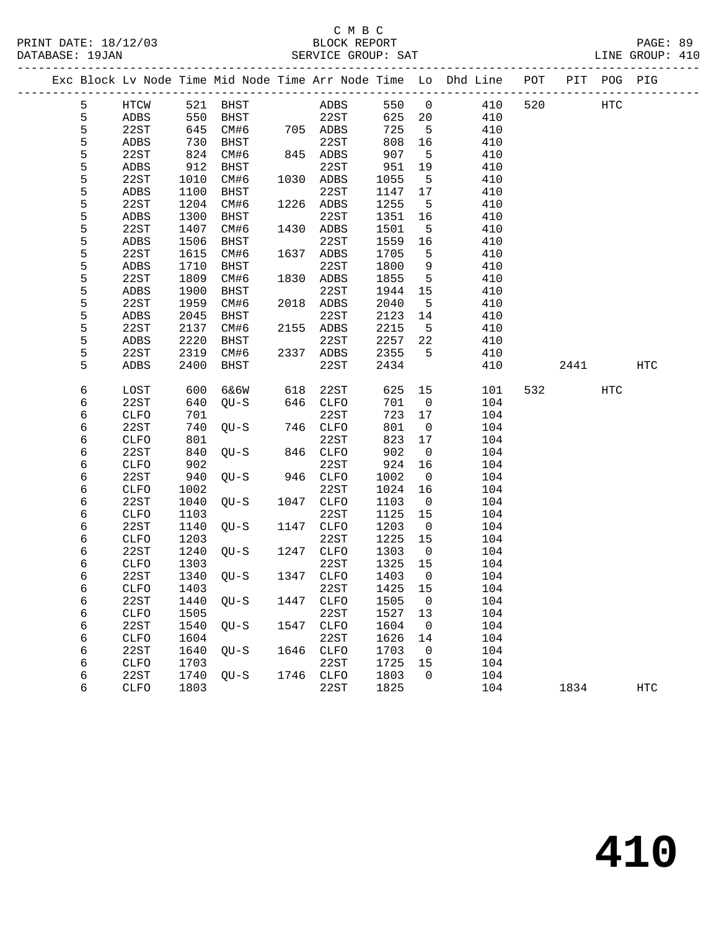### C M B C<br>BLOCK REPORT SERVICE GROUP: SAT

|  |        |                     |              |             |      |                     |              |                | Exc Block Lv Node Time Mid Node Time Arr Node Time Lo Dhd Line POT |     |      | PIT POG PIG |     |
|--|--------|---------------------|--------------|-------------|------|---------------------|--------------|----------------|--------------------------------------------------------------------|-----|------|-------------|-----|
|  | 5      | HTCW                |              | 521 BHST    |      | ADBS                | 550          | $\overline{0}$ | 410                                                                | 520 |      | <b>HTC</b>  |     |
|  | 5      | ADBS                | 550          | BHST        |      | 22ST                | 625          | 20             | 410                                                                |     |      |             |     |
|  | 5      | 22ST                | 645          | CM#6        |      | 705 ADBS            | 725          | 5              | 410                                                                |     |      |             |     |
|  | 5      | ADBS                | 730          | BHST        |      | 22ST                | 808          | 16             | 410                                                                |     |      |             |     |
|  | 5      | 22ST                | 824          | CM#6        |      | 845 ADBS            | 907          | 5              | 410                                                                |     |      |             |     |
|  | 5      | ADBS                | 912          | BHST        |      | 22ST                | 951          | 19             | 410                                                                |     |      |             |     |
|  | 5      | 22ST                | 1010         | CM#6        |      | 1030 ADBS           | 1055         | 5              | 410                                                                |     |      |             |     |
|  | 5      | ADBS                | 1100         | BHST        |      | 22ST                | 1147         | 17             | 410                                                                |     |      |             |     |
|  | 5      | 22ST                | 1204         | CM#6        |      | 1226 ADBS           | 1255         | 5              | 410                                                                |     |      |             |     |
|  | 5      | ADBS                | 1300         | BHST        |      | 22ST                | 1351         | 16             | 410                                                                |     |      |             |     |
|  | 5      | 22ST                | 1407         | CM#6        | 1430 | ADBS                | 1501         | 5              | 410                                                                |     |      |             |     |
|  | 5      | ADBS                | 1506         | BHST        |      | 22ST                | 1559         | 16             | 410                                                                |     |      |             |     |
|  | 5      | 22ST                | 1615         | CM#6        | 1637 | ADBS                | 1705         | 5              | 410                                                                |     |      |             |     |
|  | 5      | ADBS                | 1710         | <b>BHST</b> |      | 22ST                | 1800         | 9              | 410                                                                |     |      |             |     |
|  | 5      | 22ST                | 1809         | CM#6        | 1830 | ADBS                | 1855         | 5              | 410                                                                |     |      |             |     |
|  | 5      | ADBS                | 1900         | BHST        |      | 22ST                | 1944         | 15             | 410                                                                |     |      |             |     |
|  | 5      | 22ST                | 1959         | CM#6        |      | 2018 ADBS           | 2040         | 5              | 410                                                                |     |      |             |     |
|  | 5      | ADBS                | 2045         | <b>BHST</b> |      | 22ST                | 2123         | 14             | 410                                                                |     |      |             |     |
|  | 5      | 22ST                | 2137         | CM#6        | 2155 | ADBS                | 2215         | 5              | 410                                                                |     |      |             |     |
|  | 5      | ADBS                | 2220         | BHST        |      | 22ST                | 2257         | 22             | 410                                                                |     |      |             |     |
|  | 5      | 22ST                | 2319         | CM#6        |      | 2337 ADBS           | 2355         | 5              | 410                                                                |     |      |             |     |
|  | 5      | ADBS                | 2400         | BHST        |      | 22ST                | 2434         |                | 410                                                                |     | 2441 |             | HTC |
|  | 6      | LOST                | 600          | 6&6W        | 618  | 22ST                | 625          | 15             | 101                                                                | 532 |      | HTC         |     |
|  | 6      | 22ST                | 640          | $QU-S$      | 646  | CLFO                | 701          | $\overline{0}$ | 104                                                                |     |      |             |     |
|  | 6      | <b>CLFO</b>         | 701          |             |      | 22ST                | 723          | 17             | 104                                                                |     |      |             |     |
|  | 6      | 22ST                | 740          | $QU-S$      | 746  | CLFO                | 801          | 0              | 104                                                                |     |      |             |     |
|  | 6      | CLFO                | 801          |             |      | 22ST                | 823          | 17             | 104                                                                |     |      |             |     |
|  | 6      | 22ST                | 840          | $QU-S$      | 846  | CLFO                | 902          | $\overline{0}$ | 104                                                                |     |      |             |     |
|  | 6      | <b>CLFO</b>         | 902          |             |      | 22ST                | 924          | 16             | 104                                                                |     |      |             |     |
|  | 6      | 22ST                | 940          | $OU-S$      | 946  | CLFO                | 1002         | 0              | 104                                                                |     |      |             |     |
|  | 6      | CLFO                | 1002         |             |      | 22ST                | 1024         | 16             | 104                                                                |     |      |             |     |
|  | 6      | 22ST                | 1040         | $QU-S$      | 1047 | <b>CLFO</b>         | 1103         | $\overline{0}$ | 104                                                                |     |      |             |     |
|  | 6      | <b>CLFO</b>         | 1103         |             |      | 22ST                | 1125         | 15             | 104                                                                |     |      |             |     |
|  | 6      | 22ST                | 1140         | $OU-S$      | 1147 | <b>CLFO</b>         | 1203         | $\overline{0}$ | 104                                                                |     |      |             |     |
|  | 6      | <b>CLFO</b>         | 1203         |             |      | 22ST                | 1225         | 15             | 104                                                                |     |      |             |     |
|  | 6      | 22ST                | 1240         | $QU-S$      | 1247 | CLFO                | 1303         | $\overline{0}$ | 104                                                                |     |      |             |     |
|  | 6      | CLFO                | 1303         |             |      | 22ST                | 1325         | 15             | 104                                                                |     |      |             |     |
|  | 6      | 22ST                | 1340         | QU-S        | 1347 | CLFO                | 1403         | $\overline{0}$ | 104                                                                |     |      |             |     |
|  | 6      | CLFO                | 1403         |             |      | 22ST                | 1425 15      |                | 104                                                                |     |      |             |     |
|  | 6      | 22ST                | 1440         | $OU-S$      | 1447 | CLFO                | 1505         | 0              | 104                                                                |     |      |             |     |
|  | 6      | <b>CLFO</b>         | 1505         |             |      | 22ST                | 1527         | 13             | 104                                                                |     |      |             |     |
|  | 6      | 22ST                | 1540         | $QU-S$      | 1547 | <b>CLFO</b>         | 1604         | 0              | 104                                                                |     |      |             |     |
|  | 6<br>6 | <b>CLFO</b><br>22ST | 1604<br>1640 | $QU-S$      | 1646 | 22ST<br><b>CLFO</b> | 1626<br>1703 | 14<br>0        | 104<br>104                                                         |     |      |             |     |
|  | 6      | <b>CLFO</b>         | 1703         |             |      | 22ST                | 1725         | 15             | 104                                                                |     |      |             |     |
|  | 6      | 22ST                | 1740         | $QU-S$      | 1746 | ${\tt CLFO}$        | 1803         | 0              | 104                                                                |     |      |             |     |
|  |        |                     |              |             |      |                     |              |                |                                                                    |     |      |             |     |

6 CLFO 1803 22ST 1825 104 1834 HTC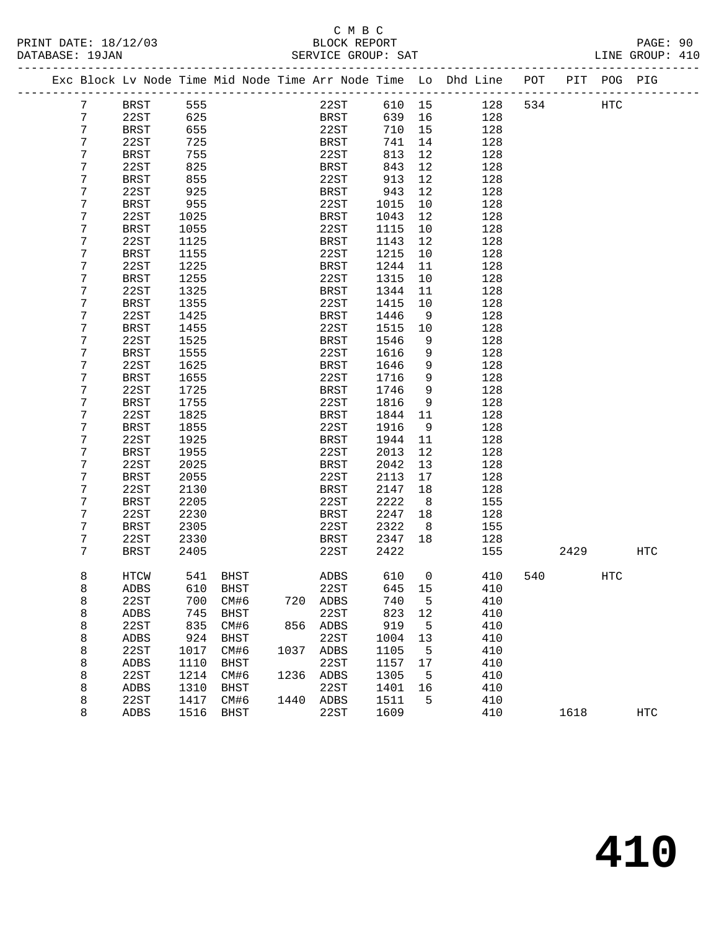## C M B C<br>BLOCK REPORT SERVICE GROUP: SAT

|  |                | Exc Block Lv Node Time Mid Node Time Arr Node Time Lo Dhd Line POT |          |             |      |             |      |        |                |     |     |      | PIT POG PIG |            |
|--|----------------|--------------------------------------------------------------------|----------|-------------|------|-------------|------|--------|----------------|-----|-----|------|-------------|------------|
|  | $7\phantom{.}$ | BRST                                                               | 555      |             |      |             | 22ST | 610 15 |                | 128 | 534 |      | HTC         |            |
|  | 7              | 22ST                                                               | 625      |             |      | BRST        |      | 639 16 |                | 128 |     |      |             |            |
|  | 7              | BRST                                                               | 655      |             |      | 22ST        |      | 710    | 15             | 128 |     |      |             |            |
|  | 7              | 22ST                                                               | 725      |             |      | BRST        |      | 741    | 14             | 128 |     |      |             |            |
|  | 7              | BRST                                                               | 755      |             |      | 22ST        |      | 813    | 12             | 128 |     |      |             |            |
|  | 7              | 22ST                                                               | 825      |             |      | BRST        |      | 843    | 12             | 128 |     |      |             |            |
|  | 7              | BRST                                                               | 855      |             |      | 22ST        |      | 913    | 12             | 128 |     |      |             |            |
|  | 7              | 22ST                                                               | 925      |             |      | BRST        |      | 943    | 12             | 128 |     |      |             |            |
|  | 7              | BRST                                                               | 955      |             |      | 22ST        |      | 1015   | 10             | 128 |     |      |             |            |
|  | 7              | 22ST                                                               | 1025     |             |      | BRST        |      | 1043   | 12             | 128 |     |      |             |            |
|  | 7              | BRST                                                               | 1055     |             |      | 22ST        |      | 1115   | 10             | 128 |     |      |             |            |
|  | 7              | 22ST                                                               | 1125     |             |      | BRST        |      | 1143   | 12             | 128 |     |      |             |            |
|  | 7              | BRST                                                               | 1155     |             |      | 22ST        |      | 1215   | 10             | 128 |     |      |             |            |
|  | 7              | 22ST                                                               | 1225     |             |      | BRST        |      | 1244   | 11             | 128 |     |      |             |            |
|  | 7              | BRST                                                               | 1255     |             |      | 22ST        |      | 1315   | 10             | 128 |     |      |             |            |
|  | 7              | 22ST                                                               | 1325     |             |      | <b>BRST</b> |      | 1344   | 11             | 128 |     |      |             |            |
|  | 7              | <b>BRST</b>                                                        | 1355     |             |      | 22ST        |      | 1415   | 10             | 128 |     |      |             |            |
|  | 7              | 22ST                                                               | 1425     |             |      | <b>BRST</b> |      | 1446   | 9              | 128 |     |      |             |            |
|  | 7              | BRST                                                               | 1455     |             |      | 22ST        |      | 1515   | 10             | 128 |     |      |             |            |
|  | 7              | 22ST                                                               | 1525     |             |      | BRST        |      | 1546   | 9              | 128 |     |      |             |            |
|  | 7              | <b>BRST</b>                                                        | 1555     |             |      | 22ST        |      | 1616   | 9              | 128 |     |      |             |            |
|  | 7              | 22ST                                                               | 1625     |             |      | BRST        |      | 1646   | 9              | 128 |     |      |             |            |
|  | 7              | BRST                                                               | 1655     |             |      | 22ST        |      | 1716   | 9              | 128 |     |      |             |            |
|  | 7              | 22ST                                                               | 1725     |             |      | BRST        |      | 1746   | 9              | 128 |     |      |             |            |
|  | 7              | BRST                                                               | 1755     |             |      | 22ST        |      | 1816   | 9              | 128 |     |      |             |            |
|  | 7              | 22ST                                                               | 1825     |             |      | BRST        |      | 1844   | 11             | 128 |     |      |             |            |
|  | 7              | BRST                                                               | 1855     |             |      | 22ST        |      | 1916   | 9              | 128 |     |      |             |            |
|  | 7              | 22ST                                                               | 1925     |             |      | BRST        |      | 1944   | 11             | 128 |     |      |             |            |
|  | 7              | BRST                                                               | 1955     |             |      | 22ST        |      | 2013   | 12             | 128 |     |      |             |            |
|  | 7              | 22ST                                                               | 2025     |             |      | BRST        |      | 2042   | 13             | 128 |     |      |             |            |
|  | 7              | BRST                                                               | 2055     |             |      | 22ST        |      | 2113   | 17             | 128 |     |      |             |            |
|  | 7              | 22ST                                                               | 2130     |             |      | BRST        |      | 2147   | 18             | 128 |     |      |             |            |
|  | 7              | BRST                                                               | 2205     |             |      | 22ST        |      | 2222   | 8              | 155 |     |      |             |            |
|  | 7              | 22ST                                                               | 2230     |             |      | BRST        |      | 2247   | 18             | 128 |     |      |             |            |
|  | 7              | BRST                                                               | 2305     |             |      | 22ST        |      | 2322   | 8 <sup>8</sup> | 155 |     |      |             |            |
|  | 7              | 22ST                                                               | 2330     |             |      | BRST        |      | 2347   | 18             | 128 |     |      |             |            |
|  | 7              | BRST                                                               | 2405     |             |      | 22ST        |      | 2422   |                | 155 |     | 2429 |             | HTC        |
|  | 8              | HTCW                                                               |          | 541 BHST    |      | ADBS        |      | 610    | $\overline{0}$ | 410 | 540 |      | <b>HTC</b>  |            |
|  | 8              | ADBS                                                               | 610 BHST |             |      | 22ST        |      | 645 15 |                | 410 |     |      |             |            |
|  | 8              | 22ST                                                               | 700      | CM#6        | 720  | ADBS        |      | 740    | 5              | 410 |     |      |             |            |
|  | 8              | ADBS                                                               | 745      | <b>BHST</b> |      | 22ST        |      | 823    | 12             | 410 |     |      |             |            |
|  | 8              | 22ST                                                               | 835      | CM#6        | 856  | ADBS        |      | 919    | 5              | 410 |     |      |             |            |
|  | 8              | ADBS                                                               | 924      | <b>BHST</b> |      | 22ST        |      | 1004   | 13             | 410 |     |      |             |            |
|  | 8              | 22ST                                                               | 1017     | CM#6        | 1037 | ADBS        |      | 1105   | 5              | 410 |     |      |             |            |
|  | 8              | ADBS                                                               | 1110     | BHST        |      | 22ST        |      | 1157   | 17             | 410 |     |      |             |            |
|  | 8              | 22ST                                                               | 1214     | CM#6        | 1236 | ADBS        |      | 1305   | 5              | 410 |     |      |             |            |
|  | 8              | ADBS                                                               | 1310     | <b>BHST</b> |      | 22ST        |      | 1401   | 16             | 410 |     |      |             |            |
|  | 8              | 22ST                                                               | 1417     | CM#6        | 1440 | ADBS        |      | 1511   | 5              | 410 |     |      |             |            |
|  | 8              | ADBS                                                               | 1516     | BHST        |      | 22ST        |      | 1609   |                | 410 |     | 1618 |             | <b>HTC</b> |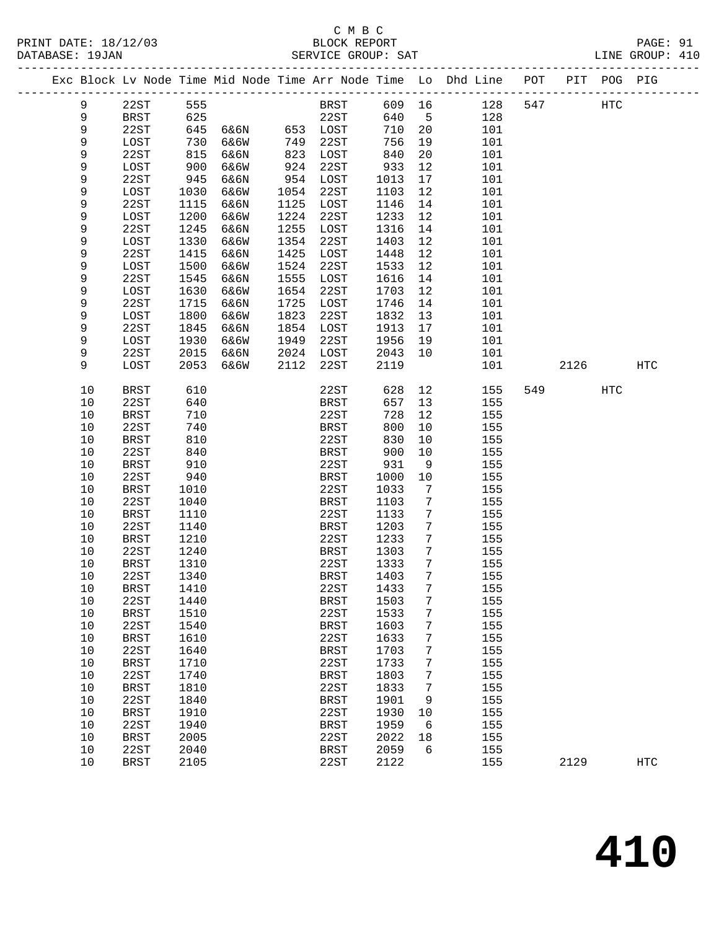## C M B C<br>BLOCK REPORT SERVICE GROUP: SAT

PRINT DATE: 18/12/03 BLOCK REPORT PAGE: 91

|  |      |             |      |               |      |             |        |                 | Exc Block Lv Node Time Mid Node Time Arr Node Time Lo Dhd Line POT |     |      | PIT POG PIG |            |
|--|------|-------------|------|---------------|------|-------------|--------|-----------------|--------------------------------------------------------------------|-----|------|-------------|------------|
|  | 9    | 22ST        | 555  |               |      | BRST        | 609 16 |                 | 128                                                                | 547 |      | HTC         |            |
|  | 9    | BRST        | 625  |               |      | 22ST        | 640    | $5^{\circ}$     | 128                                                                |     |      |             |            |
|  | 9    | 22ST        | 645  | 6&6N 653 LOST |      |             | 710    | 20              | 101                                                                |     |      |             |            |
|  | 9    | LOST        | 730  | 6&6W          | 749  | 22ST        | 756    | 19              | 101                                                                |     |      |             |            |
|  | 9    | 22ST        | 815  | 6&6N          | 823  | LOST        | 840    | 20              | 101                                                                |     |      |             |            |
|  | 9    | LOST        | 900  | 6&6W          | 924  | 22ST        | 933    | 12              | 101                                                                |     |      |             |            |
|  | 9    | 22ST        | 945  | 6&6N          | 954  | LOST        | 1013   | 17              | 101                                                                |     |      |             |            |
|  | 9    | LOST        | 1030 | 6&6W          | 1054 | 22ST        | 1103   | 12              | 101                                                                |     |      |             |            |
|  | 9    | 22ST        | 1115 | 6&6N          | 1125 | LOST        | 1146   | 14              | 101                                                                |     |      |             |            |
|  | 9    | LOST        | 1200 | 6&6W          | 1224 | 22ST        | 1233   | 12              | 101                                                                |     |      |             |            |
|  | 9    | 22ST        | 1245 | 6&6N          | 1255 | LOST        | 1316   | 14              | 101                                                                |     |      |             |            |
|  | 9    | LOST        | 1330 | 6&6W          | 1354 | 22ST        | 1403   | 12              | 101                                                                |     |      |             |            |
|  | 9    | 22ST        | 1415 | 6&6N          | 1425 | LOST        | 1448   | 12              | 101                                                                |     |      |             |            |
|  | 9    | LOST        | 1500 | 6&6W          | 1524 | 22ST        | 1533   | 12              | 101                                                                |     |      |             |            |
|  | 9    | 22ST        | 1545 | 6&6N          | 1555 | LOST        | 1616   | 14              | 101                                                                |     |      |             |            |
|  | 9    | LOST        | 1630 | 6&6W          | 1654 | 22ST        | 1703   | 12              | 101                                                                |     |      |             |            |
|  | 9    | 22ST        | 1715 | 6&6N          | 1725 | LOST        | 1746   | 14              | 101                                                                |     |      |             |            |
|  | 9    | LOST        | 1800 | 6&6W          | 1823 | 22ST        | 1832   | 13              | 101                                                                |     |      |             |            |
|  | 9    | 22ST        | 1845 | 6&6N          | 1854 | LOST        | 1913   | 17              | 101                                                                |     |      |             |            |
|  | 9    | LOST        | 1930 | 6&6W          | 1949 | 22ST        | 1956   | 19              | 101                                                                |     |      |             |            |
|  | 9    | 22ST        | 2015 | 6&6N          | 2024 | LOST        | 2043   | 10              | 101                                                                |     |      |             |            |
|  | 9    | LOST        | 2053 | 6&6W          | 2112 | 22ST        | 2119   |                 | 101                                                                |     | 2126 |             | HTC        |
|  |      |             |      |               |      |             |        |                 |                                                                    |     |      |             |            |
|  | 10   | <b>BRST</b> | 610  |               |      | 22ST        | 628    | 12              | 155                                                                |     | 549  | <b>HTC</b>  |            |
|  | 10   | 22ST        | 640  |               |      | BRST        | 657    | 13              | 155                                                                |     |      |             |            |
|  | $10$ | BRST        | 710  |               |      | 22ST        | 728    | 12              | 155                                                                |     |      |             |            |
|  | 10   | 22ST        | 740  |               |      | BRST        | 800    | 10              | 155                                                                |     |      |             |            |
|  | 10   | <b>BRST</b> | 810  |               |      | 22ST        | 830    | 10              | 155                                                                |     |      |             |            |
|  | 10   | 22ST        | 840  |               |      | BRST        | 900    | 10              | 155                                                                |     |      |             |            |
|  | 10   | <b>BRST</b> | 910  |               |      | 22ST        | 931    | 9               | 155                                                                |     |      |             |            |
|  | $10$ | 22ST        | 940  |               |      | BRST        | 1000   | 10              | 155                                                                |     |      |             |            |
|  | 10   | BRST        | 1010 |               |      | 22ST        | 1033   | 7               | 155                                                                |     |      |             |            |
|  | 10   | 22ST        | 1040 |               |      | BRST        | 1103   | 7               | 155                                                                |     |      |             |            |
|  | 10   | <b>BRST</b> | 1110 |               |      | 22ST        | 1133   | 7               | 155                                                                |     |      |             |            |
|  | 10   | 22ST        | 1140 |               |      | BRST        | 1203   | $7\phantom{.0}$ | 155                                                                |     |      |             |            |
|  | 10   | BRST        | 1210 |               |      | 22ST        | 1233   | 7               | 155                                                                |     |      |             |            |
|  | 10   | 22ST        | 1240 |               |      | BRST        | 1303   | 7               | 155                                                                |     |      |             |            |
|  | 10   | BRST        | 1310 |               |      | 22ST        | 1333   | 7               | 155                                                                |     |      |             |            |
|  | 10   | 22ST        | 1340 |               |      | BRST        | 1403   | 7               | 155                                                                |     |      |             |            |
|  | 10   | BRST        | 1410 |               |      | 22ST        | 1433   | $7\overline{ }$ | 155                                                                |     |      |             |            |
|  | 10   | 22ST        | 1440 |               |      | BRST        | 1503   | 7               | 155                                                                |     |      |             |            |
|  | $10$ | <b>BRST</b> | 1510 |               |      | 22ST        | 1533   | 7               | 155                                                                |     |      |             |            |
|  | 10   | 22ST        | 1540 |               |      | <b>BRST</b> | 1603   | 7               | 155                                                                |     |      |             |            |
|  | 10   | <b>BRST</b> | 1610 |               |      | 22ST        | 1633   | 7               | 155                                                                |     |      |             |            |
|  | 10   | 22ST        | 1640 |               |      | <b>BRST</b> | 1703   | 7               | 155                                                                |     |      |             |            |
|  | 10   | <b>BRST</b> | 1710 |               |      | 22ST        | 1733   | 7               | 155                                                                |     |      |             |            |
|  | 10   | 22ST        | 1740 |               |      | <b>BRST</b> | 1803   | 7               | 155                                                                |     |      |             |            |
|  | 10   | <b>BRST</b> | 1810 |               |      | 22ST        | 1833   | 7               | 155                                                                |     |      |             |            |
|  | 10   | 22ST        | 1840 |               |      | <b>BRST</b> | 1901   | 9               | 155                                                                |     |      |             |            |
|  | 10   | <b>BRST</b> | 1910 |               |      | 22ST        | 1930   | 10              | 155                                                                |     |      |             |            |
|  | 10   | 22ST        | 1940 |               |      | <b>BRST</b> | 1959   | 6               | 155                                                                |     |      |             |            |
|  | 10   | <b>BRST</b> | 2005 |               |      | 22ST        | 2022   | 18              | 155                                                                |     |      |             |            |
|  | 10   | 22ST        | 2040 |               |      | <b>BRST</b> | 2059   | 6               | 155                                                                |     |      |             |            |
|  | 10   | <b>BRST</b> | 2105 |               |      | 22ST        | 2122   |                 | 155                                                                |     | 2129 |             | <b>HTC</b> |
|  |      |             |      |               |      |             |        |                 |                                                                    |     |      |             |            |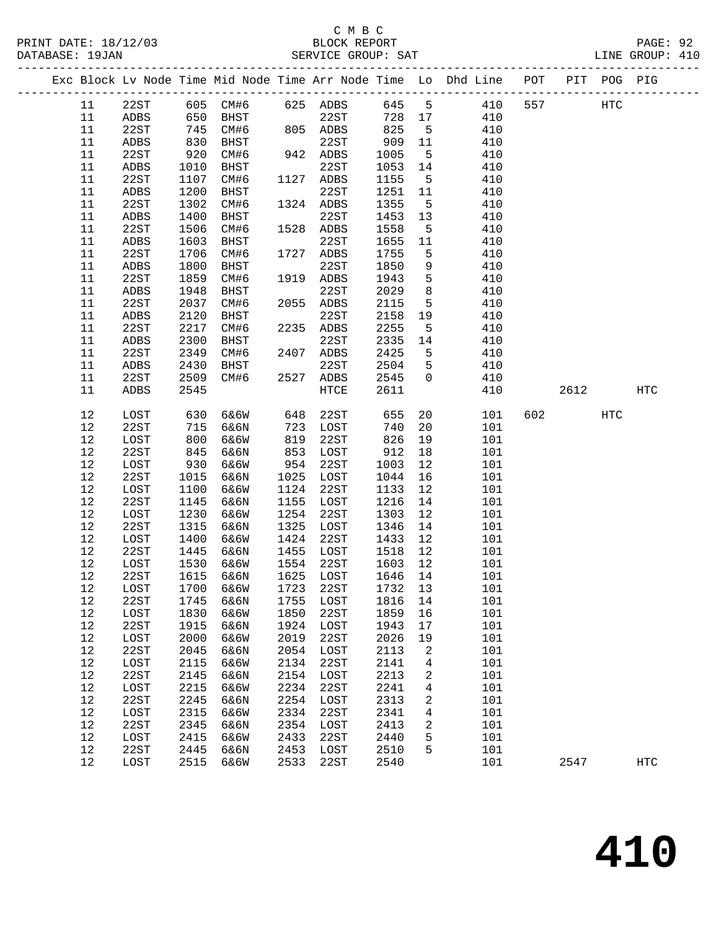#### C M B C<br>BLOCK REPORT PRINT DATE: 18/12/03 BLOCK REPORT PAGE: 92 SERVICE GROUP: SAT

|  |        |              |      |           |      |           |         |                | Exc Block Lv Node Time Mid Node Time Arr Node Time Lo Dhd Line POT |     |      | PIT POG PIG |                   |
|--|--------|--------------|------|-----------|------|-----------|---------|----------------|--------------------------------------------------------------------|-----|------|-------------|-------------------|
|  | 11     | 22ST         |      | 605 CM#6  |      | 625 ADBS  | 645 5   |                | 410                                                                | 557 |      | <b>HTC</b>  |                   |
|  | 11     | ADBS         | 650  | BHST      |      | 22ST      | 728 17  |                | 410                                                                |     |      |             |                   |
|  | 11     | 22ST         | 745  | CM#6      |      | 805 ADBS  | 825     | $5^{\circ}$    | 410                                                                |     |      |             |                   |
|  | 11     | ADBS         | 830  | BHST      |      | 22ST      | 909     | 11             | 410                                                                |     |      |             |                   |
|  | 11     | 22ST         | 920  | CM#6      |      | 942 ADBS  | 1005    | $5^{\circ}$    | 410                                                                |     |      |             |                   |
|  | 11     | ADBS         | 1010 | BHST      |      | 22ST      | 1053    | 14             | 410                                                                |     |      |             |                   |
|  | 11     | 22ST         | 1107 | CM#6      |      | 1127 ADBS | 1155    | $5^{\circ}$    | 410                                                                |     |      |             |                   |
|  | 11     | ADBS         | 1200 | BHST      |      | 22ST      | 1251    | 11             | 410                                                                |     |      |             |                   |
|  | 11     | 22ST         | 1302 | CM#6      |      | 1324 ADBS | 1355    | $5^{\circ}$    | 410                                                                |     |      |             |                   |
|  | 11     | ADBS         | 1400 | BHST      |      | 22ST      | 1453    | 13             | 410                                                                |     |      |             |                   |
|  | 11     | 22ST         | 1506 | CM#6      |      | 1528 ADBS | 1558    | $5^{\circ}$    | 410                                                                |     |      |             |                   |
|  | 11     | ${\tt ADBS}$ | 1603 | BHST      |      | 22ST      | 1655    | 11             | 410                                                                |     |      |             |                   |
|  | 11     | 22ST         | 1706 | CM#6      |      | 1727 ADBS | 1755    | 5              | 410                                                                |     |      |             |                   |
|  | 11     | ${\tt ADBS}$ | 1800 | BHST      |      | 22ST      | 1850    | 9              | 410                                                                |     |      |             |                   |
|  | 11     | 22ST         | 1859 | CM#6      |      | 1919 ADBS | 1943    | 5              | 410                                                                |     |      |             |                   |
|  | 11     | ${\tt ADBS}$ | 1948 | BHST      |      | 22ST      | 2029    | 8              | 410                                                                |     |      |             |                   |
|  | 11     | 22ST         | 2037 | CM#6      |      | 2055 ADBS | 2115    | 5              | 410                                                                |     |      |             |                   |
|  | 11     | ADBS         | 2120 | BHST      |      | 22ST      | 2158    | 19             | 410                                                                |     |      |             |                   |
|  | 11     | 22ST         | 2217 | CM#6      |      | 2235 ADBS | 2255    | $5^{\circ}$    | 410                                                                |     |      |             |                   |
|  | 11     | ADBS         | 2300 | BHST      |      | 22ST      | 2335    | 14             | 410                                                                |     |      |             |                   |
|  | 11     | 22ST         | 2349 | CM#6      | 2407 | ADBS      | 2425    | 5              | 410                                                                |     |      |             |                   |
|  | 11     | ADBS         | 2430 | BHST      |      | 22ST      | 2504    | 5              | 410                                                                |     |      |             |                   |
|  | 11     | 22ST         | 2509 | CM#6      |      | 2527 ADBS | 2545    | $\overline{0}$ | 410                                                                |     |      |             |                   |
|  | 11     | ADBS         | 2545 |           |      | HTCE      | 2611    |                | 410                                                                |     | 2612 |             | HTC               |
|  |        |              |      |           |      |           |         |                |                                                                    |     |      |             |                   |
|  | 12     | LOST         | 630  | 6&6W      | 648  | 22ST      | 655     | 20             | 101                                                                | 602 |      | HTC         |                   |
|  | 12     | 22ST         | 715  | 6&6N      | 723  | LOST      | 740     | 20             | 101                                                                |     |      |             |                   |
|  | 12     | LOST         | 800  | 6&6W      | 819  | 22ST      | 826     | 19             | 101                                                                |     |      |             |                   |
|  | 12     | 22ST         | 845  | 6&6N      | 853  | LOST      | 912     | 18             | 101                                                                |     |      |             |                   |
|  | 12     | LOST         | 930  | 6&6W      | 954  | 22ST      | 1003    | 12             | 101                                                                |     |      |             |                   |
|  | 12     | 22ST         | 1015 | 6&6N      | 1025 | LOST      | 1044    | 16             | 101                                                                |     |      |             |                   |
|  | 12     | LOST         | 1100 | 6&6W      | 1124 | 22ST      | 1133    | 12             | 101                                                                |     |      |             |                   |
|  | 12     | 22ST         | 1145 | 6&6N      | 1155 | LOST      | 1216    | 14             | 101                                                                |     |      |             |                   |
|  | 12     | LOST         | 1230 | 6&6W      | 1254 | 22ST      | 1303    | 12             | 101                                                                |     |      |             |                   |
|  | 12     | 22ST         | 1315 | 6&6N      | 1325 | LOST      | 1346    | 14             | 101                                                                |     |      |             |                   |
|  | 12     | LOST         | 1400 | 6&6W      | 1424 | 22ST      | 1433    | 12             | 101                                                                |     |      |             |                   |
|  | 12     | 22ST         | 1445 | 6&6N      | 1455 | LOST      | 1518    | 12             | 101                                                                |     |      |             |                   |
|  | 12     | LOST         | 1530 | 6&6W      |      | 1554 22ST | 1603    | 12             | 101                                                                |     |      |             |                   |
|  | 12     | 22ST         | 1615 | 6&6N      |      | 1625 LOST | 1646    | 14             | 101                                                                |     |      |             |                   |
|  | $12\,$ | LOST         |      | 1700 6&6W |      | 1723 22ST | 1732 13 |                | 101                                                                |     |      |             |                   |
|  | 12     | 22ST         | 1745 | 6&6N      | 1755 | LOST      | 1816    | 14             | 101                                                                |     |      |             |                   |
|  | 12     | LOST         | 1830 | 6&6W      | 1850 | 22ST      | 1859    | 16             | 101                                                                |     |      |             |                   |
|  | 12     | 22ST         | 1915 | 6&6N      | 1924 | LOST      | 1943    | 17             | 101                                                                |     |      |             |                   |
|  | 12     | LOST         | 2000 | 6&6W      | 2019 | 22ST      | 2026    | 19             | 101                                                                |     |      |             |                   |
|  | 12     | 22ST         | 2045 | 6&6N      | 2054 | LOST      | 2113    | 2              | 101                                                                |     |      |             |                   |
|  | 12     | LOST         | 2115 | 6&6W      | 2134 | 22ST      | 2141    | 4              | 101                                                                |     |      |             |                   |
|  | 12     | 22ST         | 2145 | 6&6N      | 2154 | LOST      | 2213    | 2              | 101                                                                |     |      |             |                   |
|  | 12     | LOST         | 2215 | 6&6W      | 2234 | 22ST      | 2241    | 4              | 101                                                                |     |      |             |                   |
|  | 12     | 22ST         | 2245 | 6&6N      | 2254 | LOST      | 2313    | 2              | 101                                                                |     |      |             |                   |
|  | 12     | LOST         | 2315 | 6&6W      | 2334 | 22ST      | 2341    | 4              | 101                                                                |     |      |             |                   |
|  | 12     | 22ST         | 2345 | 6&6N      | 2354 | LOST      | 2413    | 2              | 101                                                                |     |      |             |                   |
|  | $12$   | LOST         | 2415 | 6&6W      | 2433 | 22ST      | 2440    | 5              | 101                                                                |     |      |             |                   |
|  | 12     | 22ST         | 2445 | 6&6N      | 2453 | LOST      | 2510    | 5              | 101                                                                |     |      |             |                   |
|  | $12$   | LOST         | 2515 | 6&6W      | 2533 | 22ST      | 2540    |                | 101                                                                |     | 2547 |             | $_{\mathrm{HTC}}$ |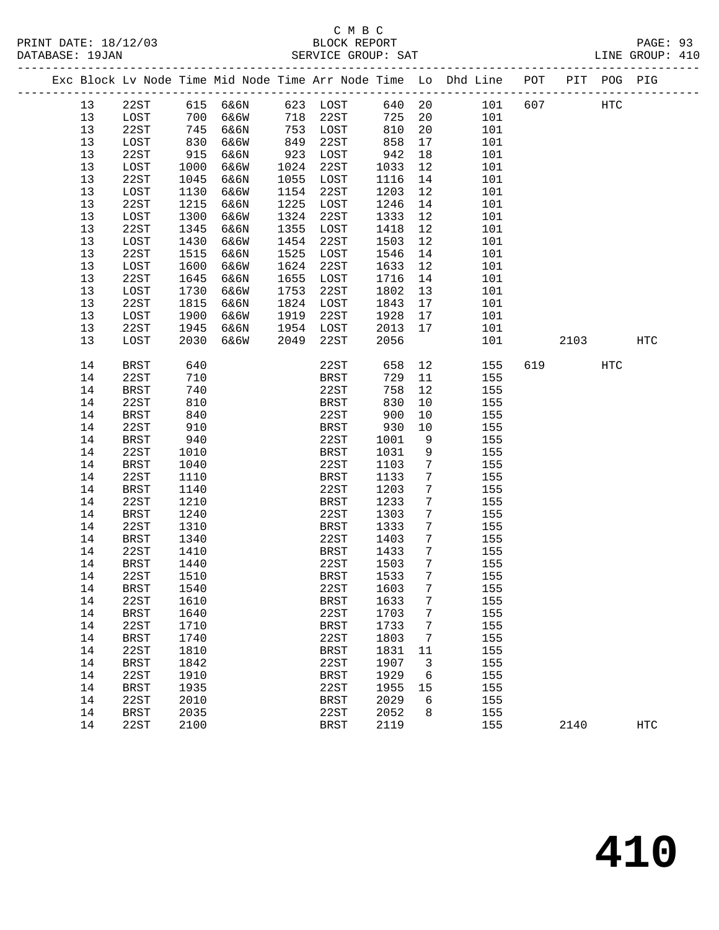## C M B C<br>BLOCK REPORT SERVICE GROUP: SAT

|          |              |                |          |      |              |              |                      | Exc Block Lv Node Time Mid Node Time Arr Node Time Lo Dhd Line POT PIT POG PIG |     |          |            |            |
|----------|--------------|----------------|----------|------|--------------|--------------|----------------------|--------------------------------------------------------------------------------|-----|----------|------------|------------|
| 13       | 22ST         |                | 615 6&6N |      | 623 LOST     | 640 20       |                      | 101                                                                            | 607 |          | HTC        |            |
| 13       | LOST         | 700            | 6&6W     |      | 718 22ST     | 725          | 20                   | 101                                                                            |     |          |            |            |
| 13       | 22ST         | $700$<br>$745$ | 6&6N     |      | 753 LOST     | 810          | 20                   | 101                                                                            |     |          |            |            |
| 13       | LOST         | 830            | 6&6W     | 849  | 22ST         | 858          | 17                   | 101                                                                            |     |          |            |            |
| 13       | 22ST         | 915            | 6&6N     | 923  | LOST         | 942          | 18                   | 101                                                                            |     |          |            |            |
| 13       | LOST         | 1000           | 6&6W     | 1024 | 22ST         | 1033         | 12                   | 101                                                                            |     |          |            |            |
| 13       | 22ST         | 1045           | 6&6N     | 1055 | LOST         | 1116         | 14                   | 101                                                                            |     |          |            |            |
| 13       | LOST         | 1130           | 6&6W     | 1154 | 22ST         | 1203         | 12                   | 101                                                                            |     |          |            |            |
| 13       | 22ST         | 1215           | 6&6N     | 1225 | LOST         | 1246         | 14                   | 101                                                                            |     |          |            |            |
| 13       | LOST         | 1300           | 6&6W     | 1324 | 22ST         | 1333         | 12                   | 101                                                                            |     |          |            |            |
| 13       | 22ST         | 1345           | 6&6N     | 1355 | LOST         | 1418         | 12                   | 101                                                                            |     |          |            |            |
| 13       | LOST         | 1430           | 6&6W     | 1454 | 22ST         | 1503         | 12                   | 101                                                                            |     |          |            |            |
| 13       | 22ST         | 1515           | 6&6N     | 1525 | LOST         | 1546         | 14                   | 101                                                                            |     |          |            |            |
| 13       | LOST         | 1600           | 6&6W     | 1624 | 22ST         | 1633         | 12                   | 101                                                                            |     |          |            |            |
| 13       | 22ST         | 1645           | 6&6N     | 1655 | LOST         | 1716         | 14                   | 101                                                                            |     |          |            |            |
| 13       | LOST         | 1730           | 6&6W     | 1753 | 22ST         | 1802         | 13                   | 101                                                                            |     |          |            |            |
| 13       | 22ST         | 1815           | 6&6N     | 1824 | LOST         | 1843         | 17                   | 101                                                                            |     |          |            |            |
| 13       | LOST         | 1900           | 6&6W     | 1919 | 22ST         | 1928         | 17                   | 101                                                                            |     |          |            |            |
| 13<br>13 | 22ST         | 1945<br>2030   | 6&6N     | 2049 | 1954 LOST    | 2013<br>2056 | 17                   | 101                                                                            |     | 2103     |            | HTC        |
|          | LOST         |                | 6&6W     |      | 22ST         |              |                      | 101                                                                            |     |          |            |            |
| 14       | <b>BRST</b>  | 640            |          |      | 22ST         | 658          | 12                   | 155                                                                            |     | 619 — 10 | <b>HTC</b> |            |
| 14       | 22ST         | 710            |          |      | BRST         | 729          | 11                   | 155                                                                            |     |          |            |            |
| 14       | BRST         | 740            |          |      | 22ST         | 758          | 12                   | 155                                                                            |     |          |            |            |
| 14       | 22ST         | 810            |          |      | BRST         | 830          | 10                   | 155                                                                            |     |          |            |            |
| 14       | <b>BRST</b>  | 840            |          |      | 22ST         | 900          | 10                   | 155                                                                            |     |          |            |            |
| 14       | 22ST         | 910            |          |      | BRST         | 930          | 10                   | 155                                                                            |     |          |            |            |
| 14       | BRST         | 940            |          |      | 22ST         | 1001         | 9                    | 155                                                                            |     |          |            |            |
| 14       | 22ST         | 1010           |          |      | BRST         | 1031         | 9                    | 155                                                                            |     |          |            |            |
| 14       | BRST         | 1040           |          |      | 22ST         | 1103         | 7                    | 155                                                                            |     |          |            |            |
| 14       | 22ST         | 1110           |          |      | BRST         | 1133         | $7\phantom{.0}$      | 155                                                                            |     |          |            |            |
| 14       | BRST         | 1140           |          |      | 22ST         | 1203         | $7\phantom{.0}$      | 155                                                                            |     |          |            |            |
| 14       | 22ST         | 1210           |          |      | BRST         | 1233         | $7\phantom{.0}$      | 155                                                                            |     |          |            |            |
| 14       | BRST         | 1240           |          |      | 22ST         | 1303         | 7                    | 155                                                                            |     |          |            |            |
| 14       | 22ST         | 1310           |          |      | BRST         | 1333         | $7\phantom{.0}$      | 155                                                                            |     |          |            |            |
| 14       | BRST         | 1340           |          |      | 22ST         | 1403         | $7\phantom{.0}$<br>7 | 155                                                                            |     |          |            |            |
| 14<br>14 | 22ST<br>BRST | 1410<br>1440   |          |      | BRST<br>22ST | 1433<br>1503 | 7                    | 155<br>155                                                                     |     |          |            |            |
| 14       | 22ST         | 1510           |          |      | BRST         | 1533         | 7                    | 155                                                                            |     |          |            |            |
| 14       | <b>BRST</b>  | 1540           |          |      | 22ST         | 1603         | 7 <sup>7</sup>       | 155                                                                            |     |          |            |            |
| 14       | 22ST         | 1610           |          |      | <b>BRST</b>  | 1633         | 7                    | 155                                                                            |     |          |            |            |
| 14       | <b>BRST</b>  | 1640           |          |      | 22ST         | 1703         | 7                    | 155                                                                            |     |          |            |            |
| 14       | 22ST         | 1710           |          |      | <b>BRST</b>  | 1733         | 7                    | 155                                                                            |     |          |            |            |
| 14       | <b>BRST</b>  | 1740           |          |      | 22ST         | 1803         | 7                    | 155                                                                            |     |          |            |            |
| 14       | 22ST         | 1810           |          |      | <b>BRST</b>  | 1831         | 11                   | 155                                                                            |     |          |            |            |
| 14       | <b>BRST</b>  | 1842           |          |      | 22ST         | 1907         | 3                    | 155                                                                            |     |          |            |            |
| 14       | 22ST         | 1910           |          |      | <b>BRST</b>  | 1929         | 6                    | 155                                                                            |     |          |            |            |
| 14       | <b>BRST</b>  | 1935           |          |      | 22ST         | 1955         | 15                   | 155                                                                            |     |          |            |            |
| 14       | 22ST         | 2010           |          |      | <b>BRST</b>  | 2029         | 6                    | 155                                                                            |     |          |            |            |
| 14       | <b>BRST</b>  | 2035           |          |      | 22ST         | 2052         | 8                    | 155                                                                            |     |          |            |            |
| 14       | 22ST         | 2100           |          |      | <b>BRST</b>  | 2119         |                      | 155                                                                            |     | 2140     |            | <b>HTC</b> |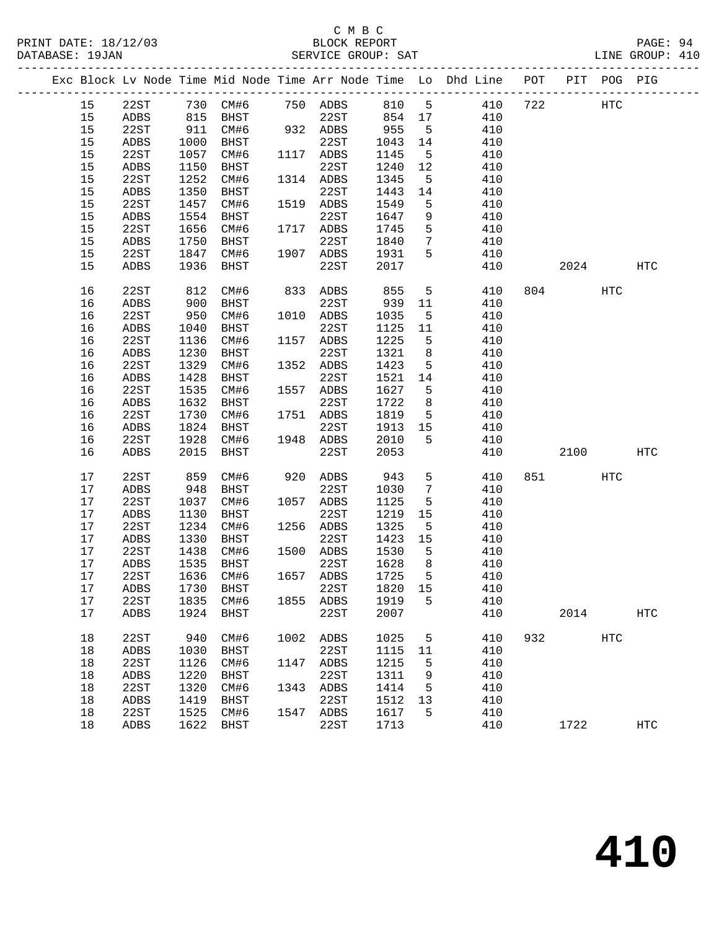## C M B C<br>
PRINT DATE: 18/12/03 BLOCK REPOR

| DATABASE: 19JAN |    |             |      |           |      | SERVICE GROUP: SAT           |      |                 | LINE GROUP: 410                                                                |             |      |                   |  |
|-----------------|----|-------------|------|-----------|------|------------------------------|------|-----------------|--------------------------------------------------------------------------------|-------------|------|-------------------|--|
|                 |    |             |      |           |      |                              |      |                 | Exc Block Lv Node Time Mid Node Time Arr Node Time Lo Dhd Line POT PIT POG PIG |             |      |                   |  |
|                 | 15 |             |      |           |      | 22ST 730 CM#6 750 ADBS 810 5 |      |                 |                                                                                | 410 722 HTC |      |                   |  |
|                 | 15 | ADBS        |      | 815 BHST  |      | 22ST 854 17                  |      |                 | 410                                                                            |             |      |                   |  |
|                 | 15 | 22ST        | 911  | CM#6      |      | 932 ADBS                     | 955  | $5^{\circ}$     | 410                                                                            |             |      |                   |  |
|                 | 15 | ADBS        | 1000 | BHST      |      | 22ST                         | 1043 | 14              | 410                                                                            |             |      |                   |  |
|                 | 15 | 22ST        | 1057 | CM#6      |      | 1117 ADBS                    | 1145 | $5^{\circ}$     | 410                                                                            |             |      |                   |  |
|                 | 15 | ADBS        | 1150 | BHST      |      | 22ST                         | 1240 | 12              | 410                                                                            |             |      |                   |  |
|                 | 15 | 22ST        | 1252 | CM#6      |      | 1314 ADBS                    | 1345 | 5               | 410                                                                            |             |      |                   |  |
|                 | 15 | ADBS        | 1350 | BHST      |      | 22ST                         | 1443 | 14              | 410                                                                            |             |      |                   |  |
|                 | 15 | 22ST        | 1457 | CM#6      |      | 1519 ADBS                    | 1549 | 5               | 410                                                                            |             |      |                   |  |
|                 | 15 | ADBS        | 1554 | BHST      |      | 22ST                         | 1647 | 9               | 410                                                                            |             |      |                   |  |
|                 | 15 | 22ST        | 1656 | CM#6      |      | 1717 ADBS                    | 1745 | 5               | 410                                                                            |             |      |                   |  |
|                 | 15 | ADBS        | 1750 | BHST      |      | 22ST                         | 1840 | $7\phantom{.0}$ | 410                                                                            |             |      |                   |  |
|                 | 15 | 22ST        | 1847 | CM#6      |      | 1907 ADBS                    | 1931 | 5               | 410                                                                            |             |      |                   |  |
|                 | 15 | ADBS        | 1936 | BHST      |      | 22ST                         | 2017 |                 | 410                                                                            |             | 2024 | <b>HTC</b>        |  |
|                 |    |             |      |           |      |                              |      |                 |                                                                                |             |      |                   |  |
|                 | 16 | 22ST        | 812  | CM#6      |      | 833 ADBS                     | 855  | 5 <sup>5</sup>  | 410                                                                            | 804 700     | HTC  |                   |  |
|                 | 16 | ADBS        | 900  | BHST      |      | 22ST                         | 939  | 11              | 410                                                                            |             |      |                   |  |
|                 | 16 | 22ST        | 950  | CM#6      |      | 1010 ADBS                    | 1035 | 5               | 410                                                                            |             |      |                   |  |
|                 | 16 | ADBS        | 1040 | BHST      |      | 22ST                         | 1125 | 11              | 410                                                                            |             |      |                   |  |
|                 | 16 | 22ST        | 1136 | CM#6      |      | 1157 ADBS                    | 1225 | 5               | 410                                                                            |             |      |                   |  |
|                 | 16 | ADBS        | 1230 | BHST      |      | 22ST                         | 1321 | 8               | 410                                                                            |             |      |                   |  |
|                 | 16 | 22ST        | 1329 | CM#6      |      | 1352 ADBS                    | 1423 | 5               | 410                                                                            |             |      |                   |  |
|                 | 16 | ADBS        | 1428 | BHST      |      | 22ST                         | 1521 | 14              | 410                                                                            |             |      |                   |  |
|                 | 16 | 22ST        | 1535 | CM#6      |      | 1557 ADBS                    | 1627 | 5               | 410                                                                            |             |      |                   |  |
|                 | 16 | ADBS        | 1632 | BHST      |      | 22ST                         | 1722 | 8               | 410                                                                            |             |      |                   |  |
|                 | 16 | 22ST        | 1730 | CM#6      |      | 1751 ADBS                    | 1819 | 5               | 410                                                                            |             |      |                   |  |
|                 | 16 | ADBS        | 1824 | BHST      |      | 22ST                         | 1913 | 15              | 410                                                                            |             |      |                   |  |
|                 | 16 | 22ST        | 1928 | CM#6      |      | 1948 ADBS                    | 2010 | 5 <sup>1</sup>  | 410                                                                            |             |      |                   |  |
|                 | 16 | ADBS        | 2015 | BHST      |      | 22ST                         | 2053 |                 | 410                                                                            |             | 2100 | HTC               |  |
|                 |    |             |      |           |      |                              |      |                 |                                                                                |             |      |                   |  |
|                 | 17 | 22ST        | 859  | CM#6      |      | 920 ADBS                     | 943  | 5               | 410                                                                            | 851 7       | HTC  |                   |  |
|                 | 17 | ADBS        | 948  | BHST      |      | 22ST                         | 1030 | $7\overline{ }$ | 410                                                                            |             |      |                   |  |
|                 | 17 | 22ST        | 1037 | CM#6      |      | 1057 ADBS                    | 1125 | 5               | 410                                                                            |             |      |                   |  |
|                 | 17 | ADBS        | 1130 | BHST      |      | 22ST                         | 1219 | 15              | 410                                                                            |             |      |                   |  |
|                 | 17 | 22ST        | 1234 | CM#6      |      | 1256 ADBS                    | 1325 | 5               | 410                                                                            |             |      |                   |  |
|                 | 17 | ADBS        | 1330 | BHST      |      | 22ST                         | 1423 | 15              | 410                                                                            |             |      |                   |  |
|                 | 17 | 22ST        | 1438 | CM#6      |      | 1500 ADBS                    | 1530 | $5^{\circ}$     | 410                                                                            |             |      |                   |  |
|                 | 17 | <b>ADBS</b> | 1535 | BHST      |      | 22ST                         | 1628 | 8               | 410                                                                            |             |      |                   |  |
|                 | 17 | 22ST        |      |           |      | 1636 CM#6 1657 ADBS 1725     |      | 5               | 410                                                                            |             |      |                   |  |
|                 | 17 | ADBS        | 1730 | BHST      |      | 22ST                         | 1820 | 15              | 410                                                                            |             |      |                   |  |
|                 | 17 | 22ST        | 1835 | CM#6      |      | 1855 ADBS                    | 1919 | 5               | 410                                                                            |             |      |                   |  |
|                 | 17 | ADBS        | 1924 | BHST      |      | 22ST                         | 2007 |                 | 410                                                                            | 2014        |      | <b>HTC</b>        |  |
|                 | 18 | 22ST        | 940  | CM#6      | 1002 | ADBS                         | 1025 | 5               | 410                                                                            | 932         | HTC  |                   |  |
|                 | 18 | ADBS        | 1030 | BHST      |      | 22ST                         | 1115 | 11              | 410                                                                            |             |      |                   |  |
|                 | 18 | 22ST        | 1126 | CM#6      | 1147 | ADBS                         | 1215 | 5               | 410                                                                            |             |      |                   |  |
|                 | 18 | ADBS        | 1220 | BHST      |      | 22ST                         | 1311 | 9               | 410                                                                            |             |      |                   |  |
|                 | 18 | 22ST        | 1320 | CM#6      | 1343 | ADBS                         | 1414 | 5               | 410                                                                            |             |      |                   |  |
|                 | 18 | ADBS        | 1419 | BHST      |      | 22ST                         | 1512 | 13              | 410                                                                            |             |      |                   |  |
|                 | 18 | 22ST        | 1525 | CM#6      | 1547 | ADBS                         | 1617 | 5               | 410                                                                            |             |      |                   |  |
|                 | 18 | ADBS        |      | 1622 BHST |      | 22ST                         | 1713 |                 | 410                                                                            | 1722        |      | $_{\mathrm{HTC}}$ |  |
|                 |    |             |      |           |      |                              |      |                 |                                                                                |             |      |                   |  |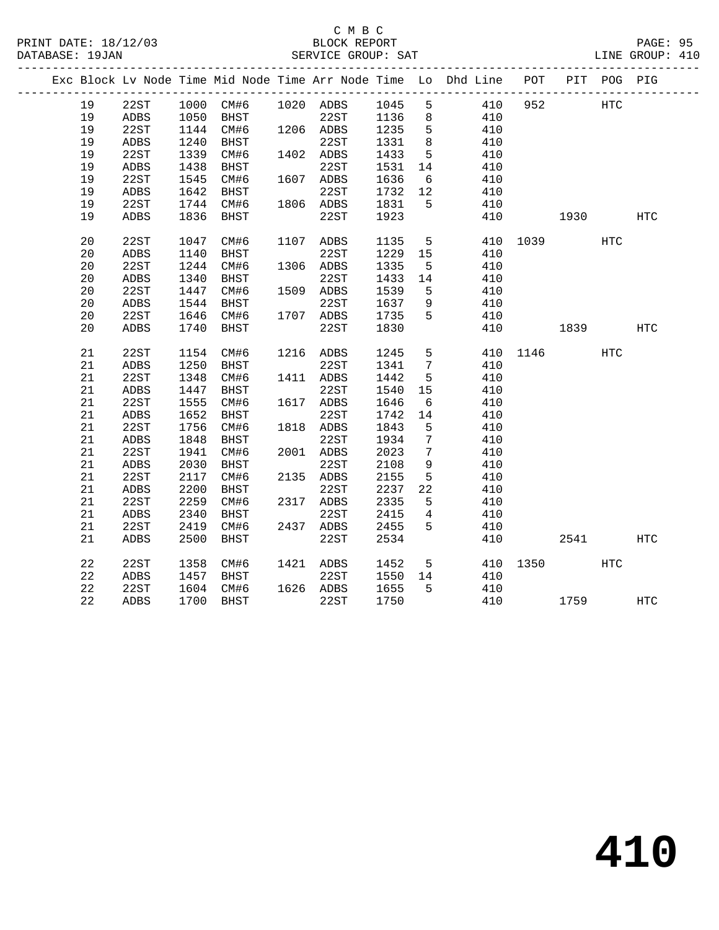## C M B C<br>BLOCK REPORT

|    |      |      |             | SERVICE GROUP: SAT |      |                 |                                                                                |      |      |                                                                                                            | PAGE: 95<br>LINE GROUP: 410 |  |
|----|------|------|-------------|--------------------|------|-----------------|--------------------------------------------------------------------------------|------|------|------------------------------------------------------------------------------------------------------------|-----------------------------|--|
|    |      |      |             |                    |      |                 | Exc Block Lv Node Time Mid Node Time Arr Node Time Lo Dhd Line POT PIT POG PIG |      |      |                                                                                                            |                             |  |
| 19 | 22ST |      | 1000 CM#6   | 1020 ADBS          | 1045 | 5               | 410                                                                            | 952  |      | HTC                                                                                                        |                             |  |
| 19 | ADBS | 1050 | BHST        | 22ST               | 1136 | 8               | 410                                                                            |      |      |                                                                                                            |                             |  |
| 19 | 22ST |      | 1144 CM#6   | 1206 ADBS          | 1235 | 5               | 410                                                                            |      |      |                                                                                                            |                             |  |
| 19 | ADBS | 1240 | BHST        | 22ST               | 1331 | 8               | 410                                                                            |      |      |                                                                                                            |                             |  |
| 19 | 22ST | 1339 | CM#6        | 1402 ADBS          | 1433 | 5               | 410                                                                            |      |      |                                                                                                            |                             |  |
| 19 | ADBS | 1438 | BHST        | 22ST               | 1531 | 14              | 410                                                                            |      |      |                                                                                                            |                             |  |
| 19 | 22ST | 1545 | CM#6        | 1607 ADBS          | 1636 | - 6             | 410                                                                            |      |      |                                                                                                            |                             |  |
| 19 | ADBS |      | 1642 BHST   | 22ST               | 1732 | 12              | 410                                                                            |      |      |                                                                                                            |                             |  |
| 19 | 22ST | 1744 | CM#6        | 1806 ADBS          | 1831 | 5               | 410                                                                            |      |      |                                                                                                            |                             |  |
| 19 | ADBS | 1836 | BHST        | 22ST               | 1923 |                 | 410                                                                            |      | 1930 |                                                                                                            | HTC                         |  |
| 20 | 22ST | 1047 | CM#6        | 1107 ADBS          | 1135 | 5               | 410                                                                            | 1039 |      | HTC                                                                                                        |                             |  |
| 20 | ADBS | 1140 | <b>BHST</b> | 22ST               | 1229 | 15              | 410                                                                            |      |      |                                                                                                            |                             |  |
| 20 | 22ST | 1244 | CM#6        | 1306 ADBS          | 1335 | 5               | 410                                                                            |      |      |                                                                                                            |                             |  |
| 20 | ADBS | 1340 | <b>BHST</b> | 22ST               | 1433 | 14              | 410                                                                            |      |      |                                                                                                            |                             |  |
| 20 | 22ST | 1447 | CM#6        | 1509 ADBS          | 1539 | 5               | 410                                                                            |      |      |                                                                                                            |                             |  |
| 20 | ADBS | 1544 | BHST        | 22ST               | 1637 | 9               | 410                                                                            |      |      |                                                                                                            |                             |  |
| 20 | 22ST | 1646 | CM#6        | 1707 ADBS          | 1735 | 5               | 410                                                                            |      |      |                                                                                                            |                             |  |
| 20 | ADBS | 1740 | <b>BHST</b> | 22ST               | 1830 |                 | 410                                                                            |      |      | 1839 — 1839 — 1840 — 1840 — 1840 — 1840 — 1850 — 1850 — 1850 — 1850 — 1850 — 1850 — 1850 — 1850 — 1850 — 1 | <b>HTC</b>                  |  |
| 21 | 22ST | 1154 | CM#6        | 1216 ADBS          | 1245 | 5               | 410                                                                            |      | 1146 | HTC                                                                                                        |                             |  |
| 21 | ADBS | 1250 | BHST        | 22ST               | 1341 | $7\phantom{.0}$ | 410                                                                            |      |      |                                                                                                            |                             |  |
| 21 | 22ST | 1348 | CM#6        | 1411 ADBS          | 1442 | 5               | 410                                                                            |      |      |                                                                                                            |                             |  |
| 21 | ADBS | 1447 | BHST        | 22ST               | 1540 | 15              | 410                                                                            |      |      |                                                                                                            |                             |  |
| 21 | 22ST | 1555 | CM#6        | 1617 ADBS          | 1646 | 6               | 410                                                                            |      |      |                                                                                                            |                             |  |
| 21 | ADBS | 1652 | BHST        | 22ST               | 1742 | 14              | 410                                                                            |      |      |                                                                                                            |                             |  |
| 21 | 22ST | 1756 | CM#6        | 1818 ADBS          | 1843 | 5               | 410                                                                            |      |      |                                                                                                            |                             |  |
| 21 | ADBS | 1848 | <b>BHST</b> | 22ST               | 1934 | $7\phantom{.0}$ | 410                                                                            |      |      |                                                                                                            |                             |  |
| 21 | 22ST | 1941 | CM#6        | 2001 ADBS          | 2023 | $7\phantom{.0}$ | 410                                                                            |      |      |                                                                                                            |                             |  |
| 21 | ADBS | 2030 | <b>BHST</b> | 22ST               | 2108 | 9               | 410                                                                            |      |      |                                                                                                            |                             |  |
| 21 | 22ST | 2117 | CM#6        | 2135 ADBS          | 2155 | 5               | 410                                                                            |      |      |                                                                                                            |                             |  |
| 21 | ADBS | 2200 | <b>BHST</b> | 22ST               | 2237 | 22              | 410                                                                            |      |      |                                                                                                            |                             |  |
| 21 | 22ST | 2259 | CM#6        | 2317 ADBS          | 2335 | 5               | 410                                                                            |      |      |                                                                                                            |                             |  |
| 21 | ADBS | 2340 | BHST        | 22ST               | 2415 | $\overline{4}$  | 410                                                                            |      |      |                                                                                                            |                             |  |
| 21 | 22ST | 2419 | CM#6        | 2437 ADBS          | 2455 | 5               | 410                                                                            |      |      |                                                                                                            |                             |  |
| 21 | ADBS | 2500 | <b>BHST</b> | 22ST               | 2534 |                 | 410                                                                            |      |      | 2541                                                                                                       | <b>HTC</b>                  |  |
| 22 | 22ST | 1358 | CM#6        | 1421 ADBS          | 1452 | 5               | 410                                                                            | 1350 |      | <b>HTC</b>                                                                                                 |                             |  |
| 22 | ADBS | 1457 | <b>BHST</b> | 22ST               | 1550 | 14              | 410                                                                            |      |      |                                                                                                            |                             |  |
| 22 | 22ST | 1604 | CM#6        | 1626 ADBS          | 1655 | 5               | 410                                                                            |      |      |                                                                                                            |                             |  |

22 ADBS 1700 BHST 22ST 1750 410 1759 HTC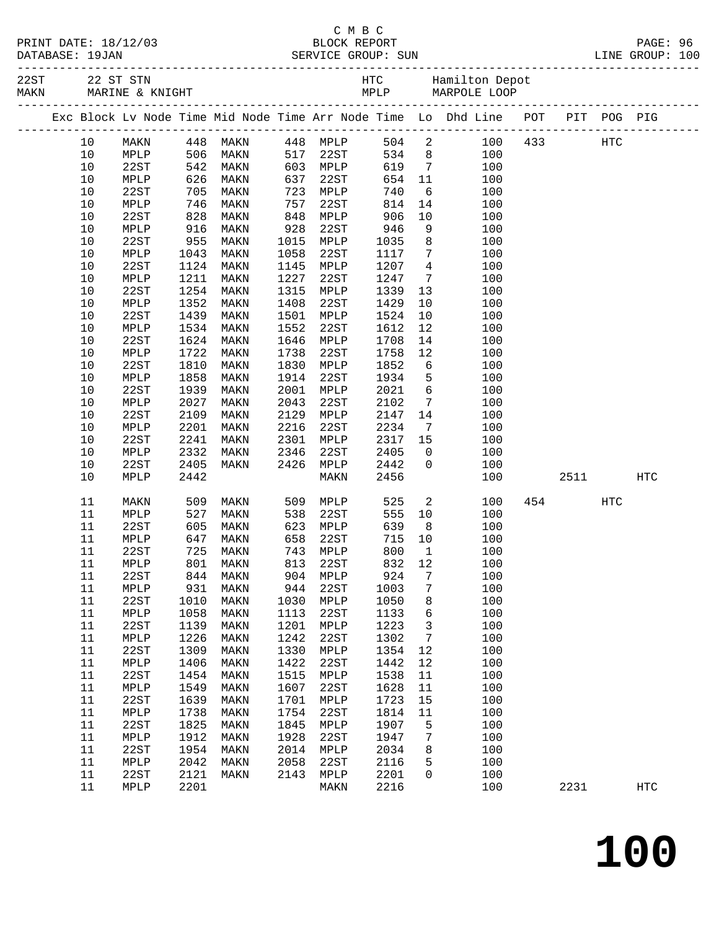|           | PRINT DATE: 18/12/03 |  |
|-----------|----------------------|--|
| --------- | $- - - - -$          |  |

| MAKN | 22ST 22 ST STN |                 |             |                                                                          |      |          |            |                 |                                                                                |             |            |            |
|------|----------------|-----------------|-------------|--------------------------------------------------------------------------|------|----------|------------|-----------------|--------------------------------------------------------------------------------|-------------|------------|------------|
|      |                |                 |             |                                                                          |      |          |            |                 | Exc Block Lv Node Time Mid Node Time Arr Node Time Lo Dhd Line POT PIT POG PIG |             |            |            |
|      | 10             | MAKN            |             | 448 MAKN      448 MPLP<br>506 MAKN     517 22ST<br>542 MAKN     603 MPLP |      |          |            |                 | 504 2                                                                          | 100 433 HTC |            |            |
|      | 10             | MPLP            |             |                                                                          |      |          | 534 8      |                 | 100                                                                            |             |            |            |
|      | 10             | 22ST            |             |                                                                          |      |          | 619        | $7\overline{ }$ | 100                                                                            |             |            |            |
|      | $10$           | MPLP            | 626         | MAKN                                                                     | 637  | 22ST     | 654        | 11              | 100                                                                            |             |            |            |
|      | 10             | 22ST            | 705         | MAKN                                                                     | 723  | MPLP     | 740        | 6               | 100                                                                            |             |            |            |
|      | 10             | MPLP            | 746<br>828  | MAKN                                                                     | 757  | 22ST     | 814        | 14              | 100                                                                            |             |            |            |
|      | 10             | 22ST            |             | MAKN                                                                     | 848  | MPLP     | 906        | 10              | 100                                                                            |             |            |            |
|      | 10             | MPLP            | 916         | MAKN                                                                     | 928  | 22ST     | 946        | 9               | 100                                                                            |             |            |            |
|      | 10             | 22ST            | 955         | MAKN                                                                     | 1015 | MPLP     | 1035       | 8 <sup>8</sup>  | 100                                                                            |             |            |            |
|      | 10             | MPLP            | 1043        | MAKN                                                                     | 1058 | 22ST     | 1117       | $7\overline{ }$ | 100                                                                            |             |            |            |
|      | 10             | 22ST            | 1124        | MAKN                                                                     | 1145 | MPLP     | 1207       | $4\overline{4}$ | 100                                                                            |             |            |            |
|      | $10$           | MPLP            | 1211        | MAKN                                                                     | 1227 | 22ST     | 1247       | $7\overline{ }$ | 100                                                                            |             |            |            |
|      | 10             | 22ST            | 1254        | MAKN                                                                     | 1315 | MPLP     | 1339       | 13              | 100                                                                            |             |            |            |
|      | 10             | MPLP            | 1352        | MAKN                                                                     | 1408 | 22ST     | 1429       | 10              | 100                                                                            |             |            |            |
|      | $10$           | 22ST            | 1439        | MAKN                                                                     | 1501 | MPLP     | 1524       | 10              | 100                                                                            |             |            |            |
|      | $10$           | MPLP            | 1534        | MAKN                                                                     | 1552 | 22ST     | 1612       | 12              | 100                                                                            |             |            |            |
|      | 10             | 22ST            | 1624        | MAKN                                                                     | 1646 | MPLP     | 1708       | 14              | 100                                                                            |             |            |            |
|      | $10$           | MPLP            | 1722        | MAKN                                                                     | 1738 | 22ST     | 1758       | 12              | 100                                                                            |             |            |            |
|      | $10$           | 22ST            | 1810        | MAKN                                                                     | 1830 | MPLP     | 1852       | $6\overline{6}$ | 100                                                                            |             |            |            |
|      | $10$           | MPLP            | 1858        | MAKN                                                                     | 1914 | 22ST     | 1934       | $5^{\circ}$     | 100                                                                            |             |            |            |
|      | 10             | 22ST            | 1939        | MAKN                                                                     | 2001 | MPLP     | 2021       | $6\overline{6}$ | 100                                                                            |             |            |            |
|      | 10             | MPLP            | 2027        | MAKN                                                                     | 2043 | 22ST     | 2102       | $7\overline{ }$ | 100                                                                            |             |            |            |
|      | $10$           | 22ST            | 2109        | MAKN                                                                     | 2129 | MPLP     | 2147       | 14              | 100                                                                            |             |            |            |
|      | 10             | MPLP            | 2201        | MAKN                                                                     | 2216 | 22ST     | 2234       | $7\overline{ }$ | 100                                                                            |             |            |            |
|      | 10             | 22ST            | 2241        | MAKN                                                                     | 2301 | MPLP     | 2317 15    |                 | 100                                                                            |             |            |            |
|      | 10             | MPLP            | 2332        | MAKN                                                                     | 2346 | 22ST     | 2405       | $\overline{0}$  | 100                                                                            |             |            |            |
|      | 10             | 22ST            | 2405        | MAKN                                                                     | 2426 | MPLP     | 2442       | $\mathsf{O}$    | 100                                                                            |             |            |            |
|      | 10             | MPLP            | 2442        |                                                                          |      | MAKN     | 2456       |                 | 100                                                                            | 2511        |            | <b>HTC</b> |
|      |                |                 |             |                                                                          |      |          |            |                 |                                                                                |             |            |            |
|      | 11             | MAKN            | 509         | MAKN                                                                     | 509  | MPLP     | 525        | $\overline{a}$  | 100                                                                            | 454         | <b>HTC</b> |            |
|      | 11             | MPLP            | 527         | MAKN                                                                     | 538  | 22ST     | 555        | 10              | 100                                                                            |             |            |            |
|      | 11             | 22ST            | 605         | MAKN                                                                     | 623  | MPLP     | 639        | 8 <sup>8</sup>  | 100                                                                            |             |            |            |
|      | 11             | MPLP            | 647         | MAKN                                                                     | 658  | 22ST     | 715        | 10              | 100                                                                            |             |            |            |
|      | 11             | 22ST            | 725         | MAKN                                                                     | 743  | MPLP     | 800        | $\overline{1}$  | 100                                                                            |             |            |            |
|      | 11             | MPLP            | $801$ $844$ | MAKN                                                                     | 813  | 22ST     | 832<br>924 | 12              | 100                                                                            |             |            |            |
|      | 11             | 22ST            |             | 844 MAKN                                                                 |      | 904 MPLP |            | $\overline{7}$  | 100                                                                            |             |            |            |
|      | 11 MPLP        |                 |             | 931 MAKN                                                                 |      | 944 22ST | 1003 7     |                 | 100                                                                            |             |            |            |
|      | 11             | 22ST            | 1010        | MAKN                                                                     | 1030 | MPLP     | 1050       | 8               | 100                                                                            |             |            |            |
|      | 11             | MPLP            | 1058        | MAKN                                                                     | 1113 | 22ST     | 1133       | 6               | 100                                                                            |             |            |            |
|      | 11             | 22ST            | 1139        | MAKN                                                                     | 1201 | MPLP     | 1223       | $\mathbf{3}$    | 100                                                                            |             |            |            |
|      | 11             | MPLP            | 1226        | MAKN                                                                     | 1242 | 22ST     | 1302       | 7               | 100                                                                            |             |            |            |
|      | 11             | 22ST            | 1309        | MAKN                                                                     | 1330 | MPLP     | 1354       | 12              | 100                                                                            |             |            |            |
|      | 11             | $\texttt{MPLP}$ | 1406        | MAKN                                                                     | 1422 | 22ST     | 1442       | 12              | 100                                                                            |             |            |            |
|      | 11             | 22ST            | 1454        | MAKN                                                                     | 1515 | MPLP     | 1538       | 11              | 100                                                                            |             |            |            |
|      | 11             | $\texttt{MPLP}$ | 1549        | MAKN                                                                     | 1607 | 22ST     | 1628       | 11              | 100                                                                            |             |            |            |
|      | 11             | 22ST            | 1639        | MAKN                                                                     | 1701 | MPLP     | 1723       | 15              | 100                                                                            |             |            |            |
|      | 11             | $\texttt{MPLP}$ | 1738        | MAKN                                                                     | 1754 | 22ST     | 1814       | 11              | 100                                                                            |             |            |            |
|      | 11             | 22ST            | 1825        | MAKN                                                                     | 1845 | MPLP     | 1907       | 5               | 100                                                                            |             |            |            |
|      | 11             | $\texttt{MPLP}$ | 1912        | MAKN                                                                     | 1928 | 22ST     | 1947       | $\overline{7}$  | 100                                                                            |             |            |            |
|      | 11             | 22ST            | 1954        | MAKN                                                                     | 2014 | MPLP     | 2034       | 8               | 100                                                                            |             |            |            |
|      | 11             | $\texttt{MPLP}$ | 2042        | MAKN                                                                     | 2058 | 22ST     | 2116       | 5               | 100                                                                            |             |            |            |
|      | 11             | 22ST            | 2121        | MAKN                                                                     | 2143 | MPLP     | 2201       | $\mathsf{O}$    | 100                                                                            |             |            |            |
|      | 11             | MPLP            | 2201        |                                                                          |      | MAKN     | 2216       |                 | 100                                                                            | 2231        |            | HTC        |
|      |                |                 |             |                                                                          |      |          |            |                 |                                                                                |             |            |            |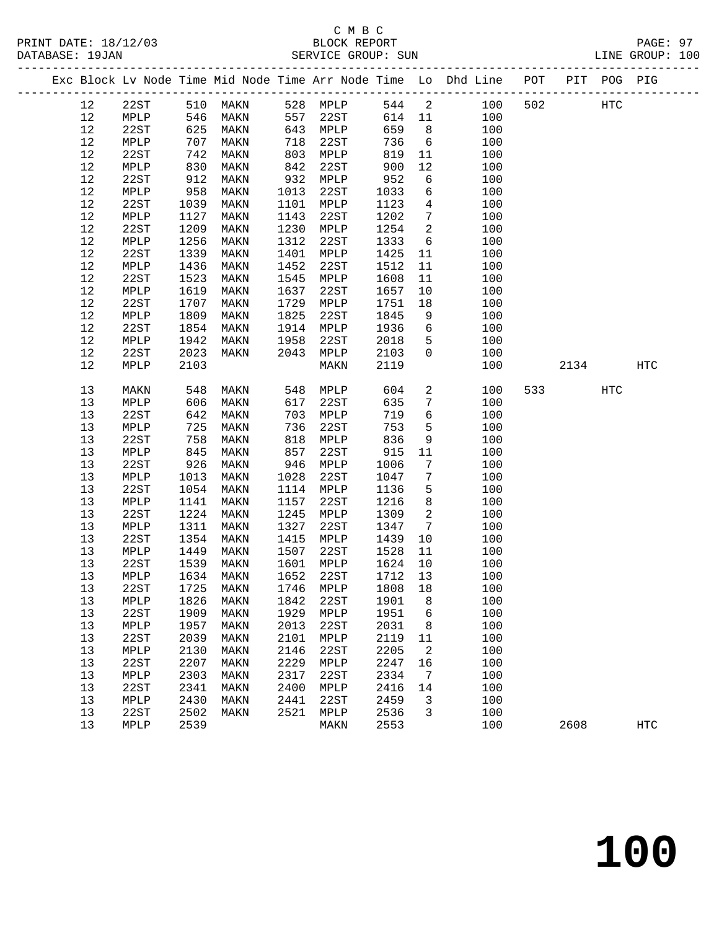# C M B C<br>BLOCK REPORT

|          |              |              | PRINT DATE: 18/12/03 BLOCK REPORT DATABASE: 19JAN SERVICE GROUP: 5 |              | SERVICE GROUP: SUN   |              |                                    |                                                                                |                          |     | PAGE: 97<br>LINE GROUP: 100 |  |
|----------|--------------|--------------|--------------------------------------------------------------------|--------------|----------------------|--------------|------------------------------------|--------------------------------------------------------------------------------|--------------------------|-----|-----------------------------|--|
|          |              |              |                                                                    |              |                      |              |                                    | Exc Block Lv Node Time Mid Node Time Arr Node Time Lo Dhd Line POT PIT POG PIG |                          |     |                             |  |
| 12       |              |              | 22ST 510 MAKN                                                      |              | 528 MPLP 544 2       |              |                                    | 100                                                                            | 502 HTC                  |     |                             |  |
| 12       |              |              | MPLP 546 MAKN 557 22ST                                             |              |                      |              |                                    | 614 11<br>100                                                                  |                          |     |                             |  |
| 12       | 22ST         |              |                                                                    |              | 643 MPLP<br>718 22st | 659          | $\overline{\phantom{a}}$ 8         | 100                                                                            |                          |     |                             |  |
| 12       | MPLP         |              | 625 MAKN<br>707 MAKN<br>742 MAKN                                   | 718          | 22ST                 | 736          | 6                                  | 100                                                                            |                          |     |                             |  |
| 12       | 22ST         |              |                                                                    | 803          | MPLP                 | 819          | 11                                 | 100                                                                            |                          |     |                             |  |
| 12       | MPLP         | 830          | MAKN                                                               | 842          | 22ST                 | 900          | 12                                 | 100                                                                            |                          |     |                             |  |
| 12       | 22ST         | 912<br>958   | MAKN                                                               | 932          | MPLP                 | 952<br>1033  | 6                                  | 100                                                                            |                          |     |                             |  |
| 12       | MPLP         |              | MAKN                                                               | 1013         | 22ST                 |              | 6                                  | 100                                                                            |                          |     |                             |  |
| 12       | 22ST         | 1039         | MAKN                                                               | 1101         | MPLP                 | 1123         | $\overline{4}$                     | 100                                                                            |                          |     |                             |  |
| 12<br>12 | MPLP<br>22ST | 1127<br>1209 | MAKN<br>MAKN                                                       | 1143<br>1230 | 22ST                 | 1202<br>1254 | $7\overline{ }$<br>$\overline{2}$  | 100<br>100                                                                     |                          |     |                             |  |
| 12       | MPLP         | 1256         | MAKN                                                               | 1312         | MPLP<br>22ST         | 1333         | $6\overline{6}$                    | 100                                                                            |                          |     |                             |  |
| 12       | 22ST         | 1339         | MAKN                                                               | 1401         | MPLP                 | 1425         | 11                                 | 100                                                                            |                          |     |                             |  |
| 12       | MPLP         | 1436         | MAKN                                                               | 1452         | 22ST                 | 1512         | 11                                 | 100                                                                            |                          |     |                             |  |
| 12       | 22ST         | 1523         | MAKN                                                               | 1545         | MPLP                 | 1608         | 11                                 | 100                                                                            |                          |     |                             |  |
| 12       | MPLP         | 1619         | MAKN                                                               | 1637         | 22ST                 | 1657         | 10                                 | 100                                                                            |                          |     |                             |  |
| 12       | 22ST         | 1707         | MAKN                                                               | 1729         | MPLP                 | 1751         | 18                                 | 100                                                                            |                          |     |                             |  |
| 12       | MPLP         | 1809         | MAKN                                                               | 1825         | 22ST                 | 1845         | 9                                  | 100                                                                            |                          |     |                             |  |
| 12       | 22ST         | 1854         | MAKN                                                               | 1914         | MPLP                 | 1936         | 6                                  | 100                                                                            |                          |     |                             |  |
| 12       | MPLP         | 1942         | MAKN                                                               | 1958         | 22ST                 | 2018         | 5 <sup>5</sup>                     | 100                                                                            |                          |     |                             |  |
| 12       | 22ST         | 2023         | MAKN                                                               | 2043         | MPLP                 | 2103         | $\overline{0}$                     | 100                                                                            |                          |     |                             |  |
| 12       | MPLP         | 2103         |                                                                    |              | MAKN                 | 2119         |                                    | 100                                                                            | 2134                     |     | HTC                         |  |
| 13       | MAKN         | 548<br>606   | MAKN                                                               | 548          | MPLP                 | 604          | $\overline{a}$                     | 100                                                                            | 533 and $\overline{533}$ | HTC |                             |  |
| 13       | MPLP         |              | MAKN                                                               | 617          | 22ST                 | 635          | $7\overline{ }$                    | 100                                                                            |                          |     |                             |  |
| 13       | 22ST         | 642          | MAKN                                                               | 703          | MPLP                 | 719          | 6                                  | 100                                                                            |                          |     |                             |  |
| 13       | MPLP         | 725          | MAKN                                                               | 736          | 22ST                 | 753          | 5 <sup>5</sup>                     | 100                                                                            |                          |     |                             |  |
| 13       | 22ST         | 758<br>845   | MAKN                                                               | 818          | MPLP                 | 836          | 9                                  | 100                                                                            |                          |     |                             |  |
| 13       | MPLP         | 926          | MAKN                                                               | 857          | 22ST                 | 915          | 11                                 | 100                                                                            |                          |     |                             |  |
| 13<br>13 | 22ST<br>MPLP | 1013         | MAKN<br>MAKN                                                       | 946<br>1028  | MPLP<br>22ST         | 1006<br>1047 | $7\overline{ }$<br>$7\overline{ }$ | 100<br>100                                                                     |                          |     |                             |  |
| 13       | 22ST         | 1054         | MAKN                                                               | 1114         | MPLP                 | 1136         | $5\overline{)}$                    | 100                                                                            |                          |     |                             |  |
| 13       | MPLP         | 1141         | MAKN                                                               | 1157         | 22ST                 | 1216         | 8 <sup>8</sup>                     | 100                                                                            |                          |     |                             |  |
| 13       | 22ST         | 1224         | MAKN                                                               | 1245         | MPLP                 | 1309         | $\overline{\mathbf{2}}$            | 100                                                                            |                          |     |                             |  |
| 13       | MPLP         | 1311         | MAKN                                                               | 1327         | 22ST                 | 1347         |                                    | $7\overline{ }$<br>100                                                         |                          |     |                             |  |
| 13       | 22ST         | 1354         | MAKN                                                               | 1415         | MPLP                 | 1439         | 10                                 | 100                                                                            |                          |     |                             |  |
| 13       | MPLP         | 1449         | MAKN                                                               | 1507         | 22ST                 | 1528 11      |                                    | 100                                                                            |                          |     |                             |  |
| 13       | 22ST         |              | 1539 MAKN 1601 MPLP 1624 10                                        |              |                      |              |                                    | 100                                                                            |                          |     |                             |  |
| 13       | MPLP         | 1634         | MAKN                                                               | 1652         | 22ST                 | 1712 13      |                                    | 100                                                                            |                          |     |                             |  |
| 13       | 22ST         | 1725         | MAKN                                                               | 1746         | MPLP                 | 1808         | 18                                 | 100                                                                            |                          |     |                             |  |
| 13       | MPLP         | 1826         | MAKN                                                               | 1842         | 22ST                 | 1901         | 8                                  | 100                                                                            |                          |     |                             |  |
| 13       | 22ST         | 1909         | MAKN                                                               | 1929         | MPLP                 | 1951         | $\epsilon$                         | 100                                                                            |                          |     |                             |  |
| 13       | MPLP         | 1957         | MAKN                                                               | 2013         | 22ST                 | 2031         | 8                                  | 100                                                                            |                          |     |                             |  |
| 13       | 22ST         | 2039         | MAKN                                                               | 2101         | MPLP                 | 2119         | 11                                 | 100                                                                            |                          |     |                             |  |
| 13       | MPLP         | 2130         | MAKN                                                               | 2146         | 22ST                 | 2205         | $\overline{a}$                     | 100                                                                            |                          |     |                             |  |
| 13       | 22ST         | 2207         | MAKN                                                               | 2229         | MPLP                 | 2247         | 16                                 | 100                                                                            |                          |     |                             |  |
| 13       | MPLP         | 2303         | MAKN                                                               | 2317         | 22ST                 | 2334         | $\overline{7}$                     | 100                                                                            |                          |     |                             |  |
| 13<br>13 | 22ST         | 2341<br>2430 | MAKN                                                               | 2400<br>2441 | MPLP                 | 2416         | 14<br>3                            | 100                                                                            |                          |     |                             |  |
|          | MPLP         |              | MAKN                                                               |              | 22ST                 | 2459         |                                    | 100                                                                            |                          |     |                             |  |

13 22ST 2502 MAKN 2521 MPLP 2536 3 100

13 MPLP 2539 MAKN 2553 100 2608 HTC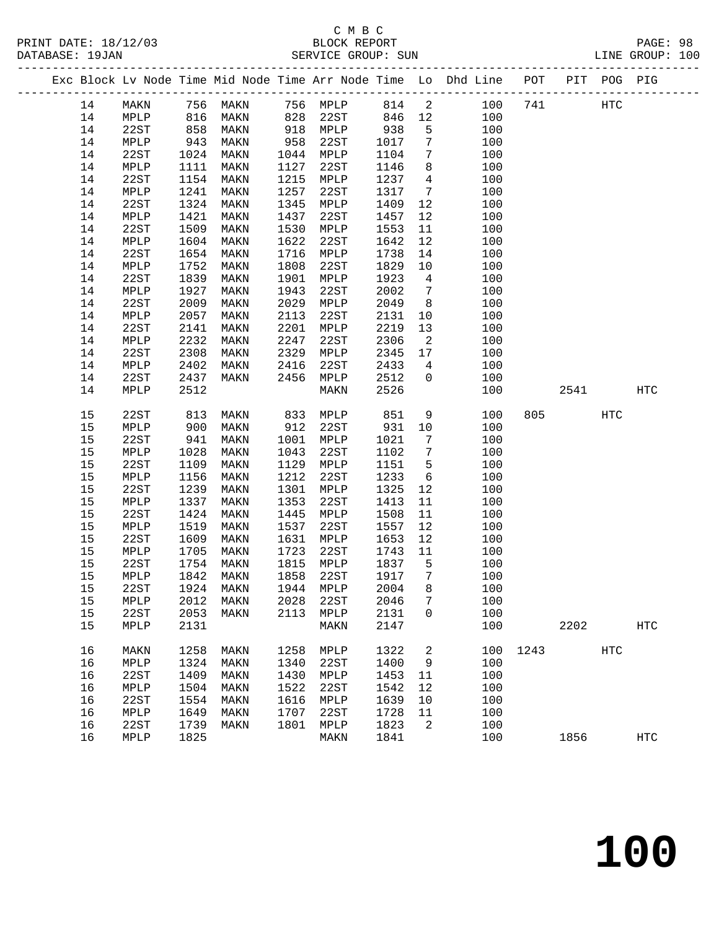## C M B C<br>
PRINT DATE: 18/12/03 BLOCK REPOR PRINT DATE: 18/12/03 BLOCK REPORT<br>DATABASE: 19JAN SERVICE GROUP: SUN

|          |              |              |              |              |                                 |              |                              | Exc Block Lv Node Time Mid Node Time Arr Node Time Lo Dhd Line POT PIT POG PIG |      |         |            |                   |  |
|----------|--------------|--------------|--------------|--------------|---------------------------------|--------------|------------------------------|--------------------------------------------------------------------------------|------|---------|------------|-------------------|--|
| 14       |              |              |              |              |                                 |              |                              | MAKN 756 MAKN 756 MPLP 814 2 100 741 HTC                                       |      |         |            |                   |  |
| 14       | MPLP         | 816          |              |              | MAKN 828 22ST 846 12            |              |                              | 100                                                                            |      |         |            |                   |  |
| 14       | 22ST         | 858          | MAKN         |              | 918 MPLP                        | 938          | 5 <sup>5</sup>               | 100                                                                            |      |         |            |                   |  |
| 14       | MPLP         | 943          | MAKN         | 958          | 22ST                            | 1017 7       |                              | 100                                                                            |      |         |            |                   |  |
| 14       | 22ST         | 1024         | MAKN         | 1044         | MPLP                            | 1104         | $7\overline{ }$              | 100                                                                            |      |         |            |                   |  |
| 14       | MPLP         | 1111         | MAKN         | 1127         | 22ST                            | 1146         | 8 <sup>8</sup>               | 100                                                                            |      |         |            |                   |  |
| 14       | 22ST         | 1154         | MAKN         | 1215         | MPLP                            | 1237         | $\overline{4}$               | 100                                                                            |      |         |            |                   |  |
| 14       | MPLP         | 1241         | MAKN         | 1257         | 22ST                            | 1317         | $7\overline{ }$              | 100                                                                            |      |         |            |                   |  |
| 14       | 22ST         | 1324         | MAKN         | 1345         | MPLP                            | 1409         | 12                           | 100                                                                            |      |         |            |                   |  |
| 14       | MPLP         | 1421         | MAKN         | 1437         | 22ST                            | 1457         | 12                           | 100                                                                            |      |         |            |                   |  |
| 14       | 22ST         | 1509         | MAKN         | 1530         | MPLP                            | 1553         | 11                           | 100                                                                            |      |         |            |                   |  |
| 14       | MPLP         | 1604         | MAKN         | 1622         | 22ST                            | 1642         | 12                           | 100                                                                            |      |         |            |                   |  |
| 14       | 22ST         | 1654         | MAKN         | 1716         | MPLP                            | 1738         | 14                           | 100                                                                            |      |         |            |                   |  |
| 14       | MPLP         | 1752         | MAKN         | 1808         | 22ST                            | 1829         | 10                           | 100                                                                            |      |         |            |                   |  |
| 14       | 22ST         | 1839         | MAKN         | 1901         | MPLP                            | 1923         | $\overline{4}$               | 100                                                                            |      |         |            |                   |  |
| 14       | MPLP         | 1927         | MAKN         | 1943         | 22ST                            | 2002         | $7\overline{ }$              | 100                                                                            |      |         |            |                   |  |
| 14       | 22ST         | 2009         | MAKN         | 2029         | MPLP                            | 2049         | 8 <sup>8</sup>               | 100                                                                            |      |         |            |                   |  |
| 14       | MPLP         | 2057         | MAKN         | 2113         | 22ST                            | 2131         | 10                           | 100                                                                            |      |         |            |                   |  |
| 14       | 22ST         | 2141         | MAKN         | 2201         | MPLP                            | 2219         | 13                           | 100                                                                            |      |         |            |                   |  |
| 14       | MPLP         | 2232         | MAKN         | 2247         | 22ST                            | 2306         | $\overline{\mathbf{2}}$      | 100                                                                            |      |         |            |                   |  |
| 14       | 22ST         | 2308         | MAKN         | 2329         | MPLP                            | 2345         | 17                           | 100                                                                            |      |         |            |                   |  |
| 14       | MPLP         | 2402         | MAKN         | 2416         | 22ST                            | 2433         | $\overline{4}$               | 100                                                                            |      |         |            |                   |  |
| 14       | 22ST         | 2437         | MAKN         | 2456         | MPLP                            | 2512         | $\overline{0}$               | 100                                                                            |      |         |            |                   |  |
| 14       | MPLP         | 2512         |              |              | MAKN                            | 2526         |                              | 100                                                                            |      |         | 2541 254   | <b>HTC</b>        |  |
| 15       | 22ST         | 813          | MAKN         |              | 833 MPLP                        | 851          |                              | 9<br>100                                                                       |      | 805 700 | HTC        |                   |  |
| 15       | MPLP         | 900          | MAKN         | 912          | 22ST                            | 931 10       |                              | 100                                                                            |      |         |            |                   |  |
| 15       | 22ST         | 941          | MAKN         | 1001         | MPLP                            | 1021         | $7\phantom{.0}\phantom{.0}7$ | 100                                                                            |      |         |            |                   |  |
| 15       | MPLP         | 1028         | MAKN         | 1043         | 22ST                            | 1102         | $7\overline{ }$              | 100                                                                            |      |         |            |                   |  |
| 15       | 22ST         | 1109         | MAKN         | 1129         | MPLP                            | 1151         | $5^{\circ}$                  | 100                                                                            |      |         |            |                   |  |
| 15       | MPLP         | 1156         | MAKN         | 1212         | 22ST                            | 1233         | $6\overline{6}$              | 100                                                                            |      |         |            |                   |  |
| 15       | 22ST         | 1239         | MAKN         | 1301         | MPLP                            | 1325         | 12                           | 100                                                                            |      |         |            |                   |  |
| 15       | MPLP         | 1337         | MAKN         | 1353         | 22ST                            | 1413         | 11                           | 100                                                                            |      |         |            |                   |  |
| 15       | 22ST         | 1424         | MAKN         | 1445         | MPLP                            | 1508         | 11                           | 100                                                                            |      |         |            |                   |  |
| 15       | MPLP         | 1519         | MAKN         | 1537         | 22ST                            | 1557         | 12                           | 100                                                                            |      |         |            |                   |  |
| 15       | 22ST         | 1609         | MAKN         |              | 1631 MPLP                       | 1653 12      |                              | 100                                                                            |      |         |            |                   |  |
| 15       | MPLP         | 1705         | MAKN         |              | 1723 22ST                       | 1743         | 11                           | 100                                                                            |      |         |            |                   |  |
| 15       |              |              |              |              | 22ST 1754 MAKN 1815 MPLP 1837 5 |              |                              | 100                                                                            |      |         |            |                   |  |
| 15       | MPLP         | 1842         | MAKN         | 1858         | 22ST                            | 1917         | 7                            | 100                                                                            |      |         |            |                   |  |
| 15<br>15 | 22ST         | 1924<br>2012 | MAKN         | 1944<br>2028 | MPLP<br>22ST                    | 2004<br>2046 | 8                            | 100<br>100                                                                     |      |         |            |                   |  |
| 15       | MPLP<br>22ST | 2053         | MAKN<br>MAKN | 2113         | MPLP                            | 2131         | 7<br>0                       | 100                                                                            |      |         |            |                   |  |
| 15       | MPLP         | 2131         |              |              | MAKN                            | 2147         |                              | 100                                                                            |      | 2202    |            | $_{\mathrm{HTC}}$ |  |
|          |              |              |              |              |                                 |              |                              |                                                                                |      |         |            |                   |  |
| 16       | MAKN         | 1258         | MAKN         | 1258         | MPLP                            | 1322         | 2                            | 100                                                                            | 1243 |         | <b>HTC</b> |                   |  |
| 16       | MPLP         | 1324         | MAKN         | 1340         | 22ST                            | 1400         | 9                            | 100                                                                            |      |         |            |                   |  |
| 16       | 22ST         | 1409         | MAKN         | 1430         | MPLP                            | 1453         | 11                           | 100                                                                            |      |         |            |                   |  |
| 16       | MPLP         | 1504         | MAKN         | 1522         | 22ST                            | 1542         | 12                           | 100                                                                            |      |         |            |                   |  |
| 16       | 22ST         | 1554         | MAKN         | 1616         | MPLP                            | 1639         | 10                           | 100                                                                            |      |         |            |                   |  |
| 16       | MPLP         | 1649         | MAKN         | 1707         | 22ST                            | 1728         | 11                           | 100                                                                            |      |         |            |                   |  |
| 16       | 22ST         | 1739         | MAKN         | 1801         | MPLP                            | 1823         | 2                            | 100                                                                            |      |         |            |                   |  |
| 16       | MPLP         | 1825         |              |              | MAKN                            | 1841         |                              | 100                                                                            |      | 1856    |            | $_{\mathrm{HTC}}$ |  |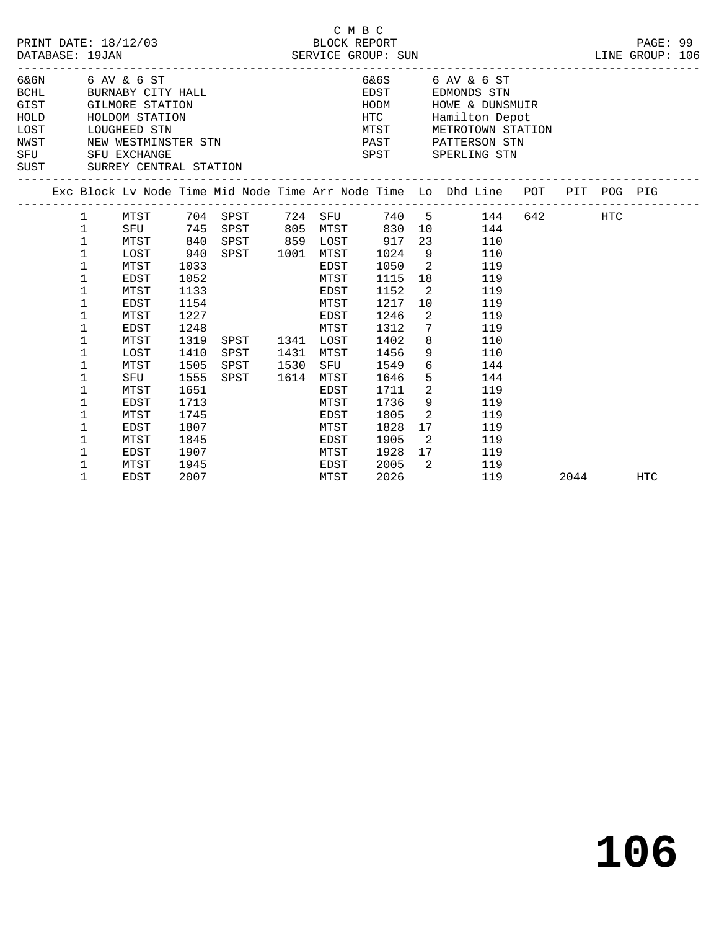|                                                     | DATABASE: 19JAN | PRINT DATE: 18/12/03                                                                              |      |                                                                       |      | --------------- | C M B C<br>BLOCK REPORT<br>SERVICE GROUP: SUN |                 | LINE GROUP: 106                                                                                                            |        |     | PAGE: 99   |  |
|-----------------------------------------------------|-----------------|---------------------------------------------------------------------------------------------------|------|-----------------------------------------------------------------------|------|-----------------|-----------------------------------------------|-----------------|----------------------------------------------------------------------------------------------------------------------------|--------|-----|------------|--|
| BCHL<br>GIST<br>HOLD<br>LOST<br>NWST<br>SFU<br>SUST |                 | 6&6N 6 AV & 6 ST<br>LOUGHEED STN<br>NEW WESTMINSTER STN<br>SFU EXCHANGE<br>SURREY CENTRAL STATION |      | 6 AV & 0 51<br>BURNABY CITY HALL<br>GILMORE STATION<br>HOLDOM STATION |      |                 | EDST<br>HODM<br>HTC<br>MTST<br>PAST<br>SPST   |                 | 6&6S 6 AV & 6 ST<br>EDMONDS STN<br>HOWE & DUNSMUIR<br>Hamilton Depot<br>METROTOWN STATION<br>PATTERSON STN<br>SPERLING STN |        |     |            |  |
|                                                     |                 |                                                                                                   |      |                                                                       |      |                 |                                               |                 | Exc Block Lv Node Time Mid Node Time Arr Node Time Lo Dhd Line POT PIT POG PIG                                             |        |     |            |  |
|                                                     | $\mathbf{1}$    | MTST                                                                                              |      | 704 SPST                                                              |      | 724 SFU         |                                               |                 | 740 5<br>144                                                                                                               | 642 64 | HTC |            |  |
|                                                     | $\mathbf 1$     | SFU                                                                                               | 745  | SPST                                                                  |      | 805 MTST        |                                               |                 | 830 10<br>144                                                                                                              |        |     |            |  |
|                                                     | $\mathbf 1$     | MTST                                                                                              | 840  | SPST 859 LOST                                                         |      |                 | 917                                           | 23              | 110                                                                                                                        |        |     |            |  |
|                                                     | $\mathbf 1$     | LOST                                                                                              | 940  | SPST 1001 MTST                                                        |      |                 | 1024                                          | - 9             | 110                                                                                                                        |        |     |            |  |
|                                                     | 1               | MTST                                                                                              | 1033 |                                                                       |      | EDST            | 1050                                          | $\overline{2}$  | 119                                                                                                                        |        |     |            |  |
|                                                     | 1               | EDST                                                                                              | 1052 |                                                                       |      | MTST            | 1115                                          | 18              | 119                                                                                                                        |        |     |            |  |
|                                                     | 1               | MTST                                                                                              | 1133 |                                                                       |      | EDST            | 1152                                          | $\overline{2}$  | 119                                                                                                                        |        |     |            |  |
|                                                     | 1               | EDST                                                                                              | 1154 |                                                                       |      | MTST            | 1217                                          | 10 <sub>1</sub> | 119                                                                                                                        |        |     |            |  |
|                                                     | 1               | MTST                                                                                              | 1227 |                                                                       |      | EDST            | 1246                                          | 2               | 119                                                                                                                        |        |     |            |  |
|                                                     | 1               | EDST                                                                                              | 1248 |                                                                       |      | MTST            | 1312                                          | $7\phantom{.0}$ | 119                                                                                                                        |        |     |            |  |
|                                                     | 1               | MTST                                                                                              | 1319 | SPST 1341 LOST                                                        |      |                 | 1402                                          | 8               | 110                                                                                                                        |        |     |            |  |
|                                                     | 1               | LOST                                                                                              | 1410 | SPST                                                                  | 1431 | MTST            | 1456                                          | 9               | 110                                                                                                                        |        |     |            |  |
|                                                     | 1               | MTST                                                                                              | 1505 | SPST                                                                  | 1530 | SFU             | 1549                                          | 6               | 144                                                                                                                        |        |     |            |  |
|                                                     | 1               | SFU                                                                                               | 1555 | SPST                                                                  | 1614 | MTST            | 1646                                          | 5               | 144                                                                                                                        |        |     |            |  |
|                                                     | 1               | MTST                                                                                              | 1651 |                                                                       |      | EDST            | 1711                                          | 2               | 119                                                                                                                        |        |     |            |  |
|                                                     | 1               | <b>EDST</b>                                                                                       | 1713 |                                                                       |      | MTST            | 1736                                          | 9               | 119                                                                                                                        |        |     |            |  |
|                                                     | 1               | MTST                                                                                              | 1745 |                                                                       |      | EDST            | 1805                                          | 2               | 119                                                                                                                        |        |     |            |  |
|                                                     | 1               | EDST                                                                                              | 1807 |                                                                       |      | MTST            | 1828                                          | 17              | 119                                                                                                                        |        |     |            |  |
|                                                     | 1               | MTST                                                                                              | 1845 |                                                                       |      | EDST            | 1905                                          | $\overline{2}$  | 119                                                                                                                        |        |     |            |  |
|                                                     | 1               | EDST                                                                                              | 1907 |                                                                       |      | MTST            | 1928                                          | 17              | 119                                                                                                                        |        |     |            |  |
|                                                     | 1               | MTST                                                                                              | 1945 |                                                                       |      | EDST            | 2005                                          | 2               | 119                                                                                                                        |        |     |            |  |
|                                                     | 1               | <b>EDST</b>                                                                                       | 2007 |                                                                       |      | MTST            | 2026                                          |                 | 119                                                                                                                        | 2044   |     | <b>HTC</b> |  |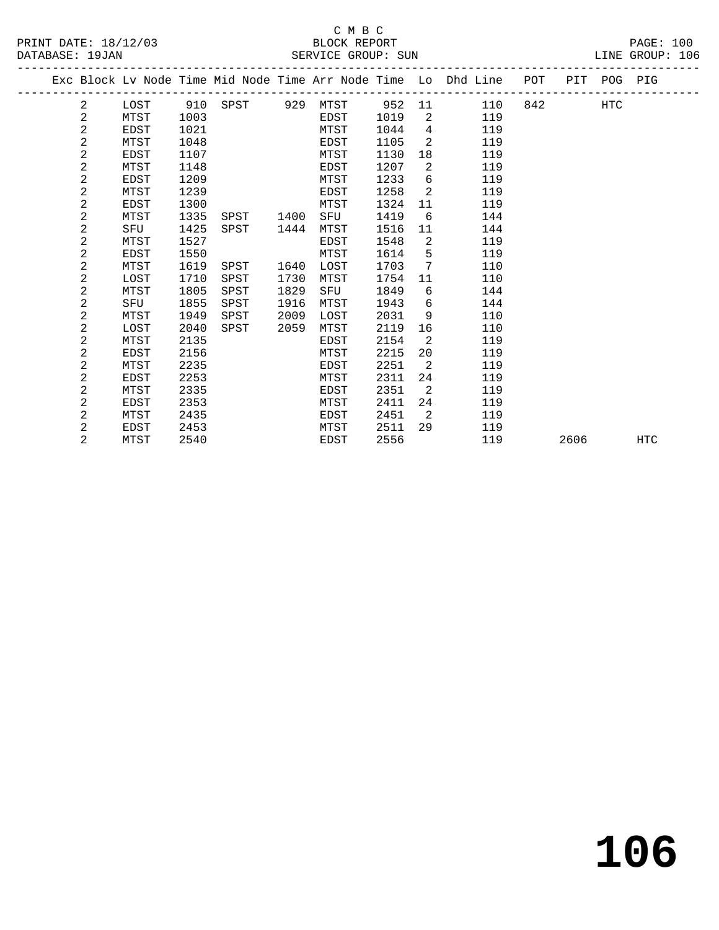## C M B C<br>BLOCK REPORT

| PRINT DATE: 18/12/03 | BLOCK REPORT       | PAGE:                  |
|----------------------|--------------------|------------------------|
| DATABASE: 19JAN      | SERVICE GROUP: SUN | 106<br>.TNE.<br>GROUP: |
|                      |                    |                        |

|  |                |             |      |          |      |      |        |                | Exc Block Lv Node Time Mid Node Time Arr Node Time Lo Dhd Line | POT |      | PIT POG PIG |            |
|--|----------------|-------------|------|----------|------|------|--------|----------------|----------------------------------------------------------------|-----|------|-------------|------------|
|  | $\overline{2}$ | LOST        | 910  | SPST 929 |      | MTST | 952 11 |                | 110                                                            | 842 |      | <b>HTC</b>  |            |
|  | 2              | MTST        | 1003 |          |      | EDST | 1019   | 2              | 119                                                            |     |      |             |            |
|  | 2              | EDST        | 1021 |          |      | MTST | 1044   | $\overline{4}$ | 119                                                            |     |      |             |            |
|  | 2              | MTST        | 1048 |          |      | EDST | 1105   | 2              | 119                                                            |     |      |             |            |
|  | $\overline{a}$ | EDST        | 1107 |          |      | MTST | 1130   | 18             | 119                                                            |     |      |             |            |
|  | $\overline{a}$ | MTST        | 1148 |          |      | EDST | 1207   | 2              | 119                                                            |     |      |             |            |
|  | 2              | EDST        | 1209 |          |      | MTST | 1233   | 6              | 119                                                            |     |      |             |            |
|  | 2              | MTST        | 1239 |          |      | EDST | 1258   | 2              | 119                                                            |     |      |             |            |
|  | 2              | EDST        | 1300 |          |      | MTST | 1324   | 11             | 119                                                            |     |      |             |            |
|  | 2              | MTST        | 1335 | SPST     | 1400 | SFU  | 1419   | 6              | 144                                                            |     |      |             |            |
|  | $\overline{a}$ | SFU         | 1425 | SPST     | 1444 | MTST | 1516   | 11             | 144                                                            |     |      |             |            |
|  | 2              | MTST        | 1527 |          |      | EDST | 1548   | 2              | 119                                                            |     |      |             |            |
|  | 2              | EDST        | 1550 |          |      | MTST | 1614   | 5              | 119                                                            |     |      |             |            |
|  | $\overline{a}$ | MTST        | 1619 | SPST     | 1640 | LOST | 1703   | 7              | 110                                                            |     |      |             |            |
|  | 2              | LOST        | 1710 | SPST     | 1730 | MTST | 1754   | 11             | 110                                                            |     |      |             |            |
|  | 2              | MTST        | 1805 | SPST     | 1829 | SFU  | 1849   | 6              | 144                                                            |     |      |             |            |
|  | $\overline{a}$ | SFU         | 1855 | SPST     | 1916 | MTST | 1943   | 6              | 144                                                            |     |      |             |            |
|  | $\overline{c}$ | MTST        | 1949 | SPST     | 2009 | LOST | 2031   | 9              | 110                                                            |     |      |             |            |
|  | 2              | LOST        | 2040 | SPST     | 2059 | MTST | 2119   | 16             | 110                                                            |     |      |             |            |
|  | 2              | MTST        | 2135 |          |      | EDST | 2154   | 2              | 119                                                            |     |      |             |            |
|  | 2              | EDST        | 2156 |          |      | MTST | 2215   | 20             | 119                                                            |     |      |             |            |
|  | 2              | MTST        | 2235 |          |      | EDST | 2251   | 2              | 119                                                            |     |      |             |            |
|  | 2              | EDST        | 2253 |          |      | MTST | 2311   | 24             | 119                                                            |     |      |             |            |
|  | $\overline{a}$ | MTST        | 2335 |          |      | EDST | 2351   | 2              | 119                                                            |     |      |             |            |
|  | 2              | <b>EDST</b> | 2353 |          |      | MTST | 2411   | 24             | 119                                                            |     |      |             |            |
|  | 2              | MTST        | 2435 |          |      | EDST | 2451   | 2              | 119                                                            |     |      |             |            |
|  | 2              | EDST        | 2453 |          |      | MTST | 2511   | 29             | 119                                                            |     |      |             |            |
|  | $\overline{2}$ | MTST        | 2540 |          |      | EDST | 2556   |                | 119                                                            |     | 2606 |             | <b>HTC</b> |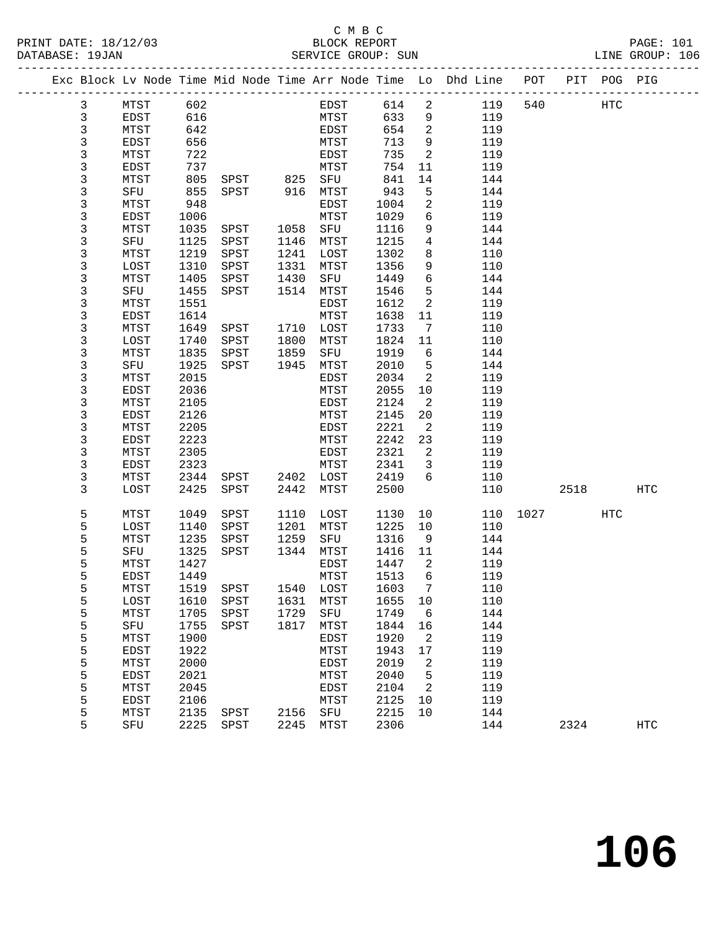PRINT DATE: 18/12/03 BLOCK REPORT BAGES BLOCK REPORT BATABASE: 19JAN

## C M B C<br>BLOCK REPORT

PAGE: 101<br>LINE GROUP: 106

|  | DAIADASL · 190AN |              |              |              |      | OPKATCP GKAOR. SAM  |              |                              |                                                                    |      |      |             | TIME GROOF. TOO |
|--|------------------|--------------|--------------|--------------|------|---------------------|--------------|------------------------------|--------------------------------------------------------------------|------|------|-------------|-----------------|
|  |                  |              |              |              |      |                     |              |                              | Exc Block Lv Node Time Mid Node Time Arr Node Time Lo Dhd Line POT |      |      | PIT POG PIG |                 |
|  | 3                | MTST         | 602          |              |      | EDST                | 614          | $\overline{a}$               | 119                                                                | 540  |      | HTC         |                 |
|  | 3                | EDST         | 616          |              |      | MTST                | 633          | 9                            | 119                                                                |      |      |             |                 |
|  | 3                | MTST         | 642          |              |      | EDST                | 654          | $\overline{\phantom{a}}$     | 119                                                                |      |      |             |                 |
|  | $\mathsf 3$      | EDST         | 656          |              |      | MTST                | 713          | 9                            | 119                                                                |      |      |             |                 |
|  | 3                | MTST         | 722          |              |      | EDST                | 735          | $\overline{a}$               | 119                                                                |      |      |             |                 |
|  | 3                | EDST         | 737          |              |      | MTST                | 754          | 11                           | 119                                                                |      |      |             |                 |
|  | 3                | MTST         | 805          | SPST 825 SFU |      |                     | 841          | 14                           | 144                                                                |      |      |             |                 |
|  | 3                | SFU          | 855          | SPST 916     |      | MTST                | 943          | 5                            | 144                                                                |      |      |             |                 |
|  | 3                | MTST         | 948          |              |      | EDST                | 1004         | $\overline{a}$               | 119                                                                |      |      |             |                 |
|  | 3                | EDST         | 1006         |              |      | MTST                | 1029         | 6                            | 119                                                                |      |      |             |                 |
|  | 3                | MTST         | 1035         | SPST         | 1058 | SFU                 | 1116         | 9                            | 144                                                                |      |      |             |                 |
|  | 3                | SFU          | 1125         | SPST         | 1146 | MTST                | 1215         | $\overline{4}$               | 144                                                                |      |      |             |                 |
|  | 3                | MTST         | 1219         | SPST         | 1241 | LOST                | 1302         | 8                            | 110                                                                |      |      |             |                 |
|  | 3                | LOST         | 1310         | SPST         | 1331 | MTST                | 1356         | 9                            | 110                                                                |      |      |             |                 |
|  | 3                | MTST         | 1405         | SPST         | 1430 | SFU                 | 1449         | 6                            | 144                                                                |      |      |             |                 |
|  | 3                | SFU          | 1455         | SPST         | 1514 | MTST                | 1546         | 5                            | 144                                                                |      |      |             |                 |
|  | 3                | MTST         | 1551         |              |      | EDST                | 1612         | 2                            | 119                                                                |      |      |             |                 |
|  | 3                | EDST         | 1614         |              |      | MTST                | 1638         | 11                           | 119                                                                |      |      |             |                 |
|  | 3                | MTST         | 1649         | SPST         | 1710 | LOST                | 1733         | $7\phantom{.0}\phantom{.0}7$ | 110                                                                |      |      |             |                 |
|  | 3                | LOST         | 1740         | SPST         | 1800 | MTST                | 1824         | 11                           | 110                                                                |      |      |             |                 |
|  | 3                | MTST         | 1835         | SPST         | 1859 | SFU                 | 1919         | 6                            | 144                                                                |      |      |             |                 |
|  | 3                | SFU          | 1925         | SPST         | 1945 | MTST                | 2010         | 5                            | 144                                                                |      |      |             |                 |
|  | 3                | MTST         | 2015         |              |      | EDST                | 2034         | 2                            | 119                                                                |      |      |             |                 |
|  | 3                | EDST         | 2036         |              |      | MTST                | 2055         | 10                           | 119                                                                |      |      |             |                 |
|  | 3                | MTST         | 2105         |              |      | EDST                | 2124         | 2                            | 119                                                                |      |      |             |                 |
|  | 3                | EDST         | 2126         |              |      | MTST                | 2145         | 20                           | 119                                                                |      |      |             |                 |
|  | 3                | MTST         | 2205         |              |      | EDST                | 2221         | 2                            | 119                                                                |      |      |             |                 |
|  | 3                | EDST         | 2223         |              |      | MTST                | 2242         | 23                           | 119                                                                |      |      |             |                 |
|  | 3                | MTST         | 2305         |              |      | EDST                | 2321         | 2                            | 119                                                                |      |      |             |                 |
|  | 3                | EDST         | 2323         |              |      | MTST                | 2341         | $\overline{3}$<br>6          | 119                                                                |      |      |             |                 |
|  | 3<br>3           | MTST<br>LOST | 2344<br>2425 | SPST<br>SPST | 2442 | 2402 LOST<br>MTST   | 2419<br>2500 |                              | 110<br>110                                                         |      | 2518 |             | HTC             |
|  |                  |              |              |              |      |                     |              |                              |                                                                    |      |      |             |                 |
|  | 5                | MTST         | 1049         | SPST         | 1110 | LOST                | 1130         | 10                           | 110                                                                | 1027 |      | HTC         |                 |
|  | 5                | LOST         | 1140         | SPST         | 1201 | MTST                | 1225         | 10                           | 110                                                                |      |      |             |                 |
|  | 5                | MTST         | 1235         | SPST         | 1259 | SFU                 | 1316         | 9                            | 144                                                                |      |      |             |                 |
|  | 5                | SFU          | 1325         | SPST         | 1344 | MTST                | 1416         | 11                           | 144                                                                |      |      |             |                 |
|  | 5                | MTST         | 1427         |              |      | EDST                | 1447         | 2                            | 119                                                                |      |      |             |                 |
|  | 5                | EDST         | 1449         |              |      | MTST                | 1513         | 6                            | 119                                                                |      |      |             |                 |
|  | 5                | MTST         | 1519         | SPST         | 1540 | LOST                | 1603         | 7                            | 110                                                                |      |      |             |                 |
|  | 5                | LOST         | 1610         | SPST         | 1631 | MTST                | 1655         | 10                           | 110                                                                |      |      |             |                 |
|  | 5                | MTST         | 1705         | SPST         | 1729 | SFU                 | 1749         | 6                            | 144                                                                |      |      |             |                 |
|  | 5                | SFU          | 1755         | SPST         | 1817 | MTST                | 1844         | 16                           | 144                                                                |      |      |             |                 |
|  | 5                | MTST         | 1900         |              |      | EDST                | 1920         | 2                            | 119                                                                |      |      |             |                 |
|  | 5                | EDST         | 1922         |              |      | MTST                | 1943         | 17                           | 119                                                                |      |      |             |                 |
|  | 5                | MTST         | 2000         |              |      | EDST                | 2019         | 2                            | 119                                                                |      |      |             |                 |
|  | 5                | EDST         | 2021         |              |      | MTST                | 2040         | 5                            | 119                                                                |      |      |             |                 |
|  | 5                | MTST         | 2045         |              |      | EDST                | 2104         | 2                            | 119                                                                |      |      |             |                 |
|  | 5<br>5           | EDST         | 2106         | SPST         |      | MTST<br>${\tt SFU}$ | 2125<br>2215 | 10<br>10                     | 119<br>144                                                         |      |      |             |                 |
|  |                  | MTST         | 2135         |              | 2156 |                     |              |                              |                                                                    |      |      |             |                 |

5 SFU 2225 SPST 2245 MTST 2306 144 2324 HTC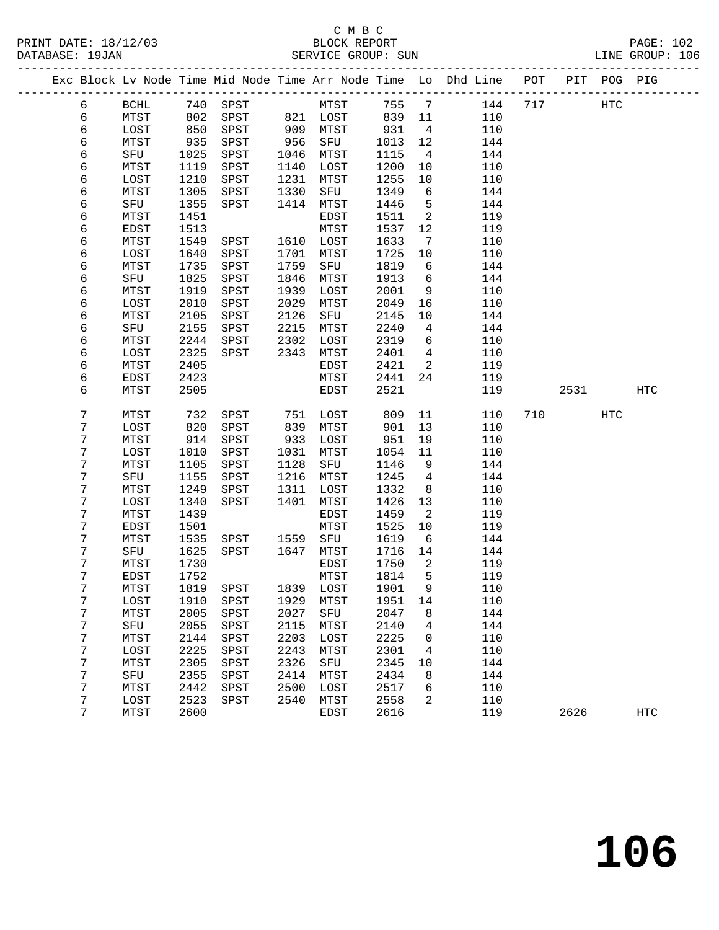## C M B C DATABASE: 19JAN SERVICE GROUP: SUN

|                |             |      |      |      |                      |        |                 | Exc Block Lv Node Time Mid Node Time Arr Node Time Lo Dhd Line POT PIT POG PIG |     |            |     |
|----------------|-------------|------|------|------|----------------------|--------|-----------------|--------------------------------------------------------------------------------|-----|------------|-----|
| 6              | BCHL        | 740  | SPST |      | MTST 755 7           |        |                 | 144                                                                            | 717 | <b>HTC</b> |     |
| 6              | MTST        | 802  | SPST |      |                      | 839 11 |                 | 110                                                                            |     |            |     |
| 6              | LOST        | 850  | SPST |      | 821 LOST<br>909 MTST | 931    | $\overline{4}$  | 110                                                                            |     |            |     |
| 6              | MTST        | 935  | SPST | 956  | SFU                  | 1013   | 12              | 144                                                                            |     |            |     |
| 6              | SFU         | 1025 | SPST | 1046 | MTST                 | 1115   | $\overline{4}$  | 144                                                                            |     |            |     |
| $\epsilon$     | MTST        | 1119 | SPST | 1140 | LOST                 | 1200   | 10              | 110                                                                            |     |            |     |
| 6              | LOST        | 1210 | SPST | 1231 | MTST                 | 1255   | 10              | 110                                                                            |     |            |     |
| 6              | MTST        | 1305 | SPST | 1330 | SFU                  | 1349   | 6               | 144                                                                            |     |            |     |
| 6              | SFU         | 1355 | SPST | 1414 | MTST                 | 1446   | 5               | 144                                                                            |     |            |     |
| $\epsilon$     | MTST        | 1451 |      |      | EDST                 | 1511   | 2               | 119                                                                            |     |            |     |
| 6              | EDST        | 1513 |      |      | MTST                 | 1537   | 12              | 119                                                                            |     |            |     |
| 6              | MTST        | 1549 | SPST | 1610 | LOST                 | 1633   | $7\phantom{.0}$ | 110                                                                            |     |            |     |
| 6              | LOST        | 1640 | SPST | 1701 | MTST                 | 1725   | 10              | 110                                                                            |     |            |     |
| 6              | MTST        | 1735 | SPST | 1759 | SFU                  | 1819   | 6               | 144                                                                            |     |            |     |
| 6              | SFU         | 1825 | SPST | 1846 | MTST                 | 1913   | 6               | 144                                                                            |     |            |     |
| 6              | MTST        | 1919 | SPST | 1939 | LOST                 | 2001   | 9               | 110                                                                            |     |            |     |
| 6              | LOST        | 2010 | SPST | 2029 | MTST                 | 2049   | 16              | 110                                                                            |     |            |     |
| 6              | MTST        | 2105 | SPST | 2126 | SFU                  | 2145   | 10              | 144                                                                            |     |            |     |
| 6              | SFU         | 2155 | SPST | 2215 | MTST                 | 2240   | 4               | 144                                                                            |     |            |     |
| 6              | MTST        | 2244 | SPST | 2302 | LOST                 | 2319   | 6               | 110                                                                            |     |            |     |
| 6              | LOST        | 2325 | SPST | 2343 | MTST                 | 2401   | $\overline{4}$  | 110                                                                            |     |            |     |
| $\epsilon$     | MTST        | 2405 |      |      | EDST                 | 2421   | $\overline{2}$  | 119                                                                            |     |            |     |
| 6              | EDST        | 2423 |      |      | MTST                 | 2441   | 24              | 119                                                                            |     |            |     |
| 6              | MTST        | 2505 |      |      | EDST                 | 2521   |                 | 119                                                                            |     | 2531       | HTC |
| $\overline{7}$ | MTST        | 732  | SPST | 751  | LOST                 | 809    | 11              | 110                                                                            | 710 | HTC        |     |
| 7              | LOST        | 820  | SPST | 839  | MTST                 | 901    | 13              | 110                                                                            |     |            |     |
| 7              | MTST        | 914  | SPST | 933  | LOST                 | 951    | 19              | 110                                                                            |     |            |     |
| 7              | LOST        | 1010 | SPST | 1031 | MTST                 | 1054   | 11              | 110                                                                            |     |            |     |
| 7              | MTST        | 1105 | SPST | 1128 | SFU                  | 1146   | 9               | 144                                                                            |     |            |     |
| 7              | SFU         | 1155 | SPST | 1216 | MTST                 | 1245   | 4               | 144                                                                            |     |            |     |
| 7              | MTST        | 1249 | SPST | 1311 | LOST                 | 1332   | 8               | 110                                                                            |     |            |     |
| $\overline{7}$ | LOST        | 1340 | SPST | 1401 | MTST                 | 1426   | 13              | 110                                                                            |     |            |     |
| 7              | MTST        | 1439 |      |      | EDST                 | 1459   | 2               | 119                                                                            |     |            |     |
| 7              | <b>EDST</b> | 1501 |      |      | MTST                 | 1525   | 10              | 119                                                                            |     |            |     |
| 7              | MTST        | 1535 | SPST | 1559 | SFU                  | 1619   | 6               | 144                                                                            |     |            |     |
| 7              | SFU         | 1625 | SPST | 1647 | MTST                 | 1716   | 14              | 144                                                                            |     |            |     |
| 7              | MTST        | 1730 |      |      | EDST                 | 1750   | $\mathbf{2}$    | 119                                                                            |     |            |     |
| 7              | EDST        | 1752 |      |      | MTST                 | 1814   | 5               | 119                                                                            |     |            |     |
| 7              | MTST        | 1819 | SPST |      | 1839 LOST            | 1901   | 9               | 110                                                                            |     |            |     |

 7 LOST 1910 SPST 1929 MTST 1951 14 110 7 MTST 2005 SPST 2027 SFU 2047 8 144 7 SFU 2055 SPST 2115 MTST 2140 4 144 7 MTST 2144 SPST 2203 LOST 2225 0 110 7 LOST 2225 SPST 2243 MTST 2301 4 110 7 MTST 2305 SPST 2326 SFU 2345 10 144 7 SFU 2355 SPST 2414 MTST 2434 8 144 7 MTST 2442 SPST 2500 LOST 2517 6 110 7 LOST 2523 SPST 2540 MTST 2558 2 110

7 MTST 2600 EDST 2616 119 2626 HTC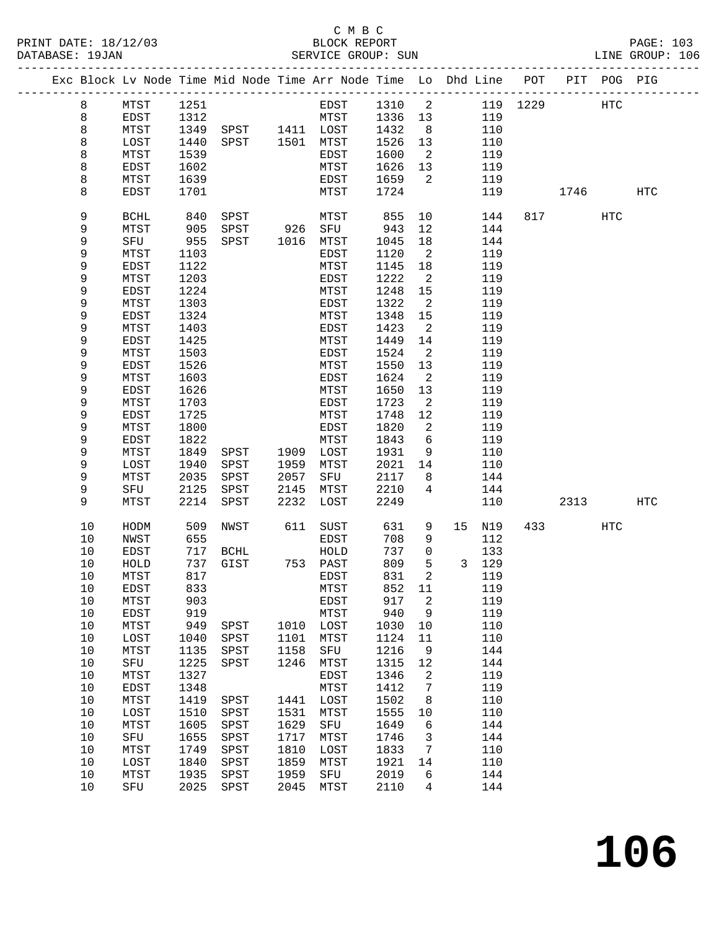### C M B C<br>BLOCK REPORT SERVICE GROUP: SUN

| Exc Block Lv Node Time Mid Node Time Arr Node Time Lo Dhd Line POT PIT POG PIG |              |              |                                  |              |              |              |                          |            |          |      |            |     |
|--------------------------------------------------------------------------------|--------------|--------------|----------------------------------|--------------|--------------|--------------|--------------------------|------------|----------|------|------------|-----|
| 8                                                                              | MTST         | 1251         |                                  |              | EDST         | 1310         | $\overline{\phantom{a}}$ |            | 119 1229 |      | HTC        |     |
| $\,8\,$                                                                        | EDST         | 1312         |                                  |              | MTST         | 1336         | 13                       | 119        |          |      |            |     |
| 8                                                                              | MTST         | 1349         |                                  |              |              | 1432         | 8 <sup>8</sup>           | 110        |          |      |            |     |
| 8                                                                              | LOST         | 1440         | SPST 1411 LOST<br>SPST 1501 MTST |              |              | 1526         | 13                       | 110        |          |      |            |     |
| 8                                                                              | MTST         | 1539         |                                  |              | EDST         | 1600         | $\overline{2}$           | 119        |          |      |            |     |
| 8                                                                              | <b>EDST</b>  | 1602         |                                  |              | MTST         | 1626         | 13                       | 119        |          |      |            |     |
| 8                                                                              | MTST         | 1639         |                                  |              | EDST         | 1659         | 2                        | 119        |          |      |            |     |
| 8                                                                              | EDST         | 1701         |                                  |              | MTST         | 1724         |                          | 119        |          | 1746 |            | HTC |
|                                                                                |              |              |                                  |              |              |              |                          |            |          |      |            |     |
| 9                                                                              | <b>BCHL</b>  | 840          | SPST                             |              | MTST         | 855          | 10                       | 144        |          | 817  | <b>HTC</b> |     |
| 9                                                                              | MTST         | 905          | SPST                             |              | 926 SFU      | 943          | 12                       | 144        |          |      |            |     |
| 9                                                                              | SFU          | 955          | SPST                             | 1016         | MTST         | 1045         | 18                       | 144        |          |      |            |     |
| 9                                                                              | MTST         | 1103         |                                  |              | EDST         | 1120         | $\overline{2}$           | 119        |          |      |            |     |
| 9                                                                              | EDST         | 1122         |                                  |              | MTST         | 1145         | 18                       | 119        |          |      |            |     |
| 9                                                                              | MTST         | 1203         |                                  |              | EDST         | 1222         | 2                        | 119        |          |      |            |     |
| 9                                                                              | EDST         | 1224         |                                  |              | MTST         | 1248         | 15                       | 119        |          |      |            |     |
| 9                                                                              | MTST         | 1303         |                                  |              | EDST         | 1322         | 2                        | 119        |          |      |            |     |
| 9                                                                              | EDST         | 1324         |                                  |              | MTST         | 1348         | 15                       | 119        |          |      |            |     |
| 9                                                                              | MTST         | 1403         |                                  |              | EDST         | 1423         | 2                        | 119        |          |      |            |     |
| 9                                                                              | EDST         | 1425         |                                  |              | MTST         | 1449         | 14                       | 119        |          |      |            |     |
| 9                                                                              | MTST         | 1503         |                                  |              | EDST         | 1524         | 2                        | 119        |          |      |            |     |
| 9                                                                              | <b>EDST</b>  | 1526         |                                  |              | MTST         | 1550         | 13                       | 119        |          |      |            |     |
| 9                                                                              | MTST         | 1603         |                                  |              | EDST         | 1624         | 2                        | 119        |          |      |            |     |
| 9                                                                              | <b>EDST</b>  | 1626         |                                  |              | MTST         | 1650         | 13                       | 119        |          |      |            |     |
| 9                                                                              | MTST         | 1703         |                                  |              | EDST         | 1723         | 2                        | 119        |          |      |            |     |
| 9                                                                              | <b>EDST</b>  | 1725         |                                  |              | MTST         | 1748         | 12                       | 119        |          |      |            |     |
| 9                                                                              | MTST         | 1800         |                                  |              | EDST         | 1820         | 2                        | 119        |          |      |            |     |
| 9                                                                              | EDST         | 1822         |                                  |              | MTST         | 1843         | 6                        | 119        |          |      |            |     |
| 9                                                                              | MTST         | 1849         | SPST                             | 1909         | LOST         | 1931         | 9                        | 110        |          |      |            |     |
| 9                                                                              | LOST         | 1940         | SPST                             | 1959         | MTST         | 2021         | 14                       | 110        |          |      |            |     |
| 9                                                                              | MTST         | 2035         | SPST                             | 2057         | SFU          | 2117         | 8                        | 144        |          |      |            |     |
| 9                                                                              | SFU          | 2125         | SPST                             | 2145         | MTST         | 2210         | 4                        | 144        |          |      |            |     |
| 9                                                                              | MTST         | 2214         | SPST                             | 2232         | LOST         | 2249         |                          | 110        |          | 2313 |            | HTC |
| 10                                                                             | HODM         | 509          | NWST                             | 611          | SUST         | 631          | 9                        | 15<br>N19  | 433      |      | <b>HTC</b> |     |
| 10                                                                             | NWST         | 655          |                                  |              | EDST         | 708          | 9                        | 112        |          |      |            |     |
| 10                                                                             | EDST         | 717          | BCHL                             |              | HOLD         | 737          | $\mathsf{O}$             | 133        |          |      |            |     |
| 10                                                                             | HOLD         | 737          | GIST                             |              | 753 PAST     | 809          | 5                        | 3 129      |          |      |            |     |
| 10                                                                             | MTST         | 817          |                                  |              | EDST         | 831          | 2                        | 119        |          |      |            |     |
| 10                                                                             | EDST         | 833          |                                  |              | MTST         | 852 11       |                          | 119        |          |      |            |     |
| 10                                                                             | MTST         | 903          |                                  |              | EDST         | 917          | 2                        | 119        |          |      |            |     |
| $10$                                                                           | EDST         | 919          |                                  |              | MTST         | 940          | 9                        | 119        |          |      |            |     |
| 10                                                                             | MTST         | 949          | SPST                             | 1010         | LOST         | 1030         | 10                       | 110        |          |      |            |     |
| $10$                                                                           | LOST         | 1040         | SPST                             | 1101         | MTST         | 1124         | 11                       | 110        |          |      |            |     |
| $10$                                                                           | MTST         | 1135         | SPST                             | 1158         | SFU          | 1216         | 9                        | 144        |          |      |            |     |
| 10                                                                             | ${\rm SFU}$  | 1225         | SPST                             | 1246         | MTST         | 1315         | 12                       | 144        |          |      |            |     |
| $10$                                                                           | MTST         | 1327         |                                  |              | EDST         | 1346         | 2                        | 119        |          |      |            |     |
| 10                                                                             | EDST         | 1348         |                                  |              | MTST         | 1412         | 7                        | 119        |          |      |            |     |
| 10                                                                             | MTST         | 1419         | SPST                             | 1441         | LOST         | 1502         | 8                        | 110        |          |      |            |     |
| $10$                                                                           | LOST         | 1510         | SPST                             | 1531         | MTST         | 1555         | 10                       | 110        |          |      |            |     |
| 10                                                                             | MTST         | 1605         | SPST                             | 1629         | SFU          | 1649         | 6                        | 144        |          |      |            |     |
| 10                                                                             | SFU          | 1655         | SPST                             | 1717<br>1810 | MTST         | 1746         | 3                        | 144        |          |      |            |     |
| 10<br>10                                                                       | MTST<br>LOST | 1749<br>1840 | SPST                             | 1859         | LOST<br>MTST | 1833<br>1921 | 7<br>14                  | 110<br>110 |          |      |            |     |
| 10                                                                             | MTST         | 1935         | SPST<br>SPST                     | 1959         | SFU          | 2019         | б                        | 144        |          |      |            |     |
| 10                                                                             | SFU          | 2025         | SPST                             | 2045         | MTST         | 2110         | 4                        | 144        |          |      |            |     |
|                                                                                |              |              |                                  |              |              |              |                          |            |          |      |            |     |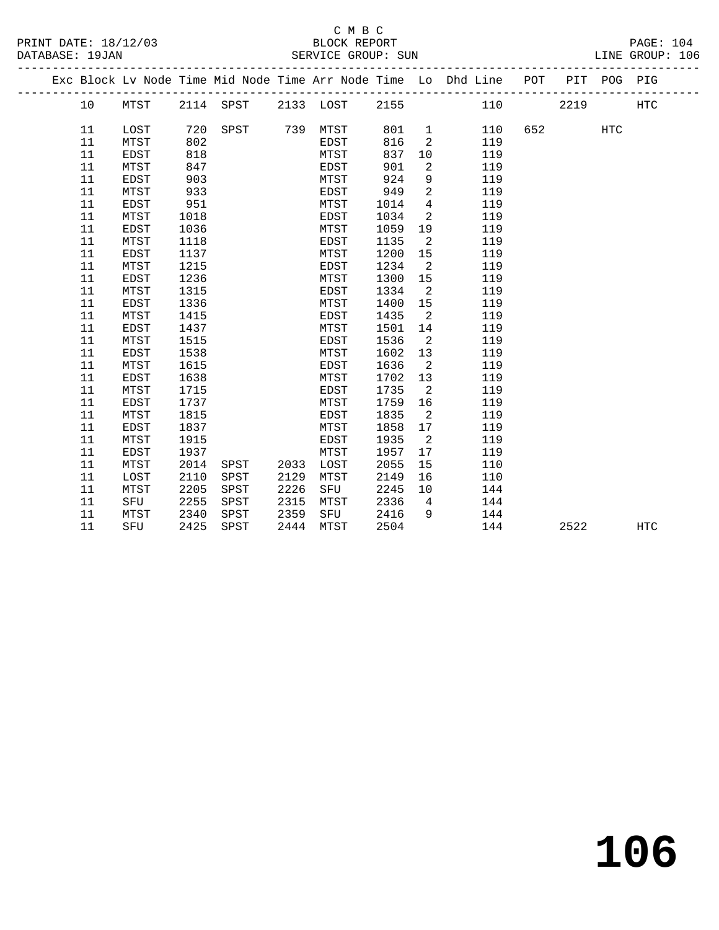## C M B C<br>BLOCK REPORT SERVICE GROUP: SUN

|  |    |             |      |               |      |                     |      |                            | Exc Block Lv Node Time Mid Node Time Arr Node Time Lo Dhd Line POT PIT POG PIG |        |            |            |
|--|----|-------------|------|---------------|------|---------------------|------|----------------------------|--------------------------------------------------------------------------------|--------|------------|------------|
|  | 10 | MTST        |      |               |      | 2114 SPST 2133 LOST | 2155 |                            | 110                                                                            | 2219   |            | <b>HTC</b> |
|  | 11 | LOST        | 720  | SPST 739 MTST |      |                     | 801  | $\mathbf{1}$               | 110                                                                            | 652 11 | <b>HTC</b> |            |
|  | 11 | MTST        | 802  |               |      | EDST                | 816  | 2                          | 119                                                                            |        |            |            |
|  | 11 | <b>EDST</b> | 818  |               |      | MTST                | 837  | 10                         | 119                                                                            |        |            |            |
|  | 11 | MTST        | 847  |               |      | EDST                | 901  | 2                          | 119                                                                            |        |            |            |
|  | 11 | EDST        | 903  |               |      | MTST                | 924  | 9                          | 119                                                                            |        |            |            |
|  | 11 | MTST        | 933  |               |      | EDST                | 949  | $\overline{a}$             | 119                                                                            |        |            |            |
|  | 11 | EDST        | 951  |               |      | MTST                | 1014 | $4\overline{ }$            | 119                                                                            |        |            |            |
|  | 11 | MTST        | 1018 |               |      | EDST                | 1034 | $\overline{2}$             | 119                                                                            |        |            |            |
|  | 11 | EDST        | 1036 |               |      | MTST                | 1059 | 19                         | 119                                                                            |        |            |            |
|  | 11 | MTST        | 1118 |               |      | EDST                | 1135 | 2                          | 119                                                                            |        |            |            |
|  | 11 | EDST        | 1137 |               |      | MTST                | 1200 | 15                         | 119                                                                            |        |            |            |
|  | 11 | MTST        | 1215 |               |      | EDST                | 1234 | 2                          | 119                                                                            |        |            |            |
|  | 11 | EDST        | 1236 |               |      | MTST                | 1300 | 15                         | 119                                                                            |        |            |            |
|  | 11 | MTST        | 1315 |               |      | EDST                | 1334 | 2                          | 119                                                                            |        |            |            |
|  | 11 | EDST        | 1336 |               |      | MTST                | 1400 | 15                         | 119                                                                            |        |            |            |
|  | 11 | MTST        | 1415 |               |      | EDST                | 1435 | $\overline{2}$             | 119                                                                            |        |            |            |
|  | 11 | EDST        | 1437 |               |      | MTST                | 1501 | 14                         | 119                                                                            |        |            |            |
|  | 11 | MTST        | 1515 |               |      | EDST                | 1536 | $\overline{\phantom{0}}^2$ | 119                                                                            |        |            |            |
|  | 11 | EDST        | 1538 |               |      | MTST                | 1602 | 13                         | 119                                                                            |        |            |            |
|  | 11 | MTST        | 1615 |               |      | EDST                | 1636 | $\overline{\phantom{0}}^2$ | 119                                                                            |        |            |            |
|  | 11 | EDST        | 1638 |               |      | MTST                | 1702 | 13                         | 119                                                                            |        |            |            |
|  | 11 | MTST        | 1715 |               |      | EDST                | 1735 | $\overline{2}$             | 119                                                                            |        |            |            |
|  | 11 | EDST        | 1737 |               |      | MTST                | 1759 | 16                         | 119                                                                            |        |            |            |
|  | 11 | MTST        | 1815 |               |      | EDST                | 1835 | $\overline{2}$             | 119                                                                            |        |            |            |
|  | 11 | EDST        | 1837 |               |      | MTST                | 1858 | 17                         | 119                                                                            |        |            |            |
|  | 11 | MTST        | 1915 |               |      | EDST                | 1935 | $\overline{\phantom{0}}^2$ | 119                                                                            |        |            |            |
|  | 11 | EDST        | 1937 |               |      | MTST                | 1957 | 17                         | 119                                                                            |        |            |            |
|  | 11 | MTST        | 2014 | SPST          | 2033 | LOST                | 2055 | 15                         | 110                                                                            |        |            |            |
|  | 11 | LOST        | 2110 | SPST          | 2129 | MTST                | 2149 | 16                         | 110                                                                            |        |            |            |
|  | 11 | MTST        | 2205 | SPST          | 2226 | SFU                 | 2245 | 10                         | 144                                                                            |        |            |            |
|  | 11 | SFU         | 2255 | SPST          | 2315 | MTST                | 2336 | 4                          | 144                                                                            |        |            |            |
|  | 11 | MTST        | 2340 | SPST          | 2359 | SFU                 | 2416 | 9                          | 144                                                                            |        |            |            |
|  | 11 | SFU         | 2425 | SPST          | 2444 | MTST                | 2504 |                            | 144                                                                            | 2522   |            | <b>HTC</b> |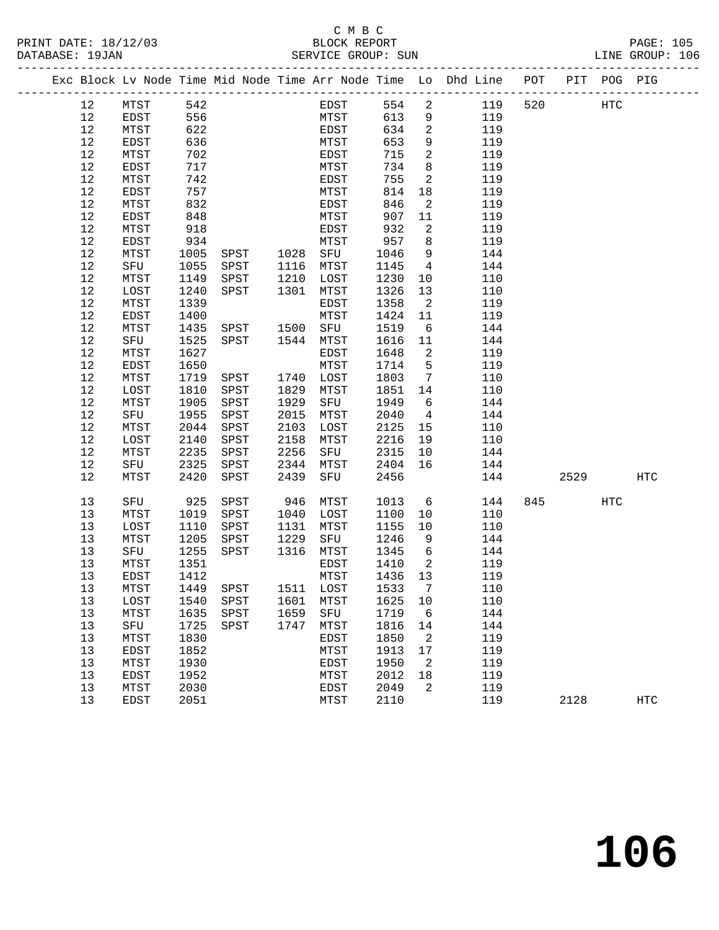## C M B C<br>BLOCK REPORT SERVICE GROUP: SUN

|  |      |      |      |               |      |                       |         |                            | Exc Block Lv Node Time Mid Node Time Arr Node Time Lo Dhd Line POT PIT POG PIG |     |      |     |            |
|--|------|------|------|---------------|------|-----------------------|---------|----------------------------|--------------------------------------------------------------------------------|-----|------|-----|------------|
|  | 12   | MTST | 542  |               |      | EDST                  |         | 554 2                      | 119                                                                            | 520 | HTC  |     |            |
|  | 12   | EDST | 556  |               |      | <b>MTST</b>           | 613     | 9                          | 119                                                                            |     |      |     |            |
|  | 12   | MTST | 622  |               |      | EDST                  | 634     | $\overline{\phantom{a}}$   | 119                                                                            |     |      |     |            |
|  | 12   | EDST | 636  |               |      | MTST                  | 653     | 9                          | 119                                                                            |     |      |     |            |
|  | 12   | MTST | 702  |               |      | EDST                  | 715     | $\overline{2}$             | 119                                                                            |     |      |     |            |
|  | 12   | EDST | 717  |               |      | MTST                  | 734     | 8 <sup>8</sup>             | 119                                                                            |     |      |     |            |
|  | 12   | MTST | 742  |               |      | EDST                  | 755     | $\overline{2}$             | 119                                                                            |     |      |     |            |
|  | 12   | EDST | 757  |               |      | MTST                  | 814     | 18                         | 119                                                                            |     |      |     |            |
|  | 12   | MTST | 832  |               |      | EDST                  | 846     | $\overline{2}$             | 119                                                                            |     |      |     |            |
|  | 12   | EDST | 848  |               |      | MTST                  | 907     | 11                         | 119                                                                            |     |      |     |            |
|  | 12   | MTST | 918  |               |      | EDST                  | 932     | $\overline{2}$             | 119                                                                            |     |      |     |            |
|  | 12   | EDST | 934  |               |      | MTST                  | 957     | 8 <sup>8</sup>             | 119                                                                            |     |      |     |            |
|  | 12   | MTST | 1005 |               |      |                       | 1046    | 9                          | 144                                                                            |     |      |     |            |
|  | 12   | SFU  | 1055 |               |      |                       | 1145    | $\overline{4}$             | 144                                                                            |     |      |     |            |
|  | 12   | MTST | 1149 | SPST          | 1210 | LOST                  | 1230    | 10                         | 110                                                                            |     |      |     |            |
|  | $12$ | LOST | 1240 | SPST          | 1301 | MTST                  | 1326    | 13                         | 110                                                                            |     |      |     |            |
|  | 12   | MTST | 1339 |               |      | EDST                  | 1358    | $\overline{\mathbf{c}}$    | 119                                                                            |     |      |     |            |
|  | 12   | EDST | 1400 |               |      | MTST                  | 1424    | 11                         | 119                                                                            |     |      |     |            |
|  | 12   | MTST | 1435 | SPST 1500 SFU |      |                       | 1519    | 6                          | 144                                                                            |     |      |     |            |
|  | 12   | SFU  | 1525 | SPST 1544     |      | MTST                  | 1616    | 11                         | 144                                                                            |     |      |     |            |
|  | 12   | MTST | 1627 |               |      | EDST                  | 1648    | $\overline{a}$             | 119                                                                            |     |      |     |            |
|  | 12   | EDST | 1650 |               |      | MTST                  | 1714    | $5\overline{5}$            | 119                                                                            |     |      |     |            |
|  | 12   | MTST | 1719 | SPST          |      | 1740 LOST             | 1803    | $\overline{7}$             | 110                                                                            |     |      |     |            |
|  | 12   | LOST | 1810 | SPST          | 1829 | MTST                  | 1851    | 14                         | 110                                                                            |     |      |     |            |
|  | 12   | MTST | 1905 | SPST          | 1929 | SFU                   | 1949    | 6                          | 144                                                                            |     |      |     |            |
|  | 12   | SFU  | 1955 | SPST          | 2015 | MTST                  | 2040    | $\overline{4}$             | 144                                                                            |     |      |     |            |
|  | 12   | MTST | 2044 | SPST          | 2103 | LOST                  | 2125    | 15                         | 110                                                                            |     |      |     |            |
|  | 12   | LOST | 2140 | SPST          | 2158 | MTST                  | 2216    | 19                         | 110                                                                            |     |      |     |            |
|  | 12   | MTST | 2235 | SPST          | 2256 | SFU                   | 2315    | 10                         | 144                                                                            |     |      |     |            |
|  | 12   | SFU  | 2325 | SPST          | 2344 | MTST                  | 2404    | 16                         | 144                                                                            |     |      |     |            |
|  | 12   | MTST | 2420 | SPST          | 2439 | SFU                   | 2456    |                            | 144                                                                            |     | 2529 |     | <b>HTC</b> |
|  | 13   | SFU  | 925  | SPST          | 946  | MTST                  | 1013    | 6                          | 144                                                                            |     | 845  | HTC |            |
|  | 13   | MTST | 1019 | SPST          |      | 1040 LOST             | 1100    | 10                         | 110                                                                            |     |      |     |            |
|  | 13   | LOST | 1110 | SPST          | 1131 | MTST                  | 1155    | 10                         | 110                                                                            |     |      |     |            |
|  | 13   | MTST | 1205 | SPST          | 1229 | SFU                   | 1246    | 9                          | 144                                                                            |     |      |     |            |
|  | 13   | SFU  | 1255 | SPST          | 1316 | MTST                  | 1345    | $6\overline{6}$            | 144                                                                            |     |      |     |            |
|  | 13   | MTST | 1351 |               |      | EDST                  | 1410    | $\overline{\phantom{0}}^2$ | 119                                                                            |     |      |     |            |
|  | 13   | EDST | 1412 |               |      | MTST                  | 1436 13 |                            | 119                                                                            |     |      |     |            |
|  | 13   | MTST | 1449 |               |      | SPST 1511 LOST 1533 7 |         |                            | 110                                                                            |     |      |     |            |
|  | 13   | LOST | 1540 | SPST          | 1601 | MTST                  | 1625    | 10                         | 110                                                                            |     |      |     |            |
|  | 13   | MTST | 1635 | SPST          | 1659 | SFU                   | 1719    | 6                          | 144                                                                            |     |      |     |            |
|  | 13   | SFU  | 1725 | SPST          | 1747 | MTST                  | 1816    | 14                         | 144                                                                            |     |      |     |            |
|  | 13   | MTST | 1830 |               |      | EDST                  | 1850    | 2                          | 119                                                                            |     |      |     |            |
|  | 13   | EDST | 1852 |               |      | MTST                  | 1913    | 17                         | 119                                                                            |     |      |     |            |
|  | 13   | MTST | 1930 |               |      | EDST                  | 1950    | 2                          | 119                                                                            |     |      |     |            |
|  | 13   | EDST | 1952 |               |      | MTST                  | 2012    | 18                         | 119                                                                            |     |      |     |            |
|  | 13   | MTST | 2030 |               |      | EDST                  | 2049    | 2                          | 119                                                                            |     |      |     |            |

13 EDST 2051 MTST 2110 119 2128 HTC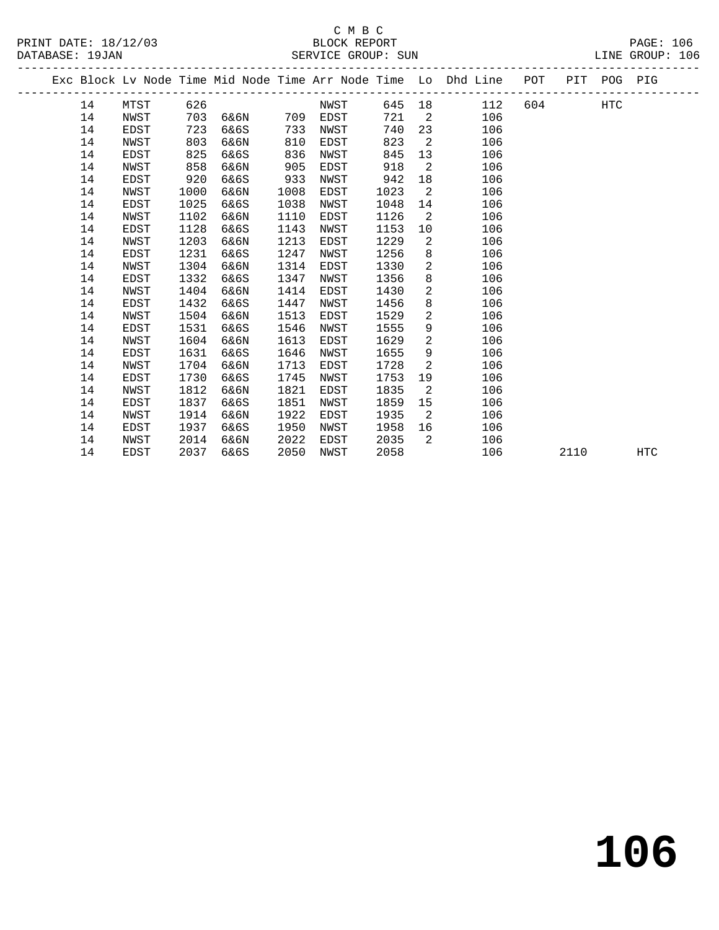## C M B C<br>BLOCK REPORT SERVICE GROUP: SUN

PRINT DATE: 18/12/03 BLOCK REPORT PAGE: 106

|  |    |             |      |      |      |      |      |                | Exc Block Lv Node Time Mid Node Time Arr Node Time Lo Dhd Line | POT    |      | PIT POG PIG |            |
|--|----|-------------|------|------|------|------|------|----------------|----------------------------------------------------------------|--------|------|-------------|------------|
|  | 14 | MTST        | 626  |      |      | NWST |      |                | 112<br>645 18                                                  | 604 60 |      | HTC         |            |
|  | 14 | NWST        | 703  | 6&6N | 709  | EDST | 721  | 2              | 106                                                            |        |      |             |            |
|  | 14 | EDST        | 723  | 6&6S | 733  | NWST | 740  | 23             | 106                                                            |        |      |             |            |
|  | 14 | NWST        | 803  | 6&6N | 810  | EDST | 823  | $\overline{2}$ | 106                                                            |        |      |             |            |
|  | 14 | EDST        | 825  | 6&6S | 836  | NWST | 845  | 13             | 106                                                            |        |      |             |            |
|  | 14 | NWST        | 858  | 6&6N | 905  | EDST | 918  | 2              | 106                                                            |        |      |             |            |
|  | 14 | EDST        | 920  | 6&6S | 933  | NWST | 942  | 18             | 106                                                            |        |      |             |            |
|  | 14 | NWST        | 1000 | 6&6N | 1008 | EDST | 1023 | 2              | 106                                                            |        |      |             |            |
|  | 14 | EDST        | 1025 | 6&6S | 1038 | NWST | 1048 | 14             | 106                                                            |        |      |             |            |
|  | 14 | NWST        | 1102 | 6&6N | 1110 | EDST | 1126 | 2              | 106                                                            |        |      |             |            |
|  | 14 | EDST        | 1128 | 6&6S | 1143 | NWST | 1153 | 10             | 106                                                            |        |      |             |            |
|  | 14 | NWST        | 1203 | 6&6N | 1213 | EDST | 1229 | 2              | 106                                                            |        |      |             |            |
|  | 14 | EDST        | 1231 | 6&6S | 1247 | NWST | 1256 | 8              | 106                                                            |        |      |             |            |
|  | 14 | NWST        | 1304 | 6&6N | 1314 | EDST | 1330 | $\overline{2}$ | 106                                                            |        |      |             |            |
|  | 14 | EDST        | 1332 | 6&6S | 1347 | NWST | 1356 | 8              | 106                                                            |        |      |             |            |
|  | 14 | NWST        | 1404 | 6&6N | 1414 | EDST | 1430 | $\overline{a}$ | 106                                                            |        |      |             |            |
|  | 14 | EDST        | 1432 | 6&6S | 1447 | NWST | 1456 | 8              | 106                                                            |        |      |             |            |
|  | 14 | NWST        | 1504 | 6&6N | 1513 | EDST | 1529 | 2              | 106                                                            |        |      |             |            |
|  | 14 | EDST        | 1531 | 6&6S | 1546 | NWST | 1555 | 9              | 106                                                            |        |      |             |            |
|  | 14 | NWST        | 1604 | 6&6N | 1613 | EDST | 1629 | 2              | 106                                                            |        |      |             |            |
|  | 14 | EDST        | 1631 | 6&6S | 1646 | NWST | 1655 | 9              | 106                                                            |        |      |             |            |
|  | 14 | NWST        | 1704 | 6&6N | 1713 | EDST | 1728 | 2              | 106                                                            |        |      |             |            |
|  | 14 | EDST        | 1730 | 6&6S | 1745 | NWST | 1753 | 19             | 106                                                            |        |      |             |            |
|  | 14 | NWST        | 1812 | 6&6N | 1821 | EDST | 1835 | $\overline{2}$ | 106                                                            |        |      |             |            |
|  | 14 | <b>EDST</b> | 1837 | 6&6S | 1851 | NWST | 1859 | 15             | 106                                                            |        |      |             |            |
|  | 14 | NWST        | 1914 | 6&6N | 1922 | EDST | 1935 | 2              | 106                                                            |        |      |             |            |
|  | 14 | EDST        | 1937 | 6&6S | 1950 | NWST | 1958 | 16             | 106                                                            |        |      |             |            |
|  | 14 | NWST        | 2014 | 6&6N | 2022 | EDST | 2035 | 2              | 106                                                            |        |      |             |            |
|  | 14 | <b>EDST</b> | 2037 | 6&6S | 2050 | NWST | 2058 |                | 106                                                            |        | 2110 |             | <b>HTC</b> |
|  |    |             |      |      |      |      |      |                |                                                                |        |      |             |            |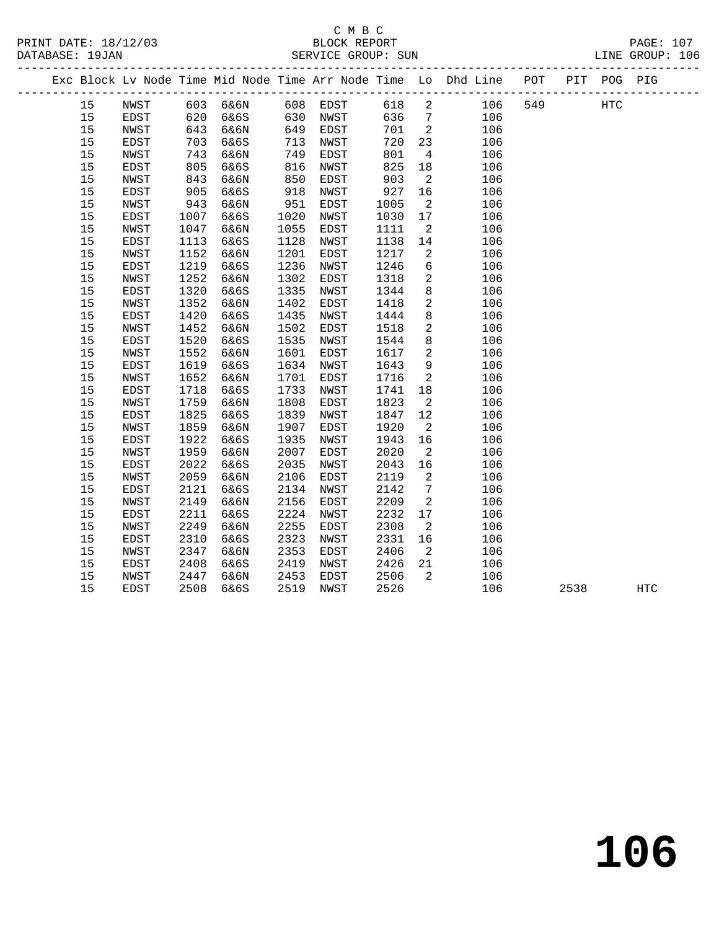## C M B C<br>BLOCK REPORT SERVICE GROUP: SUN

|  |    |             |      |      |      |             |      |                 | Exc Block Lv Node Time Mid Node Time Arr Node Time Lo Dhd Line POT |     | PIT POG PIG |  |
|--|----|-------------|------|------|------|-------------|------|-----------------|--------------------------------------------------------------------|-----|-------------|--|
|  | 15 | NWST        | 603  | 6&6N | 608  | EDST        | 618  | 2               | 106                                                                | 549 | <b>HTC</b>  |  |
|  | 15 | <b>EDST</b> | 620  | 6&6S | 630  | NWST        | 636  | $7\overline{ }$ | 106                                                                |     |             |  |
|  | 15 | NWST        | 643  | 6&6N | 649  | EDST        | 701  | 2               | 106                                                                |     |             |  |
|  | 15 | EDST        | 703  | 6&6S | 713  | NWST        | 720  | 23              | 106                                                                |     |             |  |
|  | 15 | NWST        | 743  | 6&6N | 749  | EDST        | 801  | $\overline{4}$  | 106                                                                |     |             |  |
|  | 15 | EDST        | 805  | 6&6S | 816  | NWST        | 825  | 18              | 106                                                                |     |             |  |
|  | 15 | NWST        | 843  | 6&6N | 850  | EDST        | 903  | 2               | 106                                                                |     |             |  |
|  | 15 | <b>EDST</b> | 905  | 6&6S | 918  | NWST        | 927  | 16              | 106                                                                |     |             |  |
|  | 15 | NWST        | 943  | 6&6N | 951  | EDST        | 1005 | 2               | 106                                                                |     |             |  |
|  | 15 | <b>EDST</b> | 1007 | 6&6S | 1020 | NWST        | 1030 | 17              | 106                                                                |     |             |  |
|  | 15 | NWST        | 1047 | 6&6N | 1055 | EDST        | 1111 | 2               | 106                                                                |     |             |  |
|  | 15 | <b>EDST</b> | 1113 | 6&6S | 1128 | NWST        | 1138 | 14              | 106                                                                |     |             |  |
|  | 15 | NWST        | 1152 | 6&6N | 1201 | EDST        | 1217 | 2               | 106                                                                |     |             |  |
|  | 15 | EDST        | 1219 | 6&6S | 1236 | NWST        | 1246 | 6               | 106                                                                |     |             |  |
|  | 15 | NWST        | 1252 | 6&6N | 1302 | EDST        | 1318 | 2               | 106                                                                |     |             |  |
|  | 15 | EDST        | 1320 | 6&6S | 1335 | NWST        | 1344 | 8               | 106                                                                |     |             |  |
|  | 15 | NWST        | 1352 | 6&6N | 1402 | EDST        | 1418 | $\mathbf{2}$    | 106                                                                |     |             |  |
|  | 15 | EDST        | 1420 | 6&6S | 1435 | NWST        | 1444 | 8               | 106                                                                |     |             |  |
|  | 15 | NWST        | 1452 | 6&6N | 1502 | EDST        | 1518 | 2               | 106                                                                |     |             |  |
|  | 15 | EDST        | 1520 | 6&6S | 1535 | NWST        | 1544 | 8               | 106                                                                |     |             |  |
|  | 15 | NWST        | 1552 | 6&6N | 1601 | EDST        | 1617 | $\overline{a}$  | 106                                                                |     |             |  |
|  | 15 | <b>EDST</b> | 1619 | 6&6S | 1634 | NWST        | 1643 | 9               | 106                                                                |     |             |  |
|  | 15 | NWST        | 1652 | 6&6N | 1701 | EDST        | 1716 | 2               | 106                                                                |     |             |  |
|  | 15 | EDST        | 1718 | 6&6S | 1733 | NWST        | 1741 | 18              | 106                                                                |     |             |  |
|  | 15 | NWST        | 1759 | 6&6N | 1808 | EDST        | 1823 | 2               | 106                                                                |     |             |  |
|  | 15 | EDST        | 1825 | 6&6S | 1839 | NWST        | 1847 | 12              | 106                                                                |     |             |  |
|  | 15 | NWST        | 1859 | 6&6N | 1907 | EDST        | 1920 | 2               | 106                                                                |     |             |  |
|  | 15 | EDST        | 1922 | 6&6S | 1935 | NWST        | 1943 | 16              | 106                                                                |     |             |  |
|  | 15 | NWST        | 1959 | 6&6N | 2007 | EDST        | 2020 | 2               | 106                                                                |     |             |  |
|  | 15 | <b>EDST</b> | 2022 | 6&6S | 2035 | <b>NWST</b> | 2043 | 16              | 106                                                                |     |             |  |
|  | 15 | NWST        | 2059 | 6&6N | 2106 | EDST        | 2119 | 2               | 106                                                                |     |             |  |
|  | 15 | EDST        | 2121 | 6&6S | 2134 | NWST        | 2142 | 7               | 106                                                                |     |             |  |
|  | 15 | NWST        | 2149 | 6&6N | 2156 | EDST        | 2209 | 2               | 106                                                                |     |             |  |
|  | 15 | EDST        | 2211 | 6&6S | 2224 | NWST        | 2232 | 17              | 106                                                                |     |             |  |
|  | 15 | NWST        | 2249 | 6&6N | 2255 | EDST        | 2308 | 2               | 106                                                                |     |             |  |
|  | 15 | EDST        | 2310 | 6&6S | 2323 | NWST        | 2331 | 16              | 106                                                                |     |             |  |
|  | 15 | NWST        | 2347 | 6&6N | 2353 | EDST        | 2406 | 2               | 106                                                                |     |             |  |
|  | 15 | EDST        | 2408 | 6&6S | 2419 | NWST        | 2426 | 21              | 106                                                                |     |             |  |
|  | 15 | NWST        | 2447 | 6&6N | 2453 | EDST        | 2506 | $\overline{2}$  | 106                                                                |     |             |  |

15 EDST 2508 6&6S 2519 NWST 2526 106 2538 HTC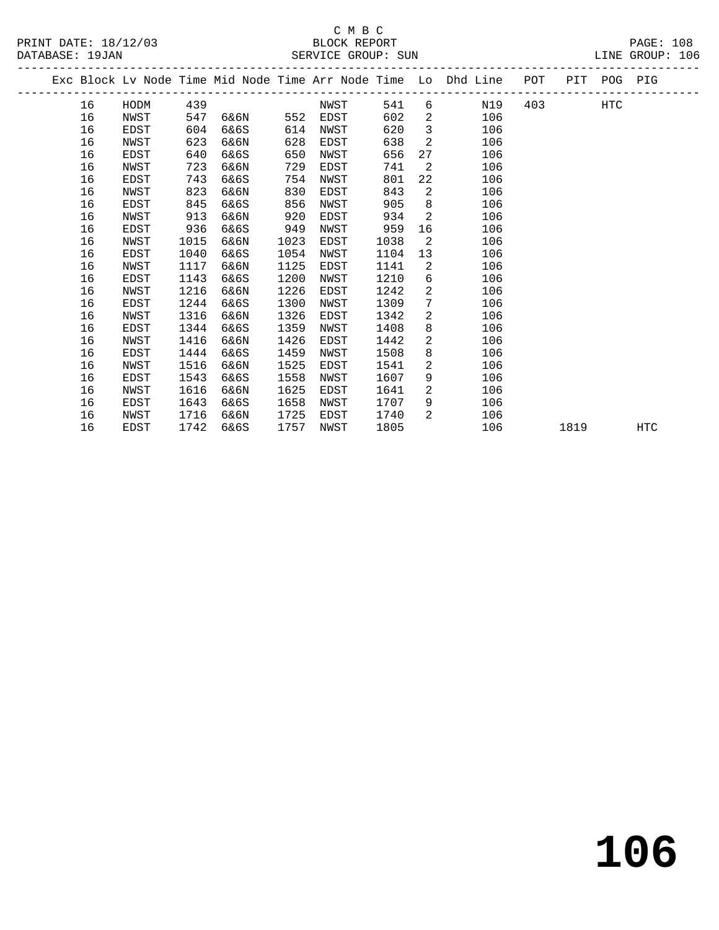## C M B C<br>BLOCK REPORT SERVICE GROUP: SUN

PRINT DATE: 18/12/03 BLOCK REPORT PAGE: 108

|  |    |      |      |      |      |      |      |                | Exc Block Lv Node Time Mid Node Time Arr Node Time Lo Dhd Line | POT PIT POG PIG |      |            |            |
|--|----|------|------|------|------|------|------|----------------|----------------------------------------------------------------|-----------------|------|------------|------------|
|  | 16 | HODM | 439  |      |      | NWST | 541  |                | N19<br>$6 \qquad \qquad$                                       | 403             |      | <b>HTC</b> |            |
|  | 16 | NWST | 547  | 6&6N | 552  | EDST | 602  | $\overline{a}$ | 106                                                            |                 |      |            |            |
|  | 16 | EDST | 604  | 6&6S | 614  | NWST | 620  | $\mathbf{3}$   | 106                                                            |                 |      |            |            |
|  | 16 | NWST | 623  | 6&6N | 628  | EDST | 638  | 2              | 106                                                            |                 |      |            |            |
|  | 16 | EDST | 640  | 6&6S | 650  | NWST | 656  | 27             | 106                                                            |                 |      |            |            |
|  | 16 | NWST | 723  | 6&6N | 729  | EDST | 741  | 2              | 106                                                            |                 |      |            |            |
|  | 16 | EDST | 743  | 6&6S | 754  | NWST | 801  | 22             | 106                                                            |                 |      |            |            |
|  | 16 | NWST | 823  | 6&6N | 830  | EDST | 843  | $\overline{2}$ | 106                                                            |                 |      |            |            |
|  | 16 | EDST | 845  | 6&6S | 856  | NWST | 905  | 8              | 106                                                            |                 |      |            |            |
|  | 16 | NWST | 913  | 6&6N | 920  | EDST | 934  | $\overline{2}$ | 106                                                            |                 |      |            |            |
|  | 16 | EDST | 936  | 6&6S | 949  | NWST | 959  | 16             | 106                                                            |                 |      |            |            |
|  | 16 | NWST | 1015 | 6&6N | 1023 | EDST | 1038 | 2              | 106                                                            |                 |      |            |            |
|  | 16 | EDST | 1040 | 6&6S | 1054 | NWST | 1104 | 13             | 106                                                            |                 |      |            |            |
|  | 16 | NWST | 1117 | 6&6N | 1125 | EDST | 1141 | $\overline{2}$ | 106                                                            |                 |      |            |            |
|  | 16 | EDST | 1143 | 6&6S | 1200 | NWST | 1210 | 6              | 106                                                            |                 |      |            |            |
|  | 16 | NWST | 1216 | 6&6N | 1226 | EDST | 1242 | $\overline{a}$ | 106                                                            |                 |      |            |            |
|  | 16 | EDST | 1244 | 6&6S | 1300 | NWST | 1309 | $7\phantom{.}$ | 106                                                            |                 |      |            |            |
|  | 16 | NWST | 1316 | 6&6N | 1326 | EDST | 1342 | $\overline{a}$ | 106                                                            |                 |      |            |            |
|  | 16 | EDST | 1344 | 6&6S | 1359 | NWST | 1408 | 8              | 106                                                            |                 |      |            |            |
|  | 16 | NWST | 1416 | 6&6N | 1426 | EDST | 1442 | $\overline{a}$ | 106                                                            |                 |      |            |            |
|  | 16 | EDST | 1444 | 6&6S | 1459 | NWST | 1508 | 8              | 106                                                            |                 |      |            |            |
|  | 16 | NWST | 1516 | 6&6N | 1525 | EDST | 1541 | $\overline{a}$ | 106                                                            |                 |      |            |            |
|  | 16 | EDST | 1543 | 6&6S | 1558 | NWST | 1607 | 9              | 106                                                            |                 |      |            |            |
|  | 16 | NWST | 1616 | 6&6N | 1625 | EDST | 1641 | $\overline{2}$ | 106                                                            |                 |      |            |            |
|  | 16 | EDST | 1643 | 6&6S | 1658 | NWST | 1707 | 9              | 106                                                            |                 |      |            |            |
|  | 16 | NWST | 1716 | 6&6N | 1725 | EDST | 1740 | 2              | 106                                                            |                 |      |            |            |
|  | 16 | EDST | 1742 | 6&6S | 1757 | NWST | 1805 |                | 106                                                            |                 | 1819 |            | <b>HTC</b> |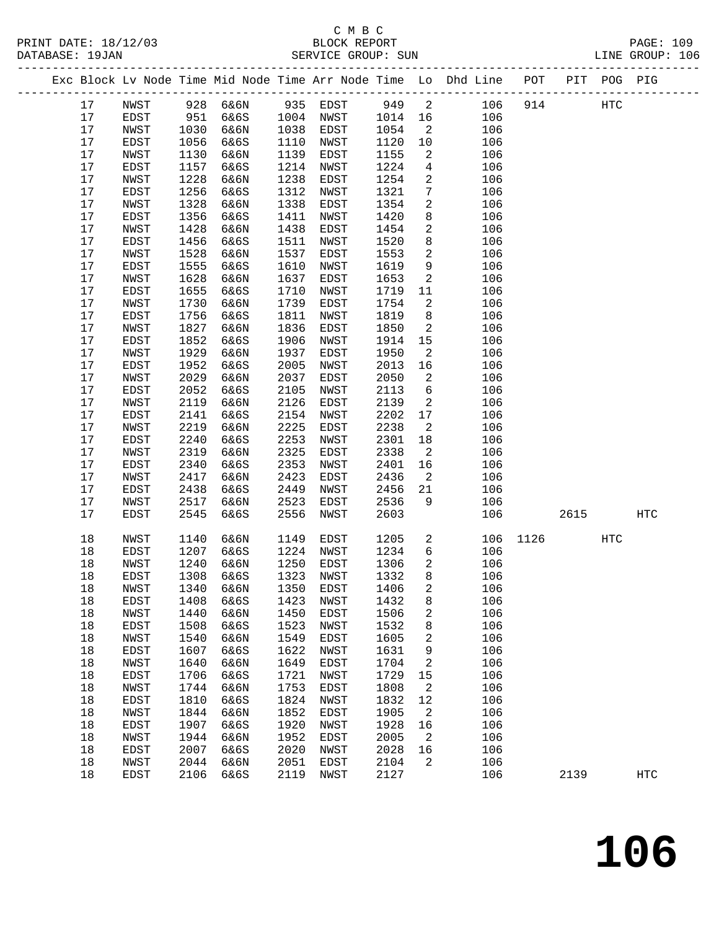|  |    |             |              |                         |         | Exc Block Lv Node Time Mid Node Time Arr Node Time Lo Dhd Line POT PIT POG PIG |  |     |  |
|--|----|-------------|--------------|-------------------------|---------|--------------------------------------------------------------------------------|--|-----|--|
|  | 17 | NWST        | 928 б&бN     | 935 EDST                | 949 2   | 106 914                                                                        |  | HTC |  |
|  | 17 | EDST        | 951 6&6S     | 1004 NWST               | 1014 16 | 106                                                                            |  |     |  |
|  | 17 | NWST        | 1030 6&6N    | 1038 EDST               | 1054    | 106                                                                            |  |     |  |
|  |    | <b>EDCT</b> | $1056$ $605$ | $1110 \quad \text{MHz}$ | 1100 10 | 106                                                                            |  |     |  |

| 17     | NWST         | 1030 | 6&6N | 1038      | EDST        | 1054 | $\mathbf{2}$            | 106 |      |      |                   |                   |
|--------|--------------|------|------|-----------|-------------|------|-------------------------|-----|------|------|-------------------|-------------------|
| 17     | EDST         | 1056 | 6&6S | 1110      | NWST        | 1120 | 10                      | 106 |      |      |                   |                   |
| $17$   | NWST         | 1130 | 6&6N | 1139      | EDST        | 1155 | $\sqrt{2}$              | 106 |      |      |                   |                   |
| 17     | EDST         | 1157 | 6&6S | 1214      | NWST        | 1224 | 4                       | 106 |      |      |                   |                   |
| 17     | ${\tt NWST}$ | 1228 | 6&6N | 1238      | EDST        | 1254 | 2                       | 106 |      |      |                   |                   |
| 17     | EDST         | 1256 | 6&6S | 1312      | NWST        | 1321 | $\overline{7}$          | 106 |      |      |                   |                   |
| 17     | NWST         | 1328 |      | 1338      |             | 1354 |                         | 106 |      |      |                   |                   |
|        |              |      | 6&6N |           | EDST        |      | 2                       |     |      |      |                   |                   |
| 17     | EDST         | 1356 | 6&6S | 1411      | NWST        | 1420 | 8                       | 106 |      |      |                   |                   |
| 17     | NWST         | 1428 | 6&6N | 1438      | EDST        | 1454 | 2                       | 106 |      |      |                   |                   |
| 17     | EDST         | 1456 | 6&6S | 1511      | NWST        | 1520 | 8                       | 106 |      |      |                   |                   |
| 17     | NWST         | 1528 | 6&6N | 1537      | EDST        | 1553 | 2                       | 106 |      |      |                   |                   |
| 17     | EDST         | 1555 | 6&6S | 1610      | NWST        | 1619 | 9                       | 106 |      |      |                   |                   |
| 17     | NWST         | 1628 | 6&6N | 1637      | EDST        | 1653 | $\boldsymbol{2}$        | 106 |      |      |                   |                   |
| $17$   | EDST         | 1655 | 6&6S | 1710      | NWST        | 1719 | 11                      | 106 |      |      |                   |                   |
| 17     | NWST         | 1730 | 6&6N | 1739      | EDST        | 1754 | 2                       | 106 |      |      |                   |                   |
| 17     | EDST         | 1756 | 6&6S | 1811      | NWST        | 1819 | 8                       | 106 |      |      |                   |                   |
| 17     | NWST         | 1827 | 6&6N | 1836      | EDST        | 1850 | $\overline{\mathbf{c}}$ | 106 |      |      |                   |                   |
| $17$   | EDST         | 1852 | 6&6S | 1906      | NWST        | 1914 | 15                      | 106 |      |      |                   |                   |
| 17     | NWST         | 1929 | 6&6N | 1937      | <b>EDST</b> | 1950 | $\sqrt{2}$              | 106 |      |      |                   |                   |
| $17$   | EDST         | 1952 | 6&6S | 2005      | NWST        | 2013 | 16                      | 106 |      |      |                   |                   |
| 17     | NWST         | 2029 | 6&6N | 2037      | EDST        | 2050 | 2                       | 106 |      |      |                   |                   |
| 17     | EDST         | 2052 | 6&6S | 2105      | NWST        | 2113 | 6                       | 106 |      |      |                   |                   |
| 17     | NWST         | 2119 | 6&6N | 2126      | EDST        | 2139 | $\mathbf{2}$            | 106 |      |      |                   |                   |
| 17     | EDST         | 2141 | 6&6S | 2154      | NWST        | 2202 | 17                      | 106 |      |      |                   |                   |
| 17     | NWST         | 2219 | 6&6N | 2225      | EDST        | 2238 | $\mathbf{2}$            | 106 |      |      |                   |                   |
| 17     | ${\tt EDST}$ | 2240 | 6&6S | 2253      | NWST        | 2301 | 18                      | 106 |      |      |                   |                   |
| 17     | NWST         | 2319 | 6&6N | 2325      | EDST        | 2338 | $\mathbf{2}$            | 106 |      |      |                   |                   |
| 17     | ${\tt EDST}$ | 2340 | 6&6S | 2353      | NWST        | 2401 | 16                      | 106 |      |      |                   |                   |
| 17     | NWST         | 2417 | 6&6N | 2423      | EDST        | 2436 | 2                       | 106 |      |      |                   |                   |
| 17     |              |      |      |           | NWST        |      |                         | 106 |      |      |                   |                   |
|        | EDST         | 2438 | 6&6S | 2449      |             | 2456 | 21                      |     |      |      |                   |                   |
| 17     | ${\tt NWST}$ | 2517 | 6&6N | 2523      | EDST        | 2536 | 9                       | 106 |      |      |                   |                   |
| 17     | EDST         | 2545 | 6&6S | 2556      | NWST        | 2603 |                         | 106 |      | 2615 |                   | <b>HTC</b>        |
|        |              |      |      |           |             |      |                         |     |      |      |                   |                   |
| 18     | NWST         | 1140 | 6&6N | 1149      | EDST        | 1205 | $\mathbf{2}$            | 106 | 1126 |      | $_{\mathrm{HTC}}$ |                   |
| $18\,$ | EDST         | 1207 | 6&6S | 1224      | NWST        | 1234 | 6                       | 106 |      |      |                   |                   |
| 18     | NWST         | 1240 | 6&6N | 1250      | EDST        | 1306 | 2                       | 106 |      |      |                   |                   |
| 18     | EDST         | 1308 | 6&6S | 1323      | NWST        | 1332 | 8                       | 106 |      |      |                   |                   |
| 18     | NWST         | 1340 | 6&6N | 1350      | EDST        | 1406 | 2                       | 106 |      |      |                   |                   |
| 18     | EDST         | 1408 | 6&6S | 1423      | NWST        | 1432 | 8                       | 106 |      |      |                   |                   |
| 18     | NWST         | 1440 | 6&6N | 1450      | EDST        | 1506 | 2                       | 106 |      |      |                   |                   |
| 18     | EDST         | 1508 | 6&6S | 1523      | NWST        | 1532 | 8                       | 106 |      |      |                   |                   |
| 18     | NWST         | 1540 | 6&6N | 1549      | <b>EDST</b> | 1605 | 2                       | 106 |      |      |                   |                   |
| $18\,$ | EDST         | 1607 | 6&6S | 1622 NWST |             | 1631 | 9                       | 106 |      |      |                   |                   |
| 18     | NWST         | 1640 | 6&6N | 1649      | EDST        | 1704 | 2                       | 106 |      |      |                   |                   |
| 18     | EDST         | 1706 | 6&6S | 1721      | NWST        | 1729 | 15                      | 106 |      |      |                   |                   |
| 18     | NWST         | 1744 | 6&6N | 1753      | EDST        | 1808 | 2                       | 106 |      |      |                   |                   |
| 18     | EDST         | 1810 | 6&6S | 1824      | NWST        | 1832 | 12                      | 106 |      |      |                   |                   |
| 18     | NWST         | 1844 | 6&6N | 1852      | EDST        | 1905 | 2                       | 106 |      |      |                   |                   |
| 18     | EDST         | 1907 | 6&6S | 1920      | NWST        | 1928 | 16                      | 106 |      |      |                   |                   |
| 18     | NWST         | 1944 | 6&6N | 1952      | <b>EDST</b> | 2005 | 2                       | 106 |      |      |                   |                   |
| 18     | EDST         | 2007 | 6&6S | 2020      | NWST        | 2028 | 16                      | 106 |      |      |                   |                   |
| 18     | NWST         | 2044 | 6&6N | 2051      | EDST        | 2104 | 2                       | 106 |      |      |                   |                   |
| 18     | EDST         | 2106 | 6&6S | 2119      | NWST        | 2127 |                         | 106 |      | 2139 |                   | $_{\mathrm{HTC}}$ |
|        |              |      |      |           |             |      |                         |     |      |      |                   |                   |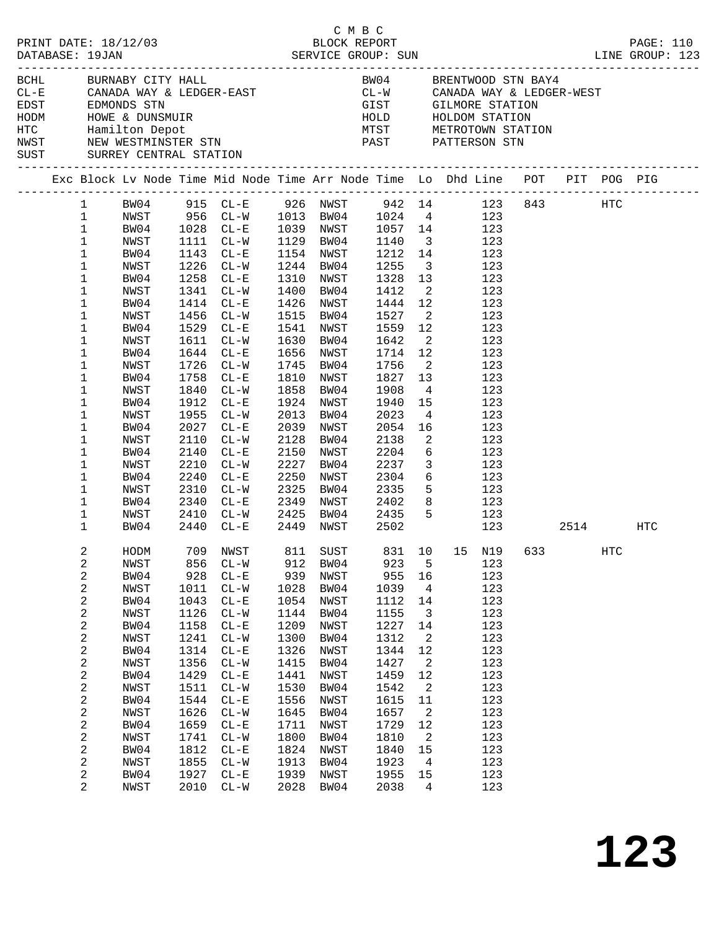|  | DATABASE: 19JAN                                                                                                                                                                                                                                     | PRINT DATE: 18/12/03                                                                                                                                                                         |                                                                                                                                                    |                                                                                                                                                                                                                                                                                                                         |                                                                                                                                                    | СМВС<br>BLOCK REPORT                                                                                                                                                                                                            |                                                                                                                                                                                                |                                                                                                                                                                                                                       |                                                                                                                                                                                                                                                                                                                                                                                                                                                                                                      |  |     | PAGE: 110 |
|--|-----------------------------------------------------------------------------------------------------------------------------------------------------------------------------------------------------------------------------------------------------|----------------------------------------------------------------------------------------------------------------------------------------------------------------------------------------------|----------------------------------------------------------------------------------------------------------------------------------------------------|-------------------------------------------------------------------------------------------------------------------------------------------------------------------------------------------------------------------------------------------------------------------------------------------------------------------------|----------------------------------------------------------------------------------------------------------------------------------------------------|---------------------------------------------------------------------------------------------------------------------------------------------------------------------------------------------------------------------------------|------------------------------------------------------------------------------------------------------------------------------------------------------------------------------------------------|-----------------------------------------------------------------------------------------------------------------------------------------------------------------------------------------------------------------------|------------------------------------------------------------------------------------------------------------------------------------------------------------------------------------------------------------------------------------------------------------------------------------------------------------------------------------------------------------------------------------------------------------------------------------------------------------------------------------------------------|--|-----|-----------|
|  |                                                                                                                                                                                                                                                     | BCHL BURNABY CITY HALL<br>SUST SURREY CENTRAL STATION                                                                                                                                        |                                                                                                                                                    |                                                                                                                                                                                                                                                                                                                         |                                                                                                                                                    |                                                                                                                                                                                                                                 |                                                                                                                                                                                                |                                                                                                                                                                                                                       | BW04 BRENTWOOD STN BAY4<br>$\begin{array}{lllllllll} \texttt{CL-E} & \texttt{CANADA WAY & \& LEDGER-EAST} & \texttt{CL-W} & \texttt{CANADA WAY & \& LEDGER-WEST} \\ \texttt{EDST} & \texttt{EDMONDS STN} & & & & & \\ \end{array}$<br>EDST EDMONDS STN EDMONDS STN GIST GILMORE STATION<br>HODM HOWE & DUNSMUIR<br>HODM HOWE & DUNSMUIR<br>HOLD HOLDOM STATION<br>HOLD HOLDOM STATION<br>NETROTOWN STATION<br>NETROTOWN STATION<br>NETROTOWN STATION<br>NETROTOWN STATION<br>NETROTOWN               |  |     |           |
|  |                                                                                                                                                                                                                                                     |                                                                                                                                                                                              |                                                                                                                                                    |                                                                                                                                                                                                                                                                                                                         |                                                                                                                                                    |                                                                                                                                                                                                                                 |                                                                                                                                                                                                |                                                                                                                                                                                                                       | Exc Block Lv Node Time Mid Node Time Arr Node Time Lo Dhd Line POT PIT POG PIG                                                                                                                                                                                                                                                                                                                                                                                                                       |  |     |           |
|  | $\mathbf{1}$<br>$\mathbf{1}$<br>$\mathbf{1}$<br>$\mathbf{1}$<br>$\mathbf{1}$<br>$\mathbf{1}$<br>1<br>1<br>1<br>1<br>1<br>1<br>1<br>1<br>$\mathbf 1$<br>$\mathbf 1$<br>1<br>1<br>$\mathbf 1$<br>1<br>1<br>1<br>1<br>$\mathbf 1$<br>1<br>$\mathbf{1}$ | NWST<br>BW04<br>NWST<br>BW04<br>NWST<br>BW04<br>NWST<br>BW04<br>NWST<br>BW04<br>NWST<br>BW04<br>NWST<br>BW04<br>NWST<br>BW04<br>NWST<br>BW04<br>NWST<br>BW04<br>NWST<br>BW04<br>NWST<br>BW04 | 1912<br>1955<br>2027<br>2110<br>2210<br>2240                                                                                                       | 1111 CL-W<br>1143 CL-E<br>1226 CL-W<br>1258 CL-E<br>1341 CL-W<br>1414 CL-E<br>1456 CL-W<br>1529 CL-E<br>1611 CL-W<br>1644 CL-E<br>1726 CL-W<br>1758 CL-E<br>1840 CL-W<br>$CL-E$<br>$CL-W$<br>$CL - E$<br>$CL-W$<br>2140 CL-E<br>$CL - W$<br>$CL - E$<br>2310 CL-W<br>2340 CL-E<br>2410 CL-W 2425 BW04 2435<br>2440 CL-E | 2013<br>2150<br>2227<br>2250                                                                                                                       | 1244 BW04<br>1310 NWST<br>1400 BW04<br>1426 NWST<br>1515 BW04<br>1541 NWST<br>1630 BW04<br>1656 NWST<br>1745 BW04<br>1810 NWST<br>1858 BW04<br>1924 NWST<br>BW04<br>2039 NWST<br>2128 BW04<br>NWST<br>BW04<br>NWST<br>2325 BW04 | 1129 BW04 1140<br>1255<br>1328<br>1412<br>1444 12<br>1527<br>1559<br>1642<br>1714 12<br>1756<br>1827<br>1908<br>1940<br>2023<br>2054<br>2138<br>2204<br>2237<br>2304<br>2335<br>2449 NWST 2502 | 13<br>12<br>$\overline{\phantom{a}}$<br>$\overline{\phantom{a}}$<br>13<br>$4\overline{4}$<br>$\overline{\phantom{a}}^2$<br>$\overline{\mathbf{3}}$                                                                    | 1 BW04 915 CL-E 926 NWST 942 14 123 843 HTC<br>NWST 956 CL-W 1013 BW04 1024 4 123<br>BW04 1028 CL-E 1039 NWST 1057 14 123<br>3 123<br>1154 NWST 1212 14 123<br>$\frac{3}{2}$ 123<br>123<br>2 123<br>123<br>$\overline{\mathbf{2}}$<br>123<br>123<br>123<br>123<br>123<br>123<br>123<br>15<br>123<br>$4\overline{ }$<br>123<br>16<br>$\frac{123}{11}$<br>123<br>$6\overline{6}$<br>123<br>123<br>$\begin{array}{ccc} 6 & & 123 \\ 5 & & 123 \end{array}$<br>2349 NWST 2402 8 123<br>5 123<br>123 2514 |  |     | HTC       |
|  | 2<br>2<br>2<br>2<br>2<br>2<br>2<br>2<br>2<br>2<br>2<br>2<br>2<br>2<br>2<br>2<br>2<br>2<br>2<br>2                                                                                                                                                    | NWST<br>BW04<br>NWST<br>BW04<br>NWST<br>BW04<br>NWST<br>BW04<br>NWST<br>BW04<br>NWST<br>BW04<br>NWST<br>BW04<br>NWST<br>BW04<br>NWST<br>BW04<br>NWST                                         | 856<br>928<br>1011<br>1043<br>1126<br>1158<br>1241<br>1314<br>1356<br>1429<br>1511<br>1544<br>1626<br>1659<br>1741<br>1812<br>1855<br>1927<br>2010 | $CL - W$<br>$CL - E$<br>$CL-W$<br>$CL - E$<br>$CL - W$<br>$CL - E$<br>$CL - W$<br>$CL - E$<br>$CL - W$<br>$CL - E$<br>$CL-W$<br>$CL - E$<br>$CL - W$<br>$CL - E$<br>$CL-W$<br>$CL - E$<br>$CL-W$<br>$CL - E$<br>$CL-W$                                                                                                  | 912<br>939<br>1028<br>1054<br>1144<br>1209<br>1300<br>1326<br>1415<br>1441<br>1530<br>1556<br>1645<br>1711<br>1800<br>1824<br>1913<br>1939<br>2028 | BW04<br>NWST<br>BW04<br>NWST<br>BW04<br>NWST<br>BW04<br>NWST<br>BW04<br>NWST<br>BW04<br>NWST<br>BW04<br>NWST<br>BW04<br>NWST<br>BW04<br>NWST<br>BW04                                                                            | 923<br>955<br>1039<br>1112<br>1155<br>1227<br>1312<br>1344<br>1427<br>1459<br>1542<br>1615<br>1657<br>1729<br>1810<br>1840<br>1923<br>1955<br>2038                                             | 5<br>16<br>$\overline{4}$<br>14<br>$\overline{3}$<br>14<br>$\overline{a}$<br>12<br>$\overline{\phantom{a}}^2$<br>12<br>$\overline{2}$<br>11<br>$\overline{\phantom{a}}$<br>12<br>2<br>15<br>$\overline{4}$<br>15<br>4 | HODM 709 NWST 811 SUST 831 10 15 N19 633<br>123<br>123<br>123<br>123<br>123<br>123<br>123<br>123<br>123<br>123<br>123<br>123<br>123<br>123<br>123<br>123<br>123<br>123<br>123                                                                                                                                                                                                                                                                                                                        |  | HTC |           |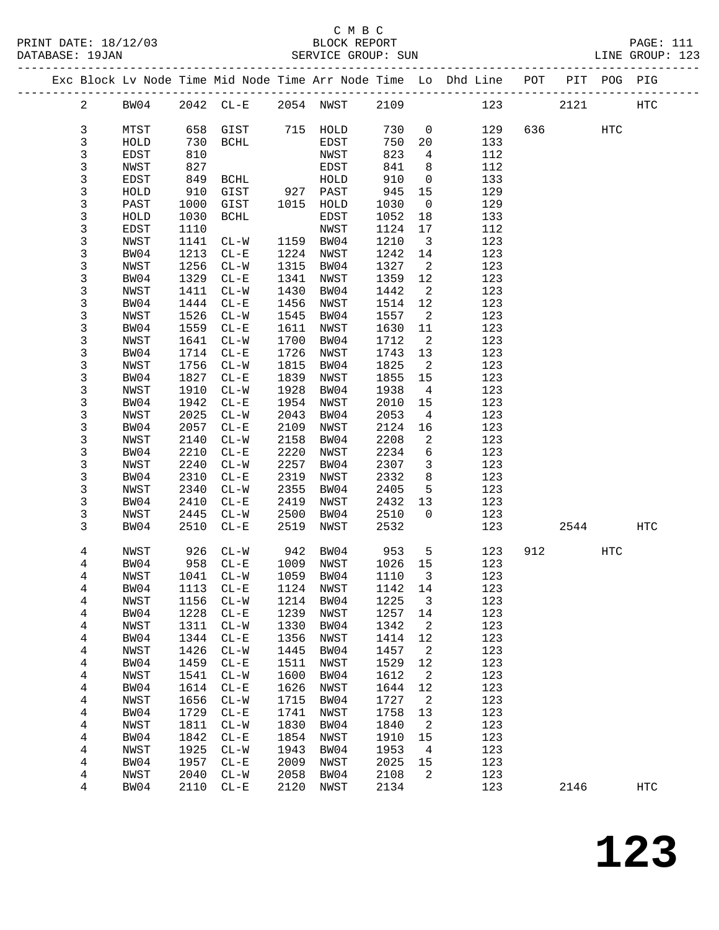|  |                |      |      |                             |      |           |         |                            | Exc Block Lv Node Time Mid Node Time Arr Node Time Lo Dhd Line POT PIT POG PIG |        |     |                   |
|--|----------------|------|------|-----------------------------|------|-----------|---------|----------------------------|--------------------------------------------------------------------------------|--------|-----|-------------------|
|  | $\overline{a}$ | BW04 |      | 2042 CL-E 2054 NWST 2109    |      |           |         |                            | 123                                                                            | 2121   |     | HTC               |
|  | 3              | MTST |      | 658 GIST                    |      | 715 HOLD  | 730     | $\overline{0}$             | 129                                                                            | 636 70 | HTC |                   |
|  | 3              | HOLD | 730  | BCHL                        |      | EDST      | 750     | 20                         | 133                                                                            |        |     |                   |
|  | 3              | EDST | 810  |                             |      | NWST      | 823     | $\overline{4}$             | 112                                                                            |        |     |                   |
|  | 3              | NWST | 827  |                             |      | EDST      | 841     | 8 <sup>8</sup>             | 112                                                                            |        |     |                   |
|  | 3              | EDST | 849  | BCHL                        |      | HOLD      | 910     | $\overline{0}$             | 133                                                                            |        |     |                   |
|  | 3              | HOLD | 910  | GIST                        | 927  | PAST      | 945     | 15                         | 129                                                                            |        |     |                   |
|  | 3              | PAST | 1000 | GIST                        |      | 1015 HOLD | 1030    | $\overline{0}$             | 129                                                                            |        |     |                   |
|  | 3              | HOLD | 1030 | BCHL                        |      | EDST      | 1052    | 18                         | 133                                                                            |        |     |                   |
|  | 3              | EDST | 1110 |                             |      | NWST      | 1124    | 17                         | 112                                                                            |        |     |                   |
|  | 3              | NWST | 1141 | $CL - W$                    |      | 1159 BW04 | 1210    | $\overline{\mathbf{3}}$    | 123                                                                            |        |     |                   |
|  | 3              | BW04 | 1213 | $CL - E$                    | 1224 | NWST      | 1242    | 14                         | 123                                                                            |        |     |                   |
|  | 3              | NWST | 1256 | $CL-W$                      |      | 1315 BW04 | 1327    | $\overline{\mathbf{2}}$    | 123                                                                            |        |     |                   |
|  | 3              | BW04 | 1329 | $CL - E$                    | 1341 | NWST      | 1359    | 12                         | 123                                                                            |        |     |                   |
|  | $\mathsf{3}$   | NWST | 1411 | $CL-W$                      | 1430 | BW04      | 1442    | $\overline{\mathbf{2}}$    | 123                                                                            |        |     |                   |
|  | $\mathfrak{Z}$ | BW04 | 1444 | $CL-E$                      | 1456 | NWST      | 1514    | 12                         | 123                                                                            |        |     |                   |
|  | 3              | NWST | 1526 | $CL-W$                      | 1545 | BW04      | 1557    | $\overline{\mathbf{c}}$    | 123                                                                            |        |     |                   |
|  | 3              | BW04 | 1559 | $CL - E$                    | 1611 | NWST      | 1630    | 11                         | 123                                                                            |        |     |                   |
|  | 3              | NWST | 1641 | $CL-W$                      | 1700 | BW04      | 1712    | $\overline{\phantom{a}}^2$ | 123                                                                            |        |     |                   |
|  | 3              | BW04 | 1714 | $CL - E$                    | 1726 | NWST      | 1743    | 13                         | 123                                                                            |        |     |                   |
|  | 3              | NWST | 1756 | $CL-W$                      | 1815 | BW04      | 1825    | $\overline{2}$             | 123                                                                            |        |     |                   |
|  | 3              | BW04 | 1827 | $CL - E$                    | 1839 | NWST      | 1855    | 15                         | 123                                                                            |        |     |                   |
|  | 3              | NWST | 1910 | $CL - W$                    | 1928 | BW04      | 1938    | $\overline{4}$             | 123                                                                            |        |     |                   |
|  | 3              | BW04 | 1942 | $CL - E$                    | 1954 | NWST      | 2010    | 15                         | 123                                                                            |        |     |                   |
|  | 3              | NWST | 2025 | $CL-W$                      | 2043 | BW04      | 2053    | $\overline{4}$             | 123                                                                            |        |     |                   |
|  | 3              | BW04 | 2057 | $CL-E$                      | 2109 | NWST      | 2124    | 16                         | 123                                                                            |        |     |                   |
|  | 3              | NWST | 2140 | $CL-W$                      | 2158 | BW04      | 2208    | $\overline{2}$             | 123                                                                            |        |     |                   |
|  | 3              | BW04 | 2210 | $CL - E$                    | 2220 | NWST      | 2234    | 6                          | 123                                                                            |        |     |                   |
|  | 3              | NWST | 2240 | $CL-W$                      | 2257 | BW04      | 2307    | $\overline{\mathbf{3}}$    | 123                                                                            |        |     |                   |
|  | 3              | BW04 | 2310 | $CL-E$                      | 2319 | NWST      | 2332    | 8                          | 123                                                                            |        |     |                   |
|  | 3              | NWST | 2340 | $CL-W$                      | 2355 | BW04      | 2405    | 5                          | 123                                                                            |        |     |                   |
|  | 3              | BW04 | 2410 | $CL - E$                    | 2419 | NWST      | 2432    | 13                         | 123                                                                            |        |     |                   |
|  | 3              | NWST | 2445 | $CL-W$                      | 2500 | BW04      | 2510    | $\overline{0}$             | 123                                                                            |        |     |                   |
|  | 3              | BW04 | 2510 | $CL - E$                    | 2519 | NWST      | 2532    |                            | 123                                                                            | 2544   |     | HTC               |
|  | 4              | NWST | 926  | $CL-W$                      | 942  | BW04      | 953     | $5^{\circ}$                | 123                                                                            | 912    | HTC |                   |
|  | 4              | BW04 | 958  | $CL - E$                    |      | 1009 NWST | 1026 15 |                            | 123                                                                            |        |     |                   |
|  | 4              | NWST |      | 1041 CL-W                   |      | 1059 BW04 | 1110    | $\overline{\mathbf{3}}$    | 123                                                                            |        |     |                   |
|  | 4              | BW04 |      | 1113 CL-E 1124 NWST 1142 14 |      |           |         |                            | 123                                                                            |        |     |                   |
|  | 4              | NWST | 1156 | $CL - W$                    | 1214 | BW04      | 1225    | 3                          | 123                                                                            |        |     |                   |
|  | 4              | BW04 | 1228 | $CL - E$                    | 1239 | NWST      | 1257    | 14                         | 123                                                                            |        |     |                   |
|  | 4              | NWST | 1311 | $CL - W$                    | 1330 | BW04      | 1342    | $\overline{a}$             | 123                                                                            |        |     |                   |
|  | 4              | BW04 | 1344 | $CL-E$                      | 1356 | NWST      | 1414    | 12                         | 123                                                                            |        |     |                   |
|  | 4              | NWST | 1426 | $CL-W$                      | 1445 | BW04      | 1457    | 2                          | 123                                                                            |        |     |                   |
|  | 4              | BW04 | 1459 | $CL - E$                    | 1511 | NWST      | 1529    | 12                         | 123                                                                            |        |     |                   |
|  | 4              | NWST | 1541 | $CL - W$                    | 1600 | BW04      | 1612    | $\overline{a}$             | 123                                                                            |        |     |                   |
|  | 4              | BW04 | 1614 | $CL-E$                      | 1626 | NWST      | 1644    | 12                         | 123                                                                            |        |     |                   |
|  | 4              | NWST | 1656 | $CL-W$                      | 1715 | BW04      | 1727    | $\overline{\phantom{a}}$   | 123                                                                            |        |     |                   |
|  | 4              | BW04 | 1729 | $CL - E$                    | 1741 | NWST      | 1758    | 13                         | 123                                                                            |        |     |                   |
|  | 4              | NWST | 1811 | $CL-W$                      | 1830 | BW04      | 1840    | $\overline{a}$             | 123                                                                            |        |     |                   |
|  | 4              | BW04 | 1842 | $CL-E$                      | 1854 | NWST      | 1910    | 15                         | 123                                                                            |        |     |                   |
|  | 4              | NWST | 1925 | $CL - W$                    | 1943 | BW04      | 1953    | $\overline{4}$             | 123                                                                            |        |     |                   |
|  | 4              | BW04 | 1957 | $CL - E$                    | 2009 | NWST      | 2025    | 15                         | 123                                                                            |        |     |                   |
|  | 4              | NWST | 2040 | $CL-W$                      | 2058 | BW04      | 2108    | 2                          | 123                                                                            |        |     |                   |
|  | 4              | BW04 | 2110 | $CL - E$                    | 2120 | NWST      | 2134    |                            | 123                                                                            | 2146   |     | $_{\mathrm{HTC}}$ |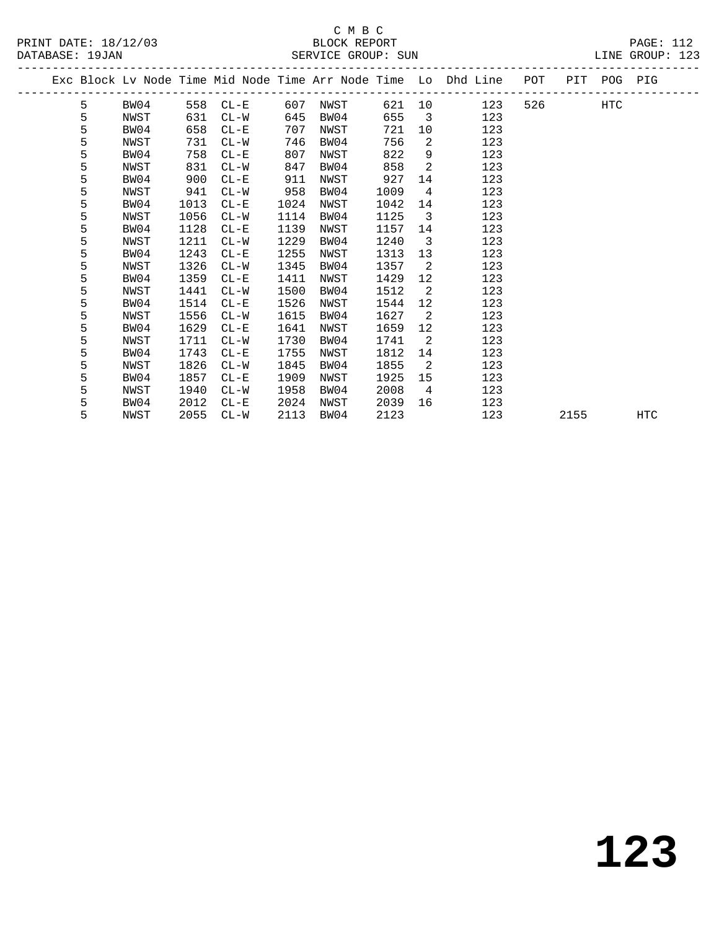|  |   |      |      | ---------------------------- |      |      |      |                         | Exc Block Lv Node Time Mid Node Time Arr Node Time Lo Dhd Line POT PIT POG PIG |         |      |     |
|--|---|------|------|------------------------------|------|------|------|-------------------------|--------------------------------------------------------------------------------|---------|------|-----|
|  | 5 | BW04 |      | 558 CL-E                     | 607  | NWST |      |                         | 621 10<br>123                                                                  | 526 HTC |      |     |
|  | 5 | NWST | 631  | $CL-W$                       | 645  | BW04 | 655  | $\overline{\mathbf{3}}$ | 123                                                                            |         |      |     |
|  | 5 | BW04 | 658  | $CL - E$                     | 707  | NWST | 721  | 10                      | 123                                                                            |         |      |     |
|  | 5 | NWST | 731  | $CL-W$                       | 746  | BW04 | 756  | 2                       | 123                                                                            |         |      |     |
|  | 5 | BW04 | 758  | $CL - E$                     | 807  | NWST | 822  | 9                       | 123                                                                            |         |      |     |
|  | 5 | NWST | 831  | $CL-W$                       | 847  | BW04 | 858  | 2                       | 123                                                                            |         |      |     |
|  | 5 | BW04 | 900  | $CL - E$                     | 911  | NWST | 927  | 14                      | 123                                                                            |         |      |     |
|  | 5 | NWST | 941  | $CL-W$                       | 958  | BW04 | 1009 | $\overline{4}$          | 123                                                                            |         |      |     |
|  | 5 | BW04 | 1013 | $CL - E$                     | 1024 | NWST | 1042 | 14                      | 123                                                                            |         |      |     |
|  | 5 | NWST | 1056 | $CL-W$                       | 1114 | BW04 | 1125 | 3                       | 123                                                                            |         |      |     |
|  | 5 | BW04 | 1128 | $CL - E$                     | 1139 | NWST | 1157 | 14                      | 123                                                                            |         |      |     |
|  | 5 | NWST | 1211 | $CL-W$                       | 1229 | BW04 | 1240 | $\overline{3}$          | 123                                                                            |         |      |     |
|  | 5 | BW04 | 1243 | $CL - E$                     | 1255 | NWST | 1313 | 13                      | 123                                                                            |         |      |     |
|  | 5 | NWST | 1326 | $CL-W$                       | 1345 | BW04 | 1357 | 2                       | 123                                                                            |         |      |     |
|  | 5 | BW04 | 1359 | $CL - E$                     | 1411 | NWST | 1429 | 12 <sup>°</sup>         | 123                                                                            |         |      |     |
|  | 5 | NWST | 1441 | $CL-W$                       | 1500 | BW04 | 1512 | 2                       | 123                                                                            |         |      |     |
|  | 5 | BW04 | 1514 | $CL - E$                     | 1526 | NWST | 1544 | $12 \overline{ }$       | 123                                                                            |         |      |     |
|  | 5 | NWST | 1556 | $CL-W$                       | 1615 | BW04 | 1627 | $\overline{2}$          | 123                                                                            |         |      |     |
|  | 5 | BW04 | 1629 | $CL - E$                     | 1641 | NWST | 1659 | 12 <sup>°</sup>         | 123                                                                            |         |      |     |
|  | 5 | NWST | 1711 | $CL-W$                       | 1730 | BW04 | 1741 | $\overline{2}$          | 123                                                                            |         |      |     |
|  | 5 | BW04 | 1743 | $CL - E$                     | 1755 | NWST | 1812 | 14                      | 123                                                                            |         |      |     |
|  | 5 | NWST | 1826 | $CL-W$                       | 1845 | BW04 | 1855 | $\overline{2}$          | 123                                                                            |         |      |     |
|  | 5 | BW04 | 1857 | $CL - E$                     | 1909 | NWST | 1925 | 15                      | 123                                                                            |         |      |     |
|  | 5 | NWST | 1940 | $CL-W$                       | 1958 | BW04 | 2008 | $\overline{4}$          | 123                                                                            |         |      |     |
|  | 5 | BW04 | 2012 | $CL - E$                     | 2024 | NWST | 2039 | 16                      | 123                                                                            |         |      |     |
|  | 5 | NWST | 2055 | $CL-W$                       | 2113 | BW04 | 2123 |                         | 123                                                                            |         | 2155 | HTC |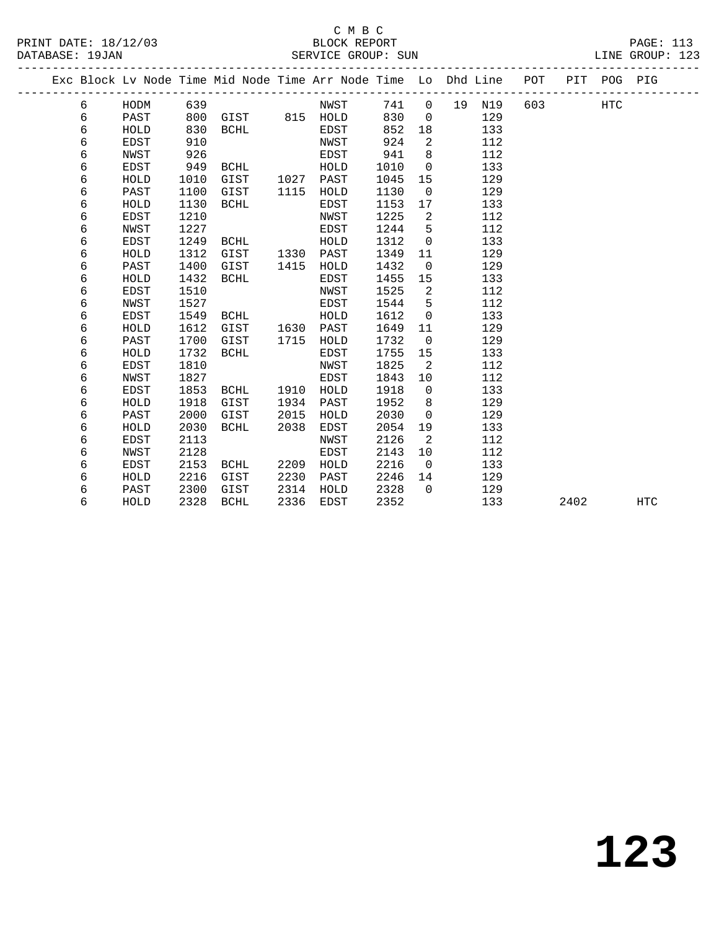#### C M B C<br>BLOCK REPORT PRINT DATE: 18/12/03 BLOCK REPORT PAGE: 113 SERVICE GROUP: SUN

|  |   |             |      | Exc Block Lv Node Time Mid Node Time Arr Node Time Lo Dhd Line |      |             |      |                |    |     | POT | PIT  | POG PIG    |            |
|--|---|-------------|------|----------------------------------------------------------------|------|-------------|------|----------------|----|-----|-----|------|------------|------------|
|  | 6 | HODM        | 639  |                                                                |      | NWST        | 741  | $\overline{0}$ | 19 | N19 | 603 |      | <b>HTC</b> |            |
|  | 6 | PAST        | 800  | GIST                                                           |      | 815 HOLD    | 830  | $\Omega$       |    | 129 |     |      |            |            |
|  | 6 | HOLD        | 830  | <b>BCHL</b>                                                    |      | <b>EDST</b> | 852  | 18             |    | 133 |     |      |            |            |
|  | 6 | <b>EDST</b> | 910  |                                                                |      | NWST        | 924  | 2              |    | 112 |     |      |            |            |
|  | 6 | NWST        | 926  |                                                                |      | EDST        | 941  | 8              |    | 112 |     |      |            |            |
|  | 6 | <b>EDST</b> | 949  | <b>BCHL</b>                                                    |      | HOLD        | 1010 | $\Omega$       |    | 133 |     |      |            |            |
|  | 6 | HOLD        | 1010 | GIST                                                           | 1027 | PAST        | 1045 | 15             |    | 129 |     |      |            |            |
|  | 6 | PAST        | 1100 | GIST                                                           | 1115 | HOLD        | 1130 | $\mathbf 0$    |    | 129 |     |      |            |            |
|  | 6 | HOLD        | 1130 | <b>BCHL</b>                                                    |      | <b>EDST</b> | 1153 | 17             |    | 133 |     |      |            |            |
|  | 6 | <b>EDST</b> | 1210 |                                                                |      | NWST        | 1225 | 2              |    | 112 |     |      |            |            |
|  | 6 | <b>NWST</b> | 1227 |                                                                |      | <b>EDST</b> | 1244 | 5              |    | 112 |     |      |            |            |
|  | 6 | EDST        | 1249 | <b>BCHL</b>                                                    |      | HOLD        | 1312 | $\mathbf 0$    |    | 133 |     |      |            |            |
|  | 6 | HOLD        | 1312 | GIST                                                           | 1330 | PAST        | 1349 | 11             |    | 129 |     |      |            |            |
|  | 6 | PAST        | 1400 | GIST                                                           | 1415 | HOLD        | 1432 | $\mathbf 0$    |    | 129 |     |      |            |            |
|  | 6 | HOLD        | 1432 | <b>BCHL</b>                                                    |      | EDST        | 1455 | 15             |    | 133 |     |      |            |            |
|  | 6 | EDST        | 1510 |                                                                |      | NWST        | 1525 | 2              |    | 112 |     |      |            |            |
|  | 6 | NWST        | 1527 |                                                                |      | EDST        | 1544 | 5              |    | 112 |     |      |            |            |
|  | 6 | EDST        | 1549 | <b>BCHL</b>                                                    |      | HOLD        | 1612 | $\mathbf 0$    |    | 133 |     |      |            |            |
|  | 6 | HOLD        | 1612 | GIST                                                           | 1630 | PAST        | 1649 | 11             |    | 129 |     |      |            |            |
|  | 6 | PAST        | 1700 | GIST                                                           | 1715 | HOLD        | 1732 | 0              |    | 129 |     |      |            |            |
|  | 6 | HOLD        | 1732 | BCHL                                                           |      | EDST        | 1755 | 15             |    | 133 |     |      |            |            |
|  | 6 | EDST        | 1810 |                                                                |      | NWST        | 1825 | 2              |    | 112 |     |      |            |            |
|  | 6 | <b>NWST</b> | 1827 |                                                                |      | EDST        | 1843 | 10             |    | 112 |     |      |            |            |
|  | 6 | EDST        | 1853 | <b>BCHL</b>                                                    | 1910 | HOLD        | 1918 | $\Omega$       |    | 133 |     |      |            |            |
|  | 6 | HOLD        | 1918 | GIST                                                           | 1934 | PAST        | 1952 | 8              |    | 129 |     |      |            |            |
|  | 6 | PAST        | 2000 | GIST                                                           | 2015 | HOLD        | 2030 | $\mathbf 0$    |    | 129 |     |      |            |            |
|  | 6 | HOLD        | 2030 | <b>BCHL</b>                                                    | 2038 | EDST        | 2054 | 19             |    | 133 |     |      |            |            |
|  | 6 | <b>EDST</b> | 2113 |                                                                |      | NWST        | 2126 | 2              |    | 112 |     |      |            |            |
|  | 6 | NWST        | 2128 |                                                                |      | EDST        | 2143 | 10             |    | 112 |     |      |            |            |
|  | 6 | EDST        | 2153 | BCHL                                                           | 2209 | HOLD        | 2216 | 0              |    | 133 |     |      |            |            |
|  | 6 | HOLD        | 2216 | GIST                                                           | 2230 | PAST        | 2246 | 14             |    | 129 |     |      |            |            |
|  | 6 | PAST        | 2300 | GIST                                                           | 2314 | HOLD        | 2328 | $\Omega$       |    | 129 |     |      |            |            |
|  | 6 | HOLD        | 2328 | <b>BCHL</b>                                                    | 2336 | EDST        | 2352 |                |    | 133 |     | 2402 |            | <b>HTC</b> |
|  |   |             |      |                                                                |      |             |      |                |    |     |     |      |            |            |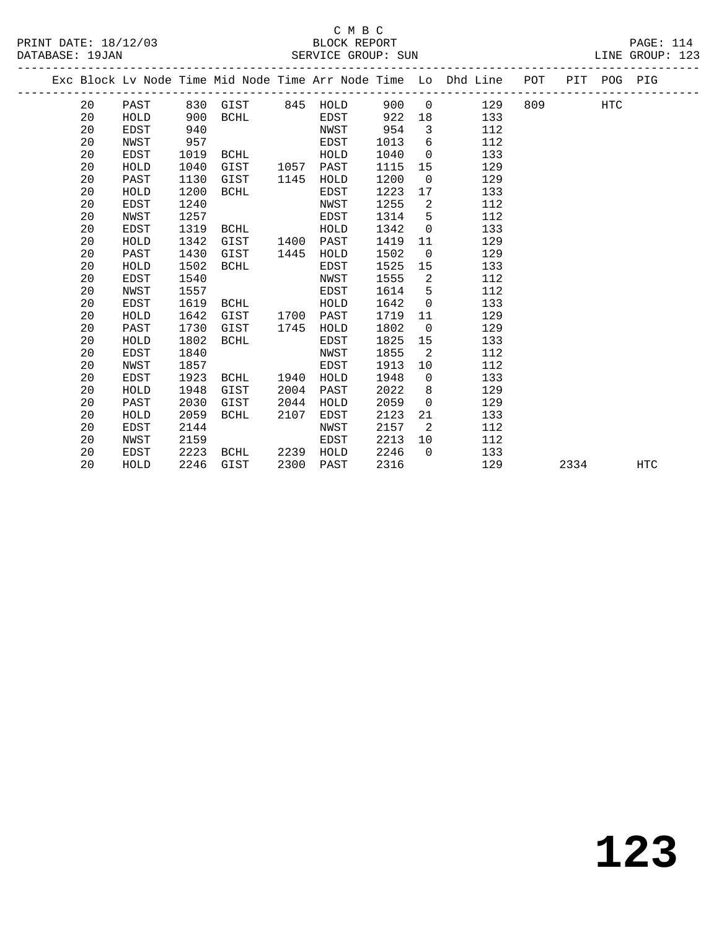#### C M B C<br>BLOCK REPORT PRINT DATE: 18/12/03 BLOCK REPORT PAGE: 114 SERVICE GROUP: SUN

|  |    |             |      |             |      |             |      |                         | Exc Block Lv Node Time Mid Node Time Arr Node Time Lo Dhd Line POT PIT POG PIG |           |      |            |     |
|--|----|-------------|------|-------------|------|-------------|------|-------------------------|--------------------------------------------------------------------------------|-----------|------|------------|-----|
|  | 20 | PAST        |      |             |      |             |      |                         | 830 GIST 845 HOLD 900 0 129                                                    | 809 — 100 |      | <b>HTC</b> |     |
|  | 20 | HOLD        | 900  | <b>BCHL</b> |      | EDST        | 922  |                         | 133                                                                            |           |      |            |     |
|  | 20 | EDST        | 940  |             |      | NWST        | 954  | $\overline{\mathbf{3}}$ | 112                                                                            |           |      |            |     |
|  | 20 | NWST        | 957  |             |      | EDST        | 1013 | 6                       | 112                                                                            |           |      |            |     |
|  | 20 | EDST        | 1019 | BCHL        |      | HOLD        | 1040 | $\overline{0}$          | 133                                                                            |           |      |            |     |
|  | 20 | HOLD        | 1040 | GIST        |      | 1057 PAST   | 1115 | 15                      | 129                                                                            |           |      |            |     |
|  | 20 | PAST        | 1130 | GIST        | 1145 | HOLD        | 1200 | $\overline{0}$          | 129                                                                            |           |      |            |     |
|  | 20 | HOLD        | 1200 | BCHL        |      | EDST        | 1223 | 17                      | 133                                                                            |           |      |            |     |
|  | 20 | EDST        | 1240 |             |      | NWST        | 1255 | $\overline{2}$          | 112                                                                            |           |      |            |     |
|  | 20 | NWST        | 1257 |             |      | EDST        | 1314 | 5                       | 112                                                                            |           |      |            |     |
|  | 20 | EDST        | 1319 | BCHL        |      | HOLD        | 1342 | $\Omega$                | 133                                                                            |           |      |            |     |
|  | 20 | HOLD        | 1342 | GIST        | 1400 | PAST        | 1419 | 11                      | 129                                                                            |           |      |            |     |
|  | 20 | PAST        | 1430 | GIST        | 1445 | HOLD        | 1502 | $\overline{0}$          | 129                                                                            |           |      |            |     |
|  | 20 | HOLD        | 1502 | BCHL        |      | EDST        | 1525 | 15                      | 133                                                                            |           |      |            |     |
|  | 20 | <b>EDST</b> | 1540 |             |      | NWST        | 1555 | 2                       | 112                                                                            |           |      |            |     |
|  | 20 | NWST        | 1557 |             |      | EDST        | 1614 | $5^{\circ}$             | 112                                                                            |           |      |            |     |
|  | 20 | EDST        | 1619 | BCHL        |      | HOLD        | 1642 | $\Omega$                | 133                                                                            |           |      |            |     |
|  | 20 | HOLD        | 1642 | GIST        | 1700 | PAST        | 1719 | 11                      | 129                                                                            |           |      |            |     |
|  | 20 | PAST        | 1730 | GIST        | 1745 | HOLD        | 1802 | $\Omega$                | 129                                                                            |           |      |            |     |
|  | 20 | HOLD        | 1802 | BCHL        |      | EDST        | 1825 | 15                      | 133                                                                            |           |      |            |     |
|  | 20 | EDST        | 1840 |             |      | NWST        | 1855 | $\overline{2}$          | 112                                                                            |           |      |            |     |
|  | 20 | NWST        | 1857 |             |      | <b>EDST</b> | 1913 | 10                      | 112                                                                            |           |      |            |     |
|  | 20 | EDST        | 1923 |             |      | HOLD        | 1948 | $\Omega$                | 133                                                                            |           |      |            |     |
|  | 20 | HOLD        | 1948 | GIST        | 2004 | PAST        | 2022 | 8                       | 129                                                                            |           |      |            |     |
|  | 20 | PAST        | 2030 | GIST        | 2044 | HOLD        | 2059 | $\Omega$                | 129                                                                            |           |      |            |     |
|  | 20 | HOLD        | 2059 | BCHL        | 2107 | EDST        | 2123 | 21                      | 133                                                                            |           |      |            |     |
|  | 20 | <b>EDST</b> | 2144 |             |      | NWST        | 2157 | 2                       | 112                                                                            |           |      |            |     |
|  | 20 | NWST        | 2159 |             |      | EDST        | 2213 | 10                      | 112                                                                            |           |      |            |     |
|  | 20 | EDST        | 2223 | BCHL        |      | 2239 HOLD   | 2246 | $\Omega$                | 133                                                                            |           |      |            |     |
|  | 20 | HOLD        | 2246 | GIST        | 2300 | PAST        | 2316 |                         | 129                                                                            |           | 2334 |            | HTC |
|  |    |             |      |             |      |             |      |                         |                                                                                |           |      |            |     |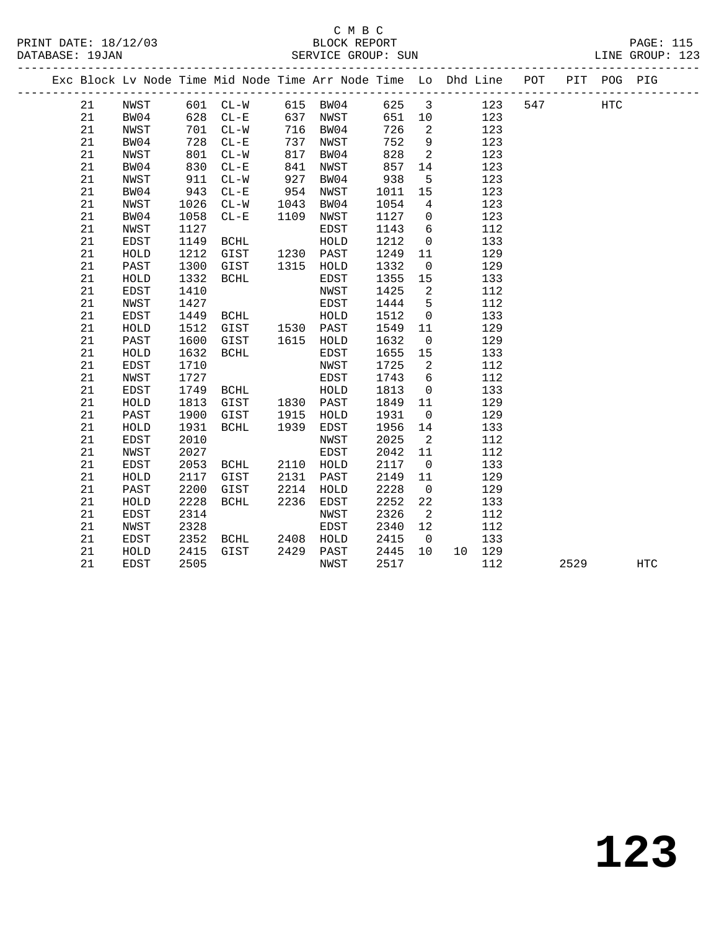|  |    |             |      |             |      | Exc Block Lv Node Time Mid Node Time Arr Node Time Lo Dhd Line POT |      |                            |        |     |     |      | PIT POG PIG |            |  |
|--|----|-------------|------|-------------|------|--------------------------------------------------------------------|------|----------------------------|--------|-----|-----|------|-------------|------------|--|
|  | 21 | NWST        |      | 601 CL-W    |      | 615 BW04                                                           | 625  | $\overline{\mathbf{3}}$    |        | 123 | 547 |      | <b>HTC</b>  |            |  |
|  | 21 | BW04        | 628  | $CL - E$    | 637  | NWST                                                               | 651  | 10                         |        | 123 |     |      |             |            |  |
|  | 21 | NWST        | 701  | $CL-W$      |      | 716 BW04                                                           | 726  | 2                          |        | 123 |     |      |             |            |  |
|  | 21 | BW04        | 728  | $CL - E$    | 737  | NWST                                                               | 752  | 9                          |        | 123 |     |      |             |            |  |
|  | 21 | NWST        | 801  | $CL-W$      | 817  | BW04                                                               | 828  | $\overline{2}$             |        | 123 |     |      |             |            |  |
|  | 21 | BW04        | 830  | $CL - E$    | 841  | NWST                                                               | 857  | 14                         |        | 123 |     |      |             |            |  |
|  | 21 | NWST        | 911  | $CL-W$      | 927  | BW04                                                               | 938  | 5                          |        | 123 |     |      |             |            |  |
|  | 21 | BW04        | 943  | $CL - E$    | 954  | NWST                                                               | 1011 | 15                         |        | 123 |     |      |             |            |  |
|  | 21 | NWST        | 1026 | $CL-W$      | 1043 | BW04                                                               | 1054 | $\overline{4}$             |        | 123 |     |      |             |            |  |
|  | 21 | BW04        | 1058 | $CL - E$    | 1109 | NWST                                                               | 1127 | $\overline{0}$             |        | 123 |     |      |             |            |  |
|  | 21 | NWST        | 1127 |             |      | EDST                                                               | 1143 | 6                          |        | 112 |     |      |             |            |  |
|  | 21 | EDST        | 1149 | BCHL        |      | HOLD                                                               | 1212 | $\mathsf{O}$               |        | 133 |     |      |             |            |  |
|  | 21 | HOLD        | 1212 | GIST        | 1230 | PAST                                                               | 1249 | 11                         |        | 129 |     |      |             |            |  |
|  | 21 | PAST        | 1300 | GIST        | 1315 | HOLD                                                               | 1332 | $\overline{0}$             |        | 129 |     |      |             |            |  |
|  | 21 | HOLD        | 1332 | <b>BCHL</b> |      | EDST                                                               | 1355 | 15                         |        | 133 |     |      |             |            |  |
|  | 21 | EDST        | 1410 |             |      | NWST                                                               | 1425 | $\overline{2}$             |        | 112 |     |      |             |            |  |
|  | 21 | NWST        | 1427 |             |      | EDST                                                               | 1444 | $5^{\circ}$                |        | 112 |     |      |             |            |  |
|  | 21 | <b>EDST</b> | 1449 | BCHL        |      | HOLD                                                               | 1512 | $\mathbf 0$                |        | 133 |     |      |             |            |  |
|  | 21 | HOLD        | 1512 | GIST        |      | 1530 PAST                                                          | 1549 | 11                         |        | 129 |     |      |             |            |  |
|  | 21 | PAST        | 1600 | GIST        |      | 1615 HOLD                                                          | 1632 | $\overline{0}$             |        | 129 |     |      |             |            |  |
|  | 21 | HOLD        | 1632 | <b>BCHL</b> |      | EDST                                                               | 1655 | 15                         |        | 133 |     |      |             |            |  |
|  | 21 | <b>EDST</b> | 1710 |             |      | NWST                                                               | 1725 | $\overline{2}$             |        | 112 |     |      |             |            |  |
|  | 21 | NWST        | 1727 |             |      | EDST                                                               | 1743 | 6                          |        | 112 |     |      |             |            |  |
|  | 21 | <b>EDST</b> | 1749 | BCHL        |      | HOLD                                                               | 1813 | $\overline{0}$             |        | 133 |     |      |             |            |  |
|  | 21 | HOLD        | 1813 | GIST        | 1830 | PAST                                                               | 1849 | 11                         |        | 129 |     |      |             |            |  |
|  | 21 | PAST        | 1900 | GIST        | 1915 | HOLD                                                               | 1931 | $\overline{0}$             |        | 129 |     |      |             |            |  |
|  | 21 | HOLD        | 1931 | BCHL        | 1939 | EDST                                                               | 1956 | 14                         |        | 133 |     |      |             |            |  |
|  | 21 | <b>EDST</b> | 2010 |             |      | NWST                                                               | 2025 | $\overline{\phantom{0}}^2$ |        | 112 |     |      |             |            |  |
|  | 21 | NWST        | 2027 |             |      | EDST                                                               | 2042 | 11                         |        | 112 |     |      |             |            |  |
|  | 21 | EDST        | 2053 | BCHL        | 2110 | HOLD                                                               | 2117 | $\overline{0}$             |        | 133 |     |      |             |            |  |
|  | 21 | HOLD        | 2117 | GIST        | 2131 | PAST                                                               | 2149 | 11                         |        | 129 |     |      |             |            |  |
|  | 21 | PAST        | 2200 | GIST        | 2214 | HOLD                                                               | 2228 | $\overline{0}$             |        | 129 |     |      |             |            |  |
|  | 21 | HOLD        | 2228 | BCHL        | 2236 | EDST                                                               | 2252 | 22                         |        | 133 |     |      |             |            |  |
|  | 21 | EDST        | 2314 |             |      | NWST                                                               | 2326 | $\overline{2}$             |        | 112 |     |      |             |            |  |
|  | 21 | NWST        | 2328 |             |      | EDST                                                               | 2340 | 12                         |        | 112 |     |      |             |            |  |
|  | 21 | EDST        | 2352 | BCHL        | 2408 | HOLD                                                               | 2415 | $\overline{0}$             |        | 133 |     |      |             |            |  |
|  | 21 | HOLD        | 2415 | GIST        | 2429 | PAST                                                               | 2445 | 10                         | 10 129 |     |     |      |             |            |  |
|  | 21 | <b>EDST</b> | 2505 |             |      | NWST                                                               | 2517 |                            |        | 112 |     | 2529 |             | <b>HTC</b> |  |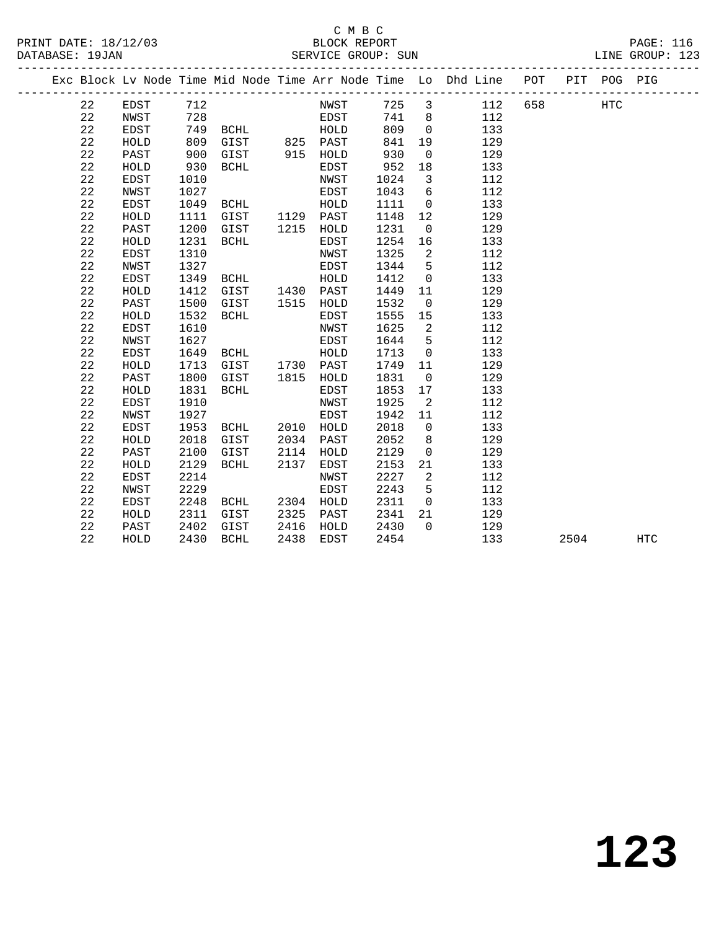## C M B C<br>BLOCK REPORT

| PRINT DATE: 18/12/03 | BLOCK REPORT       | <b>PAGE: 116</b> |  |
|----------------------|--------------------|------------------|--|
| DATABASE: 19JAN      | SERVICE GROUP: SUN | LINE GROUP: 123  |  |

|     | .      |  |
|-----|--------|--|
| ᅚᇧᇃ | CDOTID |  |

|  |    |             |      |           |      |           |      |                          | Exc Block Lv Node Time Mid Node Time Arr Node Time Lo Dhd Line POT |     |      | PIT POG PIG |     |
|--|----|-------------|------|-----------|------|-----------|------|--------------------------|--------------------------------------------------------------------|-----|------|-------------|-----|
|  | 22 | EDST        | 712  |           |      | NWST      |      |                          | 725 3 112                                                          | 658 |      | <b>HTC</b>  |     |
|  | 22 | NWST        | 728  |           |      | EDST      | 741  | 8 <sup>8</sup>           | 112                                                                |     |      |             |     |
|  | 22 | EDST        |      | 749 BCHL  |      | HOLD      | 809  | $\overline{0}$           | 133                                                                |     |      |             |     |
|  | 22 | HOLD        | 809  | GIST      |      | 825 PAST  | 841  | 19                       | 129                                                                |     |      |             |     |
|  | 22 | PAST        | 900  | GIST      |      | 915 HOLD  | 930  | $\mathbf 0$              | 129                                                                |     |      |             |     |
|  | 22 | HOLD        | 930  | BCHL      |      | EDST      | 952  | 18                       | 133                                                                |     |      |             |     |
|  | 22 | EDST        | 1010 |           |      | NWST      | 1024 | $\overline{3}$           | 112                                                                |     |      |             |     |
|  | 22 | NWST        | 1027 |           |      | EDST      | 1043 | 6                        | 112                                                                |     |      |             |     |
|  | 22 | EDST        | 1049 | BCHL      |      | HOLD      | 1111 | $\overline{0}$           | 133                                                                |     |      |             |     |
|  | 22 | HOLD        | 1111 | GIST      |      | 1129 PAST | 1148 | 12                       | 129                                                                |     |      |             |     |
|  | 22 | PAST        | 1200 | GIST      |      | 1215 HOLD | 1231 | $\overline{0}$           | 129                                                                |     |      |             |     |
|  | 22 | HOLD        | 1231 | BCHL      |      | EDST      | 1254 | 16                       | 133                                                                |     |      |             |     |
|  | 22 | EDST        | 1310 |           |      | NWST      | 1325 | 2                        | 112                                                                |     |      |             |     |
|  | 22 | NWST        | 1327 |           |      | EDST      | 1344 | 5                        | 112                                                                |     |      |             |     |
|  | 22 | <b>EDST</b> | 1349 | BCHL      |      | HOLD      | 1412 | $\mathsf{O}$             | 133                                                                |     |      |             |     |
|  | 22 | HOLD        | 1412 | GIST      |      | 1430 PAST | 1449 | 11                       | 129                                                                |     |      |             |     |
|  | 22 | PAST        | 1500 | GIST      |      | 1515 HOLD | 1532 | $\overline{0}$           | 129                                                                |     |      |             |     |
|  | 22 | HOLD        | 1532 | BCHL      |      | EDST      | 1555 | 15                       | 133                                                                |     |      |             |     |
|  | 22 | <b>EDST</b> | 1610 |           |      | NWST      | 1625 | $\overline{\phantom{a}}$ | 112                                                                |     |      |             |     |
|  | 22 | NWST        | 1627 |           |      | EDST      | 1644 | 5                        | 112                                                                |     |      |             |     |
|  | 22 | EDST        | 1649 | BCHL      |      | HOLD      | 1713 | $\mathbf 0$              | 133                                                                |     |      |             |     |
|  | 22 | HOLD        | 1713 | GIST      |      | 1730 PAST | 1749 | 11                       | 129                                                                |     |      |             |     |
|  | 22 | PAST        | 1800 | GIST      |      | 1815 HOLD | 1831 | $\overline{0}$           | 129                                                                |     |      |             |     |
|  | 22 | HOLD        | 1831 | BCHL      |      | EDST      | 1853 | 17                       | 133                                                                |     |      |             |     |
|  | 22 | <b>EDST</b> | 1910 |           |      | NWST      | 1925 | $\overline{2}$           | 112                                                                |     |      |             |     |
|  | 22 | NWST        | 1927 |           |      | EDST      | 1942 | 11                       | 112                                                                |     |      |             |     |
|  | 22 | <b>EDST</b> | 1953 | BCHL      | 2010 | HOLD      | 2018 | $\overline{0}$           | 133                                                                |     |      |             |     |
|  | 22 | HOLD        | 2018 | GIST      | 2034 | PAST      | 2052 | 8                        | 129                                                                |     |      |             |     |
|  | 22 | PAST        | 2100 | GIST      | 2114 | HOLD      | 2129 | $\mathbf 0$              | 129                                                                |     |      |             |     |
|  | 22 | HOLD        | 2129 | BCHL      | 2137 | EDST      | 2153 | 21                       | 133                                                                |     |      |             |     |
|  | 22 | EDST        | 2214 |           |      | NWST      | 2227 | 2                        | 112                                                                |     |      |             |     |
|  | 22 | NWST        | 2229 |           |      | EDST      | 2243 | 5                        | 112                                                                |     |      |             |     |
|  | 22 | EDST        | 2248 | BCHL      |      | 2304 HOLD | 2311 | $\overline{0}$           | 133                                                                |     |      |             |     |
|  | 22 | HOLD        | 2311 | GIST      | 2325 | PAST      | 2341 | 21                       | 129                                                                |     |      |             |     |
|  | 22 | PAST        | 2402 | GIST      | 2416 | HOLD      | 2430 | $\Omega$                 | 129                                                                |     |      |             |     |
|  | 22 | HOLD        |      | 2430 BCHL | 2438 | EDST      | 2454 |                          | 133                                                                |     | 2504 |             | HTC |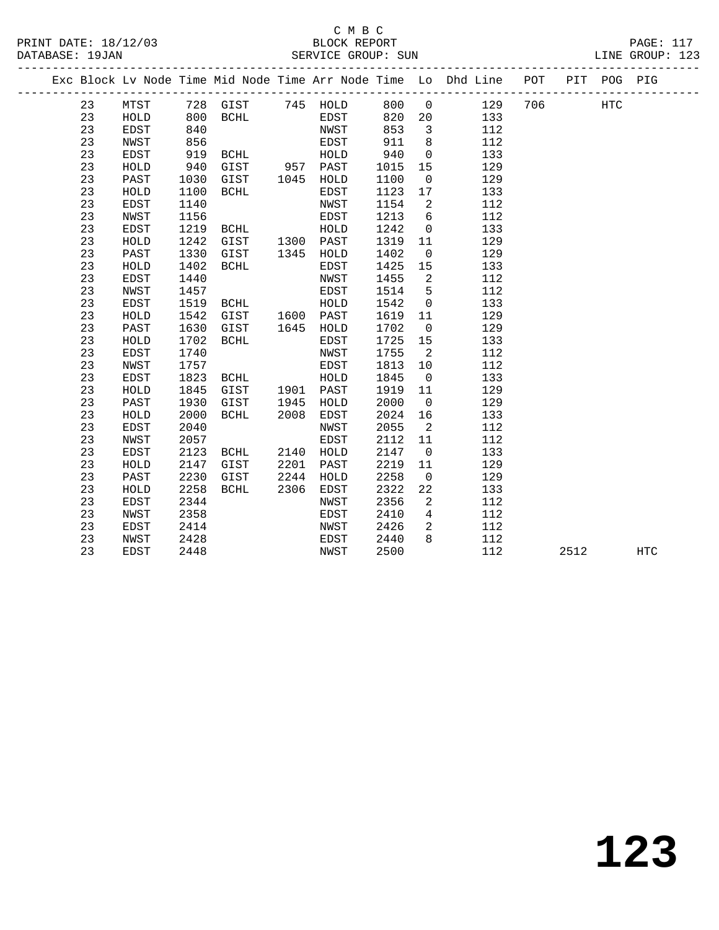## C M B C<br>BLOCK REPORT

|         |              |      |                                                              |      |           |             |                            | PRINT DATE: 18/12/03 BLOCK REPORT PAGE: 117<br>DATABASE: 19JAN SERVICE GROUP: SUN LINE GROUP: 123 |  |      |     |  |
|---------|--------------|------|--------------------------------------------------------------|------|-----------|-------------|----------------------------|---------------------------------------------------------------------------------------------------|--|------|-----|--|
|         |              |      |                                                              |      |           |             |                            | Exc Block Lv Node Time Mid Node Time Arr Node Time Lo Dhd Line POT PIT POG PIG                    |  |      |     |  |
| 23 MTST |              |      |                                                              |      |           |             |                            | 728 GIST 745 HOLD 800 0 129 706 HTC                                                               |  |      |     |  |
| 23      |              |      |                                                              |      |           |             |                            |                                                                                                   |  |      |     |  |
| 23      |              |      |                                                              |      |           |             |                            | HOLD 800 BCHL FIDST 820 20 133<br>EDST 840 NWST 853 3 112                                         |  |      |     |  |
| 23      | NWST         |      |                                                              |      |           | 911         | 8 <sup>8</sup>             | 112                                                                                               |  |      |     |  |
| 23      | <b>EDST</b>  |      |                                                              |      |           | 940<br>1015 | $\overline{0}$             | 133                                                                                               |  |      |     |  |
| 23      | ${\tt HOLD}$ |      |                                                              |      |           |             | 15                         | 129                                                                                               |  |      |     |  |
| 23      | PAST         |      | 1030 GIST 1045 HOLD                                          |      |           | 1100        | $\overline{0}$             | 129                                                                                               |  |      |     |  |
| 23      | HOLD         | 1100 | BCHL                                                         |      | EDST      | 1123        | 17                         | 133                                                                                               |  |      |     |  |
| 23      | EDST         |      |                                                              |      |           | 1154        | $\overline{\phantom{a}}$   | 112                                                                                               |  |      |     |  |
| 23      | NWST         |      |                                                              |      |           | 1213        | $6\overline{6}$            | 112                                                                                               |  |      |     |  |
| 23      | EDST         |      |                                                              |      |           | 1242        | $\overline{0}$             | 133                                                                                               |  |      |     |  |
| 23      | HOLD         | 1242 | GIST 1300 PAST                                               |      |           | 1319 11     |                            | 129                                                                                               |  |      |     |  |
| 23      | PAST         | 1330 | GIST                                                         |      | 1345 HOLD | 1402        | $\overline{0}$             | 129                                                                                               |  |      |     |  |
| 23      | HOLD         | 1402 | BCHL                                                         |      | EDST      | 1425        | 15                         | 133                                                                                               |  |      |     |  |
| 23      | EDST         | 1440 |                                                              |      | NWST      | 1455        | $\overline{2}$             | 112                                                                                               |  |      |     |  |
| 23      | NWST         | 1457 | EDST                                                         |      |           | 1514        | 5 <sup>5</sup>             | 112                                                                                               |  |      |     |  |
| 23      | EDST         | 1519 | <b>BCHL</b>                                                  |      | HOLD      | 1542        | $\overline{0}$             | 133                                                                                               |  |      |     |  |
| 23      | HOLD         |      | 1542 GIST 1600 PAST<br>1630 GIST 1645 HOLD<br>1702 BCHL EDST |      |           | 1619 11     |                            | 129                                                                                               |  |      |     |  |
| 23      | PAST         |      |                                                              |      |           | 1702        | $\overline{0}$             | 129                                                                                               |  |      |     |  |
| 23      | HOLD         |      |                                                              |      |           | 1725 15     |                            | 133                                                                                               |  |      |     |  |
| 23      | EDST         | 1740 |                                                              |      | NWST      | 1755        | $\overline{\mathbf{2}}$    | 112                                                                                               |  |      |     |  |
| 23      | NWST         | 1757 |                                                              |      | EDST      | 1813        | 10                         | 112                                                                                               |  |      |     |  |
| 23      | EDST         | 1823 | <b>BCHL</b>                                                  |      | HOLD      | 1845        | $\overline{0}$             | 133                                                                                               |  |      |     |  |
| 23      | ${\tt HOLD}$ | 1845 | GIST                                                         |      | 1901 PAST | 1919 11     |                            | 129                                                                                               |  |      |     |  |
| 23      | PAST         | 1930 | GIST                                                         |      | 1945 HOLD | 2000        | $\overline{0}$             | 129                                                                                               |  |      |     |  |
| 23      | HOLD         | 2000 | BCHL                                                         |      | 2008 EDST | 2024        | 16                         | 133                                                                                               |  |      |     |  |
| 23      | EDST         | 2040 |                                                              |      | NWST      | 2055        | $\overline{\phantom{0}}^2$ | 112                                                                                               |  |      |     |  |
| 23      | NWST         | 2057 |                                                              |      | EDST      | 2112        | 11                         | 112                                                                                               |  |      |     |  |
| 23      | EDST         |      | 2123 BCHL                                                    |      | 2140 HOLD | 2147        | $\overline{0}$             | 133                                                                                               |  |      |     |  |
| 23      | HOLD         | 2147 | GIST                                                         | 2201 | PAST      | 2219        | 11                         | 129                                                                                               |  |      |     |  |
| 23      | PAST         | 2230 | GIST                                                         | 2244 | HOLD      | 2258        | $\overline{0}$             | 129                                                                                               |  |      |     |  |
| 23      | HOLD         | 2258 | BCHL                                                         |      | 2306 EDST | 2322        | 22                         | 133                                                                                               |  |      |     |  |
| 23      | EDST         | 2344 |                                                              |      | NWST      | 2356        | $\overline{2}$             | 112                                                                                               |  |      |     |  |
| 23      | NWST         | 2358 |                                                              |      | EDST      | 2410        | $\overline{4}$             | 112                                                                                               |  |      |     |  |
| 23      | EDST         | 2414 |                                                              |      | NWST      | 2426        |                            | 2 112                                                                                             |  |      |     |  |
| 23      | NWST         | 2428 |                                                              |      | EDST      | 2440        |                            | 8 112                                                                                             |  |      |     |  |
| 23      | EDST         | 2448 |                                                              |      | NWST      | 2500        |                            | 112                                                                                               |  | 2512 | HTC |  |
|         |              |      |                                                              |      |           |             |                            |                                                                                                   |  |      |     |  |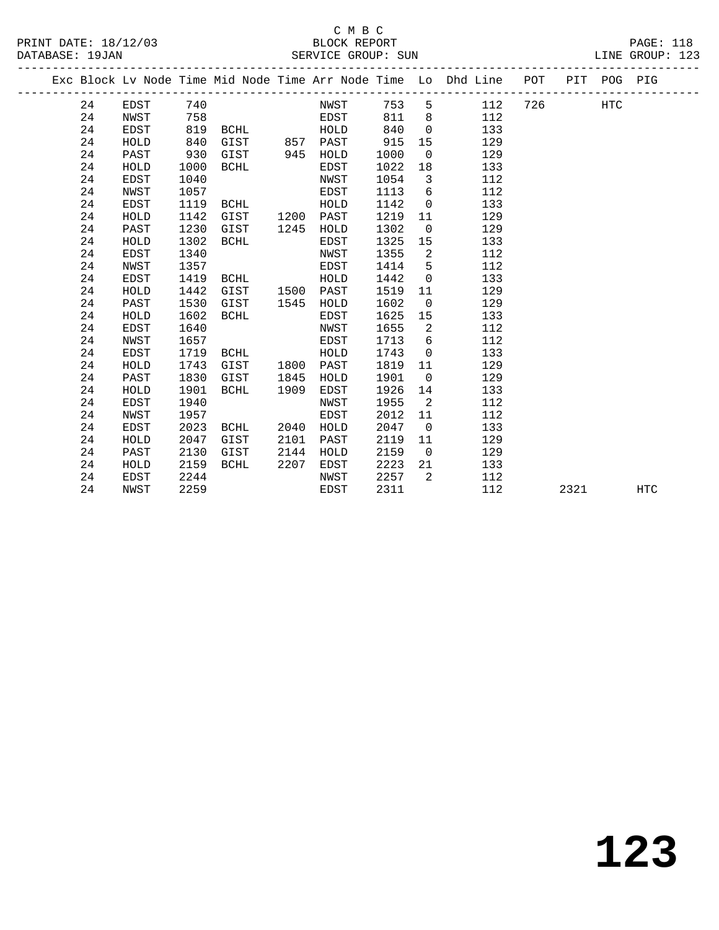## C M B C<br>BLOCK REPORT SERVICE GROUP: SUN

PRINT DATE: 18/12/03 BLOCK REPORT PAGE: 118

|  |    |             |      |             |      |          |      |                | Exc Block Lv Node Time Mid Node Time Arr Node Time Lo Dhd Line POT |     |      | PIT POG PIG |            |
|--|----|-------------|------|-------------|------|----------|------|----------------|--------------------------------------------------------------------|-----|------|-------------|------------|
|  | 24 | EDST        | 740  |             |      | NWST     | 753  | 5              | 112                                                                | 726 |      | HTC         |            |
|  | 24 | NWST        | 758  |             |      | EDST     | 811  | 8              | 112                                                                |     |      |             |            |
|  | 24 | <b>EDST</b> | 819  | BCHL        |      | HOLD     | 840  | $\Omega$       | 133                                                                |     |      |             |            |
|  | 24 | HOLD        | 840  | GIST        |      | 857 PAST | 915  | 15             | 129                                                                |     |      |             |            |
|  | 24 | PAST        | 930  | GIST        | 945  | HOLD     | 1000 | $\overline{0}$ | 129                                                                |     |      |             |            |
|  | 24 | HOLD        | 1000 | BCHL        |      | EDST     | 1022 | 18             | 133                                                                |     |      |             |            |
|  | 24 | EDST        | 1040 |             |      | NWST     | 1054 | 3              | 112                                                                |     |      |             |            |
|  | 24 | NWST        | 1057 |             |      | EDST     | 1113 | 6              | 112                                                                |     |      |             |            |
|  | 24 | EDST        | 1119 | BCHL        |      | HOLD     | 1142 | $\mathbf 0$    | 133                                                                |     |      |             |            |
|  | 24 | HOLD        | 1142 | GIST        | 1200 | PAST     | 1219 | 11             | 129                                                                |     |      |             |            |
|  | 24 | PAST        | 1230 | GIST        | 1245 | HOLD     | 1302 | $\overline{0}$ | 129                                                                |     |      |             |            |
|  | 24 | HOLD        | 1302 | <b>BCHL</b> |      | EDST     | 1325 | 15             | 133                                                                |     |      |             |            |
|  | 24 | EDST        | 1340 |             |      | NWST     | 1355 | 2              | 112                                                                |     |      |             |            |
|  | 24 | NWST        | 1357 |             |      | EDST     | 1414 | 5              | 112                                                                |     |      |             |            |
|  | 24 | <b>EDST</b> | 1419 | BCHL        |      | HOLD     | 1442 | $\mathbf 0$    | 133                                                                |     |      |             |            |
|  | 24 | HOLD        | 1442 | GIST        | 1500 | PAST     | 1519 | 11             | 129                                                                |     |      |             |            |
|  | 24 | PAST        | 1530 | GIST        | 1545 | HOLD     | 1602 | $\mathbf 0$    | 129                                                                |     |      |             |            |
|  | 24 | HOLD        | 1602 | <b>BCHL</b> |      | EDST     | 1625 | 15             | 133                                                                |     |      |             |            |
|  | 24 | EDST        | 1640 |             |      | NWST     | 1655 | 2              | 112                                                                |     |      |             |            |
|  | 24 | NWST        | 1657 |             |      | EDST     | 1713 | 6              | 112                                                                |     |      |             |            |
|  | 24 | <b>EDST</b> | 1719 | BCHL        |      | HOLD     | 1743 | $\mathbf 0$    | 133                                                                |     |      |             |            |
|  | 24 | HOLD        | 1743 | GIST        | 1800 | PAST     | 1819 | 11             | 129                                                                |     |      |             |            |
|  | 24 | PAST        | 1830 | GIST        | 1845 | HOLD     | 1901 | $\Omega$       | 129                                                                |     |      |             |            |
|  | 24 | HOLD        | 1901 | <b>BCHL</b> | 1909 | EDST     | 1926 | 14             | 133                                                                |     |      |             |            |
|  | 24 | <b>EDST</b> | 1940 |             |      | NWST     | 1955 | 2              | 112                                                                |     |      |             |            |
|  | 24 | NWST        | 1957 |             |      | EDST     | 2012 | 11             | 112                                                                |     |      |             |            |
|  | 24 | EDST        | 2023 | BCHL        | 2040 | HOLD     | 2047 | $\mathbf 0$    | 133                                                                |     |      |             |            |
|  | 24 | HOLD        | 2047 | GIST        | 2101 | PAST     | 2119 | 11             | 129                                                                |     |      |             |            |
|  | 24 | PAST        | 2130 | GIST        | 2144 | HOLD     | 2159 | $\overline{0}$ | 129                                                                |     |      |             |            |
|  | 24 | HOLD        | 2159 | BCHL        | 2207 | EDST     | 2223 | 21             | 133                                                                |     |      |             |            |
|  | 24 | <b>EDST</b> | 2244 |             |      | NWST     | 2257 | 2              | 112                                                                |     |      |             |            |
|  | 24 | NWST        | 2259 |             |      | EDST     | 2311 |                | 112                                                                |     | 2321 |             | <b>HTC</b> |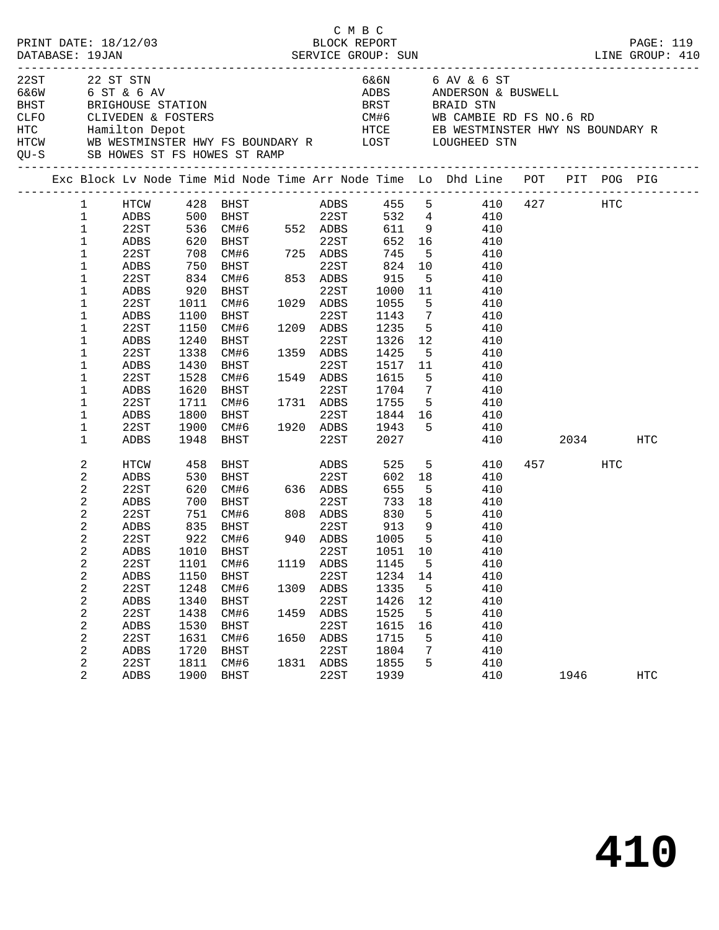| PRINT DATE: 18/12/03<br>DATABASE: 19JAN |                                                                                                                                                                                                                                                                                                                  |                                                                                                                                              |                                                                                                                 |                                                                                                                                                                                                                                                    |                              | C M B C                                                                                                          | BLOCK REPORT                                                                                                                           |                                                                                                                                                                                 |                                                                                                                                                                                                                                                                                   |             |     | PAGE: 119  |
|-----------------------------------------|------------------------------------------------------------------------------------------------------------------------------------------------------------------------------------------------------------------------------------------------------------------------------------------------------------------|----------------------------------------------------------------------------------------------------------------------------------------------|-----------------------------------------------------------------------------------------------------------------|----------------------------------------------------------------------------------------------------------------------------------------------------------------------------------------------------------------------------------------------------|------------------------------|------------------------------------------------------------------------------------------------------------------|----------------------------------------------------------------------------------------------------------------------------------------|---------------------------------------------------------------------------------------------------------------------------------------------------------------------------------|-----------------------------------------------------------------------------------------------------------------------------------------------------------------------------------------------------------------------------------------------------------------------------------|-------------|-----|------------|
| 22ST                                    |                                                                                                                                                                                                                                                                                                                  | 22 ST STN<br>6&6W 6 ST & 6 AV                                                                                                                |                                                                                                                 | QU-S SB HOWES ST FS HOWES ST RAMP                                                                                                                                                                                                                  |                              |                                                                                                                  |                                                                                                                                        |                                                                                                                                                                                 | 6&6N 6 AV & 6 ST<br>ADBS ANDERSON & BUSWELL<br>BHST BRIGHOUSE STATION BRST BRAID STN<br>CLFO CLIVEDEN & FOSTERS CLEVED COME COME COME CAMBIE RD FS NO.6 RD<br>HTC Hamilton Depot HTCE EB WESTMINSTER HWY NS BOUNDARY R<br>HTCW WB WESTMINSTER HWY FS BOUNDARY R LOST LOUGHEED STN |             |     |            |
|                                         |                                                                                                                                                                                                                                                                                                                  |                                                                                                                                              |                                                                                                                 |                                                                                                                                                                                                                                                    |                              |                                                                                                                  |                                                                                                                                        |                                                                                                                                                                                 | Exc Block Lv Node Time Mid Node Time Arr Node Time Lo Dhd Line POT PIT POG PIG                                                                                                                                                                                                    |             |     |            |
|                                         | $\mathbf{1}$<br>$\mathbf{1}$<br>$\mathbf{1}$<br>$\mathbf{1}$<br>$\mathbf{1}$<br>$\mathbf{1}$<br>$\mathbf{1}$<br>$\mathbf{1}$<br>$\mathbf{1}$<br>$\mathbf{1}$<br>$\mathbf{1}$<br>$\mathbf{1}$<br>$\mathbf{1}$<br>$\mathbf{1}$<br>$\mathbf{1}$<br>$\mathbf{1}$<br>1<br>$\mathbf 1$<br>$\mathbf{1}$<br>$\mathbf{1}$ | 22ST<br>ADBS<br>22ST<br>ADBS<br>22ST<br>ADBS<br>22ST<br>ADBS<br>22ST<br>ADBS<br>22ST<br>ADBS<br>22ST<br>ADBS<br>22ST<br>ADBS                 | 1011<br>1100<br>1150<br>1240<br>1338<br>1430<br>1528<br>1620<br>1711<br>1800<br>1900                            | ADBS 500 BHST 22ST<br>22ST 536 CM#6 552 ADBS<br>ADBS 620 BHST 22ST<br>708 CM#6 725 ADBS<br>750 BHST 22ST<br>834 CM#6 853 ADBS<br>920 BHST<br>CM#6 1029 ADBS<br>BHST<br>CM#6<br>BHST<br>CM#6<br>BHST<br>CM#6<br>BHST<br>CM#6 1731 ADBS<br>1948 BHST | 1549                         | 22ST<br>22ST<br>1209 ADBS<br>22ST<br>1359 ADBS<br>22ST<br>1549 ADBS<br>22ST                                      | 652<br>745<br>824<br>915<br>1000<br>1055<br>1143<br>1235<br>1326<br>1425<br>1517<br>1615<br>1704<br>1755<br>1943<br>2027               | $5^{\circ}$<br>10<br>5 <sub>5</sub><br>11<br>$5^{\circ}$<br>$7\overline{ }$<br>5 <sup>5</sup><br>12<br>$5^{\circ}$<br>11<br>5 <sup>5</sup><br>$7\overline{ }$<br>5 <sub>5</sub> | HTCW $428$ BHST $ADBS$ $455$ 5 $410$ $427$ HTC<br>532  4  410<br>611  9  410<br>16 16<br>410<br>410<br>410<br>410<br>410<br>410<br>410<br>410<br>410<br>410<br>410<br>410<br>410<br>$5^{\circ}$<br>410<br>1844 16<br>410<br>410<br>410                                            | 2034        |     | HTC        |
|                                         | 2<br>2<br>2<br>2<br>2<br>2<br>2<br>2<br>2<br>2<br>2<br>2<br>2<br>2<br>2<br>2<br>2<br>2                                                                                                                                                                                                                           | HTCW<br>ADBS<br>22ST<br>ADBS<br>22ST<br>ADBS<br>22ST<br>22ST<br>ADBS<br>22ST<br>ADBS<br>22ST<br>${\tt ADBS}$<br>22ST<br>ADBS<br>22ST<br>ADBS | 458<br>530<br>620<br>700<br>751<br>1101<br>1150<br>1248<br>1340<br>1438<br>1530<br>1631<br>1720<br>1811<br>1900 | <b>BHST</b><br>BHST<br>CM#6 808 ADBS<br>835 BHST 22ST<br>922 CM#6 940 ADBS<br>ADBS 1010 BHST 22ST<br>CM#6<br>BHST<br>CM#6<br>BHST<br>CM#6<br>BHST<br>CM#6<br><b>BHST</b><br>CM#6<br>BHST                                                           | 1119<br>1309<br>1459<br>1831 | ADBS<br>22ST<br>22ST<br>ADBS<br>22ST<br>ADBS<br>22ST<br>ADBS<br>22ST<br>1650 ADBS<br>22ST<br><b>ADBS</b><br>22ST | 525<br>602<br>655<br>733<br>830<br>$-30$<br>913<br>101<br>1145<br>1234<br>1335<br>1426<br>1525<br>1615<br>1715<br>1804<br>1855<br>1939 | 18<br>5 <sup>5</sup><br>18<br>$5^{\circ}$<br>9<br>$5^{\circ}$<br>5<br>14<br>5<br>12<br>5<br>16<br>5<br>7<br>5                                                                   | $5 - 5$<br>410<br>410<br>410<br>410<br>410<br>410<br>410<br>1051 10 410<br>410<br>410<br>410<br>410<br>410<br>410<br>410<br>410<br>410<br>410                                                                                                                                     | 457<br>1946 | HTC | <b>HTC</b> |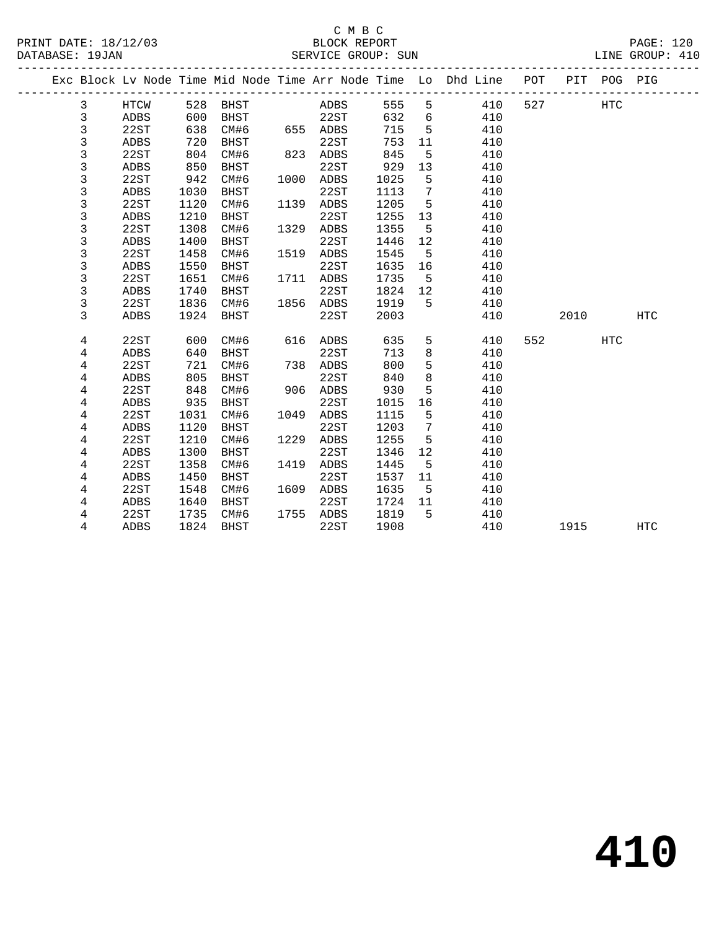|  |      |     |              |     |         |       | Exc Block Lv Node Time Mid Node Time Arr Node Time Lo Dhd Line POT PIT POG PIG |     |      |  |
|--|------|-----|--------------|-----|---------|-------|--------------------------------------------------------------------------------|-----|------|--|
|  | HTCW |     | 528 BHST     |     | ADBS    | 555 5 | 410                                                                            | 527 | HTC. |  |
|  | ADBS | 600 | BHST         |     | 22ST    | 632   | 410                                                                            |     |      |  |
|  | つつぐす |     | $638$ $CMH6$ | 655 | 7. DR C | 715   | 41 N                                                                           |     |      |  |

| 3              | ADBS        | 600  | <b>BHST</b> |      | 22ST        | 632  | 6              | 410 |     |      |     |            |  |
|----------------|-------------|------|-------------|------|-------------|------|----------------|-----|-----|------|-----|------------|--|
| 3              | 22ST        | 638  | CM#6        | 655  | ADBS        | 715  | 5              | 410 |     |      |     |            |  |
| 3              | <b>ADBS</b> | 720  | <b>BHST</b> |      | 22ST        | 753  | 11             | 410 |     |      |     |            |  |
| 3              | 22ST        | 804  | CM#6        | 823  | ADBS        | 845  | 5              | 410 |     |      |     |            |  |
| 3              | <b>ADBS</b> | 850  | <b>BHST</b> |      | 22ST        | 929  | 13             | 410 |     |      |     |            |  |
| 3              | 22ST        | 942  | CM#6        | 1000 | ADBS        | 1025 | 5              | 410 |     |      |     |            |  |
| 3              | ADBS        | 1030 | <b>BHST</b> |      | 22ST        | 1113 | $7\phantom{.}$ | 410 |     |      |     |            |  |
| 3              | 22ST        | 1120 | CM#6        | 1139 | ADBS        | 1205 | 5              | 410 |     |      |     |            |  |
| 3              | ADBS        | 1210 | <b>BHST</b> |      | 22ST        | 1255 | 13             | 410 |     |      |     |            |  |
| 3              | 22ST        | 1308 | CM#6        | 1329 | ADBS        | 1355 | 5              | 410 |     |      |     |            |  |
| 3              | <b>ADBS</b> | 1400 | <b>BHST</b> |      | 22ST        | 1446 | $12$           | 410 |     |      |     |            |  |
| 3              | 22ST        | 1458 | CM#6        | 1519 | ADBS        | 1545 | 5              | 410 |     |      |     |            |  |
| 3              | ADBS        | 1550 | BHST        |      | 22ST        | 1635 | 16             | 410 |     |      |     |            |  |
| 3              | 22ST        | 1651 | CM#6        | 1711 | <b>ADBS</b> | 1735 | 5              | 410 |     |      |     |            |  |
| 3              | ADBS        | 1740 | <b>BHST</b> |      | 22ST        | 1824 | $12$           | 410 |     |      |     |            |  |
| 3              | 22ST        | 1836 | CM#6        | 1856 | ADBS        | 1919 | 5              | 410 |     |      |     |            |  |
| 3              | <b>ADBS</b> | 1924 | BHST        |      | 22ST        | 2003 |                | 410 |     | 2010 |     | HTC        |  |
|                |             |      |             |      |             |      |                |     |     |      |     |            |  |
| 4              | 22ST        | 600  | CM#6        | 616  | ADBS        | 635  | 5              | 410 | 552 |      | HTC |            |  |
| 4              | <b>ADBS</b> | 640  | <b>BHST</b> |      | 22ST        | 713  | 8              | 410 |     |      |     |            |  |
| $\overline{4}$ | 22ST        | 721  | CM#6        | 738  | <b>ADBS</b> | 800  | 5              | 410 |     |      |     |            |  |
| $\overline{4}$ | <b>ADBS</b> | 805  | <b>BHST</b> |      | 22ST        | 840  | $\,8\,$        | 410 |     |      |     |            |  |
| $\overline{4}$ | 22ST        | 848  | CM#6        | 906  | <b>ADBS</b> | 930  | 5              | 410 |     |      |     |            |  |
| 4              | <b>ADBS</b> | 935  | <b>BHST</b> |      | 22ST        | 1015 | 16             | 410 |     |      |     |            |  |
| 4              | 22ST        | 1031 | CM#6        | 1049 | ADBS        | 1115 | 5              | 410 |     |      |     |            |  |
| 4              | ADBS        | 1120 | <b>BHST</b> |      | 22ST        | 1203 | 7              | 410 |     |      |     |            |  |
| 4              | 22ST        | 1210 | CM#6        | 1229 | ADBS        | 1255 | 5              | 410 |     |      |     |            |  |
| $\overline{4}$ | <b>ADBS</b> | 1300 | <b>BHST</b> |      | 22ST        | 1346 | $12$           | 410 |     |      |     |            |  |
| $\overline{4}$ | 22ST        | 1358 | CM#6        | 1419 | ADBS        | 1445 | 5              | 410 |     |      |     |            |  |
| 4              | <b>ADBS</b> | 1450 | <b>BHST</b> |      | 22ST        | 1537 | 11             | 410 |     |      |     |            |  |
| 4              | 22ST        | 1548 | CM#6        | 1609 | <b>ADBS</b> | 1635 | 5              | 410 |     |      |     |            |  |
| 4              | <b>ADBS</b> | 1640 | <b>BHST</b> |      | 22ST        | 1724 | 11             | 410 |     |      |     |            |  |
|                |             |      |             |      |             |      |                |     |     |      |     |            |  |
| 4              | 22ST        | 1735 | CM#6        | 1755 | ADBS        | 1819 | 5              | 410 |     |      |     |            |  |
| 4              | ADBS        | 1824 | <b>BHST</b> |      | 22ST        | 1908 |                | 410 |     | 1915 |     | <b>HTC</b> |  |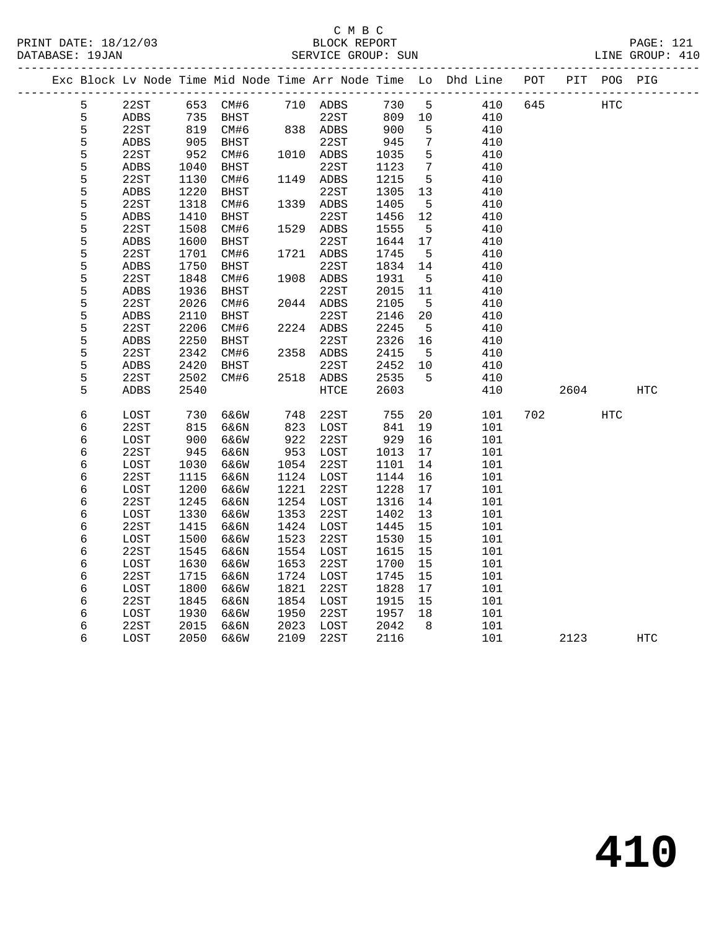## C M B C<br>BLOCK REPORT SERVICE GROUP: SUN

PRINT DATE: 18/12/03 BLOCK REPORT PAGE: 121

|  |   |      |                                                              |                   |            |           |            |                 | Exc Block Lv Node Time Mid Node Time Arr Node Time Lo Dhd Line POT |     |      | PIT POG PIG |            |
|--|---|------|--------------------------------------------------------------|-------------------|------------|-----------|------------|-----------------|--------------------------------------------------------------------|-----|------|-------------|------------|
|  | 5 | 22ST |                                                              | 653 CM#6 710 ADBS |            |           | 730        | $5^{\circ}$     | 410                                                                | 645 |      | HTC         |            |
|  | 5 | ADBS |                                                              | BHST              |            | 22ST      | 809 10     |                 | 410                                                                |     |      |             |            |
|  | 5 | 22ST | $\begin{array}{c}\n 2 \\  819 \\  \hline\n 25\n \end{array}$ | CM#6              |            | 838 ADBS  | 809<br>900 | 5               | 410                                                                |     |      |             |            |
|  | 5 | ADBS | 905                                                          | BHST              |            | 22ST      | 945        | $7\phantom{.0}$ | 410                                                                |     |      |             |            |
|  | 5 | 22ST | 952                                                          | CM#6              |            | 1010 ADBS | 1035       | $5\overline{5}$ | 410                                                                |     |      |             |            |
|  | 5 | ADBS | 1040                                                         | BHST              |            | 22ST      | 1123       | $7\phantom{.0}$ | 410                                                                |     |      |             |            |
|  | 5 | 22ST | 1130                                                         | CM#6              |            | 1149 ADBS | 1215       | $5^{\circ}$     | 410                                                                |     |      |             |            |
|  | 5 | ADBS | 1220                                                         | BHST              |            | 22ST      | 1305       | 13              | 410                                                                |     |      |             |            |
|  | 5 | 22ST | 1318                                                         | CM#6              |            | 1339 ADBS | 1405       | 5               | 410                                                                |     |      |             |            |
|  | 5 | ADBS | 1410                                                         | <b>BHST</b>       |            | 22ST      | 1456       | 12              | 410                                                                |     |      |             |            |
|  | 5 | 22ST | 1508                                                         | CM#6              |            | 1529 ADBS | 1555       | $5^{\circ}$     | 410                                                                |     |      |             |            |
|  | 5 | ADBS | 1600                                                         | BHST              |            | 22ST      | 1644       | 17              | 410                                                                |     |      |             |            |
|  | 5 | 22ST | 1701                                                         | CM#6              |            | 1721 ADBS | 1745       | $5^{\circ}$     | 410                                                                |     |      |             |            |
|  | 5 | ADBS | 1750                                                         | BHST              |            | 22ST      | 1834       | 14              | 410                                                                |     |      |             |            |
|  | 5 | 22ST | 1848                                                         | CM#6              |            | 1908 ADBS | 1931       | $5^{\circ}$     | 410                                                                |     |      |             |            |
|  | 5 | ADBS | 1936                                                         | BHST              |            | 22ST      | 2015       | 11              | 410                                                                |     |      |             |            |
|  | 5 | 22ST | 2026                                                         | CM#6              |            | 2044 ADBS | 2105       | $5^{\circ}$     | 410                                                                |     |      |             |            |
|  | 5 | ADBS | 2110                                                         | BHST              |            | 22ST      | 2146       | 20              | 410                                                                |     |      |             |            |
|  | 5 | 22ST | 2206                                                         | CM#6              |            | 2224 ADBS | 2245       | 5               | 410                                                                |     |      |             |            |
|  | 5 | ADBS | 2250                                                         | BHST              |            | 22ST      | 2326       | 16              | 410                                                                |     |      |             |            |
|  | 5 | 22ST | 2342                                                         | CM#6              |            | 2358 ADBS | 2415       | $5^{\circ}$     | 410                                                                |     |      |             |            |
|  | 5 | ADBS | 2420                                                         | <b>BHST</b>       |            | 22ST      | 2452       | 10              | 410                                                                |     |      |             |            |
|  | 5 | 22ST | 2502                                                         | CM#6              |            | 2518 ADBS | 2535       | $-5$            | 410                                                                |     |      |             |            |
|  | 5 | ADBS | 2540                                                         |                   |            | HTCE      | 2603       |                 | 410                                                                |     | 2604 |             | HTC        |
|  | 6 | LOST | 730                                                          | 6&6W              | 748<br>823 | 22ST      | 755        | 20              | 101                                                                | 702 |      | <b>HTC</b>  |            |
|  | 6 | 22ST | 815                                                          | 6&6N              |            | LOST      | 841        | 19              | 101                                                                |     |      |             |            |
|  | 6 | LOST | 900                                                          | 6&6W              | 922        | 22ST      | 929        | 16              | 101                                                                |     |      |             |            |
|  | 6 | 22ST | 945                                                          | 6&6N              | 953        | LOST      | 1013       | 17              | 101                                                                |     |      |             |            |
|  | 6 | LOST | 1030                                                         | 6&6W              | 1054       | 22ST      | 1101       | 14              | 101                                                                |     |      |             |            |
|  | 6 | 22ST | 1115                                                         | 6&6N              | 1124       | LOST      | 1144       | 16              | 101                                                                |     |      |             |            |
|  | 6 | LOST | 1200                                                         | 6&6W              | 1221       | 22ST      | 1228       | 17              | 101                                                                |     |      |             |            |
|  | 6 | 22ST | 1245                                                         | 6&6N              | 1254       | LOST      | 1316       | 14              | 101                                                                |     |      |             |            |
|  | 6 | LOST | 1330                                                         | 6&6W              | 1353       | 22ST      | 1402       | 13              | 101                                                                |     |      |             |            |
|  | 6 | 22ST | 1415                                                         | 6&6N              |            | 1424 LOST | 1445       | 15              | 101                                                                |     |      |             |            |
|  | 6 | LOST | 1500                                                         | 6&6W              | 1523       | 22ST      | 1530       | 15              | 101                                                                |     |      |             |            |
|  | 6 | 22ST | 1545                                                         | 6&6N              | 1554       | LOST      | 1615       | 15              | 101                                                                |     |      |             |            |
|  | 6 | LOST | 1630                                                         | 6&6W              | 1653       | 22ST      | 1700       | 15              | 101                                                                |     |      |             |            |
|  | 6 | 22ST | 1715                                                         | 6&6N              | 1724       | LOST      | 1745       | 15              | 101                                                                |     |      |             |            |
|  | 6 | LOST | 1800                                                         | 6&6W              | 1821       | 22ST      | 1828       | 17              | 101                                                                |     |      |             |            |
|  | 6 | 22ST | 1845                                                         | 6&6N              | 1854       | LOST      | 1915       | 15              | 101                                                                |     |      |             |            |
|  | 6 | LOST | 1930                                                         | 6&6W              | 1950       | 22ST      | 1957       | 18              | 101                                                                |     |      |             |            |
|  | 6 | 22ST | 2015                                                         | 6&6N              | 2023       | LOST      | 2042       | 8 <sup>8</sup>  | 101                                                                |     |      |             |            |
|  | 6 | LOST | 2050                                                         | 6&6W              | 2109       | 22ST      | 2116       |                 | 101                                                                |     | 2123 |             | <b>HTC</b> |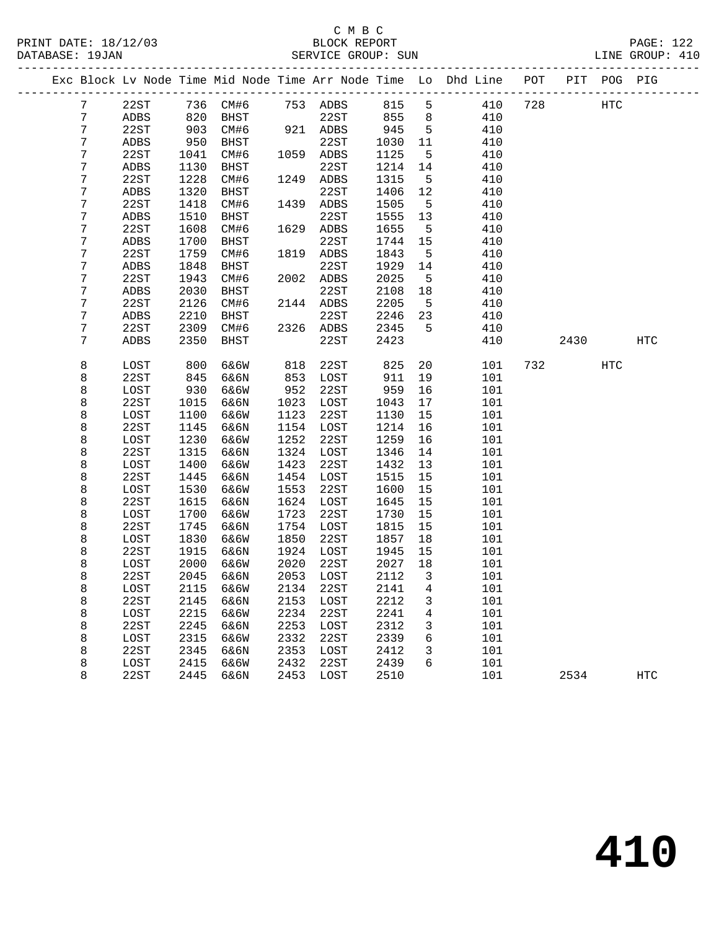#### C M B C<br>BLOCK REPORT PRINT DATE: 18/12/03 BLOCK REPORT PAGE: 122 SERVICE GROUP: SUN

|  |                |      |      |           |      |           |        |                         | Exc Block Lv Node Time Mid Node Time Arr Node Time Lo Dhd Line POT |     |      | PIT POG PIG |            |
|--|----------------|------|------|-----------|------|-----------|--------|-------------------------|--------------------------------------------------------------------|-----|------|-------------|------------|
|  | 7              | 22ST |      | 736 CM#6  |      | 753 ADBS  | 815    | 5                       | 410                                                                | 728 |      | <b>HTC</b>  |            |
|  | 7              | ADBS | 820  | BHST      |      | 22ST      | 855    | 8 <sup>8</sup>          | 410                                                                |     |      |             |            |
|  | $\overline{7}$ | 22ST | 903  | CM#6      |      | 921 ADBS  | 945    | $5^{\circ}$             | 410                                                                |     |      |             |            |
|  | 7              | ADBS | 950  | BHST      |      | 22ST      | 1030   | 11                      | 410                                                                |     |      |             |            |
|  | 7              | 22ST | 1041 | CM#6      |      | 1059 ADBS | 1125   | 5                       | 410                                                                |     |      |             |            |
|  | 7              | ADBS | 1130 | BHST      |      | 22ST      | 1214   | 14                      | 410                                                                |     |      |             |            |
|  | 7              | 22ST | 1228 | CM#6      |      | 1249 ADBS | 1315   | $5^{\circ}$             | 410                                                                |     |      |             |            |
|  | 7              | ADBS | 1320 | BHST      |      | 22ST      | 1406   | 12                      | 410                                                                |     |      |             |            |
|  | 7              | 22ST | 1418 | CM#6      | 1439 | ADBS      | 1505   | $5^{\circ}$             | 410                                                                |     |      |             |            |
|  | 7              | ADBS | 1510 | BHST      |      | 22ST      | 1555   | 13                      | 410                                                                |     |      |             |            |
|  | 7              | 22ST | 1608 | CM#6      |      | 1629 ADBS | 1655   | $5^{\circ}$             | 410                                                                |     |      |             |            |
|  | 7              | ADBS | 1700 | BHST      |      | 22ST      | 1744   | 15                      | 410                                                                |     |      |             |            |
|  | 7              | 22ST | 1759 | CM#6      | 1819 | ADBS      | 1843   | 5                       | 410                                                                |     |      |             |            |
|  | 7              | ADBS | 1848 | BHST      |      | 22ST      | 1929   | 14                      | 410                                                                |     |      |             |            |
|  | 7              | 22ST | 1943 | CM#6      |      | 2002 ADBS | 2025   | $5\overline{)}$         | 410                                                                |     |      |             |            |
|  | 7              | ADBS | 2030 | BHST      |      | 22ST      | 2108   | 18                      | 410                                                                |     |      |             |            |
|  | 7              | 22ST | 2126 | CM#6      |      | 2144 ADBS | 2205   | $5^{\circ}$             | 410                                                                |     |      |             |            |
|  | 7              | ADBS | 2210 | BHST      |      | 22ST      | 2246   | 23                      | 410                                                                |     |      |             |            |
|  | 7              | 22ST | 2309 | CM#6      |      | 2326 ADBS | 2345   | $5^{\circ}$             | 410                                                                |     |      |             |            |
|  | 7              | ADBS | 2350 | BHST      |      | 22ST      | 2423   |                         | 410                                                                |     | 2430 |             | HTC        |
|  | 8              | LOST | 800  | 6&6W      | 818  | 22ST      | 825    | 20                      | 101                                                                |     | 732  | HTC         |            |
|  | 8              | 22ST | 845  | 6&6N      | 853  | LOST      | 911    | 19                      | 101                                                                |     |      |             |            |
|  | 8              | LOST | 930  | 6&6W      | 952  | 22ST      | 959    | 16                      | 101                                                                |     |      |             |            |
|  | 8              | 22ST | 1015 | 6&6N      | 1023 | LOST      | 1043   | 17                      | 101                                                                |     |      |             |            |
|  | 8              | LOST | 1100 | 6&6W      | 1123 | 22ST      | 1130   | 15                      | 101                                                                |     |      |             |            |
|  | 8              | 22ST | 1145 | 6&6N      | 1154 | LOST      | 1214   | 16                      | 101                                                                |     |      |             |            |
|  | 8              | LOST | 1230 | 6&6W      | 1252 | 22ST      | 1259   | 16                      | 101                                                                |     |      |             |            |
|  | 8              | 22ST | 1315 | 6&6N      | 1324 | LOST      | 1346   | 14                      | 101                                                                |     |      |             |            |
|  | 8              | LOST | 1400 | 6&6W      | 1423 | 22ST      | 1432   | 13                      | 101                                                                |     |      |             |            |
|  | 8              | 22ST | 1445 | 6&6N      | 1454 | LOST      | 1515   | 15                      | 101                                                                |     |      |             |            |
|  | 8              | LOST | 1530 | 6&6W      | 1553 | 22ST      | 1600   | 15                      | 101                                                                |     |      |             |            |
|  | 8              | 22ST | 1615 | 6&6N      | 1624 | LOST      | 1645   | 15                      | 101                                                                |     |      |             |            |
|  | 8              | LOST | 1700 | 6&6W      | 1723 | 22ST      | 1730   | 15                      | 101                                                                |     |      |             |            |
|  | 8              | 22ST | 1745 | 6&6N      | 1754 | LOST      | 1815   | 15                      | 101                                                                |     |      |             |            |
|  | 8              | LOST | 1830 | 6&6W      | 1850 | 22ST      | 1857   | 18                      | 101                                                                |     |      |             |            |
|  | 8              | 22ST | 1915 | 6&6N      | 1924 | LOST      | 1945   | 15                      | 101                                                                |     |      |             |            |
|  | 8              | LOST | 2000 | 6&6W      | 2020 | 22ST      | 2027   | 18                      | 101                                                                |     |      |             |            |
|  | 8              | 22ST | 2045 | 6&6N      | 2053 | LOST      | 2112   | $\overline{\mathbf{3}}$ | 101                                                                |     |      |             |            |
|  | 8              | LOST |      | 2115 6&6W |      | 2134 22ST | 2141 4 |                         | 101                                                                |     |      |             |            |
|  | 8              | 22ST | 2145 | 6&6N      | 2153 | LOST      | 2212   | 3                       | 101                                                                |     |      |             |            |
|  | 8              | LOST | 2215 | 6&6W      | 2234 | 22ST      | 2241   | 4                       | 101                                                                |     |      |             |            |
|  | 8              | 22ST | 2245 | 6&6N      | 2253 | LOST      | 2312   | 3                       | 101                                                                |     |      |             |            |
|  | 8              | LOST | 2315 | 6&6W      | 2332 | 22ST      | 2339   | 6                       | 101                                                                |     |      |             |            |
|  | 8              | 22ST | 2345 | 6&6N      | 2353 | LOST      | 2412   | 3                       | 101                                                                |     |      |             |            |
|  | 8              | LOST | 2415 | 6&6W      | 2432 | 22ST      | 2439   | 6                       | 101                                                                |     |      |             |            |
|  | 8              | 22ST | 2445 | 6&6N      | 2453 | LOST      | 2510   |                         | 101                                                                |     | 2534 |             | <b>HTC</b> |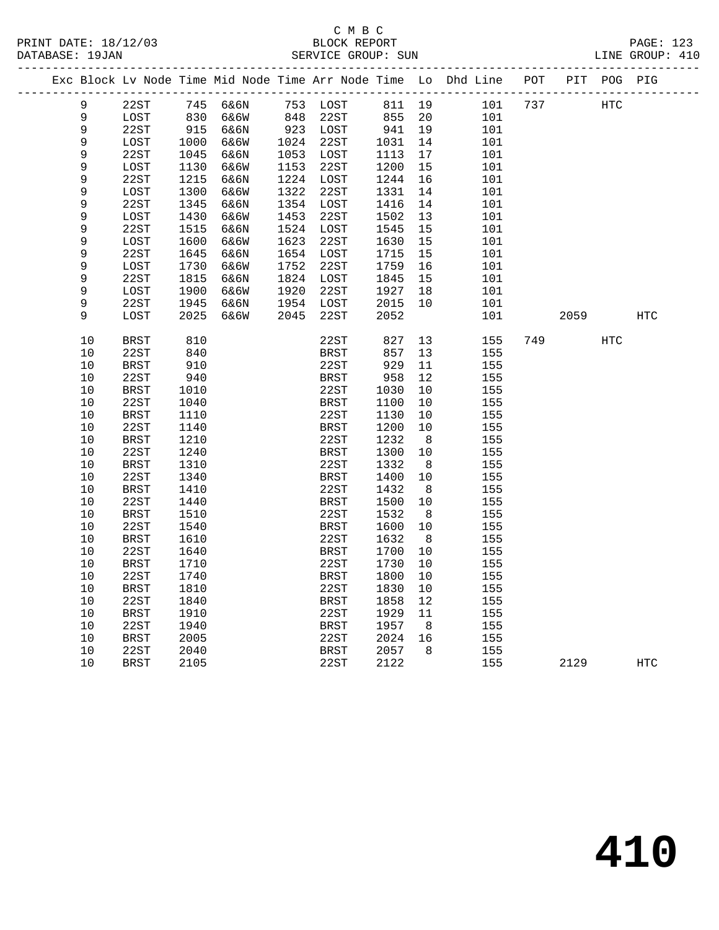|             |             |      | Exc Block Lv Node Time Mid Node Time Arr Node Time Lo Dhd Line |      |             |        |     |     | POT |      | PIT POG PIG |            |
|-------------|-------------|------|----------------------------------------------------------------|------|-------------|--------|-----|-----|-----|------|-------------|------------|
| 9           | 22ST        |      | 745 6&6N                                                       |      | 753 LOST    | 811 19 |     | 101 | 737 |      | HTC         |            |
| 9           | LOST        |      | 6&6W                                                           |      | 848 22ST    | 855 20 |     | 101 |     |      |             |            |
| 9           | 22ST        |      | 830 б&бW<br>915 б&бN                                           |      | 923 LOST    | 941 19 |     | 101 |     |      |             |            |
| $\mathsf 9$ | LOST        | 1000 | 6&6W                                                           |      | 1024 22ST   | 1031   | 14  | 101 |     |      |             |            |
| $\mathsf 9$ | 22ST        | 1045 | 6&6N                                                           |      | 1053 LOST   | 1113   | 17  | 101 |     |      |             |            |
| 9           | LOST        | 1130 | 6&6W                                                           | 1153 | 22ST        | 1200   | 15  | 101 |     |      |             |            |
| 9           | 22ST        | 1215 | 6&6N                                                           |      | 1224 LOST   | 1244   | 16  | 101 |     |      |             |            |
| 9           | LOST        | 1300 | 6&6W                                                           | 1322 | 22ST        | 1331   | 14  | 101 |     |      |             |            |
| 9           | 22ST        | 1345 | 6&6N                                                           |      | 1354 LOST   | 1416   | 14  | 101 |     |      |             |            |
| 9           | LOST        | 1430 | 6&6W                                                           | 1453 | 22ST        | 1502   | 13  | 101 |     |      |             |            |
| 9           | 22ST        | 1515 | 6&6N                                                           |      | 1524 LOST   | 1545   | 15  | 101 |     |      |             |            |
| 9           | LOST        | 1600 | 6&6W                                                           | 1623 | 22ST        | 1630   | 15  | 101 |     |      |             |            |
| 9           | 22ST        | 1645 | 6&6N                                                           |      | 1654 LOST   | 1715   | 15  | 101 |     |      |             |            |
| 9           | LOST        | 1730 | 6&6W                                                           | 1752 | 22ST        | 1759   | 16  | 101 |     |      |             |            |
| 9           | 22ST        | 1815 | 6&6N                                                           |      | 1824 LOST   | 1845   | 15  | 101 |     |      |             |            |
| 9           | LOST        | 1900 | 6&6W                                                           | 1920 | 22ST        | 1927   | 18  | 101 |     |      |             |            |
| 9           | 22ST        | 1945 | 6&6N                                                           |      | 1954 LOST   | 2015   | 10  | 101 |     |      |             |            |
| 9           | LOST        | 2025 | 6&6W                                                           | 2045 | 22ST        | 2052   |     | 101 |     | 2059 |             | <b>HTC</b> |
| 10          | BRST        | 810  |                                                                |      | 22ST        | 827    | 13  | 155 |     | 749  | <b>HTC</b>  |            |
| 10          | 22ST        | 840  |                                                                |      | <b>BRST</b> | 857    | 13  | 155 |     |      |             |            |
| 10          | <b>BRST</b> | 910  |                                                                |      | 22ST        | 929    | 11  | 155 |     |      |             |            |
| 10          | 22ST        | 940  |                                                                |      | <b>BRST</b> | 958    | 12  | 155 |     |      |             |            |
| 10          | <b>BRST</b> | 1010 |                                                                |      | 22ST        | 1030   | 10  | 155 |     |      |             |            |
| 10          | 22ST        | 1040 |                                                                |      | <b>BRST</b> | 1100   | 10  | 155 |     |      |             |            |
| $10$        | <b>BRST</b> | 1110 |                                                                |      | 22ST        | 1130   | 10  | 155 |     |      |             |            |
| $10$        | 22ST        | 1140 |                                                                |      | <b>BRST</b> | 1200   | 10  | 155 |     |      |             |            |
| 10          | <b>BRST</b> | 1210 |                                                                |      | 22ST        | 1232   | 8   | 155 |     |      |             |            |
| 10          | 22ST        | 1240 |                                                                |      | BRST        | 1300   | 10  | 155 |     |      |             |            |
| 10          | <b>BRST</b> | 1310 |                                                                |      | 22ST        | 1332   | - 8 | 155 |     |      |             |            |
| 10          | 22ST        | 1340 |                                                                |      | <b>BRST</b> | 1400   | 10  | 155 |     |      |             |            |
| 10          | <b>BRST</b> | 1410 |                                                                |      | 22ST        | 1432   | 8   | 155 |     |      |             |            |
| 10          | 22ST        | 1440 |                                                                |      | BRST        | 1500   | 10  | 155 |     |      |             |            |
| 10          | <b>BRST</b> | 1510 |                                                                |      | 22ST        | 1532   | - 8 | 155 |     |      |             |            |
| 10          | 22ST        | 1540 |                                                                |      | <b>BRST</b> | 1600   | 10  | 155 |     |      |             |            |
| 10          | <b>BRST</b> | 1610 |                                                                |      | 22ST        | 1632   | 8   | 155 |     |      |             |            |
| 10          | 22ST        | 1640 |                                                                |      | <b>BRST</b> | 1700   | 10  | 155 |     |      |             |            |
| 10          | <b>BRST</b> | 1710 |                                                                |      | 22ST        | 1730   | 10  | 155 |     |      |             |            |
| 10          | 22ST        | 1740 |                                                                |      | <b>BRST</b> | 1800   | 10  | 155 |     |      |             |            |
| $10$        | <b>BRST</b> | 1810 |                                                                |      | 22ST        | 1830   | 10  | 155 |     |      |             |            |
| 10          | 22ST        | 1840 |                                                                |      | <b>BRST</b> | 1858   | 12  | 155 |     |      |             |            |
| 10          | BRST        | 1910 |                                                                |      | 22ST        | 1929   | 11  | 155 |     |      |             |            |
| 10          | 22ST        | 1940 |                                                                |      | BRST        | 1957   | 8   | 155 |     |      |             |            |
| 10          | BRST        | 2005 |                                                                |      | 22ST        | 2024   | 16  | 155 |     |      |             |            |
| 10          | 22ST        | 2040 |                                                                |      | BRST        | 2057   | 8   | 155 |     |      |             |            |
| 10          | BRST        | 2105 |                                                                |      | 22ST        | 2122   |     | 155 |     | 2129 |             | HTC        |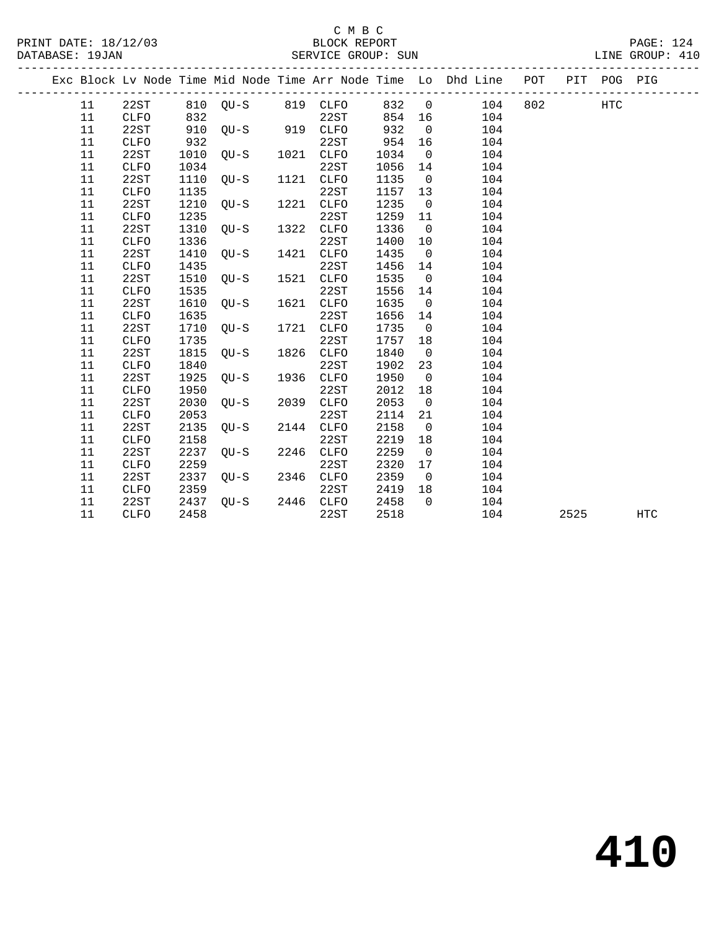|  |        |             |      |          |      |             |        |                         | Exc Block Lv Node Time Mid Node Time Arr Node Time Lo Dhd Line POT |     |      | PIT POG PIG |            |
|--|--------|-------------|------|----------|------|-------------|--------|-------------------------|--------------------------------------------------------------------|-----|------|-------------|------------|
|  | 11     | 22ST        |      | 810 OU-S |      | 819 CLFO    | 832    | $\overline{0}$          | 104                                                                | 802 |      | HTC         |            |
|  | 11     | <b>CLFO</b> | 832  |          |      | 22ST        | 854 16 |                         | 104                                                                |     |      |             |            |
|  | 11     | 22ST        | 910  | $OU-S$   | 919  | CLFO        | 932    | $\overline{0}$          | 104                                                                |     |      |             |            |
|  | 11     | CLFO        | 932  |          |      | 22ST        | 954    | 16                      | 104                                                                |     |      |             |            |
|  | 11     | 22ST        | 1010 | QU-S     | 1021 | CLFO        | 1034   | $\overline{0}$          | 104                                                                |     |      |             |            |
|  | 11     | CLFO        | 1034 |          |      | 22ST        | 1056   | 14                      | 104                                                                |     |      |             |            |
|  | 11     | 22ST        | 1110 | $QU-S$   | 1121 | CLFO        | 1135   | $\overline{0}$          | 104                                                                |     |      |             |            |
|  | 11     | CLFO        | 1135 |          |      | 22ST        | 1157   | 13                      | 104                                                                |     |      |             |            |
|  | 11     | 22ST        | 1210 | $QU-S$   | 1221 | <b>CLFO</b> | 1235   | $\overline{0}$          | 104                                                                |     |      |             |            |
|  | 11     | <b>CLFO</b> | 1235 |          |      | 22ST        | 1259   | 11                      | 104                                                                |     |      |             |            |
|  | 11     | 22ST        | 1310 | $OU-S$   | 1322 | <b>CLFO</b> | 1336   | $\overline{0}$          | 104                                                                |     |      |             |            |
|  | 11     | CLFO        | 1336 |          |      | 22ST        | 1400   | 10                      | 104                                                                |     |      |             |            |
|  | 11     | 22ST        | 1410 | $OU-S$   | 1421 | <b>CLFO</b> | 1435   | $\overline{0}$          | 104                                                                |     |      |             |            |
|  | 11     | CLFO        | 1435 |          |      | 22ST        | 1456   | 14                      | 104                                                                |     |      |             |            |
|  | 11     | 22ST        | 1510 | $OU-S$   | 1521 | <b>CLFO</b> | 1535   | $\overline{0}$          | 104                                                                |     |      |             |            |
|  | 11     | CLFO        | 1535 |          |      | 22ST        | 1556   | 14                      | 104                                                                |     |      |             |            |
|  | 11     | 22ST        | 1610 | $OU-S$   | 1621 | CLFO        | 1635   | $\overline{0}$          | 104                                                                |     |      |             |            |
|  | 11     | CLFO        | 1635 |          |      | 22ST        | 1656   | 14                      | 104                                                                |     |      |             |            |
|  | 11     | 22ST        | 1710 | $OU-S$   | 1721 | CLFO        | 1735   | $\overline{0}$          | 104                                                                |     |      |             |            |
|  | 11     | CLFO        | 1735 |          |      | 22ST        | 1757   | 18                      | 104                                                                |     |      |             |            |
|  | 11     | 22ST        | 1815 | $QU-S$   | 1826 | CLFO        | 1840   | $\overline{0}$          | 104                                                                |     |      |             |            |
|  | 11     | CLFO        | 1840 |          |      | 22ST        | 1902   | 23                      | 104                                                                |     |      |             |            |
|  | 11     | 22ST        | 1925 | $QU-S$   | 1936 | CLFO        | 1950   | $\overline{0}$          | 104                                                                |     |      |             |            |
|  | 11     | CLFO        | 1950 |          |      | 22ST        | 2012   | 18                      | 104                                                                |     |      |             |            |
|  | 11     | 22ST        | 2030 | $QU-S$   | 2039 | CLFO        | 2053   | $\overline{0}$          | 104                                                                |     |      |             |            |
|  | $11\,$ | CLFO        | 2053 |          |      | 22ST        | 2114   | 21                      | 104                                                                |     |      |             |            |
|  | 11     | 22ST        | 2135 | $QU-S$   | 2144 | CLFO        | 2158   | $\overline{0}$          | 104                                                                |     |      |             |            |
|  | 11     | <b>CLFO</b> | 2158 |          |      | 22ST        | 2219   | 18                      | 104                                                                |     |      |             |            |
|  | 11     | 22ST        | 2237 | $OU-S$   | 2246 | <b>CLFO</b> | 2259   | $\overline{\mathbf{0}}$ | 104                                                                |     |      |             |            |
|  | 11     | <b>CLFO</b> | 2259 |          |      | 22ST        | 2320   | 17                      | 104                                                                |     |      |             |            |
|  | 11     | 22ST        | 2337 | $OU-S$   | 2346 | CLFO        | 2359   | $\overline{0}$          | 104                                                                |     |      |             |            |
|  | 11     | CLFO        | 2359 |          |      | 22ST        | 2419   | 18                      | 104                                                                |     |      |             |            |
|  | 11     | 22ST        | 2437 | $QU-S$   | 2446 | CLFO        | 2458   | $\Omega$                | 104                                                                |     |      |             |            |
|  | 11     | <b>CLFO</b> | 2458 |          |      | 22ST        | 2518   |                         | 104                                                                |     | 2525 |             | <b>HTC</b> |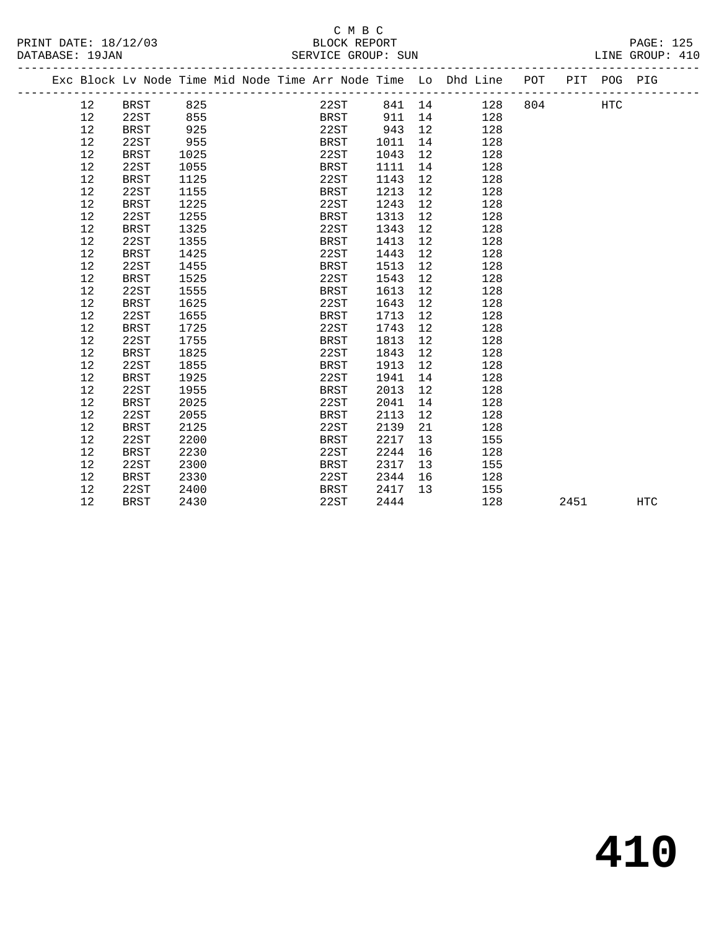|  |                 |             |      |  | Exc Block Lv Node Time Mid Node Time Arr Node Time Lo Dhd Line POT PIT POG PIG |      |                 |               |     |      |     |            |
|--|-----------------|-------------|------|--|--------------------------------------------------------------------------------|------|-----------------|---------------|-----|------|-----|------------|
|  | 12 <sup>°</sup> | BRST        | 825  |  | 22ST                                                                           |      |                 | 841 14<br>128 | 804 |      | HTC |            |
|  | 12              | 22ST        | 855  |  | BRST                                                                           | 911  | 14              | 128           |     |      |     |            |
|  | 12              | <b>BRST</b> | 925  |  | 22ST                                                                           | 943  | 12              | 128           |     |      |     |            |
|  | 12              | 22ST        | 955  |  | BRST                                                                           | 1011 | 14              | 128           |     |      |     |            |
|  | 12              | <b>BRST</b> | 1025 |  | 22ST                                                                           | 1043 | 12              | 128           |     |      |     |            |
|  | 12              | 22ST        | 1055 |  | BRST                                                                           | 1111 | 14              | 128           |     |      |     |            |
|  | 12              | <b>BRST</b> | 1125 |  | 22ST                                                                           | 1143 | 12              | 128           |     |      |     |            |
|  | 12              | 22ST        | 1155 |  | BRST                                                                           | 1213 | 12 <sup>°</sup> | 128           |     |      |     |            |
|  | 12              | <b>BRST</b> | 1225 |  | 22ST                                                                           | 1243 | 12              | 128           |     |      |     |            |
|  | 12              | 22ST        | 1255 |  | <b>BRST</b>                                                                    | 1313 | 12              | 128           |     |      |     |            |
|  | 12              | <b>BRST</b> | 1325 |  | 22ST                                                                           | 1343 | 12              | 128           |     |      |     |            |
|  | 12              | 22ST        | 1355 |  | BRST                                                                           | 1413 | 12              | 128           |     |      |     |            |
|  | $1\,2$          | <b>BRST</b> | 1425 |  | 22ST                                                                           | 1443 | 12              | 128           |     |      |     |            |
|  | 12              | 22ST        | 1455 |  | BRST                                                                           | 1513 | 12              | 128           |     |      |     |            |
|  | 12              | <b>BRST</b> | 1525 |  | 22ST                                                                           | 1543 | 12              | 128           |     |      |     |            |
|  | 12              | 22ST        | 1555 |  | BRST                                                                           | 1613 | 12              | 128           |     |      |     |            |
|  | 12              | <b>BRST</b> | 1625 |  | 22ST                                                                           | 1643 | 12              | 128           |     |      |     |            |
|  | 12              | 22ST        | 1655 |  | BRST                                                                           | 1713 | 12 <sup>°</sup> | 128           |     |      |     |            |
|  | 12              | <b>BRST</b> | 1725 |  | 22ST                                                                           | 1743 | 12              | 128           |     |      |     |            |
|  | 12              | 22ST        | 1755 |  | BRST                                                                           | 1813 | 12              | 128           |     |      |     |            |
|  | 12              | <b>BRST</b> | 1825 |  | 22ST                                                                           | 1843 | 12              | 128           |     |      |     |            |
|  | 12              | 22ST        | 1855 |  | BRST                                                                           | 1913 | 12              | 128           |     |      |     |            |
|  | 12              | <b>BRST</b> | 1925 |  | 22ST                                                                           | 1941 | 14              | 128           |     |      |     |            |
|  | 12              | 22ST        | 1955 |  | BRST                                                                           | 2013 | 12              | 128           |     |      |     |            |
|  | 12              | <b>BRST</b> | 2025 |  | 22ST                                                                           | 2041 | 14              | 128           |     |      |     |            |
|  | 12              | 22ST        | 2055 |  | <b>BRST</b>                                                                    | 2113 | 12              | 128           |     |      |     |            |
|  | 12              | <b>BRST</b> | 2125 |  | 22ST                                                                           | 2139 | 21              | 128           |     |      |     |            |
|  | 12              | 22ST        | 2200 |  | BRST                                                                           | 2217 | 13              | 155           |     |      |     |            |
|  | 12              | <b>BRST</b> | 2230 |  | 22ST                                                                           | 2244 | 16              | 128           |     |      |     |            |
|  | 12              | 22ST        | 2300 |  | BRST                                                                           | 2317 | 13              | 155           |     |      |     |            |
|  | 12              | <b>BRST</b> | 2330 |  | 22ST                                                                           | 2344 | 16              | 128           |     |      |     |            |
|  | 12              | 22ST        | 2400 |  | BRST                                                                           | 2417 | 13              | 155           |     |      |     |            |
|  | 12              | <b>BRST</b> | 2430 |  | 22ST                                                                           | 2444 |                 | 128           |     | 2451 |     | <b>HTC</b> |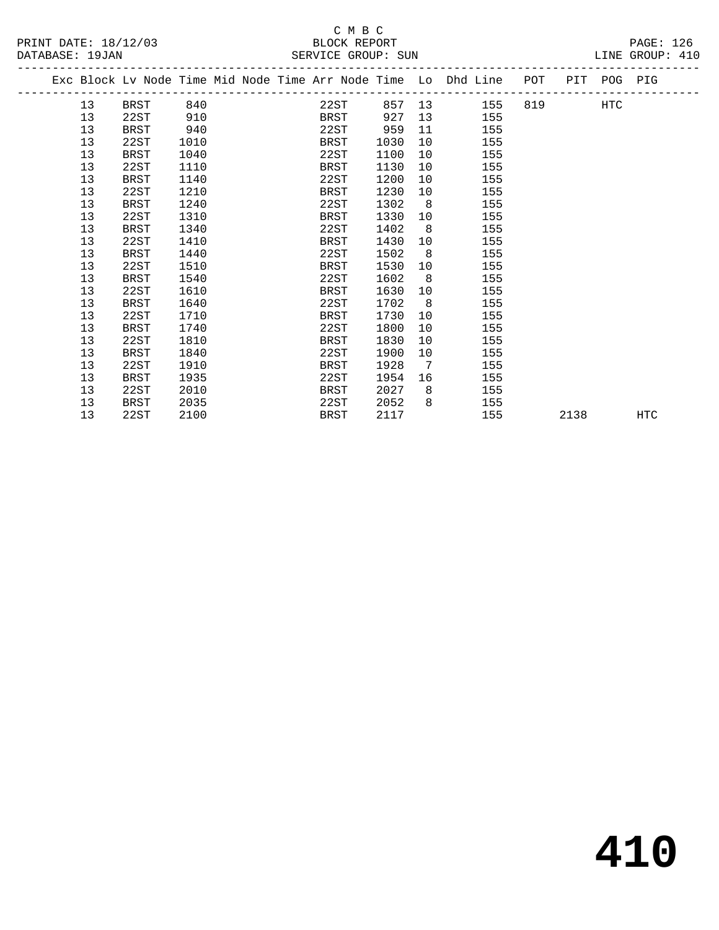PRINT DATE: 18/12/03 BLOCK REPORT<br>
DATABASE: 19JAN

## C M B C<br>BLOCK REPORT

PAGE: 126<br>LINE GROUP: 410

| DATABASE: 19JAN |    |             |      |  | SEKVICE GROUP: SUN                                                             |      |                |        |     |          |     | TINE GKOOL: 4TO |  |
|-----------------|----|-------------|------|--|--------------------------------------------------------------------------------|------|----------------|--------|-----|----------|-----|-----------------|--|
|                 |    |             |      |  | Exc Block Lv Node Time Mid Node Time Arr Node Time Lo Dhd Line POT PIT POG PIG |      |                |        |     |          |     |                 |  |
|                 | 13 | BRST        | 840  |  | 22ST                                                                           |      |                | 857 13 | 155 | 819 — 10 | HTC |                 |  |
|                 | 13 | 22ST        | 910  |  | BRST                                                                           | 927  | 13             |        | 155 |          |     |                 |  |
|                 | 13 | BRST        | 940  |  | 22ST                                                                           | 959  | 11             |        | 155 |          |     |                 |  |
|                 | 13 | 22ST        | 1010 |  | BRST                                                                           | 1030 | 10             |        | 155 |          |     |                 |  |
|                 | 13 | <b>BRST</b> | 1040 |  | 22ST                                                                           | 1100 | 10             |        | 155 |          |     |                 |  |
|                 | 13 | 22ST        | 1110 |  | BRST                                                                           | 1130 | 10             |        | 155 |          |     |                 |  |
|                 | 13 | <b>BRST</b> | 1140 |  | 22ST                                                                           | 1200 | 10             |        | 155 |          |     |                 |  |
|                 | 13 | 22ST        | 1210 |  | BRST                                                                           | 1230 | 10             |        | 155 |          |     |                 |  |
|                 | 13 | <b>BRST</b> | 1240 |  | 22ST                                                                           | 1302 | 8 <sup>8</sup> |        | 155 |          |     |                 |  |
|                 | 13 | 22ST        | 1310 |  | BRST                                                                           | 1330 | 10             |        | 155 |          |     |                 |  |
|                 | 13 | BRST        | 1340 |  | 22ST                                                                           | 1402 | 8 <sup>8</sup> |        | 155 |          |     |                 |  |
|                 | 13 | 22ST        | 1410 |  | BRST                                                                           | 1430 | 10             |        | 155 |          |     |                 |  |
|                 | 13 | <b>BRST</b> | 1440 |  | 22ST                                                                           | 1502 | 8              |        | 155 |          |     |                 |  |
|                 | 13 | 22ST        | 1510 |  | <b>BRST</b>                                                                    | 1530 | 10             |        | 155 |          |     |                 |  |
|                 | 13 | BRST        | 1540 |  | 22ST                                                                           | 1602 | 8              |        | 155 |          |     |                 |  |
|                 | 13 | 22ST        | 1610 |  | <b>BRST</b>                                                                    | 1630 | 10             |        | 155 |          |     |                 |  |
|                 | 13 | BRST        | 1640 |  | 22ST                                                                           | 1702 | 8              |        | 155 |          |     |                 |  |
|                 | 13 | 22ST        | 1710 |  | BRST                                                                           | 1730 | 10             |        | 155 |          |     |                 |  |
|                 | 13 | BRST        | 1740 |  | 22ST                                                                           | 1800 | 10             |        | 155 |          |     |                 |  |
|                 | 13 | 22ST        | 1810 |  | BRST                                                                           | 1830 | 10             |        | 155 |          |     |                 |  |
|                 | 13 | <b>BRST</b> | 1840 |  | 22ST                                                                           | 1900 | 10             |        | 155 |          |     |                 |  |
|                 | 13 | 22ST        | 1910 |  | BRST                                                                           | 1928 | $\overline{7}$ |        | 155 |          |     |                 |  |
|                 | 13 | <b>BRST</b> | 1935 |  | 22ST                                                                           | 1954 | 16             |        | 155 |          |     |                 |  |
|                 | 13 | 22ST        | 2010 |  | BRST                                                                           | 2027 | 8 <sup>8</sup> |        | 155 |          |     |                 |  |
|                 | 13 | BRST        | 2035 |  | 22ST                                                                           | 2052 | 8              |        | 155 |          |     |                 |  |

13 22ST 2100 BRST 2117 155 2138 HTC

**410**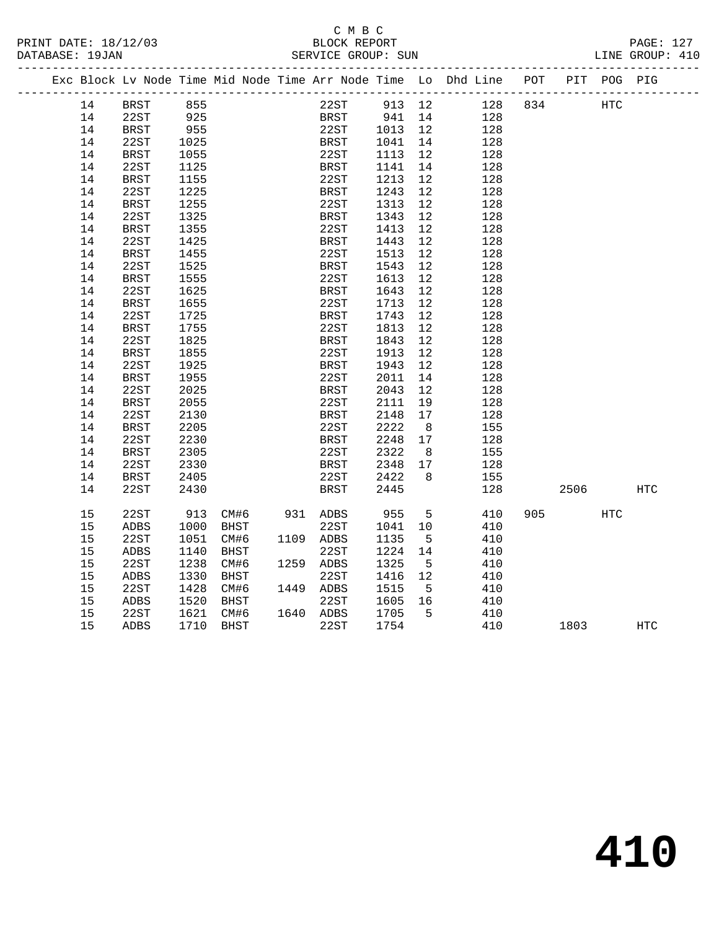## C M B C

#### DATABASE: 19JAN SERVICE GROUP: SUN LINE GROUP: 410 ------------------------------------------------------------------------------------------------- Exc Block Lv Node Time Mid Node Time Arr Node Time Lo Dhd Line POT PIT POG PIG ------------------------------------------------------------------------------------------------- 14 BRST 855 22ST 913 12 128 834 HTC 14 22ST 925 BRST 941 14 128 14 BRST 955 22ST 1013 12 128 14 22ST 1025 BRST 1041 14 128 14 BRST 1055 22ST 1113 12 128 14 22ST 1125 BRST 1141 14 128 14 BRST 1155 22ST 1213 12 128 14 22ST 1225 BRST 1243 12 128 14 BRST 1255 22ST 1313 12 128 14 22ST 1325 BRST 1343 12 128 14 BRST 1355 22ST 1413 12 128 14 22ST 1425 BRST 1443 12 128 14 BRST 1455 22ST 1513 12 128 14 22ST 1525 BRST 1543 12 128 14 BRST 1555 22ST 1613 12 128 14 22ST 1625 BRST 1643 12 128 14 BRST 1655 22ST 1713 12 128 14 22ST 1725 BRST 1743 12 128 14 BRST 1755 22ST 1813 12 128 14 22ST 1825 BRST 1843 12 128 14 BRST 1855 22ST 1913 12 128 14 22ST 1925 BRST 1943 12 128 14 BRST 1955 22ST 2011 14 128 14 22ST 2025 BRST 2043 12 128 14 BRST 2055 22ST 2111 19 128 14 22ST 2130 BRST 2148 17 128 14 BRST 2205 22ST 2222 8 155 14 22ST 2230 BRST 2248 17 128 14 BRST 2305 22ST 2322 8 155 14 22ST 2330 BRST 2348 17 128 14 BRST 2405 22ST 2422 8 155 14 22ST 2430 BRST 2445 128 2506 HTC 15 22ST 913 CM#6 931 ADBS 955 5 410 905 HTC 15 ADBS 1000 BHST 22ST 1041 10 410 15 22ST 1051 CM#6 1109 ADBS 1135 5 410 15 ADBS 1140 BHST 22ST 1224 14 410 15 22ST 1238 CM#6 1259 ADBS 1325 5 410 15 ADBS 1330 BHST 22ST 1416 12 410 15 22ST 1428 CM#6 1449 ADBS 1515 5 410 15 ADBS 1520 BHST 22ST 1605 16 410 15 22ST 1621 CM#6 1640 ADBS 1705 5 410

15 ADBS 1710 BHST 22ST 1754 410 1803 HTC

# **410**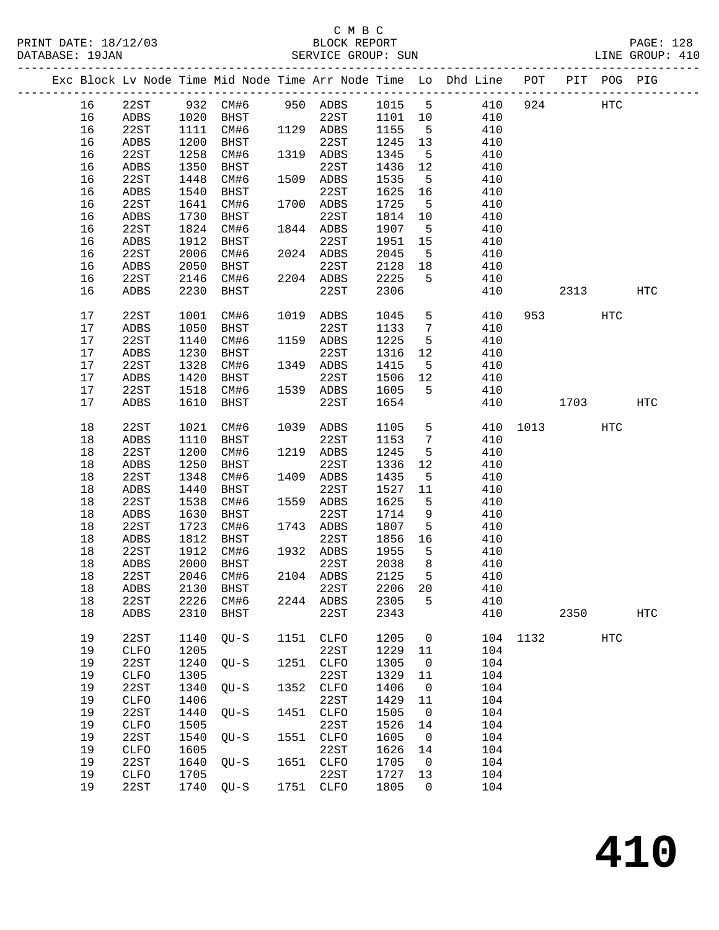### C M B C<br>BLOCK REPORT SERVICE GROUP: SUN

|  |      |              |      |           |      |              |      |                 | Exc Block Lv Node Time Mid Node Time Arr Node Time Lo Dhd Line POT |      |      | PIT POG PIG |            |
|--|------|--------------|------|-----------|------|--------------|------|-----------------|--------------------------------------------------------------------|------|------|-------------|------------|
|  | 16   | 22ST         | 932  | CM#6      |      | 950 ADBS     | 1015 | $5\phantom{.0}$ | 410                                                                | 924  |      | HTC         |            |
|  | 16   | ADBS         | 1020 | BHST      |      | 22ST         | 1101 | 10              | 410                                                                |      |      |             |            |
|  | 16   | 22ST         | 1111 | CM#6      |      | 1129 ADBS    | 1155 | $5^{\circ}$     | 410                                                                |      |      |             |            |
|  | 16   | ADBS         | 1200 | BHST      |      | 22ST         | 1245 | 13              | 410                                                                |      |      |             |            |
|  | 16   | 22ST         | 1258 | CM#6      | 1319 | ADBS         | 1345 | 5               | 410                                                                |      |      |             |            |
|  | 16   | ADBS         | 1350 | BHST      |      | 22ST         | 1436 | 12              | 410                                                                |      |      |             |            |
|  | 16   | 22ST         | 1448 | CM#6      |      | 1509 ADBS    | 1535 | $-5$            | 410                                                                |      |      |             |            |
|  | 16   | ADBS         | 1540 | BHST      |      | 22ST         | 1625 | 16              | 410                                                                |      |      |             |            |
|  | 16   | 22ST         | 1641 | CM#6      | 1700 | ADBS         | 1725 | 5               | 410                                                                |      |      |             |            |
|  | 16   | ADBS         | 1730 | BHST      |      | 22ST         | 1814 | 10              | 410                                                                |      |      |             |            |
|  | 16   | 22ST         | 1824 | CM#6      |      | 1844 ADBS    | 1907 | $-5$            | 410                                                                |      |      |             |            |
|  | 16   | ADBS         | 1912 | BHST      |      | 22ST         | 1951 | 15              | 410                                                                |      |      |             |            |
|  | 16   | 22ST         | 2006 | CM#6      |      | 2024 ADBS    | 2045 | 5               | 410                                                                |      |      |             |            |
|  | 16   | ADBS         | 2050 | BHST      |      | 22ST         | 2128 | 18              | 410                                                                |      |      |             |            |
|  | 16   | 22ST         | 2146 | CM#6      |      | 2204 ADBS    | 2225 | 5               | 410                                                                |      |      |             |            |
|  | 16   | ADBS         | 2230 | BHST      |      | 22ST         | 2306 |                 | 410                                                                |      | 2313 |             | <b>HTC</b> |
|  |      |              |      |           |      |              |      |                 |                                                                    |      |      |             |            |
|  | 17   | 22ST         | 1001 | CM#6      | 1019 | ADBS         | 1045 | 5               | 410                                                                | 953  |      | <b>HTC</b>  |            |
|  | 17   | ADBS         | 1050 | BHST      |      | 22ST         | 1133 | $7\phantom{.0}$ | 410                                                                |      |      |             |            |
|  | 17   | 22ST         | 1140 | CM#6      | 1159 | ADBS         | 1225 | 5               | 410                                                                |      |      |             |            |
|  | 17   | ADBS         | 1230 | BHST      |      | 22ST         | 1316 | 12              | 410                                                                |      |      |             |            |
|  | 17   | 22ST         | 1328 | CM#6      | 1349 | ADBS         | 1415 | 5               | 410                                                                |      |      |             |            |
|  | 17   | ADBS         | 1420 | BHST      |      | 22ST         | 1506 | 12              | 410                                                                |      |      |             |            |
|  | 17   | 22ST         | 1518 | CM#6      |      | 1539 ADBS    | 1605 | 5               | 410                                                                |      |      |             |            |
|  | 17   | ADBS         | 1610 | BHST      |      | 22ST         | 1654 |                 | 410                                                                |      | 1703 |             | <b>HTC</b> |
|  |      |              |      |           |      |              |      |                 |                                                                    |      |      |             |            |
|  | 18   | 22ST         | 1021 | CM#6      | 1039 | ADBS         | 1105 | 5               | 410                                                                | 1013 |      | <b>HTC</b>  |            |
|  | 18   | ADBS         | 1110 | BHST      |      | 22ST         | 1153 | $7\phantom{.0}$ | 410                                                                |      |      |             |            |
|  | $18$ | 22ST         | 1200 | CM#6      | 1219 | ADBS         | 1245 | 5               | 410                                                                |      |      |             |            |
|  | 18   | ADBS         | 1250 | BHST      |      | 22ST         | 1336 | 12              | 410                                                                |      |      |             |            |
|  | $18$ | 22ST         | 1348 | CM#6      | 1409 | ADBS         | 1435 | 5               | 410                                                                |      |      |             |            |
|  | $18$ | ADBS         | 1440 | BHST      |      | 22ST         | 1527 | 11              | 410                                                                |      |      |             |            |
|  | $18$ | 22ST         | 1538 | CM#6      | 1559 | ADBS         | 1625 | 5               | 410                                                                |      |      |             |            |
|  | 18   | ADBS         | 1630 | BHST      |      | 22ST         | 1714 | 9               | 410                                                                |      |      |             |            |
|  | 18   | 22ST         | 1723 | CM#6      | 1743 | ADBS         | 1807 | 5               | 410                                                                |      |      |             |            |
|  | 18   | ADBS         | 1812 | BHST      |      | 22ST         | 1856 | 16              | 410                                                                |      |      |             |            |
|  | $18$ | 22ST         | 1912 | CM#6      |      | 1932 ADBS    | 1955 | 5               | 410                                                                |      |      |             |            |
|  | 18   | ADBS         | 2000 | BHST      |      | 22ST         | 2038 | 8               | 410                                                                |      |      |             |            |
|  | 18   | 22ST         | 2046 | CM#6      |      | 2104 ADBS    | 2125 | 5               | 410                                                                |      |      |             |            |
|  | 18   | ADBS         |      | 2130 BHST |      | 22ST 2206 20 |      |                 | 410                                                                |      |      |             |            |
|  | 18   | 22ST         | 2226 | CM#6      |      | 2244 ADBS    | 2305 | 5               | 410                                                                |      |      |             |            |
|  | 18   | ADBS         | 2310 | BHST      |      | 22ST         | 2343 |                 | 410                                                                |      | 2350 |             | <b>HTC</b> |
|  |      |              |      |           |      |              |      |                 |                                                                    |      |      |             |            |
|  | 19   | 22ST         | 1140 | $QU-S$    | 1151 | <b>CLFO</b>  | 1205 | 0               | 104                                                                | 1132 |      | <b>HTC</b>  |            |
|  | 19   | ${\tt CLFO}$ | 1205 |           |      | 22ST         | 1229 | 11              | 104                                                                |      |      |             |            |
|  | 19   | 22ST         | 1240 | $QU-S$    | 1251 | CLFO         | 1305 | 0               | 104                                                                |      |      |             |            |
|  | 19   | CLFO         | 1305 |           |      | 22ST         | 1329 | 11              | 104                                                                |      |      |             |            |
|  | 19   | 22ST         | 1340 | $QU-S$    | 1352 | CLFO         | 1406 | $\mathsf{O}$    | 104                                                                |      |      |             |            |
|  | 19   | CLFO         | 1406 |           |      | 22ST         | 1429 | 11              | 104                                                                |      |      |             |            |
|  | 19   | 22ST         | 1440 | $QU-S$    | 1451 | CLFO         | 1505 | 0               | 104                                                                |      |      |             |            |
|  | 19   | ${\tt CLFO}$ | 1505 |           |      | 22ST         | 1526 | 14              | 104                                                                |      |      |             |            |
|  | 19   | 22ST         | 1540 | $OU-S$    | 1551 | ${\tt CLFO}$ | 1605 | 0               | 104                                                                |      |      |             |            |
|  | 19   | ${\tt CLFO}$ | 1605 |           |      | 22ST         | 1626 | 14              | 104                                                                |      |      |             |            |
|  | 19   | 22ST         | 1640 | $QU-S$    | 1651 | ${\tt CLFO}$ | 1705 | 0               | 104                                                                |      |      |             |            |
|  | 19   | <b>CLFO</b>  | 1705 |           |      | 22ST         | 1727 | 13              | 104                                                                |      |      |             |            |
|  | 19   | 22ST         | 1740 | $QU-S$    | 1751 | ${\tt CLFO}$ | 1805 | 0               | 104                                                                |      |      |             |            |

**410**